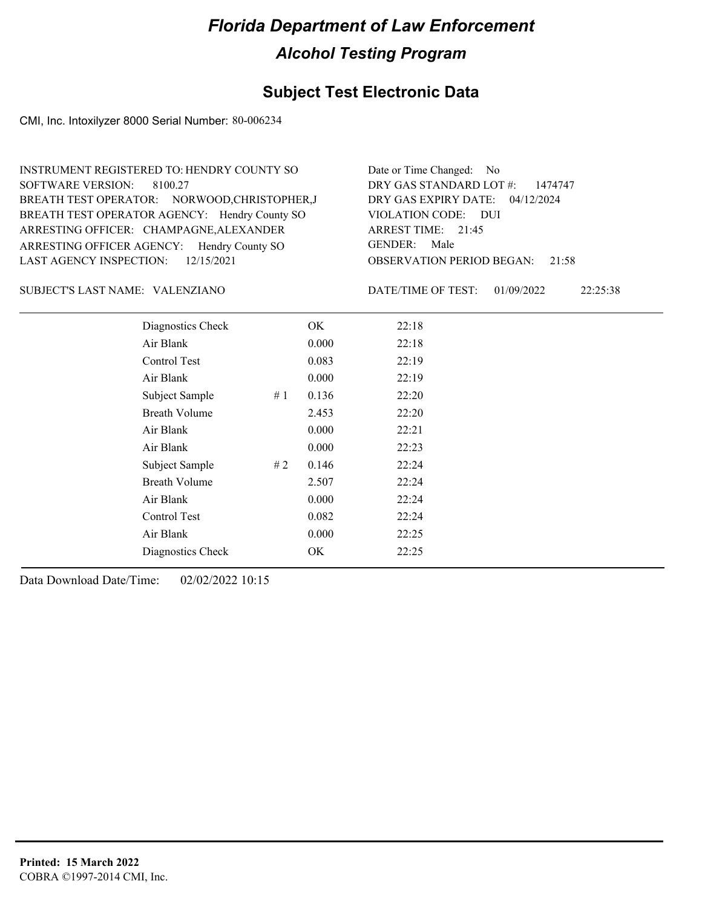### **Subject Test Electronic Data**

CMI, Inc. Intoxilyzer 8000 Serial Number: 80-006234

| INSTRUMENT REGISTERED TO: HENDRY COUNTY SO    | Date or Time Changed: No               |
|-----------------------------------------------|----------------------------------------|
| SOFTWARE VERSION: 8100.27                     | DRY GAS STANDARD LOT #: 1474747        |
| BREATH TEST OPERATOR: NORWOOD, CHRISTOPHER, J | DRY GAS EXPIRY DATE: 04/12/2024        |
| BREATH TEST OPERATOR AGENCY: Hendry County SO | VIOLATION CODE: DUI                    |
| ARRESTING OFFICER: CHAMPAGNE, ALEXANDER       | ARREST TIME: 21:45                     |
| ARRESTING OFFICER AGENCY: Hendry County SO    | GENDER: Male                           |
| LAST AGENCY INSPECTION: $12/15/2021$          | <b>OBSERVATION PERIOD BEGAN: 21:58</b> |
|                                               |                                        |

#### VALENZIANO SUBJECT'S LAST NAME: DATE/TIME OF TEST:

DATE/TIME OF TEST: 01/09/2022 22:25:38

| Diagnostics Check    |    | OK    | 22:18 |
|----------------------|----|-------|-------|
| Air Blank            |    | 0.000 | 22:18 |
| Control Test         |    | 0.083 | 22:19 |
| Air Blank            |    | 0.000 | 22:19 |
| Subject Sample       | #1 | 0.136 | 22:20 |
| <b>Breath Volume</b> |    | 2.453 | 22:20 |
| Air Blank            |    | 0.000 | 22:21 |
| Air Blank            |    | 0.000 | 22:23 |
| Subject Sample       | #2 | 0.146 | 22:24 |
| <b>Breath Volume</b> |    | 2.507 | 22:24 |
| Air Blank            |    | 0.000 | 22:24 |
| Control Test         |    | 0.082 | 22:24 |
| Air Blank            |    | 0.000 | 22:25 |
| Diagnostics Check    |    | OK    | 22:25 |
|                      |    |       |       |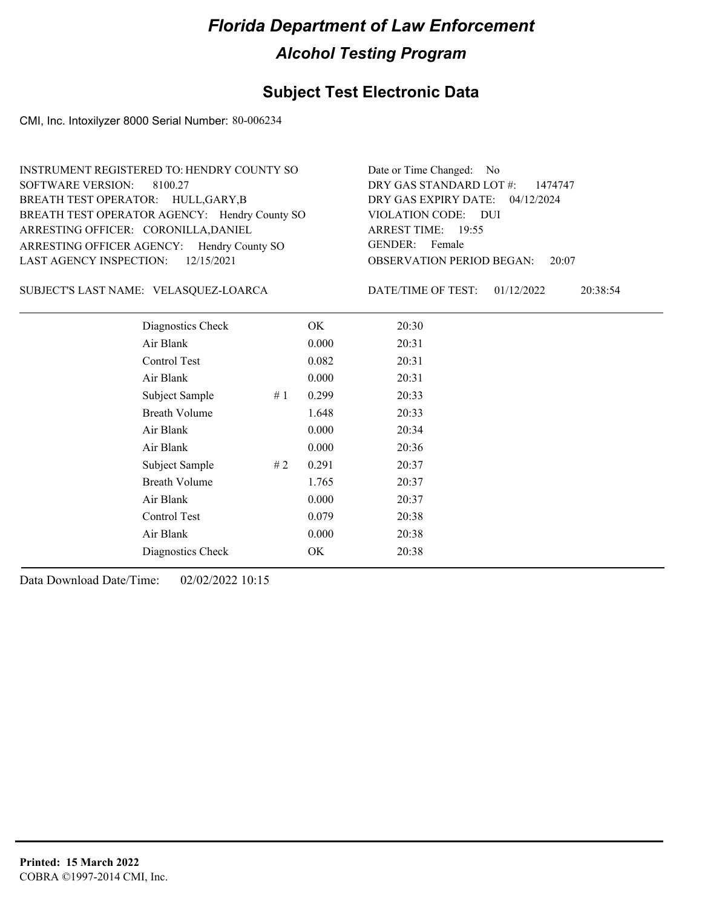### **Subject Test Electronic Data**

CMI, Inc. Intoxilyzer 8000 Serial Number: 80-006234

| INSTRUMENT REGISTERED TO: HENDRY COUNTY SO    | Date or Time Changed: No               |
|-----------------------------------------------|----------------------------------------|
| SOFTWARE VERSION: 8100.27                     | DRY GAS STANDARD LOT $\#$ : 1474747    |
| BREATH TEST OPERATOR: HULL, GARY, B           | DRY GAS EXPIRY DATE: 04/12/2024        |
| BREATH TEST OPERATOR AGENCY: Hendry County SO | VIOLATION CODE: DUI                    |
| ARRESTING OFFICER: CORONILLA, DANIEL          | ARREST TIME: 19:55                     |
| ARRESTING OFFICER AGENCY: Hendry County SO    | GENDER: Female                         |
| LAST AGENCY INSPECTION: $12/15/2021$          | <b>OBSERVATION PERIOD BEGAN:</b> 20:07 |

#### VELASQUEZ-LOARCA SUBJECT'S LAST NAME: DATE/TIME OF TEST:

DATE/TIME OF TEST: 01/12/2022 20:38:54

| Diagnostics Check    | OK    | 20:30 |
|----------------------|-------|-------|
| Air Blank            | 0.000 | 20:31 |
| Control Test         | 0.082 | 20:31 |
| Air Blank            | 0.000 | 20:31 |
| Subject Sample<br>#1 | 0.299 | 20:33 |
| <b>Breath Volume</b> | 1.648 | 20:33 |
| Air Blank            | 0.000 | 20:34 |
| Air Blank            | 0.000 | 20:36 |
| Subject Sample<br>#2 | 0.291 | 20:37 |
| <b>Breath Volume</b> | 1.765 | 20:37 |
| Air Blank            | 0.000 | 20:37 |
| Control Test         | 0.079 | 20:38 |
| Air Blank            | 0.000 | 20:38 |
| Diagnostics Check    | OK    | 20:38 |
|                      |       |       |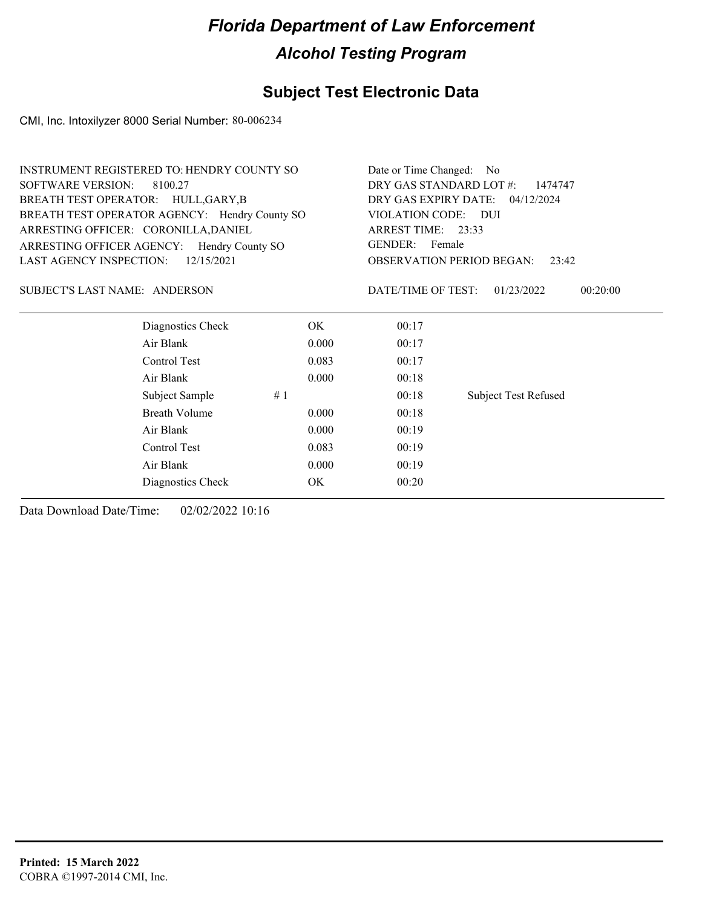### **Subject Test Electronic Data**

CMI, Inc. Intoxilyzer 8000 Serial Number: 80-006234

|                                      | INSTRUMENT REGISTERED TO: HENDRY COUNTY SO    |           |                     | Date or Time Changed: No                  |  |  |  |
|--------------------------------------|-----------------------------------------------|-----------|---------------------|-------------------------------------------|--|--|--|
| <b>SOFTWARE VERSION:</b><br>8100.27  |                                               |           |                     | DRY GAS STANDARD LOT #:<br>1474747        |  |  |  |
|                                      | BREATH TEST OPERATOR: HULL, GARY, B           |           |                     | DRY GAS EXPIRY DATE: 04/12/2024           |  |  |  |
|                                      | BREATH TEST OPERATOR AGENCY: Hendry County SO |           | VIOLATION CODE: DUI |                                           |  |  |  |
| ARRESTING OFFICER: CORONILLA, DANIEL |                                               |           | ARREST TIME: 23:33  |                                           |  |  |  |
|                                      | ARRESTING OFFICER AGENCY: Hendry County SO    |           | GENDER: Female      |                                           |  |  |  |
| LAST AGENCY INSPECTION:              | 12/15/2021                                    |           |                     | <b>OBSERVATION PERIOD BEGAN:</b><br>23:42 |  |  |  |
| SUBJECT'S LAST NAME: ANDERSON        |                                               |           | DATE/TIME OF TEST:  | 01/23/2022<br>00:20:00                    |  |  |  |
|                                      | Diagnostics Check                             | OK.       | 00:17               |                                           |  |  |  |
|                                      | Air Blank                                     | 0.000     | 00:17               |                                           |  |  |  |
|                                      | Control Test                                  | 0.083     | 00:17               |                                           |  |  |  |
|                                      | Air Blank                                     | 0.000     | 00:18               |                                           |  |  |  |
|                                      | Subject Sample                                | #1        | 00:18               | <b>Subject Test Refused</b>               |  |  |  |
|                                      | <b>Breath Volume</b>                          | 0.000     | 00:18               |                                           |  |  |  |
|                                      | Air Blank                                     | 0.000     | 00:19               |                                           |  |  |  |
|                                      | Control Test                                  | 0.083     | 00:19               |                                           |  |  |  |
|                                      | Air Blank                                     | 0.000     | 00:19               |                                           |  |  |  |
|                                      | Diagnostics Check                             | <b>OK</b> | 00:20               |                                           |  |  |  |
|                                      |                                               |           |                     |                                           |  |  |  |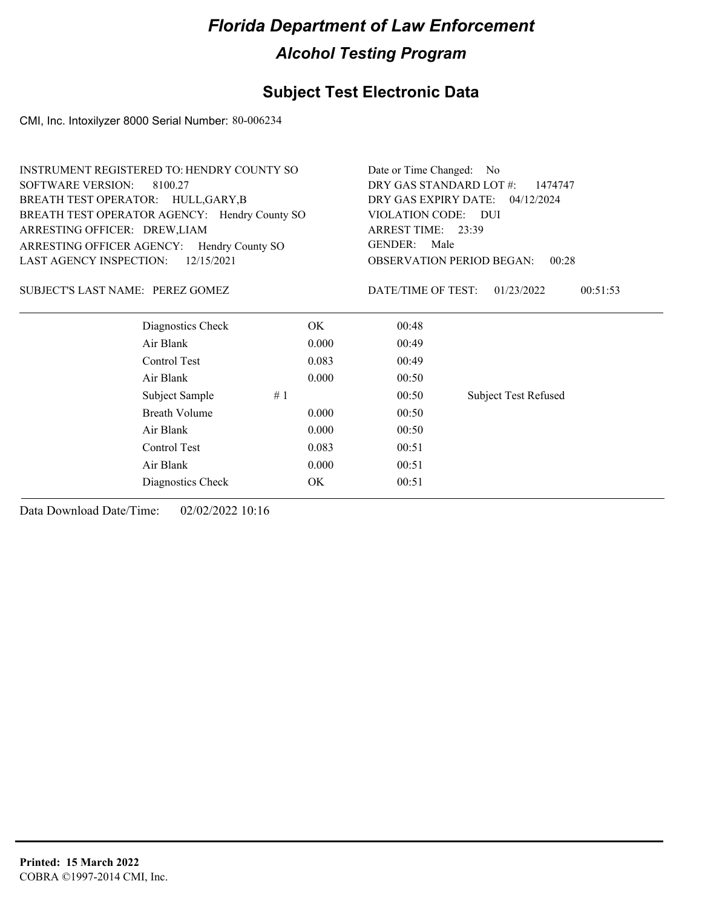#### **Subject Test Electronic Data**

CMI, Inc. Intoxilyzer 8000 Serial Number: 80-006234

| <b>INSTRUMENT REGISTERED TO: HENDRY COUNTY SO</b> | Date or Time Changed: No                                              |                                              |  |  |
|---------------------------------------------------|-----------------------------------------------------------------------|----------------------------------------------|--|--|
| SOFTWARE VERSION: 8100.27                         | DRY GAS STANDARD LOT #:<br>1474747<br>DRY GAS EXPIRY DATE: 04/12/2024 |                                              |  |  |
| BREATH TEST OPERATOR: HULL, GARY, B               |                                                                       |                                              |  |  |
| BREATH TEST OPERATOR AGENCY: Hendry County SO     | VIOLATION CODE: DUI                                                   |                                              |  |  |
| ARRESTING OFFICER: DREW, LIAM                     | ARREST TIME: 23:39                                                    |                                              |  |  |
| ARRESTING OFFICER AGENCY:<br>Hendry County SO     | Male<br>GENDER:                                                       |                                              |  |  |
| <b>LAST AGENCY INSPECTION:</b><br>12/15/2021      |                                                                       | <b>OBSERVATION PERIOD BEGAN:</b><br>00:28    |  |  |
| SUBJECT'S LAST NAME: PEREZ GOMEZ                  |                                                                       | DATE/TIME OF TEST:<br>01/23/2022<br>00:51:53 |  |  |
| Diagnostics Check                                 | OK.                                                                   | 00:48                                        |  |  |
| Air Blank                                         | 00:49                                                                 |                                              |  |  |
| Control Test<br>0.083                             |                                                                       | 00:49                                        |  |  |
| Air Blank                                         | 00:50                                                                 |                                              |  |  |

Subject Sample # 1 00:50 Subject Test Refused

Breath Volume 0.000 00:50 Air Blank 0.000 00:50 Control Test 0.083 00:51 Air Blank 0.000 00:51 Diagnostics Check OK 00:51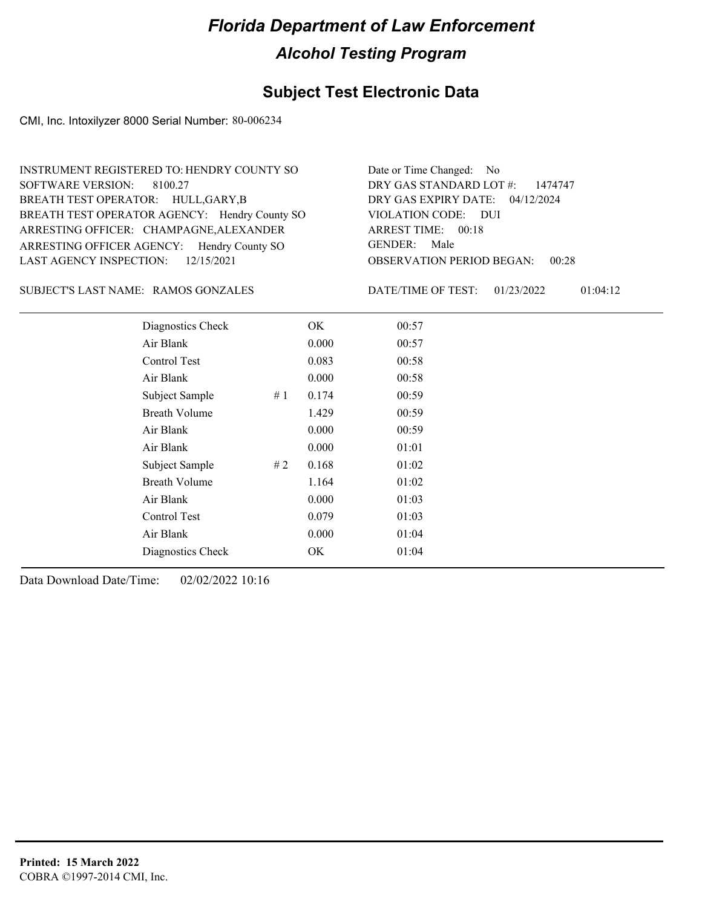### **Subject Test Electronic Data**

CMI, Inc. Intoxilyzer 8000 Serial Number: 80-006234

| INSTRUMENT REGISTERED TO: HENDRY COUNTY SO    | Date or Time Changed: No                  |
|-----------------------------------------------|-------------------------------------------|
| SOFTWARE VERSION: 8100.27                     | DRY GAS STANDARD LOT #: 1474747           |
| BREATH TEST OPERATOR: HULL, GARY, B           | DRY GAS EXPIRY DATE: 04/12/2024           |
| BREATH TEST OPERATOR AGENCY: Hendry County SO | VIOLATION CODE: DUI                       |
| ARRESTING OFFICER: CHAMPAGNE, ALEXANDER       | ARREST TIME: 00:18                        |
| ARRESTING OFFICER AGENCY: Hendry County SO    | GENDER: Male                              |
| LAST AGENCY INSPECTION: 12/15/2021            | <b>OBSERVATION PERIOD BEGAN:</b><br>00:28 |
|                                               |                                           |

#### SUBJECT'S LAST NAME: RAMOS GONZALES DATE/TIME OF TEST:

DATE/TIME OF TEST: 01/23/2022 01:04:12

| Diagnostics Check    |    | OK    | 00:57 |
|----------------------|----|-------|-------|
| Air Blank            |    | 0.000 | 00:57 |
| Control Test         |    | 0.083 | 00:58 |
| Air Blank            |    | 0.000 | 00:58 |
| Subject Sample       | #1 | 0.174 | 00:59 |
| <b>Breath Volume</b> |    | 1.429 | 00:59 |
| Air Blank            |    | 0.000 | 00:59 |
| Air Blank            |    | 0.000 | 01:01 |
| Subject Sample       | #2 | 0.168 | 01:02 |
| <b>Breath Volume</b> |    | 1.164 | 01:02 |
| Air Blank            |    | 0.000 | 01:03 |
| Control Test         |    | 0.079 | 01:03 |
| Air Blank            |    | 0.000 | 01:04 |
| Diagnostics Check    |    | OK    | 01:04 |
|                      |    |       |       |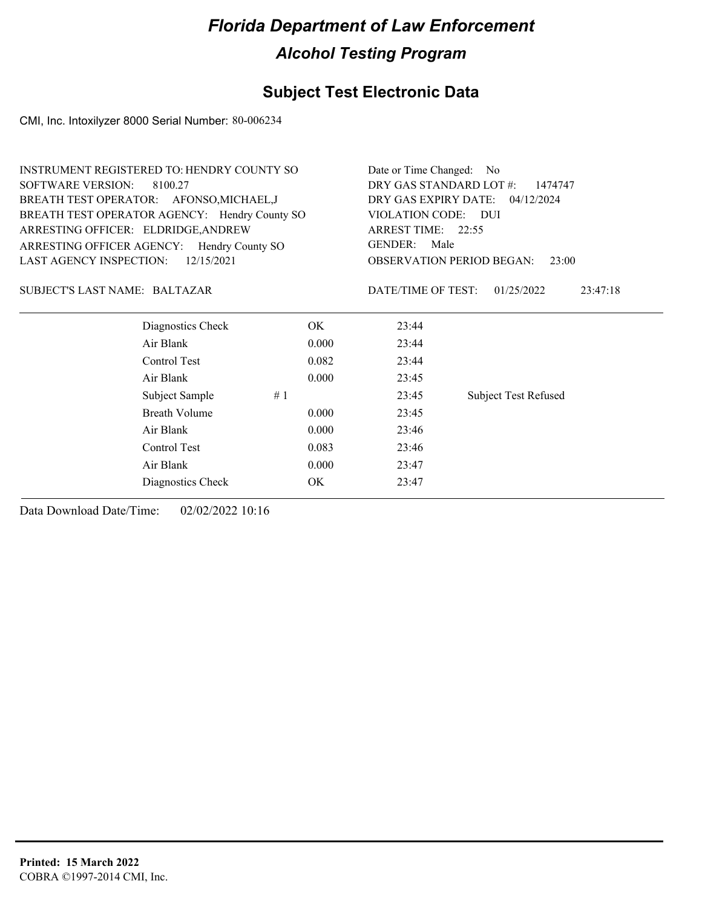### **Subject Test Electronic Data**

CMI, Inc. Intoxilyzer 8000 Serial Number: 80-006234

|                                     | <b>INSTRUMENT REGISTERED TO: HENDRY COUNTY SO</b> |       |                                           | Date or Time Changed: No           |  |  |  |
|-------------------------------------|---------------------------------------------------|-------|-------------------------------------------|------------------------------------|--|--|--|
| <b>SOFTWARE VERSION:</b><br>8100.27 |                                                   |       | DRY GAS STANDARD LOT #:<br>1474747        |                                    |  |  |  |
|                                     | BREATH TEST OPERATOR: AFONSO, MICHAEL, J          |       |                                           | DRY GAS EXPIRY DATE:<br>04/12/2024 |  |  |  |
|                                     | BREATH TEST OPERATOR AGENCY: Hendry County SO     |       | VIOLATION CODE: DUI                       |                                    |  |  |  |
| ARRESTING OFFICER: ELDRIDGE, ANDREW |                                                   |       | ARREST TIME: 22:55                        |                                    |  |  |  |
|                                     | ARRESTING OFFICER AGENCY: Hendry County SO        |       | <b>GENDER:</b><br>Male                    |                                    |  |  |  |
| <b>LAST AGENCY INSPECTION:</b>      | 12/15/2021                                        |       | <b>OBSERVATION PERIOD BEGAN:</b><br>23:00 |                                    |  |  |  |
| SUBJECT'S LAST NAME: BALTAZAR       |                                                   |       | DATE/TIME OF TEST:                        | 01/25/2022<br>23:47:18             |  |  |  |
|                                     | Diagnostics Check                                 | OK.   | 23:44                                     |                                    |  |  |  |
|                                     | Air Blank                                         | 0.000 | 23:44                                     |                                    |  |  |  |
|                                     | Control Test                                      | 0.082 | 23:44                                     |                                    |  |  |  |
|                                     | Air Blank                                         | 0.000 | 23:45                                     |                                    |  |  |  |
|                                     | Subject Sample                                    | #1    | 23:45                                     | <b>Subject Test Refused</b>        |  |  |  |
|                                     | <b>Breath Volume</b>                              | 0.000 | 23:45                                     |                                    |  |  |  |
|                                     | Air Blank                                         | 0.000 | 23:46                                     |                                    |  |  |  |
|                                     | Control Test                                      | 0.083 | 23:46                                     |                                    |  |  |  |
|                                     | Air Blank                                         | 0.000 | 23:47                                     |                                    |  |  |  |

Diagnostics Check OK 23:47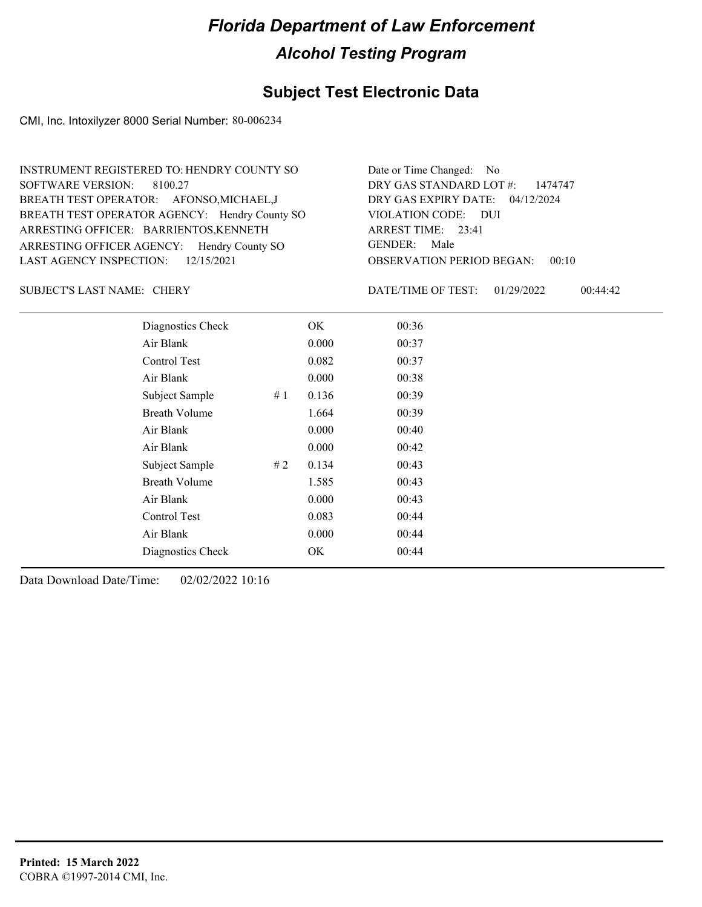### **Subject Test Electronic Data**

CMI, Inc. Intoxilyzer 8000 Serial Number: 80-006234

| INSTRUMENT REGISTERED TO: HENDRY COUNTY SO    | Date or Time Changed: No           |
|-----------------------------------------------|------------------------------------|
| SOFTWARE VERSION: 8100.27                     | DRY GAS STANDARD LOT #: 1474747    |
| BREATH TEST OPERATOR: AFONSO, MICHAEL, J      | DRY GAS EXPIRY DATE: 04/12/2024    |
| BREATH TEST OPERATOR AGENCY: Hendry County SO | VIOLATION CODE: DUI                |
| ARRESTING OFFICER: BARRIENTOS, KENNETH        | ARREST TIME: 23:41                 |
| ARRESTING OFFICER AGENCY: Hendry County SO    | GENDER: Male                       |
| LAST AGENCY INSPECTION: $12/15/2021$          | OBSERVATION PERIOD BEGAN:<br>00:10 |
|                                               |                                    |

#### SUBJECT'S LAST NAME: CHERY **Example 20 SUBJECT'S LAST NAME:** CHERY

DATE/TIME OF TEST: 01/29/2022 00:44:42

| Diagnostics Check    |    | OK    | 00:36 |  |
|----------------------|----|-------|-------|--|
| Air Blank            |    | 0.000 | 00:37 |  |
| Control Test         |    | 0.082 | 00:37 |  |
| Air Blank            |    | 0.000 | 00:38 |  |
| Subject Sample       | #1 | 0.136 | 00:39 |  |
| <b>Breath Volume</b> |    | 1.664 | 00:39 |  |
| Air Blank            |    | 0.000 | 00:40 |  |
| Air Blank            |    | 0.000 | 00:42 |  |
| Subject Sample       | #2 | 0.134 | 00:43 |  |
| <b>Breath Volume</b> |    | 1.585 | 00:43 |  |
| Air Blank            |    | 0.000 | 00:43 |  |
| Control Test         |    | 0.083 | 00:44 |  |
| Air Blank            |    | 0.000 | 00:44 |  |
| Diagnostics Check    |    | OK    | 00:44 |  |
|                      |    |       |       |  |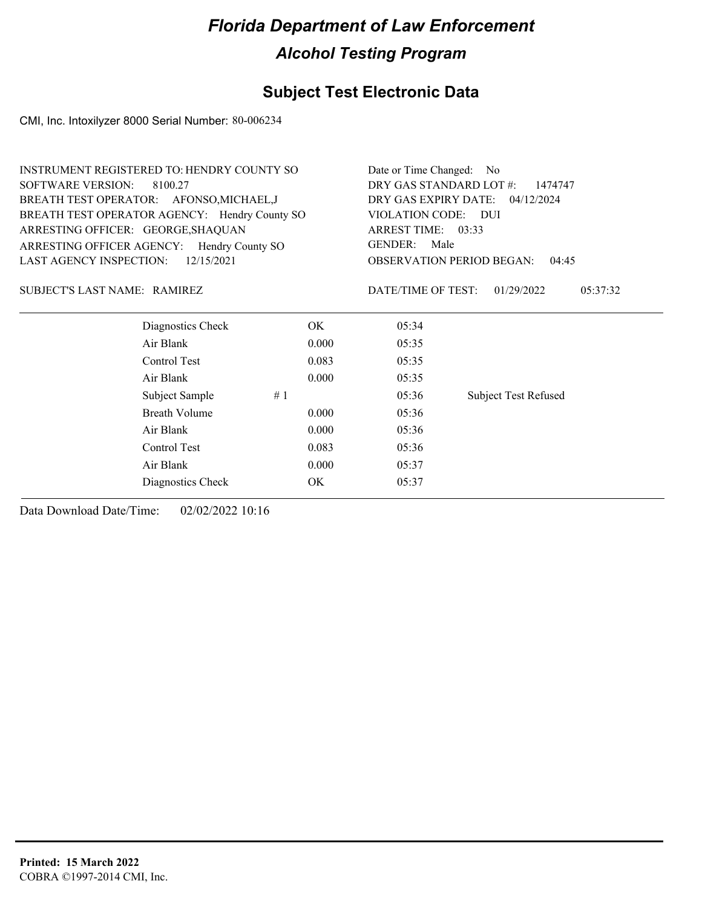### **Subject Test Electronic Data**

CMI, Inc. Intoxilyzer 8000 Serial Number: 80-006234

| <b>INSTRUMENT REGISTERED TO: HENDRY COUNTY SO</b> |            |       | Date or Time Changed: No           |                                           |          |  |
|---------------------------------------------------|------------|-------|------------------------------------|-------------------------------------------|----------|--|
| <b>SOFTWARE VERSION:</b><br>8100.27               |            |       | DRY GAS STANDARD LOT #:<br>1474747 |                                           |          |  |
| BREATH TEST OPERATOR: AFONSO, MICHAEL, J          |            |       |                                    | DRY GAS EXPIRY DATE: 04/12/2024           |          |  |
| BREATH TEST OPERATOR AGENCY: Hendry County SO     |            |       | VIOLATION CODE: DUI                |                                           |          |  |
| ARRESTING OFFICER: GEORGE, SHAQUAN                |            |       | ARREST TIME: 03:33                 |                                           |          |  |
| ARRESTING OFFICER AGENCY: Hendry County SO        |            |       | <b>GENDER:</b>                     | Male                                      |          |  |
| <b>LAST AGENCY INSPECTION:</b>                    | 12/15/2021 |       |                                    | <b>OBSERVATION PERIOD BEGAN:</b><br>04:45 |          |  |
| <b>SUBJECT'S LAST NAME: RAMIREZ</b>               |            |       | DATE/TIME OF TEST:                 | 01/29/2022                                | 05:37:32 |  |
| Diagnostics Check                                 |            | OK    | 05:34                              |                                           |          |  |
| Air Blank                                         |            | 0.000 | 05:35                              |                                           |          |  |
| Control Test                                      |            | 0.083 | 05:35                              |                                           |          |  |
| Air Blank                                         |            | 0.000 | 05:35                              |                                           |          |  |
| Subject Sample                                    | #1         |       | 05:36                              | <b>Subject Test Refused</b>               |          |  |
| <b>Breath Volume</b>                              |            | 0.000 | 05:36                              |                                           |          |  |
| Air Blank                                         |            | 0.000 | 05:36                              |                                           |          |  |
| Control Test                                      |            | 0.083 | 05:36                              |                                           |          |  |
| Air Blank                                         |            | 0.000 | 05:37                              |                                           |          |  |
| Diagnostics Check                                 |            | OK    | 05:37                              |                                           |          |  |
|                                                   |            |       |                                    |                                           |          |  |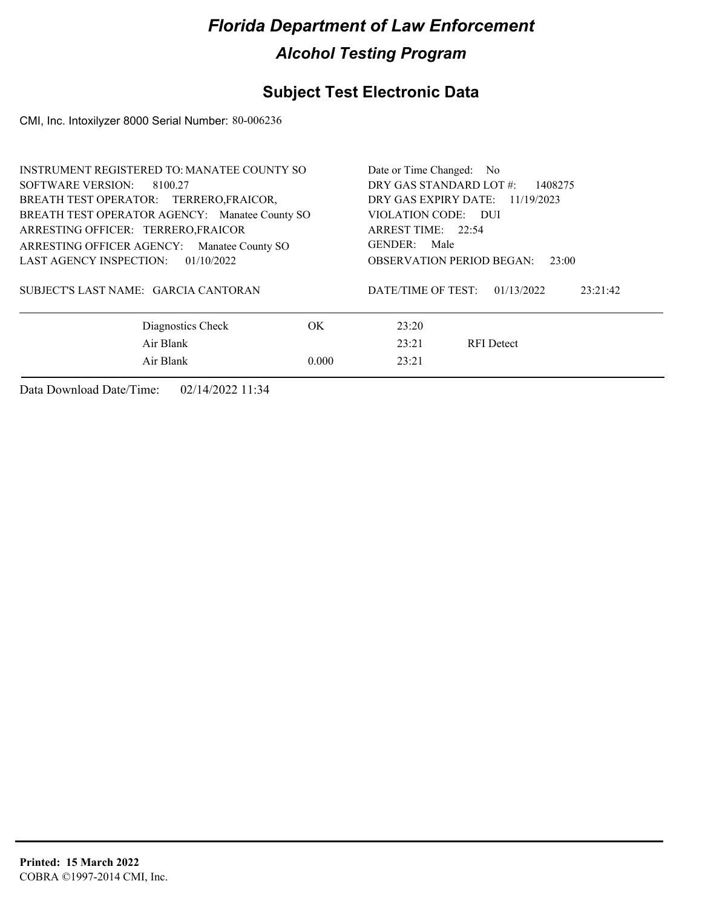### **Subject Test Electronic Data**

CMI, Inc. Intoxilyzer 8000 Serial Number: 80-006236

| <b>INSTRUMENT REGISTERED TO: MANATEE COUNTY SO</b> | Date or Time Changed: No                     |
|----------------------------------------------------|----------------------------------------------|
| SOFTWARE VERSION:<br>8100.27                       | DRY GAS STANDARD LOT #:<br>1408275           |
| BREATH TEST OPERATOR: TERRERO, FRAICOR,            | DRY GAS EXPIRY DATE: 11/19/2023              |
| BREATH TEST OPERATOR AGENCY: Manatee County SO     | VIOLATION CODE: DUI                          |
| ARRESTING OFFICER: TERRERO, FRAICOR                | ARREST TIME: 22:54                           |
| ARRESTING OFFICER AGENCY:<br>Manatee County SO     | GENDER: Male                                 |
| LAST AGENCY INSPECTION:<br>01/10/2022              | <b>OBSERVATION PERIOD BEGAN:</b><br>23:00    |
| SUBJECT'S LAST NAME: GARCIA CANTORAN               | DATE/TIME OF TEST:<br>01/13/2022<br>23:21:42 |
| Diagnostics Check                                  | OK.<br>23:20                                 |
| Air Blank                                          | 23:21<br><b>RFI</b> Detect                   |
| Air Blank                                          | 0.000<br>23:21                               |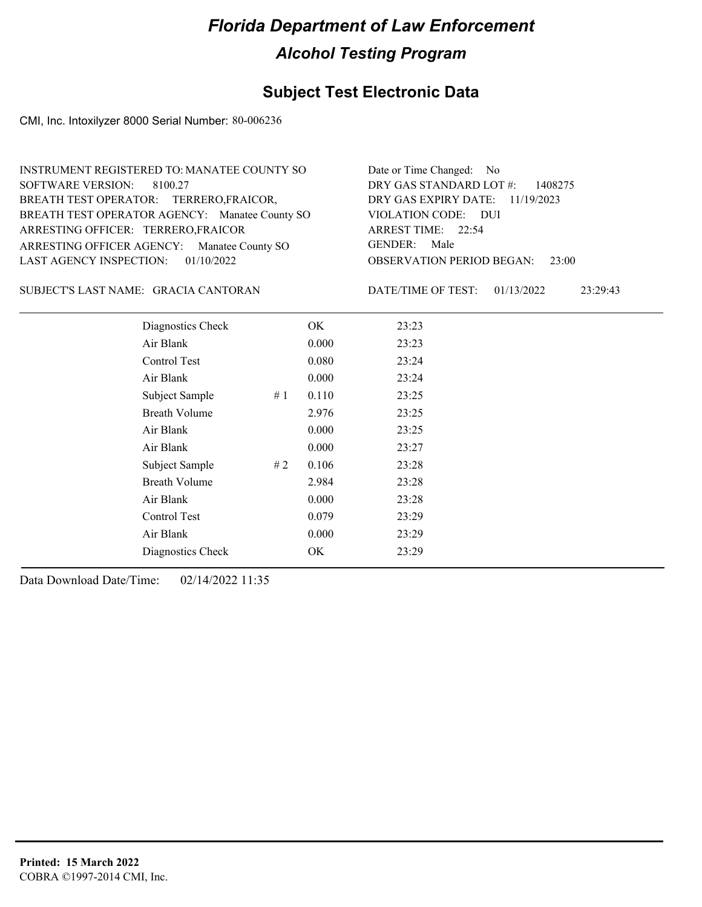### **Subject Test Electronic Data**

CMI, Inc. Intoxilyzer 8000 Serial Number: 80-006236

| INSTRUMENT REGISTERED TO: MANATEE COUNTY SO    | Date or Time Changed: No               |
|------------------------------------------------|----------------------------------------|
| SOFTWARE VERSION: 8100.27                      | DRY GAS STANDARD LOT $\#$ : 1408275    |
| BREATH TEST OPERATOR: TERRERO, FRAICOR,        | DRY GAS EXPIRY DATE: 11/19/2023        |
| BREATH TEST OPERATOR AGENCY: Manatee County SO | VIOLATION CODE: DUI                    |
| ARRESTING OFFICER: TERRERO, FRAICOR            | ARREST TIME: 22:54                     |
| ARRESTING OFFICER AGENCY: Manatee County SO    | GENDER: Male                           |
| LAST AGENCY INSPECTION: $01/10/2022$           | <b>OBSERVATION PERIOD BEGAN: 23:00</b> |

#### GRACIA CANTORAN SUBJECT'S LAST NAME: DATE/TIME OF TEST:

DATE/TIME OF TEST: 01/13/2022 23:29:43

| Diagnostics Check    | OK    | 23:23 |
|----------------------|-------|-------|
| Air Blank            | 0.000 | 23:23 |
| Control Test         | 0.080 | 23:24 |
| Air Blank            | 0.000 | 23:24 |
| Subject Sample<br>#1 | 0.110 | 23:25 |
| <b>Breath Volume</b> | 2.976 | 23:25 |
| Air Blank            | 0.000 | 23:25 |
| Air Blank            | 0.000 | 23:27 |
| Subject Sample<br>#2 | 0.106 | 23:28 |
| <b>Breath Volume</b> | 2.984 | 23:28 |
| Air Blank            | 0.000 | 23:28 |
| Control Test         | 0.079 | 23:29 |
| Air Blank            | 0.000 | 23:29 |
| Diagnostics Check    | OK    | 23:29 |
|                      |       |       |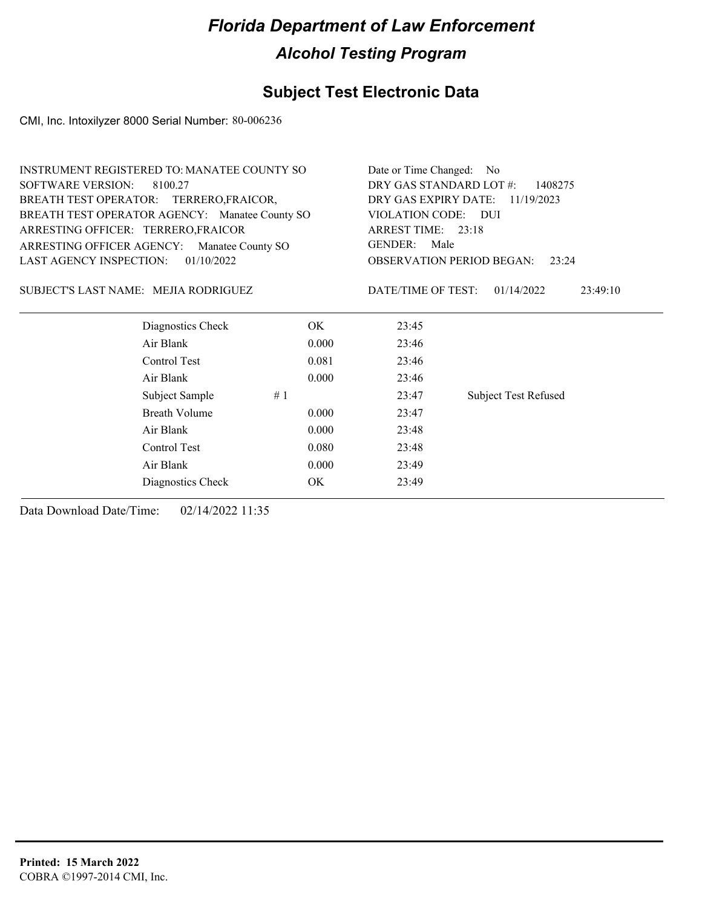### **Subject Test Electronic Data**

CMI, Inc. Intoxilyzer 8000 Serial Number: 80-006236

| INSTRUMENT REGISTERED TO: MANATEE COUNTY SO    |            |                                    | Date or Time Changed: No                  |  |  |
|------------------------------------------------|------------|------------------------------------|-------------------------------------------|--|--|
| <b>SOFTWARE VERSION:</b><br>8100.27            |            | DRY GAS STANDARD LOT #:<br>1408275 |                                           |  |  |
| BREATH TEST OPERATOR: TERRERO, FRAICOR,        |            | DRY GAS EXPIRY DATE:<br>11/19/2023 |                                           |  |  |
| BREATH TEST OPERATOR AGENCY: Manatee County SO |            | VIOLATION CODE:                    | - DUI                                     |  |  |
| ARRESTING OFFICER: TERRERO, FRAICOR            |            | ARREST TIME: 23:18                 |                                           |  |  |
| ARRESTING OFFICER AGENCY: Manatee County SO    |            | <b>GENDER:</b>                     | Male                                      |  |  |
| LAST AGENCY INSPECTION:                        | 01/10/2022 |                                    | <b>OBSERVATION PERIOD BEGAN:</b><br>23:24 |  |  |
| SUBJECT'S LAST NAME: MEJIA RODRIGUEZ           |            | DATE/TIME OF TEST:                 | 01/14/2022<br>23:49:10                    |  |  |
| Diagnostics Check                              | OK         | 23:45                              |                                           |  |  |
| Air Blank                                      | 0.000      | 23:46                              |                                           |  |  |
| Control Test                                   | 0.081      | 23:46                              |                                           |  |  |
| Air Blank                                      | 0.000      | 23:46                              |                                           |  |  |
| Subject Sample                                 | #1         | 23:47                              | <b>Subject Test Refused</b>               |  |  |
| <b>Breath Volume</b>                           | 0.000      | 23:47                              |                                           |  |  |
| Air Blank                                      | 0.000      | 23:48                              |                                           |  |  |
| Control Test                                   | 0.080      | 23:48                              |                                           |  |  |
| Air Blank                                      | 0.000      | 23:49                              |                                           |  |  |
| Diagnostics Check                              | OK         | 23:49                              |                                           |  |  |
|                                                |            |                                    |                                           |  |  |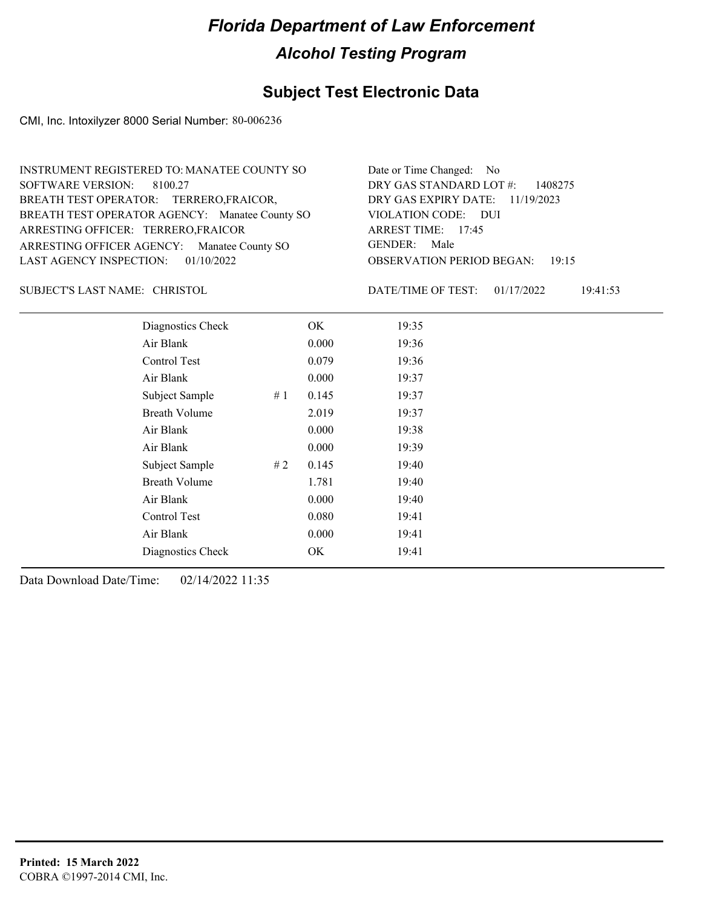### **Subject Test Electronic Data**

CMI, Inc. Intoxilyzer 8000 Serial Number: 80-006236

| INSTRUMENT REGISTERED TO: MANATEE COUNTY SO    | Date or Time Changed: No               |
|------------------------------------------------|----------------------------------------|
| SOFTWARE VERSION: 8100.27                      | DRY GAS STANDARD LOT $\#$ : 1408275    |
| BREATH TEST OPERATOR: TERRERO, FRAICOR,        | DRY GAS EXPIRY DATE: 11/19/2023        |
| BREATH TEST OPERATOR AGENCY: Manatee County SO | VIOLATION CODE: DUI                    |
| ARRESTING OFFICER: TERRERO, FRAICOR            | ARREST TIME: $17:45$                   |
| ARRESTING OFFICER AGENCY: Manatee County SO    | GENDER: Male                           |
| LAST AGENCY INSPECTION: $01/10/2022$           | <b>OBSERVATION PERIOD BEGAN: 19:15</b> |

SUBJECT'S LAST NAME: CHRISTOL **Example 20 SOUGHT ASSESS** DATE/TIME OF TEST:

DATE/TIME OF TEST: 01/17/2022 19:41:53

| Diagnostics Check    |    | OK    | 19:35 |
|----------------------|----|-------|-------|
| Air Blank            |    | 0.000 | 19:36 |
| Control Test         |    | 0.079 | 19:36 |
| Air Blank            |    | 0.000 | 19:37 |
| Subject Sample       | #1 | 0.145 | 19:37 |
| <b>Breath Volume</b> |    | 2.019 | 19:37 |
| Air Blank            |    | 0.000 | 19:38 |
| Air Blank            |    | 0.000 | 19:39 |
| Subject Sample       | #2 | 0.145 | 19:40 |
| <b>Breath Volume</b> |    | 1.781 | 19:40 |
| Air Blank            |    | 0.000 | 19:40 |
| Control Test         |    | 0.080 | 19:41 |
| Air Blank            |    | 0.000 | 19:41 |
| Diagnostics Check    |    | OK    | 19:41 |
|                      |    |       |       |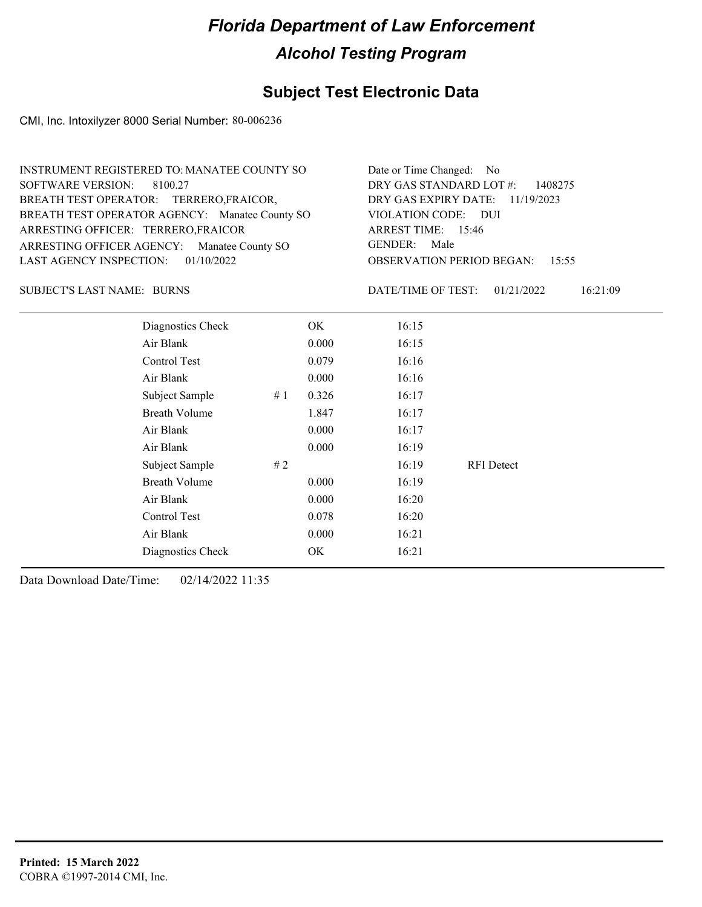### **Subject Test Electronic Data**

CMI, Inc. Intoxilyzer 8000 Serial Number: 80-006236

| INSTRUMENT REGISTERED TO: MANATEE COUNTY SO    | Date or Time Changed: No               |
|------------------------------------------------|----------------------------------------|
| SOFTWARE VERSION: 8100.27                      | DRY GAS STANDARD LOT $\#$ : 1408275    |
| BREATH TEST OPERATOR: TERRERO, FRAICOR,        | DRY GAS EXPIRY DATE: 11/19/2023        |
| BREATH TEST OPERATOR AGENCY: Manatee County SO | VIOLATION CODE: DUI                    |
| ARRESTING OFFICER: TERRERO, FRAICOR            | ARREST TIME: 15:46                     |
| ARRESTING OFFICER AGENCY: Manatee County SO    | GENDER: Male                           |
| LAST AGENCY INSPECTION: $01/10/2022$           | <b>OBSERVATION PERIOD BEGAN: 15:55</b> |

BURNS SUBJECT'S LAST NAME: DATE/TIME OF TEST:

DATE/TIME OF TEST: 01/21/2022 16:21:09

| Diagnostics Check    |    | OK    | 16:15 |                   |  |
|----------------------|----|-------|-------|-------------------|--|
| Air Blank            |    | 0.000 | 16:15 |                   |  |
| Control Test         |    | 0.079 | 16:16 |                   |  |
| Air Blank            |    | 0.000 | 16:16 |                   |  |
| Subject Sample       | #1 | 0.326 | 16:17 |                   |  |
| <b>Breath Volume</b> |    | 1.847 | 16:17 |                   |  |
| Air Blank            |    | 0.000 | 16:17 |                   |  |
| Air Blank            |    | 0.000 | 16:19 |                   |  |
| Subject Sample       | #2 |       | 16:19 | <b>RFI</b> Detect |  |
| <b>Breath Volume</b> |    | 0.000 | 16:19 |                   |  |
| Air Blank            |    | 0.000 | 16:20 |                   |  |
| Control Test         |    | 0.078 | 16:20 |                   |  |
| Air Blank            |    | 0.000 | 16:21 |                   |  |
| Diagnostics Check    |    | OK    | 16:21 |                   |  |
|                      |    |       |       |                   |  |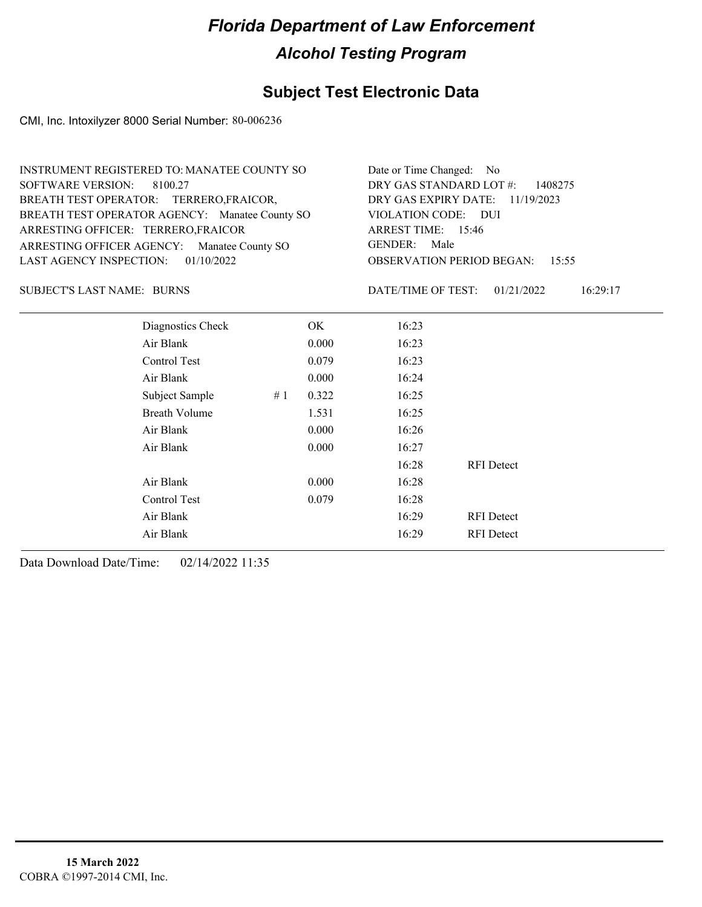### **Subject Test Electronic Data**

CMI, Inc. Intoxilyzer 8000 Serial Number: 80-006236

| INSTRUMENT REGISTERED TO: MANATEE COUNTY SO    | Date or Time Changed: No                  |
|------------------------------------------------|-------------------------------------------|
| SOFTWARE VERSION: 8100.27                      | DRY GAS STANDARD LOT $\#$ : 1408275       |
| BREATH TEST OPERATOR: TERRERO, FRAICOR,        | DRY GAS EXPIRY DATE: $11/19/2023$         |
| BREATH TEST OPERATOR AGENCY: Manatee County SO | VIOLATION CODE: DUI                       |
| ARRESTING OFFICER: TERRERO, FRAICOR            | ARREST TIME: 15:46                        |
| ARRESTING OFFICER AGENCY: Manatee County SO    | GENDER: Male                              |
| LAST AGENCY INSPECTION: $01/10/2022$           | <b>OBSERVATION PERIOD BEGAN: 15:55</b>    |
|                                                |                                           |
| <b>SUBJECT'S LAST NAME: BURNS</b>              | DATE/TIME OF TEST: 01/21/2022<br>16:29:17 |

BURNS SUBJECT'S LAST NAME: DATE/TIME OF TEST:

| Diagnostics Check    |    | OK    | 16:23 |                   |
|----------------------|----|-------|-------|-------------------|
| Air Blank            |    | 0.000 | 16:23 |                   |
| Control Test         |    | 0.079 | 16:23 |                   |
| Air Blank            |    | 0.000 | 16:24 |                   |
| Subject Sample       | #1 | 0.322 | 16:25 |                   |
| <b>Breath Volume</b> |    | 1.531 | 16:25 |                   |
| Air Blank            |    | 0.000 | 16:26 |                   |
| Air Blank            |    | 0.000 | 16:27 |                   |
|                      |    |       | 16:28 | <b>RFI</b> Detect |
| Air Blank            |    | 0.000 | 16:28 |                   |
| Control Test         |    | 0.079 | 16:28 |                   |
| Air Blank            |    |       | 16:29 | <b>RFI</b> Detect |
| Air Blank            |    |       | 16:29 | <b>RFI</b> Detect |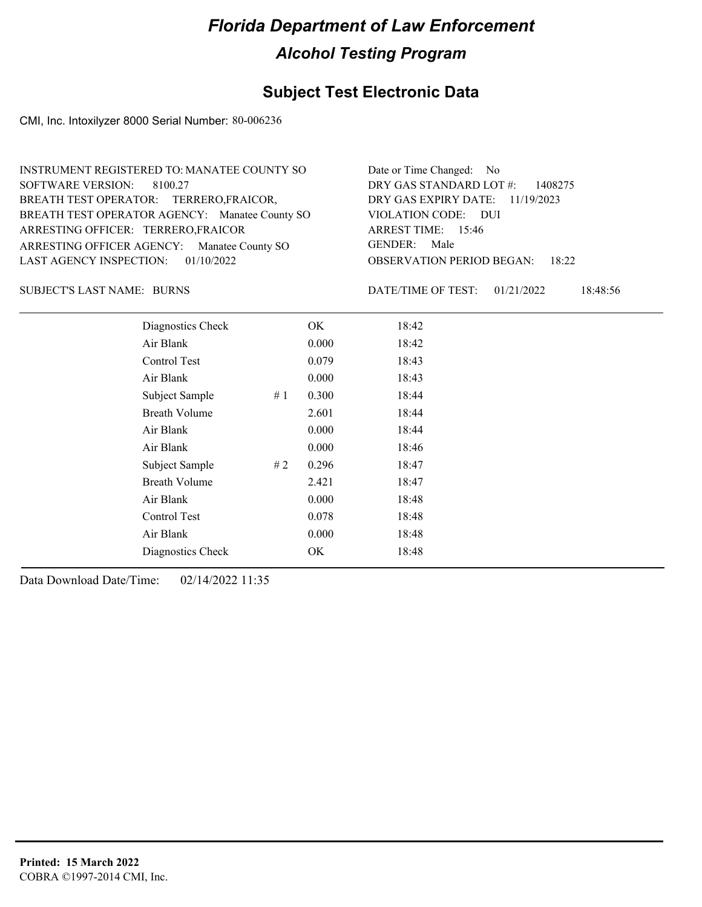### **Subject Test Electronic Data**

CMI, Inc. Intoxilyzer 8000 Serial Number: 80-006236

| INSTRUMENT REGISTERED TO: MANATEE COUNTY SO    | Date or Time Changed: No               |
|------------------------------------------------|----------------------------------------|
| SOFTWARE VERSION: 8100.27                      | DRY GAS STANDARD LOT $\#$ : 1408275    |
| BREATH TEST OPERATOR: TERRERO, FRAICOR,        | DRY GAS EXPIRY DATE: 11/19/2023        |
| BREATH TEST OPERATOR AGENCY: Manatee County SO | VIOLATION CODE: DUI                    |
| ARRESTING OFFICER: TERRERO, FRAICOR            | ARREST TIME: 15:46                     |
| ARRESTING OFFICER AGENCY: Manatee County SO    | GENDER: Male                           |
| LAST AGENCY INSPECTION: 01/10/2022             | <b>OBSERVATION PERIOD BEGAN: 18:22</b> |

BURNS SUBJECT'S LAST NAME: DATE/TIME OF TEST:

DATE/TIME OF TEST: 01/21/2022 18:48:56

| Diagnostics Check    |    | OK    | 18:42 |  |
|----------------------|----|-------|-------|--|
| Air Blank            |    | 0.000 | 18:42 |  |
| Control Test         |    | 0.079 | 18:43 |  |
| Air Blank            |    | 0.000 | 18:43 |  |
| Subject Sample       | #1 | 0.300 | 18:44 |  |
| <b>Breath Volume</b> |    | 2.601 | 18:44 |  |
| Air Blank            |    | 0.000 | 18:44 |  |
| Air Blank            |    | 0.000 | 18:46 |  |
| Subject Sample       | #2 | 0.296 | 18:47 |  |
| <b>Breath Volume</b> |    | 2.421 | 18:47 |  |
| Air Blank            |    | 0.000 | 18:48 |  |
| Control Test         |    | 0.078 | 18:48 |  |
| Air Blank            |    | 0.000 | 18:48 |  |
| Diagnostics Check    |    | OK    | 18:48 |  |
|                      |    |       |       |  |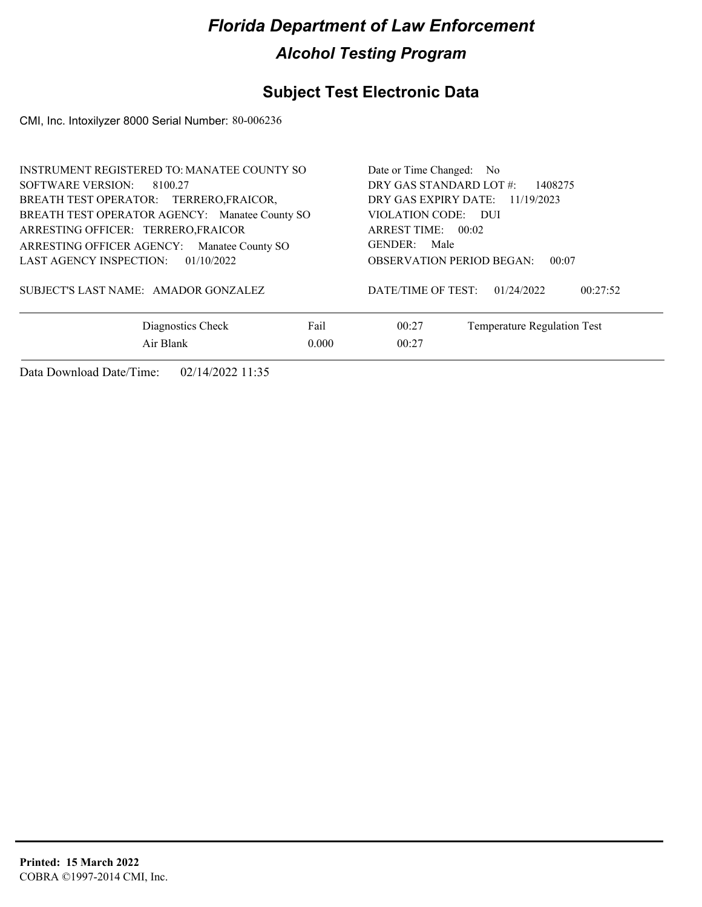### **Subject Test Electronic Data**

CMI, Inc. Intoxilyzer 8000 Serial Number: 80-006236

| INSTRUMENT REGISTERED TO: MANATEE COUNTY SO    | Date or Time Changed: No                     |
|------------------------------------------------|----------------------------------------------|
| SOFTWARE VERSION: 8100.27                      | DRY GAS STANDARD LOT #:<br>1408275           |
| BREATH TEST OPERATOR: TERRERO, FRAICOR,        | DRY GAS EXPIRY DATE: 11/19/2023              |
| BREATH TEST OPERATOR AGENCY: Manatee County SO | VIOLATION CODE: DUI                          |
| ARRESTING OFFICER: TERRERO, FRAICOR            | ARREST TIME: $00:02$                         |
| ARRESTING OFFICER AGENCY: Manatee County SO    | GENDER: Male                                 |
| LAST AGENCY INSPECTION:<br>01/10/2022          | <b>OBSERVATION PERIOD BEGAN:</b><br>00:07    |
| SUBJECT'S LAST NAME: AMADOR GONZALEZ           | DATE/TIME OF TEST:<br>01/24/2022<br>00:27:52 |
| Fail<br>Diagnostics Check                      | Temperature Regulation Test<br>00:27         |
| Air Blank<br>0.000                             | 00:27                                        |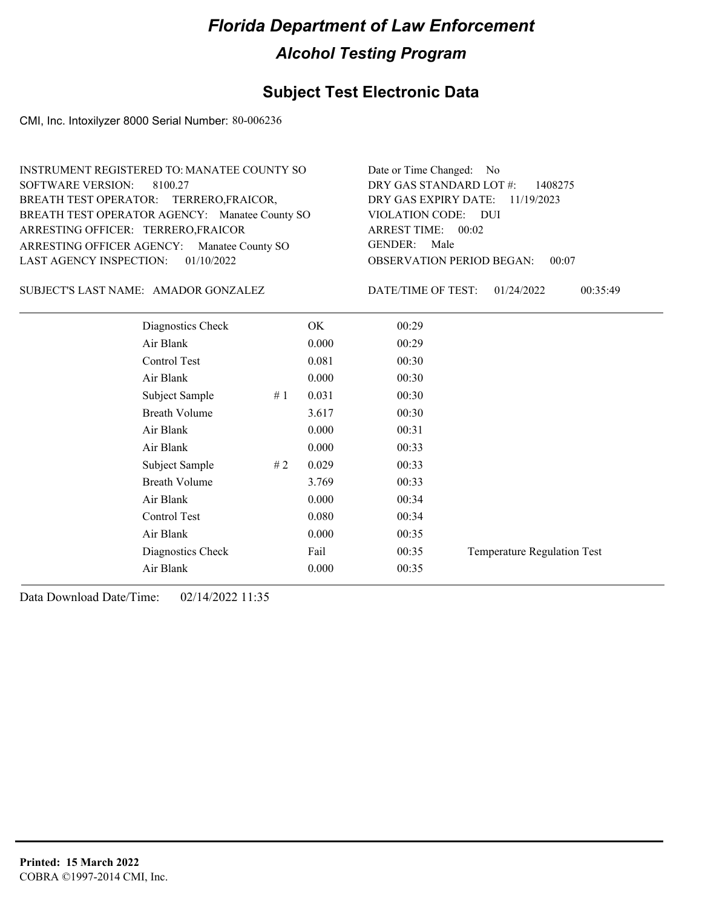### **Subject Test Electronic Data**

CMI, Inc. Intoxilyzer 8000 Serial Number: 80-006236

| INSTRUMENT REGISTERED TO: MANATEE COUNTY SO    | Date or Time Changed: No               |
|------------------------------------------------|----------------------------------------|
| SOFTWARE VERSION: 8100.27                      | DRY GAS STANDARD LOT $\#$ : 1408275    |
| BREATH TEST OPERATOR: TERRERO, FRAICOR,        | DRY GAS EXPIRY DATE: 11/19/2023        |
| BREATH TEST OPERATOR AGENCY: Manatee County SO | VIOLATION CODE: DUI                    |
| ARRESTING OFFICER: TERRERO, FRAICOR            | ARREST TIME: 00:02                     |
| ARRESTING OFFICER AGENCY: Manatee County SO    | GENDER: Male                           |
| LAST AGENCY INSPECTION: $01/10/2022$           | <b>OBSERVATION PERIOD BEGAN: 00:07</b> |

#### SUBJECT'S LAST NAME: AMADOR GONZALEZ DATE/TIME OF TEST:

DATE/TIME OF TEST: 01/24/2022 00:35:49

| Diagnostics Check     | OK    | 00:29 |                             |
|-----------------------|-------|-------|-----------------------------|
| Air Blank             | 0.000 | 00:29 |                             |
| Control Test          | 0.081 | 00:30 |                             |
| Air Blank             | 0.000 | 00:30 |                             |
| Subject Sample<br>#1  | 0.031 | 00:30 |                             |
| <b>Breath Volume</b>  | 3.617 | 00:30 |                             |
| Air Blank             | 0.000 | 00:31 |                             |
| Air Blank             | 0.000 | 00:33 |                             |
| Subject Sample<br># 2 | 0.029 | 00:33 |                             |
| <b>Breath Volume</b>  | 3.769 | 00:33 |                             |
| Air Blank             | 0.000 | 00:34 |                             |
| Control Test          | 0.080 | 00:34 |                             |
| Air Blank             | 0.000 | 00:35 |                             |
| Diagnostics Check     | Fail  | 00:35 | Temperature Regulation Test |
| Air Blank             | 0.000 | 00:35 |                             |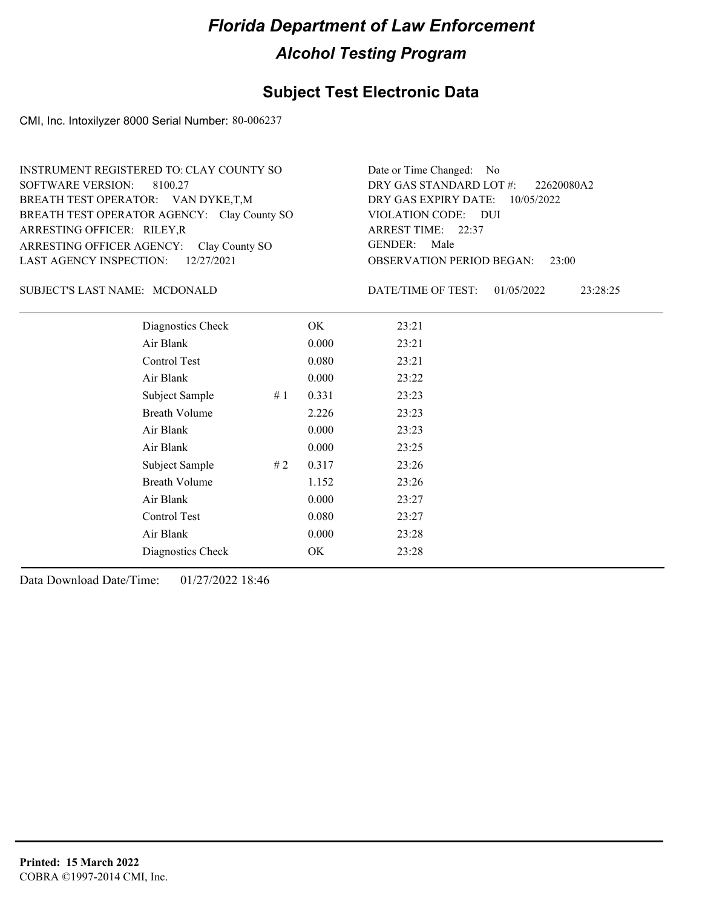#### **Subject Test Electronic Data**

CMI, Inc. Intoxilyzer 8000 Serial Number: 80-006237

ARRESTING OFFICER AGENCY: GENDER: Clay County SO BREATH TEST OPERATOR AGENCY: Clay County SO VIOLATION CODE: SOFTWARE VERSION: 8100.27 ARRESTING OFFICER: RILEY,R BREATH TEST OPERATOR: VAN DYKE,T,M LAST AGENCY INSPECTION: 12/27/2021 INSTRUMENT REGISTERED TO: CLAY COUNTY SO

OBSERVATION PERIOD BEGAN: 23:00 VIOLATION CODE: DUI ARREST TIME: 22:37 DRY GAS EXPIRY DATE: 10/05/2022 22620080A2 DRY GAS STANDARD LOT #: Date or Time Changed: No GENDER: Male

#### SUBJECT'S LAST NAME: MCDONALD DATE/TIME OF TEST:

DATE/TIME OF TEST: 01/05/2022 23:28:25

| Diagnostics Check    |    | OK    | 23:21 |
|----------------------|----|-------|-------|
| Air Blank            |    | 0.000 | 23:21 |
| Control Test         |    | 0.080 | 23:21 |
| Air Blank            |    | 0.000 | 23:22 |
| Subject Sample       | #1 | 0.331 | 23:23 |
| <b>Breath Volume</b> |    | 2.226 | 23:23 |
| Air Blank            |    | 0.000 | 23:23 |
| Air Blank            |    | 0.000 | 23:25 |
| Subject Sample       | #2 | 0.317 | 23:26 |
| <b>Breath Volume</b> |    | 1.152 | 23:26 |
| Air Blank            |    | 0.000 | 23:27 |
| Control Test         |    | 0.080 | 23:27 |
| Air Blank            |    | 0.000 | 23:28 |
| Diagnostics Check    |    | OK    | 23:28 |
|                      |    |       |       |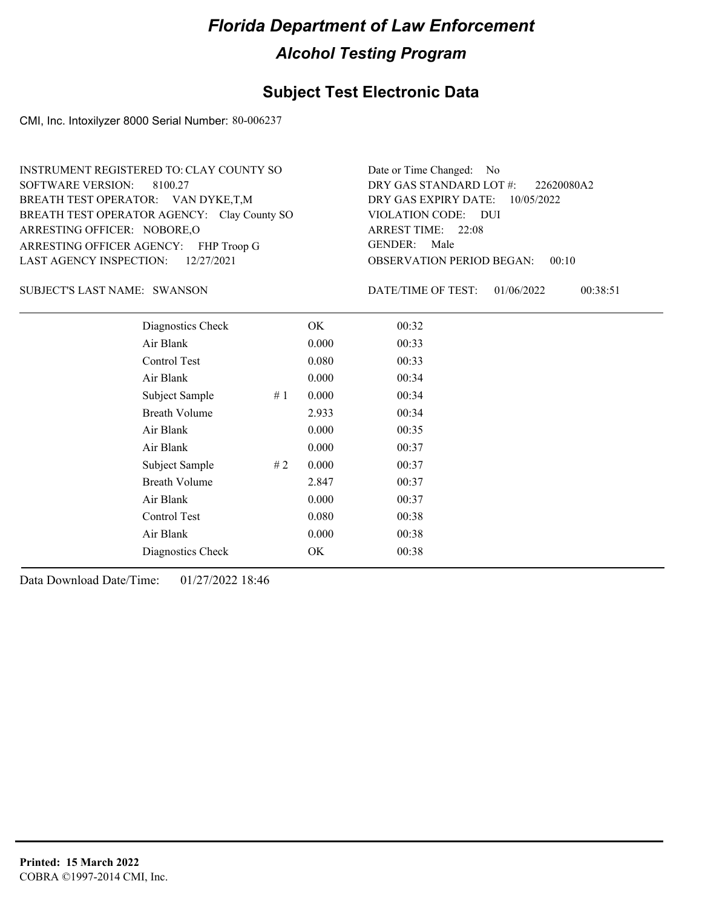#### **Subject Test Electronic Data**

CMI, Inc. Intoxilyzer 8000 Serial Number: 80-006237

ARRESTING OFFICER AGENCY: FHP Troop G GENDER: BREATH TEST OPERATOR AGENCY: Clay County SO VIOLATION CODE: SOFTWARE VERSION: 8100.27 ARRESTING OFFICER: NOBORE,O BREATH TEST OPERATOR: VAN DYKE,T,M LAST AGENCY INSPECTION: 12/27/2021 INSTRUMENT REGISTERED TO: CLAY COUNTY SO

OBSERVATION PERIOD BEGAN: 00:10 VIOLATION CODE: DUI ARREST TIME: 22:08 DRY GAS EXPIRY DATE: 10/05/2022 22620080A2 DRY GAS STANDARD LOT #: Date or Time Changed: No GENDER: Male

SUBJECT'S LAST NAME: SWANSON DATE/TIME OF TEST:

DATE/TIME OF TEST: 01/06/2022 00:38:51

| Diagnostics Check    |    | OK.   | 00:32 |
|----------------------|----|-------|-------|
| Air Blank            |    | 0.000 | 00:33 |
| Control Test         |    | 0.080 | 00:33 |
| Air Blank            |    | 0.000 | 00:34 |
| Subject Sample       | #1 | 0.000 | 00:34 |
| <b>Breath Volume</b> |    | 2.933 | 00:34 |
| Air Blank            |    | 0.000 | 00:35 |
| Air Blank            |    | 0.000 | 00:37 |
| Subject Sample       | #2 | 0.000 | 00:37 |
| <b>Breath Volume</b> |    | 2.847 | 00:37 |
| Air Blank            |    | 0.000 | 00:37 |
| Control Test         |    | 0.080 | 00:38 |
| Air Blank            |    | 0.000 | 00:38 |
| Diagnostics Check    |    | OK    | 00:38 |
|                      |    |       |       |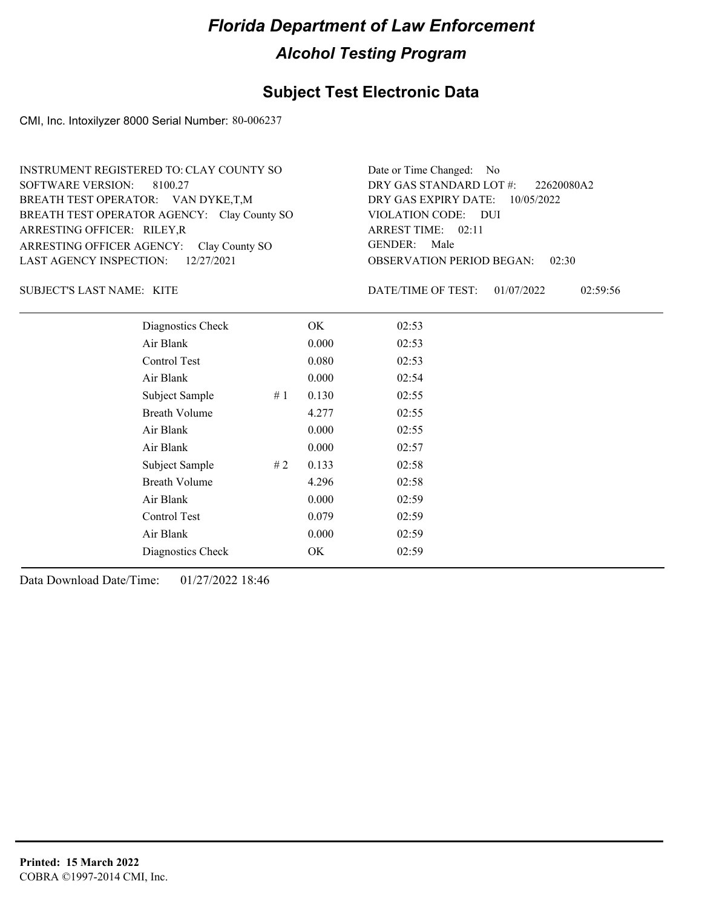### **Subject Test Electronic Data**

CMI, Inc. Intoxilyzer 8000 Serial Number: 80-006237

| INSTRUMENT REGISTERED TO: CLAY COUNTY SO    | Date or Time Changed: No               |
|---------------------------------------------|----------------------------------------|
| SOFTWARE VERSION: 8100.27                   | DRY GAS STANDARD LOT #: 22620080A2     |
| BREATH TEST OPERATOR: VAN DYKE,T,M          | DRY GAS EXPIRY DATE: $10/05/2022$      |
| BREATH TEST OPERATOR AGENCY: Clay County SO | VIOLATION CODE: DUI                    |
| ARRESTING OFFICER: RILEY, R                 | ARREST TIME: 02:11                     |
| ARRESTING OFFICER AGENCY: Clay County SO    | GENDER: Male                           |
| LAST AGENCY INSPECTION: 12/27/2021          | <b>OBSERVATION PERIOD BEGAN: 02:30</b> |

SUBJECT'S LAST NAME: KITE **Example 2018** DATE/TIME OF TEST:

DATE/TIME OF TEST: 01/07/2022 02:59:56

| Diagnostics Check    | OK    | 02:53 |
|----------------------|-------|-------|
| Air Blank            | 0.000 | 02:53 |
| Control Test         | 0.080 | 02:53 |
| Air Blank            | 0.000 | 02:54 |
| Subject Sample<br>#1 | 0.130 | 02:55 |
| <b>Breath Volume</b> | 4.277 | 02:55 |
| Air Blank            | 0.000 | 02:55 |
| Air Blank            | 0.000 | 02:57 |
| Subject Sample<br>#2 | 0.133 | 02:58 |
| <b>Breath Volume</b> | 4.296 | 02:58 |
| Air Blank            | 0.000 | 02:59 |
| Control Test         | 0.079 | 02:59 |
| Air Blank            | 0.000 | 02:59 |
| Diagnostics Check    | OK    | 02:59 |
|                      |       |       |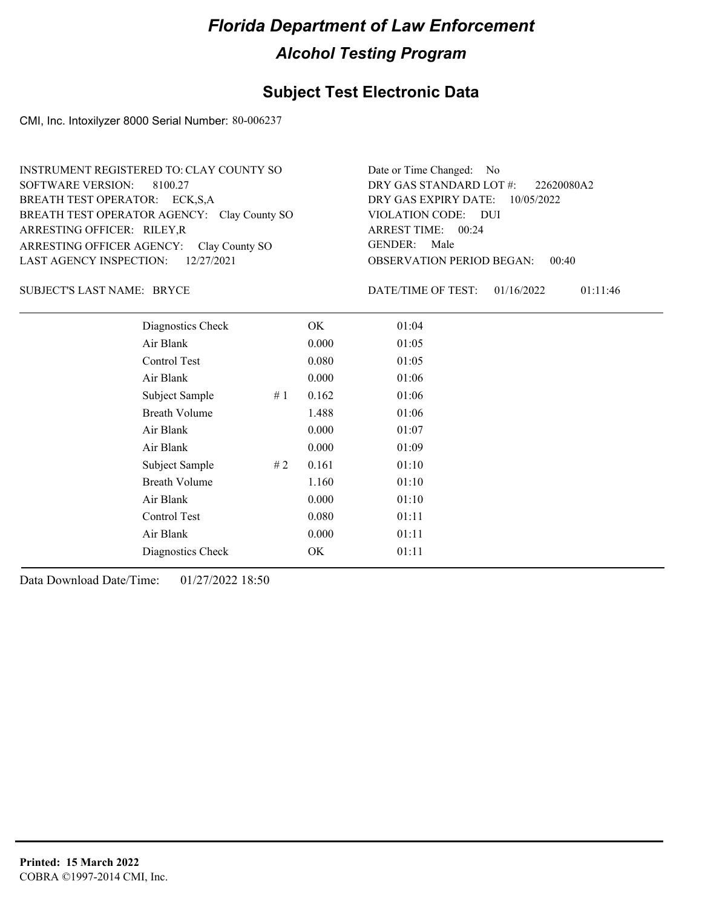#### **Subject Test Electronic Data**

CMI, Inc. Intoxilyzer 8000 Serial Number: 80-006237

ARRESTING OFFICER AGENCY: GENDER: Clay County SO BREATH TEST OPERATOR AGENCY: Clay County SO VIOLATION CODE: SOFTWARE VERSION: ARRESTING OFFICER: RILEY,R BREATH TEST OPERATOR: ECK,S,A LAST AGENCY INSPECTION: 12/27/2021 8100.27 INSTRUMENT REGISTERED TO: CLAY COUNTY SO

OBSERVATION PERIOD BEGAN: 00:40 VIOLATION CODE: DUI ARREST TIME: 00:24 DRY GAS EXPIRY DATE: 10/05/2022 22620080A2 DRY GAS STANDARD LOT #: Date or Time Changed: No GENDER: Male

SUBJECT'S LAST NAME: BRYCE DATE/TIME OF TEST:

DATE/TIME OF TEST: 01/16/2022 01:11:46

| Diagnostics Check    |    | OK    | 01:04 |
|----------------------|----|-------|-------|
| Air Blank            |    | 0.000 | 01:05 |
| Control Test         |    | 0.080 | 01:05 |
| Air Blank            |    | 0.000 | 01:06 |
| Subject Sample       | #1 | 0.162 | 01:06 |
| <b>Breath Volume</b> |    | 1.488 | 01:06 |
| Air Blank            |    | 0.000 | 01:07 |
| Air Blank            |    | 0.000 | 01:09 |
| Subject Sample       | #2 | 0.161 | 01:10 |
| <b>Breath Volume</b> |    | 1.160 | 01:10 |
| Air Blank            |    | 0.000 | 01:10 |
| Control Test         |    | 0.080 | 01:11 |
| Air Blank            |    | 0.000 | 01:11 |
| Diagnostics Check    |    | OK    | 01:11 |
|                      |    |       |       |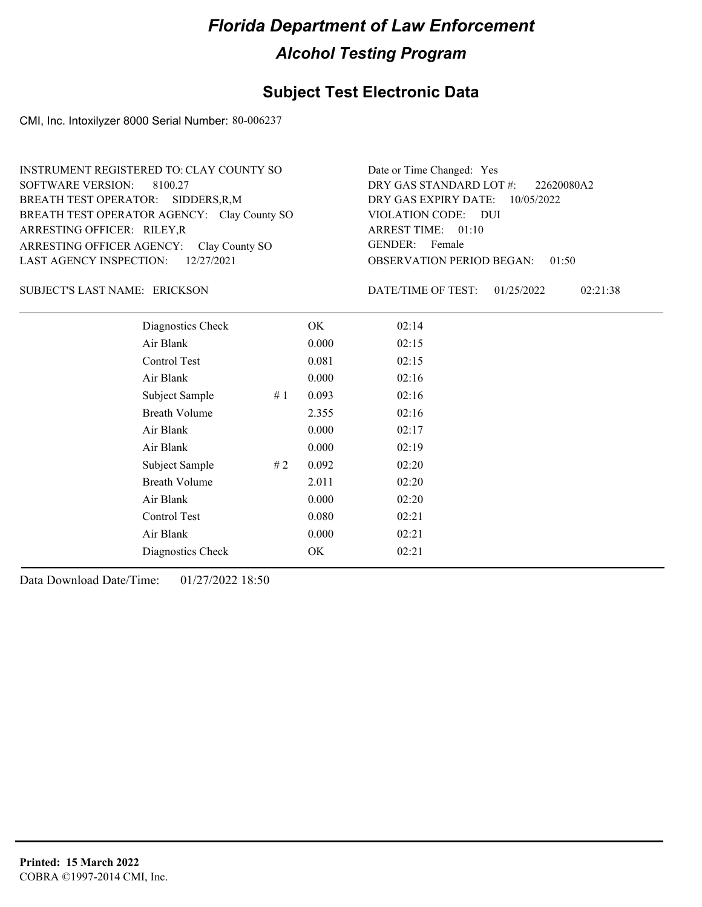#### **Subject Test Electronic Data**

CMI, Inc. Intoxilyzer 8000 Serial Number: 80-006237

ARRESTING OFFICER AGENCY: GENDER: Clay County SO BREATH TEST OPERATOR AGENCY: Clay County SO VIOLATION CODE: SOFTWARE VERSION: 8100.27 ARRESTING OFFICER: RILEY,R SIDDERS,R,M BREATH TEST OPERATOR: LAST AGENCY INSPECTION: 12/27/2021 INSTRUMENT REGISTERED TO: CLAY COUNTY SO

OBSERVATION PERIOD BEGAN: 01:50 VIOLATION CODE: DUI ARREST TIME: 01:10 DRY GAS EXPIRY DATE: 10/05/2022 22620080A2 DRY GAS STANDARD LOT #: Date or Time Changed: Yes GENDER: Female

#### ERICKSON SUBJECT'S LAST NAME: DATE/TIME OF TEST:

DATE/TIME OF TEST: 01/25/2022 02:21:38

| Diagnostics Check    |    | OK    | 02:14 |
|----------------------|----|-------|-------|
| Air Blank            |    | 0.000 | 02:15 |
| Control Test         |    | 0.081 | 02:15 |
| Air Blank            |    | 0.000 | 02:16 |
| Subject Sample       | #1 | 0.093 | 02:16 |
| <b>Breath Volume</b> |    | 2.355 | 02:16 |
| Air Blank            |    | 0.000 | 02:17 |
| Air Blank            |    | 0.000 | 02:19 |
| Subject Sample       | #2 | 0.092 | 02:20 |
| <b>Breath Volume</b> |    | 2.011 | 02:20 |
| Air Blank            |    | 0.000 | 02:20 |
| Control Test         |    | 0.080 | 02:21 |
| Air Blank            |    | 0.000 | 02:21 |
| Diagnostics Check    |    | OK    | 02:21 |
|                      |    |       |       |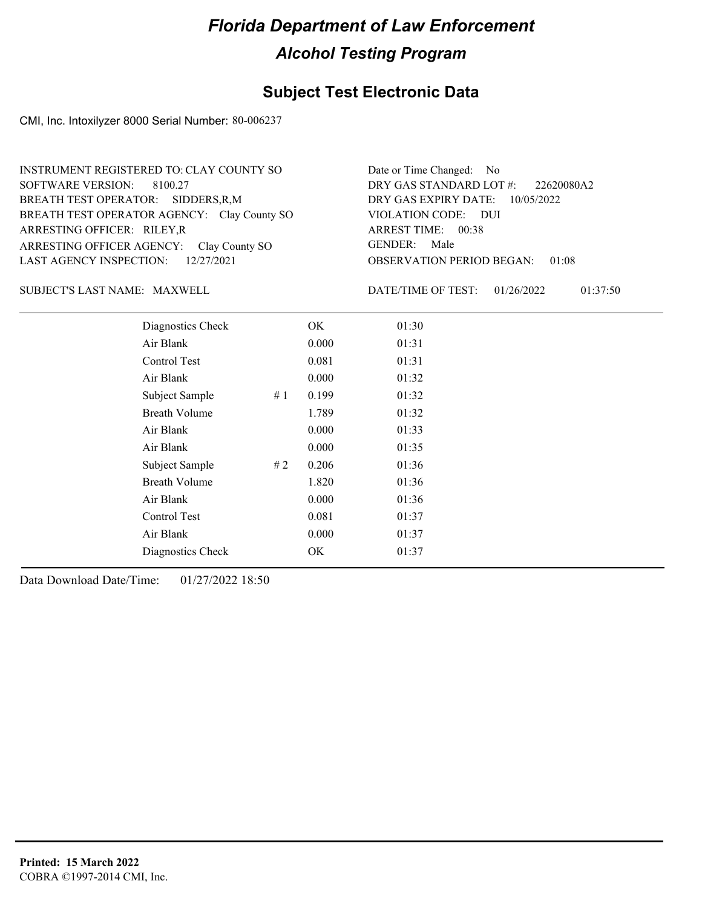#### **Subject Test Electronic Data**

CMI, Inc. Intoxilyzer 8000 Serial Number: 80-006237

ARRESTING OFFICER AGENCY: GENDER: Clay County SO BREATH TEST OPERATOR AGENCY: Clay County SO VIOLATION CODE: SOFTWARE VERSION: 8100.27 ARRESTING OFFICER: RILEY,R SIDDERS,R,M BREATH TEST OPERATOR: LAST AGENCY INSPECTION: 12/27/2021 INSTRUMENT REGISTERED TO: CLAY COUNTY SO

OBSERVATION PERIOD BEGAN: 01:08 VIOLATION CODE: DUI ARREST TIME: 00:38 DRY GAS EXPIRY DATE: 10/05/2022 22620080A2 DRY GAS STANDARD LOT #: Date or Time Changed: No GENDER: Male

SUBJECT'S LAST NAME: MAXWELL DATE/TIME OF TEST:

DATE/TIME OF TEST: 01/26/2022 01:37:50

| Diagnostics Check    |    | OK    | 01:30 |
|----------------------|----|-------|-------|
| Air Blank            |    | 0.000 | 01:31 |
| Control Test         |    | 0.081 | 01:31 |
| Air Blank            |    | 0.000 | 01:32 |
| Subject Sample       | #1 | 0.199 | 01:32 |
| <b>Breath Volume</b> |    | 1.789 | 01:32 |
| Air Blank            |    | 0.000 | 01:33 |
| Air Blank            |    | 0.000 | 01:35 |
| Subject Sample       | #2 | 0.206 | 01:36 |
| <b>Breath Volume</b> |    | 1.820 | 01:36 |
| Air Blank            |    | 0.000 | 01:36 |
| Control Test         |    | 0.081 | 01:37 |
| Air Blank            |    | 0.000 | 01:37 |
| Diagnostics Check    |    | OK    | 01:37 |
|                      |    |       |       |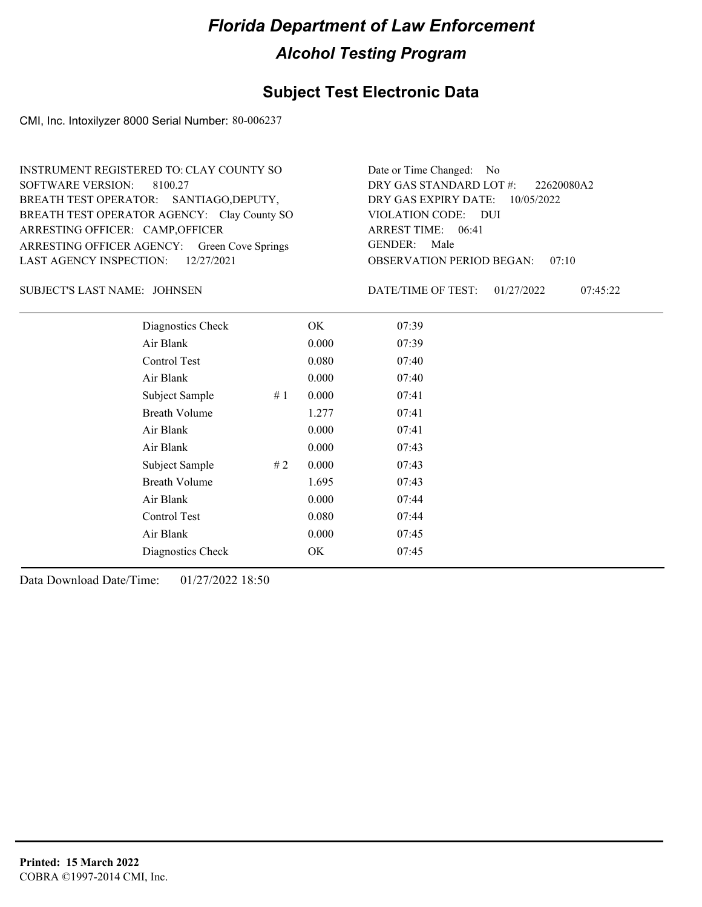#### **Subject Test Electronic Data**

CMI, Inc. Intoxilyzer 8000 Serial Number: 80-006237

ARRESTING OFFICER AGENCY: Green Cove Springs GENDER: BREATH TEST OPERATOR AGENCY: Clay County SO VIOLATION CODE: SOFTWARE VERSION: 8100.27 ARRESTING OFFICER: CAMP, OFFICER BREATH TEST OPERATOR: SANTIAGO,DEPUTY, LAST AGENCY INSPECTION: 12/27/2021 INSTRUMENT REGISTERED TO: CLAY COUNTY SO

OBSERVATION PERIOD BEGAN: 07:10 VIOLATION CODE: DUI 06:41 ARREST TIME: DRY GAS EXPIRY DATE: 10/05/2022 22620080A2 DRY GAS STANDARD LOT #: Date or Time Changed: No GENDER: Male

JOHNSEN SUBJECT'S LAST NAME: DATE/TIME OF TEST:

DATE/TIME OF TEST: 01/27/2022 07:45:22

| Diagnostics Check    |    | OK    | 07:39 |
|----------------------|----|-------|-------|
| Air Blank            |    | 0.000 | 07:39 |
| Control Test         |    | 0.080 | 07:40 |
| Air Blank            |    | 0.000 | 07:40 |
| Subject Sample       | #1 | 0.000 | 07:41 |
| <b>Breath Volume</b> |    | 1.277 | 07:41 |
| Air Blank            |    | 0.000 | 07:41 |
| Air Blank            |    | 0.000 | 07:43 |
| Subject Sample       | #2 | 0.000 | 07:43 |
| <b>Breath Volume</b> |    | 1.695 | 07:43 |
| Air Blank            |    | 0.000 | 07:44 |
| Control Test         |    | 0.080 | 07:44 |
| Air Blank            |    | 0.000 | 07:45 |
| Diagnostics Check    |    | OK    | 07:45 |
|                      |    |       |       |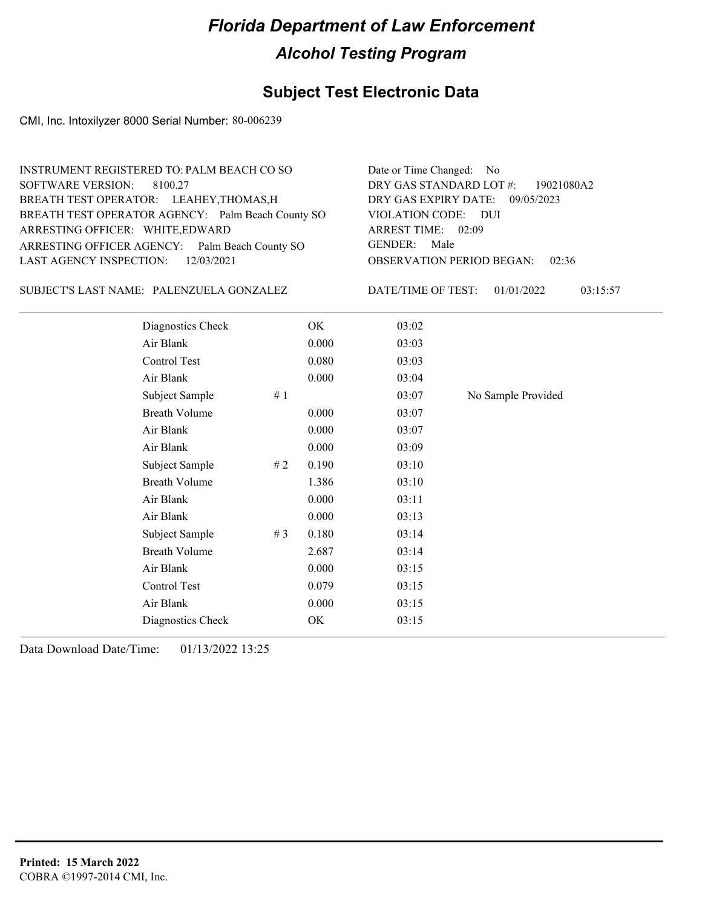### **Subject Test Electronic Data**

CMI, Inc. Intoxilyzer 8000 Serial Number: 80-006239

| INSTRUMENT REGISTERED TO: PALM BEACH CO SO        | Date or Time Changed: No               |
|---------------------------------------------------|----------------------------------------|
| SOFTWARE VERSION: 8100.27                         | DRY GAS STANDARD LOT #: 19021080A2     |
| BREATH TEST OPERATOR: LEAHEY, THOMAS, H           | DRY GAS EXPIRY DATE: 09/05/2023        |
| BREATH TEST OPERATOR AGENCY: Palm Beach County SO | VIOLATION CODE: DUI                    |
| ARRESTING OFFICER: WHITE, EDWARD                  | ARREST TIME: 02:09                     |
| ARRESTING OFFICER AGENCY: Palm Beach County SO    | GENDER: Male                           |
| LAST AGENCY INSPECTION: 12/03/2021                | <b>OBSERVATION PERIOD BEGAN: 02:36</b> |
|                                                   |                                        |

SUBJECT'S LAST NAME: PALENZUELA GONZALEZ DATE/TIME OF TEST:

DATE/TIME OF TEST: 01/01/2022 03:15:57

| Diagnostics Check    |       | OK    | 03:02 |                    |
|----------------------|-------|-------|-------|--------------------|
| Air Blank            |       | 0.000 | 03:03 |                    |
| Control Test         |       | 0.080 | 03:03 |                    |
| Air Blank            |       | 0.000 | 03:04 |                    |
| Subject Sample       | #1    |       | 03:07 | No Sample Provided |
| <b>Breath Volume</b> |       | 0.000 | 03:07 |                    |
| Air Blank            |       | 0.000 | 03:07 |                    |
| Air Blank            |       | 0.000 | 03:09 |                    |
| Subject Sample       | # 2   | 0.190 | 03:10 |                    |
| <b>Breath Volume</b> |       | 1.386 | 03:10 |                    |
| Air Blank            |       | 0.000 | 03:11 |                    |
| Air Blank            |       | 0.000 | 03:13 |                    |
| Subject Sample       | # $3$ | 0.180 | 03:14 |                    |
| <b>Breath Volume</b> |       | 2.687 | 03:14 |                    |
| Air Blank            |       | 0.000 | 03:15 |                    |
| Control Test         |       | 0.079 | 03:15 |                    |
| Air Blank            |       | 0.000 | 03:15 |                    |
| Diagnostics Check    |       | OK    | 03:15 |                    |
|                      |       |       |       |                    |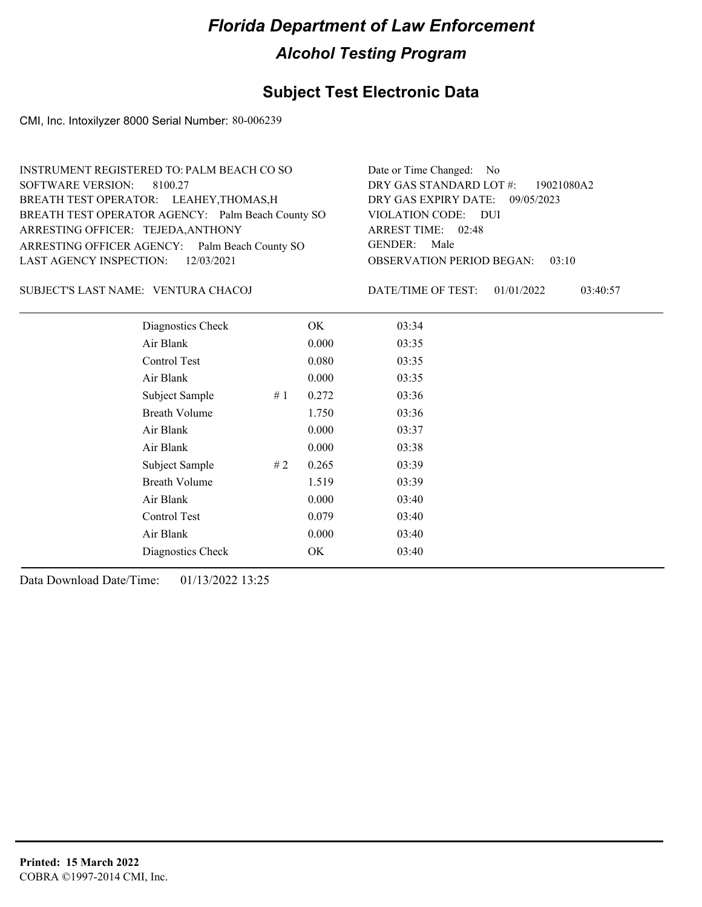### **Subject Test Electronic Data**

CMI, Inc. Intoxilyzer 8000 Serial Number: 80-006239

| INSTRUMENT REGISTERED TO: PALM BEACH CO SO        | Date or Time Changed: No               |
|---------------------------------------------------|----------------------------------------|
| SOFTWARE VERSION: 8100.27                         | DRY GAS STANDARD LOT #: 19021080A2     |
| BREATH TEST OPERATOR: LEAHEY, THOMAS, H           | DRY GAS EXPIRY DATE: 09/05/2023        |
| BREATH TEST OPERATOR AGENCY: Palm Beach County SO | VIOLATION CODE: DUI                    |
| ARRESTING OFFICER: TEJEDA, ANTHONY                | ARREST TIME: 02:48                     |
| ARRESTING OFFICER AGENCY: Palm Beach County SO    | GENDER: Male                           |
| LAST AGENCY INSPECTION: 12/03/2021                | <b>OBSERVATION PERIOD BEGAN: 03:10</b> |
|                                                   |                                        |

#### VENTURA CHACOJ SUBJECT'S LAST NAME: DATE/TIME OF TEST:

DATE/TIME OF TEST: 01/01/2022 03:40:57

| Diagnostics Check    |    | OK    | 03:34 |
|----------------------|----|-------|-------|
| Air Blank            |    | 0.000 | 03:35 |
| Control Test         |    | 0.080 | 03:35 |
| Air Blank            |    | 0.000 | 03:35 |
| Subject Sample       | #1 | 0.272 | 03:36 |
| <b>Breath Volume</b> |    | 1.750 | 03:36 |
| Air Blank            |    | 0.000 | 03:37 |
| Air Blank            |    | 0.000 | 03:38 |
| Subject Sample       | #2 | 0.265 | 03:39 |
| <b>Breath Volume</b> |    | 1.519 | 03:39 |
| Air Blank            |    | 0.000 | 03:40 |
| Control Test         |    | 0.079 | 03:40 |
| Air Blank            |    | 0.000 | 03:40 |
| Diagnostics Check    |    | OK    | 03:40 |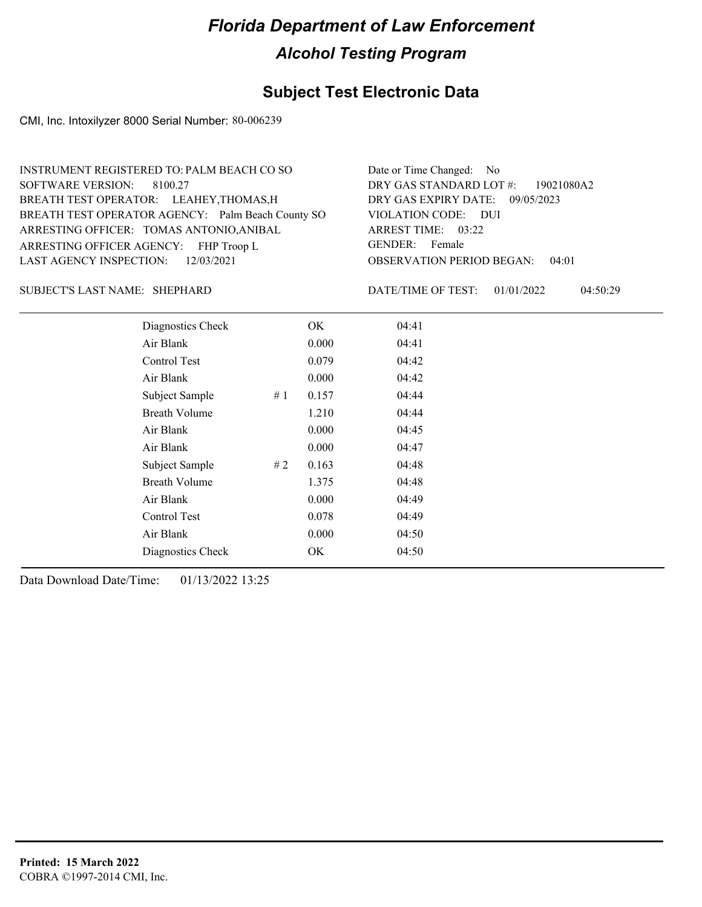### **Subject Test Electronic Data**

CMI, Inc. Intoxilyzer 8000 Serial Number: 80-006239

| INSTRUMENT REGISTERED TO: PALM BEACH CO SO        | Date or Time Changed: No               |
|---------------------------------------------------|----------------------------------------|
| SOFTWARE VERSION: 8100.27                         | DRY GAS STANDARD LOT #: 19021080A2     |
| BREATH TEST OPERATOR: LEAHEY, THOMAS, H           | DRY GAS EXPIRY DATE: 09/05/2023        |
| BREATH TEST OPERATOR AGENCY: Palm Beach County SO | VIOLATION CODE: DUI                    |
| ARRESTING OFFICER: TOMAS ANTONIO, ANIBAL          | ARREST TIME: 03:22                     |
| ARRESTING OFFICER AGENCY: FHP Troop L             | GENDER: Female                         |
| LAST AGENCY INSPECTION: $12/03/2021$              | <b>OBSERVATION PERIOD BEGAN: 04:01</b> |

#### SHEPHARD SUBJECT'S LAST NAME: DATE/TIME OF TEST:

DATE/TIME OF TEST: 01/01/2022 04:50:29

| Diagnostics Check    |     | OK    | 04:41 |
|----------------------|-----|-------|-------|
| Air Blank            |     | 0.000 | 04:41 |
| Control Test         |     | 0.079 | 04:42 |
| Air Blank            |     | 0.000 | 04:42 |
| Subject Sample       | #1  | 0.157 | 04:44 |
| <b>Breath Volume</b> |     | 1.210 | 04:44 |
| Air Blank            |     | 0.000 | 04:45 |
| Air Blank            |     | 0.000 | 04:47 |
| Subject Sample       | # 2 | 0.163 | 04:48 |
| <b>Breath Volume</b> |     | 1.375 | 04:48 |
| Air Blank            |     | 0.000 | 04:49 |
| Control Test         |     | 0.078 | 04:49 |
| Air Blank            |     | 0.000 | 04:50 |
| Diagnostics Check    |     | OK    | 04:50 |
|                      |     |       |       |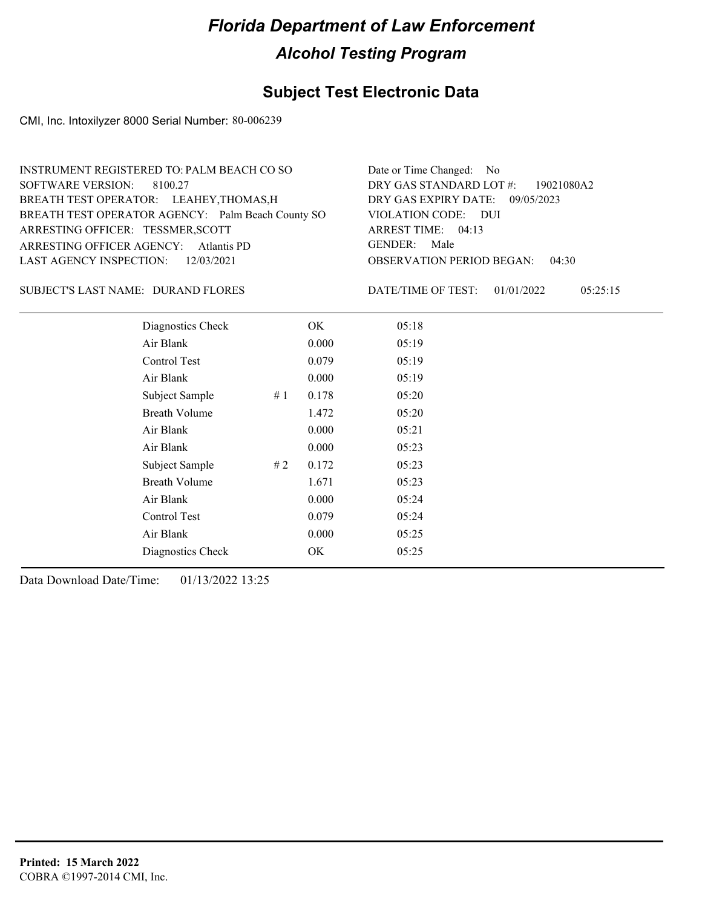### **Subject Test Electronic Data**

CMI, Inc. Intoxilyzer 8000 Serial Number: 80-006239

| Date or Time Changed: No               |
|----------------------------------------|
| DRY GAS STANDARD LOT $\#$ : 19021080A2 |
| DRY GAS EXPIRY DATE: 09/05/2023        |
| VIOLATION CODE: DUI                    |
| ARREST TIME: 04:13                     |
| GENDER: Male                           |
| <b>OBSERVATION PERIOD BEGAN: 04:30</b> |
|                                        |

#### SUBJECT'S LAST NAME: DURAND FLORES DATE/TIME OF TEST:

DATE/TIME OF TEST: 01/01/2022 05:25:15

| Diagnostics Check    |    | OK    | 05:18 |
|----------------------|----|-------|-------|
| Air Blank            |    | 0.000 | 05:19 |
| Control Test         |    | 0.079 | 05:19 |
| Air Blank            |    | 0.000 | 05:19 |
| Subject Sample       | #1 | 0.178 | 05:20 |
| <b>Breath Volume</b> |    | 1.472 | 05:20 |
| Air Blank            |    | 0.000 | 05:21 |
| Air Blank            |    | 0.000 | 05:23 |
| Subject Sample       | #2 | 0.172 | 05:23 |
| <b>Breath Volume</b> |    | 1.671 | 05:23 |
| Air Blank            |    | 0.000 | 05:24 |
| Control Test         |    | 0.079 | 05:24 |
| Air Blank            |    | 0.000 | 05:25 |
| Diagnostics Check    |    | ОK    | 05:25 |
|                      |    |       |       |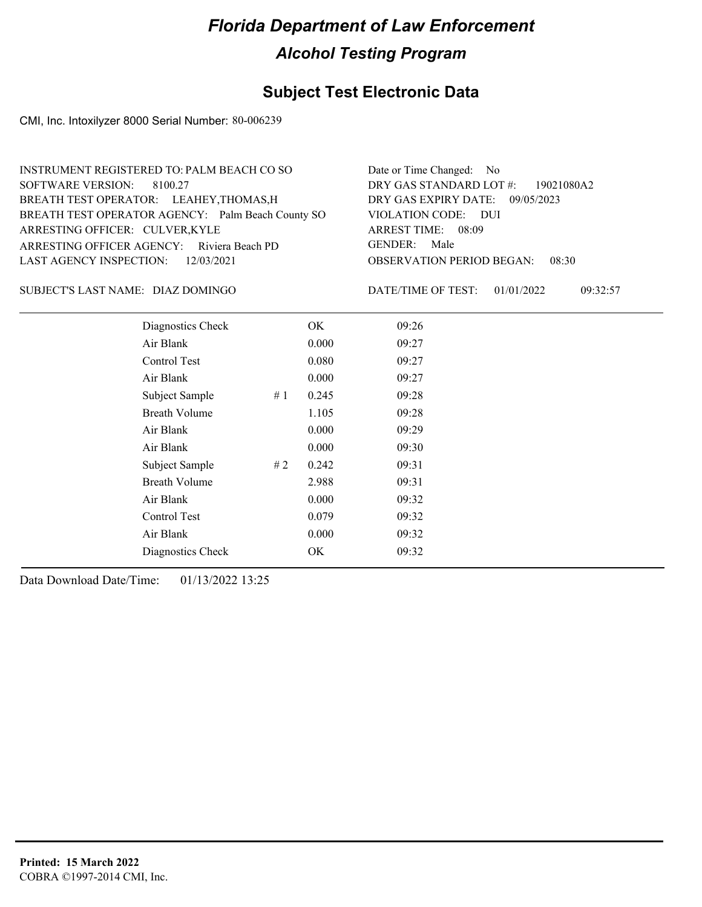### **Subject Test Electronic Data**

CMI, Inc. Intoxilyzer 8000 Serial Number: 80-006239

| INSTRUMENT REGISTERED TO: PALM BEACH CO SO        | Date or Time Changed: No               |
|---------------------------------------------------|----------------------------------------|
| SOFTWARE VERSION: 8100.27                         | DRY GAS STANDARD LOT #: 19021080A2     |
| BREATH TEST OPERATOR: LEAHEY, THOMAS, H           | DRY GAS EXPIRY DATE: 09/05/2023        |
| BREATH TEST OPERATOR AGENCY: Palm Beach County SO | VIOLATION CODE: DUI                    |
| ARRESTING OFFICER: CULVER, KYLE                   | ARREST TIME: 08:09                     |
| ARRESTING OFFICER AGENCY: Riviera Beach PD        | GENDER: Male                           |
| LAST AGENCY INSPECTION: 12/03/2021                | <b>OBSERVATION PERIOD BEGAN: 08:30</b> |
|                                                   |                                        |

DIAZ DOMINGO SUBJECT'S LAST NAME: DATE/TIME OF TEST:

DATE/TIME OF TEST: 01/01/2022 09:32:57

| Diagnostics Check    |    | OK    | 09:26 |
|----------------------|----|-------|-------|
| Air Blank            |    | 0.000 | 09:27 |
| Control Test         |    | 0.080 | 09:27 |
| Air Blank            |    | 0.000 | 09:27 |
| Subject Sample       | #1 | 0.245 | 09:28 |
| <b>Breath Volume</b> |    | 1.105 | 09:28 |
| Air Blank            |    | 0.000 | 09:29 |
| Air Blank            |    | 0.000 | 09:30 |
| Subject Sample       | #2 | 0.242 | 09:31 |
| <b>Breath Volume</b> |    | 2.988 | 09:31 |
| Air Blank            |    | 0.000 | 09:32 |
| Control Test         |    | 0.079 | 09:32 |
| Air Blank            |    | 0.000 | 09:32 |
| Diagnostics Check    |    | OK    | 09:32 |
|                      |    |       |       |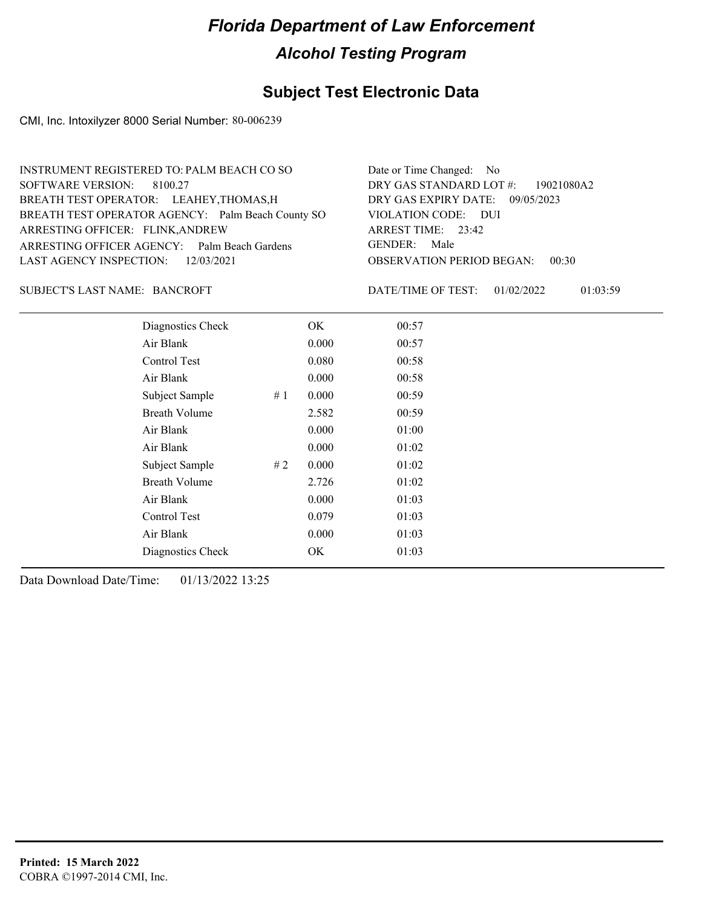### **Subject Test Electronic Data**

CMI, Inc. Intoxilyzer 8000 Serial Number: 80-006239

| INSTRUMENT REGISTERED TO: PALM BEACH CO SO        | Date or Time Changed: No                  |
|---------------------------------------------------|-------------------------------------------|
| SOFTWARE VERSION: 8100.27                         | DRY GAS STANDARD LOT $\#$ : 19021080A2    |
| BREATH TEST OPERATOR: LEAHEY, THOMAS, H           | DRY GAS EXPIRY DATE: 09/05/2023           |
| BREATH TEST OPERATOR AGENCY: Palm Beach County SO | VIOLATION CODE: DUI                       |
| ARRESTING OFFICER: FLINK, ANDREW                  | ARREST TIME: $23:42$                      |
| ARRESTING OFFICER AGENCY: Palm Beach Gardens      | GENDER: Male                              |
| LAST AGENCY INSPECTION: 12/03/2021                | <b>OBSERVATION PERIOD BEGAN:</b><br>00:30 |
|                                                   |                                           |

#### SUBJECT'S LAST NAME: BANCROFT DATE/TIME OF TEST:

DATE/TIME OF TEST: 01/02/2022 01:03:59

| Diagnostics Check    |    | OK    | 00:57 |  |  |
|----------------------|----|-------|-------|--|--|
| Air Blank            |    | 0.000 | 00:57 |  |  |
| Control Test         |    | 0.080 | 00:58 |  |  |
| Air Blank            |    | 0.000 | 00:58 |  |  |
| Subject Sample       | #1 | 0.000 | 00:59 |  |  |
| <b>Breath Volume</b> |    | 2.582 | 00:59 |  |  |
| Air Blank            |    | 0.000 | 01:00 |  |  |
| Air Blank            |    | 0.000 | 01:02 |  |  |
| Subject Sample       | #2 | 0.000 | 01:02 |  |  |
| <b>Breath Volume</b> |    | 2.726 | 01:02 |  |  |
| Air Blank            |    | 0.000 | 01:03 |  |  |
| Control Test         |    | 0.079 | 01:03 |  |  |
| Air Blank            |    | 0.000 | 01:03 |  |  |
| Diagnostics Check    |    | OK    | 01:03 |  |  |
|                      |    |       |       |  |  |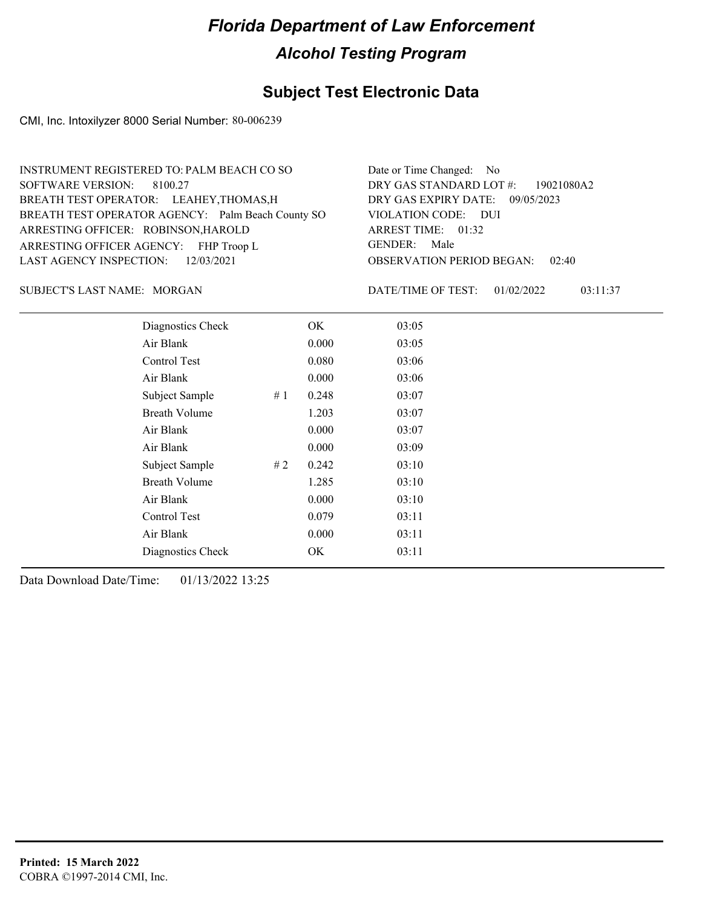#### **Subject Test Electronic Data**

CMI, Inc. Intoxilyzer 8000 Serial Number: 80-006239

OBSERVATION PERIOD BEGAN: 02:40 ARRESTING OFFICER AGENCY: FHP Troop L GENDER: BREATH TEST OPERATOR AGENCY: Palm Beach County SO VIOLATION CODE: SOFTWARE VERSION: VIOLATION CODE: DUI ARREST TIME: 01:32 ARRESTING OFFICER: ROBINSON, HAROLD DRY GAS EXPIRY DATE: 09/05/2023 DRY GAS STANDARD LOT #: 19021080A2 BREATH TEST OPERATOR: LEAHEY,THOMAS,H LAST AGENCY INSPECTION: 12/03/2021 8100.27 INSTRUMENT REGISTERED TO: PALM BEACH CO SO Date or Time Changed: No GENDER: Male

SUBJECT'S LAST NAME: MORGAN DATE/TIME OF TEST:

DATE/TIME OF TEST: 01/02/2022 03:11:37

| Diagnostics Check    |    | OK    | 03:05 |
|----------------------|----|-------|-------|
| Air Blank            |    | 0.000 | 03:05 |
| Control Test         |    | 0.080 | 03:06 |
| Air Blank            |    | 0.000 | 03:06 |
| Subject Sample       | #1 | 0.248 | 03:07 |
| <b>Breath Volume</b> |    | 1.203 | 03:07 |
| Air Blank            |    | 0.000 | 03:07 |
| Air Blank            |    | 0.000 | 03:09 |
| Subject Sample       | #2 | 0.242 | 03:10 |
| <b>Breath Volume</b> |    | 1.285 | 03:10 |
| Air Blank            |    | 0.000 | 03:10 |
| Control Test         |    | 0.079 | 03:11 |
| Air Blank            |    | 0.000 | 03:11 |
| Diagnostics Check    |    | OK    | 03:11 |
|                      |    |       |       |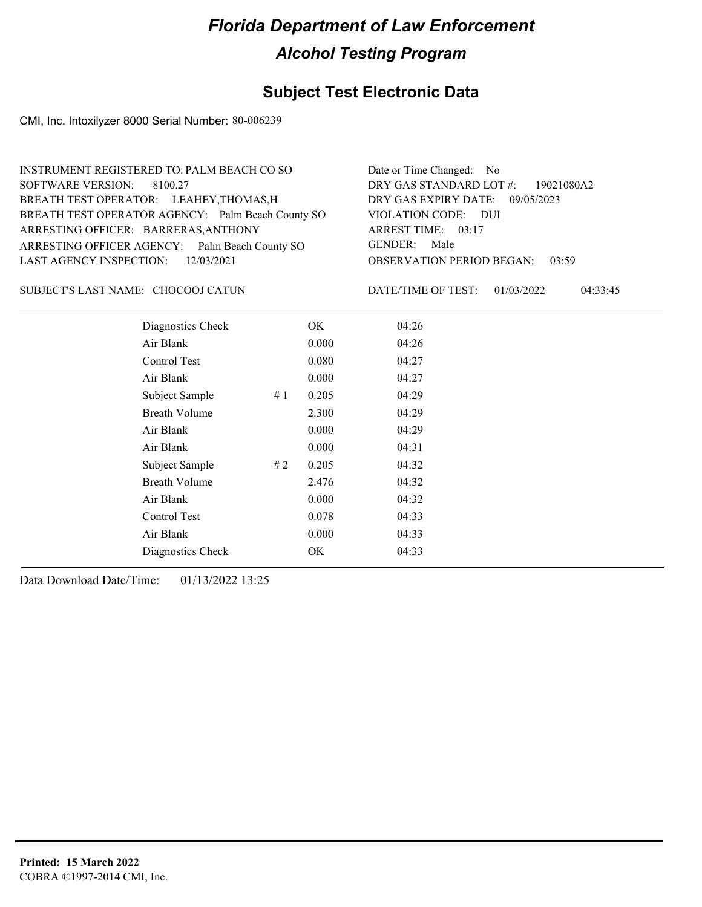### **Subject Test Electronic Data**

CMI, Inc. Intoxilyzer 8000 Serial Number: 80-006239

| INSTRUMENT REGISTERED TO: PALM BEACH CO SO        | Date or Time Changed: No               |
|---------------------------------------------------|----------------------------------------|
| SOFTWARE VERSION: 8100.27                         | DRY GAS STANDARD LOT #: 19021080A2     |
| BREATH TEST OPERATOR: LEAHEY, THOMAS, H           | DRY GAS EXPIRY DATE: 09/05/2023        |
| BREATH TEST OPERATOR AGENCY: Palm Beach County SO | VIOLATION CODE: DUI                    |
| ARRESTING OFFICER: BARRERAS, ANTHONY              | ARREST TIME: 03:17                     |
| ARRESTING OFFICER AGENCY: Palm Beach County SO    | GENDER: Male                           |
| LAST AGENCY INSPECTION: 12/03/2021                | <b>OBSERVATION PERIOD BEGAN: 03:59</b> |
|                                                   |                                        |

#### CHOCOOJ CATUN SUBJECT'S LAST NAME: DATE/TIME OF TEST:

DATE/TIME OF TEST: 01/03/2022 04:33:45

| Diagnostics Check    |    | OK    | 04:26 |  |
|----------------------|----|-------|-------|--|
| Air Blank            |    | 0.000 | 04:26 |  |
| Control Test         |    | 0.080 | 04:27 |  |
| Air Blank            |    | 0.000 | 04:27 |  |
| Subject Sample       | #1 | 0.205 | 04:29 |  |
| <b>Breath Volume</b> |    | 2.300 | 04:29 |  |
| Air Blank            |    | 0.000 | 04:29 |  |
| Air Blank            |    | 0.000 | 04:31 |  |
| Subject Sample       | #2 | 0.205 | 04:32 |  |
| <b>Breath Volume</b> |    | 2.476 | 04:32 |  |
| Air Blank            |    | 0.000 | 04:32 |  |
| Control Test         |    | 0.078 | 04:33 |  |
| Air Blank            |    | 0.000 | 04:33 |  |
| Diagnostics Check    |    | OK    | 04:33 |  |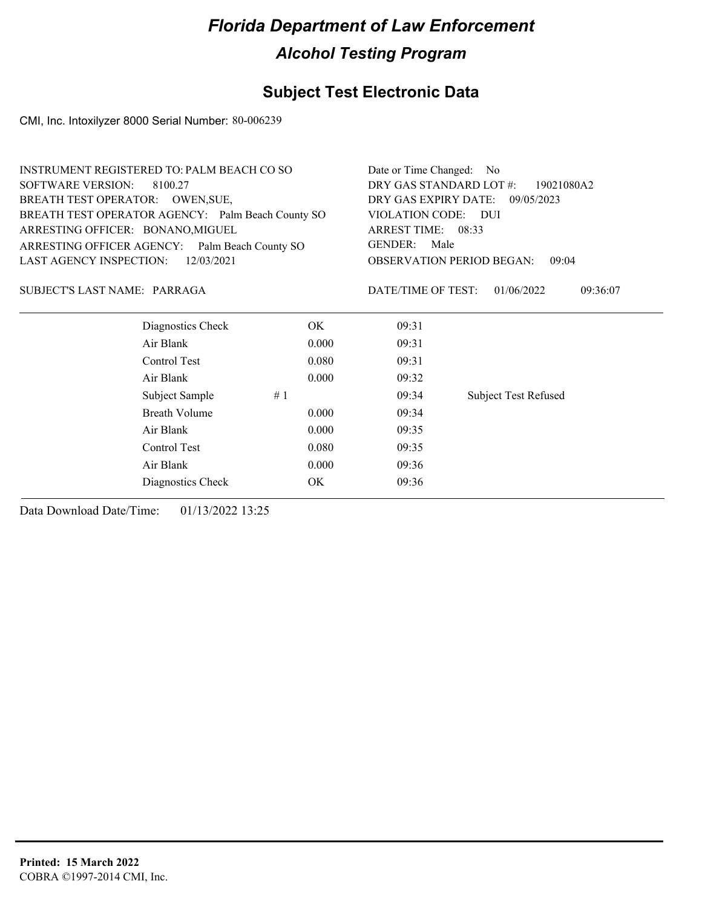#### **Subject Test Electronic Data**

CMI, Inc. Intoxilyzer 8000 Serial Number: 80-006239

| INSTRUMENT REGISTERED TO: PALM BEACH CO SO        |       | Date or Time Changed: No         |                             |          |
|---------------------------------------------------|-------|----------------------------------|-----------------------------|----------|
| SOFTWARE VERSION:<br>8100.27                      |       | DRY GAS STANDARD LOT #:          | 19021080A2                  |          |
| BREATH TEST OPERATOR: OWEN, SUE,                  |       | DRY GAS EXPIRY DATE: 09/05/2023  |                             |          |
| BREATH TEST OPERATOR AGENCY: Palm Beach County SO |       | VIOLATION CODE: DUI              |                             |          |
| ARRESTING OFFICER: BONANO, MIGUEL                 |       | ARREST TIME: 08:33               |                             |          |
| ARRESTING OFFICER AGENCY: Palm Beach County SO    |       | GENDER: Male                     |                             |          |
| LAST AGENCY INSPECTION:<br>12/03/2021             |       | <b>OBSERVATION PERIOD BEGAN:</b> | 09:04                       |          |
| SUBJECT'S LAST NAME: PARRAGA                      |       | DATE/TIME OF TEST:               | 01/06/2022                  | 09:36:07 |
| Diagnostics Check                                 | OK.   | 09:31                            |                             |          |
| Air Blank                                         | 0.000 | 09:31                            |                             |          |
| Control Test                                      | 0.080 | 09:31                            |                             |          |
| Air Blank                                         | 0.000 | 09:32                            |                             |          |
| Subject Sample                                    | #1    | 09:34                            | <b>Subject Test Refused</b> |          |

Breath Volume 0.000 09:34 Air Blank 0.000 09:35 Control Test 0.080 09:35 Air Blank 0.000 09:36 Diagnostics Check OK 09:36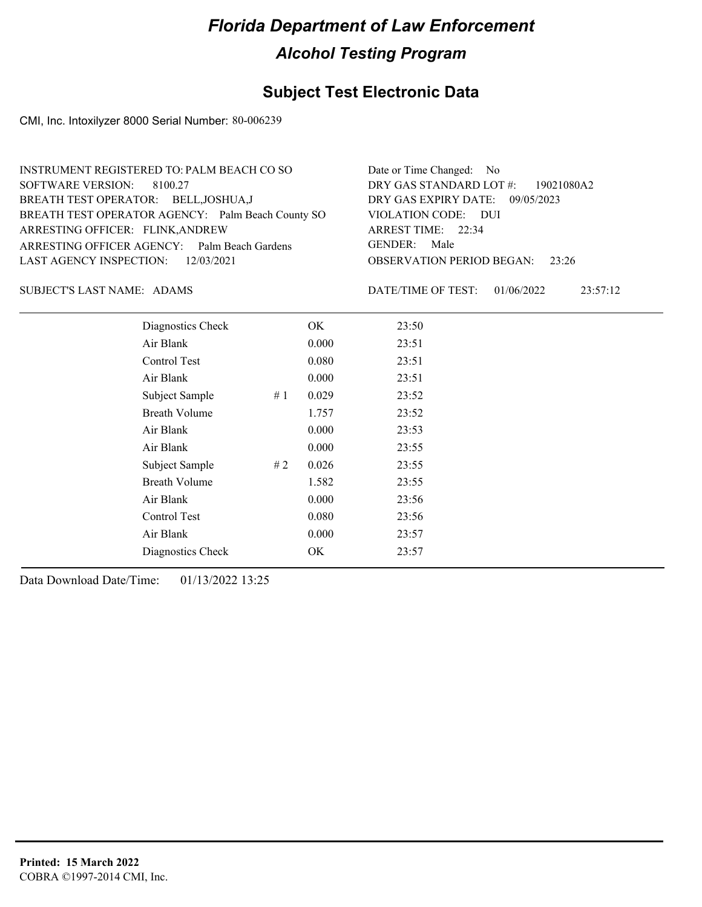### **Subject Test Electronic Data**

CMI, Inc. Intoxilyzer 8000 Serial Number: 80-006239

| INSTRUMENT REGISTERED TO: PALM BEACH CO SO        | Date or Time Changed: No               |
|---------------------------------------------------|----------------------------------------|
| SOFTWARE VERSION: 8100.27                         | DRY GAS STANDARD LOT $\#$ : 19021080A2 |
| BREATH TEST OPERATOR: BELL, JOSHUA, J             | DRY GAS EXPIRY DATE: 09/05/2023        |
| BREATH TEST OPERATOR AGENCY: Palm Beach County SO | VIOLATION CODE: DUI                    |
| ARRESTING OFFICER: FLINK, ANDREW                  | ARREST TIME: 22:34                     |
| ARRESTING OFFICER AGENCY: Palm Beach Gardens      | GENDER: Male                           |
| LAST AGENCY INSPECTION: 12/03/2021                | <b>OBSERVATION PERIOD BEGAN:</b> 23:26 |
|                                                   |                                        |

#### SUBJECT'S LAST NAME: ADAMS DATE/TIME OF TEST:

DATE/TIME OF TEST: 01/06/2022 23:57:12

| Diagnostics Check    |    | OK    | 23:50 |
|----------------------|----|-------|-------|
| Air Blank            |    | 0.000 | 23:51 |
| Control Test         |    | 0.080 | 23:51 |
| Air Blank            |    | 0.000 | 23:51 |
| Subject Sample       | #1 | 0.029 | 23:52 |
| <b>Breath Volume</b> |    | 1.757 | 23:52 |
| Air Blank            |    | 0.000 | 23:53 |
| Air Blank            |    | 0.000 | 23:55 |
| Subject Sample       | #2 | 0.026 | 23:55 |
| <b>Breath Volume</b> |    | 1.582 | 23:55 |
| Air Blank            |    | 0.000 | 23:56 |
| Control Test         |    | 0.080 | 23:56 |
| Air Blank            |    | 0.000 | 23:57 |
| Diagnostics Check    |    | OK    | 23:57 |
|                      |    |       |       |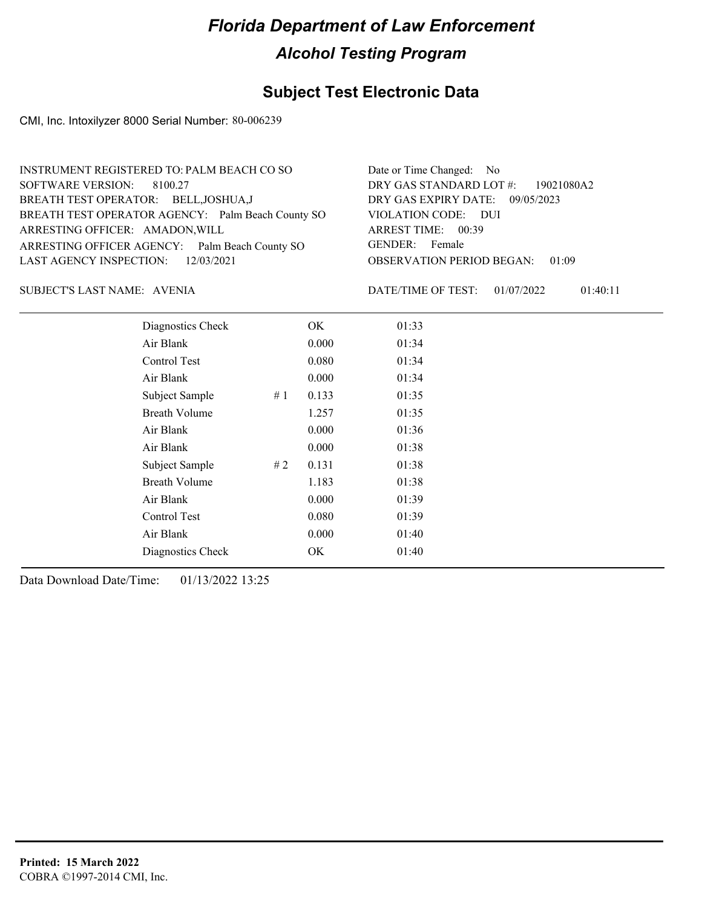### **Subject Test Electronic Data**

CMI, Inc. Intoxilyzer 8000 Serial Number: 80-006239

| Date or Time Changed: No               |
|----------------------------------------|
| DRY GAS STANDARD LOT #: 19021080A2     |
| DRY GAS EXPIRY DATE: 09/05/2023        |
| VIOLATION CODE: DUI                    |
| ARREST TIME: 00:39                     |
| GENDER: Female                         |
| <b>OBSERVATION PERIOD BEGAN: 01:09</b> |
|                                        |

AVENIA SUBJECT'S LAST NAME: DATE/TIME OF TEST:

DATE/TIME OF TEST: 01/07/2022 01:40:11

| Diagnostics Check    |    | OK    | 01:33 |
|----------------------|----|-------|-------|
| Air Blank            |    | 0.000 | 01:34 |
| Control Test         |    | 0.080 | 01:34 |
| Air Blank            |    | 0.000 | 01:34 |
| Subject Sample       | #1 | 0.133 | 01:35 |
| <b>Breath Volume</b> |    | 1.257 | 01:35 |
| Air Blank            |    | 0.000 | 01:36 |
| Air Blank            |    | 0.000 | 01:38 |
| Subject Sample       | #2 | 0.131 | 01:38 |
| <b>Breath Volume</b> |    | 1.183 | 01:38 |
| Air Blank            |    | 0.000 | 01:39 |
| Control Test         |    | 0.080 | 01:39 |
| Air Blank            |    | 0.000 | 01:40 |
| Diagnostics Check    |    | OK    | 01:40 |
|                      |    |       |       |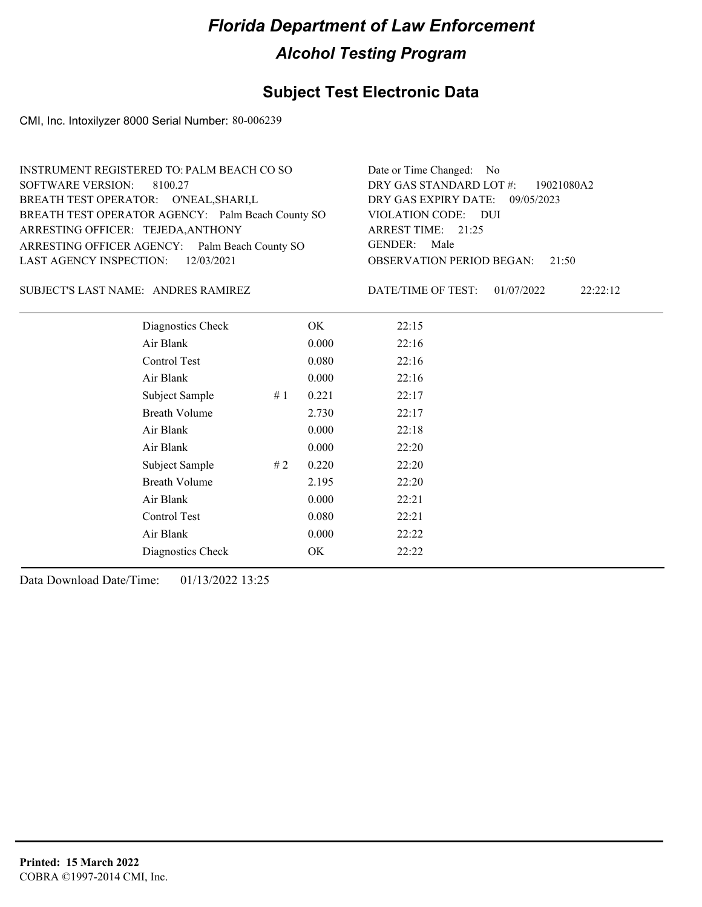### **Subject Test Electronic Data**

CMI, Inc. Intoxilyzer 8000 Serial Number: 80-006239

| INSTRUMENT REGISTERED TO: PALM BEACH CO SO        | Date or Time Changed: No               |
|---------------------------------------------------|----------------------------------------|
| SOFTWARE VERSION: 8100.27                         | DRY GAS STANDARD LOT $\#$ : 19021080A2 |
| BREATH TEST OPERATOR: O'NEAL, SHARI, L            | DRY GAS EXPIRY DATE: 09/05/2023        |
| BREATH TEST OPERATOR AGENCY: Palm Beach County SO | VIOLATION CODE: DUI                    |
| ARRESTING OFFICER: TEJEDA, ANTHONY                | ARREST TIME: 21:25                     |
| ARRESTING OFFICER AGENCY: Palm Beach County SO    | GENDER: Male                           |
| LAST AGENCY INSPECTION: $12/03/2021$              | <b>OBSERVATION PERIOD BEGAN:</b> 21:50 |
|                                                   |                                        |

SUBJECT'S LAST NAME: ANDRES RAMIREZ DATE/TIME OF TEST:

DATE/TIME OF TEST: 01/07/2022 22:22:12

| Diagnostics Check    |     | OK    | 22:15 |  |
|----------------------|-----|-------|-------|--|
| Air Blank            |     | 0.000 | 22:16 |  |
| Control Test         |     | 0.080 | 22:16 |  |
| Air Blank            |     | 0.000 | 22:16 |  |
| Subject Sample       | #1  | 0.221 | 22:17 |  |
| <b>Breath Volume</b> |     | 2.730 | 22:17 |  |
| Air Blank            |     | 0.000 | 22:18 |  |
| Air Blank            |     | 0.000 | 22:20 |  |
| Subject Sample       | # 2 | 0.220 | 22:20 |  |
| <b>Breath Volume</b> |     | 2.195 | 22:20 |  |
| Air Blank            |     | 0.000 | 22:21 |  |
| Control Test         |     | 0.080 | 22:21 |  |
| Air Blank            |     | 0.000 | 22:22 |  |
| Diagnostics Check    |     | OK    | 22:22 |  |
|                      |     |       |       |  |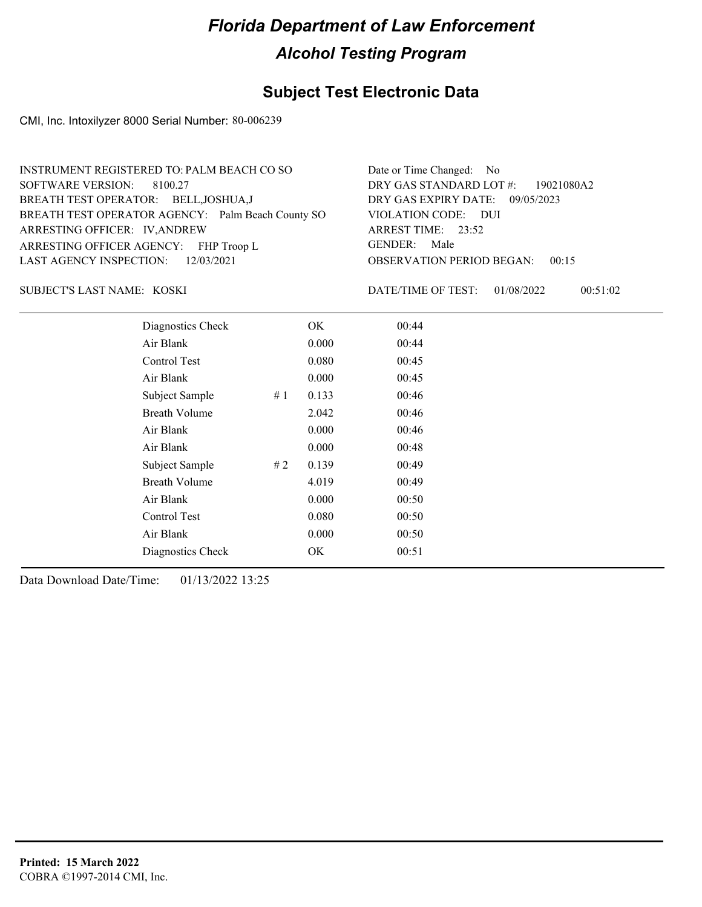### **Subject Test Electronic Data**

CMI, Inc. Intoxilyzer 8000 Serial Number: 80-006239

| INSTRUMENT REGISTERED TO: PALM BEACH CO SO        | Date or Time Changed: No               |
|---------------------------------------------------|----------------------------------------|
| SOFTWARE VERSION: 8100.27                         | DRY GAS STANDARD LOT #: 19021080A2     |
| BREATH TEST OPERATOR: BELL, JOSHUA, J             | DRY GAS EXPIRY DATE: 09/05/2023        |
| BREATH TEST OPERATOR AGENCY: Palm Beach County SO | VIOLATION CODE: DUI                    |
| ARRESTING OFFICER: IV, ANDREW                     | ARREST TIME: 23:52                     |
| ARRESTING OFFICER AGENCY: FHP Troop L             | GENDER: Male                           |
| LAST AGENCY INSPECTION: $12/03/2021$              | <b>OBSERVATION PERIOD BEGAN: 00:15</b> |
|                                                   |                                        |

KOSKI SUBJECT'S LAST NAME: DATE/TIME OF TEST:

DATE/TIME OF TEST: 01/08/2022 00:51:02

| Diagnostics Check    |    | OK    | 00:44 |
|----------------------|----|-------|-------|
| Air Blank            |    | 0.000 | 00:44 |
| Control Test         |    | 0.080 | 00:45 |
| Air Blank            |    | 0.000 | 00:45 |
| Subject Sample       | #1 | 0.133 | 00:46 |
| <b>Breath Volume</b> |    | 2.042 | 00:46 |
| Air Blank            |    | 0.000 | 00:46 |
| Air Blank            |    | 0.000 | 00:48 |
| Subject Sample       | #2 | 0.139 | 00:49 |
| <b>Breath Volume</b> |    | 4.019 | 00:49 |
| Air Blank            |    | 0.000 | 00:50 |
| Control Test         |    | 0.080 | 00:50 |
| Air Blank            |    | 0.000 | 00:50 |
| Diagnostics Check    |    | OK    | 00:51 |
|                      |    |       |       |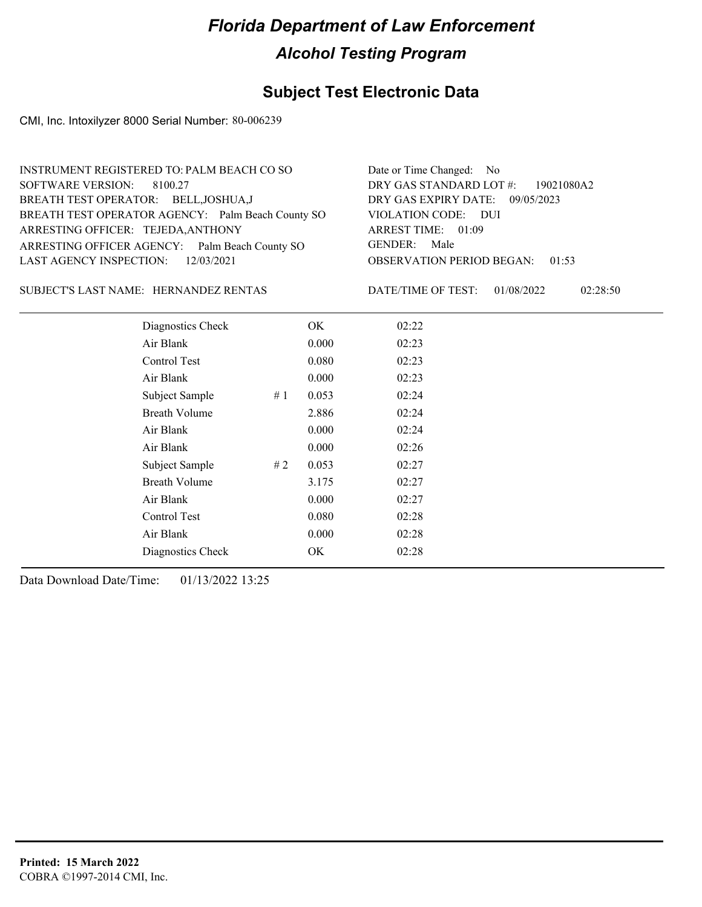### **Subject Test Electronic Data**

CMI, Inc. Intoxilyzer 8000 Serial Number: 80-006239

| INSTRUMENT REGISTERED TO: PALM BEACH CO SO        | Date or Time Changed: No               |
|---------------------------------------------------|----------------------------------------|
| SOFTWARE VERSION: 8100.27                         | DRY GAS STANDARD LOT $\#$ : 19021080A2 |
| BREATH TEST OPERATOR: BELL, JOSHUA, J             | DRY GAS EXPIRY DATE: 09/05/2023        |
| BREATH TEST OPERATOR AGENCY: Palm Beach County SO | VIOLATION CODE: DUI                    |
| ARRESTING OFFICER: TEJEDA, ANTHONY                | ARREST TIME: 01:09                     |
| ARRESTING OFFICER AGENCY: Palm Beach County SO    | GENDER: Male                           |
| LAST AGENCY INSPECTION: $12/03/2021$              | <b>OBSERVATION PERIOD BEGAN: 01:53</b> |
|                                                   |                                        |

SUBJECT'S LAST NAME: HERNANDEZ RENTAS DATE/TIME OF TEST:

DATE/TIME OF TEST: 01/08/2022 02:28:50

| Diagnostics Check | OK                                                                                                                                                                                                                  | 02:22 |
|-------------------|---------------------------------------------------------------------------------------------------------------------------------------------------------------------------------------------------------------------|-------|
|                   | 0.000                                                                                                                                                                                                               | 02:23 |
|                   | 0.080                                                                                                                                                                                                               | 02:23 |
|                   | 0.000                                                                                                                                                                                                               | 02:23 |
| #1                | 0.053                                                                                                                                                                                                               | 02:24 |
|                   | 2.886                                                                                                                                                                                                               | 02:24 |
|                   | 0.000                                                                                                                                                                                                               | 02:24 |
|                   | 0.000                                                                                                                                                                                                               | 02:26 |
| #2                | 0.053                                                                                                                                                                                                               | 02:27 |
|                   | 3.175                                                                                                                                                                                                               | 02:27 |
|                   | 0.000                                                                                                                                                                                                               | 02:27 |
|                   | 0.080                                                                                                                                                                                                               | 02:28 |
|                   | 0.000                                                                                                                                                                                                               | 02:28 |
|                   | OK                                                                                                                                                                                                                  | 02:28 |
|                   | Air Blank<br>Control Test<br>Air Blank<br>Subject Sample<br><b>Breath Volume</b><br>Air Blank<br>Air Blank<br>Subject Sample<br><b>Breath Volume</b><br>Air Blank<br>Control Test<br>Air Blank<br>Diagnostics Check |       |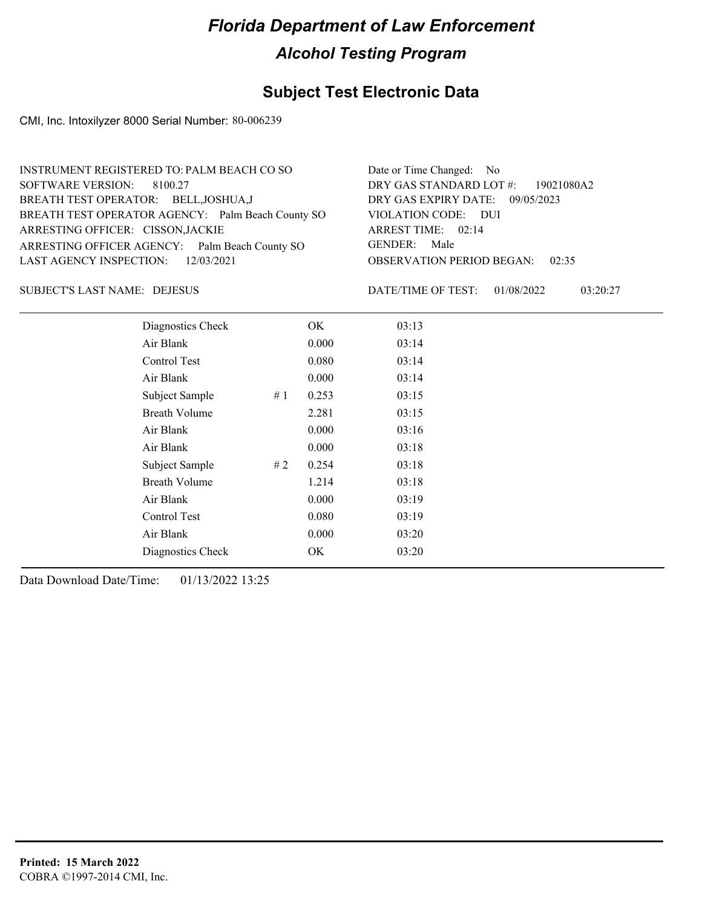### **Subject Test Electronic Data**

CMI, Inc. Intoxilyzer 8000 Serial Number: 80-006239

| INSTRUMENT REGISTERED TO: PALM BEACH CO SO        | Date or Time Changed: No               |
|---------------------------------------------------|----------------------------------------|
| SOFTWARE VERSION: 8100.27                         | DRY GAS STANDARD LOT #: 19021080A2     |
| BREATH TEST OPERATOR: BELL, JOSHUA, J             | DRY GAS EXPIRY DATE: 09/05/2023        |
| BREATH TEST OPERATOR AGENCY: Palm Beach County SO | VIOLATION CODE: DUI                    |
| ARRESTING OFFICER: CISSON, JACKIE                 | ARREST TIME: 02:14                     |
| ARRESTING OFFICER AGENCY: Palm Beach County SO    | GENDER: Male                           |
| LAST AGENCY INSPECTION: 12/03/2021                | <b>OBSERVATION PERIOD BEGAN: 02:35</b> |
|                                                   |                                        |

DEJESUS SUBJECT'S LAST NAME: DATE/TIME OF TEST:

DATE/TIME OF TEST: 01/08/2022 03:20:27

| Diagnostics Check    |    | OK    | 03:13 |
|----------------------|----|-------|-------|
| Air Blank            |    | 0.000 | 03:14 |
| Control Test         |    | 0.080 | 03:14 |
| Air Blank            |    | 0.000 | 03:14 |
| Subject Sample       | #1 | 0.253 | 03:15 |
| <b>Breath Volume</b> |    | 2.281 | 03:15 |
| Air Blank            |    | 0.000 | 03:16 |
| Air Blank            |    | 0.000 | 03:18 |
| Subject Sample       | #2 | 0.254 | 03:18 |
| <b>Breath Volume</b> |    | 1.214 | 03:18 |
| Air Blank            |    | 0.000 | 03:19 |
| Control Test         |    | 0.080 | 03:19 |
| Air Blank            |    | 0.000 | 03:20 |
| Diagnostics Check    |    | OK    | 03:20 |
|                      |    |       |       |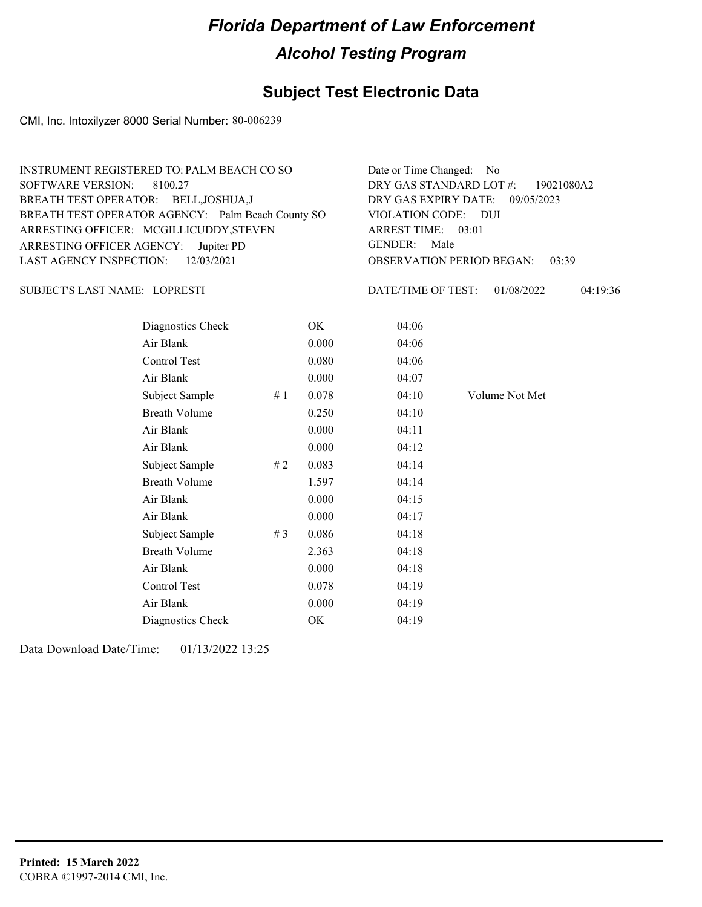#### **Subject Test Electronic Data**

CMI, Inc. Intoxilyzer 8000 Serial Number: 80-006239

OBSERVATION PERIOD BEGAN: 03:39 ARRESTING OFFICER AGENCY: Jupiter PD GENDER: BREATH TEST OPERATOR AGENCY: Palm Beach County SO VIOLATION CODE: SOFTWARE VERSION: VIOLATION CODE: DUI ARREST TIME: 03:01 ARRESTING OFFICER: MCGILLICUDDY,STEVEN DRY GAS EXPIRY DATE: 09/05/2023 19021080A2 BREATH TEST OPERATOR: BELL,JOSHUA,J LAST AGENCY INSPECTION: 12/03/2021 8100.27 INSTRUMENT REGISTERED TO: PALM BEACH CO SO DRY GAS STANDARD LOT #: Date or Time Changed: No GENDER: Male

#### LOPRESTI SUBJECT'S LAST NAME: DATE/TIME OF TEST:

DATE/TIME OF TEST: 01/08/2022 04:19:36

| $1. \quad 01/00/2022$ | <u>04.12.30</u> |
|-----------------------|-----------------|
|                       |                 |
|                       |                 |

| Diagnostics Check    |       | OK    | 04:06 |                |
|----------------------|-------|-------|-------|----------------|
| Air Blank            |       | 0.000 | 04:06 |                |
| Control Test         |       | 0.080 | 04:06 |                |
| Air Blank            |       | 0.000 | 04:07 |                |
| Subject Sample       | #1    | 0.078 | 04:10 | Volume Not Met |
| <b>Breath Volume</b> |       | 0.250 | 04:10 |                |
| Air Blank            |       | 0.000 | 04:11 |                |
| Air Blank            |       | 0.000 | 04:12 |                |
| Subject Sample       | #2    | 0.083 | 04:14 |                |
| <b>Breath Volume</b> |       | 1.597 | 04:14 |                |
| Air Blank            |       | 0.000 | 04:15 |                |
| Air Blank            |       | 0.000 | 04:17 |                |
| Subject Sample       | # $3$ | 0.086 | 04:18 |                |
| <b>Breath Volume</b> |       | 2.363 | 04:18 |                |
| Air Blank            |       | 0.000 | 04:18 |                |
| Control Test         |       | 0.078 | 04:19 |                |
| Air Blank            |       | 0.000 | 04:19 |                |
| Diagnostics Check    |       | OK    | 04:19 |                |
|                      |       |       |       |                |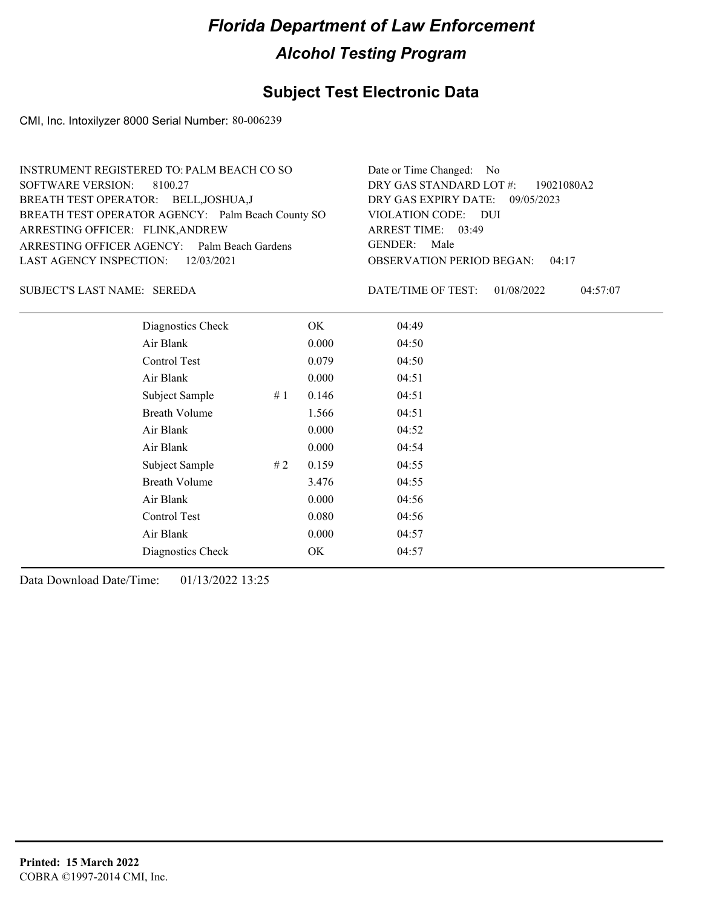### **Subject Test Electronic Data**

CMI, Inc. Intoxilyzer 8000 Serial Number: 80-006239

| INSTRUMENT REGISTERED TO: PALM BEACH CO SO        | Date or Time Changed: No               |
|---------------------------------------------------|----------------------------------------|
| SOFTWARE VERSION: 8100.27                         | DRY GAS STANDARD LOT #: 19021080A2     |
| BREATH TEST OPERATOR: BELL, JOSHUA, J             | DRY GAS EXPIRY DATE: 09/05/2023        |
| BREATH TEST OPERATOR AGENCY: Palm Beach County SO | VIOLATION CODE: DUI                    |
| ARRESTING OFFICER: FLINK, ANDREW                  | ARREST TIME: 03:49                     |
| ARRESTING OFFICER AGENCY: Palm Beach Gardens      | GENDER: Male                           |
| LAST AGENCY INSPECTION: 12/03/2021                | <b>OBSERVATION PERIOD BEGAN: 04:17</b> |

#### SEREDA SUBJECT'S LAST NAME: DATE/TIME OF TEST:

DATE/TIME OF TEST: 01/08/2022 04:57:07

| Diagnostics Check    |    | OK    | 04:49 |
|----------------------|----|-------|-------|
| Air Blank            |    | 0.000 | 04:50 |
| Control Test         |    | 0.079 | 04:50 |
| Air Blank            |    | 0.000 | 04:51 |
| Subject Sample       | #1 | 0.146 | 04:51 |
| <b>Breath Volume</b> |    | 1.566 | 04:51 |
| Air Blank            |    | 0.000 | 04:52 |
| Air Blank            |    | 0.000 | 04:54 |
| Subject Sample       | #2 | 0.159 | 04:55 |
| <b>Breath Volume</b> |    | 3.476 | 04:55 |
| Air Blank            |    | 0.000 | 04:56 |
| Control Test         |    | 0.080 | 04:56 |
| Air Blank            |    | 0.000 | 04:57 |
| Diagnostics Check    |    | OK    | 04:57 |
|                      |    |       |       |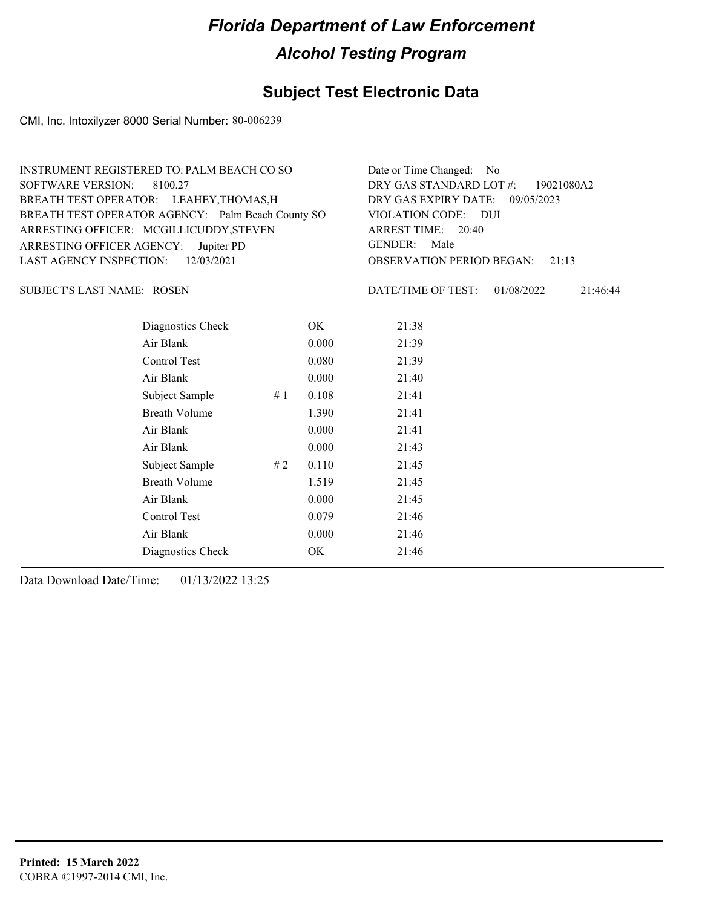### **Subject Test Electronic Data**

CMI, Inc. Intoxilyzer 8000 Serial Number: 80-006239

| INSTRUMENT REGISTERED TO: PALM BEACH CO SO        | Date or Time Changed: No               |
|---------------------------------------------------|----------------------------------------|
| SOFTWARE VERSION: 8100.27                         | DRY GAS STANDARD LOT #: 19021080A2     |
| BREATH TEST OPERATOR: LEAHEY, THOMAS, H           | DRY GAS EXPIRY DATE: 09/05/2023        |
| BREATH TEST OPERATOR AGENCY: Palm Beach County SO | VIOLATION CODE: DUI                    |
| ARRESTING OFFICER: MCGILLICUDDY, STEVEN           | ARREST TIME: 20:40                     |
| ARRESTING OFFICER AGENCY: Jupiter PD              | GENDER: Male                           |
| LAST AGENCY INSPECTION: $12/03/2021$              | <b>OBSERVATION PERIOD BEGAN:</b> 21:13 |
|                                                   |                                        |

SUBJECT'S LAST NAME: ROSEN DATE/TIME OF TEST:

DATE/TIME OF TEST: 01/08/2022 21:46:44

| Diagnostics Check    |    | OK    | 21:38 |
|----------------------|----|-------|-------|
| Air Blank            |    | 0.000 | 21:39 |
| Control Test         |    | 0.080 | 21:39 |
| Air Blank            |    | 0.000 | 21:40 |
| Subject Sample       | #1 | 0.108 | 21:41 |
| <b>Breath Volume</b> |    | 1.390 | 21:41 |
| Air Blank            |    | 0.000 | 21:41 |
| Air Blank            |    | 0.000 | 21:43 |
| Subject Sample       | #2 | 0.110 | 21:45 |
| <b>Breath Volume</b> |    | 1.519 | 21:45 |
| Air Blank            |    | 0.000 | 21:45 |
| Control Test         |    | 0.079 | 21:46 |
| Air Blank            |    | 0.000 | 21:46 |
| Diagnostics Check    |    | OK    | 21:46 |
|                      |    |       |       |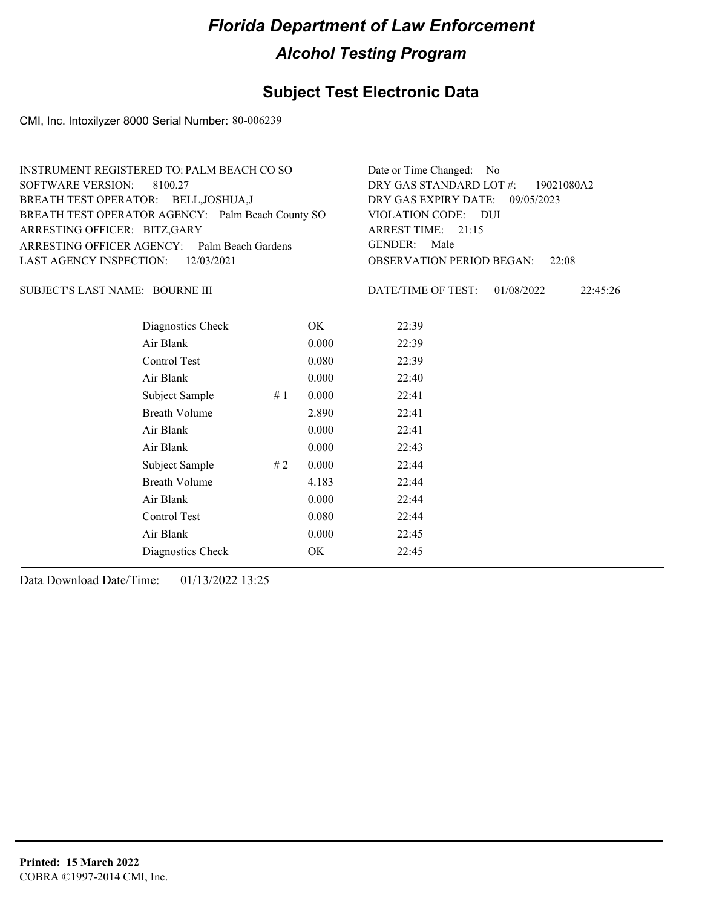### **Subject Test Electronic Data**

CMI, Inc. Intoxilyzer 8000 Serial Number: 80-006239

| INSTRUMENT REGISTERED TO: PALM BEACH CO SO        | Date or Time Changed: No               |
|---------------------------------------------------|----------------------------------------|
| SOFTWARE VERSION: 8100.27                         | DRY GAS STANDARD LOT $\#$ : 19021080A2 |
| BREATH TEST OPERATOR: BELL, JOSHUA, J             | DRY GAS EXPIRY DATE: 09/05/2023        |
| BREATH TEST OPERATOR AGENCY: Palm Beach County SO | VIOLATION CODE: DUI                    |
| ARRESTING OFFICER: BITZ, GARY                     | ARREST TIME: 21:15                     |
| ARRESTING OFFICER AGENCY: Palm Beach Gardens      | GENDER: Male                           |
| LAST AGENCY INSPECTION: 12/03/2021                | <b>OBSERVATION PERIOD BEGAN:</b> 22:08 |
|                                                   |                                        |

#### BOURNE III SUBJECT'S LAST NAME: DATE/TIME OF TEST:

DATE/TIME OF TEST: 01/08/2022 22:45:26

| Diagnostics Check    |    | OK    | 22:39 |
|----------------------|----|-------|-------|
| Air Blank            |    | 0.000 | 22:39 |
| Control Test         |    | 0.080 | 22:39 |
| Air Blank            |    | 0.000 | 22:40 |
| Subject Sample       | #1 | 0.000 | 22:41 |
| <b>Breath Volume</b> |    | 2.890 | 22:41 |
| Air Blank            |    | 0.000 | 22:41 |
| Air Blank            |    | 0.000 | 22:43 |
| Subject Sample       | #2 | 0.000 | 22:44 |
| <b>Breath Volume</b> |    | 4.183 | 22:44 |
| Air Blank            |    | 0.000 | 22:44 |
| Control Test         |    | 0.080 | 22:44 |
| Air Blank            |    | 0.000 | 22:45 |
| Diagnostics Check    |    | OK    | 22:45 |
|                      |    |       |       |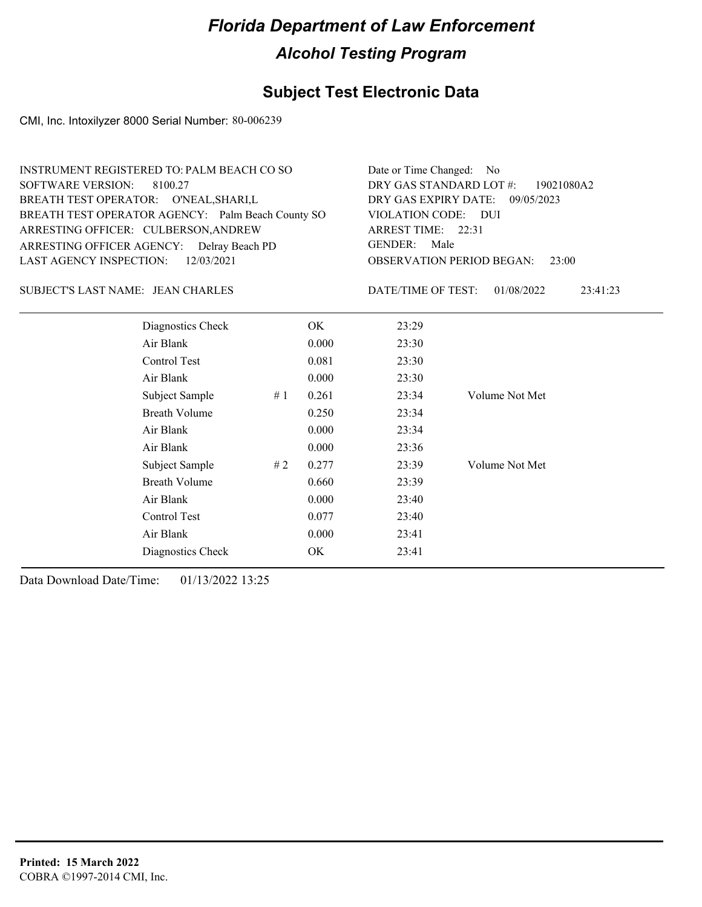### **Subject Test Electronic Data**

CMI, Inc. Intoxilyzer 8000 Serial Number: 80-006239

| Date or Time Changed: No<br>DRY GAS STANDARD LOT #: 19021080A2<br>DRY GAS EXPIRY DATE: 09/05/2023<br>VIOLATION CODE: DUI<br>ARREST TIME: 22:31<br>GENDER: Male |
|----------------------------------------------------------------------------------------------------------------------------------------------------------------|
| <b>OBSERVATION PERIOD BEGAN: 23:00</b>                                                                                                                         |
|                                                                                                                                                                |

#### SUBJECT'S LAST NAME: JEAN CHARLES DATE/TIME OF TEST:

DATE/TIME OF TEST: 01/08/2022 23:41:23

| Diagnostics Check    |    | OK    | 23:29 |                |
|----------------------|----|-------|-------|----------------|
| Air Blank            |    | 0.000 | 23:30 |                |
| Control Test         |    | 0.081 | 23:30 |                |
| Air Blank            |    | 0.000 | 23:30 |                |
| Subject Sample       | #1 | 0.261 | 23:34 | Volume Not Met |
| <b>Breath Volume</b> |    | 0.250 | 23:34 |                |
| Air Blank            |    | 0.000 | 23:34 |                |
| Air Blank            |    | 0.000 | 23:36 |                |
| Subject Sample       | #2 | 0.277 | 23:39 | Volume Not Met |
| <b>Breath Volume</b> |    | 0.660 | 23:39 |                |
| Air Blank            |    | 0.000 | 23:40 |                |
| Control Test         |    | 0.077 | 23:40 |                |
| Air Blank            |    | 0.000 | 23:41 |                |
| Diagnostics Check    |    | OK    | 23:41 |                |
|                      |    |       |       |                |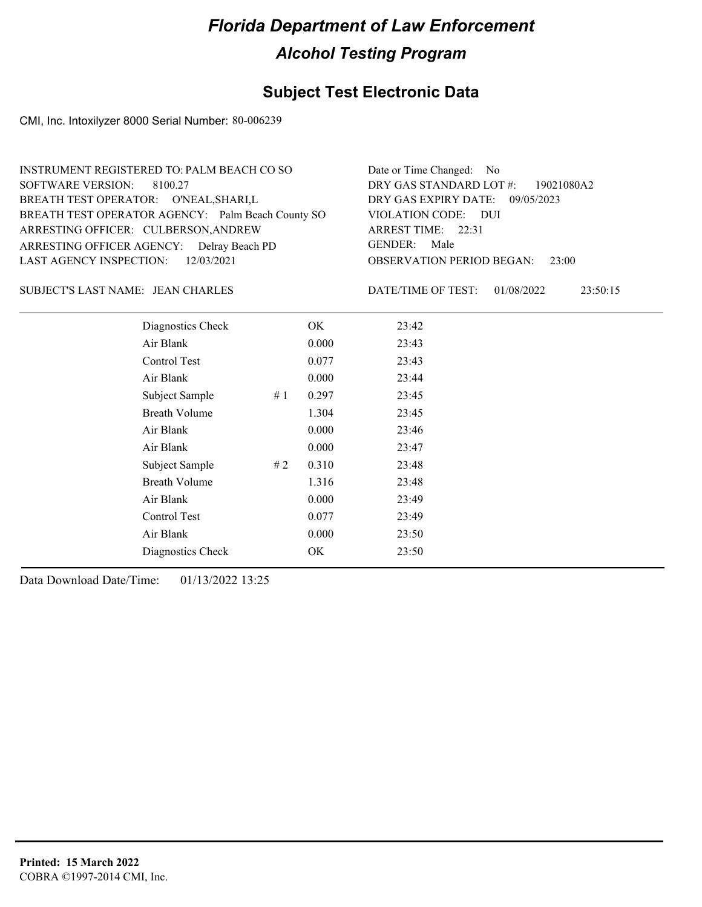### **Subject Test Electronic Data**

CMI, Inc. Intoxilyzer 8000 Serial Number: 80-006239

| INSTRUMENT REGISTERED TO: PALM BEACH CO SO        | Date or Time Changed: No               |
|---------------------------------------------------|----------------------------------------|
| SOFTWARE VERSION: 8100.27                         | DRY GAS STANDARD LOT #: 19021080A2     |
| BREATH TEST OPERATOR: O'NEAL, SHARI, L            | DRY GAS EXPIRY DATE: 09/05/2023        |
| BREATH TEST OPERATOR AGENCY: Palm Beach County SO | VIOLATION CODE: DUI                    |
| ARRESTING OFFICER: CULBERSON, ANDREW              | ARREST TIME: 22:31                     |
| ARRESTING OFFICER AGENCY: Delray Beach PD         | GENDER: Male                           |
| LAST AGENCY INSPECTION: $12/03/2021$              | <b>OBSERVATION PERIOD BEGAN: 23:00</b> |
|                                                   |                                        |

#### SUBJECT'S LAST NAME: JEAN CHARLES DATE/TIME OF TEST:

DATE/TIME OF TEST: 01/08/2022 23:50:15

| Diagnostics Check    |    | OK    | 23:42 |
|----------------------|----|-------|-------|
| Air Blank            |    | 0.000 | 23:43 |
| Control Test         |    | 0.077 | 23:43 |
| Air Blank            |    | 0.000 | 23:44 |
| Subject Sample       | #1 | 0.297 | 23:45 |
| <b>Breath Volume</b> |    | 1.304 | 23:45 |
| Air Blank            |    | 0.000 | 23:46 |
| Air Blank            |    | 0.000 | 23:47 |
| Subject Sample       | #2 | 0.310 | 23:48 |
| <b>Breath Volume</b> |    | 1.316 | 23:48 |
| Air Blank            |    | 0.000 | 23:49 |
| Control Test         |    | 0.077 | 23:49 |
| Air Blank            |    | 0.000 | 23:50 |
| Diagnostics Check    |    | OK    | 23:50 |
|                      |    |       |       |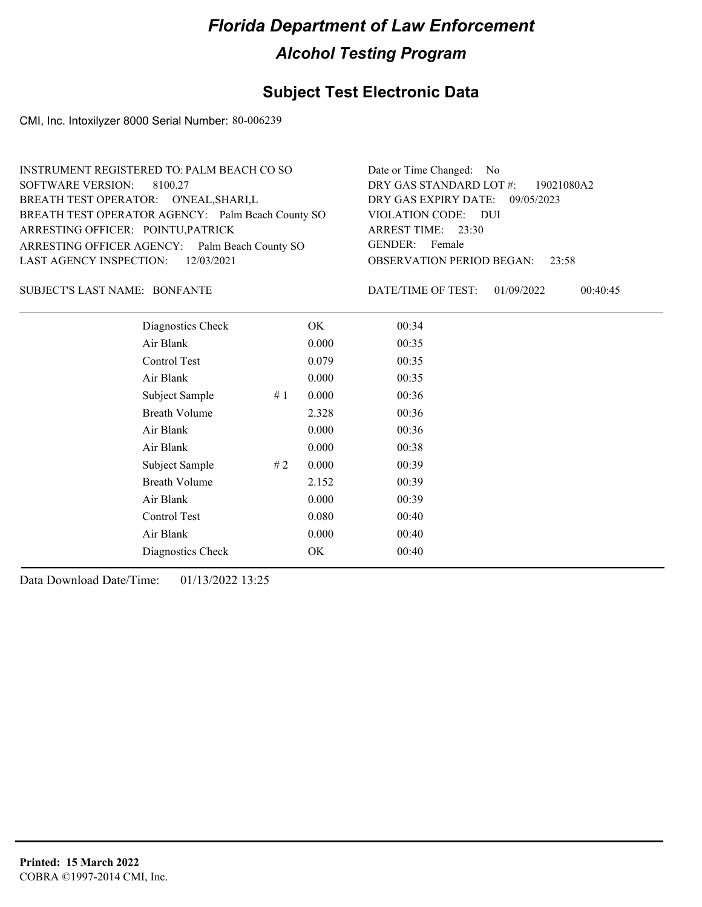### **Subject Test Electronic Data**

CMI, Inc. Intoxilyzer 8000 Serial Number: 80-006239

| INSTRUMENT REGISTERED TO: PALM BEACH CO SO        | Date or Time Changed: No               |
|---------------------------------------------------|----------------------------------------|
| SOFTWARE VERSION: 8100.27                         | DRY GAS STANDARD LOT #: 19021080A2     |
| BREATH TEST OPERATOR: O'NEAL, SHARI, L            | DRY GAS EXPIRY DATE: 09/05/2023        |
| BREATH TEST OPERATOR AGENCY: Palm Beach County SO | VIOLATION CODE: DUI                    |
| ARRESTING OFFICER: POINTU, PATRICK                | ARREST TIME: 23:30                     |
| ARRESTING OFFICER AGENCY: Palm Beach County SO    | GENDER: Female                         |
| LAST AGENCY INSPECTION: 12/03/2021                | <b>OBSERVATION PERIOD BEGAN: 23:58</b> |
|                                                   |                                        |

#### BONFANTE SUBJECT'S LAST NAME: DATE/TIME OF TEST:

DATE/TIME OF TEST: 01/09/2022 00:40:45

| Diagnostics Check    |    | OK    | 00:34 |
|----------------------|----|-------|-------|
| Air Blank            |    | 0.000 | 00:35 |
| Control Test         |    | 0.079 | 00:35 |
| Air Blank            |    | 0.000 | 00:35 |
| Subject Sample       | #1 | 0.000 | 00:36 |
| <b>Breath Volume</b> |    | 2.328 | 00:36 |
| Air Blank            |    | 0.000 | 00:36 |
| Air Blank            |    | 0.000 | 00:38 |
| Subject Sample       | #2 | 0.000 | 00:39 |
| <b>Breath Volume</b> |    | 2.152 | 00:39 |
| Air Blank            |    | 0.000 | 00:39 |
| Control Test         |    | 0.080 | 00:40 |
| Air Blank            |    | 0.000 | 00:40 |
| Diagnostics Check    |    | OK    | 00:40 |
|                      |    |       |       |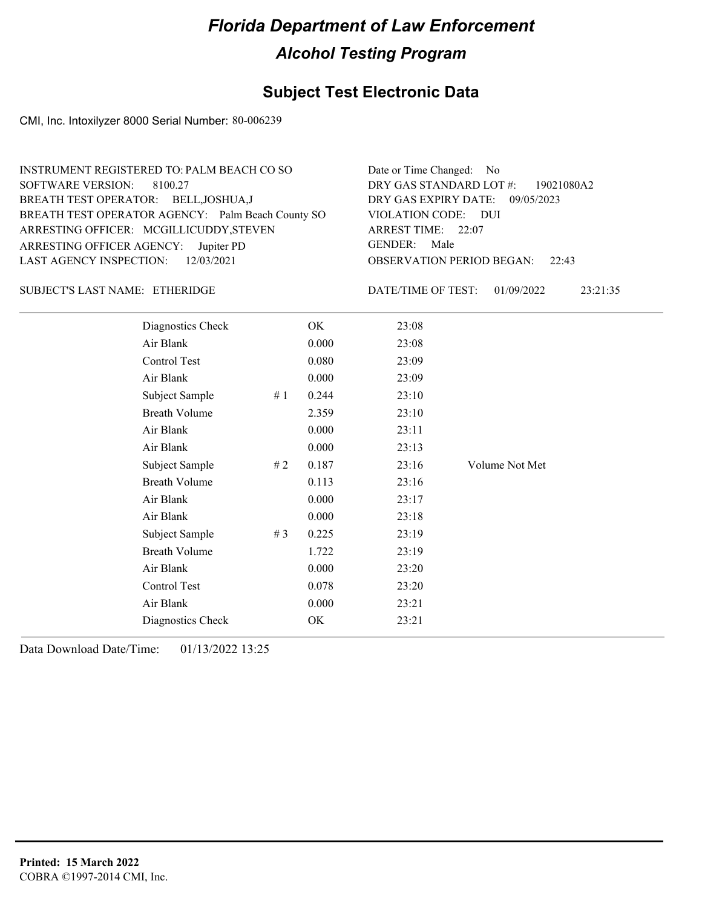### **Subject Test Electronic Data**

CMI, Inc. Intoxilyzer 8000 Serial Number: 80-006239

| INSTRUMENT REGISTERED TO: PALM BEACH CO SO        | Date or Time Changed: No               |
|---------------------------------------------------|----------------------------------------|
| SOFTWARE VERSION: 8100.27                         | DRY GAS STANDARD LOT #: 19021080A2     |
| BREATH TEST OPERATOR: BELL, JOSHUA, J             | DRY GAS EXPIRY DATE: 09/05/2023        |
| BREATH TEST OPERATOR AGENCY: Palm Beach County SO | VIOLATION CODE: DUI                    |
| ARRESTING OFFICER: MCGILLICUDDY, STEVEN           | ARREST TIME: 22:07                     |
| ARRESTING OFFICER AGENCY: Jupiter PD              | GENDER: Male                           |
| LAST AGENCY INSPECTION: 12/03/2021                | <b>OBSERVATION PERIOD BEGAN: 22:43</b> |
|                                                   |                                        |

#### ETHERIDGE SUBJECT'S LAST NAME: DATE/TIME OF TEST:

DATE/TIME OF TEST: 01/09/2022 23:21:35

| Diagnostics Check    |    | OK    | 23:08 |                |
|----------------------|----|-------|-------|----------------|
| Air Blank            |    | 0.000 | 23:08 |                |
| Control Test         |    | 0.080 | 23:09 |                |
| Air Blank            |    | 0.000 | 23:09 |                |
| Subject Sample       | #1 | 0.244 | 23:10 |                |
| <b>Breath Volume</b> |    | 2.359 | 23:10 |                |
| Air Blank            |    | 0.000 | 23:11 |                |
| Air Blank            |    | 0.000 | 23:13 |                |
| Subject Sample       | #2 | 0.187 | 23:16 | Volume Not Met |
| <b>Breath Volume</b> |    | 0.113 | 23:16 |                |
| Air Blank            |    | 0.000 | 23:17 |                |
| Air Blank            |    | 0.000 | 23:18 |                |
| Subject Sample       | #3 | 0.225 | 23:19 |                |
| <b>Breath Volume</b> |    | 1.722 | 23:19 |                |
| Air Blank            |    | 0.000 | 23:20 |                |
| Control Test         |    | 0.078 | 23:20 |                |
| Air Blank            |    | 0.000 | 23:21 |                |
| Diagnostics Check    |    | OK    | 23:21 |                |
|                      |    |       |       |                |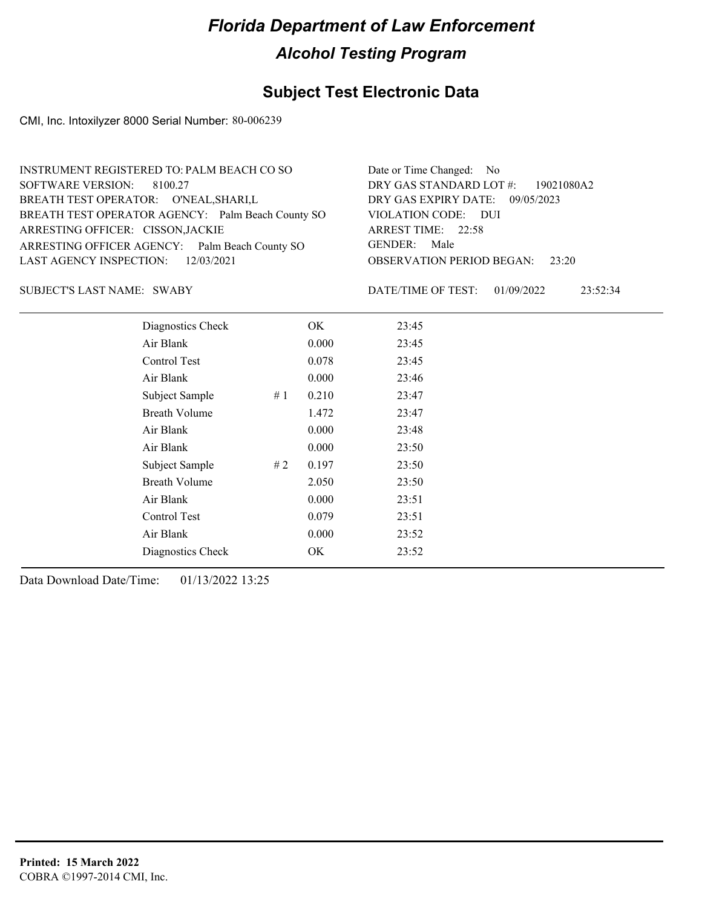### **Subject Test Electronic Data**

CMI, Inc. Intoxilyzer 8000 Serial Number: 80-006239

| INSTRUMENT REGISTERED TO: PALM BEACH CO SO        | Date or Time Changed: No               |
|---------------------------------------------------|----------------------------------------|
| SOFTWARE VERSION: 8100.27                         | DRY GAS STANDARD LOT #: 19021080A2     |
| BREATH TEST OPERATOR: O'NEAL, SHARI, L            | DRY GAS EXPIRY DATE: 09/05/2023        |
| BREATH TEST OPERATOR AGENCY: Palm Beach County SO | VIOLATION CODE: DUI                    |
| ARRESTING OFFICER: CISSON, JACKIE                 | ARREST TIME: 22:58                     |
| ARRESTING OFFICER AGENCY: Palm Beach County SO    | GENDER: Male                           |
| LAST AGENCY INSPECTION: 12/03/2021                | <b>OBSERVATION PERIOD BEGAN: 23:20</b> |
|                                                   |                                        |

SUBJECT'S LAST NAME: SWABY DATE/TIME OF TEST:

DATE/TIME OF TEST: 01/09/2022 23:52:34

| Diagnostics Check    |    | OK    | 23:45 |
|----------------------|----|-------|-------|
| Air Blank            |    | 0.000 | 23:45 |
| Control Test         |    | 0.078 | 23:45 |
| Air Blank            |    | 0.000 | 23:46 |
| Subject Sample       | #1 | 0.210 | 23:47 |
| <b>Breath Volume</b> |    | 1.472 | 23:47 |
| Air Blank            |    | 0.000 | 23:48 |
| Air Blank            |    | 0.000 | 23:50 |
| Subject Sample       | #2 | 0.197 | 23:50 |
| <b>Breath Volume</b> |    | 2.050 | 23:50 |
| Air Blank            |    | 0.000 | 23:51 |
| Control Test         |    | 0.079 | 23:51 |
| Air Blank            |    | 0.000 | 23:52 |
| Diagnostics Check    |    | OK    | 23:52 |
|                      |    |       |       |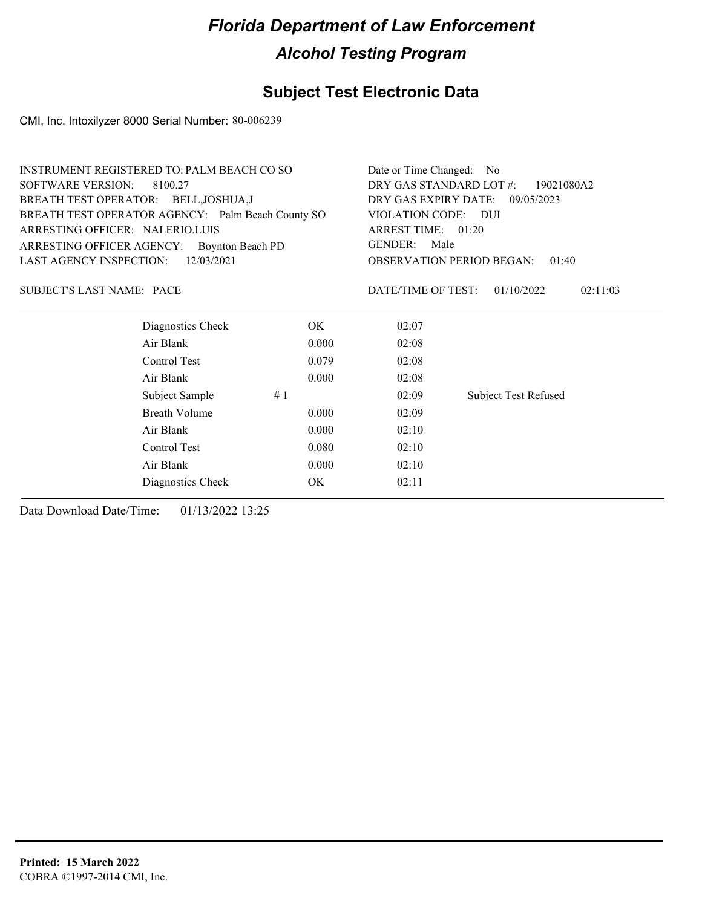## **Subject Test Electronic Data**

CMI, Inc. Intoxilyzer 8000 Serial Number: 80-006239

| INSTRUMENT REGISTERED TO: PALM BEACH CO SO        | Date or Time Changed: No                    |
|---------------------------------------------------|---------------------------------------------|
| SOFTWARE VERSION: 8100.27                         | DRY GAS STANDARD LOT #: 19021080A2          |
| BREATH TEST OPERATOR: BELL, JOSHUA, J             | DRY GAS EXPIRY DATE: 09/05/2023             |
| BREATH TEST OPERATOR AGENCY: Palm Beach County SO | VIOLATION CODE: DUI                         |
| ARRESTING OFFICER: NALERIO, LUIS                  | ARREST TIME: 01:20                          |
| ARRESTING OFFICER AGENCY: Boynton Beach PD        | GENDER: Male                                |
| LAST AGENCY INSPECTION: 12/03/2021                | <b>OBSERVATION PERIOD BEGAN: 01:40</b>      |
|                                                   |                                             |
| SUBJECT'S LAST NAME: PACE                         | 02:11:03<br>DATE/TIME OF TEST: $01/10/2022$ |

| Diagnostics Check    | OK    | 02:07 |                             |
|----------------------|-------|-------|-----------------------------|
| Air Blank            | 0.000 | 02:08 |                             |
| Control Test         | 0.079 | 02:08 |                             |
| Air Blank            | 0.000 | 02:08 |                             |
| Subject Sample       | #1    | 02:09 | <b>Subject Test Refused</b> |
| <b>Breath Volume</b> | 0.000 | 02:09 |                             |
| Air Blank            | 0.000 | 02:10 |                             |
| Control Test         | 0.080 | 02:10 |                             |
| Air Blank            | 0.000 | 02:10 |                             |
| Diagnostics Check    | OK    | 02:11 |                             |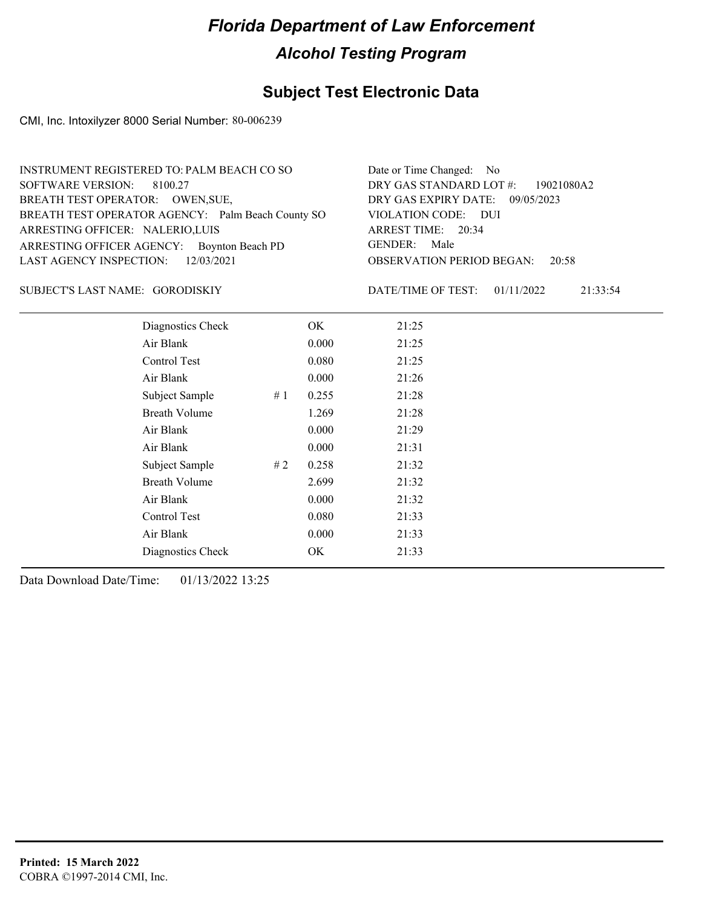### **Subject Test Electronic Data**

CMI, Inc. Intoxilyzer 8000 Serial Number: 80-006239

| INSTRUMENT REGISTERED TO: PALM BEACH CO SO        | Date or Time Changed: No               |
|---------------------------------------------------|----------------------------------------|
| SOFTWARE VERSION: 8100.27                         | DRY GAS STANDARD LOT #: 19021080A2     |
| BREATH TEST OPERATOR: OWEN, SUE,                  | DRY GAS EXPIRY DATE: 09/05/2023        |
| BREATH TEST OPERATOR AGENCY: Palm Beach County SO | VIOLATION CODE: DUI                    |
| ARRESTING OFFICER: NALERIO, LUIS                  | ARREST TIME: 20:34                     |
| ARRESTING OFFICER AGENCY: Boynton Beach PD        | GENDER: Male                           |
| LAST AGENCY INSPECTION: $12/03/2021$              | <b>OBSERVATION PERIOD BEGAN: 20:58</b> |
|                                                   |                                        |

#### GORODISKIY SUBJECT'S LAST NAME: DATE/TIME OF TEST:

DATE/TIME OF TEST: 01/11/2022 21:33:54

| Diagnostics Check    |    | OK    | 21:25 |
|----------------------|----|-------|-------|
| Air Blank            |    | 0.000 | 21:25 |
| Control Test         |    | 0.080 | 21:25 |
| Air Blank            |    | 0.000 | 21:26 |
| Subject Sample       | #1 | 0.255 | 21:28 |
| <b>Breath Volume</b> |    | 1.269 | 21:28 |
| Air Blank            |    | 0.000 | 21:29 |
| Air Blank            |    | 0.000 | 21:31 |
| Subject Sample       | #2 | 0.258 | 21:32 |
| <b>Breath Volume</b> |    | 2.699 | 21:32 |
| Air Blank            |    | 0.000 | 21:32 |
| Control Test         |    | 0.080 | 21:33 |
| Air Blank            |    | 0.000 | 21:33 |
| Diagnostics Check    |    | OK    | 21:33 |
|                      |    |       |       |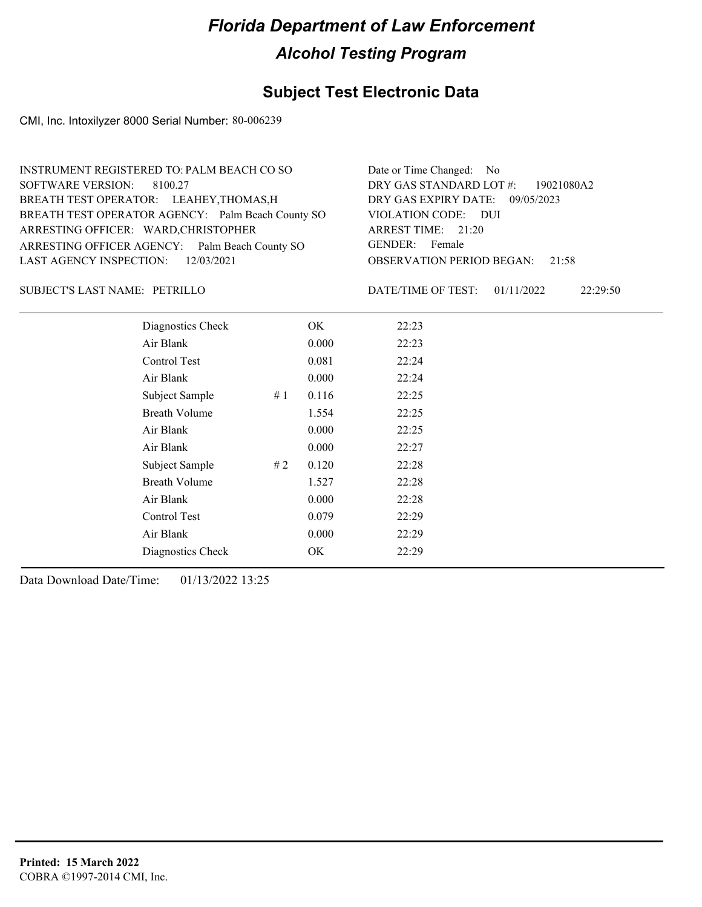### **Subject Test Electronic Data**

CMI, Inc. Intoxilyzer 8000 Serial Number: 80-006239

| INSTRUMENT REGISTERED TO: PALM BEACH CO SO        | Date or Time Changed: No               |
|---------------------------------------------------|----------------------------------------|
| SOFTWARE VERSION: 8100.27                         | DRY GAS STANDARD LOT #: 19021080A2     |
| BREATH TEST OPERATOR: LEAHEY, THOMAS, H           | DRY GAS EXPIRY DATE: 09/05/2023        |
| BREATH TEST OPERATOR AGENCY: Palm Beach County SO | VIOLATION CODE: DUI                    |
| ARRESTING OFFICER: WARD, CHRISTOPHER              | ARREST TIME: 21:20                     |
| ARRESTING OFFICER AGENCY: Palm Beach County SO    | GENDER: Female                         |
| LAST AGENCY INSPECTION: 12/03/2021                | <b>OBSERVATION PERIOD BEGAN: 21:58</b> |
|                                                   |                                        |

#### PETRILLO SUBJECT'S LAST NAME: DATE/TIME OF TEST:

DATE/TIME OF TEST: 01/11/2022 22:29:50

| Diagnostics Check    |    | OK    | 22:23 |
|----------------------|----|-------|-------|
| Air Blank            |    | 0.000 | 22:23 |
| Control Test         |    | 0.081 | 22:24 |
| Air Blank            |    | 0.000 | 22:24 |
| Subject Sample       | #1 | 0.116 | 22:25 |
| <b>Breath Volume</b> |    | 1.554 | 22:25 |
| Air Blank            |    | 0.000 | 22:25 |
| Air Blank            |    | 0.000 | 22:27 |
| Subject Sample       | #2 | 0.120 | 22:28 |
| <b>Breath Volume</b> |    | 1.527 | 22:28 |
| Air Blank            |    | 0.000 | 22:28 |
| Control Test         |    | 0.079 | 22:29 |
| Air Blank            |    | 0.000 | 22:29 |
| Diagnostics Check    |    | OK    | 22:29 |
|                      |    |       |       |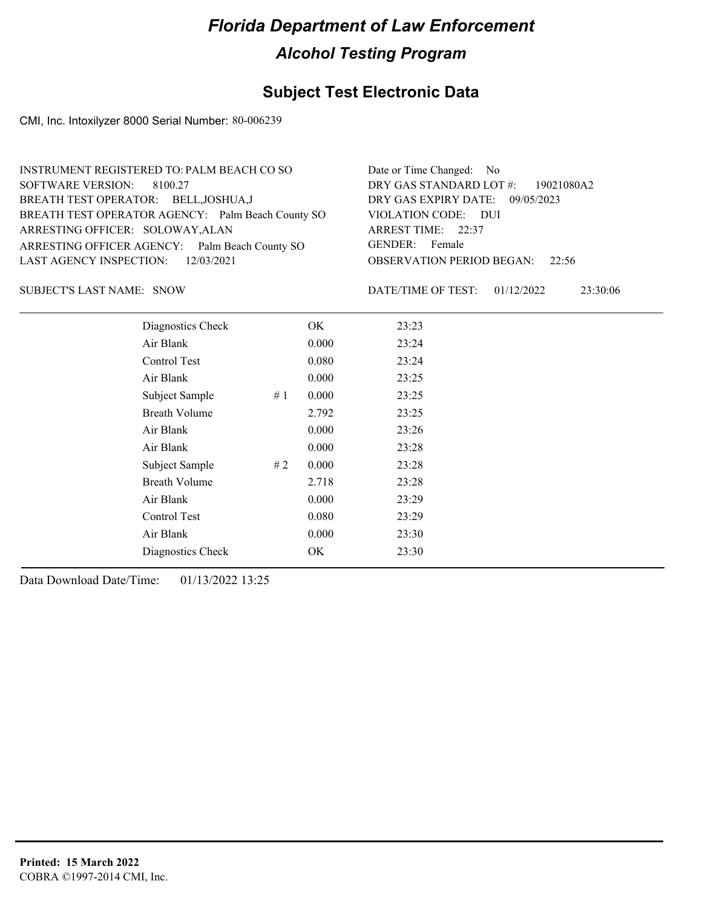### **Subject Test Electronic Data**

CMI, Inc. Intoxilyzer 8000 Serial Number: 80-006239

| INSTRUMENT REGISTERED TO: PALM BEACH CO SO        | Date or Time Changed: No               |
|---------------------------------------------------|----------------------------------------|
| SOFTWARE VERSION: 8100.27                         | DRY GAS STANDARD LOT #: 19021080A2     |
| BREATH TEST OPERATOR: BELL, JOSHUA, J             | DRY GAS EXPIRY DATE: 09/05/2023        |
| BREATH TEST OPERATOR AGENCY: Palm Beach County SO | VIOLATION CODE: DUI                    |
| ARRESTING OFFICER: SOLOWAY, ALAN                  | ARREST TIME: 22:37                     |
| ARRESTING OFFICER AGENCY: Palm Beach County SO    | GENDER: Female                         |
| LAST AGENCY INSPECTION: $12/03/2021$              | <b>OBSERVATION PERIOD BEGAN: 22:56</b> |
|                                                   |                                        |

SUBJECT'S LAST NAME: SNOW DATE/TIME OF TEST:

DATE/TIME OF TEST: 01/12/2022 23:30:06

| Diagnostics Check    |    | OK    | 23:23 |
|----------------------|----|-------|-------|
| Air Blank            |    | 0.000 | 23:24 |
| Control Test         |    | 0.080 | 23:24 |
| Air Blank            |    | 0.000 | 23:25 |
| Subject Sample       | #1 | 0.000 | 23:25 |
| <b>Breath Volume</b> |    | 2.792 | 23:25 |
| Air Blank            |    | 0.000 | 23:26 |
| Air Blank            |    | 0.000 | 23:28 |
| Subject Sample       | #2 | 0.000 | 23:28 |
| <b>Breath Volume</b> |    | 2.718 | 23:28 |
| Air Blank            |    | 0.000 | 23:29 |
| Control Test         |    | 0.080 | 23:29 |
| Air Blank            |    | 0.000 | 23:30 |
| Diagnostics Check    |    | OK    | 23:30 |
|                      |    |       |       |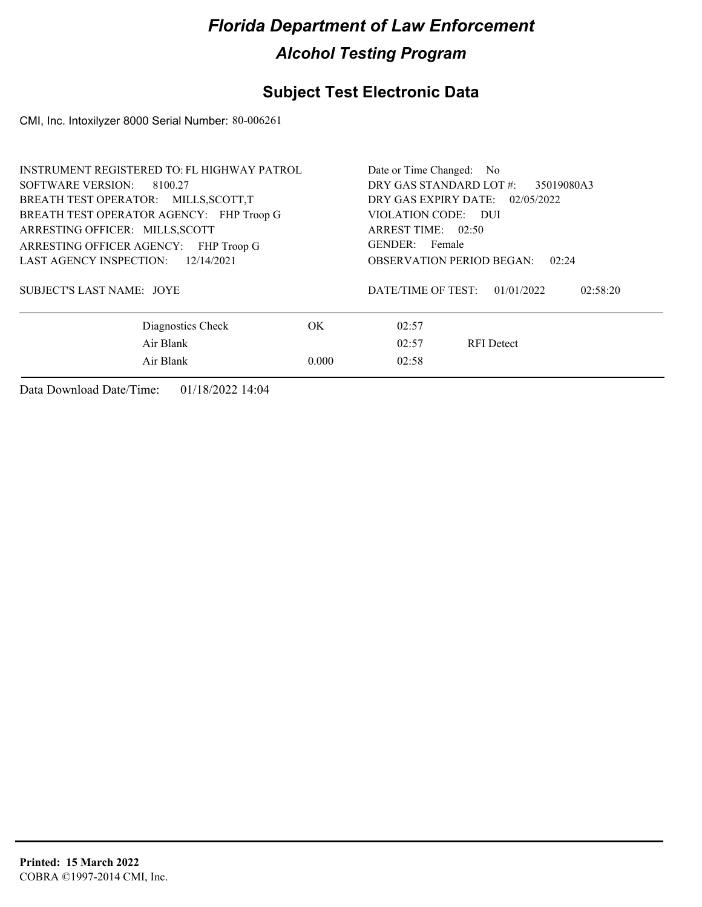## **Subject Test Electronic Data**

CMI, Inc. Intoxilyzer 8000 Serial Number: 80-006261

| INSTRUMENT REGISTERED TO: FL HIGHWAY PATROL | Date or Time Changed: No                               |  |  |
|---------------------------------------------|--------------------------------------------------------|--|--|
| SOFTWARE VERSION: 8100.27                   | DRY GAS STANDARD LOT #:<br>35019080A3                  |  |  |
| BREATH TEST OPERATOR: MILLS, SCOTT, T       | DRY GAS EXPIRY DATE: 02/05/2022<br>VIOLATION CODE: DUI |  |  |
| BREATH TEST OPERATOR AGENCY: FHP Troop G    |                                                        |  |  |
| ARRESTING OFFICER: MILLS, SCOTT             | ARREST TIME: 02:50                                     |  |  |
| ARRESTING OFFICER AGENCY: FHP Troop G       | GENDER: Female                                         |  |  |
| LAST AGENCY INSPECTION:<br>12/14/2021       | <b>OBSERVATION PERIOD BEGAN:</b><br>02:24              |  |  |
| <b>SUBJECT'S LAST NAME: JOYE</b>            | DATE/TIME OF TEST:<br>02:58:20<br>01/01/2022           |  |  |
| Diagnostics Check<br>OK.                    | 02:57                                                  |  |  |
| Air Blank                                   | 02:57<br><b>RFI</b> Detect                             |  |  |
| Air Blank<br>0.000                          | 02:58                                                  |  |  |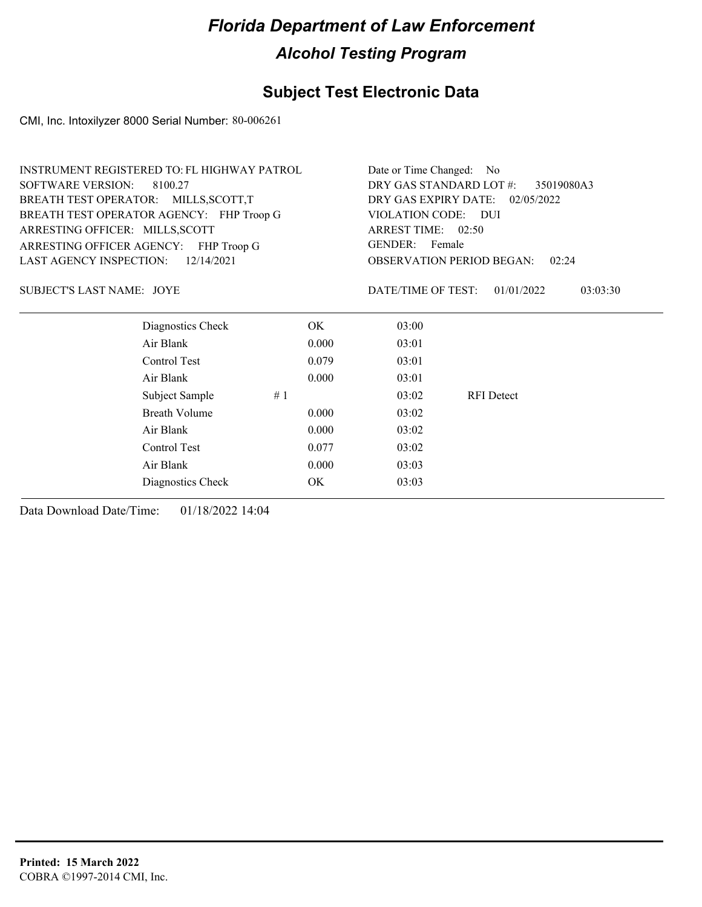### **Subject Test Electronic Data**

CMI, Inc. Intoxilyzer 8000 Serial Number: 80-006261

|                                                                                       | <b>INSTRUMENT REGISTERED TO: FL HIGHWAY PATROL</b> |    |                                                             | Date or Time Changed: No                  |                   |                                  |
|---------------------------------------------------------------------------------------|----------------------------------------------------|----|-------------------------------------------------------------|-------------------------------------------|-------------------|----------------------------------|
| <b>SOFTWARE VERSION:</b><br>8100.27                                                   |                                                    |    | DRY GAS STANDARD LOT #:<br>35019080A3                       |                                           |                   |                                  |
| BREATH TEST OPERATOR: MILLS, SCOTT, T                                                 |                                                    |    | DRY GAS EXPIRY DATE: 02/05/2022                             |                                           |                   |                                  |
|                                                                                       | BREATH TEST OPERATOR AGENCY: FHP Troop G           |    |                                                             | VIOLATION CODE: DUI<br>ARREST TIME: 02:50 |                   |                                  |
| ARRESTING OFFICER: MILLS, SCOTT                                                       |                                                    |    |                                                             |                                           |                   |                                  |
| ARRESTING OFFICER AGENCY: FHP Troop G<br>12/14/2021<br><b>LAST AGENCY INSPECTION:</b> |                                                    |    | GENDER: Female<br><b>OBSERVATION PERIOD BEGAN:</b><br>02:24 |                                           |                   |                                  |
|                                                                                       |                                                    |    |                                                             |                                           |                   | <b>SUBJECT'S LAST NAME: JOYE</b> |
|                                                                                       | Diagnostics Check                                  |    | OK.                                                         | 03:00                                     |                   |                                  |
|                                                                                       | Air Blank                                          |    | 0.000                                                       | 03:01                                     |                   |                                  |
|                                                                                       | Control Test                                       |    | 0.079                                                       | 03:01                                     |                   |                                  |
|                                                                                       | Air Blank                                          |    | 0.000                                                       | 03:01                                     |                   |                                  |
|                                                                                       | Subject Sample                                     | #1 |                                                             | 03:02                                     | <b>RFI</b> Detect |                                  |
|                                                                                       | <b>Breath Volume</b>                               |    | 0.000                                                       | 03:02                                     |                   |                                  |
|                                                                                       | Air Blank                                          |    | 0.000                                                       | 03:02                                     |                   |                                  |
|                                                                                       | Control Test                                       |    | 0.077                                                       | 03:02                                     |                   |                                  |
|                                                                                       | Air Blank                                          |    | 0.000                                                       | 03:03                                     |                   |                                  |
|                                                                                       | Diagnostics Check                                  |    | OK                                                          | 03:03                                     |                   |                                  |
|                                                                                       |                                                    |    |                                                             |                                           |                   |                                  |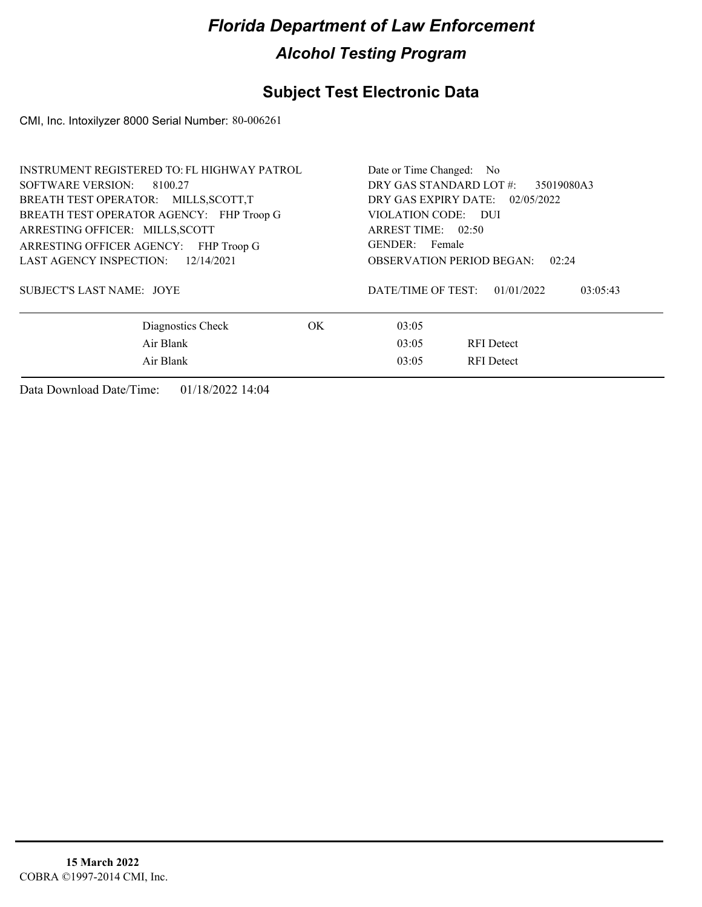## **Subject Test Electronic Data**

CMI, Inc. Intoxilyzer 8000 Serial Number: 80-006261

| <b>INSTRUMENT REGISTERED TO: FL HIGHWAY PATROL</b> | Date or Time Changed: No                     |
|----------------------------------------------------|----------------------------------------------|
| SOFTWARE VERSION: 8100.27                          | DRY GAS STANDARD LOT #:<br>35019080A3        |
| BREATH TEST OPERATOR: MILLS, SCOTT, T              | DRY GAS EXPIRY DATE: 02/05/2022              |
| BREATH TEST OPERATOR AGENCY: FHP Troop G           | VIOLATION CODE: DUI                          |
| ARRESTING OFFICER: MILLS, SCOTT                    | ARREST TIME: 02:50                           |
| ARRESTING OFFICER AGENCY: FHP Troop G              | GENDER: Female                               |
| LAST AGENCY INSPECTION: 12/14/2021                 | <b>OBSERVATION PERIOD BEGAN:</b><br>02:24    |
| <b>SUBJECT'S LAST NAME: JOYE</b>                   | DATE/TIME OF TEST:<br>01/01/2022<br>03:05:43 |
| OK.<br>Diagnostics Check                           | 03:05                                        |
| Air Blank                                          | 03:05<br><b>RFI</b> Detect                   |
| Air Blank                                          | 03:05<br><b>RFI</b> Detect                   |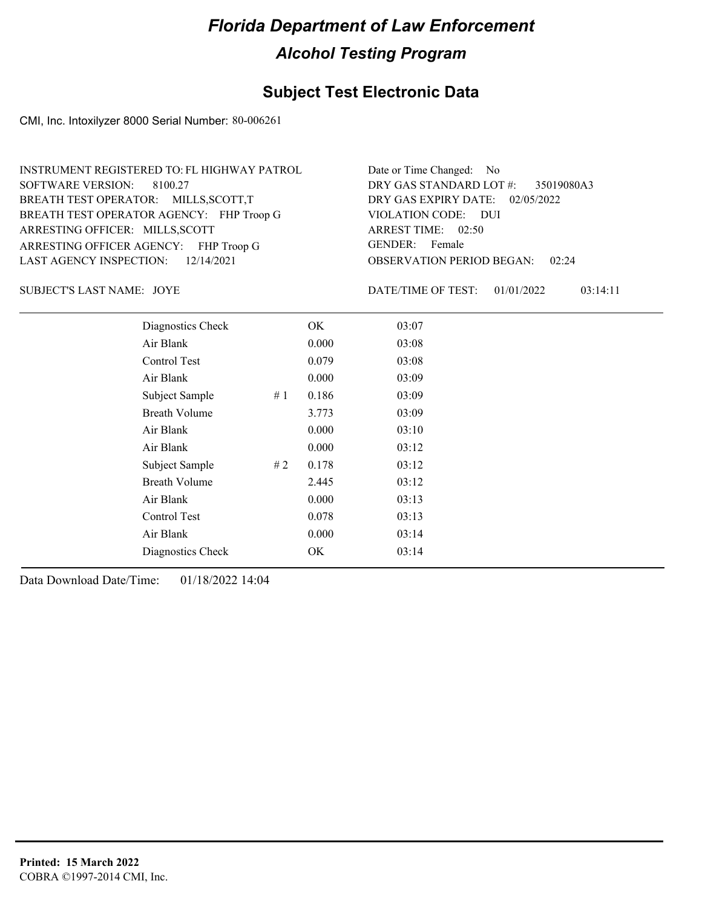### **Subject Test Electronic Data**

CMI, Inc. Intoxilyzer 8000 Serial Number: 80-006261

| INSTRUMENT REGISTERED TO: FL HIGHWAY PATROL | Date or Time Changed: No               |
|---------------------------------------------|----------------------------------------|
| SOFTWARE VERSION: 8100.27                   | DRY GAS STANDARD LOT #: 35019080A3     |
| BREATH TEST OPERATOR: MILLS, SCOTT, T       | DRY GAS EXPIRY DATE: 02/05/2022        |
| BREATH TEST OPERATOR AGENCY: FHP Troop G    | VIOLATION CODE: DUI                    |
| ARRESTING OFFICER: MILLS, SCOTT             | ARREST TIME: 02:50                     |
| ARRESTING OFFICER AGENCY: FHP Troop G       | GENDER: Female                         |
| LAST AGENCY INSPECTION: $12/14/2021$        | <b>OBSERVATION PERIOD BEGAN: 02:24</b> |

JOYE SUBJECT'S LAST NAME: DATE/TIME OF TEST:

DATE/TIME OF TEST: 01/01/2022 03:14:11

| Diagnostics Check    | OK    | 03:07 |
|----------------------|-------|-------|
| Air Blank            | 0.000 | 03:08 |
| Control Test         | 0.079 | 03:08 |
| Air Blank            | 0.000 | 03:09 |
| Subject Sample<br>#1 | 0.186 | 03:09 |
| <b>Breath Volume</b> | 3.773 | 03:09 |
| Air Blank            | 0.000 | 03:10 |
| Air Blank            | 0.000 | 03:12 |
| Subject Sample<br>#2 | 0.178 | 03:12 |
| <b>Breath Volume</b> | 2.445 | 03:12 |
| Air Blank            | 0.000 | 03:13 |
| Control Test         | 0.078 | 03:13 |
| Air Blank            | 0.000 | 03:14 |
| Diagnostics Check    | OK    | 03:14 |
|                      |       |       |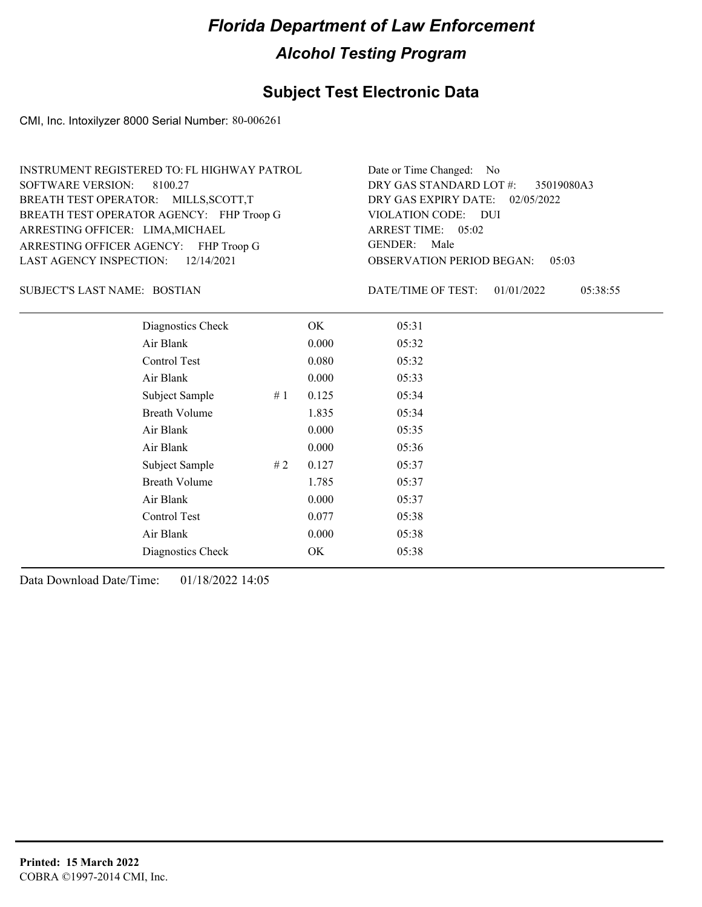### **Subject Test Electronic Data**

CMI, Inc. Intoxilyzer 8000 Serial Number: 80-006261

| INSTRUMENT REGISTERED TO: FL HIGHWAY PATROL | Date or Time Changed: No               |
|---------------------------------------------|----------------------------------------|
| SOFTWARE VERSION: 8100.27                   | DRY GAS STANDARD LOT #: 35019080A3     |
| BREATH TEST OPERATOR: MILLS, SCOTT, T       | DRY GAS EXPIRY DATE: 02/05/2022        |
| BREATH TEST OPERATOR AGENCY: FHP Troop G    | VIOLATION CODE: DUI                    |
| ARRESTING OFFICER: LIMA, MICHAEL            | ARREST TIME: 05:02                     |
| ARRESTING OFFICER AGENCY: FHP Troop G       | GENDER: Male                           |
| LAST AGENCY INSPECTION: $12/14/2021$        | <b>OBSERVATION PERIOD BEGAN: 05:03</b> |

BOSTIAN SUBJECT'S LAST NAME: DATE/TIME OF TEST:

DATE/TIME OF TEST: 01/01/2022 05:38:55

| Diagnostics Check    |    | OK    | 05:31 |
|----------------------|----|-------|-------|
| Air Blank            |    | 0.000 | 05:32 |
| Control Test         |    | 0.080 | 05:32 |
| Air Blank            |    | 0.000 | 05:33 |
| Subject Sample       | #1 | 0.125 | 05:34 |
| <b>Breath Volume</b> |    | 1.835 | 05:34 |
| Air Blank            |    | 0.000 | 05:35 |
| Air Blank            |    | 0.000 | 05:36 |
| Subject Sample       | #2 | 0.127 | 05:37 |
| <b>Breath Volume</b> |    | 1.785 | 05:37 |
| Air Blank            |    | 0.000 | 05:37 |
| Control Test         |    | 0.077 | 05:38 |
| Air Blank            |    | 0.000 | 05:38 |
| Diagnostics Check    |    | OK    | 05:38 |
|                      |    |       |       |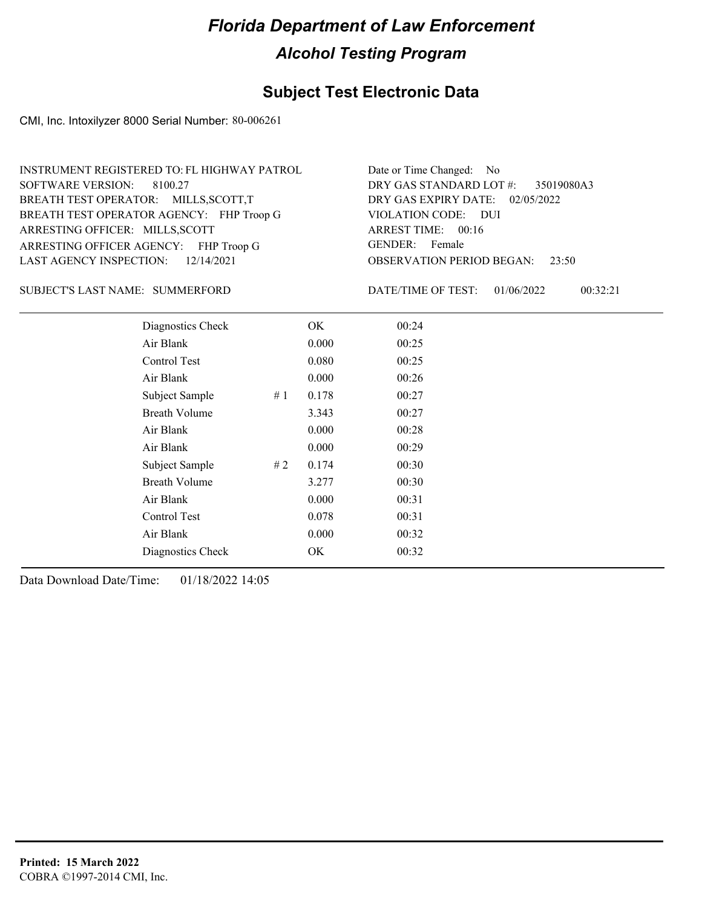### **Subject Test Electronic Data**

CMI, Inc. Intoxilyzer 8000 Serial Number: 80-006261

| INSTRUMENT REGISTERED TO: FL HIGHWAY PATROL | Date or Time Changed: No               |
|---------------------------------------------|----------------------------------------|
| SOFTWARE VERSION: 8100.27                   | DRY GAS STANDARD LOT #: 35019080A3     |
| BREATH TEST OPERATOR: MILLS, SCOTT, T       | DRY GAS EXPIRY DATE: 02/05/2022        |
| BREATH TEST OPERATOR AGENCY: FHP Troop G    | VIOLATION CODE: DUI                    |
| ARRESTING OFFICER: MILLS, SCOTT             | ARREST TIME: 00:16                     |
| ARRESTING OFFICER AGENCY: FHP Troop G       | GENDER: Female                         |
| LAST AGENCY INSPECTION: $12/14/2021$        | <b>OBSERVATION PERIOD BEGAN: 23:50</b> |

SUBJECT'S LAST NAME: SUMMERFORD DATE/TIME OF TEST:

DATE/TIME OF TEST: 01/06/2022 00:32:21

| Diagnostics Check    |       | OK    | 00:24 |  |
|----------------------|-------|-------|-------|--|
| Air Blank            |       | 0.000 | 00:25 |  |
| Control Test         |       | 0.080 | 00:25 |  |
| Air Blank            |       | 0.000 | 00:26 |  |
| Subject Sample       | #1    | 0.178 | 00:27 |  |
| <b>Breath Volume</b> |       | 3.343 | 00:27 |  |
| Air Blank            |       | 0.000 | 00:28 |  |
| Air Blank            |       | 0.000 | 00:29 |  |
| Subject Sample       | # $2$ | 0.174 | 00:30 |  |
| <b>Breath Volume</b> |       | 3.277 | 00:30 |  |
| Air Blank            |       | 0.000 | 00:31 |  |
| Control Test         |       | 0.078 | 00:31 |  |
| Air Blank            |       | 0.000 | 00:32 |  |
| Diagnostics Check    |       | OK    | 00:32 |  |
|                      |       |       |       |  |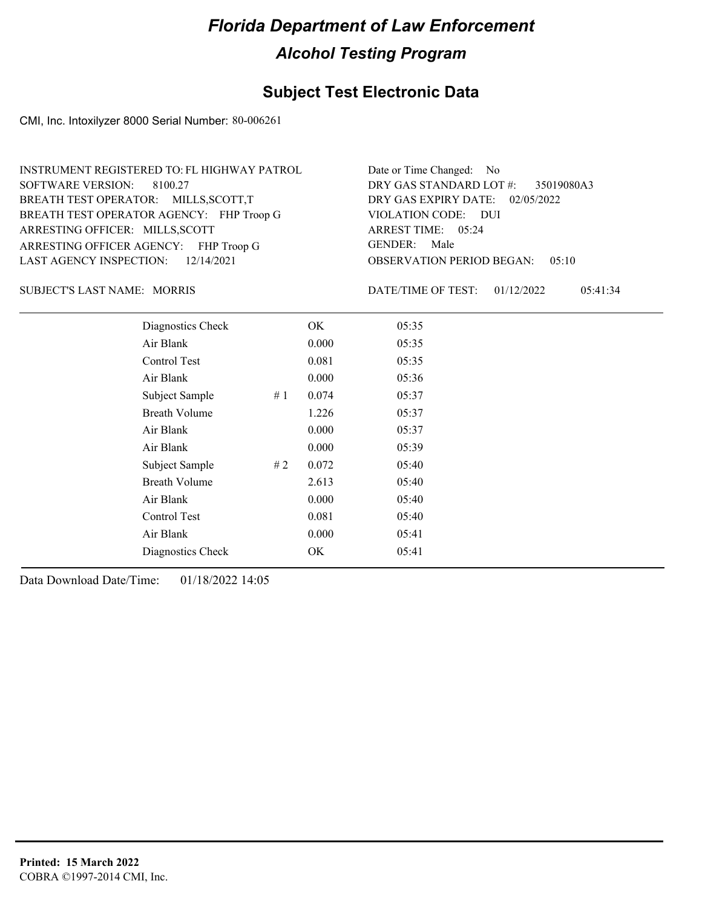### **Subject Test Electronic Data**

CMI, Inc. Intoxilyzer 8000 Serial Number: 80-006261

| INSTRUMENT REGISTERED TO: FL HIGHWAY PATROL | Date or Time Changed: No               |
|---------------------------------------------|----------------------------------------|
| SOFTWARE VERSION: 8100.27                   | DRY GAS STANDARD LOT #: 35019080A3     |
| BREATH TEST OPERATOR: MILLS, SCOTT, T       | DRY GAS EXPIRY DATE: 02/05/2022        |
| BREATH TEST OPERATOR AGENCY: FHP Troop G    | VIOLATION CODE: DUI                    |
| ARRESTING OFFICER: MILLS, SCOTT             | ARREST TIME: 05:24                     |
| ARRESTING OFFICER AGENCY: FHP Troop G       | GENDER: Male                           |
| LAST AGENCY INSPECTION: $12/14/2021$        | <b>OBSERVATION PERIOD BEGAN: 05:10</b> |

SUBJECT'S LAST NAME: MORRIS **Example 20 SUBJECT'S LAST NAME:** MORRIS

DATE/TIME OF TEST: 01/12/2022 05:41:34

| Diagnostics Check    |    | OK    | 05:35 |
|----------------------|----|-------|-------|
| Air Blank            |    | 0.000 | 05:35 |
| Control Test         |    | 0.081 | 05:35 |
| Air Blank            |    | 0.000 | 05:36 |
| Subject Sample       | #1 | 0.074 | 05:37 |
| <b>Breath Volume</b> |    | 1.226 | 05:37 |
| Air Blank            |    | 0.000 | 05:37 |
| Air Blank            |    | 0.000 | 05:39 |
| Subject Sample       | #2 | 0.072 | 05:40 |
| <b>Breath Volume</b> |    | 2.613 | 05:40 |
| Air Blank            |    | 0.000 | 05:40 |
| Control Test         |    | 0.081 | 05:40 |
| Air Blank            |    | 0.000 | 05:41 |
| Diagnostics Check    |    | OK    | 05:41 |
|                      |    |       |       |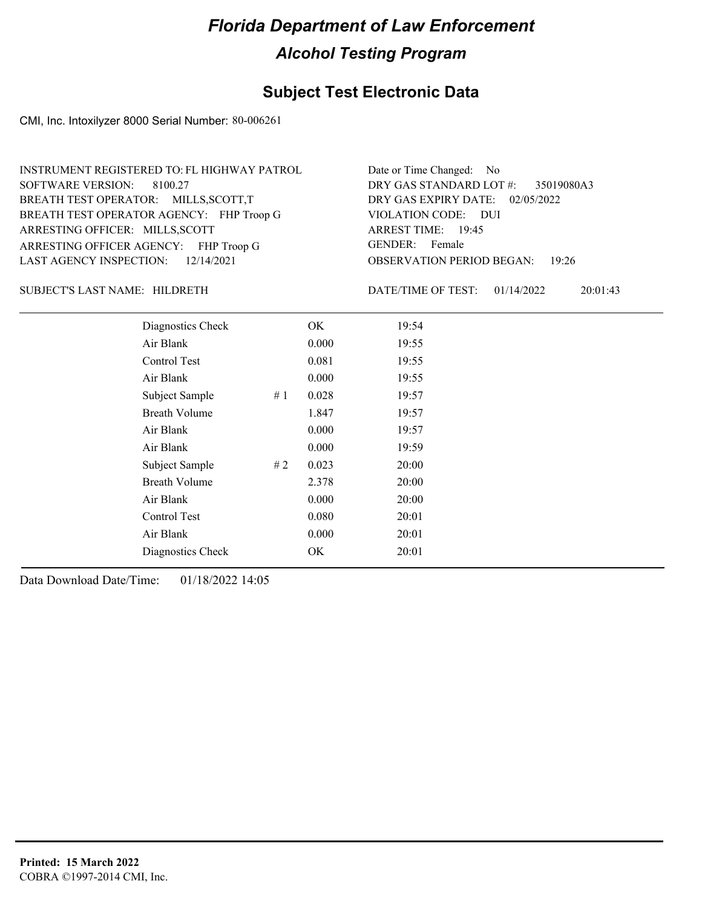### **Subject Test Electronic Data**

CMI, Inc. Intoxilyzer 8000 Serial Number: 80-006261

| INSTRUMENT REGISTERED TO: FL HIGHWAY PATROL | Date or Time Changed: No               |
|---------------------------------------------|----------------------------------------|
| SOFTWARE VERSION: 8100.27                   | DRY GAS STANDARD LOT #: 35019080A3     |
| BREATH TEST OPERATOR: MILLS, SCOTT, T       | DRY GAS EXPIRY DATE: 02/05/2022        |
| BREATH TEST OPERATOR AGENCY: FHP Troop G    | VIOLATION CODE: DUI                    |
| ARRESTING OFFICER: MILLS, SCOTT             | ARREST TIME: 19:45                     |
| ARRESTING OFFICER AGENCY: FHP Troop G       | GENDER: Female                         |
| LAST AGENCY INSPECTION: $12/14/2021$        | <b>OBSERVATION PERIOD BEGAN: 19:26</b> |

SUBJECT'S LAST NAME: HILDRETH DATE/TIME OF TEST:

DATE/TIME OF TEST: 01/14/2022 20:01:43

| Diagnostics Check    |    | OK    | 19:54 |  |
|----------------------|----|-------|-------|--|
| Air Blank            |    | 0.000 | 19:55 |  |
| Control Test         |    | 0.081 | 19:55 |  |
| Air Blank            |    | 0.000 | 19:55 |  |
| Subject Sample       | #1 | 0.028 | 19:57 |  |
| <b>Breath Volume</b> |    | 1.847 | 19:57 |  |
| Air Blank            |    | 0.000 | 19:57 |  |
| Air Blank            |    | 0.000 | 19:59 |  |
| Subject Sample       | #2 | 0.023 | 20:00 |  |
| <b>Breath Volume</b> |    | 2.378 | 20:00 |  |
| Air Blank            |    | 0.000 | 20:00 |  |
| Control Test         |    | 0.080 | 20:01 |  |
| Air Blank            |    | 0.000 | 20:01 |  |
| Diagnostics Check    |    | OK    | 20:01 |  |
|                      |    |       |       |  |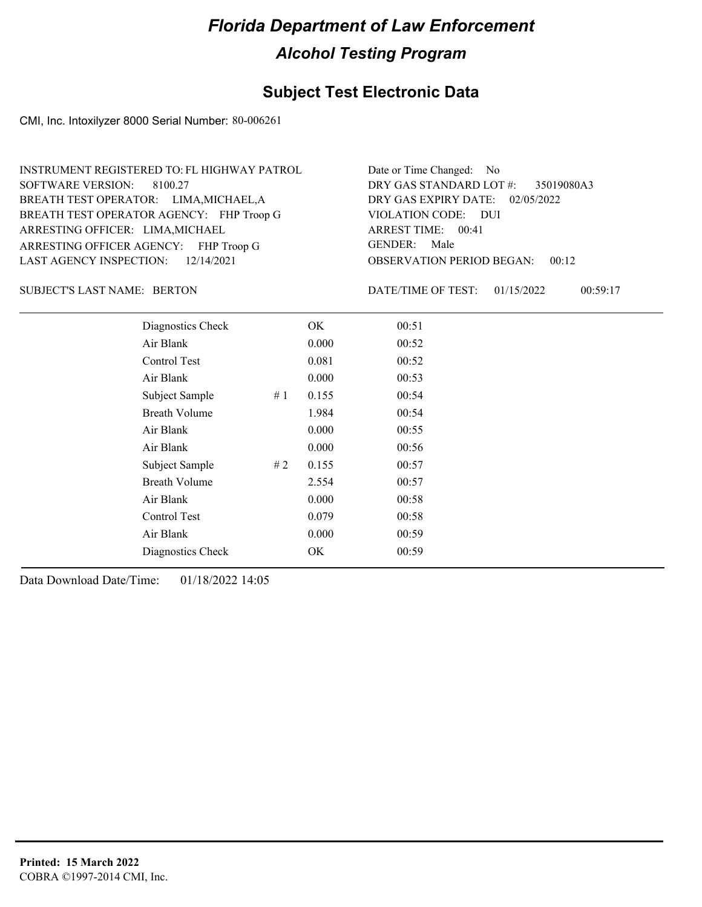### **Subject Test Electronic Data**

CMI, Inc. Intoxilyzer 8000 Serial Number: 80-006261

| INSTRUMENT REGISTERED TO: FL HIGHWAY PATROL | Date or Time Changed: No               |
|---------------------------------------------|----------------------------------------|
| SOFTWARE VERSION: 8100.27                   | DRY GAS STANDARD LOT #: 35019080A3     |
| BREATH TEST OPERATOR: LIMA, MICHAEL, A      | DRY GAS EXPIRY DATE: 02/05/2022        |
| BREATH TEST OPERATOR AGENCY: FHP Troop G    | VIOLATION CODE: DUI                    |
| ARRESTING OFFICER: LIMA, MICHAEL            | ARREST TIME: 00:41                     |
| ARRESTING OFFICER AGENCY: FHP Troop G       | GENDER: Male                           |
| LAST AGENCY INSPECTION: $12/14/2021$        | <b>OBSERVATION PERIOD BEGAN: 00:12</b> |

SUBJECT'S LAST NAME: BERTON DATE/TIME OF TEST:

DATE/TIME OF TEST: 01/15/2022 00:59:17

| Diagnostics Check    |    | OK    | 00:51 |
|----------------------|----|-------|-------|
| Air Blank            |    | 0.000 | 00:52 |
| Control Test         |    | 0.081 | 00:52 |
| Air Blank            |    | 0.000 | 00:53 |
| Subject Sample       | #1 | 0.155 | 00:54 |
| <b>Breath Volume</b> |    | 1.984 | 00:54 |
| Air Blank            |    | 0.000 | 00:55 |
| Air Blank            |    | 0.000 | 00:56 |
| Subject Sample       | #2 | 0.155 | 00:57 |
| <b>Breath Volume</b> |    | 2.554 | 00:57 |
| Air Blank            |    | 0.000 | 00:58 |
| <b>Control Test</b>  |    | 0.079 | 00:58 |
| Air Blank            |    | 0.000 | 00:59 |
| Diagnostics Check    |    | OK    | 00:59 |
|                      |    |       |       |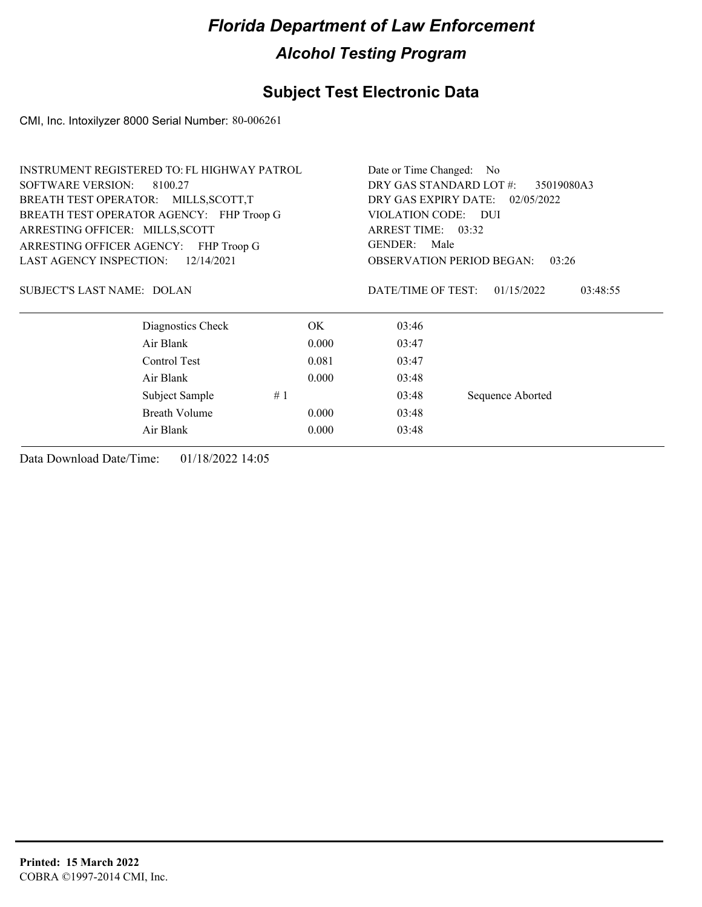## **Subject Test Electronic Data**

CMI, Inc. Intoxilyzer 8000 Serial Number: 80-006261

|                                       | <b>INSTRUMENT REGISTERED TO: FL HIGHWAY PATROL</b> |                                       | Date or Time Changed: No                  |                        |  |
|---------------------------------------|----------------------------------------------------|---------------------------------------|-------------------------------------------|------------------------|--|
| <b>SOFTWARE VERSION:</b>              | 8100.27                                            | DRY GAS STANDARD LOT #:<br>35019080A3 |                                           |                        |  |
| BREATH TEST OPERATOR: MILLS, SCOTT, T |                                                    | DRY GAS EXPIRY DATE: 02/05/2022       |                                           |                        |  |
|                                       | BREATH TEST OPERATOR AGENCY: FHP Troop G           |                                       | VIOLATION CODE: DUI                       |                        |  |
| ARRESTING OFFICER: MILLS, SCOTT       |                                                    | ARREST TIME: 03:32                    |                                           |                        |  |
|                                       | ARRESTING OFFICER AGENCY: FHP Troop G              |                                       | GENDER:<br>Male                           |                        |  |
| <b>LAST AGENCY INSPECTION:</b>        | 12/14/2021                                         |                                       | <b>OBSERVATION PERIOD BEGAN:</b><br>03:26 |                        |  |
| SUBJECT'S LAST NAME: DOLAN            |                                                    |                                       | DATE/TIME OF TEST:                        | 01/15/2022<br>03:48:55 |  |
|                                       | Diagnostics Check                                  | OK.                                   | 03:46                                     |                        |  |
|                                       | Air Blank                                          | 0.000                                 | 03:47                                     |                        |  |
|                                       | Control Test                                       | 0.081                                 | 03:47                                     |                        |  |
|                                       | Air Blank                                          | 0.000                                 | 03:48                                     |                        |  |
|                                       | Subject Sample                                     | 03:48                                 | Sequence Aborted                          |                        |  |
|                                       | <b>Breath Volume</b>                               | 03:48                                 |                                           |                        |  |
|                                       | Air Blank                                          | 0.000                                 | 03:48                                     |                        |  |
|                                       |                                                    |                                       |                                           |                        |  |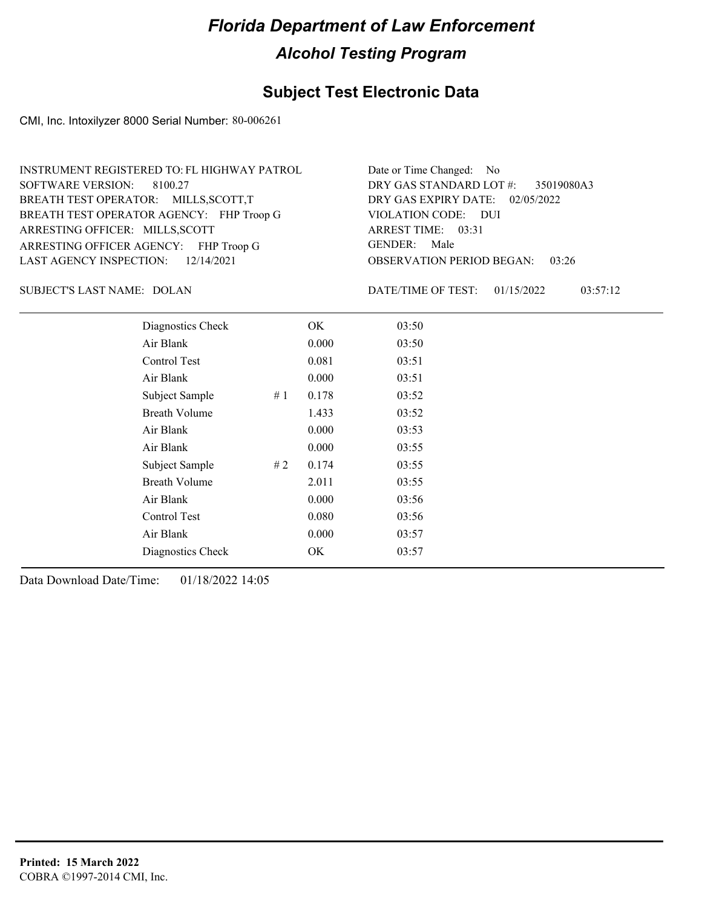### **Subject Test Electronic Data**

CMI, Inc. Intoxilyzer 8000 Serial Number: 80-006261

| INSTRUMENT REGISTERED TO: FL HIGHWAY PATROL | Date or Time Changed: No               |
|---------------------------------------------|----------------------------------------|
| SOFTWARE VERSION: 8100.27                   | DRY GAS STANDARD LOT #: 35019080A3     |
| BREATH TEST OPERATOR: MILLS, SCOTT, T       | DRY GAS EXPIRY DATE: $02/05/2022$      |
| BREATH TEST OPERATOR AGENCY: FHP Troop G    | VIOLATION CODE: DUI                    |
| ARRESTING OFFICER: MILLS, SCOTT             | ARREST TIME: 03:31                     |
| ARRESTING OFFICER AGENCY: FHP Troop G       | GENDER: Male                           |
| LAST AGENCY INSPECTION: $12/14/2021$        | <b>OBSERVATION PERIOD BEGAN: 03:26</b> |

SUBJECT'S LAST NAME: DOLAN DATE/TIME OF TEST:

DATE/TIME OF TEST: 01/15/2022 03:57:12

| Diagnostics Check    |    | OK    | 03:50 |
|----------------------|----|-------|-------|
| Air Blank            |    | 0.000 | 03:50 |
| Control Test         |    | 0.081 | 03:51 |
| Air Blank            |    | 0.000 | 03:51 |
| Subject Sample       | #1 | 0.178 | 03:52 |
| <b>Breath Volume</b> |    | 1.433 | 03:52 |
| Air Blank            |    | 0.000 | 03:53 |
| Air Blank            |    | 0.000 | 03:55 |
| Subject Sample       | #2 | 0.174 | 03:55 |
| <b>Breath Volume</b> |    | 2.011 | 03:55 |
| Air Blank            |    | 0.000 | 03:56 |
| Control Test         |    | 0.080 | 03:56 |
| Air Blank            |    | 0.000 | 03:57 |
| Diagnostics Check    |    | OK    | 03:57 |
|                      |    |       |       |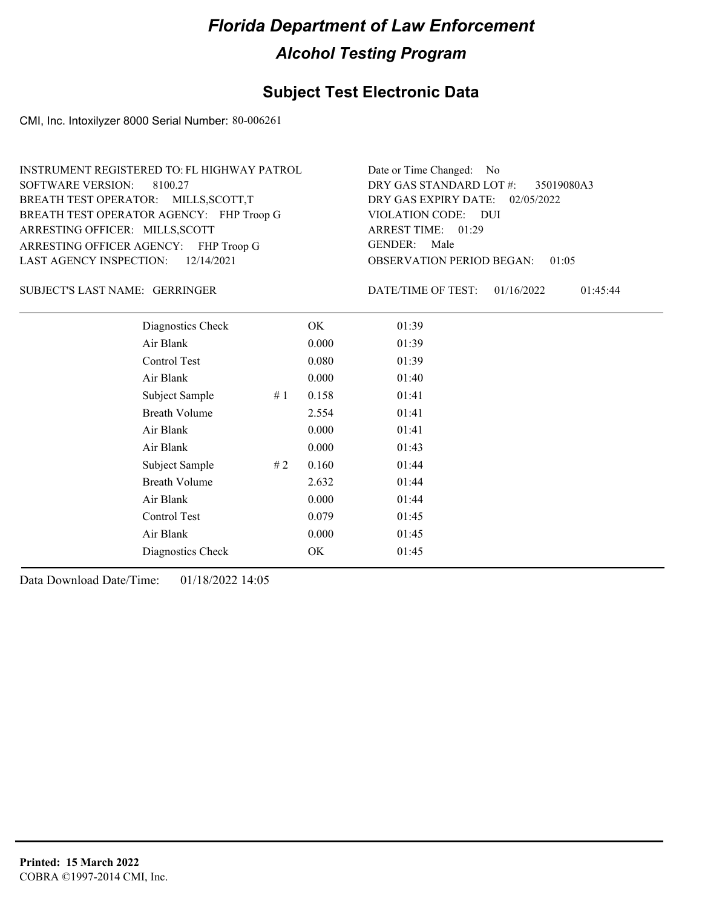### **Subject Test Electronic Data**

CMI, Inc. Intoxilyzer 8000 Serial Number: 80-006261

| INSTRUMENT REGISTERED TO: FL HIGHWAY PATROL | Date or Time Changed: No               |
|---------------------------------------------|----------------------------------------|
| SOFTWARE VERSION: 8100.27                   | DRY GAS STANDARD LOT #: 35019080A3     |
| BREATH TEST OPERATOR: MILLS, SCOTT, T       | DRY GAS EXPIRY DATE: 02/05/2022        |
| BREATH TEST OPERATOR AGENCY: FHP Troop G    | VIOLATION CODE: DUI                    |
| ARRESTING OFFICER: MILLS, SCOTT             | ARREST TIME: 01:29                     |
| ARRESTING OFFICER AGENCY: FHP Troop G       | GENDER: Male                           |
| LAST AGENCY INSPECTION: $12/14/2021$        | <b>OBSERVATION PERIOD BEGAN: 01:05</b> |

GERRINGER SUBJECT'S LAST NAME: DATE/TIME OF TEST:

DATE/TIME OF TEST: 01/16/2022 01:45:44

| Diagnostics Check    |    | OK    | 01:39 |
|----------------------|----|-------|-------|
| Air Blank            |    | 0.000 | 01:39 |
| Control Test         |    | 0.080 | 01:39 |
| Air Blank            |    | 0.000 | 01:40 |
| Subject Sample       | #1 | 0.158 | 01:41 |
| <b>Breath Volume</b> |    | 2.554 | 01:41 |
| Air Blank            |    | 0.000 | 01:41 |
| Air Blank            |    | 0.000 | 01:43 |
| Subject Sample       | #2 | 0.160 | 01:44 |
| <b>Breath Volume</b> |    | 2.632 | 01:44 |
| Air Blank            |    | 0.000 | 01:44 |
| Control Test         |    | 0.079 | 01:45 |
| Air Blank            |    | 0.000 | 01:45 |
| Diagnostics Check    |    | OK    | 01:45 |
|                      |    |       |       |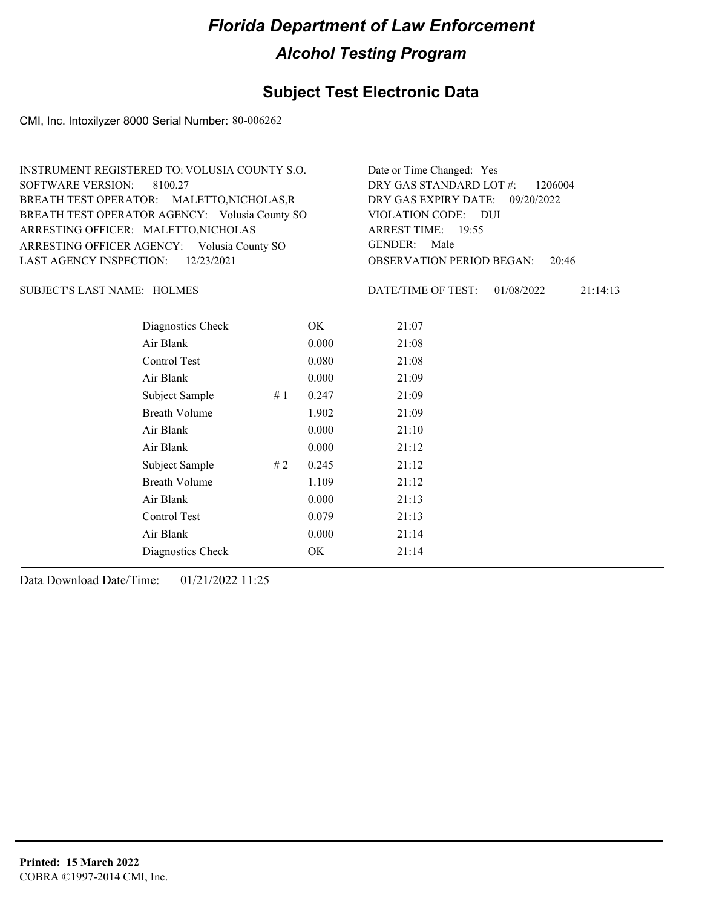#### **Subject Test Electronic Data**

CMI, Inc. Intoxilyzer 8000 Serial Number: 80-006262

OBSERVATION PERIOD BEGAN: 20:46 ARRESTING OFFICER AGENCY: Volusia County SO GENDER: BREATH TEST OPERATOR AGENCY: Volusia County SO VIOLATION CODE: SOFTWARE VERSION: VIOLATION CODE: DUI ARREST TIME: 19:55 ARRESTING OFFICER: MALETTO, NICHOLAS DRY GAS EXPIRY DATE: 09/20/2022 DRY GAS STANDARD LOT #: 1206004 BREATH TEST OPERATOR: MALETTO,NICHOLAS,R LAST AGENCY INSPECTION: 12/23/2021 8100.27 INSTRUMENT REGISTERED TO: VOLUSIA COUNTY S.O. Date or Time Changed: Yes GENDER: Male

HOLMES SUBJECT'S LAST NAME: DATE/TIME OF TEST:

DATE/TIME OF TEST: 01/08/2022 21:14:13

| Diagnostics Check    |    | OK    | 21:07 |
|----------------------|----|-------|-------|
| Air Blank            |    | 0.000 | 21:08 |
| Control Test         |    | 0.080 | 21:08 |
| Air Blank            |    | 0.000 | 21:09 |
| Subject Sample       | #1 | 0.247 | 21:09 |
| <b>Breath Volume</b> |    | 1.902 | 21:09 |
| Air Blank            |    | 0.000 | 21:10 |
| Air Blank            |    | 0.000 | 21:12 |
| Subject Sample       | #2 | 0.245 | 21:12 |
| <b>Breath Volume</b> |    | 1.109 | 21:12 |
| Air Blank            |    | 0.000 | 21:13 |
| Control Test         |    | 0.079 | 21:13 |
| Air Blank            |    | 0.000 | 21:14 |
| Diagnostics Check    |    | OK    | 21:14 |
|                      |    |       |       |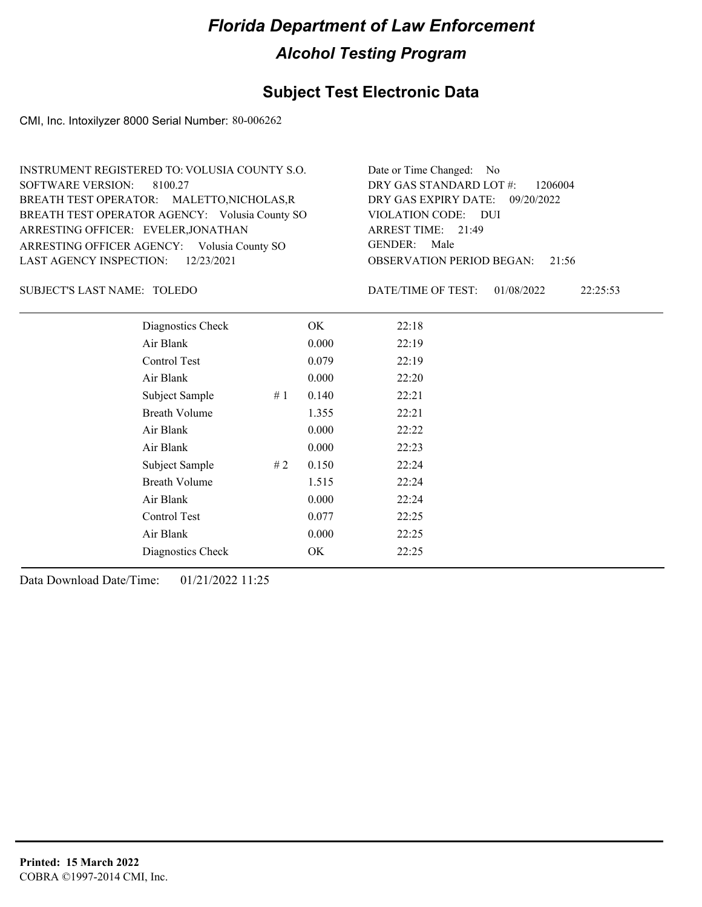### **Subject Test Electronic Data**

CMI, Inc. Intoxilyzer 8000 Serial Number: 80-006262

| INSTRUMENT REGISTERED TO: VOLUSIA COUNTY S.O.  | Date or Time Changed: No               |
|------------------------------------------------|----------------------------------------|
| SOFTWARE VERSION: 8100.27                      | DRY GAS STANDARD LOT $\#$ : 1206004    |
| BREATH TEST OPERATOR: MALETTO, NICHOLAS, R     | DRY GAS EXPIRY DATE: 09/20/2022        |
| BREATH TEST OPERATOR AGENCY: Volusia County SO | VIOLATION CODE: DUI                    |
| ARRESTING OFFICER: EVELER, JONATHAN            | ARREST TIME: 21:49                     |
| ARRESTING OFFICER AGENCY: Volusia County SO    | GENDER: Male                           |
| LAST AGENCY INSPECTION: $12/23/2021$           | <b>OBSERVATION PERIOD BEGAN: 21:56</b> |

TOLEDO SUBJECT'S LAST NAME: DATE/TIME OF TEST:

DATE/TIME OF TEST: 01/08/2022 22:25:53

| Diagnostics Check    |    | OK    | 22:18 |
|----------------------|----|-------|-------|
| Air Blank            |    | 0.000 | 22:19 |
| Control Test         |    | 0.079 | 22:19 |
| Air Blank            |    | 0.000 | 22:20 |
| Subject Sample       | #1 | 0.140 | 22:21 |
| <b>Breath Volume</b> |    | 1.355 | 22:21 |
| Air Blank            |    | 0.000 | 22:22 |
| Air Blank            |    | 0.000 | 22:23 |
| Subject Sample       | #2 | 0.150 | 22:24 |
| <b>Breath Volume</b> |    | 1.515 | 22:24 |
| Air Blank            |    | 0.000 | 22:24 |
| Control Test         |    | 0.077 | 22:25 |
| Air Blank            |    | 0.000 | 22:25 |
| Diagnostics Check    |    | OK    | 22:25 |
|                      |    |       |       |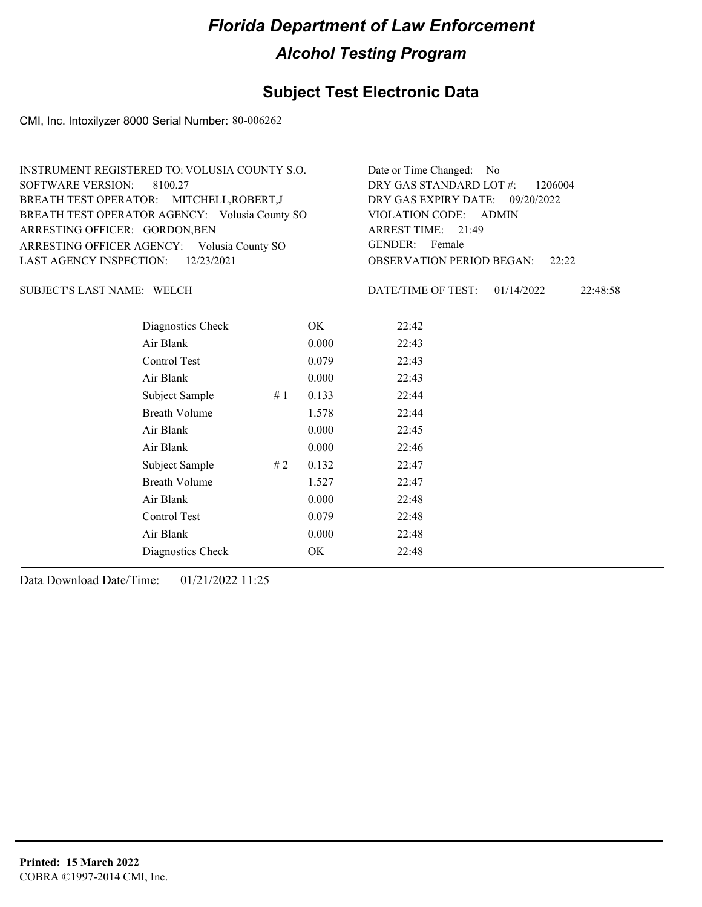### **Subject Test Electronic Data**

CMI, Inc. Intoxilyzer 8000 Serial Number: 80-006262

| INSTRUMENT REGISTERED TO: VOLUSIA COUNTY S.O.  | Date or Time Changed: No               |
|------------------------------------------------|----------------------------------------|
| SOFTWARE VERSION: 8100.27                      | DRY GAS STANDARD LOT $\#$ : 1206004    |
| BREATH TEST OPERATOR: MITCHELL, ROBERT, J      | DRY GAS EXPIRY DATE: 09/20/2022        |
| BREATH TEST OPERATOR AGENCY: Volusia County SO | VIOLATION CODE: ADMIN                  |
| ARRESTING OFFICER: GORDON, BEN                 | ARREST TIME: 21:49                     |
| ARRESTING OFFICER AGENCY: Volusia County SO    | GENDER: Female                         |
| LAST AGENCY INSPECTION: $12/23/2021$           | <b>OBSERVATION PERIOD BEGAN:</b> 22:22 |

SUBJECT'S LAST NAME: WELCH DATE/TIME OF TEST:

DATE/TIME OF TEST: 01/14/2022 22:48:58

| Diagnostics Check    |    | OK    | 22:42 |  |
|----------------------|----|-------|-------|--|
| Air Blank            |    | 0.000 | 22:43 |  |
| Control Test         |    | 0.079 | 22:43 |  |
| Air Blank            |    | 0.000 | 22:43 |  |
| Subject Sample       | #1 | 0.133 | 22:44 |  |
| <b>Breath Volume</b> |    | 1.578 | 22:44 |  |
| Air Blank            |    | 0.000 | 22:45 |  |
| Air Blank            |    | 0.000 | 22:46 |  |
| Subject Sample       | #2 | 0.132 | 22:47 |  |
| <b>Breath Volume</b> |    | 1.527 | 22:47 |  |
| Air Blank            |    | 0.000 | 22:48 |  |
| Control Test         |    | 0.079 | 22:48 |  |
| Air Blank            |    | 0.000 | 22:48 |  |
| Diagnostics Check    |    | OK    | 22:48 |  |
|                      |    |       |       |  |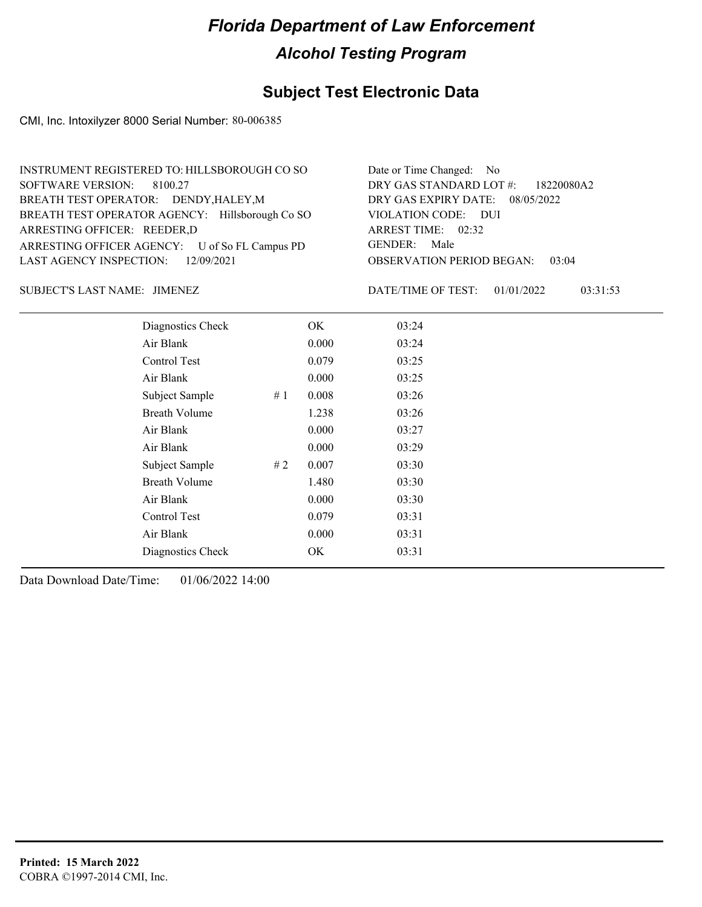### **Subject Test Electronic Data**

CMI, Inc. Intoxilyzer 8000 Serial Number: 80-006385

| INSTRUMENT REGISTERED TO: HILLSBOROUGH CO SO    | Date or Time Changed: No               |
|-------------------------------------------------|----------------------------------------|
| SOFTWARE VERSION: 8100.27                       | DRY GAS STANDARD LOT #: 18220080A2     |
| BREATH TEST OPERATOR: DENDY, HALEY, M           | DRY GAS EXPIRY DATE: 08/05/2022        |
| BREATH TEST OPERATOR AGENCY: Hillsborough Co SO | VIOLATION CODE: DUI                    |
| ARRESTING OFFICER: REEDER,D                     | ARREST TIME: $02:32$                   |
| ARRESTING OFFICER AGENCY: U of So FL Campus PD  | GENDER: Male                           |
| LAST AGENCY INSPECTION: 12/09/2021              | <b>OBSERVATION PERIOD BEGAN: 03:04</b> |

JIMENEZ SUBJECT'S LAST NAME: DATE/TIME OF TEST:

DATE/TIME OF TEST: 01/01/2022 03:31:53

| Diagnostics Check    |    | OK    | 03:24 |
|----------------------|----|-------|-------|
| Air Blank            |    | 0.000 | 03:24 |
| Control Test         |    | 0.079 | 03:25 |
| Air Blank            |    | 0.000 | 03:25 |
| Subject Sample       | #1 | 0.008 | 03:26 |
| <b>Breath Volume</b> |    | 1.238 | 03:26 |
| Air Blank            |    | 0.000 | 03:27 |
| Air Blank            |    | 0.000 | 03:29 |
| Subject Sample       | #2 | 0.007 | 03:30 |
| <b>Breath Volume</b> |    | 1.480 | 03:30 |
| Air Blank            |    | 0.000 | 03:30 |
| Control Test         |    | 0.079 | 03:31 |
| Air Blank            |    | 0.000 | 03:31 |
| Diagnostics Check    |    | OK    | 03:31 |
|                      |    |       |       |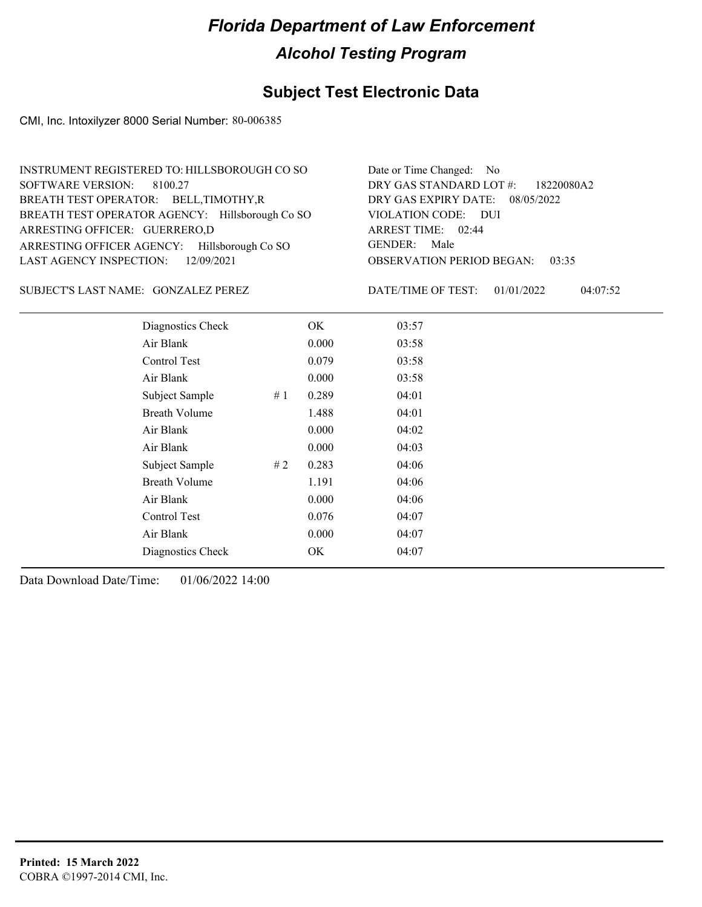### **Subject Test Electronic Data**

CMI, Inc. Intoxilyzer 8000 Serial Number: 80-006385

| INSTRUMENT REGISTERED TO: HILLSBOROUGH CO SO    | Date or Time Changed: No               |
|-------------------------------------------------|----------------------------------------|
| SOFTWARE VERSION: 8100.27                       | DRY GAS STANDARD LOT #: 18220080A2     |
| BREATH TEST OPERATOR: BELL, TIMOTHY, R          | DRY GAS EXPIRY DATE: 08/05/2022        |
| BREATH TEST OPERATOR AGENCY: Hillsborough Co SO | VIOLATION CODE: DUI                    |
| ARRESTING OFFICER: GUERRERO,D                   | ARREST TIME: 02:44                     |
| ARRESTING OFFICER AGENCY: Hillsborough Co SO    | GENDER: Male                           |
| LAST AGENCY INSPECTION: 12/09/2021              | <b>OBSERVATION PERIOD BEGAN: 03:35</b> |

SUBJECT'S LAST NAME: GONZALEZ PEREZ DATE/TIME OF TEST:

DATE/TIME OF TEST: 01/01/2022 04:07:52

| Diagnostics Check<br>OK<br>03:57<br>Air Blank<br>0.000<br>03:58<br>Control Test<br>0.079<br>03:58<br>Air Blank<br>0.000<br>03:58<br>Subject Sample<br>0.289<br>04:01<br>#1<br><b>Breath Volume</b><br>1.488<br>04:01<br>Air Blank<br>0.000<br>04:02<br>Air Blank<br>0.000<br>04:03<br>0.283<br>Subject Sample<br>#2<br>04:06<br><b>Breath Volume</b><br>1.191<br>04:06<br>Air Blank<br>0.000<br>04:06<br>Control Test<br>0.076<br>04:07<br>Air Blank<br>0.000<br>04:07<br>Diagnostics Check<br>OK<br>04:07 |  |  |  |
|------------------------------------------------------------------------------------------------------------------------------------------------------------------------------------------------------------------------------------------------------------------------------------------------------------------------------------------------------------------------------------------------------------------------------------------------------------------------------------------------------------|--|--|--|
|                                                                                                                                                                                                                                                                                                                                                                                                                                                                                                            |  |  |  |
|                                                                                                                                                                                                                                                                                                                                                                                                                                                                                                            |  |  |  |
|                                                                                                                                                                                                                                                                                                                                                                                                                                                                                                            |  |  |  |
|                                                                                                                                                                                                                                                                                                                                                                                                                                                                                                            |  |  |  |
|                                                                                                                                                                                                                                                                                                                                                                                                                                                                                                            |  |  |  |
|                                                                                                                                                                                                                                                                                                                                                                                                                                                                                                            |  |  |  |
|                                                                                                                                                                                                                                                                                                                                                                                                                                                                                                            |  |  |  |
|                                                                                                                                                                                                                                                                                                                                                                                                                                                                                                            |  |  |  |
|                                                                                                                                                                                                                                                                                                                                                                                                                                                                                                            |  |  |  |
|                                                                                                                                                                                                                                                                                                                                                                                                                                                                                                            |  |  |  |
|                                                                                                                                                                                                                                                                                                                                                                                                                                                                                                            |  |  |  |
|                                                                                                                                                                                                                                                                                                                                                                                                                                                                                                            |  |  |  |
|                                                                                                                                                                                                                                                                                                                                                                                                                                                                                                            |  |  |  |
|                                                                                                                                                                                                                                                                                                                                                                                                                                                                                                            |  |  |  |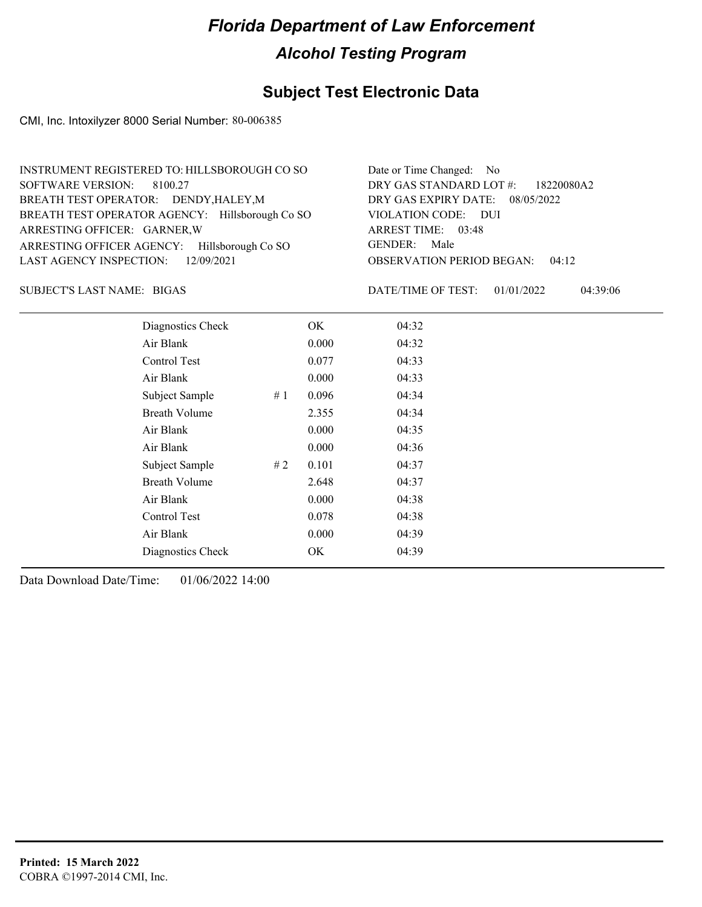### **Subject Test Electronic Data**

CMI, Inc. Intoxilyzer 8000 Serial Number: 80-006385

| INSTRUMENT REGISTERED TO: HILLSBOROUGH CO SO    | Date or Time Changed: No               |
|-------------------------------------------------|----------------------------------------|
| SOFTWARE VERSION: 8100.27                       | DRY GAS STANDARD LOT #: 18220080A2     |
| BREATH TEST OPERATOR: DENDY, HALEY, M           | DRY GAS EXPIRY DATE: 08/05/2022        |
| BREATH TEST OPERATOR AGENCY: Hillsborough Co SO | VIOLATION CODE: DUI                    |
| ARRESTING OFFICER: GARNER, W                    | ARREST TIME: 03:48                     |
| ARRESTING OFFICER AGENCY: Hillsborough Co SO    | GENDER: Male                           |
| LAST AGENCY INSPECTION: $12/09/2021$            | <b>OBSERVATION PERIOD BEGAN: 04:12</b> |

BIGAS SUBJECT'S LAST NAME: DATE/TIME OF TEST:

DATE/TIME OF TEST: 01/01/2022 04:39:06

| Diagnostics Check    |    | OK    | 04:32 |
|----------------------|----|-------|-------|
| Air Blank            |    | 0.000 | 04:32 |
| Control Test         |    | 0.077 | 04:33 |
| Air Blank            |    | 0.000 | 04:33 |
| Subject Sample       | #1 | 0.096 | 04:34 |
| <b>Breath Volume</b> |    | 2.355 | 04:34 |
| Air Blank            |    | 0.000 | 04:35 |
| Air Blank            |    | 0.000 | 04:36 |
| Subject Sample       | #2 | 0.101 | 04:37 |
| <b>Breath Volume</b> |    | 2.648 | 04:37 |
| Air Blank            |    | 0.000 | 04:38 |
| <b>Control Test</b>  |    | 0.078 | 04:38 |
| Air Blank            |    | 0.000 | 04:39 |
| Diagnostics Check    |    | OK    | 04:39 |
|                      |    |       |       |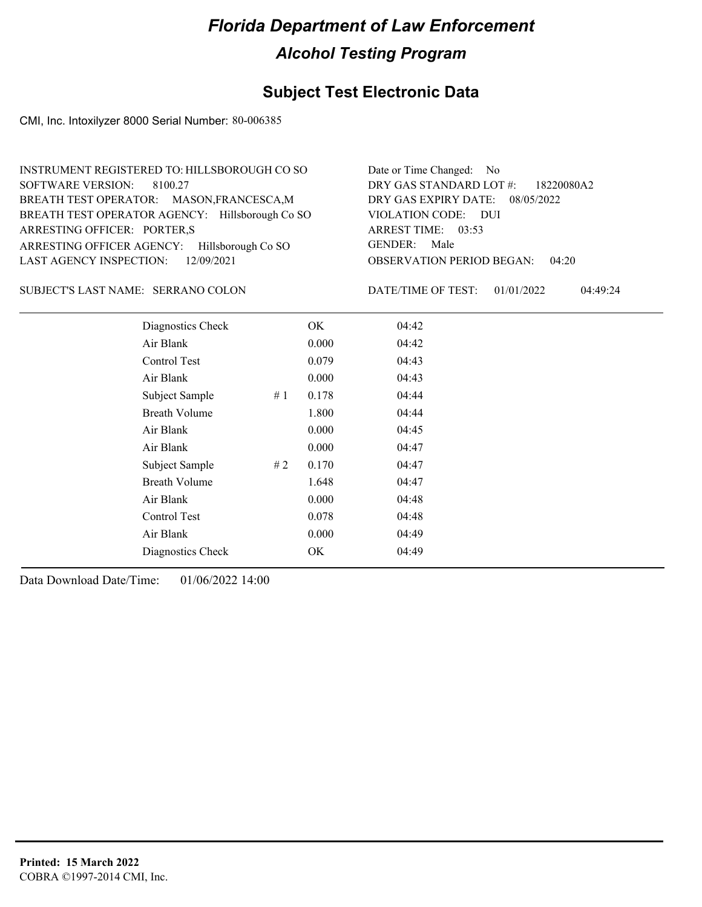### **Subject Test Electronic Data**

CMI, Inc. Intoxilyzer 8000 Serial Number: 80-006385

| INSTRUMENT REGISTERED TO: HILLSBOROUGH CO SO    | Date or Time Changed: No               |
|-------------------------------------------------|----------------------------------------|
| SOFTWARE VERSION: 8100.27                       | DRY GAS STANDARD LOT #: 18220080A2     |
| BREATH TEST OPERATOR: MASON, FRANCESCA, M       | DRY GAS EXPIRY DATE: 08/05/2022        |
| BREATH TEST OPERATOR AGENCY: Hillsborough Co SO | VIOLATION CODE: DUI                    |
| ARRESTING OFFICER: PORTER,S                     | ARREST TIME: 03:53                     |
| ARRESTING OFFICER AGENCY: Hillsborough Co SO    | GENDER: Male                           |
| LAST AGENCY INSPECTION: 12/09/2021              | <b>OBSERVATION PERIOD BEGAN: 04:20</b> |

SUBJECT'S LAST NAME: SERRANO COLON DATE/TIME OF TEST:

DATE/TIME OF TEST: 01/01/2022 04:49:24

| Diagnostics Check    |    | OK    | 04:42 |
|----------------------|----|-------|-------|
| Air Blank            |    | 0.000 | 04:42 |
| Control Test         |    | 0.079 | 04:43 |
| Air Blank            |    | 0.000 | 04:43 |
| Subject Sample       | #1 | 0.178 | 04:44 |
| <b>Breath Volume</b> |    | 1.800 | 04:44 |
| Air Blank            |    | 0.000 | 04:45 |
| Air Blank            |    | 0.000 | 04:47 |
| Subject Sample       | #2 | 0.170 | 04:47 |
| <b>Breath Volume</b> |    | 1.648 | 04:47 |
| Air Blank            |    | 0.000 | 04:48 |
| Control Test         |    | 0.078 | 04:48 |
| Air Blank            |    | 0.000 | 04:49 |
| Diagnostics Check    |    | OK    | 04:49 |
|                      |    |       |       |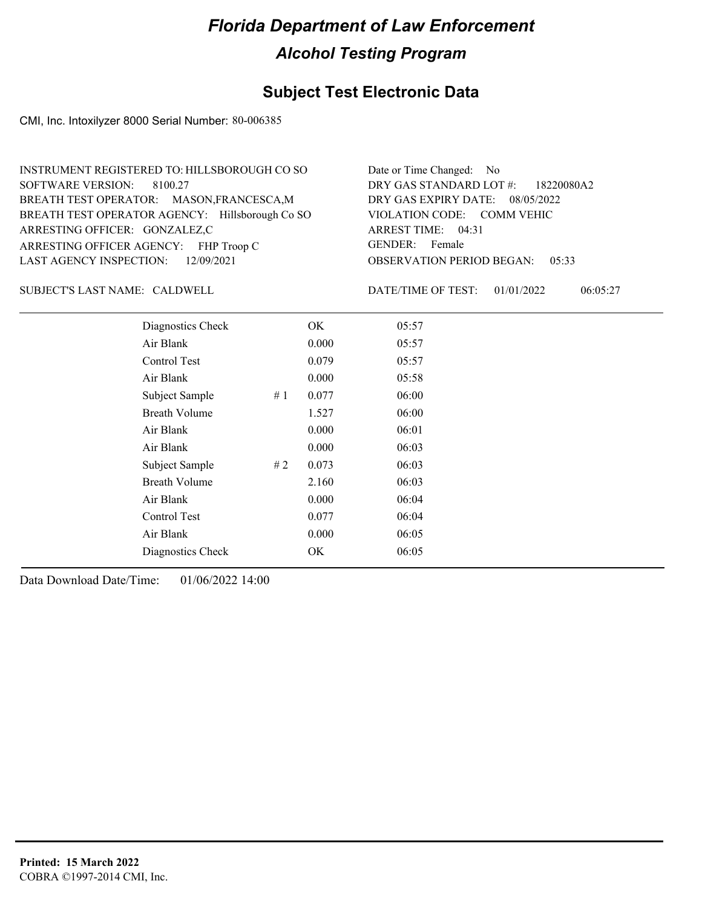### **Subject Test Electronic Data**

CMI, Inc. Intoxilyzer 8000 Serial Number: 80-006385

| INSTRUMENT REGISTERED TO: HILLSBOROUGH CO SO    | Date or Time Changed: No               |
|-------------------------------------------------|----------------------------------------|
| SOFTWARE VERSION: 8100.27                       | DRY GAS STANDARD LOT #: 18220080A2     |
| BREATH TEST OPERATOR: MASON, FRANCESCA, M       | DRY GAS EXPIRY DATE: 08/05/2022        |
| BREATH TEST OPERATOR AGENCY: Hillsborough Co SO | VIOLATION CODE: COMM VEHIC             |
| ARRESTING OFFICER: GONZALEZ,C                   | ARREST TIME: 04:31                     |
| ARRESTING OFFICER AGENCY: FHP Troop C           | GENDER: Female                         |
| LAST AGENCY INSPECTION: 12/09/2021              | <b>OBSERVATION PERIOD BEGAN: 05:33</b> |

SUBJECT'S LAST NAME: CALDWELL DATE/TIME OF TEST:

DATE/TIME OF TEST: 01/01/2022 06:05:27

| Diagnostics Check    |    | OK    | 05:57 |
|----------------------|----|-------|-------|
| Air Blank            |    | 0.000 | 05:57 |
| Control Test         |    | 0.079 | 05:57 |
| Air Blank            |    | 0.000 | 05:58 |
| Subject Sample       | #1 | 0.077 | 06:00 |
| <b>Breath Volume</b> |    | 1.527 | 06:00 |
| Air Blank            |    | 0.000 | 06:01 |
| Air Blank            |    | 0.000 | 06:03 |
| Subject Sample       | #2 | 0.073 | 06:03 |
| <b>Breath Volume</b> |    | 2.160 | 06:03 |
| Air Blank            |    | 0.000 | 06:04 |
| Control Test         |    | 0.077 | 06:04 |
| Air Blank            |    | 0.000 | 06:05 |
| Diagnostics Check    |    | OK    | 06:05 |
|                      |    |       |       |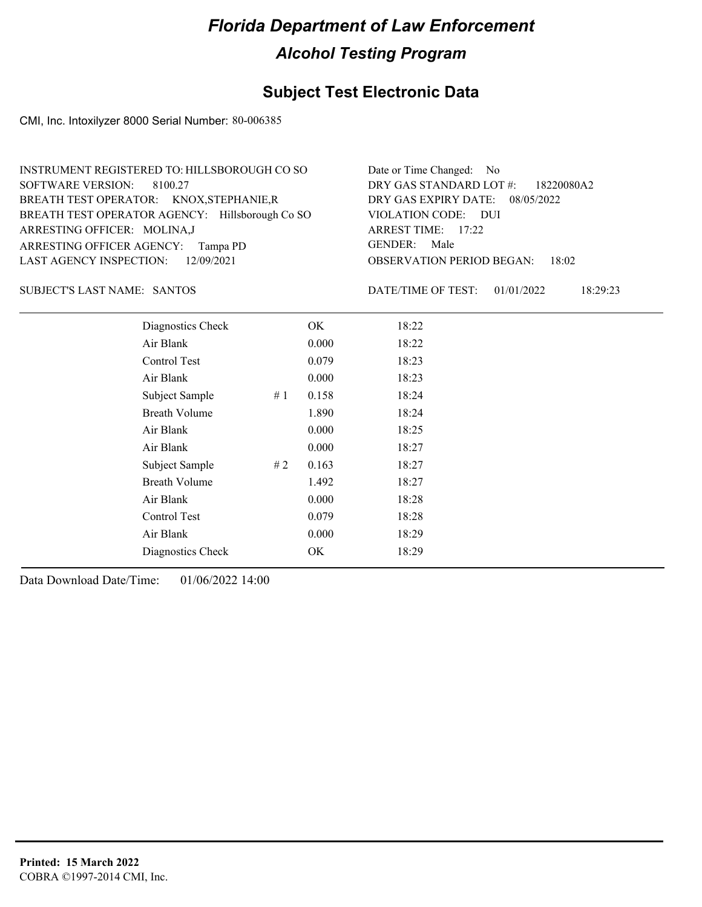### **Subject Test Electronic Data**

CMI, Inc. Intoxilyzer 8000 Serial Number: 80-006385

| INSTRUMENT REGISTERED TO: HILLSBOROUGH CO SO    | Date or Time Changed: No               |
|-------------------------------------------------|----------------------------------------|
| SOFTWARE VERSION: 8100.27                       | DRY GAS STANDARD LOT #: 18220080A2     |
| BREATH TEST OPERATOR: KNOX, STEPHANIE, R        | DRY GAS EXPIRY DATE: 08/05/2022        |
| BREATH TEST OPERATOR AGENCY: Hillsborough Co SO | VIOLATION CODE: DUI                    |
| ARRESTING OFFICER: MOLINA,J                     | ARREST TIME: 17:22                     |
| ARRESTING OFFICER AGENCY: Tampa PD              | GENDER: Male                           |
| LAST AGENCY INSPECTION: 12/09/2021              | <b>OBSERVATION PERIOD BEGAN: 18:02</b> |

SANTOS SUBJECT'S LAST NAME: DATE/TIME OF TEST:

DATE/TIME OF TEST: 01/01/2022 18:29:23

| Diagnostics Check    |    | OK    | 18:22 |
|----------------------|----|-------|-------|
| Air Blank            |    | 0.000 | 18:22 |
| Control Test         |    | 0.079 | 18:23 |
| Air Blank            |    | 0.000 | 18:23 |
| Subject Sample       | #1 | 0.158 | 18:24 |
| <b>Breath Volume</b> |    | 1.890 | 18:24 |
| Air Blank            |    | 0.000 | 18:25 |
| Air Blank            |    | 0.000 | 18:27 |
| Subject Sample       | #2 | 0.163 | 18:27 |
| <b>Breath Volume</b> |    | 1.492 | 18:27 |
| Air Blank            |    | 0.000 | 18:28 |
| Control Test         |    | 0.079 | 18:28 |
| Air Blank            |    | 0.000 | 18:29 |
| Diagnostics Check    |    | OK    | 18:29 |
|                      |    |       |       |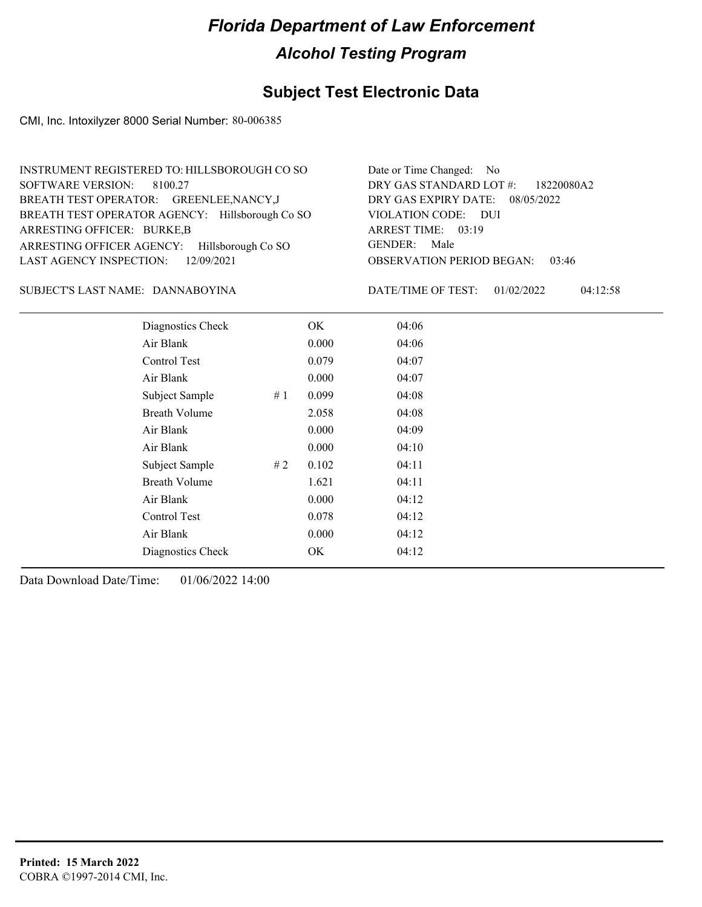### **Subject Test Electronic Data**

CMI, Inc. Intoxilyzer 8000 Serial Number: 80-006385

| INSTRUMENT REGISTERED TO: HILLSBOROUGH CO SO    | Date or Time Changed: No               |
|-------------------------------------------------|----------------------------------------|
| SOFTWARE VERSION: 8100.27                       | DRY GAS STANDARD LOT #: 18220080A2     |
| BREATH TEST OPERATOR: GREENLEE, NANCY, J        | DRY GAS EXPIRY DATE: 08/05/2022        |
| BREATH TEST OPERATOR AGENCY: Hillsborough Co SO | VIOLATION CODE: DUI                    |
| ARRESTING OFFICER: BURKE,B                      | ARREST TIME: 03:19                     |
| ARRESTING OFFICER AGENCY: Hillsborough Co SO    | GENDER: Male                           |
| LAST AGENCY INSPECTION: $12/09/2021$            | <b>OBSERVATION PERIOD BEGAN: 03:46</b> |

DANNABOYINA SUBJECT'S LAST NAME: DATE/TIME OF TEST:

DATE/TIME OF TEST: 01/02/2022 04:12:58

| Diagnostics Check    |    | OK    | 04:06 |  |
|----------------------|----|-------|-------|--|
| Air Blank            |    | 0.000 | 04:06 |  |
| Control Test         |    | 0.079 | 04:07 |  |
| Air Blank            |    | 0.000 | 04:07 |  |
| Subject Sample       | #1 | 0.099 | 04:08 |  |
| <b>Breath Volume</b> |    | 2.058 | 04:08 |  |
| Air Blank            |    | 0.000 | 04:09 |  |
| Air Blank            |    | 0.000 | 04:10 |  |
| Subject Sample       | #2 | 0.102 | 04:11 |  |
| <b>Breath Volume</b> |    | 1.621 | 04:11 |  |
| Air Blank            |    | 0.000 | 04:12 |  |
| <b>Control Test</b>  |    | 0.078 | 04:12 |  |
| Air Blank            |    | 0.000 | 04:12 |  |
| Diagnostics Check    |    | OK    | 04:12 |  |
|                      |    |       |       |  |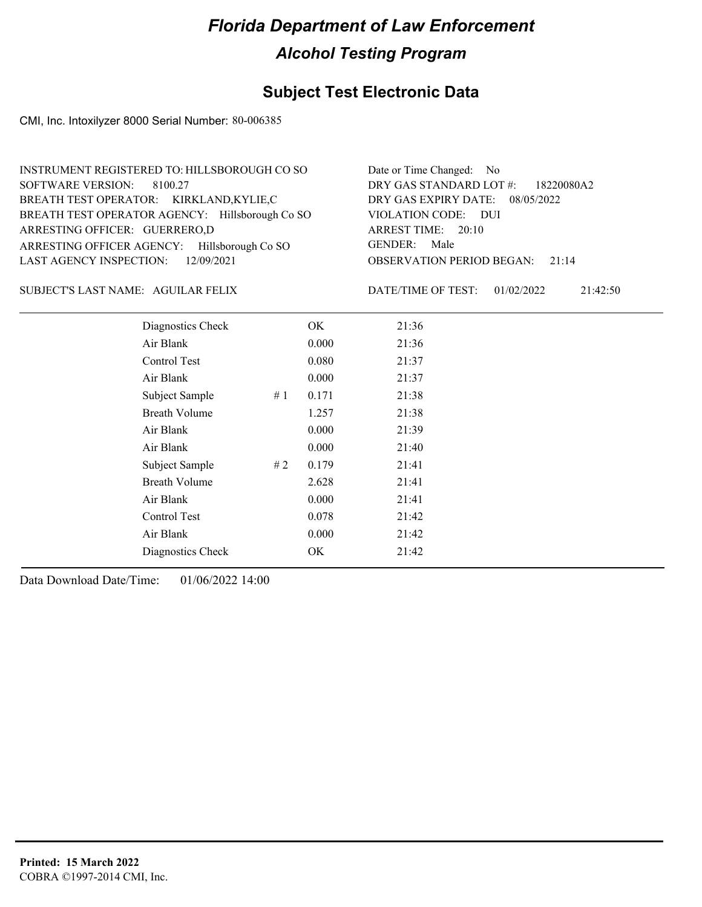### **Subject Test Electronic Data**

CMI, Inc. Intoxilyzer 8000 Serial Number: 80-006385

| INSTRUMENT REGISTERED TO: HILLSBOROUGH CO SO    | Date or Time Changed: No               |
|-------------------------------------------------|----------------------------------------|
| SOFTWARE VERSION: 8100.27                       | DRY GAS STANDARD LOT #: 18220080A2     |
| BREATH TEST OPERATOR: KIRKLAND,KYLIE,C          | DRY GAS EXPIRY DATE: 08/05/2022        |
| BREATH TEST OPERATOR AGENCY: Hillsborough Co SO | VIOLATION CODE: DUI                    |
| ARRESTING OFFICER: GUERRERO,D                   | ARREST TIME: 20:10                     |
| ARRESTING OFFICER AGENCY: Hillsborough Co SO    | GENDER: Male                           |
| LAST AGENCY INSPECTION: $12/09/2021$            | <b>OBSERVATION PERIOD BEGAN: 21:14</b> |

#### SUBJECT'S LAST NAME: AGUILAR FELIX DATE/TIME OF TEST:

DATE/TIME OF TEST: 01/02/2022 21:42:50

| Diagnostics Check    |    | OK    | 21:36 |
|----------------------|----|-------|-------|
| Air Blank            |    | 0.000 | 21:36 |
| Control Test         |    | 0.080 | 21:37 |
| Air Blank            |    | 0.000 | 21:37 |
| Subject Sample       | #1 | 0.171 | 21:38 |
| <b>Breath Volume</b> |    | 1.257 | 21:38 |
| Air Blank            |    | 0.000 | 21:39 |
| Air Blank            |    | 0.000 | 21:40 |
| Subject Sample       | #2 | 0.179 | 21:41 |
| <b>Breath Volume</b> |    | 2.628 | 21:41 |
| Air Blank            |    | 0.000 | 21:41 |
| Control Test         |    | 0.078 | 21:42 |
| Air Blank            |    | 0.000 | 21:42 |
| Diagnostics Check    |    | OK    | 21:42 |
|                      |    |       |       |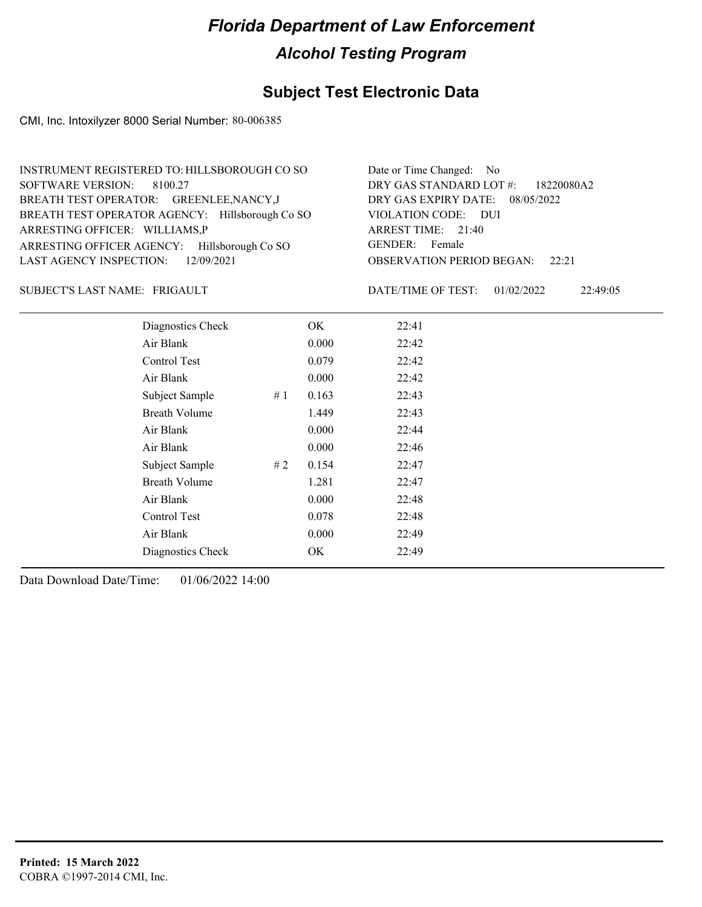#### **Subject Test Electronic Data**

CMI, Inc. Intoxilyzer 8000 Serial Number: 80-006385

| INSTRUMENT REGISTERED TO: HILLSBOROUGH CO SO    | Date or Time Changed: No               |
|-------------------------------------------------|----------------------------------------|
| SOFTWARE VERSION: 8100.27                       | DRY GAS STANDARD LOT #: 18220080A2     |
| BREATH TEST OPERATOR: GREENLEE, NANCY, J        | DRY GAS EXPIRY DATE: 08/05/2022        |
| BREATH TEST OPERATOR AGENCY: Hillsborough Co SO | VIOLATION CODE: DUI                    |
| ARRESTING OFFICER: WILLIAMS,P                   | ARREST TIME: 21:40                     |
| ARRESTING OFFICER AGENCY: Hillsborough Co SO    | GENDER: Female                         |
| LAST AGENCY INSPECTION: $12/09/2021$            | <b>OBSERVATION PERIOD BEGAN:</b> 22:21 |

#### FRIGAULT SUBJECT'S LAST NAME: DATE/TIME OF TEST:

DATE/TIME OF TEST: 01/02/2022 22:49:05

| Diagnostics Check    |    | OK    | 22:41 |
|----------------------|----|-------|-------|
| Air Blank            |    | 0.000 | 22:42 |
| Control Test         |    | 0.079 | 22:42 |
| Air Blank            |    | 0.000 | 22:42 |
| Subject Sample       | #1 | 0.163 | 22:43 |
| <b>Breath Volume</b> |    | 1.449 | 22:43 |
| Air Blank            |    | 0.000 | 22:44 |
| Air Blank            |    | 0.000 | 22:46 |
| Subject Sample       | #2 | 0.154 | 22:47 |
| <b>Breath Volume</b> |    | 1.281 | 22:47 |
| Air Blank            |    | 0.000 | 22:48 |
| Control Test         |    | 0.078 | 22:48 |
| Air Blank            |    | 0.000 | 22:49 |
| Diagnostics Check    |    | OK    | 22:49 |
|                      |    |       |       |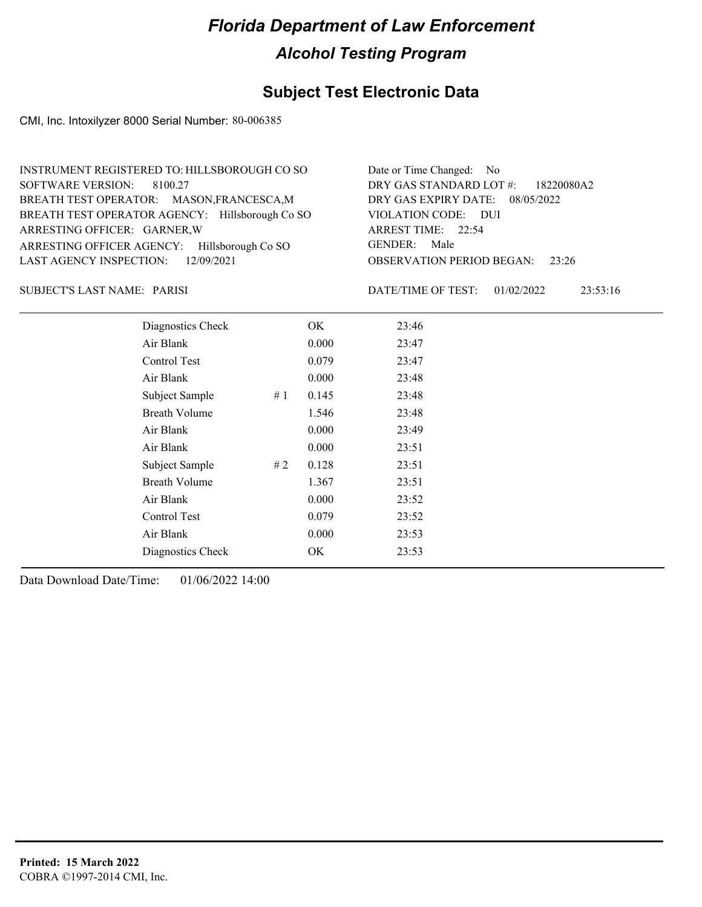### **Subject Test Electronic Data**

CMI, Inc. Intoxilyzer 8000 Serial Number: 80-006385

| INSTRUMENT REGISTERED TO: HILLSBOROUGH CO SO    | Date or Time Changed: No               |
|-------------------------------------------------|----------------------------------------|
| SOFTWARE VERSION: 8100.27                       | DRY GAS STANDARD LOT #: 18220080A2     |
| BREATH TEST OPERATOR: MASON, FRANCESCA, M       | DRY GAS EXPIRY DATE: 08/05/2022        |
| BREATH TEST OPERATOR AGENCY: Hillsborough Co SO | VIOLATION CODE: DUI                    |
| ARRESTING OFFICER: GARNER, W                    | ARREST TIME: 22:54                     |
| ARRESTING OFFICER AGENCY: Hillsborough Co SO    | GENDER: Male                           |
| LAST AGENCY INSPECTION: $12/09/2021$            | <b>OBSERVATION PERIOD BEGAN: 23:26</b> |

PARISI SUBJECT'S LAST NAME: DATE/TIME OF TEST:

DATE/TIME OF TEST: 01/02/2022 23:53:16

| Diagnostics Check    |    | OK    | 23:46 |
|----------------------|----|-------|-------|
| Air Blank            |    | 0.000 | 23:47 |
| Control Test         |    | 0.079 | 23:47 |
| Air Blank            |    | 0.000 | 23:48 |
| Subject Sample       | #1 | 0.145 | 23:48 |
| <b>Breath Volume</b> |    | 1.546 | 23:48 |
| Air Blank            |    | 0.000 | 23:49 |
| Air Blank            |    | 0.000 | 23:51 |
| Subject Sample       | #2 | 0.128 | 23:51 |
| <b>Breath Volume</b> |    | 1.367 | 23:51 |
| Air Blank            |    | 0.000 | 23:52 |
| Control Test         |    | 0.079 | 23:52 |
| Air Blank            |    | 0.000 | 23:53 |
| Diagnostics Check    |    | OK    | 23:53 |
|                      |    |       |       |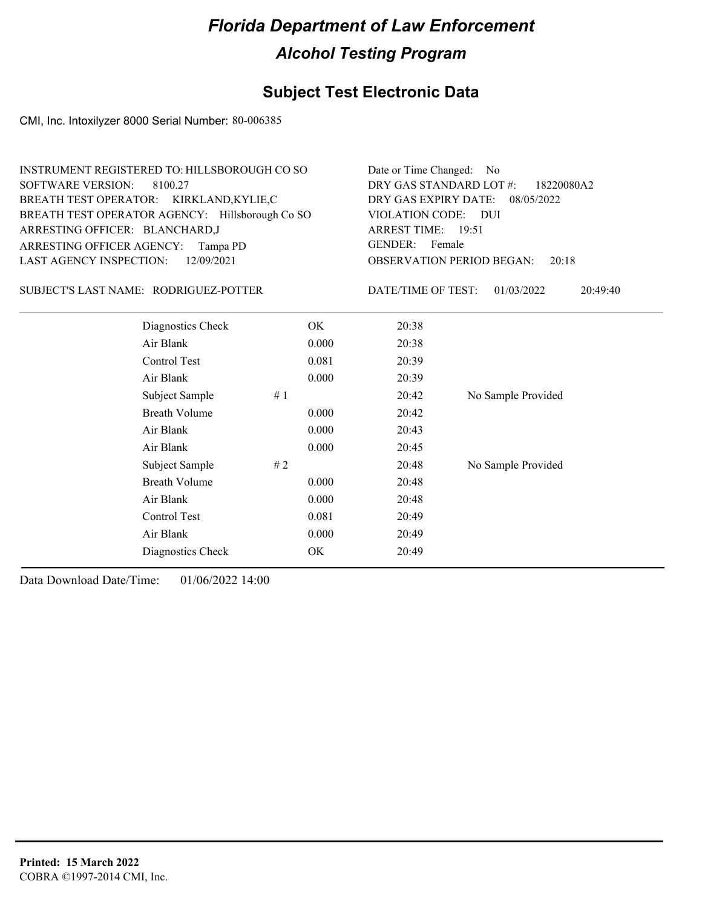### **Subject Test Electronic Data**

CMI, Inc. Intoxilyzer 8000 Serial Number: 80-006385

| INSTRUMENT REGISTERED TO: HILLSBOROUGH CO SO    | Date or Time Changed: No               |
|-------------------------------------------------|----------------------------------------|
| SOFTWARE VERSION: 8100.27                       | DRY GAS STANDARD LOT #: 18220080A2     |
| BREATH TEST OPERATOR: KIRKLAND,KYLIE,C          | DRY GAS EXPIRY DATE: 08/05/2022        |
| BREATH TEST OPERATOR AGENCY: Hillsborough Co SO | VIOLATION CODE: DUI                    |
| ARRESTING OFFICER: BLANCHARD,J                  | ARREST TIME: 19:51                     |
| ARRESTING OFFICER AGENCY: Tampa PD              | GENDER: Female                         |
| LAST AGENCY INSPECTION: 12/09/2021              | <b>OBSERVATION PERIOD BEGAN: 20:18</b> |

#### SUBJECT'S LAST NAME: RODRIGUEZ-POTTER DATE/TIME OF TEST:

DATE/TIME OF TEST: 01/03/2022 20:49:40

| Diagnostics Check    | OK    | 20:38 |                    |
|----------------------|-------|-------|--------------------|
| Air Blank            | 0.000 | 20:38 |                    |
| Control Test         | 0.081 | 20:39 |                    |
| Air Blank            | 0.000 | 20:39 |                    |
| Subject Sample<br>#1 |       | 20:42 | No Sample Provided |
| <b>Breath Volume</b> | 0.000 | 20:42 |                    |
| Air Blank            | 0.000 | 20:43 |                    |
| Air Blank            | 0.000 | 20:45 |                    |
| Subject Sample<br>#2 |       | 20:48 | No Sample Provided |
| <b>Breath Volume</b> | 0.000 | 20:48 |                    |
| Air Blank            | 0.000 | 20:48 |                    |
| Control Test         | 0.081 | 20:49 |                    |
| Air Blank            | 0.000 | 20:49 |                    |
| Diagnostics Check    | OK    | 20:49 |                    |
|                      |       |       |                    |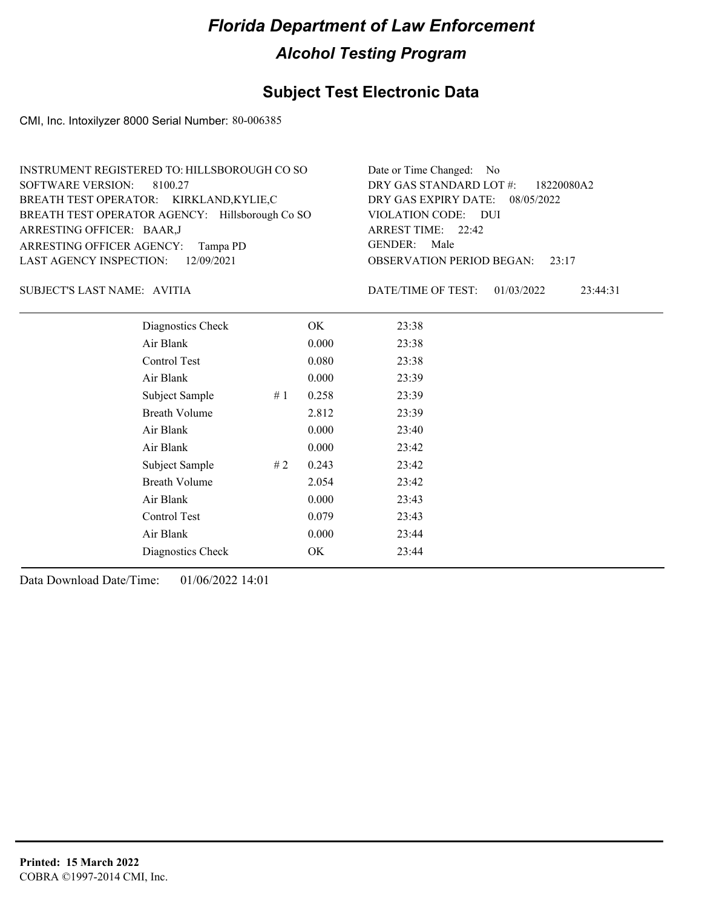### **Subject Test Electronic Data**

CMI, Inc. Intoxilyzer 8000 Serial Number: 80-006385

| INSTRUMENT REGISTERED TO: HILLSBOROUGH CO SO    | Date or Time Changed: No               |
|-------------------------------------------------|----------------------------------------|
| SOFTWARE VERSION: 8100.27                       | DRY GAS STANDARD LOT #: 18220080A2     |
| BREATH TEST OPERATOR: KIRKLAND,KYLIE,C          | DRY GAS EXPIRY DATE: 08/05/2022        |
| BREATH TEST OPERATOR AGENCY: Hillsborough Co SO | VIOLATION CODE: DUI                    |
| ARRESTING OFFICER: BAAR, J                      | ARREST TIME: 22:42                     |
| ARRESTING OFFICER AGENCY: Tampa PD              | GENDER: Male                           |
| LAST AGENCY INSPECTION: 12/09/2021              | <b>OBSERVATION PERIOD BEGAN:</b> 23:17 |

SUBJECT'S LAST NAME: AVITIA  $\blacksquare$ 

DATE/TIME OF TEST: 01/03/2022 23:44:31

| Diagnostics Check    |    | OK    | 23:38 |
|----------------------|----|-------|-------|
| Air Blank            |    | 0.000 | 23:38 |
| Control Test         |    | 0.080 | 23:38 |
| Air Blank            |    | 0.000 | 23:39 |
| Subject Sample       | #1 | 0.258 | 23:39 |
| <b>Breath Volume</b> |    | 2.812 | 23:39 |
| Air Blank            |    | 0.000 | 23:40 |
| Air Blank            |    | 0.000 | 23:42 |
| Subject Sample       | #2 | 0.243 | 23:42 |
| <b>Breath Volume</b> |    | 2.054 | 23:42 |
| Air Blank            |    | 0.000 | 23:43 |
| Control Test         |    | 0.079 | 23:43 |
| Air Blank            |    | 0.000 | 23:44 |
| Diagnostics Check    |    | OK    | 23:44 |
|                      |    |       |       |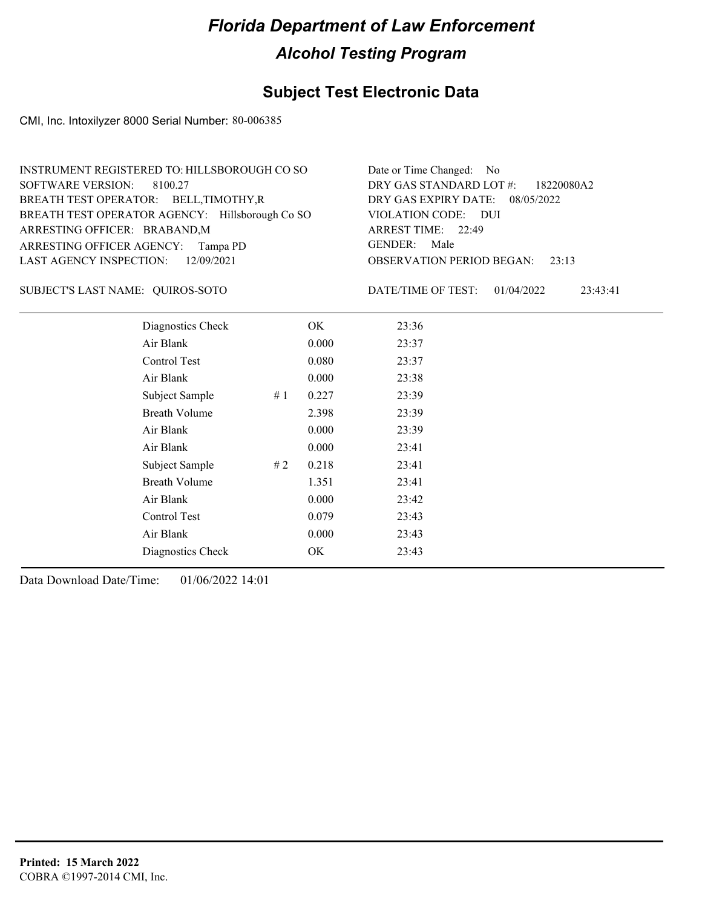### **Subject Test Electronic Data**

CMI, Inc. Intoxilyzer 8000 Serial Number: 80-006385

| INSTRUMENT REGISTERED TO: HILLSBOROUGH CO SO    | Date or Time Changed: No               |
|-------------------------------------------------|----------------------------------------|
| SOFTWARE VERSION: 8100.27                       | DRY GAS STANDARD LOT #: 18220080A2     |
| BREATH TEST OPERATOR: BELL, TIMOTHY, R          | DRY GAS EXPIRY DATE: 08/05/2022        |
| BREATH TEST OPERATOR AGENCY: Hillsborough Co SO | VIOLATION CODE: DUI                    |
| ARRESTING OFFICER: BRABAND, M                   | ARREST TIME: 22:49                     |
| ARRESTING OFFICER AGENCY: Tampa PD              | GENDER: Male                           |
| LAST AGENCY INSPECTION: 12/09/2021              | <b>OBSERVATION PERIOD BEGAN:</b> 23:13 |

#### QUIROS-SOTO SUBJECT'S LAST NAME: DATE/TIME OF TEST:

DATE/TIME OF TEST: 01/04/2022 23:43:41

| Diagnostics Check    |    | OK    | 23:36 |  |
|----------------------|----|-------|-------|--|
| Air Blank            |    | 0.000 | 23:37 |  |
| Control Test         |    | 0.080 | 23:37 |  |
| Air Blank            |    | 0.000 | 23:38 |  |
| Subject Sample       | #1 | 0.227 | 23:39 |  |
| <b>Breath Volume</b> |    | 2.398 | 23:39 |  |
| Air Blank            |    | 0.000 | 23:39 |  |
| Air Blank            |    | 0.000 | 23:41 |  |
| Subject Sample       | #2 | 0.218 | 23:41 |  |
| <b>Breath Volume</b> |    | 1.351 | 23:41 |  |
| Air Blank            |    | 0.000 | 23:42 |  |
| Control Test         |    | 0.079 | 23:43 |  |
| Air Blank            |    | 0.000 | 23:43 |  |
| Diagnostics Check    |    | OK    | 23:43 |  |
|                      |    |       |       |  |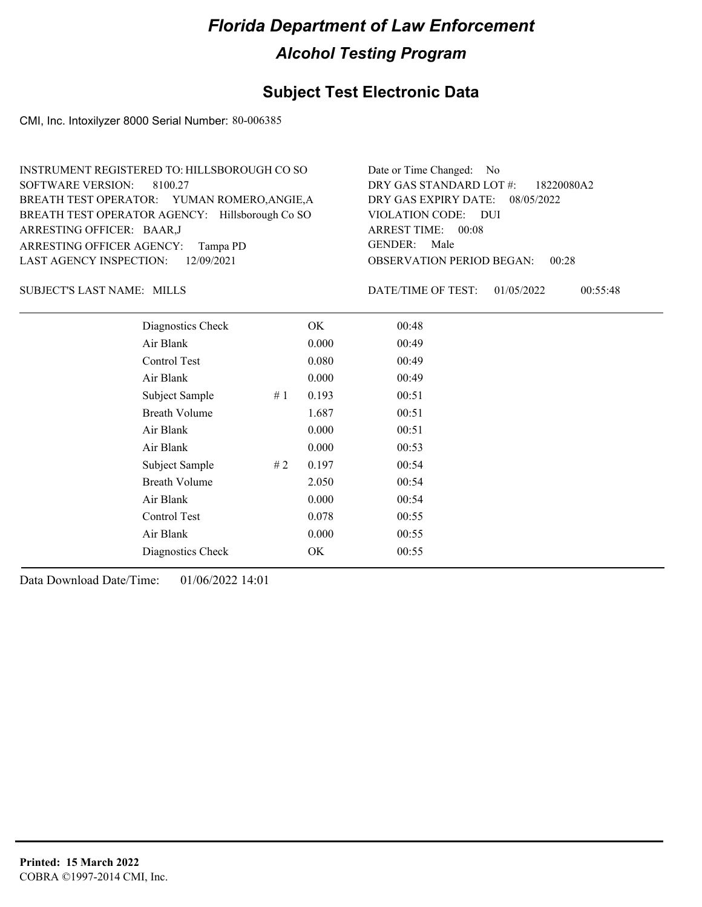### **Subject Test Electronic Data**

CMI, Inc. Intoxilyzer 8000 Serial Number: 80-006385

| INSTRUMENT REGISTERED TO: HILLSBOROUGH CO SO    | Date or Time Changed: No               |
|-------------------------------------------------|----------------------------------------|
| SOFTWARE VERSION: 8100.27                       | DRY GAS STANDARD LOT $\#$ : 18220080A2 |
| BREATH TEST OPERATOR: YUMAN ROMERO, ANGIE, A    | DRY GAS EXPIRY DATE: $08/05/2022$      |
| BREATH TEST OPERATOR AGENCY: Hillsborough Co SO | VIOLATION CODE: DUI                    |
| ARRESTING OFFICER: BAAR,J                       | ARREST TIME: 00:08                     |
| ARRESTING OFFICER AGENCY: Tampa PD              | GENDER: Male                           |
| LAST AGENCY INSPECTION: 12/09/2021              | <b>OBSERVATION PERIOD BEGAN: 00:28</b> |

SUBJECT'S LAST NAME: MILLS DATE/TIME OF TEST:

DATE/TIME OF TEST: 01/05/2022 00:55:48

| Diagnostics Check    |    | OK    | 00:48 |
|----------------------|----|-------|-------|
| Air Blank            |    | 0.000 | 00:49 |
| Control Test         |    | 0.080 | 00:49 |
| Air Blank            |    | 0.000 | 00:49 |
| Subject Sample       | #1 | 0.193 | 00:51 |
| <b>Breath Volume</b> |    | 1.687 | 00:51 |
| Air Blank            |    | 0.000 | 00:51 |
| Air Blank            |    | 0.000 | 00:53 |
| Subject Sample       | #2 | 0.197 | 00:54 |
| <b>Breath Volume</b> |    | 2.050 | 00:54 |
| Air Blank            |    | 0.000 | 00:54 |
| Control Test         |    | 0.078 | 00:55 |
| Air Blank            |    | 0.000 | 00:55 |
| Diagnostics Check    |    | OK    | 00:55 |
|                      |    |       |       |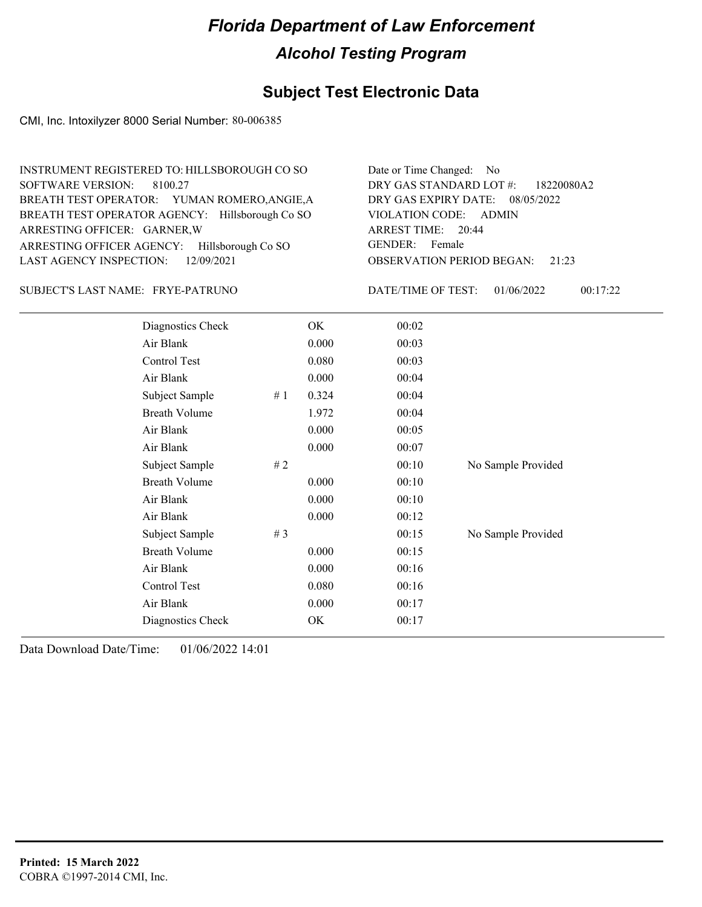### **Subject Test Electronic Data**

CMI, Inc. Intoxilyzer 8000 Serial Number: 80-006385

| INSTRUMENT REGISTERED TO: HILLSBOROUGH CO SO    | Date or Time Changed: No               |
|-------------------------------------------------|----------------------------------------|
| SOFTWARE VERSION: 8100.27                       | DRY GAS STANDARD LOT #: 18220080A2     |
| BREATH TEST OPERATOR: YUMAN ROMERO, ANGIE, A    | DRY GAS EXPIRY DATE: 08/05/2022        |
| BREATH TEST OPERATOR AGENCY: Hillsborough Co SO | VIOLATION CODE: ADMIN                  |
| ARRESTING OFFICER: GARNER, W                    | ARREST TIME: 20:44                     |
| ARRESTING OFFICER AGENCY: Hillsborough Co SO    | GENDER: Female                         |
| LAST AGENCY INSPECTION: $12/09/2021$            | <b>OBSERVATION PERIOD BEGAN: 21:23</b> |

FRYE-PATRUNO SUBJECT'S LAST NAME: DATE/TIME OF TEST:

DATE/TIME OF TEST: 01/06/2022 00:17:22

| Diagnostics Check    |       | OK    | 00:02 |                    |
|----------------------|-------|-------|-------|--------------------|
| Air Blank            |       | 0.000 | 00:03 |                    |
| Control Test         |       | 0.080 | 00:03 |                    |
| Air Blank            |       | 0.000 | 00:04 |                    |
| Subject Sample       | # $1$ | 0.324 | 00:04 |                    |
| <b>Breath Volume</b> |       | 1.972 | 00:04 |                    |
| Air Blank            |       | 0.000 | 00:05 |                    |
| Air Blank            |       | 0.000 | 00:07 |                    |
| Subject Sample       | # 2   |       | 00:10 | No Sample Provided |
| <b>Breath Volume</b> |       | 0.000 | 00:10 |                    |
| Air Blank            |       | 0.000 | 00:10 |                    |
| Air Blank            |       | 0.000 | 00:12 |                    |
| Subject Sample       | # $3$ |       | 00:15 | No Sample Provided |
| <b>Breath Volume</b> |       | 0.000 | 00:15 |                    |
| Air Blank            |       | 0.000 | 00:16 |                    |
| Control Test         |       | 0.080 | 00:16 |                    |
| Air Blank            |       | 0.000 | 00:17 |                    |
| Diagnostics Check    |       | OK    | 00:17 |                    |
|                      |       |       |       |                    |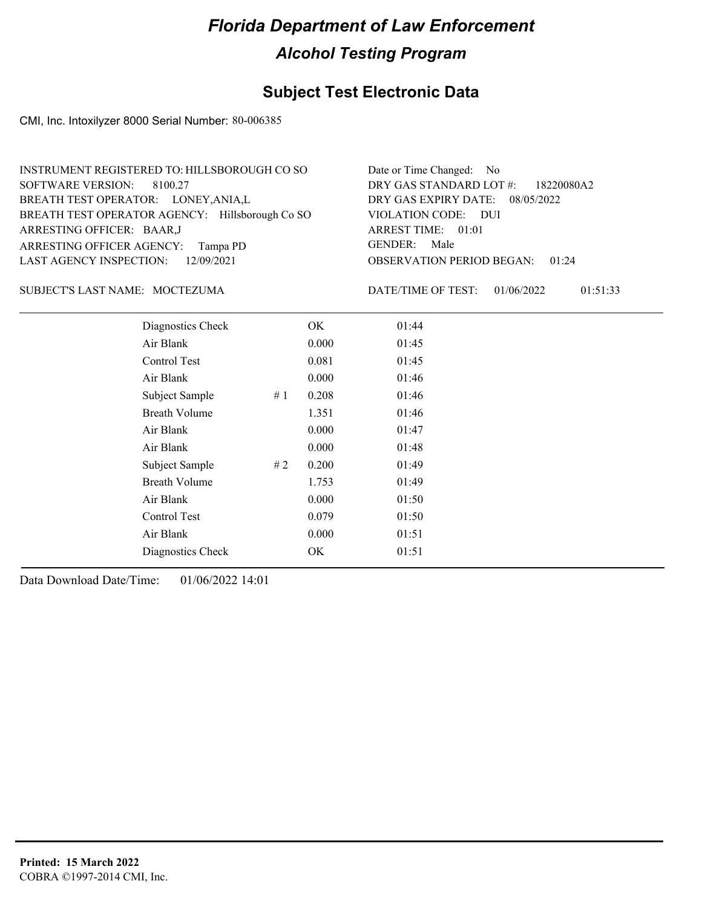### **Subject Test Electronic Data**

CMI, Inc. Intoxilyzer 8000 Serial Number: 80-006385

| INSTRUMENT REGISTERED TO: HILLSBOROUGH CO SO    | Date or Time Changed: No               |
|-------------------------------------------------|----------------------------------------|
| SOFTWARE VERSION: 8100.27                       | DRY GAS STANDARD LOT #: 18220080A2     |
| BREATH TEST OPERATOR: LONEY, ANIA, L            | DRY GAS EXPIRY DATE: 08/05/2022        |
| BREATH TEST OPERATOR AGENCY: Hillsborough Co SO | VIOLATION CODE: DUI                    |
| ARRESTING OFFICER: BAAR, J                      | ARREST TIME: 01:01                     |
| ARRESTING OFFICER AGENCY: Tampa PD              | GENDER: Male                           |
| LAST AGENCY INSPECTION: 12/09/2021              | <b>OBSERVATION PERIOD BEGAN: 01:24</b> |

#### MOCTEZUMA SUBJECT'S LAST NAME: DATE/TIME OF TEST:

DATE/TIME OF TEST: 01/06/2022 01:51:33

| Diagnostics Check    |    | OK    | 01:44 |
|----------------------|----|-------|-------|
| Air Blank            |    | 0.000 | 01:45 |
| Control Test         |    | 0.081 | 01:45 |
| Air Blank            |    | 0.000 | 01:46 |
| Subject Sample       | #1 | 0.208 | 01:46 |
| <b>Breath Volume</b> |    | 1.351 | 01:46 |
| Air Blank            |    | 0.000 | 01:47 |
| Air Blank            |    | 0.000 | 01:48 |
| Subject Sample       | #2 | 0.200 | 01:49 |
| <b>Breath Volume</b> |    | 1.753 | 01:49 |
| Air Blank            |    | 0.000 | 01:50 |
| Control Test         |    | 0.079 | 01:50 |
| Air Blank            |    | 0.000 | 01:51 |
| Diagnostics Check    |    | OK    | 01:51 |
|                      |    |       |       |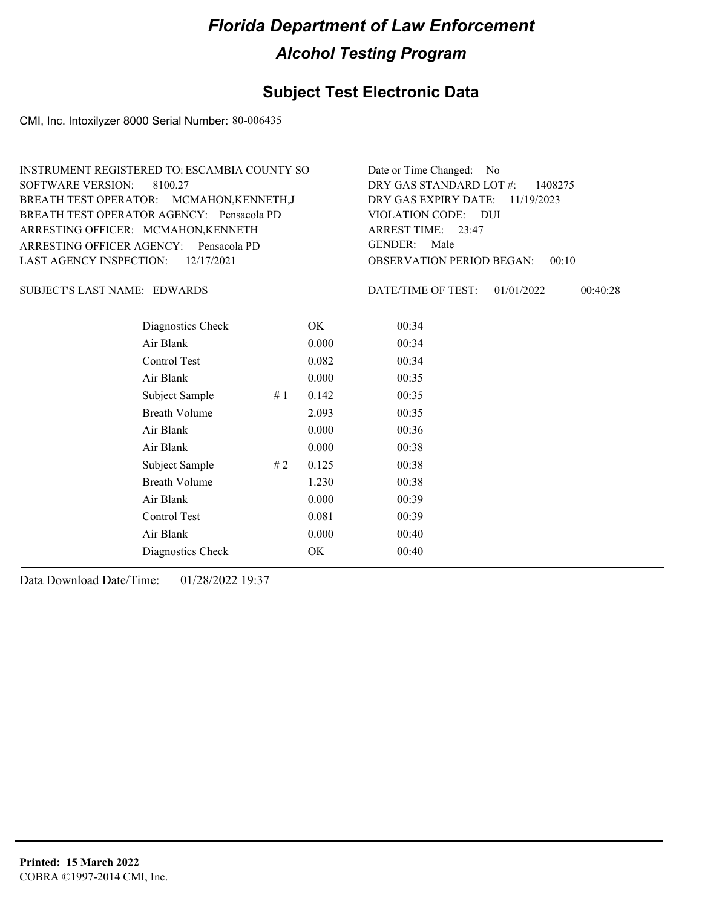### **Subject Test Electronic Data**

CMI, Inc. Intoxilyzer 8000 Serial Number: 80-006435

| INSTRUMENT REGISTERED TO: ESCAMBIA COUNTY SO | Date or Time Changed: No               |
|----------------------------------------------|----------------------------------------|
| SOFTWARE VERSION: 8100.27                    | DRY GAS STANDARD LOT $\#$ : 1408275    |
| BREATH TEST OPERATOR: MCMAHON, KENNETH, J    | DRY GAS EXPIRY DATE: $11/19/2023$      |
| BREATH TEST OPERATOR AGENCY: Pensacola PD    | VIOLATION CODE: DUI                    |
| ARRESTING OFFICER: MCMAHON, KENNETH          | ARREST TIME: 23:47                     |
| ARRESTING OFFICER AGENCY: Pensacola PD       | GENDER: Male                           |
| LAST AGENCY INSPECTION: $12/17/2021$         | <b>OBSERVATION PERIOD BEGAN: 00:10</b> |

#### SUBJECT'S LAST NAME: EDWARDS DATE/TIME OF TEST:

DATE/TIME OF TEST: 01/01/2022 00:40:28

| Diagnostics Check    |    | OK    | 00:34 |
|----------------------|----|-------|-------|
| Air Blank            |    | 0.000 | 00:34 |
| Control Test         |    | 0.082 | 00:34 |
| Air Blank            |    | 0.000 | 00:35 |
| Subject Sample       | #1 | 0.142 | 00:35 |
| <b>Breath Volume</b> |    | 2.093 | 00:35 |
| Air Blank            |    | 0.000 | 00:36 |
| Air Blank            |    | 0.000 | 00:38 |
| Subject Sample       | #2 | 0.125 | 00:38 |
| <b>Breath Volume</b> |    | 1.230 | 00:38 |
| Air Blank            |    | 0.000 | 00:39 |
| <b>Control Test</b>  |    | 0.081 | 00:39 |
| Air Blank            |    | 0.000 | 00:40 |
| Diagnostics Check    |    | OK    | 00:40 |
|                      |    |       |       |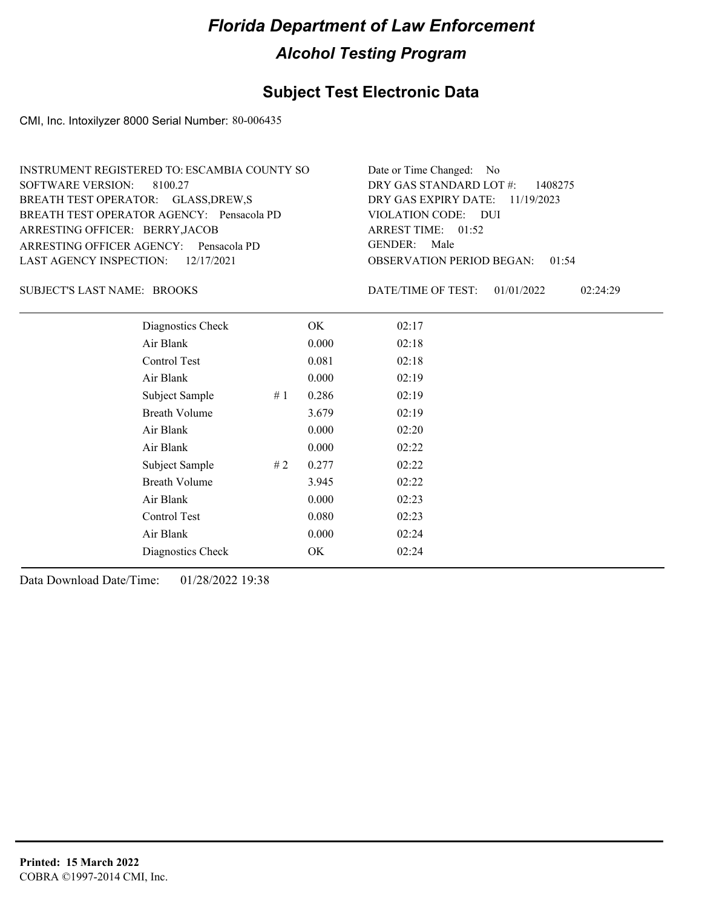### **Subject Test Electronic Data**

CMI, Inc. Intoxilyzer 8000 Serial Number: 80-006435

| INSTRUMENT REGISTERED TO: ESCAMBIA COUNTY SO | Date or Time Changed: No               |
|----------------------------------------------|----------------------------------------|
| SOFTWARE VERSION: 8100.27                    | DRY GAS STANDARD LOT $\#$ : 1408275    |
| BREATH TEST OPERATOR: GLASS, DREW, S         | DRY GAS EXPIRY DATE: 11/19/2023        |
| BREATH TEST OPERATOR AGENCY: Pensacola PD    | VIOLATION CODE: DUI                    |
| ARRESTING OFFICER: BERRY, JACOB              | ARREST TIME: 01:52                     |
| ARRESTING OFFICER AGENCY: Pensacola PD       | GENDER: Male                           |
| LAST AGENCY INSPECTION: 12/17/2021           | <b>OBSERVATION PERIOD BEGAN: 01:54</b> |

SUBJECT'S LAST NAME: BROOKS DATE/TIME OF TEST:

DATE/TIME OF TEST: 01/01/2022 02:24:29

| Diagnostics Check    |    | OK    | 02:17 |  |  |
|----------------------|----|-------|-------|--|--|
| Air Blank            |    | 0.000 | 02:18 |  |  |
| Control Test         |    | 0.081 | 02:18 |  |  |
| Air Blank            |    | 0.000 | 02:19 |  |  |
| Subject Sample       | #1 | 0.286 | 02:19 |  |  |
| <b>Breath Volume</b> |    | 3.679 | 02:19 |  |  |
| Air Blank            |    | 0.000 | 02:20 |  |  |
| Air Blank            |    | 0.000 | 02:22 |  |  |
| Subject Sample       | #2 | 0.277 | 02:22 |  |  |
| <b>Breath Volume</b> |    | 3.945 | 02:22 |  |  |
| Air Blank            |    | 0.000 | 02:23 |  |  |
| Control Test         |    | 0.080 | 02:23 |  |  |
| Air Blank            |    | 0.000 | 02:24 |  |  |
| Diagnostics Check    |    | OK    | 02:24 |  |  |
|                      |    |       |       |  |  |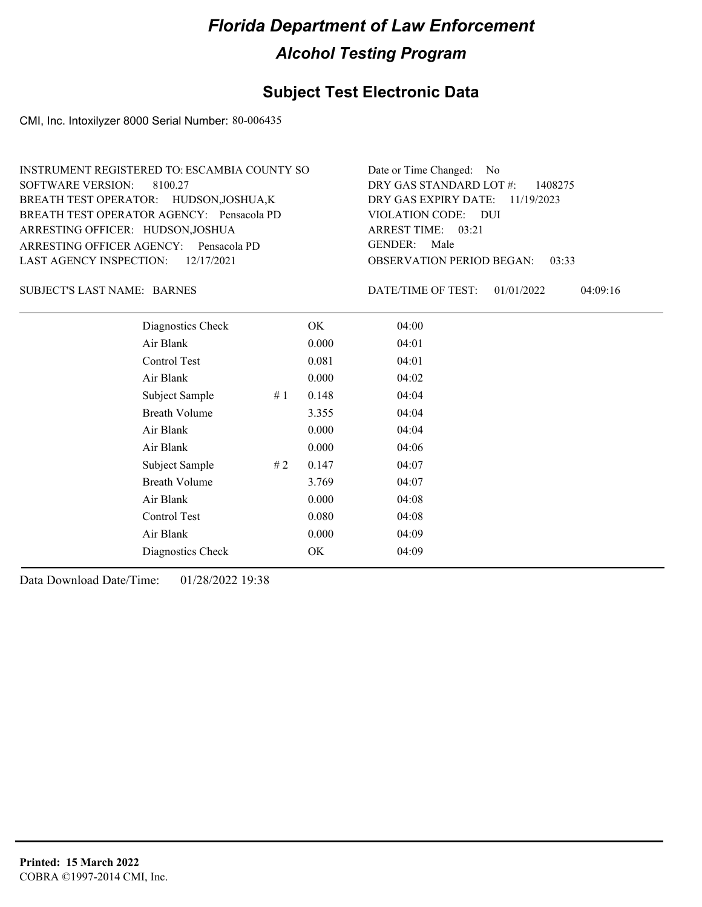### **Subject Test Electronic Data**

CMI, Inc. Intoxilyzer 8000 Serial Number: 80-006435

| Date or Time Changed: No               |
|----------------------------------------|
| DRY GAS STANDARD LOT #: 1408275        |
| DRY GAS EXPIRY DATE: $11/19/2023$      |
| VIOLATION CODE: DUI                    |
| ARREST TIME: $03:21$                   |
| GENDER: Male                           |
| <b>OBSERVATION PERIOD BEGAN: 03:33</b> |
|                                        |

SUBJECT'S LAST NAME: BARNES DATE/TIME OF TEST:

DATE/TIME OF TEST: 01/01/2022 04:09:16

| Diagnostics Check    |    | OK    | 04:00 |
|----------------------|----|-------|-------|
| Air Blank            |    | 0.000 | 04:01 |
| Control Test         |    | 0.081 | 04:01 |
| Air Blank            |    | 0.000 | 04:02 |
| Subject Sample       | #1 | 0.148 | 04:04 |
| <b>Breath Volume</b> |    | 3.355 | 04:04 |
| Air Blank            |    | 0.000 | 04:04 |
| Air Blank            |    | 0.000 | 04:06 |
| Subject Sample       | #2 | 0.147 | 04:07 |
| <b>Breath Volume</b> |    | 3.769 | 04:07 |
| Air Blank            |    | 0.000 | 04:08 |
| <b>Control Test</b>  |    | 0.080 | 04:08 |
| Air Blank            |    | 0.000 | 04:09 |
| Diagnostics Check    |    | OK    | 04:09 |
|                      |    |       |       |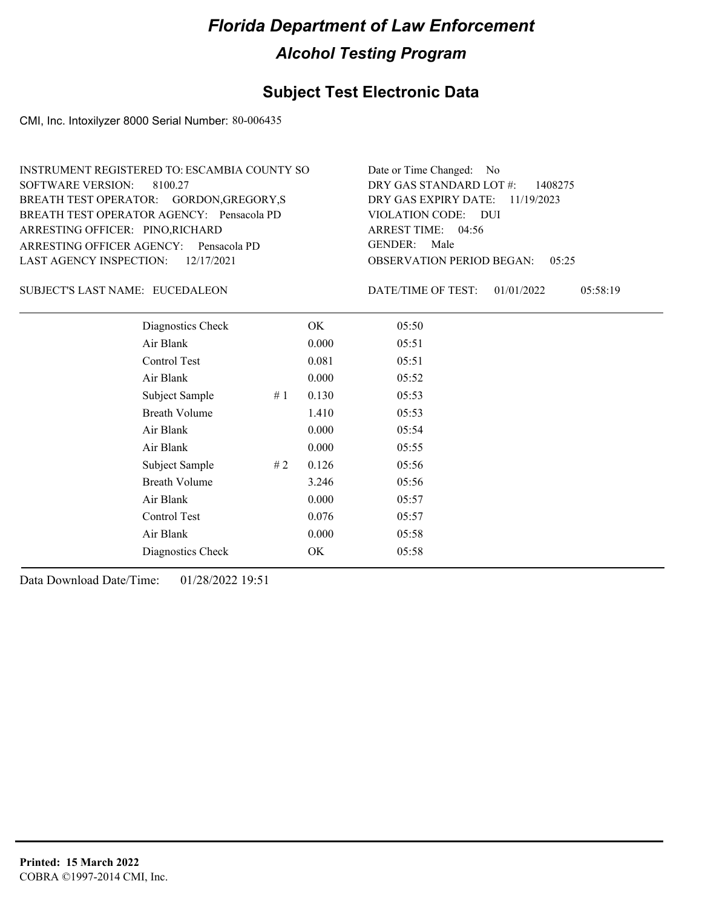### **Subject Test Electronic Data**

CMI, Inc. Intoxilyzer 8000 Serial Number: 80-006435

| INSTRUMENT REGISTERED TO: ESCAMBIA COUNTY SO | Date or Time Changed: No               |
|----------------------------------------------|----------------------------------------|
| SOFTWARE VERSION: 8100.27                    | DRY GAS STANDARD LOT $\#$ : 1408275    |
| BREATH TEST OPERATOR: GORDON, GREGORY, S     | DRY GAS EXPIRY DATE: 11/19/2023        |
| BREATH TEST OPERATOR AGENCY: Pensacola PD    | VIOLATION CODE: DUI                    |
| ARRESTING OFFICER: PINO, RICHARD             | ARREST TIME: $04:56$                   |
| ARRESTING OFFICER AGENCY: Pensacola PD       | GENDER: Male                           |
| LAST AGENCY INSPECTION: $12/17/2021$         | <b>OBSERVATION PERIOD BEGAN: 05:25</b> |

#### SUBJECT'S LAST NAME: EUCEDALEON DATE/TIME OF TEST:

DATE/TIME OF TEST: 01/01/2022 05:58:19

| Diagnostics Check    |    | OK    | 05:50 |
|----------------------|----|-------|-------|
| Air Blank            |    | 0.000 | 05:51 |
| Control Test         |    | 0.081 | 05:51 |
| Air Blank            |    | 0.000 | 05:52 |
| Subject Sample       | #1 | 0.130 | 05:53 |
| <b>Breath Volume</b> |    | 1.410 | 05:53 |
| Air Blank            |    | 0.000 | 05:54 |
| Air Blank            |    | 0.000 | 05:55 |
| Subject Sample       | #2 | 0.126 | 05:56 |
| <b>Breath Volume</b> |    | 3.246 | 05:56 |
| Air Blank            |    | 0.000 | 05:57 |
| Control Test         |    | 0.076 | 05:57 |
| Air Blank            |    | 0.000 | 05:58 |
| Diagnostics Check    |    | OK    | 05:58 |
|                      |    |       |       |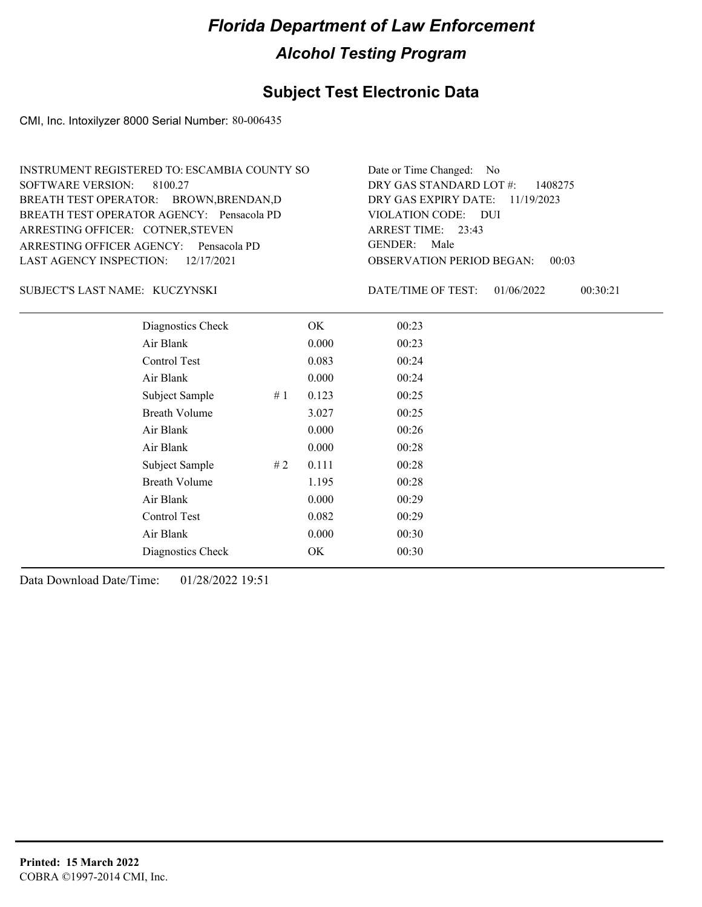### **Subject Test Electronic Data**

CMI, Inc. Intoxilyzer 8000 Serial Number: 80-006435

| INSTRUMENT REGISTERED TO: ESCAMBIA COUNTY SO | Date or Time Changed: No               |
|----------------------------------------------|----------------------------------------|
| SOFTWARE VERSION: 8100.27                    | DRY GAS STANDARD LOT $\#$ : 1408275    |
| BREATH TEST OPERATOR: BROWN, BRENDAN, D      | DRY GAS EXPIRY DATE: $11/19/2023$      |
| BREATH TEST OPERATOR AGENCY: Pensacola PD    | VIOLATION CODE: DUI                    |
| ARRESTING OFFICER: COTNER, STEVEN            | ARREST TIME: 23:43                     |
| ARRESTING OFFICER AGENCY: Pensacola PD       | GENDER: Male                           |
| LAST AGENCY INSPECTION: $12/17/2021$         | <b>OBSERVATION PERIOD BEGAN: 00:03</b> |

#### KUCZYNSKI SUBJECT'S LAST NAME: DATE/TIME OF TEST:

DATE/TIME OF TEST: 01/06/2022 00:30:21

| Diagnostics Check    |    | OK    | 00:23 |  |
|----------------------|----|-------|-------|--|
| Air Blank            |    | 0.000 | 00:23 |  |
| Control Test         |    | 0.083 | 00:24 |  |
| Air Blank            |    | 0.000 | 00:24 |  |
| Subject Sample       | #1 | 0.123 | 00:25 |  |
| <b>Breath Volume</b> |    | 3.027 | 00:25 |  |
| Air Blank            |    | 0.000 | 00:26 |  |
| Air Blank            |    | 0.000 | 00:28 |  |
| Subject Sample       | #2 | 0.111 | 00:28 |  |
| <b>Breath Volume</b> |    | 1.195 | 00:28 |  |
| Air Blank            |    | 0.000 | 00:29 |  |
| Control Test         |    | 0.082 | 00:29 |  |
| Air Blank            |    | 0.000 | 00:30 |  |
| Diagnostics Check    |    | OK    | 00:30 |  |
|                      |    |       |       |  |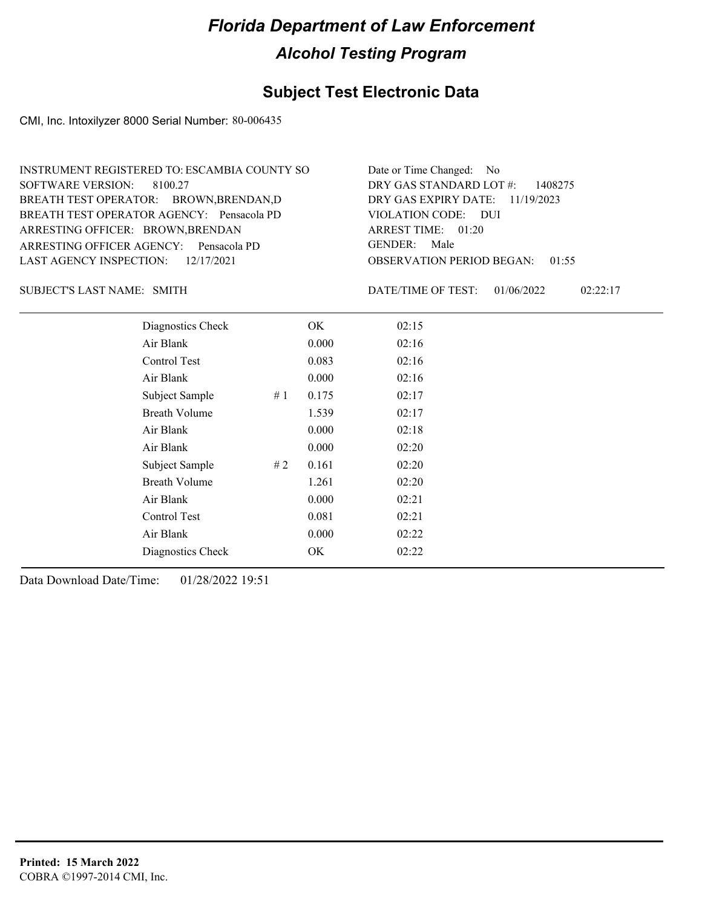### **Subject Test Electronic Data**

CMI, Inc. Intoxilyzer 8000 Serial Number: 80-006435

| INSTRUMENT REGISTERED TO: ESCAMBIA COUNTY SO | Date or Time Changed: No               |
|----------------------------------------------|----------------------------------------|
| SOFTWARE VERSION: 8100.27                    | DRY GAS STANDARD LOT $\#$ : 1408275    |
| BREATH TEST OPERATOR: BROWN, BRENDAN, D      | DRY GAS EXPIRY DATE: $11/19/2023$      |
| BREATH TEST OPERATOR AGENCY: Pensacola PD    | VIOLATION CODE: DUI                    |
| ARRESTING OFFICER: BROWN, BRENDAN            | ARREST TIME: $01:20$                   |
| ARRESTING OFFICER AGENCY: Pensacola PD       | GENDER: Male                           |
| LAST AGENCY INSPECTION: 12/17/2021           | <b>OBSERVATION PERIOD BEGAN: 01:55</b> |

SUBJECT'S LAST NAME: SMITH **Example 2018** DATE/TIME OF TEST:

DATE/TIME OF TEST: 01/06/2022 02:22:17

| Diagnostics Check    |    | OK.   | 02:15 |  |
|----------------------|----|-------|-------|--|
| Air Blank            |    | 0.000 | 02:16 |  |
| Control Test         |    | 0.083 | 02:16 |  |
| Air Blank            |    | 0.000 | 02:16 |  |
| Subject Sample       | #1 | 0.175 | 02:17 |  |
| <b>Breath Volume</b> |    | 1.539 | 02:17 |  |
| Air Blank            |    | 0.000 | 02:18 |  |
| Air Blank            |    | 0.000 | 02:20 |  |
| Subject Sample       | #2 | 0.161 | 02:20 |  |
| <b>Breath Volume</b> |    | 1.261 | 02:20 |  |
| Air Blank            |    | 0.000 | 02:21 |  |
| Control Test         |    | 0.081 | 02:21 |  |
| Air Blank            |    | 0.000 | 02:22 |  |
| Diagnostics Check    |    | OK    | 02:22 |  |
|                      |    |       |       |  |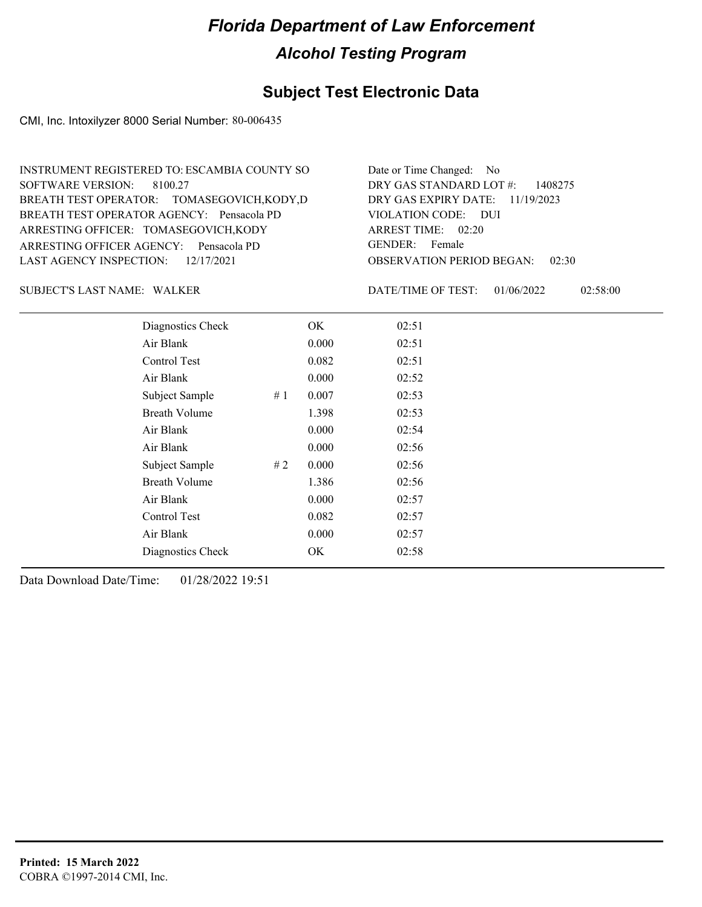### **Subject Test Electronic Data**

CMI, Inc. Intoxilyzer 8000 Serial Number: 80-006435

| INSTRUMENT REGISTERED TO: ESCAMBIA COUNTY SO | Date or Time Changed: No               |
|----------------------------------------------|----------------------------------------|
| SOFTWARE VERSION: 8100.27                    | DRY GAS STANDARD LOT $\#$ : 1408275    |
| BREATH TEST OPERATOR: TOMASEGOVICH, KODY, D  | DRY GAS EXPIRY DATE: $11/19/2023$      |
| BREATH TEST OPERATOR AGENCY: Pensacola PD    | VIOLATION CODE: DUI                    |
| ARRESTING OFFICER: TOMASEGOVICH, KODY        | ARREST TIME: $02:20$                   |
| ARRESTING OFFICER AGENCY: Pensacola PD       | GENDER: Female                         |
| LAST AGENCY INSPECTION: $12/17/2021$         | <b>OBSERVATION PERIOD BEGAN: 02:30</b> |

WALKER SUBJECT'S LAST NAME: DATE/TIME OF TEST:

DATE/TIME OF TEST: 01/06/2022 02:58:00

| Diagnostics Check    |    | OK    | 02:51 |
|----------------------|----|-------|-------|
| Air Blank            |    | 0.000 | 02:51 |
| Control Test         |    | 0.082 | 02:51 |
| Air Blank            |    | 0.000 | 02:52 |
| Subject Sample       | #1 | 0.007 | 02:53 |
| <b>Breath Volume</b> |    | 1.398 | 02:53 |
| Air Blank            |    | 0.000 | 02:54 |
| Air Blank            |    | 0.000 | 02:56 |
| Subject Sample       | #2 | 0.000 | 02:56 |
| <b>Breath Volume</b> |    | 1.386 | 02:56 |
| Air Blank            |    | 0.000 | 02:57 |
| Control Test         |    | 0.082 | 02:57 |
| Air Blank            |    | 0.000 | 02:57 |
| Diagnostics Check    |    | OK    | 02:58 |
|                      |    |       |       |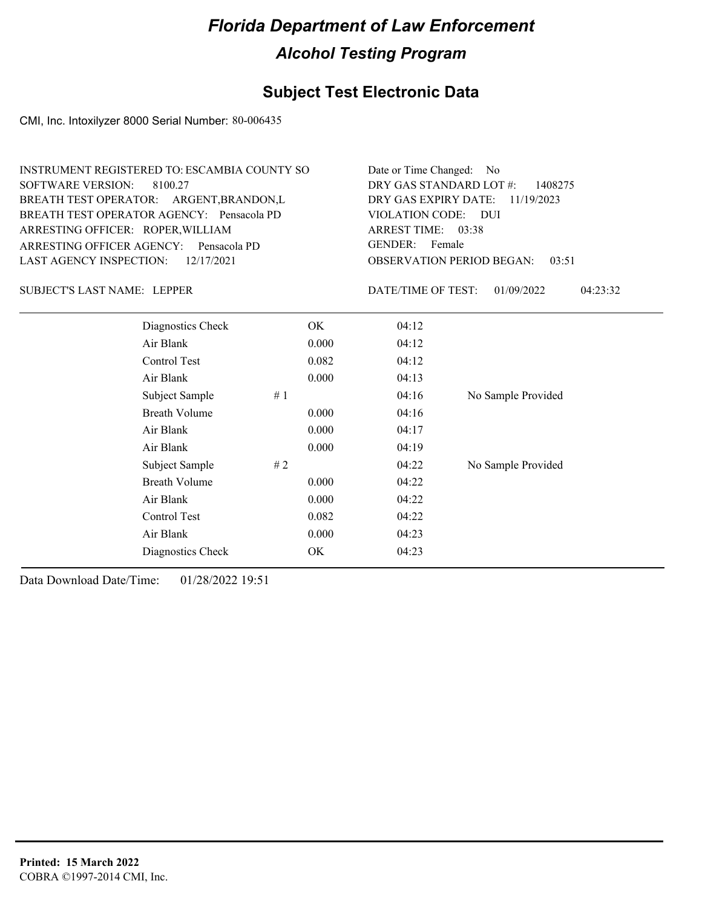### **Subject Test Electronic Data**

CMI, Inc. Intoxilyzer 8000 Serial Number: 80-006435

| INSTRUMENT REGISTERED TO: ESCAMBIA COUNTY SO | Date or Time Changed: No               |
|----------------------------------------------|----------------------------------------|
| SOFTWARE VERSION: 8100.27                    | DRY GAS STANDARD LOT $\#$ : 1408275    |
| BREATH TEST OPERATOR: ARGENT, BRANDON, L     | DRY GAS EXPIRY DATE: $11/19/2023$      |
| BREATH TEST OPERATOR AGENCY: Pensacola PD    | VIOLATION CODE: DUI                    |
| ARRESTING OFFICER: ROPER, WILLIAM            | ARREST TIME: 03:38                     |
| ARRESTING OFFICER AGENCY: Pensacola PD       | GENDER: Female                         |
| LAST AGENCY INSPECTION: $12/17/2021$         | <b>OBSERVATION PERIOD BEGAN: 03:51</b> |

SUBJECT'S LAST NAME: LEPPER DATE/TIME OF TEST:

DATE/TIME OF TEST: 01/09/2022 04:23:32

| Diagnostics Check    | OK.   | 04:12 |                    |
|----------------------|-------|-------|--------------------|
| Air Blank            | 0.000 | 04:12 |                    |
| Control Test         | 0.082 | 04:12 |                    |
| Air Blank            | 0.000 | 04:13 |                    |
| Subject Sample<br>#1 |       | 04:16 | No Sample Provided |
| <b>Breath Volume</b> | 0.000 | 04:16 |                    |
| Air Blank            | 0.000 | 04:17 |                    |
| Air Blank            | 0.000 | 04:19 |                    |
| Subject Sample<br>#2 |       | 04:22 | No Sample Provided |
| <b>Breath Volume</b> | 0.000 | 04:22 |                    |
| Air Blank            | 0.000 | 04:22 |                    |
| Control Test         | 0.082 | 04:22 |                    |
| Air Blank            | 0.000 | 04:23 |                    |
| Diagnostics Check    | OK    | 04:23 |                    |
|                      |       |       |                    |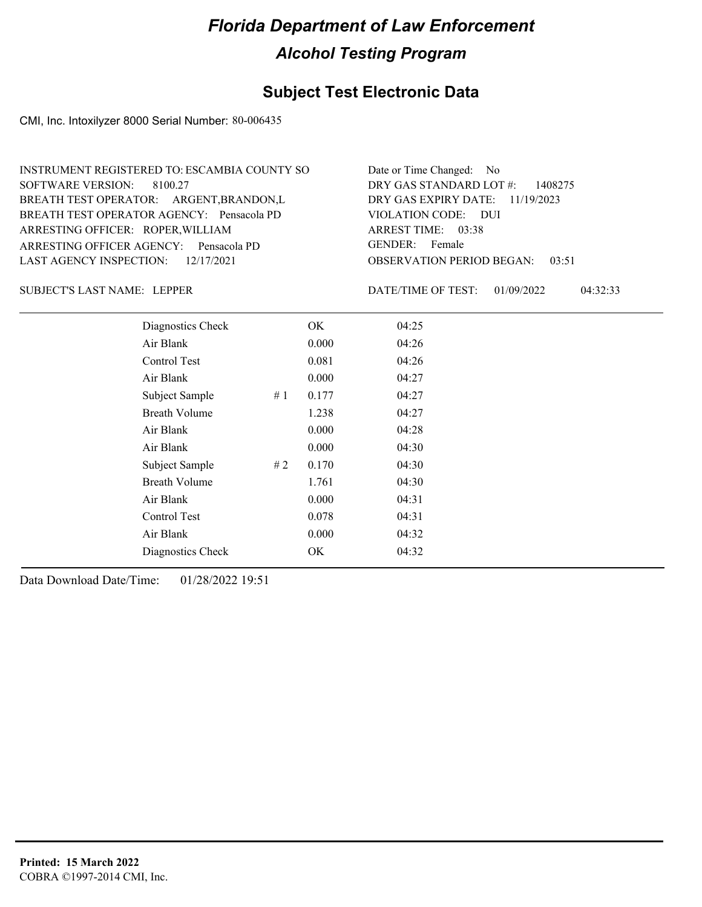### **Subject Test Electronic Data**

CMI, Inc. Intoxilyzer 8000 Serial Number: 80-006435

| INSTRUMENT REGISTERED TO: ESCAMBIA COUNTY SO | Date or Time Changed: No               |
|----------------------------------------------|----------------------------------------|
| SOFTWARE VERSION: 8100.27                    | DRY GAS STANDARD LOT $\#$ : 1408275    |
| BREATH TEST OPERATOR: ARGENT, BRANDON, L     | DRY GAS EXPIRY DATE: 11/19/2023        |
| BREATH TEST OPERATOR AGENCY: Pensacola PD    | VIOLATION CODE: DUI                    |
| ARRESTING OFFICER: ROPER, WILLIAM            | ARREST TIME: 03:38                     |
| ARRESTING OFFICER AGENCY: Pensacola PD       | GENDER: Female                         |
| LAST AGENCY INSPECTION: $12/17/2021$         | <b>OBSERVATION PERIOD BEGAN: 03:51</b> |

SUBJECT'S LAST NAME: LEPPER DATE/TIME OF TEST:

DATE/TIME OF TEST: 01/09/2022 04:32:33

| Diagnostics Check    |    | OK    | 04:25 |
|----------------------|----|-------|-------|
| Air Blank            |    | 0.000 | 04:26 |
| Control Test         |    | 0.081 | 04:26 |
| Air Blank            |    | 0.000 | 04:27 |
| Subject Sample       | #1 | 0.177 | 04:27 |
| <b>Breath Volume</b> |    | 1.238 | 04:27 |
| Air Blank            |    | 0.000 | 04:28 |
| Air Blank            |    | 0.000 | 04:30 |
| Subject Sample       | #2 | 0.170 | 04:30 |
| <b>Breath Volume</b> |    | 1.761 | 04:30 |
| Air Blank            |    | 0.000 | 04:31 |
| <b>Control Test</b>  |    | 0.078 | 04:31 |
| Air Blank            |    | 0.000 | 04:32 |
| Diagnostics Check    |    | OK    | 04:32 |
|                      |    |       |       |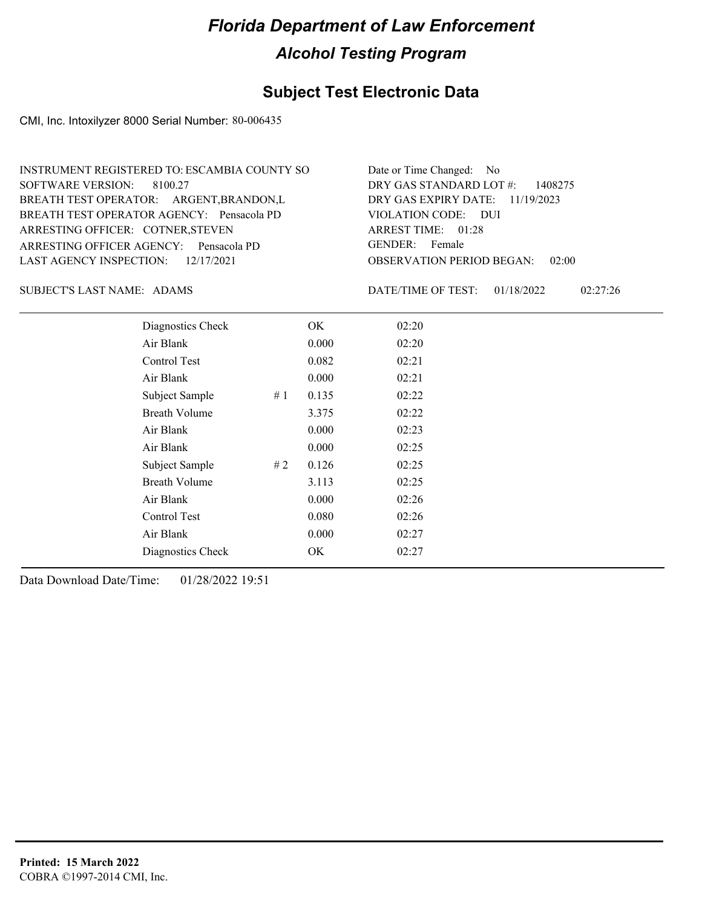### **Subject Test Electronic Data**

CMI, Inc. Intoxilyzer 8000 Serial Number: 80-006435

| INSTRUMENT REGISTERED TO: ESCAMBIA COUNTY SO | Date or Time Changed: No               |
|----------------------------------------------|----------------------------------------|
| SOFTWARE VERSION: 8100.27                    | DRY GAS STANDARD LOT $\#$ : 1408275    |
| BREATH TEST OPERATOR: ARGENT, BRANDON, L     | DRY GAS EXPIRY DATE: $11/19/2023$      |
| BREATH TEST OPERATOR AGENCY: Pensacola PD    | VIOLATION CODE: DUI                    |
| ARRESTING OFFICER: COTNER, STEVEN            | ARREST TIME: 01:28                     |
| ARRESTING OFFICER AGENCY: Pensacola PD       | GENDER: Female                         |
| LAST AGENCY INSPECTION: $12/17/2021$         | <b>OBSERVATION PERIOD BEGAN: 02:00</b> |

SUBJECT'S LAST NAME: ADAMS DATE/TIME OF TEST:

DATE/TIME OF TEST: 01/18/2022 02:27:26

| Diagnostics Check    |    | OK    | 02:20 |
|----------------------|----|-------|-------|
| Air Blank            |    | 0.000 | 02:20 |
| Control Test         |    | 0.082 | 02:21 |
| Air Blank            |    | 0.000 | 02:21 |
| Subject Sample       | #1 | 0.135 | 02:22 |
| <b>Breath Volume</b> |    | 3.375 | 02:22 |
| Air Blank            |    | 0.000 | 02:23 |
| Air Blank            |    | 0.000 | 02:25 |
| Subject Sample       | #2 | 0.126 | 02:25 |
| <b>Breath Volume</b> |    | 3.113 | 02:25 |
| Air Blank            |    | 0.000 | 02:26 |
| Control Test         |    | 0.080 | 02:26 |
| Air Blank            |    | 0.000 | 02:27 |
| Diagnostics Check    |    | OK    | 02:27 |
|                      |    |       |       |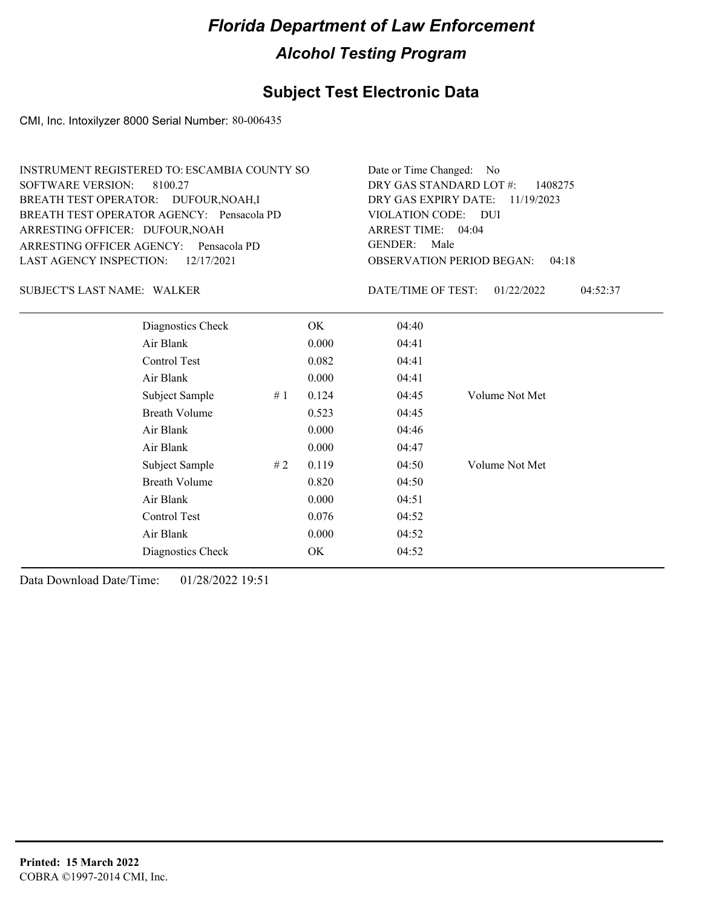### **Subject Test Electronic Data**

CMI, Inc. Intoxilyzer 8000 Serial Number: 80-006435

| Date or Time Changed: No               |
|----------------------------------------|
| DRY GAS STANDARD LOT $\#$ : 1408275    |
| DRY GAS EXPIRY DATE: 11/19/2023        |
| VIOLATION CODE: DUI                    |
| ARREST TIME: $04:04$                   |
| GENDER: Male                           |
| <b>OBSERVATION PERIOD BEGAN: 04:18</b> |
|                                        |

WALKER SUBJECT'S LAST NAME: DATE/TIME OF TEST:

DATE/TIME OF TEST: 01/22/2022 04:52:37

| Diagnostics Check    |    | OK    | 04:40 |                |
|----------------------|----|-------|-------|----------------|
| Air Blank            |    | 0.000 | 04:41 |                |
| Control Test         |    | 0.082 | 04:41 |                |
| Air Blank            |    | 0.000 | 04:41 |                |
| Subject Sample       | #1 | 0.124 | 04:45 | Volume Not Met |
| <b>Breath Volume</b> |    | 0.523 | 04:45 |                |
| Air Blank            |    | 0.000 | 04:46 |                |
| Air Blank            |    | 0.000 | 04:47 |                |
| Subject Sample       | #2 | 0.119 | 04:50 | Volume Not Met |
| <b>Breath Volume</b> |    | 0.820 | 04:50 |                |
| Air Blank            |    | 0.000 | 04:51 |                |
| Control Test         |    | 0.076 | 04:52 |                |
| Air Blank            |    | 0.000 | 04:52 |                |
| Diagnostics Check    |    | OK    | 04:52 |                |
|                      |    |       |       |                |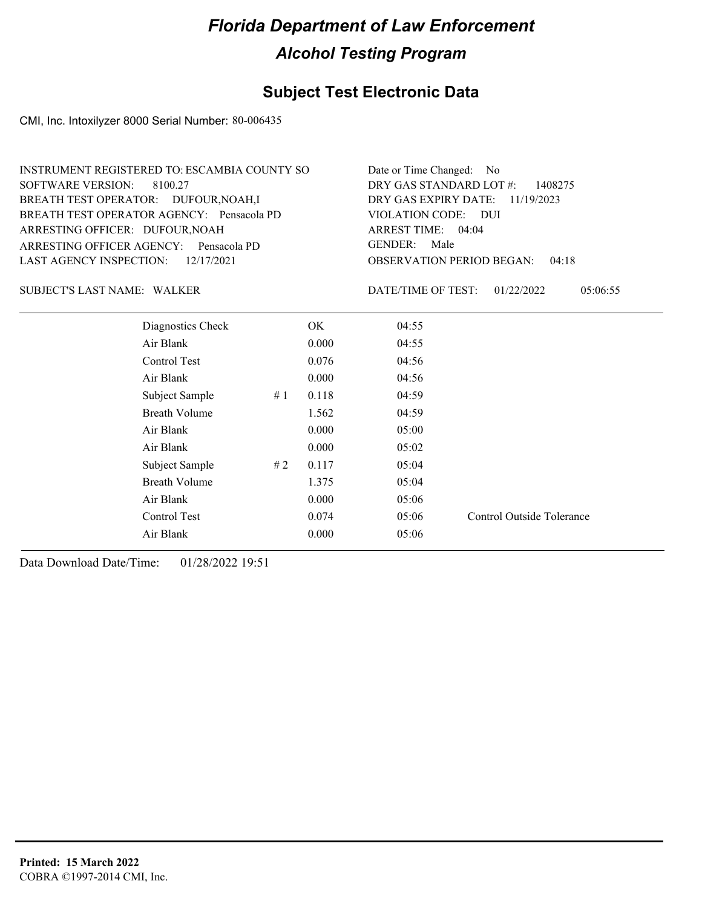### **Subject Test Electronic Data**

CMI, Inc. Intoxilyzer 8000 Serial Number: 80-006435

| Date or Time Changed: No               |
|----------------------------------------|
| DRY GAS STANDARD LOT $\#$ : 1408275    |
| DRY GAS EXPIRY DATE: $11/19/2023$      |
| VIOLATION CODE: DUI                    |
| ARREST TIME: 04:04                     |
| GENDER: Male                           |
| <b>OBSERVATION PERIOD BEGAN: 04:18</b> |
|                                        |

WALKER SUBJECT'S LAST NAME: DATE/TIME OF TEST:

DATE/TIME OF TEST: 01/22/2022 05:06:55

| Diagnostics Check    |    | OK    | 04:55 |                           |
|----------------------|----|-------|-------|---------------------------|
| Air Blank            |    | 0.000 | 04:55 |                           |
| Control Test         |    | 0.076 | 04:56 |                           |
| Air Blank            |    | 0.000 | 04:56 |                           |
| Subject Sample       | #1 | 0.118 | 04:59 |                           |
| <b>Breath Volume</b> |    | 1.562 | 04:59 |                           |
| Air Blank            |    | 0.000 | 05:00 |                           |
| Air Blank            |    | 0.000 | 05:02 |                           |
| Subject Sample       | #2 | 0.117 | 05:04 |                           |
| <b>Breath Volume</b> |    | 1.375 | 05:04 |                           |
| Air Blank            |    | 0.000 | 05:06 |                           |
| Control Test         |    | 0.074 | 05:06 | Control Outside Tolerance |
| Air Blank            |    | 0.000 | 05:06 |                           |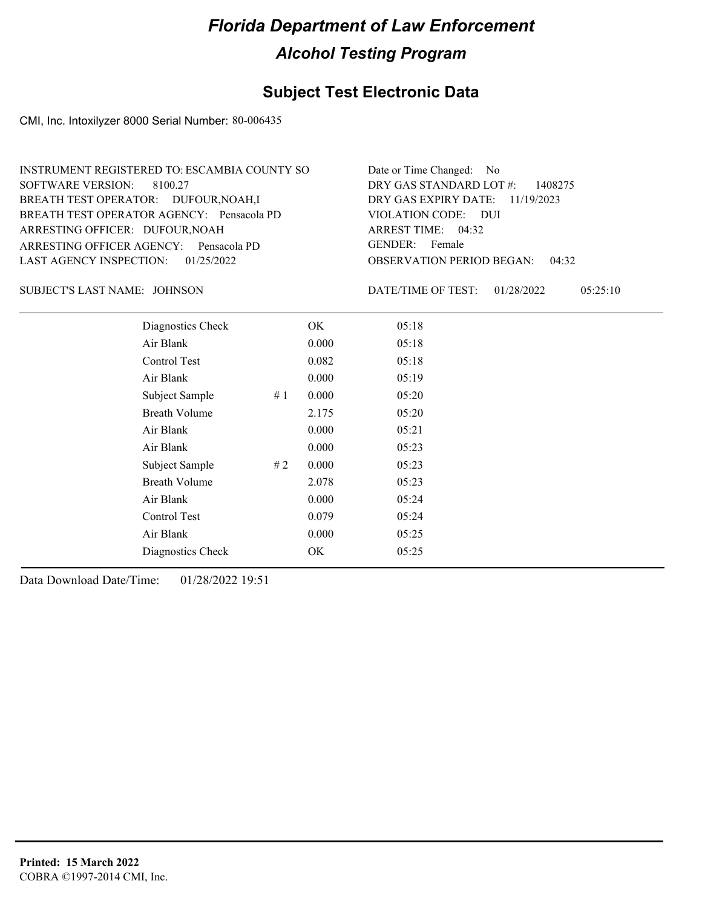#### **Subject Test Electronic Data**

CMI, Inc. Intoxilyzer 8000 Serial Number: 80-006435

| INSTRUMENT REGISTERED TO: ESCAMBIA COUNTY SO | Date or Time Changed: No               |
|----------------------------------------------|----------------------------------------|
| SOFTWARE VERSION: 8100.27                    | DRY GAS STANDARD LOT $\#$ : 1408275    |
| BREATH TEST OPERATOR: DUFOUR, NOAH, I        | DRY GAS EXPIRY DATE: 11/19/2023        |
| BREATH TEST OPERATOR AGENCY: Pensacola PD    | VIOLATION CODE: DUI                    |
| ARRESTING OFFICER: DUFOUR, NOAH              | ARREST TIME: $04:32$                   |
| ARRESTING OFFICER AGENCY: Pensacola PD       | GENDER: Female                         |
| LAST AGENCY INSPECTION: 01/25/2022           | <b>OBSERVATION PERIOD BEGAN: 04:32</b> |

JOHNSON SUBJECT'S LAST NAME: DATE/TIME OF TEST:

DATE/TIME OF TEST: 01/28/2022 05:25:10

| Diagnostics Check    |    | OK    | 05:18 |
|----------------------|----|-------|-------|
| Air Blank            |    | 0.000 | 05:18 |
| Control Test         |    | 0.082 | 05:18 |
| Air Blank            |    | 0.000 | 05:19 |
| Subject Sample       | #1 | 0.000 | 05:20 |
| <b>Breath Volume</b> |    | 2.175 | 05:20 |
| Air Blank            |    | 0.000 | 05:21 |
| Air Blank            |    | 0.000 | 05:23 |
| Subject Sample       | #2 | 0.000 | 05:23 |
| <b>Breath Volume</b> |    | 2.078 | 05:23 |
| Air Blank            |    | 0.000 | 05:24 |
| <b>Control Test</b>  |    | 0.079 | 05:24 |
| Air Blank            |    | 0.000 | 05:25 |
| Diagnostics Check    |    | OK    | 05:25 |
|                      |    |       |       |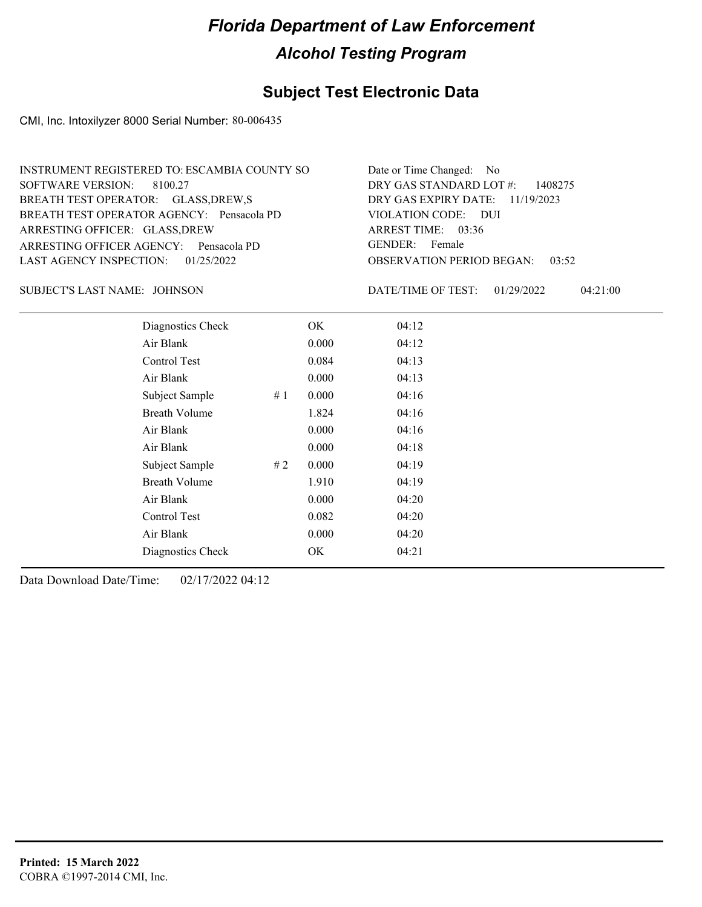#### **Subject Test Electronic Data**

CMI, Inc. Intoxilyzer 8000 Serial Number: 80-006435

| INSTRUMENT REGISTERED TO: ESCAMBIA COUNTY SO | Date or Time Changed: No               |
|----------------------------------------------|----------------------------------------|
| SOFTWARE VERSION: 8100.27                    | DRY GAS STANDARD LOT $\#$ : 1408275    |
| BREATH TEST OPERATOR: GLASS, DREW, S         | DRY GAS EXPIRY DATE: $11/19/2023$      |
| BREATH TEST OPERATOR AGENCY: Pensacola PD    | VIOLATION CODE: DUI                    |
| ARRESTING OFFICER: GLASS, DREW               | ARREST TIME: 03:36                     |
| ARRESTING OFFICER AGENCY: Pensacola PD       | GENDER: Female                         |
| LAST AGENCY INSPECTION: $01/25/2022$         | <b>OBSERVATION PERIOD BEGAN: 03:52</b> |

JOHNSON SUBJECT'S LAST NAME: DATE/TIME OF TEST:

DATE/TIME OF TEST: 01/29/2022 04:21:00

| Diagnostics Check    |    | OK    | 04:12 |
|----------------------|----|-------|-------|
| Air Blank            |    | 0.000 | 04:12 |
| Control Test         |    | 0.084 | 04:13 |
| Air Blank            |    | 0.000 | 04:13 |
| Subject Sample       | #1 | 0.000 | 04:16 |
| <b>Breath Volume</b> |    | 1.824 | 04:16 |
| Air Blank            |    | 0.000 | 04:16 |
| Air Blank            |    | 0.000 | 04:18 |
| Subject Sample       | #2 | 0.000 | 04:19 |
| <b>Breath Volume</b> |    | 1.910 | 04:19 |
| Air Blank            |    | 0.000 | 04:20 |
| Control Test         |    | 0.082 | 04:20 |
| Air Blank            |    | 0.000 | 04:20 |
| Diagnostics Check    |    | OK    | 04:21 |
|                      |    |       |       |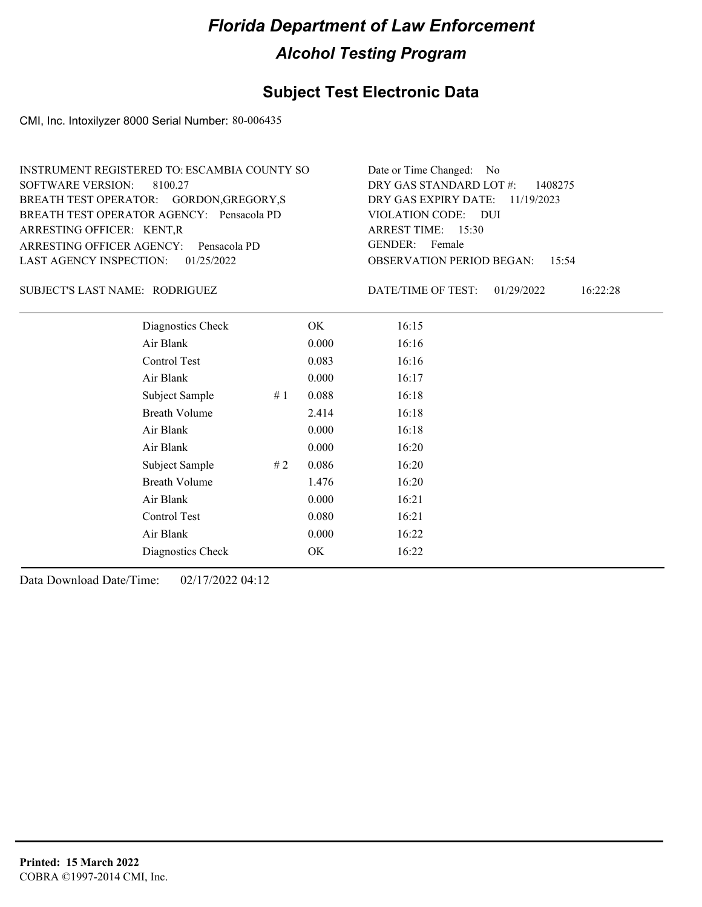### **Subject Test Electronic Data**

CMI, Inc. Intoxilyzer 8000 Serial Number: 80-006435

| INSTRUMENT REGISTERED TO: ESCAMBIA COUNTY SO | Date or Time Changed: No               |
|----------------------------------------------|----------------------------------------|
| SOFTWARE VERSION: 8100.27                    | DRY GAS STANDARD LOT $\#$ : 1408275    |
| BREATH TEST OPERATOR: GORDON, GREGORY, S     | DRY GAS EXPIRY DATE: $11/19/2023$      |
| BREATH TEST OPERATOR AGENCY: Pensacola PD    | VIOLATION CODE: DUI                    |
| ARRESTING OFFICER: KENT, R                   | ARREST TIME: $15:30$                   |
| ARRESTING OFFICER AGENCY: Pensacola PD       | GENDER: Female                         |
| LAST AGENCY INSPECTION: 01/25/2022           | <b>OBSERVATION PERIOD BEGAN: 15:54</b> |

#### RODRIGUEZ SUBJECT'S LAST NAME: DATE/TIME OF TEST:

DATE/TIME OF TEST: 01/29/2022 16:22:28

| Diagnostics Check    |    | OK    | 16:15 |
|----------------------|----|-------|-------|
| Air Blank            |    | 0.000 | 16:16 |
| Control Test         |    | 0.083 | 16:16 |
| Air Blank            |    | 0.000 | 16:17 |
| Subject Sample       | #1 | 0.088 | 16:18 |
| <b>Breath Volume</b> |    | 2.414 | 16:18 |
| Air Blank            |    | 0.000 | 16:18 |
| Air Blank            |    | 0.000 | 16:20 |
| Subject Sample       | #2 | 0.086 | 16:20 |
| <b>Breath Volume</b> |    | 1.476 | 16:20 |
| Air Blank            |    | 0.000 | 16:21 |
| Control Test         |    | 0.080 | 16:21 |
| Air Blank            |    | 0.000 | 16:22 |
| Diagnostics Check    |    | OK    | 16:22 |
|                      |    |       |       |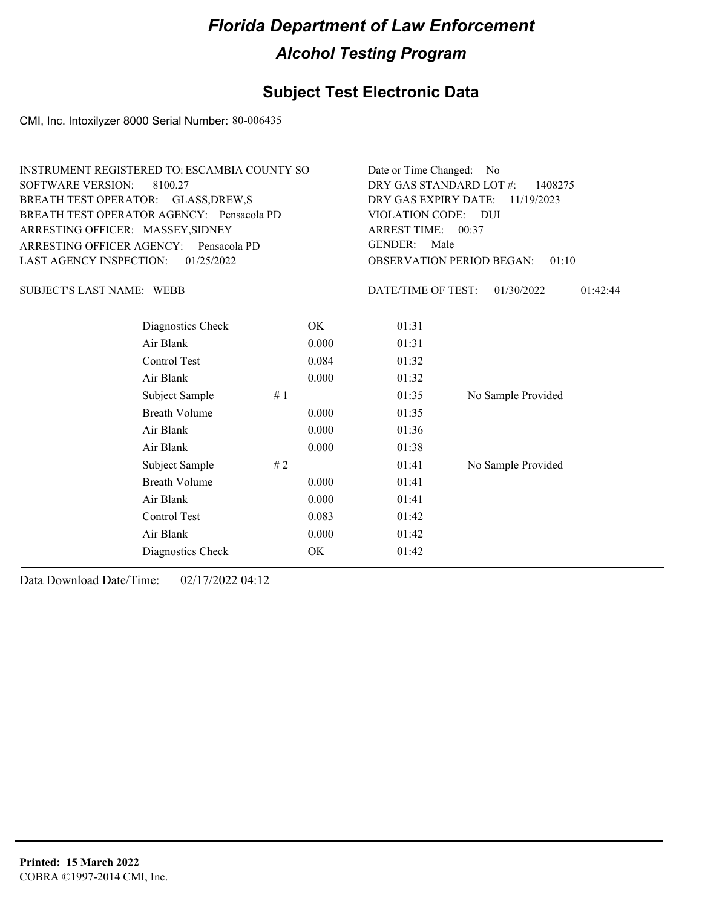### **Subject Test Electronic Data**

CMI, Inc. Intoxilyzer 8000 Serial Number: 80-006435

| Date or Time Changed: No               |
|----------------------------------------|
| DRY GAS STANDARD LOT $\#$ : 1408275    |
| DRY GAS EXPIRY DATE: $11/19/2023$      |
| VIOLATION CODE: DUI                    |
| ARREST TIME: 00:37                     |
| GENDER: Male                           |
| <b>OBSERVATION PERIOD BEGAN: 01:10</b> |
|                                        |

SUBJECT'S LAST NAME: WEBB DATE/TIME OF TEST:

DATE/TIME OF TEST: 01/30/2022 01:42:44

| Diagnostics Check    | OK    | 01:31 |                    |
|----------------------|-------|-------|--------------------|
| Air Blank            | 0.000 | 01:31 |                    |
| Control Test         | 0.084 | 01:32 |                    |
| Air Blank            | 0.000 | 01:32 |                    |
| Subject Sample<br>#1 |       | 01:35 | No Sample Provided |
| <b>Breath Volume</b> | 0.000 | 01:35 |                    |
| Air Blank            | 0.000 | 01:36 |                    |
| Air Blank            | 0.000 | 01:38 |                    |
| Subject Sample<br>#2 |       | 01:41 | No Sample Provided |
| <b>Breath Volume</b> | 0.000 | 01:41 |                    |
| Air Blank            | 0.000 | 01:41 |                    |
| Control Test         | 0.083 | 01:42 |                    |
| Air Blank            | 0.000 | 01:42 |                    |
| Diagnostics Check    | OK.   | 01:42 |                    |
|                      |       |       |                    |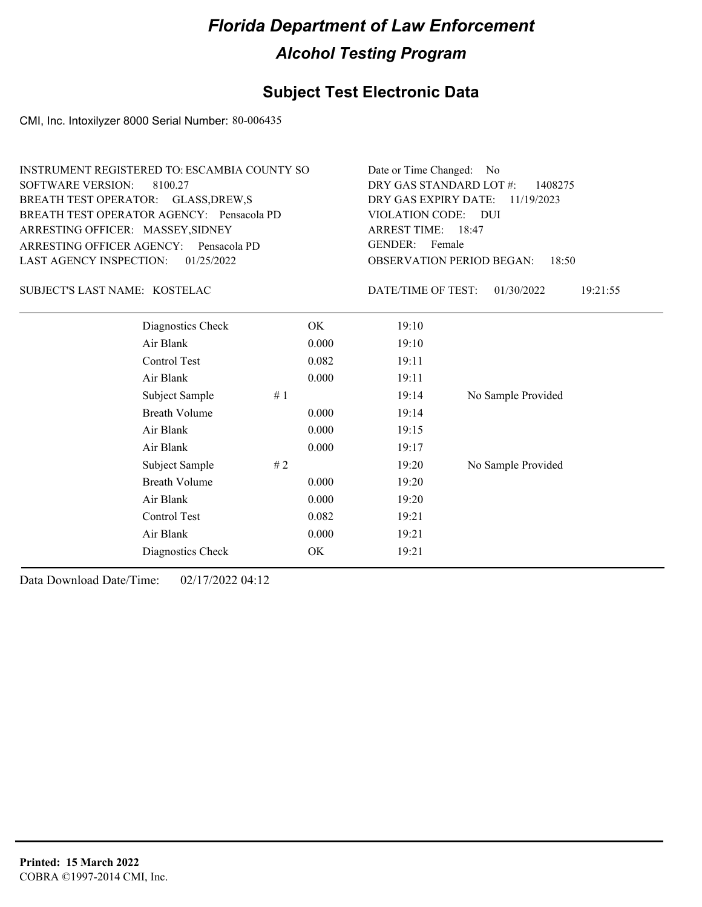### **Subject Test Electronic Data**

CMI, Inc. Intoxilyzer 8000 Serial Number: 80-006435

| INSTRUMENT REGISTERED TO: ESCAMBIA COUNTY SO | Date or Time Changed: No               |
|----------------------------------------------|----------------------------------------|
| SOFTWARE VERSION: 8100.27                    | DRY GAS STANDARD LOT $\#$ : 1408275    |
| BREATH TEST OPERATOR: GLASS, DREW, S         | DRY GAS EXPIRY DATE: $11/19/2023$      |
| BREATH TEST OPERATOR AGENCY: Pensacola PD    | VIOLATION CODE: DUI                    |
| ARRESTING OFFICER: MASSEY, SIDNEY            | ARREST TIME: 18:47                     |
| ARRESTING OFFICER AGENCY: Pensacola PD       | GENDER: Female                         |
| LAST AGENCY INSPECTION: $01/25/2022$         | <b>OBSERVATION PERIOD BEGAN: 18:50</b> |

KOSTELAC SUBJECT'S LAST NAME: DATE/TIME OF TEST:

DATE/TIME OF TEST: 01/30/2022 19:21:55

| Diagnostics Check    | OK    | 19:10 |                    |
|----------------------|-------|-------|--------------------|
| Air Blank            | 0.000 | 19:10 |                    |
| Control Test         | 0.082 | 19:11 |                    |
| Air Blank            | 0.000 | 19:11 |                    |
| Subject Sample<br>#1 |       | 19:14 | No Sample Provided |
| <b>Breath Volume</b> | 0.000 | 19:14 |                    |
| Air Blank            | 0.000 | 19:15 |                    |
| Air Blank            | 0.000 | 19:17 |                    |
| Subject Sample<br>#2 |       | 19:20 | No Sample Provided |
| <b>Breath Volume</b> | 0.000 | 19:20 |                    |
| Air Blank            | 0.000 | 19:20 |                    |
| Control Test         | 0.082 | 19:21 |                    |
| Air Blank            | 0.000 | 19:21 |                    |
| Diagnostics Check    | OK    | 19:21 |                    |
|                      |       |       |                    |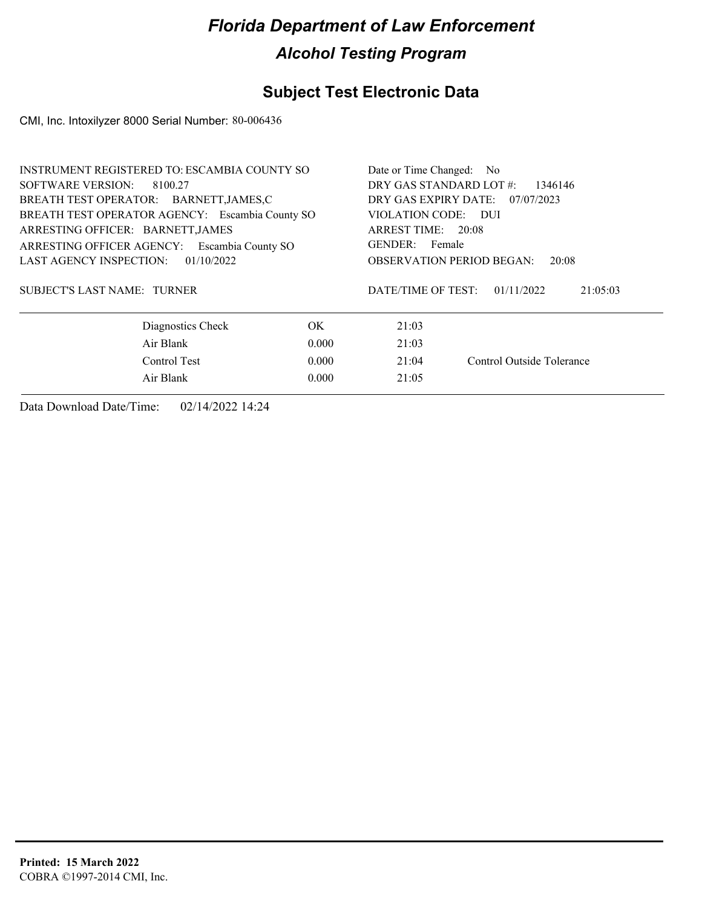### **Subject Test Electronic Data**

CMI, Inc. Intoxilyzer 8000 Serial Number: 80-006436

| <b>INSTRUMENT REGISTERED TO: ESCAMBIA COUNTY SO</b> |                                                 |                                                                                             |  |  |
|-----------------------------------------------------|-------------------------------------------------|---------------------------------------------------------------------------------------------|--|--|
| SOFTWARE VERSION:<br>8100.27                        |                                                 |                                                                                             |  |  |
|                                                     | DRY GAS EXPIRY DATE:                            | 07/07/2023                                                                                  |  |  |
|                                                     |                                                 | VIOLATION CODE: DUI                                                                         |  |  |
|                                                     |                                                 | ARREST TIME: 20:08                                                                          |  |  |
|                                                     |                                                 | GENDER: Female                                                                              |  |  |
|                                                     |                                                 | <b>OBSERVATION PERIOD BEGAN:</b><br>20:08                                                   |  |  |
| SUBJECT'S LAST NAME: TURNER                         |                                                 | 01/11/2022<br>21:05:03                                                                      |  |  |
| OK.                                                 | 21:03                                           |                                                                                             |  |  |
| Air Blank<br>0.000                                  |                                                 |                                                                                             |  |  |
| Control Test<br>0.000                               |                                                 |                                                                                             |  |  |
| 0.000                                               | 21:05                                           |                                                                                             |  |  |
|                                                     | BREATH TEST OPERATOR AGENCY: Escambia County SO | Date or Time Changed: No<br>DRY GAS STANDARD LOT #:<br>DATE/TIME OF TEST:<br>21:03<br>21:04 |  |  |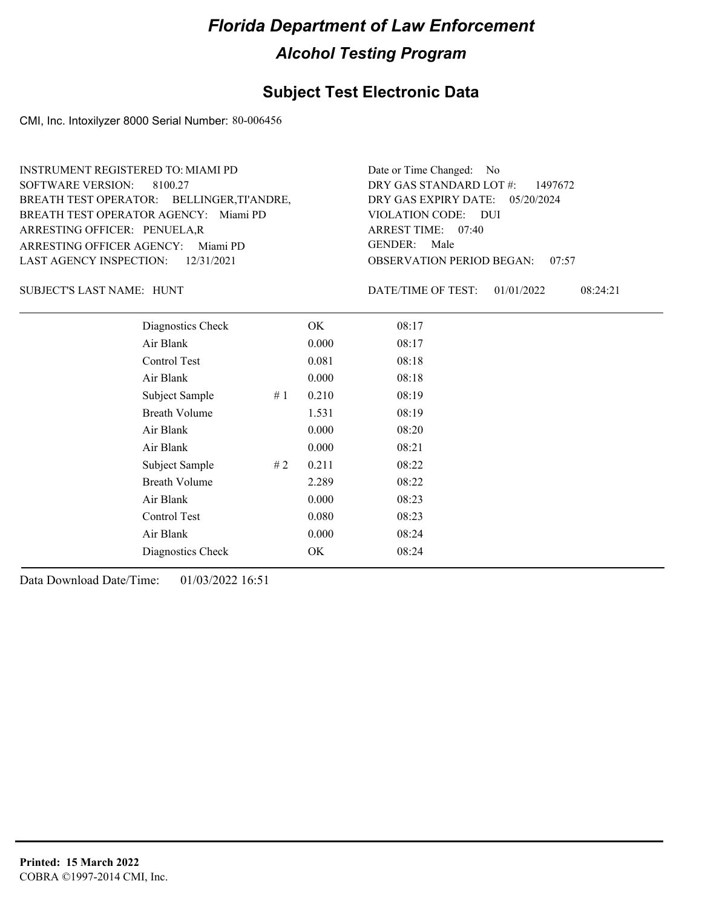#### **Subject Test Electronic Data**

CMI, Inc. Intoxilyzer 8000 Serial Number: 80-006456

ARRESTING OFFICER AGENCY: Miami PD GENDER: BREATH TEST OPERATOR AGENCY: Miami PD VIOLATION CODE: SOFTWARE VERSION: 8100.27 ARRESTING OFFICER: PENUELA,R BREATH TEST OPERATOR: BELLINGER, TI'ANDRE, LAST AGENCY INSPECTION: 12/31/2021 INSTRUMENT REGISTERED TO: MIAMI PD Date or Time Changed: No

OBSERVATION PERIOD BEGAN: 07:57 VIOLATION CODE: DUI 07:40 ARREST TIME: DRY GAS EXPIRY DATE: 05/20/2024 DRY GAS STANDARD LOT #: 1497672 GENDER: Male

SUBJECT'S LAST NAME: HUNT NAME OF TEST:

DATE/TIME OF TEST: 01/01/2022 08:24:21

| Diagnostics Check    |    | OK    | 08:17 |
|----------------------|----|-------|-------|
| Air Blank            |    | 0.000 | 08:17 |
| Control Test         |    | 0.081 | 08:18 |
| Air Blank            |    | 0.000 | 08:18 |
| Subject Sample       | #1 | 0.210 | 08:19 |
| <b>Breath Volume</b> |    | 1.531 | 08:19 |
| Air Blank            |    | 0.000 | 08:20 |
| Air Blank            |    | 0.000 | 08:21 |
| Subject Sample       | #2 | 0.211 | 08:22 |
| <b>Breath Volume</b> |    | 2.289 | 08:22 |
| Air Blank            |    | 0.000 | 08:23 |
| Control Test         |    | 0.080 | 08:23 |
| Air Blank            |    | 0.000 | 08:24 |
| Diagnostics Check    |    | OK    | 08:24 |
|                      |    |       |       |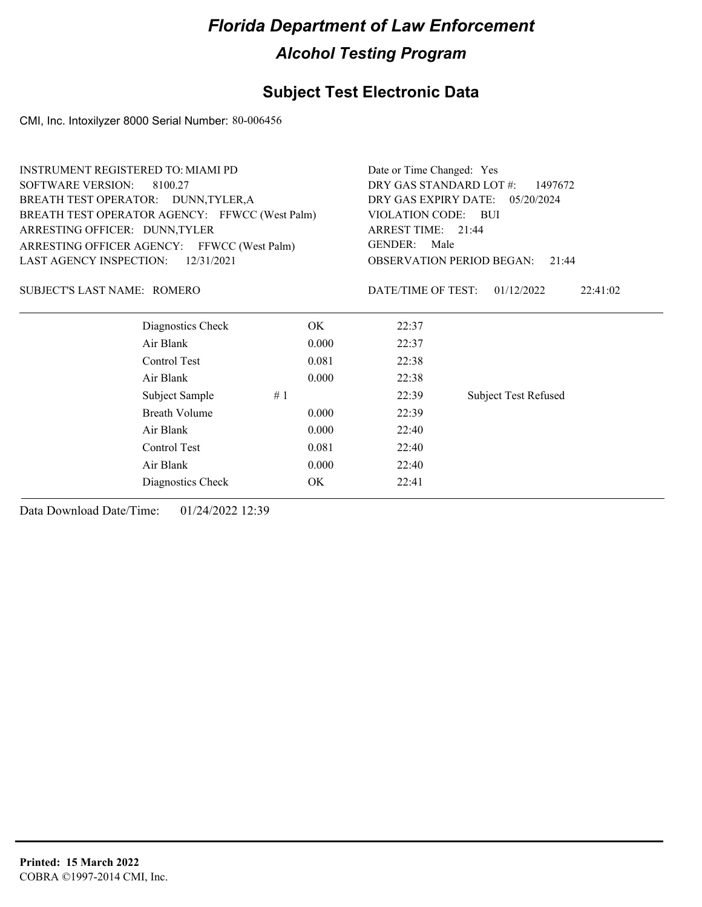### **Subject Test Electronic Data**

CMI, Inc. Intoxilyzer 8000 Serial Number: 80-006456

| <b>INSTRUMENT REGISTERED TO: MIAMI PD</b>      |                      |       | Date or Time Changed: Yes                                           |                             |  |  |
|------------------------------------------------|----------------------|-------|---------------------------------------------------------------------|-----------------------------|--|--|
| <b>SOFTWARE VERSION:</b><br>8100.27            |                      |       | DRY GAS STANDARD LOT #:<br>1497672                                  |                             |  |  |
| BREATH TEST OPERATOR: DUNN, TYLER, A           |                      |       | DRY GAS EXPIRY DATE:<br>05/20/2024                                  |                             |  |  |
| BREATH TEST OPERATOR AGENCY: FFWCC (West Palm) |                      |       | VIOLATION CODE:<br>– BUI<br>ARREST TIME: 21:44                      |                             |  |  |
| ARRESTING OFFICER: DUNN, TYLER                 |                      |       |                                                                     |                             |  |  |
| ARRESTING OFFICER AGENCY: FFWCC (West Palm)    |                      |       | <b>GENDER:</b><br>Male<br><b>OBSERVATION PERIOD BEGAN:</b><br>21:44 |                             |  |  |
| LAST AGENCY INSPECTION:                        | 12/31/2021           |       |                                                                     |                             |  |  |
| SUBJECT'S LAST NAME: ROMERO                    |                      |       | DATE/TIME OF TEST:                                                  | 01/12/2022<br>22:41:02      |  |  |
|                                                | Diagnostics Check    | OK.   | 22:37                                                               |                             |  |  |
| Air Blank                                      |                      | 0.000 | 22:37                                                               |                             |  |  |
| Control Test                                   |                      | 0.081 | 22:38                                                               |                             |  |  |
| Air Blank                                      |                      | 0.000 | 22:38                                                               |                             |  |  |
|                                                | Subject Sample<br>#1 |       | 22:39                                                               | <b>Subject Test Refused</b> |  |  |
|                                                | Breath Volume        | 0.000 | 22:39                                                               |                             |  |  |
| Air Blank                                      |                      | 0.000 | 22:40                                                               |                             |  |  |
| Control Test                                   |                      | 22:40 |                                                                     |                             |  |  |
| Air Blank                                      |                      | 22:40 |                                                                     |                             |  |  |
|                                                | Diagnostics Check    | OK    | 22:41                                                               |                             |  |  |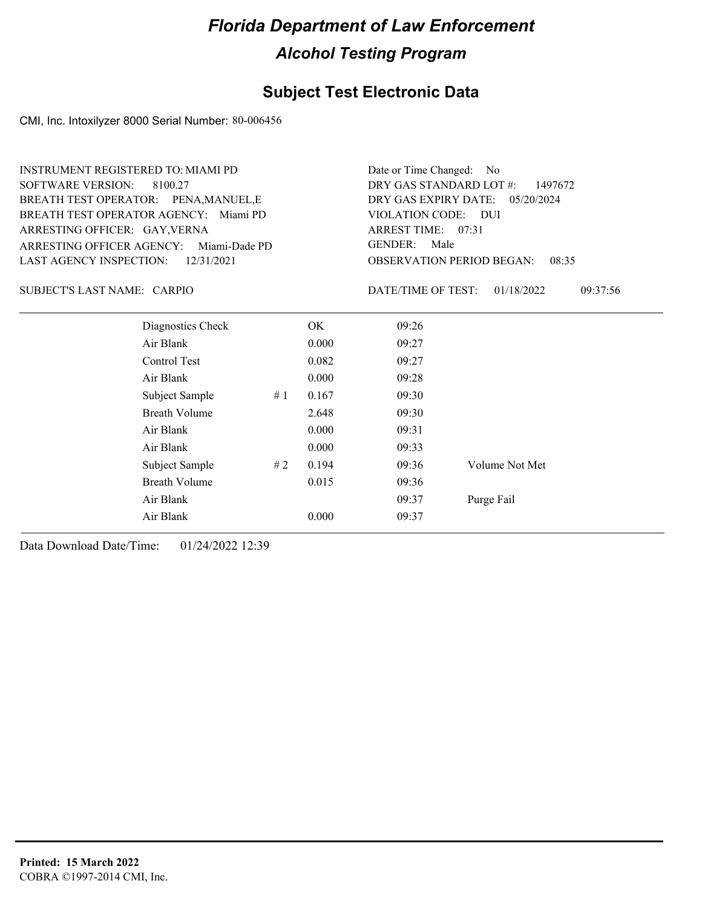### **Subject Test Electronic Data**

CMI, Inc. Intoxilyzer 8000 Serial Number: 80-006456

| <b>INSTRUMENT REGISTERED TO: MIAMI PD</b><br><b>SOFTWARE VERSION:</b><br>8100.27<br>BREATH TEST OPERATOR: PENA, MANUEL, E<br>BREATH TEST OPERATOR AGENCY: Miami PD<br>ARRESTING OFFICER: GAY, VERNA |    |       | Date or Time Changed:<br>- No<br>DRY GAS STANDARD LOT #:<br>1497672<br>DRY GAS EXPIRY DATE:<br>05/20/2024<br>VIOLATION CODE: DUI<br>ARREST TIME: 07:31 |                        |  |
|-----------------------------------------------------------------------------------------------------------------------------------------------------------------------------------------------------|----|-------|--------------------------------------------------------------------------------------------------------------------------------------------------------|------------------------|--|
| ARRESTING OFFICER AGENCY:<br>Miami-Dade PD                                                                                                                                                          |    |       | <b>GENDER:</b><br>Male                                                                                                                                 |                        |  |
| <b>LAST AGENCY INSPECTION:</b><br>12/31/2021                                                                                                                                                        |    |       | <b>OBSERVATION PERIOD BEGAN:</b><br>08:35                                                                                                              |                        |  |
| SUBJECT'S LAST NAME: CARPIO                                                                                                                                                                         |    |       | DATE/TIME OF TEST:                                                                                                                                     | 01/18/2022<br>09:37:56 |  |
| Diagnostics Check                                                                                                                                                                                   |    | OK.   | 09:26                                                                                                                                                  |                        |  |
| Air Blank                                                                                                                                                                                           |    | 0.000 | 09:27                                                                                                                                                  |                        |  |
| Control Test                                                                                                                                                                                        |    | 0.082 | 09:27                                                                                                                                                  |                        |  |
| Air Blank                                                                                                                                                                                           |    | 0.000 | 09:28                                                                                                                                                  |                        |  |
| Subject Sample                                                                                                                                                                                      | #1 | 0.167 | 09:30                                                                                                                                                  |                        |  |
| <b>Breath Volume</b>                                                                                                                                                                                |    | 2.648 | 09:30                                                                                                                                                  |                        |  |
| Air Blank                                                                                                                                                                                           |    | 0.000 | 09:31                                                                                                                                                  |                        |  |
| Air Blank                                                                                                                                                                                           |    | 0.000 | 09:33                                                                                                                                                  |                        |  |
| Subject Sample                                                                                                                                                                                      | #2 | 0.194 | 09:36                                                                                                                                                  | Volume Not Met         |  |
| <b>Breath Volume</b>                                                                                                                                                                                |    | 0.015 | 09:36                                                                                                                                                  |                        |  |
| Air Blank                                                                                                                                                                                           |    |       | 09:37                                                                                                                                                  | Purge Fail             |  |
| Air Blank                                                                                                                                                                                           |    | 0.000 | 09:37                                                                                                                                                  |                        |  |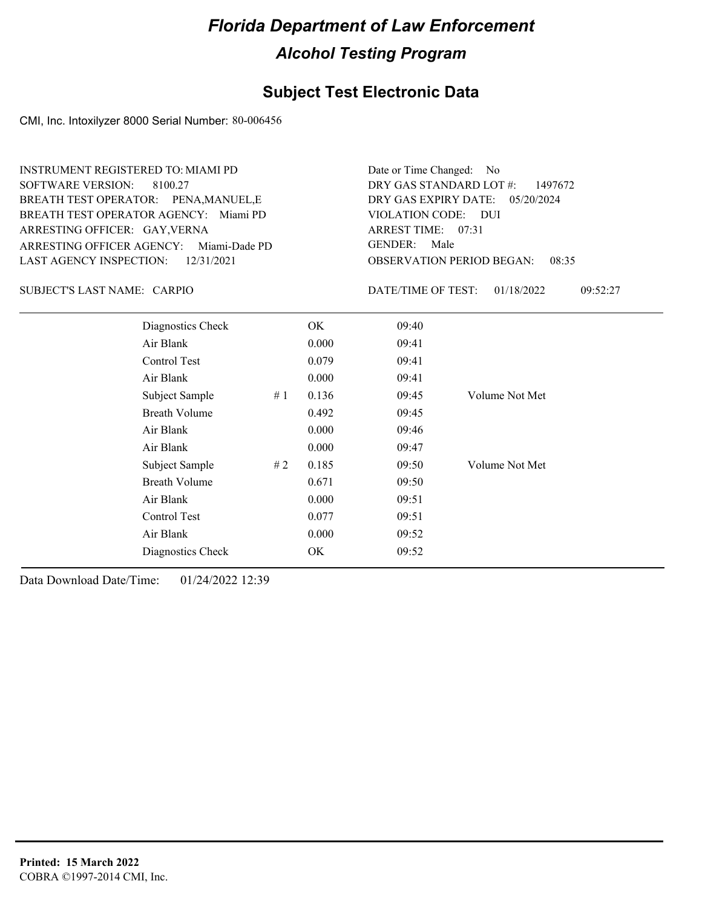#### **Subject Test Electronic Data**

CMI, Inc. Intoxilyzer 8000 Serial Number: 80-006456

ARRESTING OFFICER AGENCY: Miami-Dade PD GENDER: BREATH TEST OPERATOR AGENCY: Miami PD VIOLATION CODE: SOFTWARE VERSION: 8100.27 ARRESTING OFFICER: GAY, VERNA BREATH TEST OPERATOR: PENA,MANUEL,E LAST AGENCY INSPECTION: 12/31/2021 INSTRUMENT REGISTERED TO: MIAMI PD

OBSERVATION PERIOD BEGAN: 08:35 VIOLATION CODE: DUI ARREST TIME: 07:31 DRY GAS EXPIRY DATE: 05/20/2024 DRY GAS STANDARD LOT #: 1497672 Date or Time Changed: No GENDER: Male

SUBJECT'S LAST NAME: CARPIO **Example 20** DATE/TIME OF TEST:

DATE/TIME OF TEST: 01/18/2022 09:52:27

| Diagnostics Check    |    | OK    | 09:40 |                |
|----------------------|----|-------|-------|----------------|
| Air Blank            |    | 0.000 | 09:41 |                |
| Control Test         |    | 0.079 | 09:41 |                |
| Air Blank            |    | 0.000 | 09:41 |                |
| Subject Sample       | #1 | 0.136 | 09:45 | Volume Not Met |
| <b>Breath Volume</b> |    | 0.492 | 09:45 |                |
| Air Blank            |    | 0.000 | 09:46 |                |
| Air Blank            |    | 0.000 | 09:47 |                |
| Subject Sample       | #2 | 0.185 | 09:50 | Volume Not Met |
| <b>Breath Volume</b> |    | 0.671 | 09:50 |                |
| Air Blank            |    | 0.000 | 09:51 |                |
| Control Test         |    | 0.077 | 09:51 |                |
| Air Blank            |    | 0.000 | 09:52 |                |
| Diagnostics Check    |    | OK    | 09:52 |                |
|                      |    |       |       |                |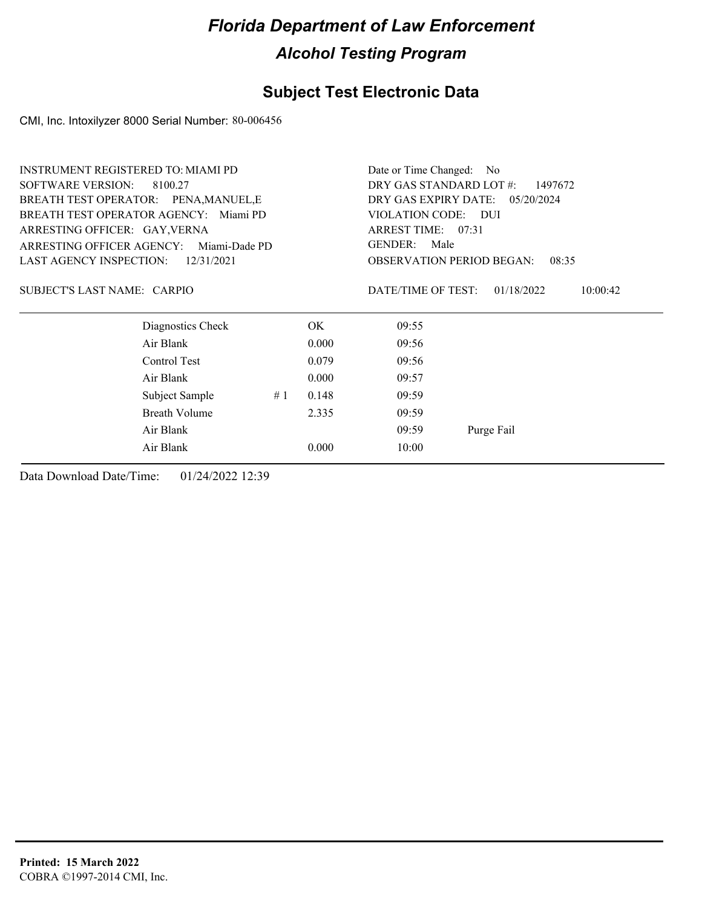### **Subject Test Electronic Data**

CMI, Inc. Intoxilyzer 8000 Serial Number: 80-006456

| <b>INSTRUMENT REGISTERED TO: MIAMI PD</b>    |                                       |                                                                     |       | Date or Time Changed: No                  |                        |  |
|----------------------------------------------|---------------------------------------|---------------------------------------------------------------------|-------|-------------------------------------------|------------------------|--|
| <b>SOFTWARE VERSION:</b>                     | 8100.27                               | DRY GAS STANDARD LOT #:<br>1497672                                  |       |                                           |                        |  |
|                                              | BREATH TEST OPERATOR: PENA, MANUEL, E | DRY GAS EXPIRY DATE: 05/20/2024                                     |       |                                           |                        |  |
|                                              | BREATH TEST OPERATOR AGENCY: Miami PD | VIOLATION CODE: DUI<br>ARREST TIME: 07:31<br><b>GENDER:</b><br>Male |       |                                           |                        |  |
| ARRESTING OFFICER: GAY, VERNA                |                                       |                                                                     |       |                                           |                        |  |
| ARRESTING OFFICER AGENCY:                    | Miami-Dade PD                         |                                                                     |       |                                           |                        |  |
| <b>LAST AGENCY INSPECTION:</b><br>12/31/2021 |                                       |                                                                     |       | <b>OBSERVATION PERIOD BEGAN:</b><br>08:35 |                        |  |
| SUBJECT'S LAST NAME: CARPIO                  |                                       |                                                                     |       | DATE/TIME OF TEST:                        | 01/18/2022<br>10:00:42 |  |
|                                              | Diagnostics Check                     |                                                                     | OK.   | 09:55                                     |                        |  |
|                                              | Air Blank                             |                                                                     | 0.000 | 09:56                                     |                        |  |
|                                              | Control Test                          |                                                                     | 0.079 | 09:56                                     |                        |  |
|                                              | Air Blank                             |                                                                     | 0.000 | 09:57                                     |                        |  |
|                                              | Subject Sample                        | #1                                                                  | 0.148 | 09:59                                     |                        |  |
|                                              | Breath Volume                         |                                                                     | 2.335 | 09:59                                     |                        |  |
|                                              | Air Blank                             |                                                                     |       | 09:59                                     | Purge Fail             |  |
|                                              | Air Blank                             |                                                                     | 0.000 | 10:00                                     |                        |  |
|                                              |                                       |                                                                     |       |                                           |                        |  |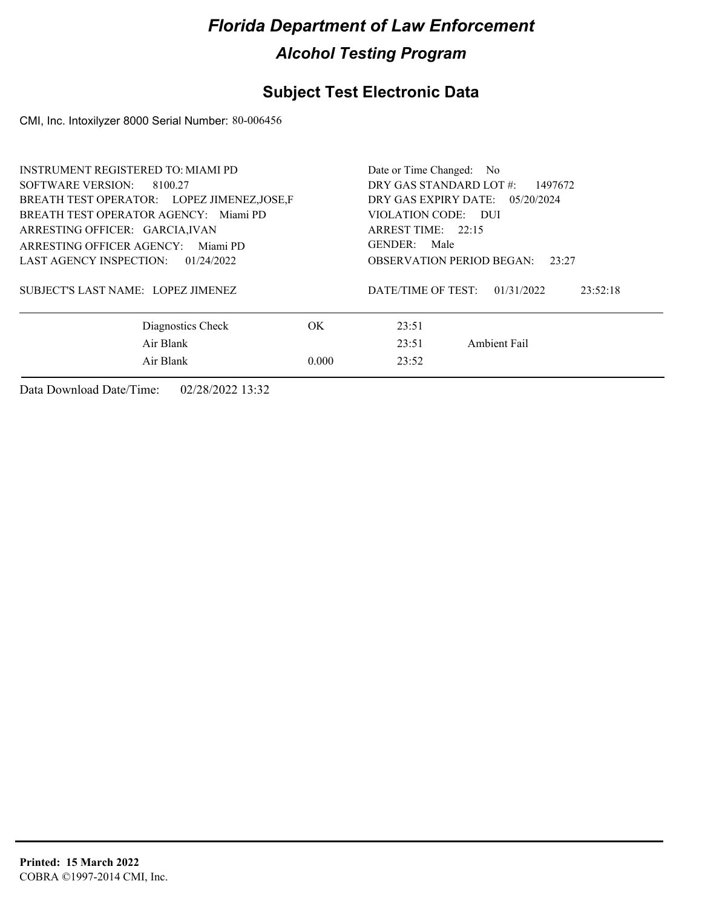### **Subject Test Electronic Data**

CMI, Inc. Intoxilyzer 8000 Serial Number: 80-006456

| INSTRUMENT REGISTERED TO: MIAMI PD<br>SOFTWARE VERSION:<br>8100.27<br>BREATH TEST OPERATOR: LOPEZ JIMENEZ, JOSE, F<br>BREATH TEST OPERATOR AGENCY: Miami PD<br>ARRESTING OFFICER: GARCIA, IVAN<br>ARRESTING OFFICER AGENCY: Miami PD | Date or Time Changed: No<br>DRY GAS STANDARD LOT #:<br>1497672<br>DRY GAS EXPIRY DATE: $05/20/2024$<br>VIOLATION CODE: DUI<br>ARREST TIME: 22:15<br>GENDER: Male |                    |                        |  |
|--------------------------------------------------------------------------------------------------------------------------------------------------------------------------------------------------------------------------------------|------------------------------------------------------------------------------------------------------------------------------------------------------------------|--------------------|------------------------|--|
| LAST AGENCY INSPECTION:<br>01/24/2022                                                                                                                                                                                                | <b>OBSERVATION PERIOD BEGAN:</b><br>23:27                                                                                                                        |                    |                        |  |
| SUBJECT'S LAST NAME: LOPEZ JIMENEZ                                                                                                                                                                                                   |                                                                                                                                                                  | DATE/TIME OF TEST: | 01/31/2022<br>23:52:18 |  |
| Diagnostics Check                                                                                                                                                                                                                    | OK.                                                                                                                                                              | 23:51              |                        |  |
| Air Blank                                                                                                                                                                                                                            |                                                                                                                                                                  | 23:51              | Ambient Fail           |  |
| Air Blank                                                                                                                                                                                                                            | 0.000                                                                                                                                                            | 23:52              |                        |  |
|                                                                                                                                                                                                                                      |                                                                                                                                                                  |                    |                        |  |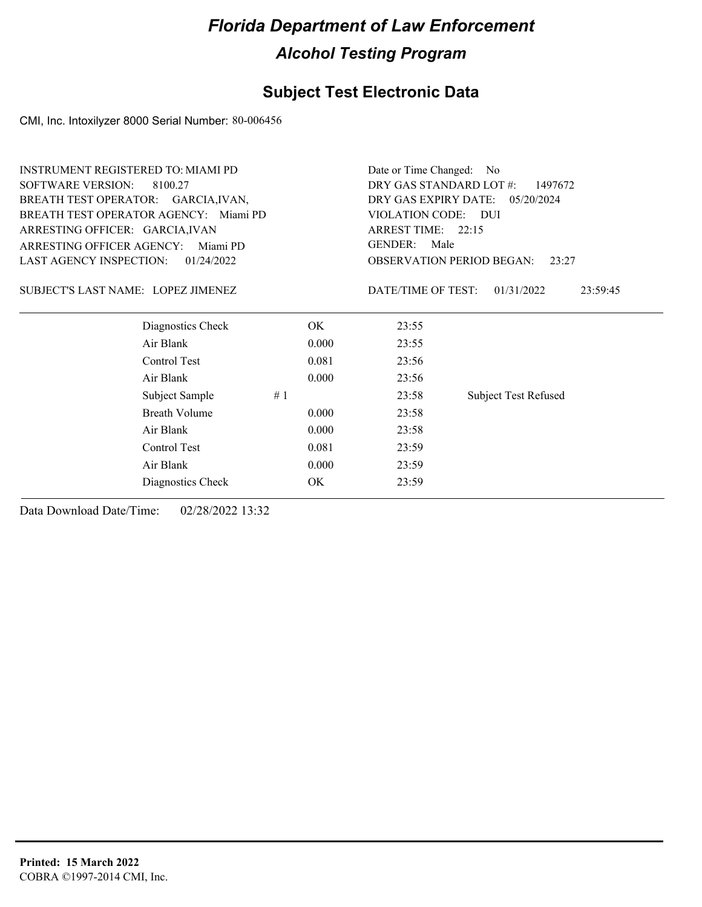### **Subject Test Electronic Data**

CMI, Inc. Intoxilyzer 8000 Serial Number: 80-006456

| <b>INSTRUMENT REGISTERED TO: MIAMI PD</b>    | Date or Time Changed: No                                            |                    |                             |  |
|----------------------------------------------|---------------------------------------------------------------------|--------------------|-----------------------------|--|
| <b>SOFTWARE VERSION:</b><br>8100.27          | DRY GAS STANDARD LOT #:<br>1497672                                  |                    |                             |  |
| BREATH TEST OPERATOR: GARCIA, IVAN,          | DRY GAS EXPIRY DATE: 05/20/2024                                     |                    |                             |  |
| BREATH TEST OPERATOR AGENCY: Miami PD        | VIOLATION CODE: DUI<br>ARREST TIME: 22:15<br><b>GENDER:</b><br>Male |                    |                             |  |
| ARRESTING OFFICER: GARCIA, IVAN              |                                                                     |                    |                             |  |
| <b>ARRESTING OFFICER AGENCY:</b><br>Miami PD |                                                                     |                    |                             |  |
| LAST AGENCY INSPECTION:<br>01/24/2022        | <b>OBSERVATION PERIOD BEGAN:</b><br>23:27                           |                    |                             |  |
| SUBJECT'S LAST NAME: LOPEZ JIMENEZ           |                                                                     | DATE/TIME OF TEST: | 01/31/2022<br>23:59:45      |  |
| Diagnostics Check                            | OK.                                                                 | 23:55              |                             |  |
| Air Blank                                    | 0.000                                                               | 23:55              |                             |  |
| Control Test                                 | 0.081                                                               | 23:56              |                             |  |
| Air Blank                                    | 0.000                                                               | 23:56              |                             |  |
| Subject Sample                               | #1                                                                  | 23:58              | <b>Subject Test Refused</b> |  |
| <b>Breath Volume</b>                         | 0.000                                                               | 23:58              |                             |  |
| Air Blank                                    | 0.000                                                               | 23:58              |                             |  |
| Control Test                                 | 0.081                                                               | 23:59              |                             |  |
| Air Blank                                    | 0.000                                                               | 23:59              |                             |  |
| Diagnostics Check                            | ОK                                                                  | 23:59              |                             |  |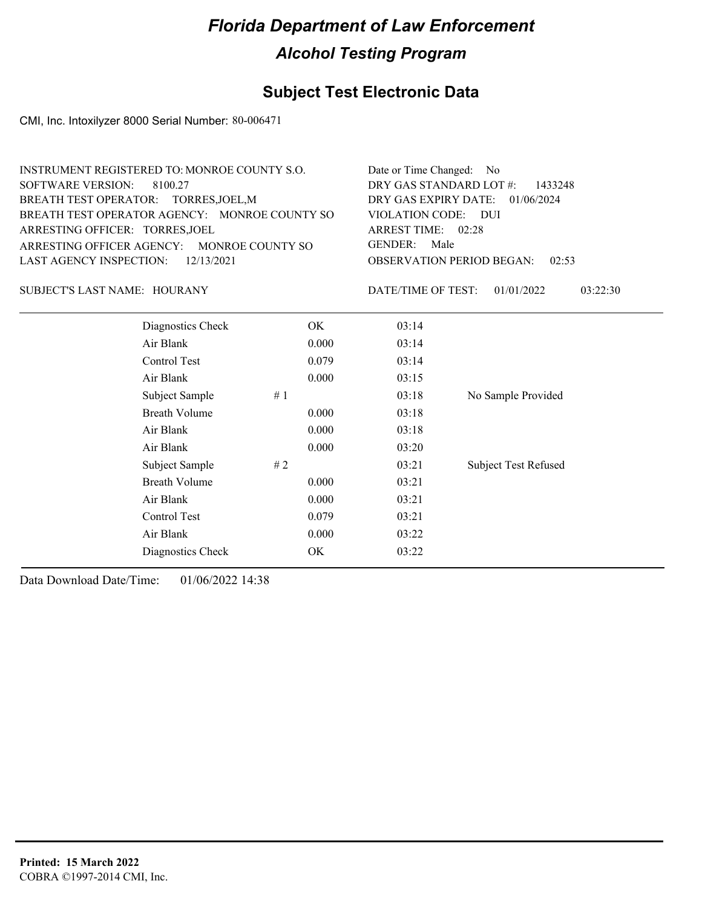## **Subject Test Electronic Data**

CMI, Inc. Intoxilyzer 8000 Serial Number: 80-006471

| INSTRUMENT REGISTERED TO: MONROE COUNTY S.O.  | Date or Time Changed: No               |
|-----------------------------------------------|----------------------------------------|
| SOFTWARE VERSION: 8100.27                     | DRY GAS STANDARD LOT $#$ : 1433248     |
| BREATH TEST OPERATOR: TORRES, JOEL, M         | DRY GAS EXPIRY DATE: $01/06/2024$      |
| BREATH TEST OPERATOR AGENCY: MONROE COUNTY SO | VIOLATION CODE: DUI                    |
| ARRESTING OFFICER: TORRES, JOEL               | ARREST TIME: 02:28                     |
| ARRESTING OFFICER AGENCY: MONROE COUNTY SO    | GENDER: Male                           |
| LAST AGENCY INSPECTION: $12/13/2021$          | <b>OBSERVATION PERIOD BEGAN: 02:53</b> |

SUBJECT'S LAST NAME: HOURANY DATE/TIME OF TEST:

DATE/TIME OF TEST: 01/01/2022 03:22:30

| Diagnostics Check    |    | OK    | 03:14 |                             |
|----------------------|----|-------|-------|-----------------------------|
| Air Blank            |    | 0.000 | 03:14 |                             |
| Control Test         |    | 0.079 | 03:14 |                             |
| Air Blank            |    | 0.000 | 03:15 |                             |
| Subject Sample       | #1 |       | 03:18 | No Sample Provided          |
| <b>Breath Volume</b> |    | 0.000 | 03:18 |                             |
| Air Blank            |    | 0.000 | 03:18 |                             |
| Air Blank            |    | 0.000 | 03:20 |                             |
| Subject Sample       | #2 |       | 03:21 | <b>Subject Test Refused</b> |
| <b>Breath Volume</b> |    | 0.000 | 03:21 |                             |
| Air Blank            |    | 0.000 | 03:21 |                             |
| Control Test         |    | 0.079 | 03:21 |                             |
| Air Blank            |    | 0.000 | 03:22 |                             |
| Diagnostics Check    |    | OK    | 03:22 |                             |
|                      |    |       |       |                             |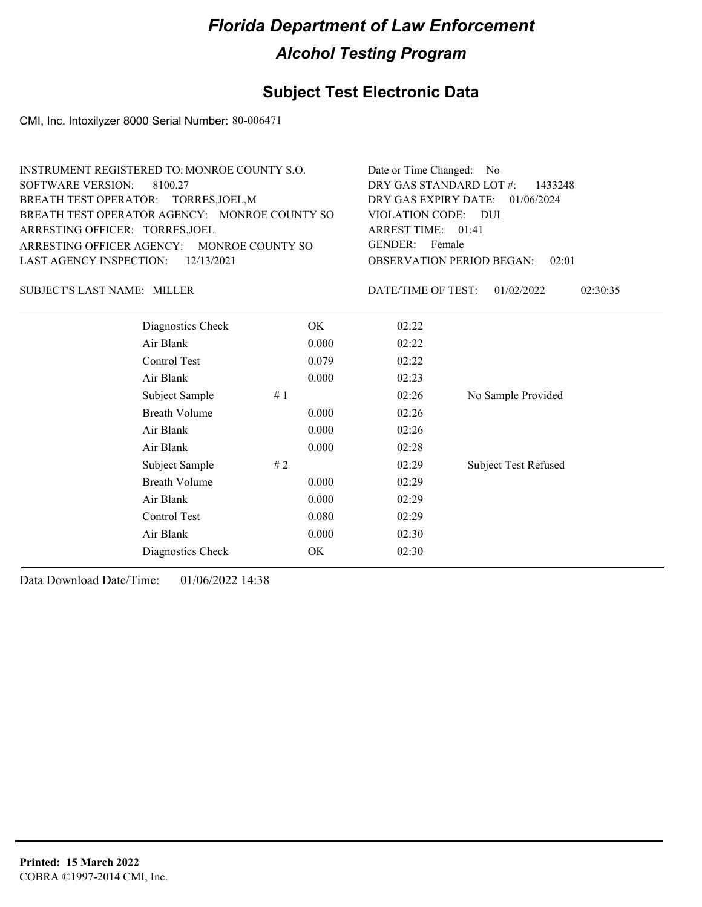## **Subject Test Electronic Data**

CMI, Inc. Intoxilyzer 8000 Serial Number: 80-006471

| INSTRUMENT REGISTERED TO: MONROE COUNTY S.O.  | Date or Time Changed: No               |
|-----------------------------------------------|----------------------------------------|
| SOFTWARE VERSION: 8100.27                     | DRY GAS STANDARD LOT #: 1433248        |
| BREATH TEST OPERATOR: TORRES, JOEL, M         | DRY GAS EXPIRY DATE: $01/06/2024$      |
| BREATH TEST OPERATOR AGENCY: MONROE COUNTY SO | VIOLATION CODE: DUI                    |
| ARRESTING OFFICER: TORRES, JOEL               | ARREST TIME: $01:41$                   |
| ARRESTING OFFICER AGENCY: MONROE COUNTY SO    | GENDER: Female                         |
| LAST AGENCY INSPECTION: 12/13/2021            | <b>OBSERVATION PERIOD BEGAN:</b> 02:01 |
|                                               |                                        |

SUBJECT'S LAST NAME: MILLER DATE/TIME OF TEST:

DATE/TIME OF TEST: 01/02/2022 02:30:35

| Diagnostics Check    |    | OK    | 02:22 |                             |
|----------------------|----|-------|-------|-----------------------------|
| Air Blank            |    | 0.000 | 02:22 |                             |
| Control Test         |    | 0.079 | 02:22 |                             |
| Air Blank            |    | 0.000 | 02:23 |                             |
| Subject Sample       | #1 |       | 02:26 | No Sample Provided          |
| <b>Breath Volume</b> |    | 0.000 | 02:26 |                             |
| Air Blank            |    | 0.000 | 02:26 |                             |
| Air Blank            |    | 0.000 | 02:28 |                             |
| Subject Sample       | #2 |       | 02:29 | <b>Subject Test Refused</b> |
| <b>Breath Volume</b> |    | 0.000 | 02:29 |                             |
| Air Blank            |    | 0.000 | 02:29 |                             |
| Control Test         |    | 0.080 | 02:29 |                             |
| Air Blank            |    | 0.000 | 02:30 |                             |
| Diagnostics Check    |    | OK    | 02:30 |                             |
|                      |    |       |       |                             |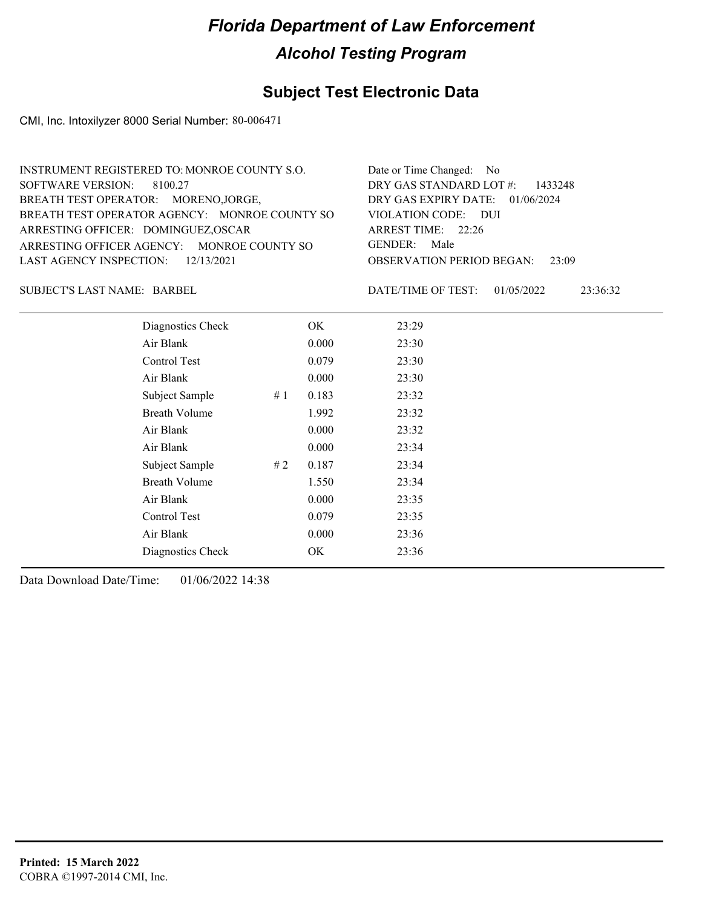## **Subject Test Electronic Data**

CMI, Inc. Intoxilyzer 8000 Serial Number: 80-006471

| INSTRUMENT REGISTERED TO: MONROE COUNTY S.O.  | Date or Time Changed: No               |
|-----------------------------------------------|----------------------------------------|
| SOFTWARE VERSION: 8100.27                     | DRY GAS STANDARD LOT #: 1433248        |
| BREATH TEST OPERATOR: MORENO, JORGE,          | DRY GAS EXPIRY DATE: $01/06/2024$      |
| BREATH TEST OPERATOR AGENCY: MONROE COUNTY SO | VIOLATION CODE: DUI                    |
| ARRESTING OFFICER: DOMINGUEZ, OSCAR           | ARREST TIME: $22:26$                   |
| ARRESTING OFFICER AGENCY: MONROE COUNTY SO    | GENDER: Male                           |
| LAST AGENCY INSPECTION: 12/13/2021            | <b>OBSERVATION PERIOD BEGAN:</b> 23:09 |
|                                               |                                        |

SUBJECT'S LAST NAME: BARBEL DATE/TIME OF TEST:

DATE/TIME OF TEST: 01/05/2022 23:36:32

| Diagnostics Check    |    | OK    | 23:29 |
|----------------------|----|-------|-------|
| Air Blank            |    | 0.000 | 23:30 |
| Control Test         |    | 0.079 | 23:30 |
| Air Blank            |    | 0.000 | 23:30 |
| Subject Sample       | #1 | 0.183 | 23:32 |
| <b>Breath Volume</b> |    | 1.992 | 23:32 |
| Air Blank            |    | 0.000 | 23:32 |
| Air Blank            |    | 0.000 | 23:34 |
| Subject Sample       | #2 | 0.187 | 23:34 |
| <b>Breath Volume</b> |    | 1.550 | 23:34 |
| Air Blank            |    | 0.000 | 23:35 |
| Control Test         |    | 0.079 | 23:35 |
| Air Blank            |    | 0.000 | 23:36 |
| Diagnostics Check    |    | OK    | 23:36 |
|                      |    |       |       |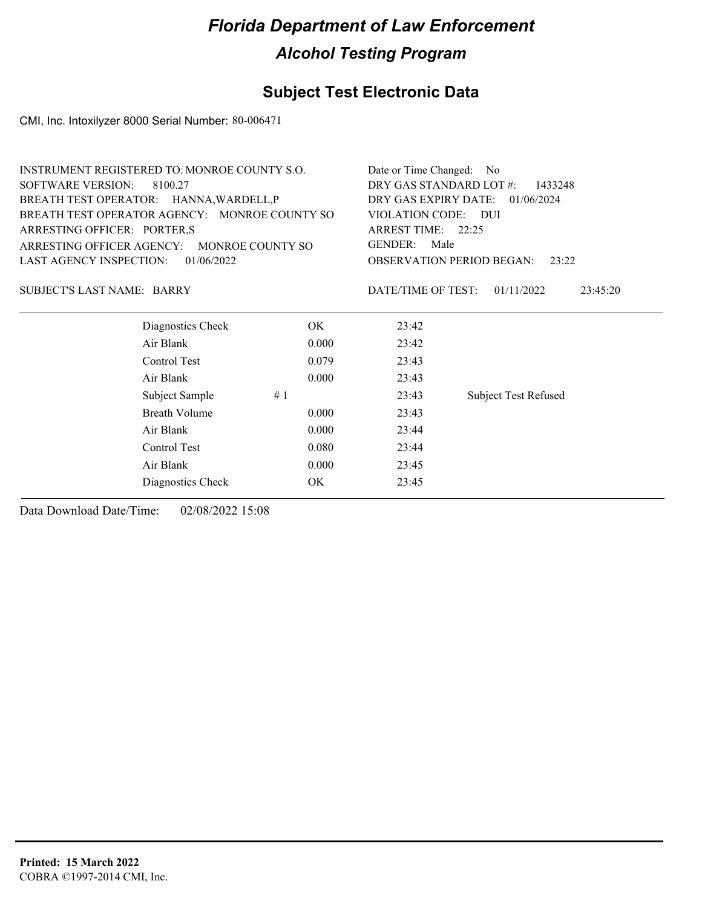### **Subject Test Electronic Data**

CMI, Inc. Intoxilyzer 8000 Serial Number: 80-006471

| <b>INSTRUMENT REGISTERED TO: MONROE COUNTY S.O.</b> |                                    | Date or Time Changed: No                                     |                             |  |  |
|-----------------------------------------------------|------------------------------------|--------------------------------------------------------------|-----------------------------|--|--|
| <b>SOFTWARE VERSION:</b><br>8100.27                 | DRY GAS STANDARD LOT #:<br>1433248 |                                                              |                             |  |  |
| BREATH TEST OPERATOR: HANNA, WARDELL, P             |                                    | DRY GAS EXPIRY DATE:<br>01/06/2024                           |                             |  |  |
| BREATH TEST OPERATOR AGENCY: MONROE COUNTY SO       |                                    | VIOLATION CODE: DUI<br>ARREST TIME: 22:25<br>GENDER:<br>Male |                             |  |  |
| ARRESTING OFFICER: PORTER,S                         |                                    |                                                              |                             |  |  |
| ARRESTING OFFICER AGENCY: MONROE COUNTY SO          |                                    |                                                              |                             |  |  |
| <b>LAST AGENCY INSPECTION:</b><br>01/06/2022        |                                    | <b>OBSERVATION PERIOD BEGAN:</b><br>23:22                    |                             |  |  |
|                                                     |                                    |                                                              |                             |  |  |
| SUBJECT'S LAST NAME: BARRY                          |                                    | DATE/TIME OF TEST:                                           | 01/11/2022<br>23:45:20      |  |  |
|                                                     |                                    |                                                              |                             |  |  |
| Diagnostics Check                                   | OK.                                | 23:42                                                        |                             |  |  |
| Air Blank                                           | 0.000                              | 23:42                                                        |                             |  |  |
| Control Test                                        | 0.079                              | 23:43                                                        |                             |  |  |
| Air Blank                                           | 0.000                              | 23:43                                                        |                             |  |  |
| Subject Sample                                      | #1                                 | 23:43                                                        | <b>Subject Test Refused</b> |  |  |
| Breath Volume                                       | 0.000                              | 23:43                                                        |                             |  |  |

Air Blank 0.000 23:44 Control Test 0.080 23:44 Air Blank 0.000 23:45 Diagnostics Check OK 23:45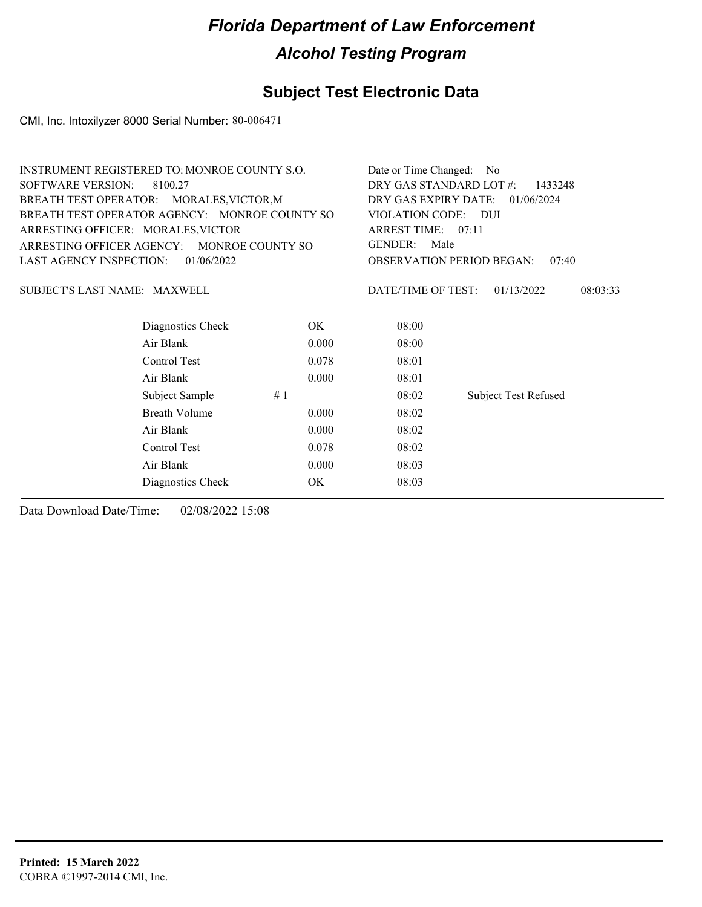### **Subject Test Electronic Data**

CMI, Inc. Intoxilyzer 8000 Serial Number: 80-006471

| INSTRUMENT REGISTERED TO: MONROE COUNTY S.O.  | Date or Time Changed: No               |
|-----------------------------------------------|----------------------------------------|
| SOFTWARE VERSION: 8100.27                     | DRY GAS STANDARD LOT $\#$ : 1433248    |
| BREATH TEST OPERATOR: MORALES, VICTOR, M      | DRY GAS EXPIRY DATE: $01/06/2024$      |
| BREATH TEST OPERATOR AGENCY: MONROE COUNTY SO | VIOLATION CODE: DUI                    |
| ARRESTING OFFICER: MORALES, VICTOR            | ARREST TIME: $07:11$                   |
| ARRESTING OFFICER AGENCY: MONROE COUNTY SO    | GENDER: Male                           |
| LAST AGENCY INSPECTION: $01/06/2022$          | <b>OBSERVATION PERIOD BEGAN: 07:40</b> |
|                                               |                                        |
|                                               |                                        |

SUBJECT'S LAST NAME: MAXWELL DATE/TIME OF TEST:

DATE/TIME OF TEST: 01/13/2022 08:03:33

| Diagnostics Check |    | OK.   | 08:00 |                             |
|-------------------|----|-------|-------|-----------------------------|
| Air Blank         |    | 0.000 | 08:00 |                             |
| Control Test      |    | 0.078 | 08:01 |                             |
| Air Blank         |    | 0.000 | 08:01 |                             |
| Subject Sample    | #1 |       | 08:02 | <b>Subject Test Refused</b> |
| Breath Volume     |    | 0.000 | 08:02 |                             |
| Air Blank         |    | 0.000 | 08:02 |                             |
| Control Test      |    | 0.078 | 08:02 |                             |
| Air Blank         |    | 0.000 | 08:03 |                             |
| Diagnostics Check |    | OK    | 08:03 |                             |
|                   |    |       |       |                             |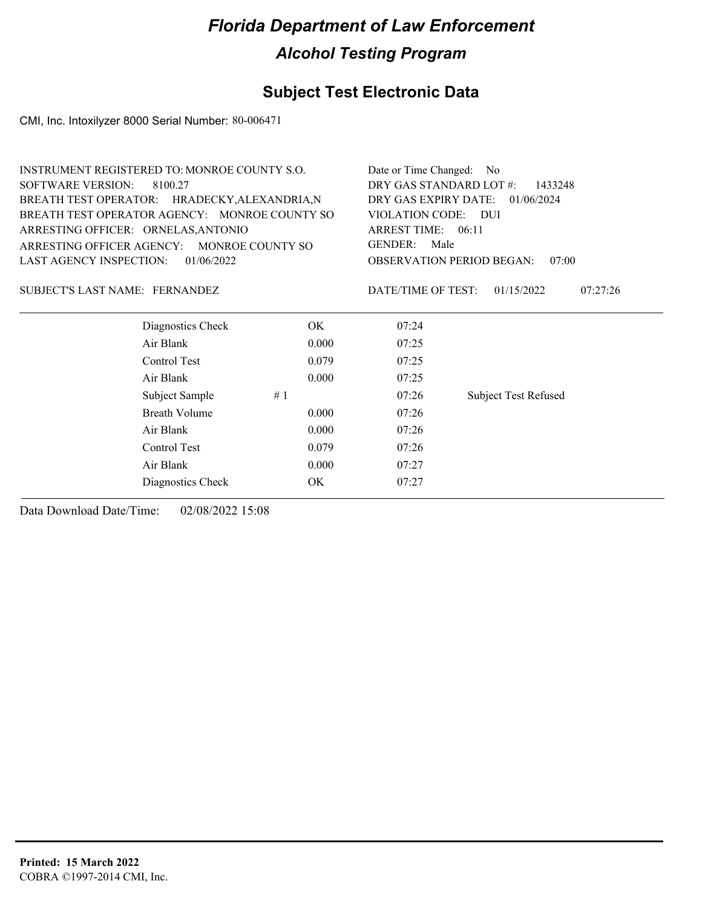### **Subject Test Electronic Data**

CMI, Inc. Intoxilyzer 8000 Serial Number: 80-006471

| <b>INSTRUMENT REGISTERED TO: MONROE COUNTY S.O.</b> | Date or Time Changed: No<br>DRY GAS STANDARD LOT #:<br>1433248<br>DRY GAS EXPIRY DATE: 01/06/2024 |                                              |  |  |
|-----------------------------------------------------|---------------------------------------------------------------------------------------------------|----------------------------------------------|--|--|
| SOFTWARE VERSION:<br>8100.27                        |                                                                                                   |                                              |  |  |
| BREATH TEST OPERATOR: HRADECKY, ALEXANDRIA, N       |                                                                                                   |                                              |  |  |
| BREATH TEST OPERATOR AGENCY: MONROE COUNTY SO       | VIOLATION CODE: DUI<br>ARREST TIME: $06:11$<br>Male<br>GENDER:                                    |                                              |  |  |
| ARRESTING OFFICER: ORNELAS, ANTONIO                 |                                                                                                   |                                              |  |  |
| ARRESTING OFFICER AGENCY: MONROE COUNTY SO          |                                                                                                   |                                              |  |  |
| LAST AGENCY INSPECTION: $01/06/2022$                | <b>OBSERVATION PERIOD BEGAN:</b><br>07:00                                                         |                                              |  |  |
| SUBJECT'S LAST NAME: FERNANDEZ                      |                                                                                                   | DATE/TIME OF TEST:<br>01/15/2022<br>07:27:26 |  |  |
| Diagnostics Check                                   | OK.                                                                                               | 07:24                                        |  |  |
| Air Blank                                           | 07:25                                                                                             |                                              |  |  |
| Control Test                                        | 07:25                                                                                             |                                              |  |  |
| Air Blank                                           | 07:25                                                                                             |                                              |  |  |

Subject Sample # 1  $07:26$  Subject Test Refused

Breath Volume 0.000 07:26 Air Blank 0.000 07:26 Control Test 0.079 07:26 Air Blank 0.000 07:27 Diagnostics Check OK 07:27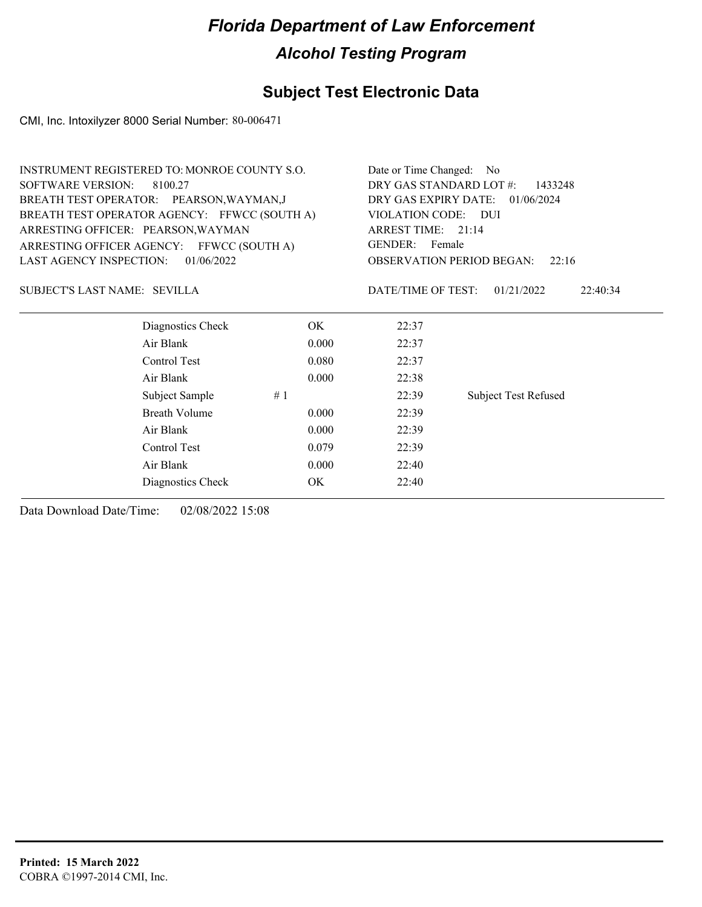## **Subject Test Electronic Data**

CMI, Inc. Intoxilyzer 8000 Serial Number: 80-006471

|                                                                                 | INSTRUMENT REGISTERED TO: MONROE COUNTY S.O. |       |                                      | Date or Time Changed: No    |  |                                |
|---------------------------------------------------------------------------------|----------------------------------------------|-------|--------------------------------------|-----------------------------|--|--------------------------------|
| <b>SOFTWARE VERSION:</b>                                                        | 8100.27                                      |       | DRY GAS STANDARD LOT #:              | 1433248                     |  |                                |
| BREATH TEST OPERATOR: PEARSON, WAYMAN, J                                        |                                              |       | DRY GAS EXPIRY DATE: 01/06/2024      |                             |  |                                |
| BREATH TEST OPERATOR AGENCY: FFWCC (SOUTH A)                                    |                                              |       | VIOLATION CODE: DUI                  |                             |  |                                |
| ARRESTING OFFICER: PEARSON, WAYMAN<br>ARRESTING OFFICER AGENCY: FFWCC (SOUTH A) |                                              |       | ARREST TIME: 21:14<br>GENDER: Female |                             |  |                                |
|                                                                                 |                                              |       |                                      |                             |  | <b>LAST AGENCY INSPECTION:</b> |
| SUBJECT'S LAST NAME: SEVILLA                                                    |                                              |       | DATE/TIME OF TEST:                   | 01/21/2022<br>22:40:34      |  |                                |
|                                                                                 | Diagnostics Check                            | OK.   | 22:37                                |                             |  |                                |
| Air Blank                                                                       |                                              | 0.000 | 22:37                                |                             |  |                                |
|                                                                                 | Control Test                                 | 0.080 | 22:37                                |                             |  |                                |
| Air Blank                                                                       |                                              | 0.000 | 22:38                                |                             |  |                                |
|                                                                                 | Subject Sample                               | #1    | 22:39                                | <b>Subject Test Refused</b> |  |                                |
|                                                                                 | <b>Breath Volume</b>                         | 0.000 | 22:39                                |                             |  |                                |
| Air Blank                                                                       |                                              | 0.000 | 22:39                                |                             |  |                                |
|                                                                                 | Control Test                                 | 0.079 | 22:39                                |                             |  |                                |
| Air Blank                                                                       |                                              | 0.000 | 22:40                                |                             |  |                                |
|                                                                                 | Diagnostics Check                            | OK.   | 22:40                                |                             |  |                                |
|                                                                                 |                                              |       |                                      |                             |  |                                |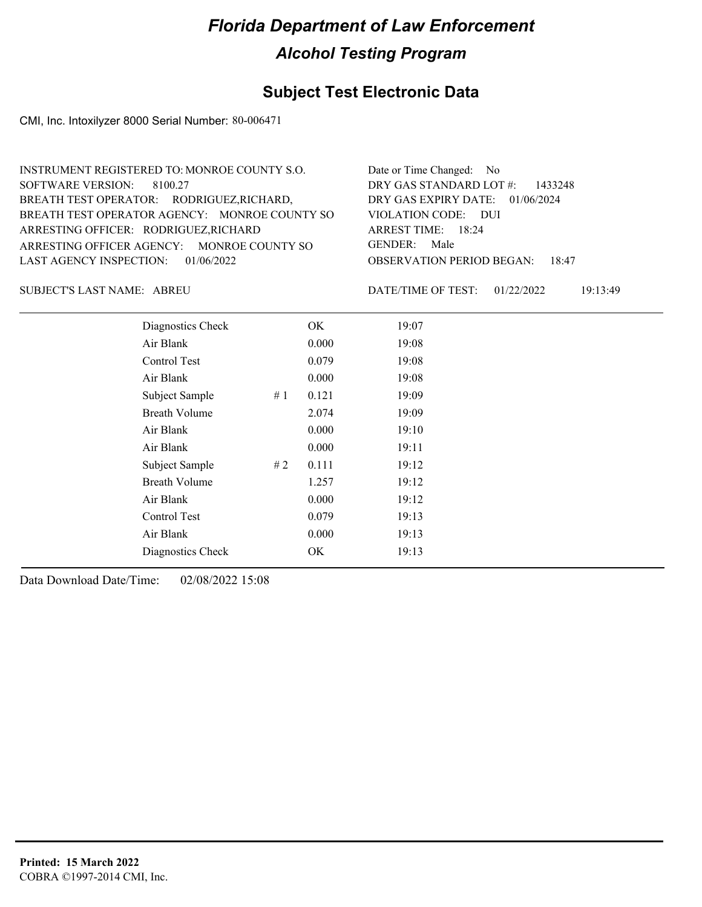## **Subject Test Electronic Data**

CMI, Inc. Intoxilyzer 8000 Serial Number: 80-006471

| Date or Time Changed: No               |
|----------------------------------------|
| DRY GAS STANDARD LOT $\#$ : 1433248    |
| DRY GAS EXPIRY DATE: 01/06/2024        |
| VIOLATION CODE: DUI                    |
| ARREST TIME: $18:24$                   |
| GENDER: Male                           |
| <b>OBSERVATION PERIOD BEGAN: 18:47</b> |
|                                        |

ABREU SUBJECT'S LAST NAME: DATE/TIME OF TEST:

DATE/TIME OF TEST: 01/22/2022 19:13:49

| Diagnostics Check    |    | OK    | 19:07 |
|----------------------|----|-------|-------|
| Air Blank            |    | 0.000 | 19:08 |
| Control Test         |    | 0.079 | 19:08 |
| Air Blank            |    | 0.000 | 19:08 |
| Subject Sample       | #1 | 0.121 | 19:09 |
| <b>Breath Volume</b> |    | 2.074 | 19:09 |
| Air Blank            |    | 0.000 | 19:10 |
| Air Blank            |    | 0.000 | 19:11 |
| Subject Sample       | #2 | 0.111 | 19:12 |
| <b>Breath Volume</b> |    | 1.257 | 19:12 |
| Air Blank            |    | 0.000 | 19:12 |
| Control Test         |    | 0.079 | 19:13 |
| Air Blank            |    | 0.000 | 19:13 |
| Diagnostics Check    |    | OK    | 19:13 |
|                      |    |       |       |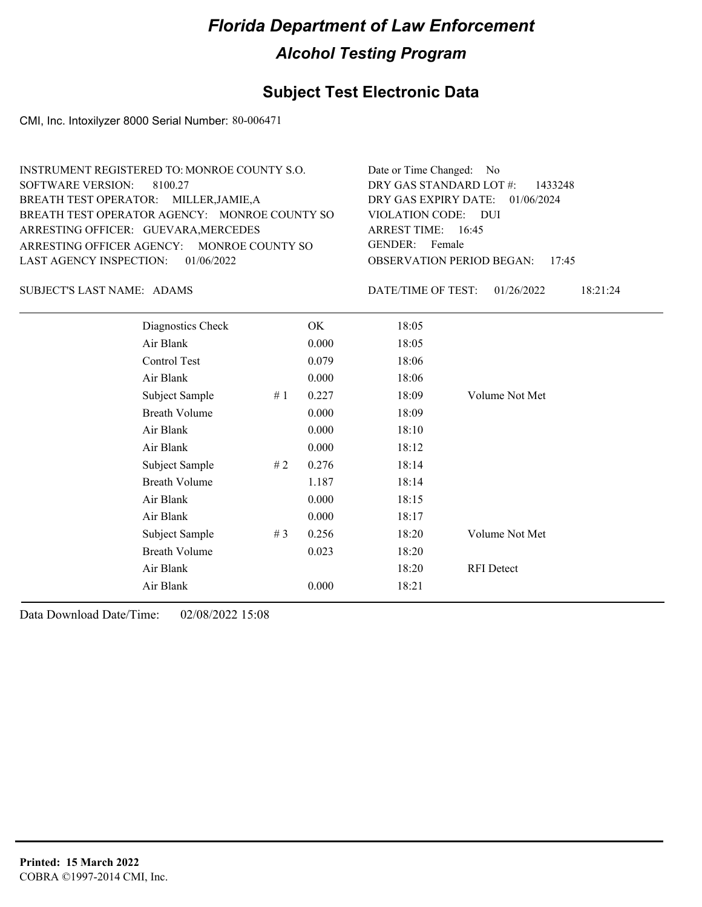### **Subject Test Electronic Data**

CMI, Inc. Intoxilyzer 8000 Serial Number: 80-006471

| INSTRUMENT REGISTERED TO: MONROE COUNTY S.O.  | Date or Time Changed: No               |
|-----------------------------------------------|----------------------------------------|
| SOFTWARE VERSION: 8100.27                     | DRY GAS STANDARD LOT $#$ : 1433248     |
| BREATH TEST OPERATOR: MILLER, JAMIE, A        | DRY GAS EXPIRY DATE: $01/06/2024$      |
| BREATH TEST OPERATOR AGENCY: MONROE COUNTY SO | VIOLATION CODE: DUI                    |
| ARRESTING OFFICER: GUEVARA, MERCEDES          | ARREST TIME: 16:45                     |
| ARRESTING OFFICER AGENCY: MONROE COUNTY SO    | GENDER: Female                         |
| LAST AGENCY INSPECTION: 01/06/2022            | <b>OBSERVATION PERIOD BEGAN: 17:45</b> |
|                                               |                                        |

SUBJECT'S LAST NAME: ADAMS DATE/TIME OF TEST:

DATE/TIME OF TEST: 01/26/2022 18:21:24

| Diagnostics Check    |       | OK    | 18:05 |                   |
|----------------------|-------|-------|-------|-------------------|
| Air Blank            |       | 0.000 | 18:05 |                   |
| Control Test         |       | 0.079 | 18:06 |                   |
| Air Blank            |       | 0.000 | 18:06 |                   |
| Subject Sample       | #1    | 0.227 | 18:09 | Volume Not Met    |
| <b>Breath Volume</b> |       | 0.000 | 18:09 |                   |
| Air Blank            |       | 0.000 | 18:10 |                   |
| Air Blank            |       | 0.000 | 18:12 |                   |
| Subject Sample       | #2    | 0.276 | 18:14 |                   |
| <b>Breath Volume</b> |       | 1.187 | 18:14 |                   |
| Air Blank            |       | 0.000 | 18:15 |                   |
| Air Blank            |       | 0.000 | 18:17 |                   |
| Subject Sample       | # $3$ | 0.256 | 18:20 | Volume Not Met    |
| <b>Breath Volume</b> |       | 0.023 | 18:20 |                   |
| Air Blank            |       |       | 18:20 | <b>RFI</b> Detect |
| Air Blank            |       | 0.000 | 18:21 |                   |
|                      |       |       |       |                   |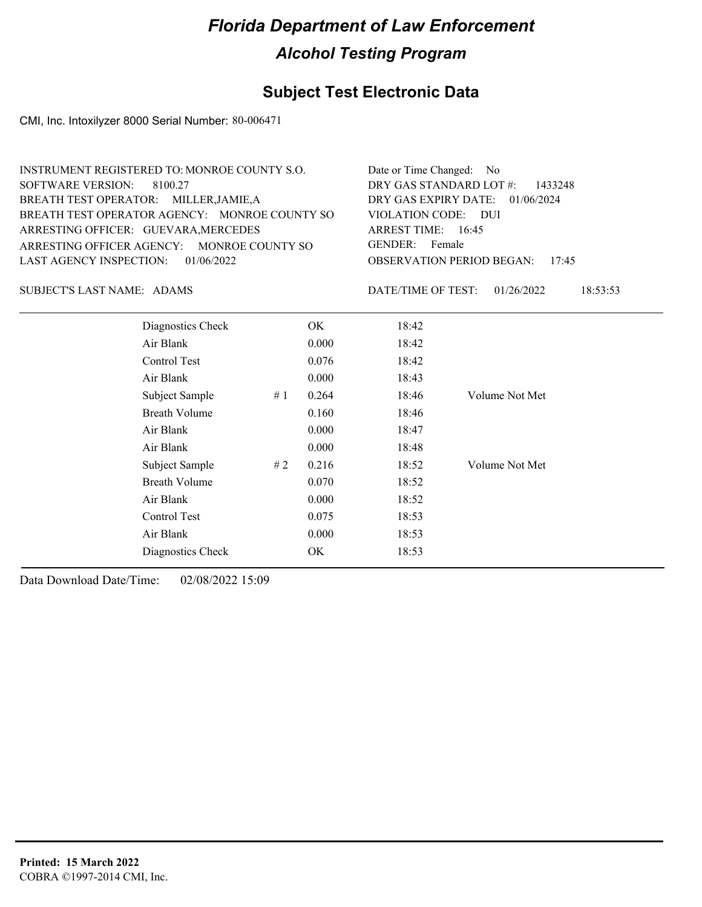## **Subject Test Electronic Data**

CMI, Inc. Intoxilyzer 8000 Serial Number: 80-006471

| INSTRUMENT REGISTERED TO: MONROE COUNTY S.O.  | Date or Time Changed: No               |
|-----------------------------------------------|----------------------------------------|
| SOFTWARE VERSION: 8100.27                     | DRY GAS STANDARD LOT $\#$ : 1433248    |
| BREATH TEST OPERATOR: MILLER, JAMIE, A        | DRY GAS EXPIRY DATE: 01/06/2024        |
| BREATH TEST OPERATOR AGENCY: MONROE COUNTY SO | VIOLATION CODE: DUI                    |
| ARRESTING OFFICER: GUEVARA, MERCEDES          | ARREST TIME: 16:45                     |
| ARRESTING OFFICER AGENCY: MONROE COUNTY SO    | GENDER: Female                         |
| LAST AGENCY INSPECTION: 01/06/2022            | <b>OBSERVATION PERIOD BEGAN: 17:45</b> |

SUBJECT'S LAST NAME: ADAMS DATE/TIME OF TEST:

DATE/TIME OF TEST: 01/26/2022 18:53:53

| Diagnostics Check    |    | OK.   | 18:42 |                |
|----------------------|----|-------|-------|----------------|
| Air Blank            |    | 0.000 | 18:42 |                |
| Control Test         |    | 0.076 | 18:42 |                |
| Air Blank            |    | 0.000 | 18:43 |                |
| Subject Sample       | #1 | 0.264 | 18:46 | Volume Not Met |
| <b>Breath Volume</b> |    | 0.160 | 18:46 |                |
| Air Blank            |    | 0.000 | 18:47 |                |
| Air Blank            |    | 0.000 | 18:48 |                |
| Subject Sample       | #2 | 0.216 | 18:52 | Volume Not Met |
| <b>Breath Volume</b> |    | 0.070 | 18:52 |                |
| Air Blank            |    | 0.000 | 18:52 |                |
| Control Test         |    | 0.075 | 18:53 |                |
| Air Blank            |    | 0.000 | 18:53 |                |
| Diagnostics Check    |    | OK    | 18:53 |                |
|                      |    |       |       |                |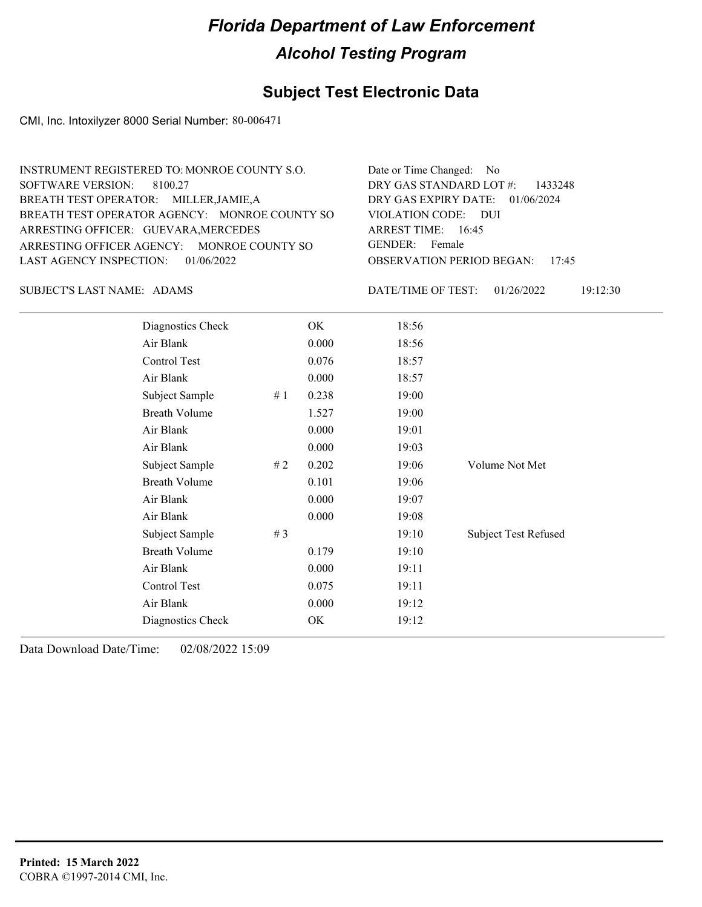## **Subject Test Electronic Data**

CMI, Inc. Intoxilyzer 8000 Serial Number: 80-006471

| INSTRUMENT REGISTERED TO: MONROE COUNTY S.O.  | Date or Time Changed: No               |
|-----------------------------------------------|----------------------------------------|
| SOFTWARE VERSION: 8100.27                     | DRY GAS STANDARD LOT #: 1433248        |
| BREATH TEST OPERATOR: MILLER, JAMIE, A        | DRY GAS EXPIRY DATE: $01/06/2024$      |
| BREATH TEST OPERATOR AGENCY: MONROE COUNTY SO | VIOLATION CODE: DUI                    |
| ARRESTING OFFICER: GUEVARA, MERCEDES          | ARREST TIME: $16:45$                   |
| ARRESTING OFFICER AGENCY: MONROE COUNTY SO    | GENDER: Female                         |
| LAST AGENCY INSPECTION: 01/06/2022            | <b>OBSERVATION PERIOD BEGAN: 17:45</b> |
|                                               |                                        |

SUBJECT'S LAST NAME: ADAMS DATE/TIME OF TEST:

DATE/TIME OF TEST: 01/26/2022 19:12:30

| Diagnostics Check    |    | OK    | 18:56 |                             |
|----------------------|----|-------|-------|-----------------------------|
| Air Blank            |    | 0.000 | 18:56 |                             |
| Control Test         |    | 0.076 | 18:57 |                             |
| Air Blank            |    | 0.000 | 18:57 |                             |
| Subject Sample       | #1 | 0.238 | 19:00 |                             |
| <b>Breath Volume</b> |    | 1.527 | 19:00 |                             |
| Air Blank            |    | 0.000 | 19:01 |                             |
| Air Blank            |    | 0.000 | 19:03 |                             |
| Subject Sample       | #2 | 0.202 | 19:06 | Volume Not Met              |
| <b>Breath Volume</b> |    | 0.101 | 19:06 |                             |
| Air Blank            |    | 0.000 | 19:07 |                             |
| Air Blank            |    | 0.000 | 19:08 |                             |
| Subject Sample       | #3 |       | 19:10 | <b>Subject Test Refused</b> |
| <b>Breath Volume</b> |    | 0.179 | 19:10 |                             |
| Air Blank            |    | 0.000 | 19:11 |                             |
| Control Test         |    | 0.075 | 19:11 |                             |
| Air Blank            |    | 0.000 | 19:12 |                             |
| Diagnostics Check    |    | OK    | 19:12 |                             |
|                      |    |       |       |                             |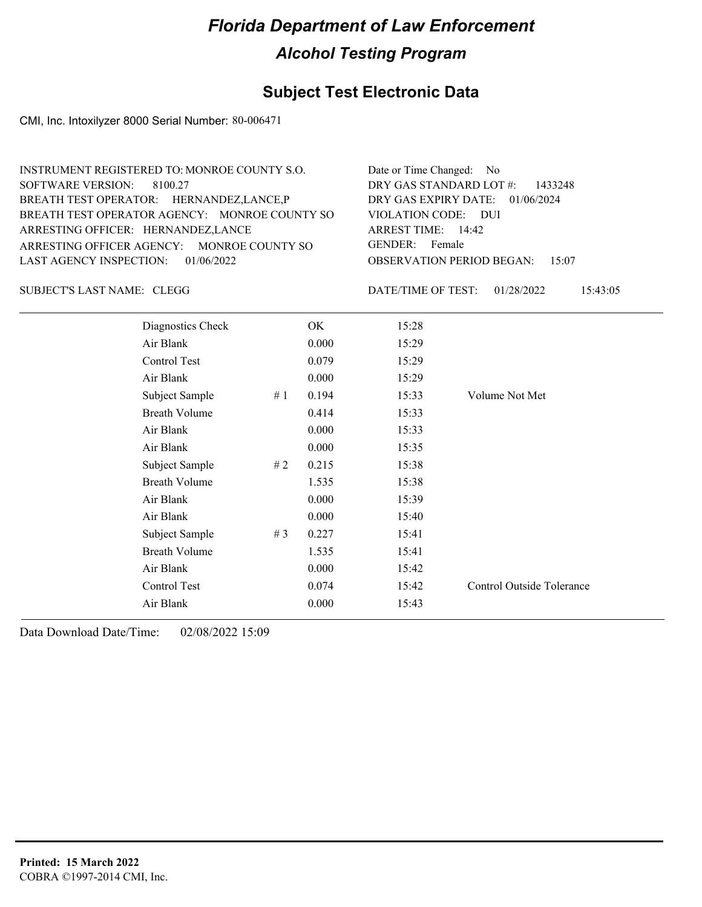### **Subject Test Electronic Data**

CMI, Inc. Intoxilyzer 8000 Serial Number: 80-006471

| INSTRUMENT REGISTERED TO: MONROE COUNTY S.O.  | Date or Time Changed: No               |
|-----------------------------------------------|----------------------------------------|
| SOFTWARE VERSION: 8100.27                     | DRY GAS STANDARD LOT #: 1433248        |
| BREATH TEST OPERATOR: HERNANDEZ, LANCE, P     | DRY GAS EXPIRY DATE: 01/06/2024        |
| BREATH TEST OPERATOR AGENCY: MONROE COUNTY SO | VIOLATION CODE: DUI                    |
| ARRESTING OFFICER: HERNANDEZ, LANCE           | ARREST TIME: 14:42                     |
| ARRESTING OFFICER AGENCY: MONROE COUNTY SO    | GENDER: Female                         |
| LAST AGENCY INSPECTION: $01/06/2022$          | <b>OBSERVATION PERIOD BEGAN: 15:07</b> |
|                                               |                                        |

SUBJECT'S LAST NAME: CLEGG  $\overline{D}$  DATE/TIME OF TEST:

DATE/TIME OF TEST: 01/28/2022 15:43:05

| Diagnostics Check    |    | OK    | 15:28 |                           |
|----------------------|----|-------|-------|---------------------------|
| Air Blank            |    | 0.000 | 15:29 |                           |
| Control Test         |    | 0.079 | 15:29 |                           |
| Air Blank            |    | 0.000 | 15:29 |                           |
| Subject Sample       | #1 | 0.194 | 15:33 | Volume Not Met            |
| <b>Breath Volume</b> |    | 0.414 | 15:33 |                           |
| Air Blank            |    | 0.000 | 15:33 |                           |
| Air Blank            |    | 0.000 | 15:35 |                           |
| Subject Sample       | #2 | 0.215 | 15:38 |                           |
| <b>Breath Volume</b> |    | 1.535 | 15:38 |                           |
| Air Blank            |    | 0.000 | 15:39 |                           |
| Air Blank            |    | 0.000 | 15:40 |                           |
| Subject Sample       | #3 | 0.227 | 15:41 |                           |
| <b>Breath Volume</b> |    | 1.535 | 15:41 |                           |
| Air Blank            |    | 0.000 | 15:42 |                           |
| Control Test         |    | 0.074 | 15:42 | Control Outside Tolerance |
| Air Blank            |    | 0.000 | 15:43 |                           |
|                      |    |       |       |                           |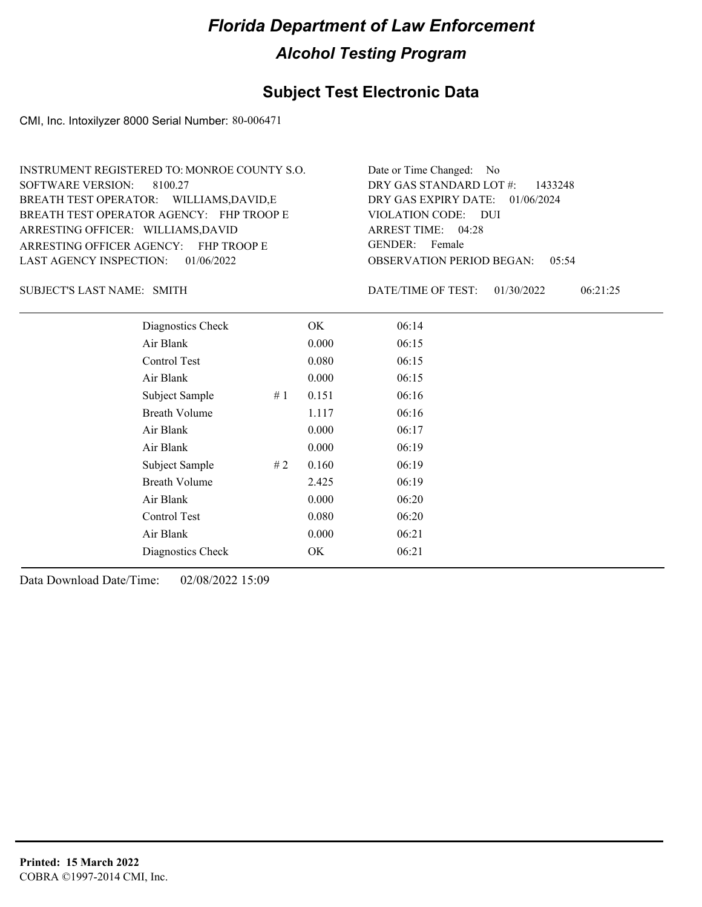### **Subject Test Electronic Data**

CMI, Inc. Intoxilyzer 8000 Serial Number: 80-006471

ARRESTING OFFICER AGENCY: FHP TROOP E GENDER: BREATH TEST OPERATOR AGENCY: FHP TROOP E VIOLATION CODE: SOFTWARE VERSION: ARRESTING OFFICER: WILLIAMS,DAVID BREATH TEST OPERATOR: WILLIAMS,DAVID,E LAST AGENCY INSPECTION: 01/06/2022 8100.27 INSTRUMENT REGISTERED TO: MONROE COUNTY S.O.

OBSERVATION PERIOD BEGAN: 05:54 VIOLATION CODE: DUI 04:28 ARREST TIME: DRY GAS EXPIRY DATE: 01/06/2024 DRY GAS STANDARD LOT #: 1433248 Date or Time Changed: No GENDER: Female

SUBJECT'S LAST NAME: SMITH **Example 2018** DATE/TIME OF TEST:

DATE/TIME OF TEST: 01/30/2022 06:21:25

| Diagnostics Check    |    | OK    | 06:14 |
|----------------------|----|-------|-------|
| Air Blank            |    | 0.000 | 06:15 |
| Control Test         |    | 0.080 | 06:15 |
| Air Blank            |    | 0.000 | 06:15 |
| Subject Sample       | #1 | 0.151 | 06:16 |
| Breath Volume        |    | 1.117 | 06:16 |
| Air Blank            |    | 0.000 | 06:17 |
| Air Blank            |    | 0.000 | 06:19 |
| Subject Sample       | #2 | 0.160 | 06:19 |
| <b>Breath Volume</b> |    | 2.425 | 06:19 |
| Air Blank            |    | 0.000 | 06:20 |
| Control Test         |    | 0.080 | 06:20 |
| Air Blank            |    | 0.000 | 06:21 |
| Diagnostics Check    |    | OK    | 06:21 |
|                      |    |       |       |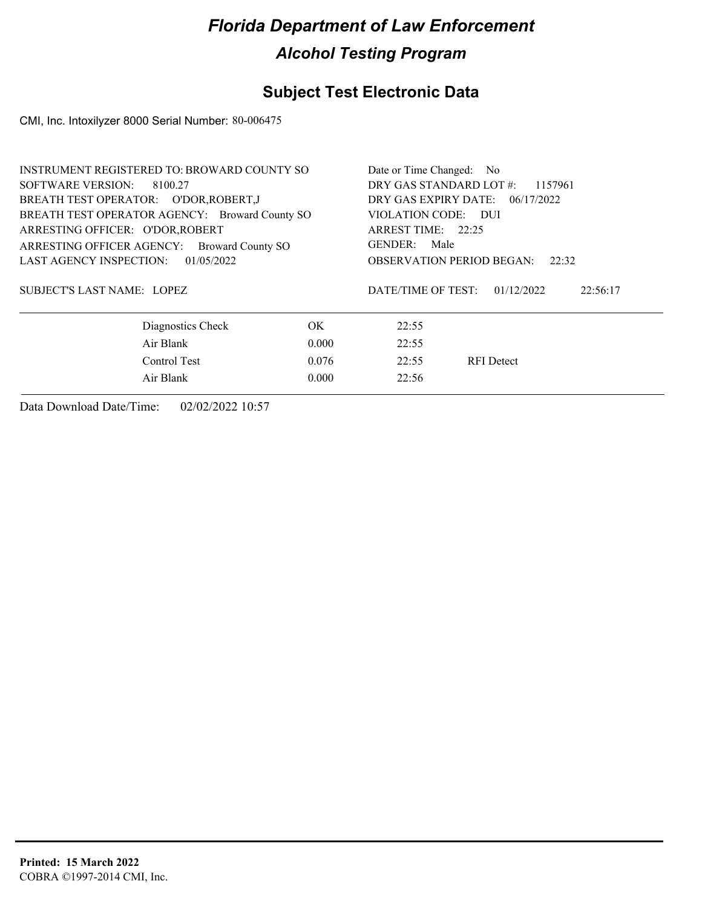## **Subject Test Electronic Data**

CMI, Inc. Intoxilyzer 8000 Serial Number: 80-006475

| INSTRUMENT REGISTERED TO: BROWARD COUNTY SO    |                                           | Date or Time Changed: No           |          |  |  |  |
|------------------------------------------------|-------------------------------------------|------------------------------------|----------|--|--|--|
| SOFTWARE VERSION:<br>8100.27                   |                                           | DRY GAS STANDARD LOT #:<br>1157961 |          |  |  |  |
| BREATH TEST OPERATOR: O'DOR, ROBERT, J         |                                           | DRY GAS EXPIRY DATE: 06/17/2022    |          |  |  |  |
| BREATH TEST OPERATOR AGENCY: Broward County SO | VIOLATION CODE: DUI                       |                                    |          |  |  |  |
| ARRESTING OFFICER: O'DOR, ROBERT               |                                           | ARREST TIME: 22:25                 |          |  |  |  |
| ARRESTING OFFICER AGENCY: Broward County SO    |                                           | GENDER: Male                       |          |  |  |  |
| 01/05/2022<br>LAST AGENCY INSPECTION:          | <b>OBSERVATION PERIOD BEGAN:</b><br>22:32 |                                    |          |  |  |  |
| <b>SUBJECT'S LAST NAME: LOPEZ</b>              | DATE/TIME OF TEST:                        | 01/12/2022                         | 22:56:17 |  |  |  |
| Diagnostics Check                              | OK.                                       | 22:55                              |          |  |  |  |
| Air Blank                                      | 22:55                                     |                                    |          |  |  |  |
| Control Test                                   | 22:55                                     | <b>RFI</b> Detect                  |          |  |  |  |
| Air Blank                                      | 22:56                                     |                                    |          |  |  |  |
|                                                |                                           |                                    |          |  |  |  |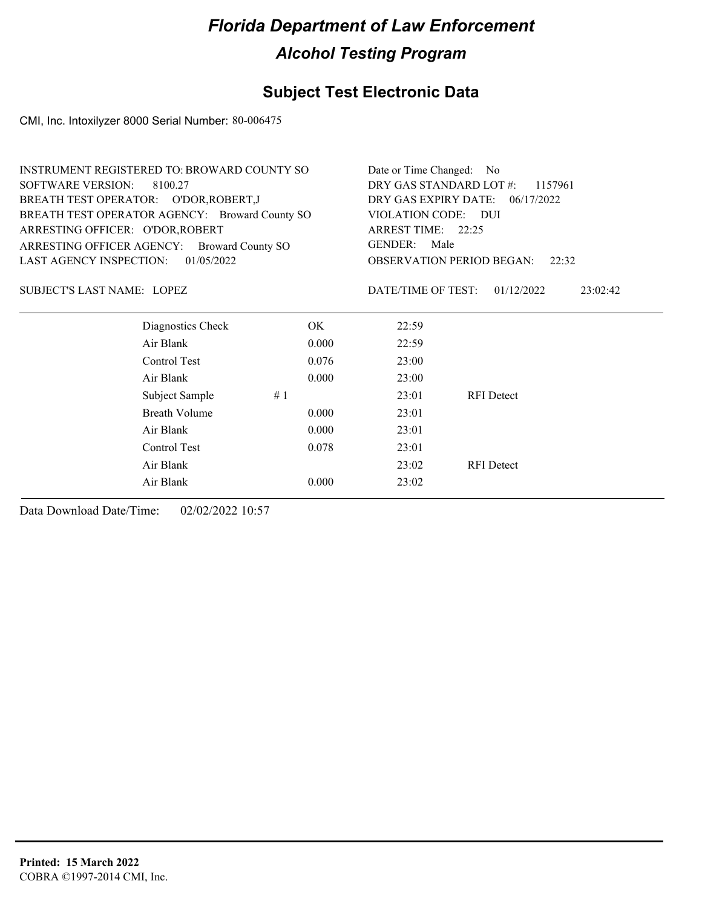## **Subject Test Electronic Data**

CMI, Inc. Intoxilyzer 8000 Serial Number: 80-006475

| <b>INSTRUMENT REGISTERED TO: BROWARD COUNTY SO</b> |                                                |       | Date or Time Changed: No                     |                   |          |  |  |
|----------------------------------------------------|------------------------------------------------|-------|----------------------------------------------|-------------------|----------|--|--|
| <b>SOFTWARE VERSION:</b>                           | 8100.27                                        |       | DRY GAS STANDARD LOT #:<br>1157961           |                   |          |  |  |
|                                                    | BREATH TEST OPERATOR: O'DOR, ROBERT, J         |       | DRY GAS EXPIRY DATE: 06/17/2022              |                   |          |  |  |
|                                                    | BREATH TEST OPERATOR AGENCY: Broward County SO |       | VIOLATION CODE: DUI                          |                   |          |  |  |
| ARRESTING OFFICER: O'DOR, ROBERT                   |                                                |       | ARREST TIME: 22:25<br><b>GENDER:</b><br>Male |                   |          |  |  |
| ARRESTING OFFICER AGENCY:                          | <b>Broward County SO</b>                       |       |                                              |                   |          |  |  |
| <b>LAST AGENCY INSPECTION:</b>                     | 01/05/2022                                     |       | <b>OBSERVATION PERIOD BEGAN:</b><br>22:32    |                   |          |  |  |
| SUBJECT'S LAST NAME: LOPEZ                         |                                                |       | DATE/TIME OF TEST:                           | 01/12/2022        | 23:02:42 |  |  |
|                                                    | Diagnostics Check                              | OK.   | 22:59                                        |                   |          |  |  |
|                                                    | Air Blank                                      | 0.000 | 22:59                                        |                   |          |  |  |
|                                                    | Control Test                                   | 0.076 | 23:00                                        |                   |          |  |  |
|                                                    | Air Blank                                      | 0.000 | 23:00                                        |                   |          |  |  |
|                                                    | Subject Sample                                 | #1    | 23:01                                        | <b>RFI</b> Detect |          |  |  |
|                                                    | Breath Volume                                  | 0.000 | 23:01                                        |                   |          |  |  |
|                                                    | Air Blank                                      | 0.000 | 23:01                                        |                   |          |  |  |
|                                                    | Control Test                                   | 0.078 | 23:01                                        |                   |          |  |  |
|                                                    | Air Blank                                      |       | 23:02                                        | <b>RFI</b> Detect |          |  |  |
|                                                    | Air Blank                                      | 0.000 | 23:02                                        |                   |          |  |  |
|                                                    |                                                |       |                                              |                   |          |  |  |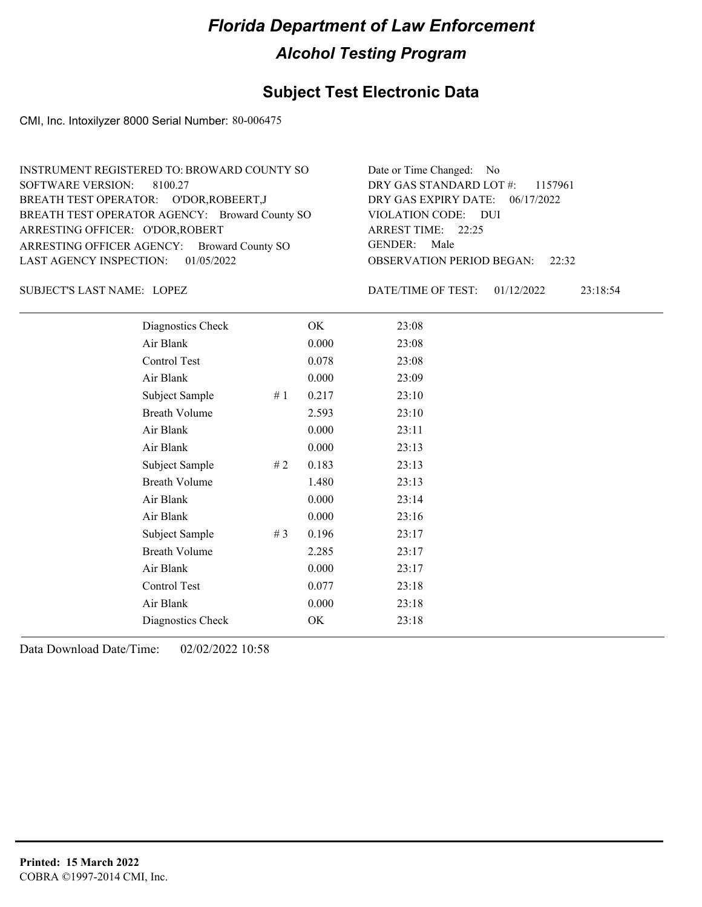## **Subject Test Electronic Data**

CMI, Inc. Intoxilyzer 8000 Serial Number: 80-006475

| INSTRUMENT REGISTERED TO: BROWARD COUNTY SO    | Date or Time Changed: No               |
|------------------------------------------------|----------------------------------------|
| SOFTWARE VERSION: 8100.27                      | DRY GAS STANDARD LOT #: 1157961        |
| BREATH TEST OPERATOR: O'DOR, ROBEERT, J        | DRY GAS EXPIRY DATE: $06/17/2022$      |
| BREATH TEST OPERATOR AGENCY: Broward County SO | VIOLATION CODE: DUI                    |
| ARRESTING OFFICER: O'DOR, ROBERT               | ARREST TIME: 22:25                     |
| ARRESTING OFFICER AGENCY: Broward County SO    | GENDER: Male                           |
| LAST AGENCY INSPECTION: $01/05/2022$           | <b>OBSERVATION PERIOD BEGAN: 22:32</b> |

LOPEZ SUBJECT'S LAST NAME: DATE/TIME OF TEST:

DATE/TIME OF TEST: 01/12/2022 23:18:54

| Diagnostics Check    |       | OK    | 23:08 |
|----------------------|-------|-------|-------|
| Air Blank            |       | 0.000 | 23:08 |
| Control Test         |       | 0.078 | 23:08 |
| Air Blank            |       | 0.000 | 23:09 |
| Subject Sample       | #1    | 0.217 | 23:10 |
| <b>Breath Volume</b> |       | 2.593 | 23:10 |
| Air Blank            |       | 0.000 | 23:11 |
| Air Blank            |       | 0.000 | 23:13 |
| Subject Sample       | #2    | 0.183 | 23:13 |
| <b>Breath Volume</b> |       | 1.480 | 23:13 |
| Air Blank            |       | 0.000 | 23:14 |
| Air Blank            |       | 0.000 | 23:16 |
| Subject Sample       | # $3$ | 0.196 | 23:17 |
| <b>Breath Volume</b> |       | 2.285 | 23:17 |
| Air Blank            |       | 0.000 | 23:17 |
| Control Test         |       | 0.077 | 23:18 |
| Air Blank            |       | 0.000 | 23:18 |
| Diagnostics Check    |       | OK    | 23:18 |
|                      |       |       |       |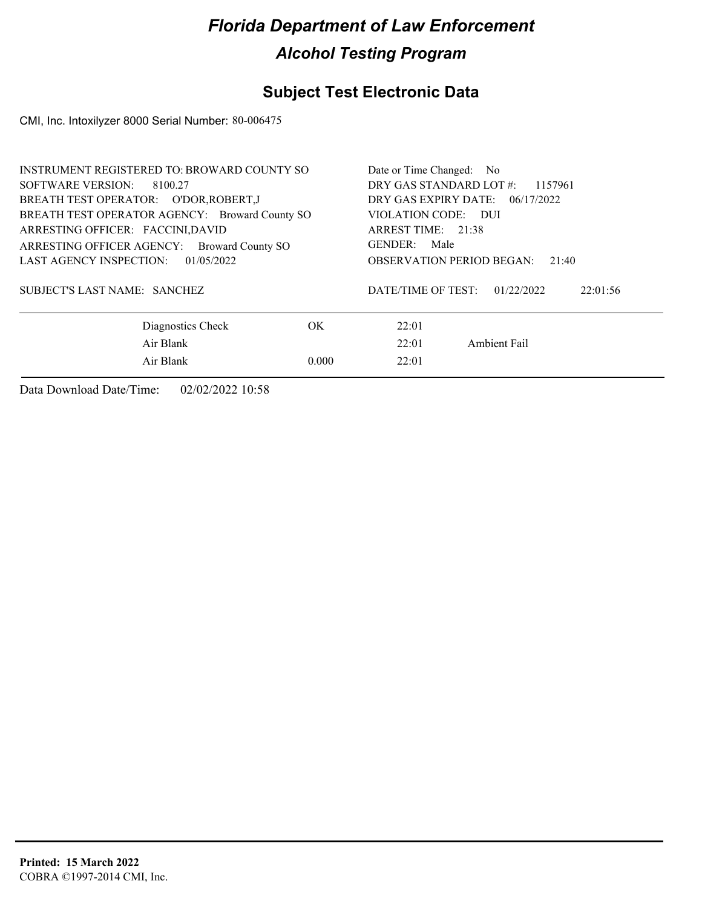## **Subject Test Electronic Data**

CMI, Inc. Intoxilyzer 8000 Serial Number: 80-006475

| INSTRUMENT REGISTERED TO: BROWARD COUNTY SO    | Date or Time Changed: No                     |  |  |  |
|------------------------------------------------|----------------------------------------------|--|--|--|
| SOFTWARE VERSION:<br>8100.27                   | DRY GAS STANDARD LOT #:<br>1157961           |  |  |  |
| BREATH TEST OPERATOR: O'DOR, ROBERT, J         | DRY GAS EXPIRY DATE: $06/17/2022$            |  |  |  |
| BREATH TEST OPERATOR AGENCY: Broward County SO | VIOLATION CODE: DUI                          |  |  |  |
| ARRESTING OFFICER: FACCINI, DAVID              | ARREST TIME: 21:38                           |  |  |  |
| ARRESTING OFFICER AGENCY: Broward County SO    | GENDER: Male                                 |  |  |  |
| LAST AGENCY INSPECTION:<br>01/05/2022          | <b>OBSERVATION PERIOD BEGAN:</b><br>21:40    |  |  |  |
| SUBJECT'S LAST NAME: SANCHEZ                   | DATE/TIME OF TEST:<br>01/22/2022<br>22:01:56 |  |  |  |
| Diagnostics Check<br>OK.                       | 22:01                                        |  |  |  |
| Air Blank                                      | Ambient Fail<br>22:01                        |  |  |  |
| Air Blank<br>0.000                             | 22:01                                        |  |  |  |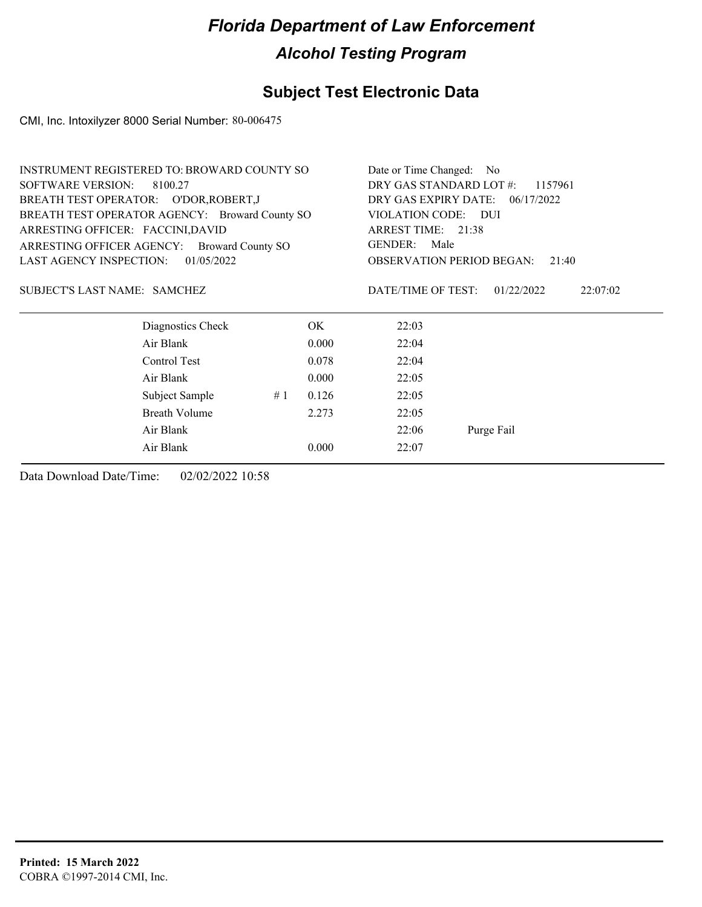## **Subject Test Electronic Data**

CMI, Inc. Intoxilyzer 8000 Serial Number: 80-006475

| <b>INSTRUMENT REGISTERED TO: BROWARD COUNTY SO</b>    |    |                                    | Date or Time Changed: No                     |  |  |  |  |
|-------------------------------------------------------|----|------------------------------------|----------------------------------------------|--|--|--|--|
| <b>SOFTWARE VERSION:</b><br>8100.27                   |    | DRY GAS STANDARD LOT #:<br>1157961 |                                              |  |  |  |  |
| BREATH TEST OPERATOR: O'DOR, ROBERT, J                |    |                                    | DRY GAS EXPIRY DATE: 06/17/2022              |  |  |  |  |
| BREATH TEST OPERATOR AGENCY: Broward County SO        |    |                                    | VIOLATION CODE:<br>- DUI                     |  |  |  |  |
| ARRESTING OFFICER: FACCINI, DAVID                     |    |                                    | ARREST TIME: 21:38                           |  |  |  |  |
| ARRESTING OFFICER AGENCY:<br><b>Broward County SO</b> |    |                                    | GENDER:<br>Male                              |  |  |  |  |
| <b>LAST AGENCY INSPECTION:</b><br>01/05/2022          |    |                                    | <b>OBSERVATION PERIOD BEGAN:</b><br>21:40    |  |  |  |  |
| SUBJECT'S LAST NAME: SAMCHEZ                          |    |                                    | DATE/TIME OF TEST:<br>01/22/2022<br>22:07:02 |  |  |  |  |
| Diagnostics Check                                     |    | OK.                                | 22:03                                        |  |  |  |  |
| Air Blank                                             |    | 0.000                              | 22:04                                        |  |  |  |  |
| Control Test                                          |    | 0.078                              | 22:04                                        |  |  |  |  |
| Air Blank                                             |    | 0.000                              | 22:05                                        |  |  |  |  |
| Subject Sample                                        | #1 | 0.126                              | 22:05                                        |  |  |  |  |
| Breath Volume                                         |    | 2.273                              | 22:05                                        |  |  |  |  |
| Air Blank                                             |    |                                    | 22:06<br>Purge Fail                          |  |  |  |  |
| Air Blank                                             |    | 0.000                              | 22:07                                        |  |  |  |  |
|                                                       |    |                                    |                                              |  |  |  |  |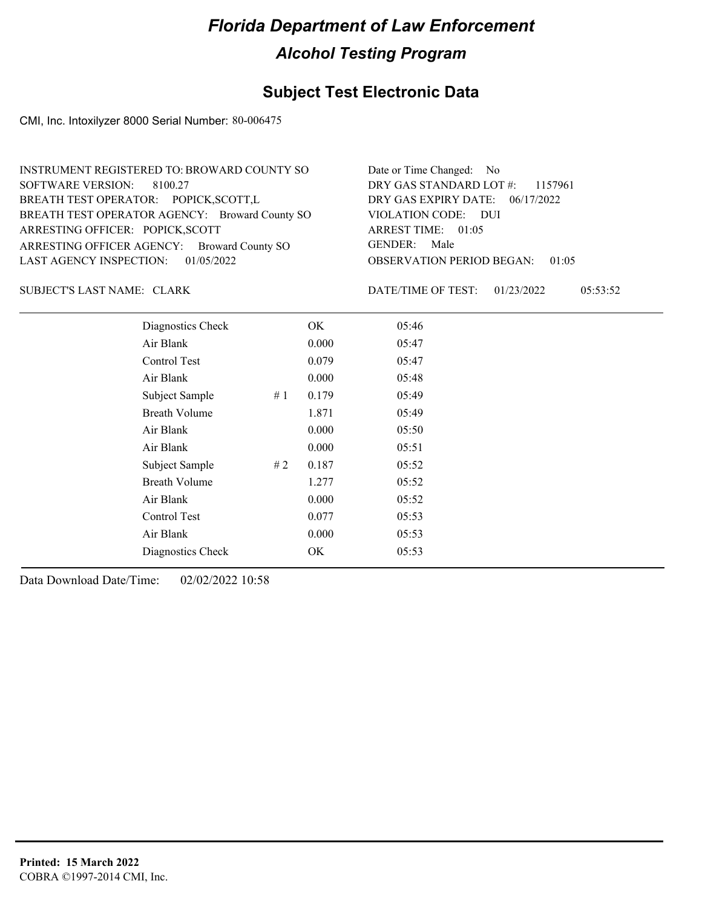### **Subject Test Electronic Data**

CMI, Inc. Intoxilyzer 8000 Serial Number: 80-006475

| Date or Time Changed: No               |
|----------------------------------------|
| DRY GAS STANDARD LOT #: 1157961        |
| DRY GAS EXPIRY DATE: 06/17/2022        |
| VIOLATION CODE: DUI                    |
| ARREST TIME: 01:05                     |
| GENDER: Male                           |
| <b>OBSERVATION PERIOD BEGAN: 01:05</b> |
|                                        |

SUBJECT'S LAST NAME: CLARK DATE/TIME OF TEST:

DATE/TIME OF TEST: 01/23/2022 05:53:52

| Diagnostics Check    |    | OK    | 05:46 |
|----------------------|----|-------|-------|
| Air Blank            |    | 0.000 | 05:47 |
| Control Test         |    | 0.079 | 05:47 |
| Air Blank            |    | 0.000 | 05:48 |
| Subject Sample       | #1 | 0.179 | 05:49 |
| <b>Breath Volume</b> |    | 1.871 | 05:49 |
| Air Blank            |    | 0.000 | 05:50 |
| Air Blank            |    | 0.000 | 05:51 |
| Subject Sample       | #2 | 0.187 | 05:52 |
| <b>Breath Volume</b> |    | 1.277 | 05:52 |
| Air Blank            |    | 0.000 | 05:52 |
| Control Test         |    | 0.077 | 05:53 |
| Air Blank            |    | 0.000 | 05:53 |
| Diagnostics Check    |    | OK    | 05:53 |
|                      |    |       |       |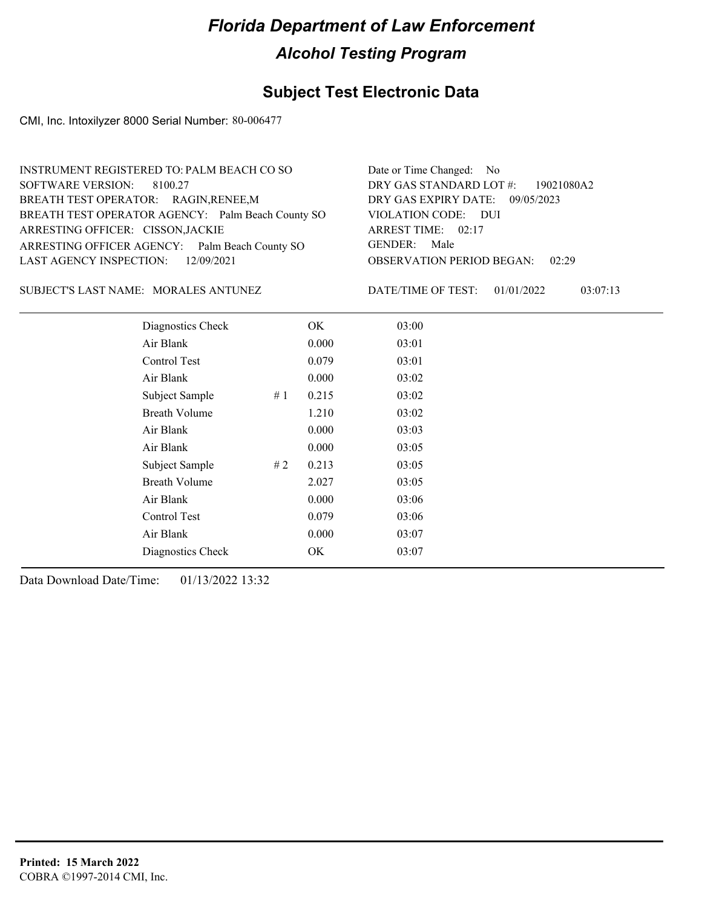## **Subject Test Electronic Data**

CMI, Inc. Intoxilyzer 8000 Serial Number: 80-006477

| INSTRUMENT REGISTERED TO: PALM BEACH CO SO        | Date or Time Changed: No               |
|---------------------------------------------------|----------------------------------------|
| SOFTWARE VERSION: 8100.27                         | DRY GAS STANDARD LOT #: 19021080A2     |
| BREATH TEST OPERATOR: RAGIN, RENEE, M             | DRY GAS EXPIRY DATE: 09/05/2023        |
| BREATH TEST OPERATOR AGENCY: Palm Beach County SO | VIOLATION CODE: DUI                    |
| ARRESTING OFFICER: CISSON, JACKIE                 | ARREST TIME: 02:17                     |
| ARRESTING OFFICER AGENCY: Palm Beach County SO    | GENDER: Male                           |
| LAST AGENCY INSPECTION: 12/09/2021                | <b>OBSERVATION PERIOD BEGAN: 02:29</b> |
|                                                   |                                        |

SUBJECT'S LAST NAME: MORALES ANTUNEZ DATE/TIME OF TEST:

DATE/TIME OF TEST: 01/01/2022 03:07:13

| 03:00<br>Diagnostics Check<br>OK<br>Air Blank<br>03:01<br>0.000<br>Control Test<br>0.079<br>03:01<br>Air Blank<br>0.000<br>03:02<br>03:02<br>Subject Sample<br>0.215<br>#1<br><b>Breath Volume</b><br>1.210<br>03:02<br>Air Blank<br>03:03<br>0.000<br>0.000<br>Air Blank<br>03:05<br>Subject Sample<br>#2<br>0.213<br>03:05<br><b>Breath Volume</b><br>03:05<br>2.027<br>0.000<br>Air Blank<br>03:06<br>Control Test<br>0.079<br>03:06<br>Air Blank<br>0.000<br>03:07 |                   |    |       |
|------------------------------------------------------------------------------------------------------------------------------------------------------------------------------------------------------------------------------------------------------------------------------------------------------------------------------------------------------------------------------------------------------------------------------------------------------------------------|-------------------|----|-------|
|                                                                                                                                                                                                                                                                                                                                                                                                                                                                        |                   |    |       |
|                                                                                                                                                                                                                                                                                                                                                                                                                                                                        |                   |    |       |
|                                                                                                                                                                                                                                                                                                                                                                                                                                                                        |                   |    |       |
|                                                                                                                                                                                                                                                                                                                                                                                                                                                                        |                   |    |       |
|                                                                                                                                                                                                                                                                                                                                                                                                                                                                        |                   |    |       |
|                                                                                                                                                                                                                                                                                                                                                                                                                                                                        |                   |    |       |
|                                                                                                                                                                                                                                                                                                                                                                                                                                                                        |                   |    |       |
|                                                                                                                                                                                                                                                                                                                                                                                                                                                                        |                   |    |       |
|                                                                                                                                                                                                                                                                                                                                                                                                                                                                        |                   |    |       |
|                                                                                                                                                                                                                                                                                                                                                                                                                                                                        |                   |    |       |
|                                                                                                                                                                                                                                                                                                                                                                                                                                                                        |                   |    |       |
|                                                                                                                                                                                                                                                                                                                                                                                                                                                                        |                   |    |       |
|                                                                                                                                                                                                                                                                                                                                                                                                                                                                        |                   |    |       |
|                                                                                                                                                                                                                                                                                                                                                                                                                                                                        | Diagnostics Check | OK | 03:07 |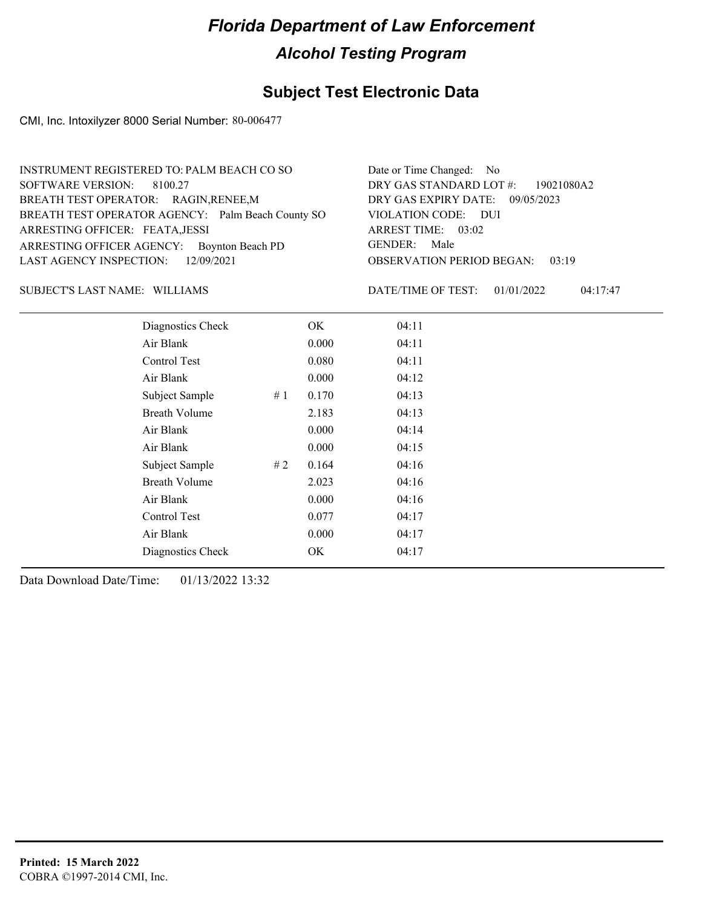### **Subject Test Electronic Data**

CMI, Inc. Intoxilyzer 8000 Serial Number: 80-006477

| INSTRUMENT REGISTERED TO: PALM BEACH CO SO        | Date or Time Changed: No               |
|---------------------------------------------------|----------------------------------------|
| SOFTWARE VERSION: 8100.27                         | DRY GAS STANDARD LOT #: 19021080A2     |
| BREATH TEST OPERATOR: RAGIN, RENEE, M             | DRY GAS EXPIRY DATE: 09/05/2023        |
| BREATH TEST OPERATOR AGENCY: Palm Beach County SO | VIOLATION CODE: DUI                    |
| ARRESTING OFFICER: FEATA, JESSI                   | ARREST TIME: 03:02                     |
| ARRESTING OFFICER AGENCY: Boynton Beach PD        | GENDER: Male                           |
| LAST AGENCY INSPECTION: 12/09/2021                | <b>OBSERVATION PERIOD BEGAN: 03:19</b> |

#### SUBJECT'S LAST NAME: WILLIAMS DATE/TIME OF TEST:

DATE/TIME OF TEST: 01/01/2022 04:17:47

| Diagnostics Check    |    | OK    | 04:11 |
|----------------------|----|-------|-------|
| Air Blank            |    | 0.000 | 04:11 |
| Control Test         |    | 0.080 | 04:11 |
| Air Blank            |    | 0.000 | 04:12 |
| Subject Sample       | #1 | 0.170 | 04:13 |
| <b>Breath Volume</b> |    | 2.183 | 04:13 |
| Air Blank            |    | 0.000 | 04:14 |
| Air Blank            |    | 0.000 | 04:15 |
| Subject Sample       | #2 | 0.164 | 04:16 |
| <b>Breath Volume</b> |    | 2.023 | 04:16 |
| Air Blank            |    | 0.000 | 04:16 |
| Control Test         |    | 0.077 | 04:17 |
| Air Blank            |    | 0.000 | 04:17 |
| Diagnostics Check    |    | OK    | 04:17 |
|                      |    |       |       |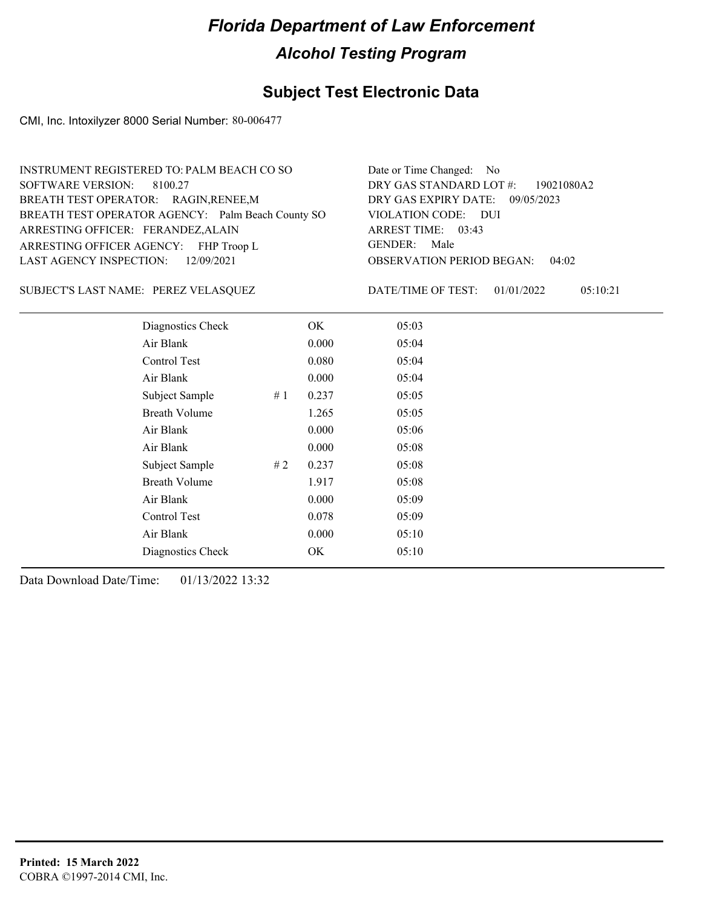## **Subject Test Electronic Data**

CMI, Inc. Intoxilyzer 8000 Serial Number: 80-006477

| INSTRUMENT REGISTERED TO: PALM BEACH CO SO        | Date or Time Changed: No               |
|---------------------------------------------------|----------------------------------------|
| SOFTWARE VERSION: 8100.27                         | DRY GAS STANDARD LOT #: 19021080A2     |
| BREATH TEST OPERATOR: RAGIN, RENEE, M             | DRY GAS EXPIRY DATE: 09/05/2023        |
| BREATH TEST OPERATOR AGENCY: Palm Beach County SO | VIOLATION CODE: DUI                    |
| ARRESTING OFFICER: FERANDEZ, ALAIN                | ARREST TIME: 03:43                     |
| ARRESTING OFFICER AGENCY: FHP Troop L             | GENDER: Male                           |
| LAST AGENCY INSPECTION: 12/09/2021                | <b>OBSERVATION PERIOD BEGAN: 04:02</b> |
|                                                   |                                        |

#### PEREZ VELASQUEZ SUBJECT'S LAST NAME: DATE/TIME OF TEST:

DATE/TIME OF TEST: 01/01/2022 05:10:21

| Diagnostics Check    |     | OK    | 05:03 |  |
|----------------------|-----|-------|-------|--|
| Air Blank            |     | 0.000 | 05:04 |  |
| Control Test         |     | 0.080 | 05:04 |  |
| Air Blank            |     | 0.000 | 05:04 |  |
| Subject Sample       | #1  | 0.237 | 05:05 |  |
| <b>Breath Volume</b> |     | 1.265 | 05:05 |  |
| Air Blank            |     | 0.000 | 05:06 |  |
| Air Blank            |     | 0.000 | 05:08 |  |
| Subject Sample       | # 2 | 0.237 | 05:08 |  |
| <b>Breath Volume</b> |     | 1.917 | 05:08 |  |
| Air Blank            |     | 0.000 | 05:09 |  |
| Control Test         |     | 0.078 | 05:09 |  |
| Air Blank            |     | 0.000 | 05:10 |  |
| Diagnostics Check    |     | OK    | 05:10 |  |
|                      |     |       |       |  |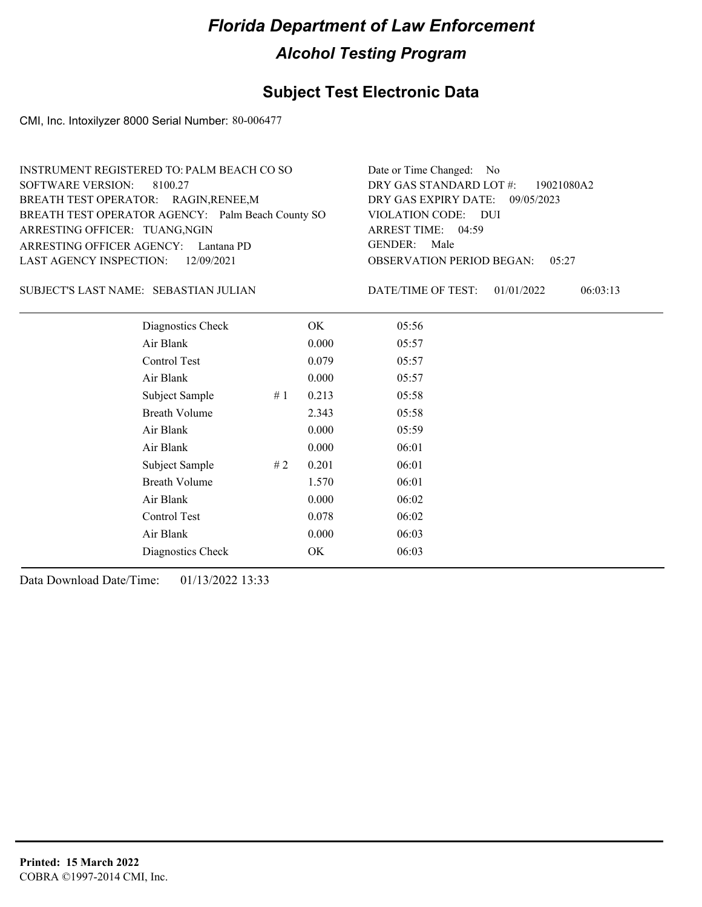## **Subject Test Electronic Data**

CMI, Inc. Intoxilyzer 8000 Serial Number: 80-006477

| INSTRUMENT REGISTERED TO: PALM BEACH CO SO        | Date or Time Changed: No               |
|---------------------------------------------------|----------------------------------------|
| SOFTWARE VERSION: 8100.27                         | DRY GAS STANDARD LOT #: 19021080A2     |
| BREATH TEST OPERATOR: RAGIN, RENEE, M             | DRY GAS EXPIRY DATE: 09/05/2023        |
| BREATH TEST OPERATOR AGENCY: Palm Beach County SO | VIOLATION CODE: DUI                    |
| ARRESTING OFFICER: TUANG, NGIN                    | ARREST TIME: 04:59                     |
| ARRESTING OFFICER AGENCY: Lantana PD              | GENDER: Male                           |
| LAST AGENCY INSPECTION: 12/09/2021                | <b>OBSERVATION PERIOD BEGAN: 05:27</b> |

#### SUBJECT'S LAST NAME: SEBASTIAN JULIAN DATE/TIME OF TEST:

DATE/TIME OF TEST: 01/01/2022 06:03:13

| Diagnostics Check    |    | OK    | 05:56 |
|----------------------|----|-------|-------|
| Air Blank            |    | 0.000 | 05:57 |
| Control Test         |    | 0.079 | 05:57 |
| Air Blank            |    | 0.000 | 05:57 |
| Subject Sample       | #1 | 0.213 | 05:58 |
| <b>Breath Volume</b> |    | 2.343 | 05:58 |
| Air Blank            |    | 0.000 | 05:59 |
| Air Blank            |    | 0.000 | 06:01 |
| Subject Sample       | #2 | 0.201 | 06:01 |
| <b>Breath Volume</b> |    | 1.570 | 06:01 |
| Air Blank            |    | 0.000 | 06:02 |
| Control Test         |    | 0.078 | 06:02 |
| Air Blank            |    | 0.000 | 06:03 |
| Diagnostics Check    |    | OK    | 06:03 |
|                      |    |       |       |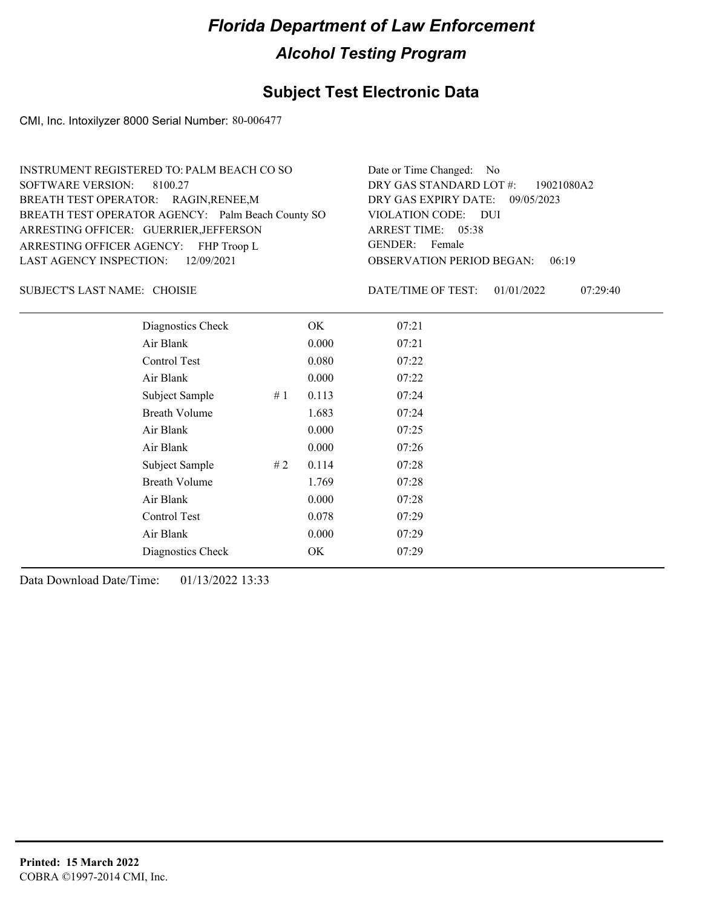## **Subject Test Electronic Data**

CMI, Inc. Intoxilyzer 8000 Serial Number: 80-006477

| INSTRUMENT REGISTERED TO: PALM BEACH CO SO        | Date or Time Changed: No               |
|---------------------------------------------------|----------------------------------------|
| SOFTWARE VERSION: 8100.27                         | DRY GAS STANDARD LOT #: 19021080A2     |
| BREATH TEST OPERATOR: RAGIN, RENEE, M             | DRY GAS EXPIRY DATE: 09/05/2023        |
| BREATH TEST OPERATOR AGENCY: Palm Beach County SO | VIOLATION CODE: DUI                    |
| ARRESTING OFFICER: GUERRIER, JEFFERSON            | ARREST TIME: 05:38                     |
| ARRESTING OFFICER AGENCY: FHP Troop L             | GENDER: Female                         |
| LAST AGENCY INSPECTION: 12/09/2021                | <b>OBSERVATION PERIOD BEGAN: 06:19</b> |
|                                                   |                                        |

#### SUBJECT'S LAST NAME: CHOISIE **Example 2018** DATE/TIME OF TEST:

DATE/TIME OF TEST: 01/01/2022 07:29:40

| Diagnostics Check    |    | OK    | 07:21 |  |
|----------------------|----|-------|-------|--|
| Air Blank            |    | 0.000 | 07:21 |  |
| Control Test         |    | 0.080 | 07:22 |  |
| Air Blank            |    | 0.000 | 07:22 |  |
| Subject Sample       | #1 | 0.113 | 07:24 |  |
| <b>Breath Volume</b> |    | 1.683 | 07:24 |  |
| Air Blank            |    | 0.000 | 07:25 |  |
| Air Blank            |    | 0.000 | 07:26 |  |
| Subject Sample       | #2 | 0.114 | 07:28 |  |
| <b>Breath Volume</b> |    | 1.769 | 07:28 |  |
| Air Blank            |    | 0.000 | 07:28 |  |
| Control Test         |    | 0.078 | 07:29 |  |
| Air Blank            |    | 0.000 | 07:29 |  |
| Diagnostics Check    |    | OK    | 07:29 |  |
|                      |    |       |       |  |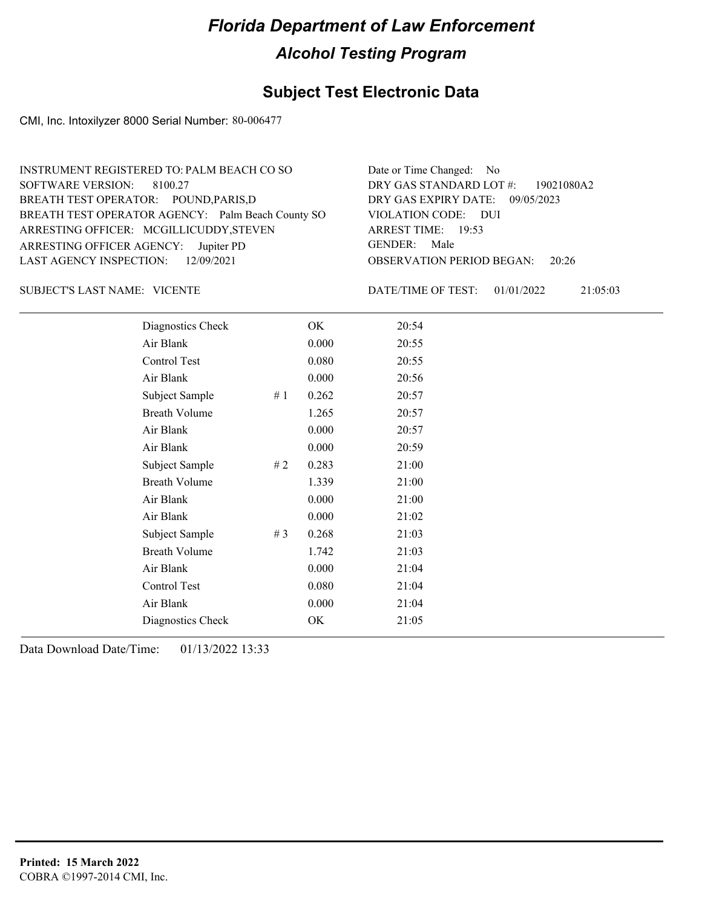## **Subject Test Electronic Data**

CMI, Inc. Intoxilyzer 8000 Serial Number: 80-006477

| INSTRUMENT REGISTERED TO: PALM BEACH CO SO        | Date or Time Changed: No               |
|---------------------------------------------------|----------------------------------------|
| SOFTWARE VERSION: 8100.27                         | DRY GAS STANDARD LOT #: 19021080A2     |
| BREATH TEST OPERATOR: POUND, PARIS, D             | DRY GAS EXPIRY DATE: 09/05/2023        |
| BREATH TEST OPERATOR AGENCY: Palm Beach County SO | VIOLATION CODE: DUI                    |
| ARRESTING OFFICER: MCGILLICUDDY, STEVEN           | ARREST TIME: 19:53                     |
| ARRESTING OFFICER AGENCY: Jupiter PD              | GENDER: Male                           |
| LAST AGENCY INSPECTION: 12/09/2021                | <b>OBSERVATION PERIOD BEGAN:</b> 20:26 |

#### VICENTE SUBJECT'S LAST NAME: DATE/TIME OF TEST:

DATE/TIME OF TEST: 01/01/2022 21:05:03

| Diagnostics Check    |       | OK    | 20:54 |
|----------------------|-------|-------|-------|
| Air Blank            |       | 0.000 | 20:55 |
| Control Test         |       | 0.080 | 20:55 |
| Air Blank            |       | 0.000 | 20:56 |
| Subject Sample       | #1    | 0.262 | 20:57 |
| <b>Breath Volume</b> |       | 1.265 | 20:57 |
| Air Blank            |       | 0.000 | 20:57 |
| Air Blank            |       | 0.000 | 20:59 |
| Subject Sample       | #2    | 0.283 | 21:00 |
| <b>Breath Volume</b> |       | 1.339 | 21:00 |
| Air Blank            |       | 0.000 | 21:00 |
| Air Blank            |       | 0.000 | 21:02 |
| Subject Sample       | # $3$ | 0.268 | 21:03 |
| <b>Breath Volume</b> |       | 1.742 | 21:03 |
| Air Blank            |       | 0.000 | 21:04 |
| Control Test         |       | 0.080 | 21:04 |
| Air Blank            |       | 0.000 | 21:04 |
| Diagnostics Check    |       | OK    | 21:05 |
|                      |       |       |       |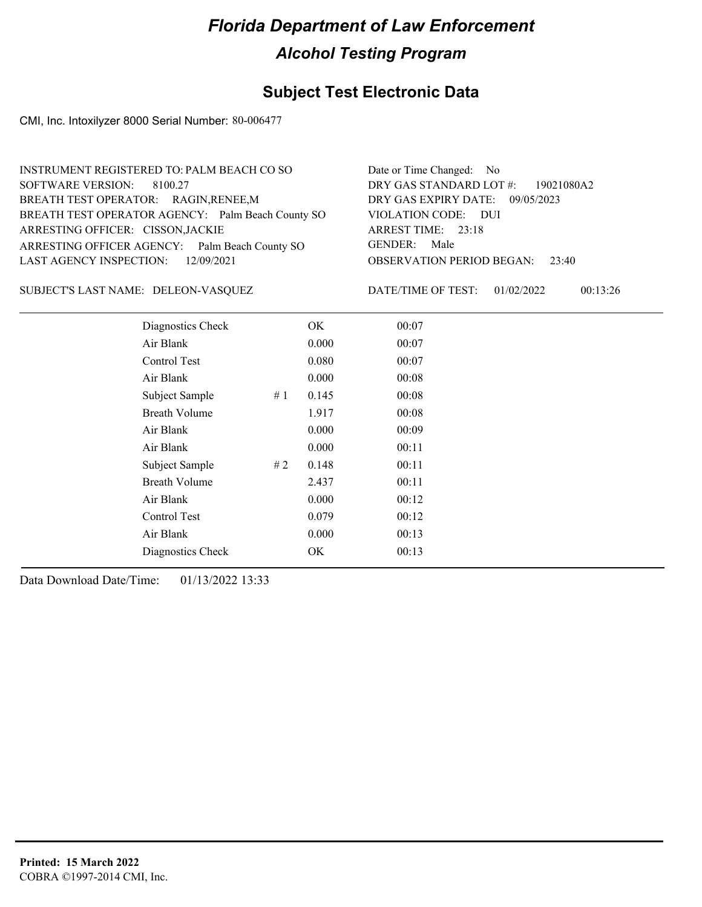### **Subject Test Electronic Data**

CMI, Inc. Intoxilyzer 8000 Serial Number: 80-006477

| INSTRUMENT REGISTERED TO: PALM BEACH CO SO        | Date or Time Changed: No               |
|---------------------------------------------------|----------------------------------------|
| SOFTWARE VERSION: 8100.27                         | DRY GAS STANDARD LOT #: 19021080A2     |
| BREATH TEST OPERATOR: RAGIN, RENEE, M             | DRY GAS EXPIRY DATE: 09/05/2023        |
| BREATH TEST OPERATOR AGENCY: Palm Beach County SO | VIOLATION CODE: DUI                    |
| ARRESTING OFFICER: CISSON, JACKIE                 | ARREST TIME: 23:18                     |
| ARRESTING OFFICER AGENCY: Palm Beach County SO    | GENDER: Male                           |
| LAST AGENCY INSPECTION: 12/09/2021                | <b>OBSERVATION PERIOD BEGAN: 23:40</b> |
|                                                   |                                        |

SUBJECT'S LAST NAME: DELEON-VASQUEZ DATE/TIME OF TEST:

DATE/TIME OF TEST: 01/02/2022 00:13:26

| Diagnostics Check    |    | OK    | 00:07 |
|----------------------|----|-------|-------|
| Air Blank            |    | 0.000 | 00:07 |
| Control Test         |    | 0.080 | 00:07 |
| Air Blank            |    | 0.000 | 00:08 |
| Subject Sample       | #1 | 0.145 | 00:08 |
| <b>Breath Volume</b> |    | 1.917 | 00:08 |
| Air Blank            |    | 0.000 | 00:09 |
| Air Blank            |    | 0.000 | 00:11 |
| Subject Sample       | #2 | 0.148 | 00:11 |
| <b>Breath Volume</b> |    | 2.437 | 00:11 |
| Air Blank            |    | 0.000 | 00:12 |
| Control Test         |    | 0.079 | 00:12 |
| Air Blank            |    | 0.000 | 00:13 |
| Diagnostics Check    |    | OK    | 00:13 |
|                      |    |       |       |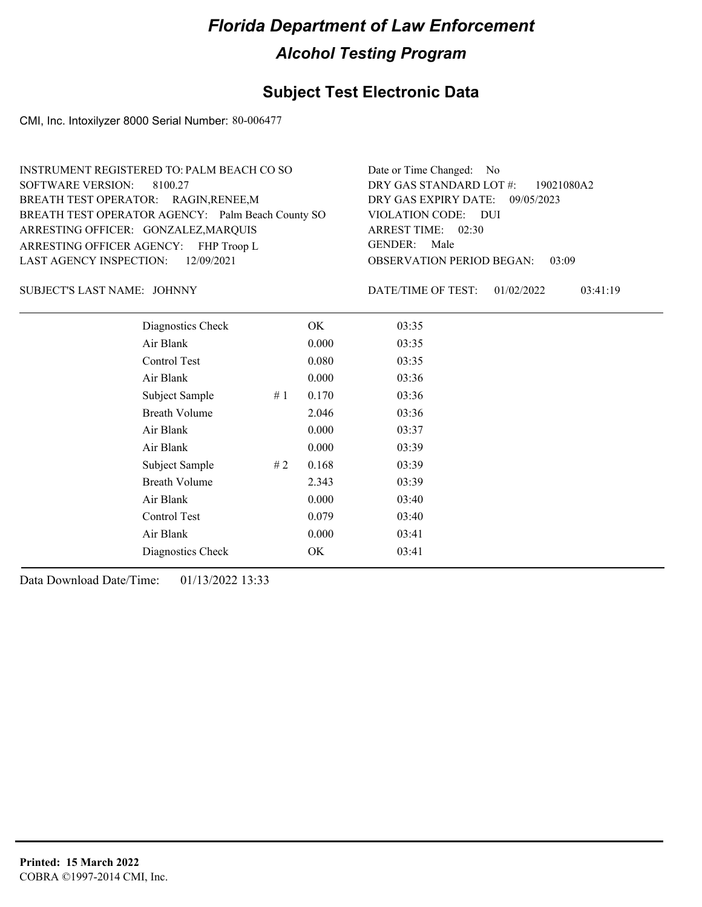## **Subject Test Electronic Data**

CMI, Inc. Intoxilyzer 8000 Serial Number: 80-006477

| INSTRUMENT REGISTERED TO: PALM BEACH CO SO        | Date or Time Changed: No               |
|---------------------------------------------------|----------------------------------------|
| SOFTWARE VERSION: 8100.27                         | DRY GAS STANDARD LOT #: 19021080A2     |
| BREATH TEST OPERATOR: RAGIN, RENEE, M             | DRY GAS EXPIRY DATE: 09/05/2023        |
| BREATH TEST OPERATOR AGENCY: Palm Beach County SO | VIOLATION CODE: DUI                    |
| ARRESTING OFFICER: GONZALEZ, MARQUIS              | ARREST TIME: 02:30                     |
| ARRESTING OFFICER AGENCY: FHP Troop L             | GENDER: Male                           |
| LAST AGENCY INSPECTION: 12/09/2021                | <b>OBSERVATION PERIOD BEGAN: 03:09</b> |
|                                                   |                                        |

SUBJECT'S LAST NAME: JOHNNY DATE/TIME OF TEST:

DATE/TIME OF TEST: 01/02/2022 03:41:19

| Diagnostics Check    |    | OK.   | 03:35 |
|----------------------|----|-------|-------|
| Air Blank            |    | 0.000 | 03:35 |
| Control Test         |    | 0.080 | 03:35 |
| Air Blank            |    | 0.000 | 03:36 |
| Subject Sample       | #1 | 0.170 | 03:36 |
| <b>Breath Volume</b> |    | 2.046 | 03:36 |
| Air Blank            |    | 0.000 | 03:37 |
| Air Blank            |    | 0.000 | 03:39 |
| Subject Sample       | #2 | 0.168 | 03:39 |
| <b>Breath Volume</b> |    | 2.343 | 03:39 |
| Air Blank            |    | 0.000 | 03:40 |
| Control Test         |    | 0.079 | 03:40 |
| Air Blank            |    | 0.000 | 03:41 |
| Diagnostics Check    |    | OK    | 03:41 |
|                      |    |       |       |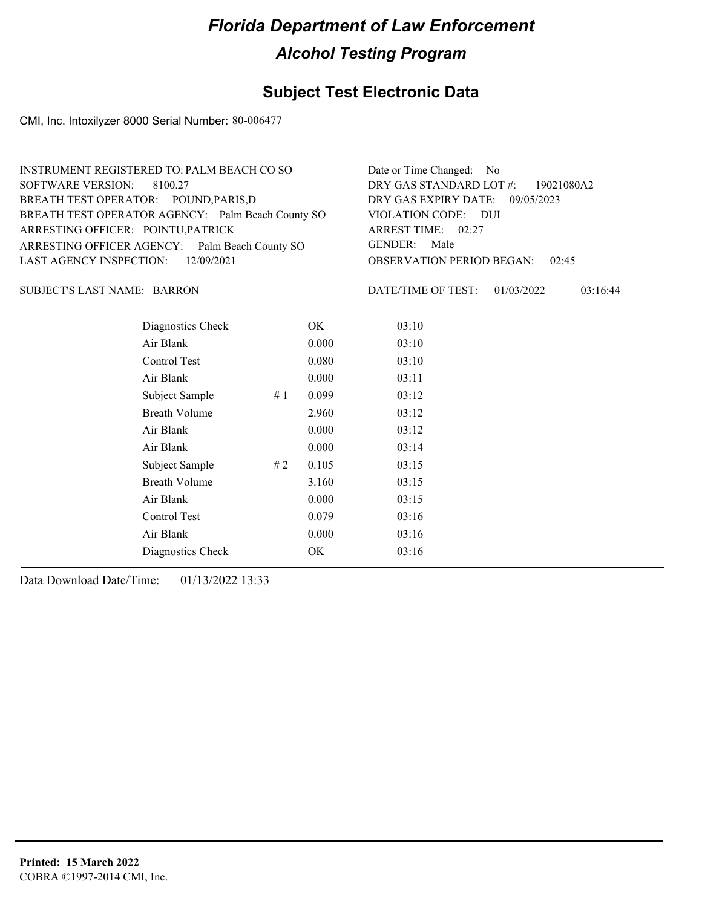### **Subject Test Electronic Data**

CMI, Inc. Intoxilyzer 8000 Serial Number: 80-006477

| INSTRUMENT REGISTERED TO: PALM BEACH CO SO        | Date or Time Changed: No               |
|---------------------------------------------------|----------------------------------------|
| SOFTWARE VERSION: 8100.27                         | DRY GAS STANDARD LOT #: 19021080A2     |
| BREATH TEST OPERATOR: POUND, PARIS, D             | DRY GAS EXPIRY DATE: 09/05/2023        |
| BREATH TEST OPERATOR AGENCY: Palm Beach County SO | VIOLATION CODE: DUI                    |
| ARRESTING OFFICER: POINTU, PATRICK                | ARREST TIME: 02:27                     |
| ARRESTING OFFICER AGENCY: Palm Beach County SO    | GENDER: Male                           |
| LAST AGENCY INSPECTION: 12/09/2021                | <b>OBSERVATION PERIOD BEGAN: 02:45</b> |
|                                                   |                                        |

#### BARRON SUBJECT'S LAST NAME: DATE/TIME OF TEST:

DATE/TIME OF TEST: 01/03/2022 03:16:44

| Diagnostics Check    | OK    | 03:10 |
|----------------------|-------|-------|
| Air Blank            | 0.000 | 03:10 |
| Control Test         | 0.080 | 03:10 |
| Air Blank            | 0.000 | 03:11 |
| Subject Sample<br>#1 | 0.099 | 03:12 |
| <b>Breath Volume</b> | 2.960 | 03:12 |
| Air Blank            | 0.000 | 03:12 |
| Air Blank            | 0.000 | 03:14 |
| Subject Sample<br>#2 | 0.105 | 03:15 |
| <b>Breath Volume</b> | 3.160 | 03:15 |
| Air Blank            | 0.000 | 03:15 |
| Control Test         | 0.079 | 03:16 |
| Air Blank            | 0.000 | 03:16 |
| Diagnostics Check    | OK    | 03:16 |
|                      |       |       |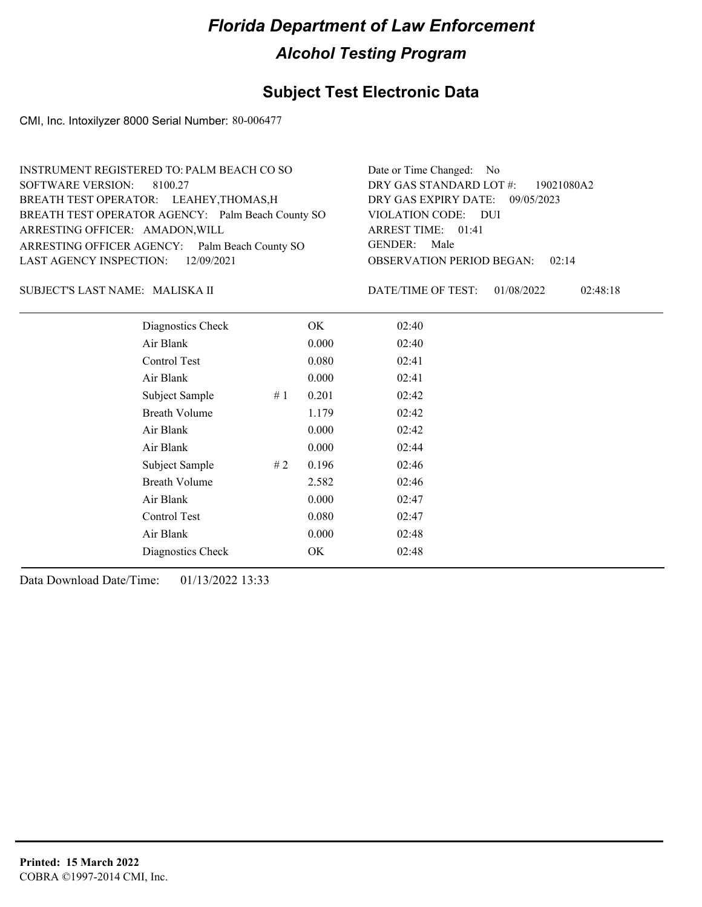## **Subject Test Electronic Data**

CMI, Inc. Intoxilyzer 8000 Serial Number: 80-006477

| INSTRUMENT REGISTERED TO: PALM BEACH CO SO        | Date or Time Changed: No               |
|---------------------------------------------------|----------------------------------------|
| SOFTWARE VERSION: 8100.27                         | DRY GAS STANDARD LOT #: 19021080A2     |
| BREATH TEST OPERATOR: LEAHEY, THOMAS, H           | DRY GAS EXPIRY DATE: 09/05/2023        |
| BREATH TEST OPERATOR AGENCY: Palm Beach County SO | VIOLATION CODE: DUI                    |
| ARRESTING OFFICER: AMADON, WILL                   | ARREST TIME: 01:41                     |
| ARRESTING OFFICER AGENCY: Palm Beach County SO    | GENDER: Male                           |
| LAST AGENCY INSPECTION: 12/09/2021                | <b>OBSERVATION PERIOD BEGAN: 02:14</b> |
|                                                   |                                        |

#### MALISKA II SUBJECT'S LAST NAME: DATE/TIME OF TEST:

DATE/TIME OF TEST: 01/08/2022 02:48:18

| Diagnostics Check    |    | OK    | 02:40 |
|----------------------|----|-------|-------|
| Air Blank            |    | 0.000 | 02:40 |
| Control Test         |    | 0.080 | 02:41 |
| Air Blank            |    | 0.000 | 02:41 |
| Subject Sample       | #1 | 0.201 | 02:42 |
| <b>Breath Volume</b> |    | 1.179 | 02:42 |
| Air Blank            |    | 0.000 | 02:42 |
| Air Blank            |    | 0.000 | 02:44 |
| Subject Sample       | #2 | 0.196 | 02:46 |
| <b>Breath Volume</b> |    | 2.582 | 02:46 |
| Air Blank            |    | 0.000 | 02:47 |
| Control Test         |    | 0.080 | 02:47 |
| Air Blank            |    | 0.000 | 02:48 |
| Diagnostics Check    |    | OK    | 02:48 |
|                      |    |       |       |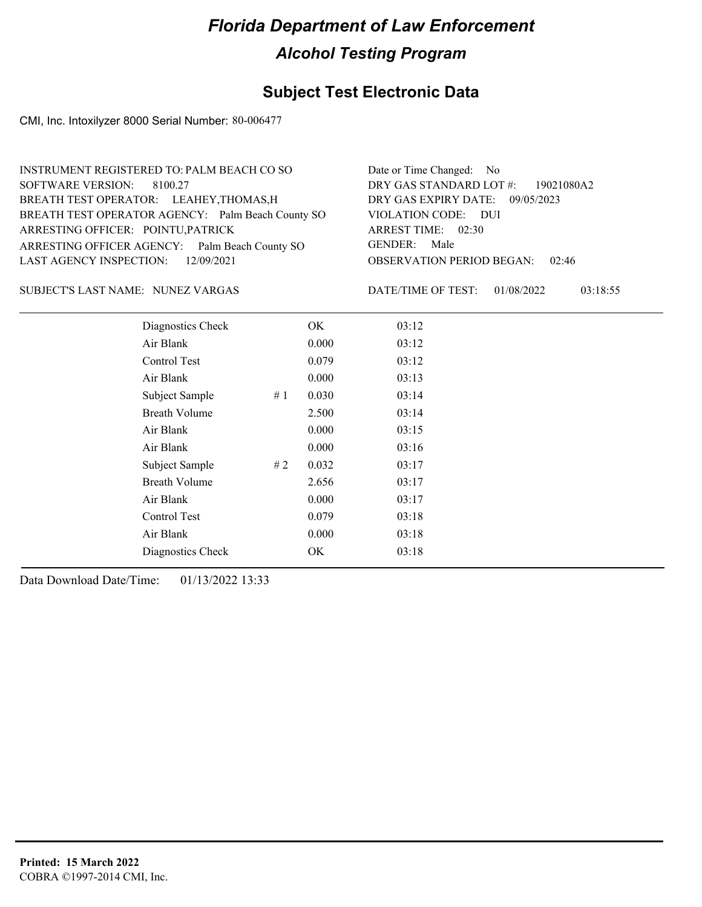## **Subject Test Electronic Data**

CMI, Inc. Intoxilyzer 8000 Serial Number: 80-006477

| INSTRUMENT REGISTERED TO: PALM BEACH CO SO        | Date or Time Changed: No               |
|---------------------------------------------------|----------------------------------------|
| SOFTWARE VERSION: 8100.27                         | DRY GAS STANDARD LOT #: 19021080A2     |
| BREATH TEST OPERATOR: LEAHEY, THOMAS, H           | DRY GAS EXPIRY DATE: 09/05/2023        |
| BREATH TEST OPERATOR AGENCY: Palm Beach County SO | VIOLATION CODE: DUI                    |
| ARRESTING OFFICER: POINTU, PATRICK                | ARREST TIME: 02:30                     |
| ARRESTING OFFICER AGENCY: Palm Beach County SO    | GENDER: Male                           |
| LAST AGENCY INSPECTION: 12/09/2021                | <b>OBSERVATION PERIOD BEGAN: 02:46</b> |
|                                                   |                                        |

NUNEZ VARGAS SUBJECT'S LAST NAME: DATE/TIME OF TEST:

DATE/TIME OF TEST: 01/08/2022 03:18:55

| Diagnostics Check    |    | OK    | 03:12 |
|----------------------|----|-------|-------|
| Air Blank            |    | 0.000 | 03:12 |
| Control Test         |    | 0.079 | 03:12 |
| Air Blank            |    | 0.000 | 03:13 |
| Subject Sample       | #1 | 0.030 | 03:14 |
| <b>Breath Volume</b> |    | 2.500 | 03:14 |
| Air Blank            |    | 0.000 | 03:15 |
| Air Blank            |    | 0.000 | 03:16 |
| Subject Sample       | #2 | 0.032 | 03:17 |
| <b>Breath Volume</b> |    | 2.656 | 03:17 |
| Air Blank            |    | 0.000 | 03:17 |
| Control Test         |    | 0.079 | 03:18 |
| Air Blank            |    | 0.000 | 03:18 |
| Diagnostics Check    |    | OK    | 03:18 |
|                      |    |       |       |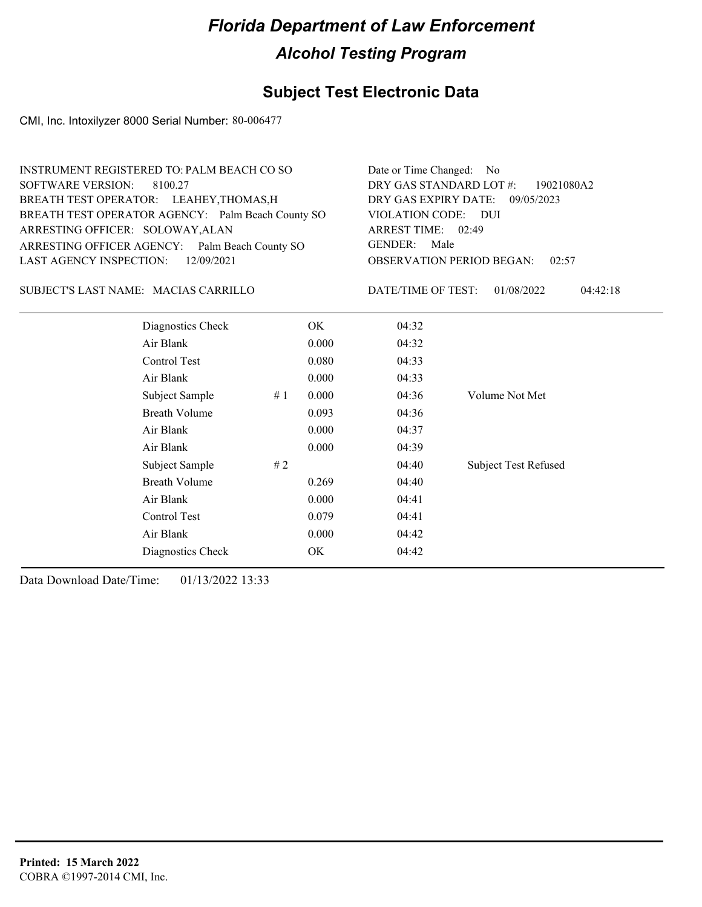### **Subject Test Electronic Data**

CMI, Inc. Intoxilyzer 8000 Serial Number: 80-006477

| <b>INSTRUMENT REGISTERED TO: PALM BEACH CO SO</b> |       | Date or Time Changed: No         |                        |  |
|---------------------------------------------------|-------|----------------------------------|------------------------|--|
| SOFTWARE VERSION:<br>8100.27                      |       | DRY GAS STANDARD LOT #:          | 19021080A2             |  |
| BREATH TEST OPERATOR: LEAHEY, THOMAS, H           |       | DRY GAS EXPIRY DATE:             | 09/05/2023             |  |
| BREATH TEST OPERATOR AGENCY: Palm Beach County SO |       | VIOLATION CODE: DUI              |                        |  |
| ARRESTING OFFICER: SOLOWAY, ALAN                  |       | ARREST TIME: 02:49               |                        |  |
| ARRESTING OFFICER AGENCY: Palm Beach County SO    |       | <b>GENDER:</b><br>Male           |                        |  |
| <b>LAST AGENCY INSPECTION:</b><br>12/09/2021      |       | <b>OBSERVATION PERIOD BEGAN:</b> | 02:57                  |  |
| SUBJECT'S LAST NAME: MACIAS CARRILLO              |       | DATE/TIME OF TEST:               | 01/08/2022<br>04:42:18 |  |
| Diagnostics Check                                 | OK.   | 04:32                            |                        |  |
| Air Blank                                         | 0.000 | 04:32                            |                        |  |
| Control Test                                      | 0.080 | 04:33                            |                        |  |
| Air Blank                                         | 0.000 | 04:33                            |                        |  |
| Subject Sample<br>#1                              | 0.000 | 04:36                            | Volume Not Met         |  |
| Breath Volume                                     | 0.093 | 04:36                            |                        |  |

Subject Sample # 2  $\qquad$  04:40 Subject Test Refused

Air Blank 0.000 04:37 Air Blank 0.000 04:39

Breath Volume 0.269 04:40 Air Blank 0.000 04:41 Control Test 0.079 04:41 Air Blank 0.000 04:42 Diagnostics Check OK 04:42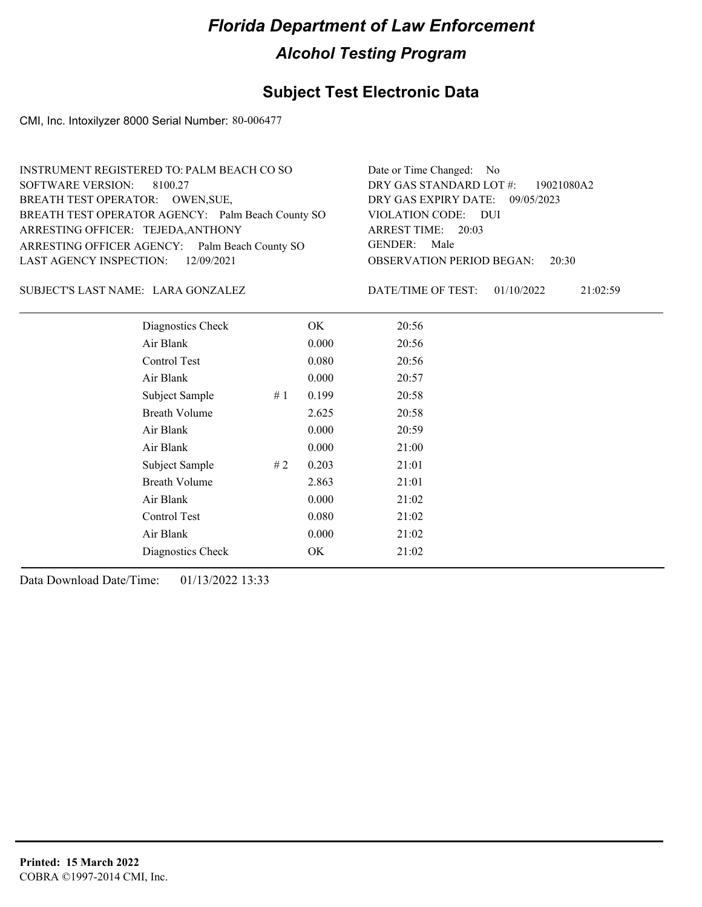## **Subject Test Electronic Data**

CMI, Inc. Intoxilyzer 8000 Serial Number: 80-006477

| INSTRUMENT REGISTERED TO: PALM BEACH CO SO        | Date or Time Changed: No               |
|---------------------------------------------------|----------------------------------------|
| SOFTWARE VERSION: 8100.27                         | DRY GAS STANDARD LOT #: 19021080A2     |
| BREATH TEST OPERATOR: OWEN, SUE,                  | DRY GAS EXPIRY DATE: 09/05/2023        |
| BREATH TEST OPERATOR AGENCY: Palm Beach County SO | VIOLATION CODE: DUI                    |
| ARRESTING OFFICER: TEJEDA, ANTHONY                | ARREST TIME: 20:03                     |
| ARRESTING OFFICER AGENCY: Palm Beach County SO    | GENDER: Male                           |
| LAST AGENCY INSPECTION: 12/09/2021                | <b>OBSERVATION PERIOD BEGAN: 20:30</b> |
|                                                   |                                        |

SUBJECT'S LAST NAME: LARA GONZALEZ DATE/TIME OF TEST:

DATE/TIME OF TEST: 01/10/2022 21:02:59

| Diagnostics Check    |    | OK    | 20:56 |
|----------------------|----|-------|-------|
| Air Blank            |    | 0.000 | 20:56 |
| Control Test         |    | 0.080 | 20:56 |
| Air Blank            |    | 0.000 | 20:57 |
| Subject Sample       | #1 | 0.199 | 20:58 |
| <b>Breath Volume</b> |    | 2.625 | 20:58 |
| Air Blank            |    | 0.000 | 20:59 |
| Air Blank            |    | 0.000 | 21:00 |
| Subject Sample       | #2 | 0.203 | 21:01 |
| <b>Breath Volume</b> |    | 2.863 | 21:01 |
| Air Blank            |    | 0.000 | 21:02 |
| Control Test         |    | 0.080 | 21:02 |
| Air Blank            |    | 0.000 | 21:02 |
| Diagnostics Check    |    | OK    | 21:02 |
|                      |    |       |       |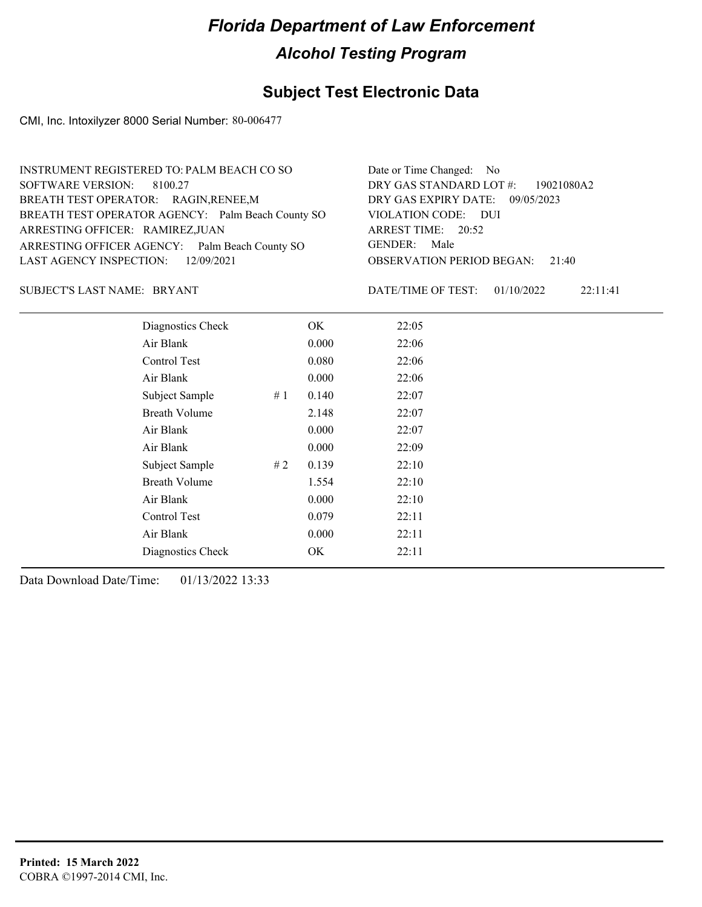### **Subject Test Electronic Data**

CMI, Inc. Intoxilyzer 8000 Serial Number: 80-006477

| INSTRUMENT REGISTERED TO: PALM BEACH CO SO        | Date or Time Changed: No               |
|---------------------------------------------------|----------------------------------------|
| SOFTWARE VERSION: 8100.27                         | DRY GAS STANDARD LOT #: 19021080A2     |
| BREATH TEST OPERATOR: RAGIN, RENEE, M             | DRY GAS EXPIRY DATE: 09/05/2023        |
| BREATH TEST OPERATOR AGENCY: Palm Beach County SO | VIOLATION CODE: DUI                    |
| ARRESTING OFFICER: RAMIREZ, JUAN                  | ARREST TIME: 20:52                     |
| ARRESTING OFFICER AGENCY: Palm Beach County SO    | GENDER: Male                           |
| LAST AGENCY INSPECTION: 12/09/2021                | <b>OBSERVATION PERIOD BEGAN: 21:40</b> |
|                                                   |                                        |

SUBJECT'S LAST NAME: BRYANT DATE/TIME OF TEST:

DATE/TIME OF TEST: 01/10/2022 22:11:41

| Diagnostics Check    |    | OK    | 22:05 |
|----------------------|----|-------|-------|
| Air Blank            |    | 0.000 | 22:06 |
| Control Test         |    | 0.080 | 22:06 |
| Air Blank            |    | 0.000 | 22:06 |
| Subject Sample       | #1 | 0.140 | 22:07 |
| <b>Breath Volume</b> |    | 2.148 | 22:07 |
| Air Blank            |    | 0.000 | 22:07 |
| Air Blank            |    | 0.000 | 22:09 |
| Subject Sample       | #2 | 0.139 | 22:10 |
| <b>Breath Volume</b> |    | 1.554 | 22:10 |
| Air Blank            |    | 0.000 | 22:10 |
| <b>Control Test</b>  |    | 0.079 | 22:11 |
| Air Blank            |    | 0.000 | 22:11 |
| Diagnostics Check    |    | OK    | 22:11 |
|                      |    |       |       |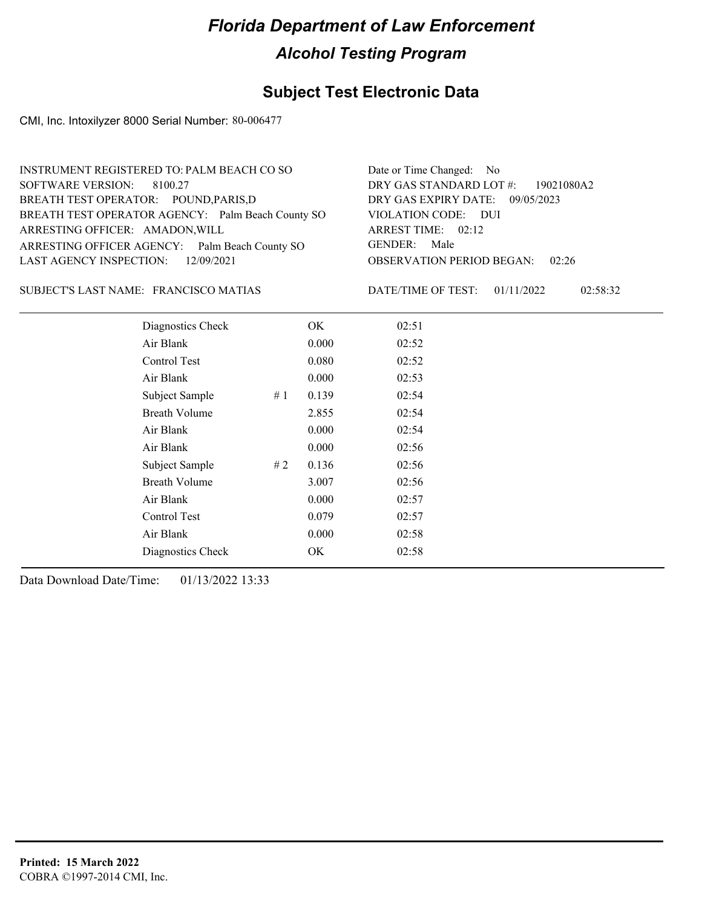## **Subject Test Electronic Data**

CMI, Inc. Intoxilyzer 8000 Serial Number: 80-006477

| INSTRUMENT REGISTERED TO: PALM BEACH CO SO        | Date or Time Changed: No               |
|---------------------------------------------------|----------------------------------------|
| SOFTWARE VERSION: 8100.27                         | DRY GAS STANDARD LOT $\#$ : 19021080A2 |
| BREATH TEST OPERATOR: POUND, PARIS, D             | DRY GAS EXPIRY DATE: 09/05/2023        |
| BREATH TEST OPERATOR AGENCY: Palm Beach County SO | VIOLATION CODE: DUI                    |
| ARRESTING OFFICER: AMADON, WILL                   | ARREST TIME: 02:12                     |
| ARRESTING OFFICER AGENCY: Palm Beach County SO    | GENDER: Male                           |
| LAST AGENCY INSPECTION: $12/09/2021$              | <b>OBSERVATION PERIOD BEGAN: 02:26</b> |
|                                                   |                                        |

#### FRANCISCO MATIAS SUBJECT'S LAST NAME: DATE/TIME OF TEST:

DATE/TIME OF TEST: 01/11/2022 02:58:32

| Diagnostics Check    |     | OK    | 02:51 |
|----------------------|-----|-------|-------|
| Air Blank            |     | 0.000 | 02:52 |
| Control Test         |     | 0.080 | 02:52 |
| Air Blank            |     | 0.000 | 02:53 |
| Subject Sample       | #1  | 0.139 | 02:54 |
| <b>Breath Volume</b> |     | 2.855 | 02:54 |
| Air Blank            |     | 0.000 | 02:54 |
| Air Blank            |     | 0.000 | 02:56 |
| Subject Sample       | # 2 | 0.136 | 02:56 |
| <b>Breath Volume</b> |     | 3.007 | 02:56 |
| Air Blank            |     | 0.000 | 02:57 |
| Control Test         |     | 0.079 | 02:57 |
| Air Blank            |     | 0.000 | 02:58 |
| Diagnostics Check    |     | OK    | 02:58 |
|                      |     |       |       |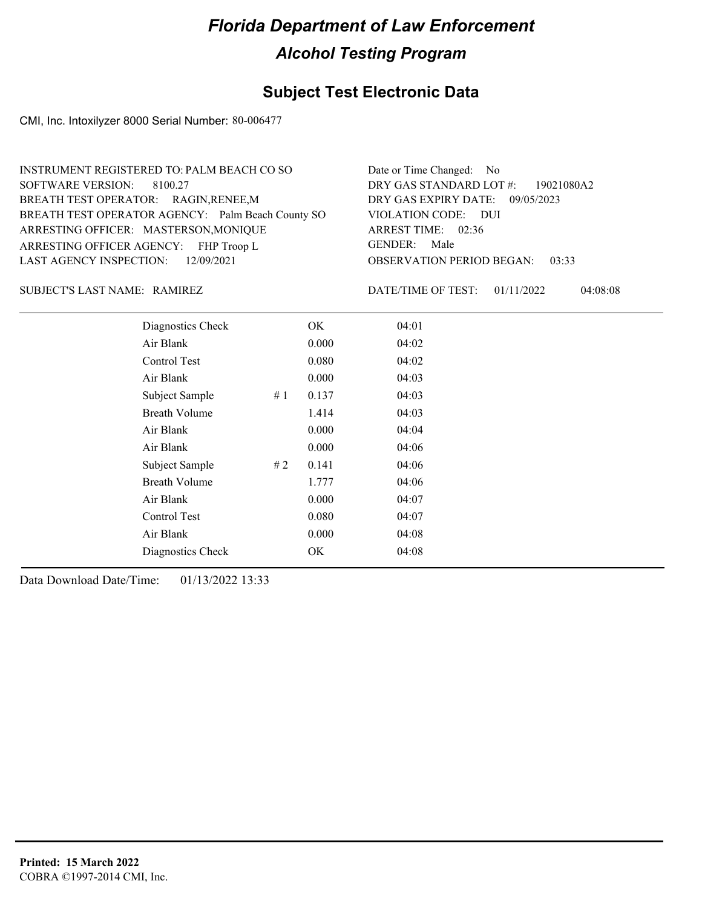## **Subject Test Electronic Data**

CMI, Inc. Intoxilyzer 8000 Serial Number: 80-006477

| INSTRUMENT REGISTERED TO: PALM BEACH CO SO        | Date or Time Changed: No               |
|---------------------------------------------------|----------------------------------------|
| SOFTWARE VERSION: 8100.27                         | DRY GAS STANDARD LOT #: 19021080A2     |
| BREATH TEST OPERATOR: RAGIN, RENEE, M             | DRY GAS EXPIRY DATE: 09/05/2023        |
| BREATH TEST OPERATOR AGENCY: Palm Beach County SO | VIOLATION CODE: DUI                    |
| ARRESTING OFFICER: MASTERSON, MONIQUE             | ARREST TIME: 02:36                     |
| ARRESTING OFFICER AGENCY: FHP Troop L             | GENDER: Male                           |
| LAST AGENCY INSPECTION: 12/09/2021                | <b>OBSERVATION PERIOD BEGAN: 03:33</b> |
|                                                   |                                        |

#### SUBJECT'S LAST NAME: RAMIREZ DATE/TIME OF TEST:

DATE/TIME OF TEST: 01/11/2022 04:08:08

| Diagnostics Check    |    | OK    | 04:01 |
|----------------------|----|-------|-------|
| Air Blank            |    | 0.000 | 04:02 |
| Control Test         |    | 0.080 | 04:02 |
| Air Blank            |    | 0.000 | 04:03 |
| Subject Sample       | #1 | 0.137 | 04:03 |
| <b>Breath Volume</b> |    | 1.414 | 04:03 |
| Air Blank            |    | 0.000 | 04:04 |
| Air Blank            |    | 0.000 | 04:06 |
| Subject Sample       | #2 | 0.141 | 04:06 |
| <b>Breath Volume</b> |    | 1.777 | 04:06 |
| Air Blank            |    | 0.000 | 04:07 |
| Control Test         |    | 0.080 | 04:07 |
| Air Blank            |    | 0.000 | 04:08 |
| Diagnostics Check    |    | OK    | 04:08 |
|                      |    |       |       |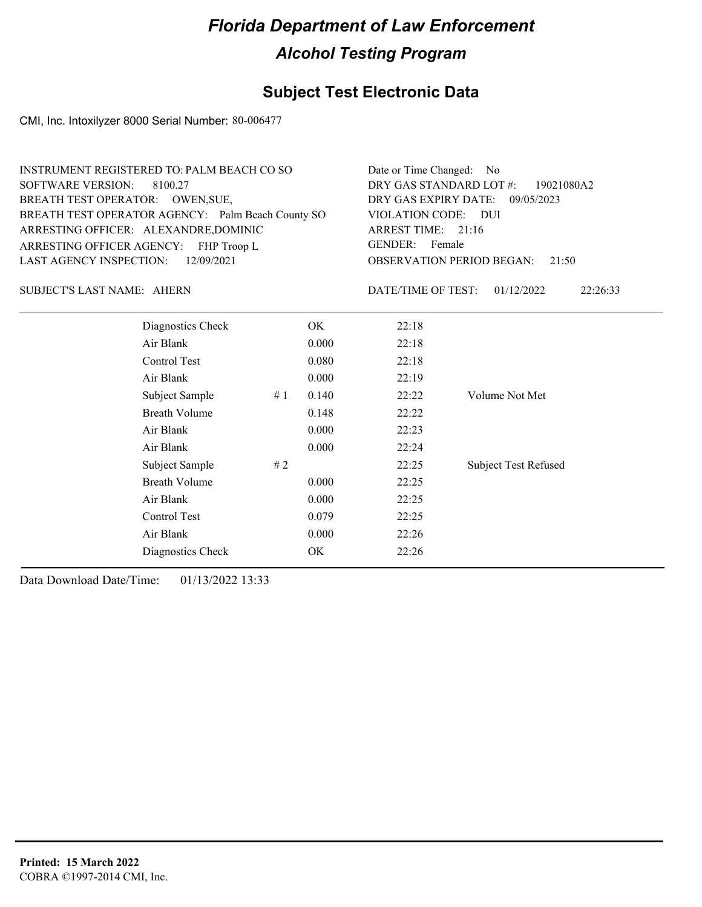## **Subject Test Electronic Data**

CMI, Inc. Intoxilyzer 8000 Serial Number: 80-006477

| INSTRUMENT REGISTERED TO: PALM BEACH CO SO        | Date or Time Changed: No               |
|---------------------------------------------------|----------------------------------------|
| SOFTWARE VERSION: 8100.27                         | DRY GAS STANDARD LOT #: 19021080A2     |
| BREATH TEST OPERATOR: OWEN, SUE,                  | DRY GAS EXPIRY DATE: 09/05/2023        |
| BREATH TEST OPERATOR AGENCY: Palm Beach County SO | VIOLATION CODE: DUI                    |
| ARRESTING OFFICER: ALEXANDRE, DOMINIC             | ARREST TIME: 21:16                     |
| ARRESTING OFFICER AGENCY: FHP Troop L             | GENDER: Female                         |
| LAST AGENCY INSPECTION: 12/09/2021                | <b>OBSERVATION PERIOD BEGAN:</b> 21:50 |

#### SUBJECT'S LAST NAME: AHERN DATE/TIME OF TEST:

DATE/TIME OF TEST: 01/12/2022 22:26:33

| Diagnostics Check    |    | OK    | 22:18 |                             |
|----------------------|----|-------|-------|-----------------------------|
| Air Blank            |    | 0.000 | 22:18 |                             |
| Control Test         |    | 0.080 | 22:18 |                             |
| Air Blank            |    | 0.000 | 22:19 |                             |
| Subject Sample       | #1 | 0.140 | 22:22 | Volume Not Met              |
| <b>Breath Volume</b> |    | 0.148 | 22:22 |                             |
| Air Blank            |    | 0.000 | 22:23 |                             |
| Air Blank            |    | 0.000 | 22:24 |                             |
| Subject Sample       | #2 |       | 22:25 | <b>Subject Test Refused</b> |
| <b>Breath Volume</b> |    | 0.000 | 22:25 |                             |
| Air Blank            |    | 0.000 | 22:25 |                             |
| Control Test         |    | 0.079 | 22:25 |                             |
| Air Blank            |    | 0.000 | 22:26 |                             |
| Diagnostics Check    |    | OK    | 22:26 |                             |
|                      |    |       |       |                             |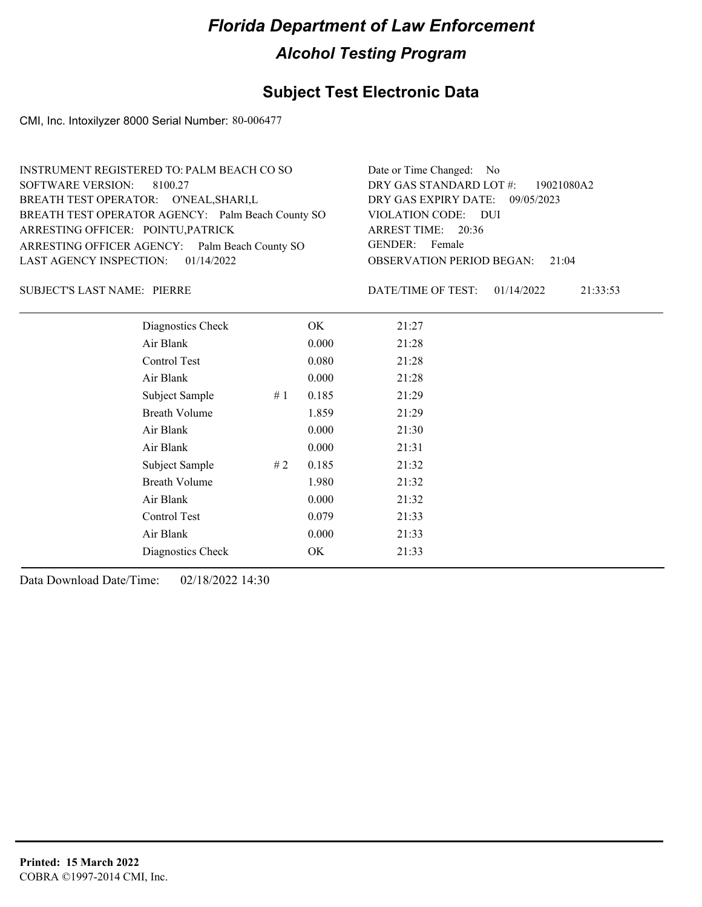## **Subject Test Electronic Data**

CMI, Inc. Intoxilyzer 8000 Serial Number: 80-006477

| INSTRUMENT REGISTERED TO: PALM BEACH CO SO        | Date or Time Changed: No               |
|---------------------------------------------------|----------------------------------------|
| SOFTWARE VERSION: 8100.27                         | DRY GAS STANDARD LOT #: 19021080A2     |
| BREATH TEST OPERATOR: O'NEAL, SHARI, L            | DRY GAS EXPIRY DATE: 09/05/2023        |
| BREATH TEST OPERATOR AGENCY: Palm Beach County SO | VIOLATION CODE: DUI                    |
| ARRESTING OFFICER: POINTU, PATRICK                | ARREST TIME: 20:36                     |
| ARRESTING OFFICER AGENCY: Palm Beach County SO    | GENDER: Female                         |
| LAST AGENCY INSPECTION: $01/14/2022$              | <b>OBSERVATION PERIOD BEGAN: 21:04</b> |
|                                                   |                                        |

### PIERRE SUBJECT'S LAST NAME: DATE/TIME OF TEST:

DATE/TIME OF TEST: 01/14/2022 21:33:53

| Diagnostics Check    |    | OK    | 21:27 |
|----------------------|----|-------|-------|
| Air Blank            |    | 0.000 | 21:28 |
| Control Test         |    | 0.080 | 21:28 |
| Air Blank            |    | 0.000 | 21:28 |
| Subject Sample       | #1 | 0.185 | 21:29 |
| <b>Breath Volume</b> |    | 1.859 | 21:29 |
| Air Blank            |    | 0.000 | 21:30 |
| Air Blank            |    | 0.000 | 21:31 |
| Subject Sample       | #2 | 0.185 | 21:32 |
| <b>Breath Volume</b> |    | 1.980 | 21:32 |
| Air Blank            |    | 0.000 | 21:32 |
| Control Test         |    | 0.079 | 21:33 |
| Air Blank            |    | 0.000 | 21:33 |
| Diagnostics Check    |    | OK    | 21:33 |
|                      |    |       |       |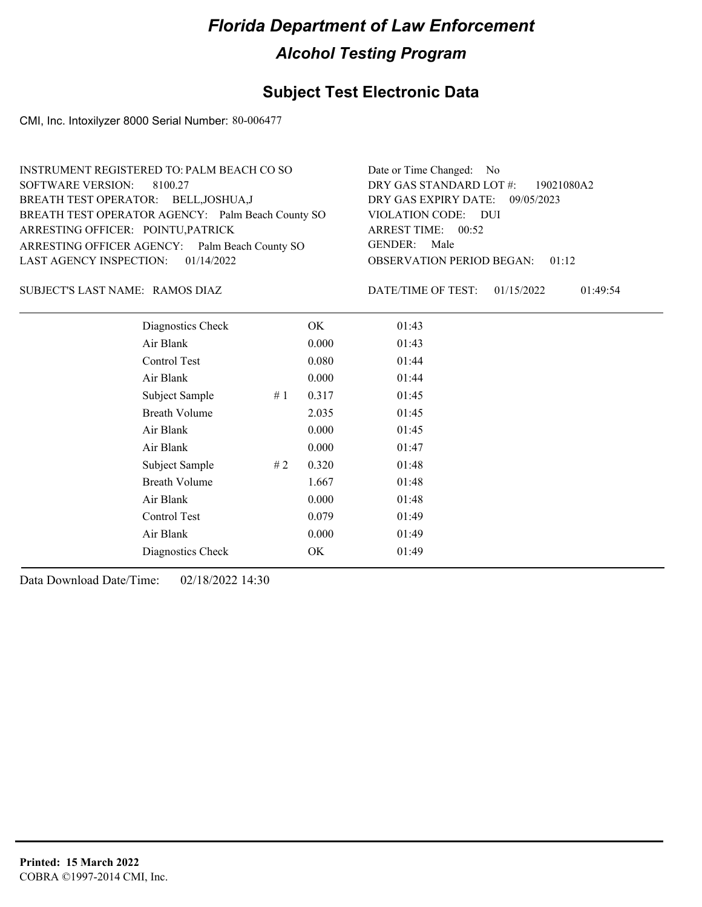## **Subject Test Electronic Data**

CMI, Inc. Intoxilyzer 8000 Serial Number: 80-006477

| INSTRUMENT REGISTERED TO: PALM BEACH CO SO        | Date or Time Changed: No               |
|---------------------------------------------------|----------------------------------------|
| SOFTWARE VERSION: 8100.27                         | DRY GAS STANDARD LOT $\#$ : 19021080A2 |
| BREATH TEST OPERATOR: BELL, JOSHUA, J             | DRY GAS EXPIRY DATE: 09/05/2023        |
| BREATH TEST OPERATOR AGENCY: Palm Beach County SO | VIOLATION CODE: DUI                    |
| ARRESTING OFFICER: POINTU, PATRICK                | ARREST TIME: 00:52                     |
| ARRESTING OFFICER AGENCY: Palm Beach County SO    | GENDER: Male                           |
| LAST AGENCY INSPECTION: 01/14/2022                | <b>OBSERVATION PERIOD BEGAN: 01:12</b> |
|                                                   |                                        |

RAMOS DIAZ SUBJECT'S LAST NAME: DATE/TIME OF TEST:

DATE/TIME OF TEST: 01/15/2022 01:49:54

| Diagnostics Check    |    | OK    | 01:43 |
|----------------------|----|-------|-------|
| Air Blank            |    | 0.000 | 01:43 |
| Control Test         |    | 0.080 | 01:44 |
| Air Blank            |    | 0.000 | 01:44 |
| Subject Sample       | #1 | 0.317 | 01:45 |
| <b>Breath Volume</b> |    | 2.035 | 01:45 |
| Air Blank            |    | 0.000 | 01:45 |
| Air Blank            |    | 0.000 | 01:47 |
| Subject Sample       | #2 | 0.320 | 01:48 |
| <b>Breath Volume</b> |    | 1.667 | 01:48 |
| Air Blank            |    | 0.000 | 01:48 |
| Control Test         |    | 0.079 | 01:49 |
| Air Blank            |    | 0.000 | 01:49 |
| Diagnostics Check    |    | OK    | 01:49 |
|                      |    |       |       |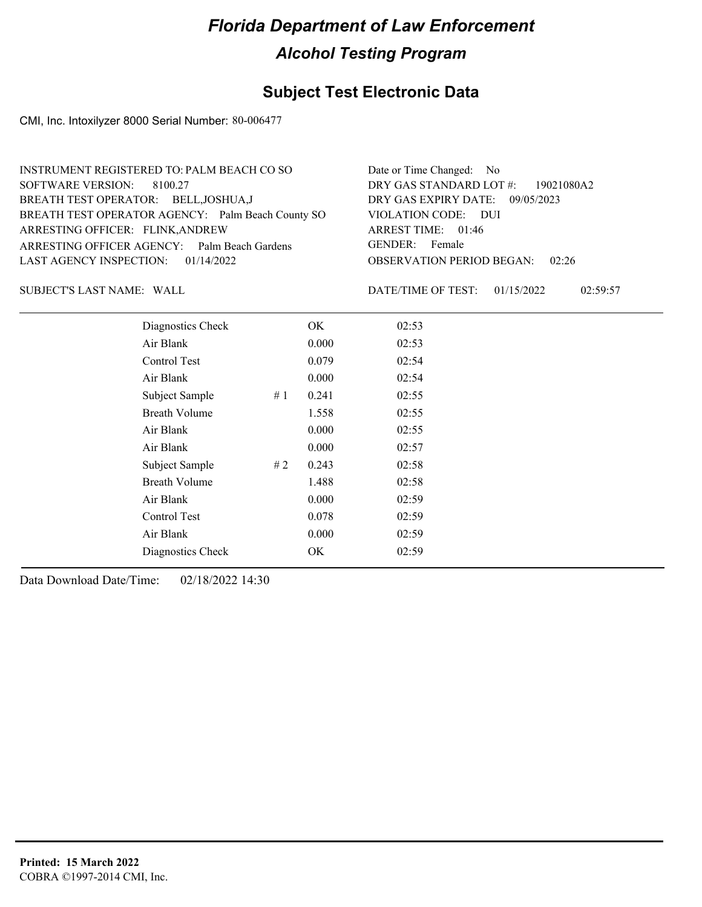## **Subject Test Electronic Data**

CMI, Inc. Intoxilyzer 8000 Serial Number: 80-006477

| INSTRUMENT REGISTERED TO: PALM BEACH CO SO        | Date or Time Changed: No               |
|---------------------------------------------------|----------------------------------------|
| SOFTWARE VERSION: 8100.27                         | DRY GAS STANDARD LOT #: 19021080A2     |
| BREATH TEST OPERATOR: BELL, JOSHUA, J             | DRY GAS EXPIRY DATE: 09/05/2023        |
| BREATH TEST OPERATOR AGENCY: Palm Beach County SO | VIOLATION CODE: DUI                    |
| ARRESTING OFFICER: FLINK, ANDREW                  | ARREST TIME: 01:46                     |
| ARRESTING OFFICER AGENCY: Palm Beach Gardens      | GENDER: Female                         |
| LAST AGENCY INSPECTION: $01/14/2022$              | <b>OBSERVATION PERIOD BEGAN:</b> 02:26 |
|                                                   |                                        |

SUBJECT'S LAST NAME: WALL **Example 20 SUBJECT'S LAST NAME:** WALL

DATE/TIME OF TEST: 01/15/2022 02:59:57

| Diagnostics Check    | OK    | 02:53 |
|----------------------|-------|-------|
| Air Blank            | 0.000 | 02:53 |
| Control Test         | 0.079 | 02:54 |
| Air Blank            | 0.000 | 02:54 |
| Subject Sample<br>#1 | 0.241 | 02:55 |
| <b>Breath Volume</b> | 1.558 | 02:55 |
| Air Blank            | 0.000 | 02:55 |
| Air Blank            | 0.000 | 02:57 |
| Subject Sample<br>#2 | 0.243 | 02:58 |
| <b>Breath Volume</b> | 1.488 | 02:58 |
| Air Blank            | 0.000 | 02:59 |
| Control Test         | 0.078 | 02:59 |
| Air Blank            | 0.000 | 02:59 |
| Diagnostics Check    | OK    | 02:59 |
|                      |       |       |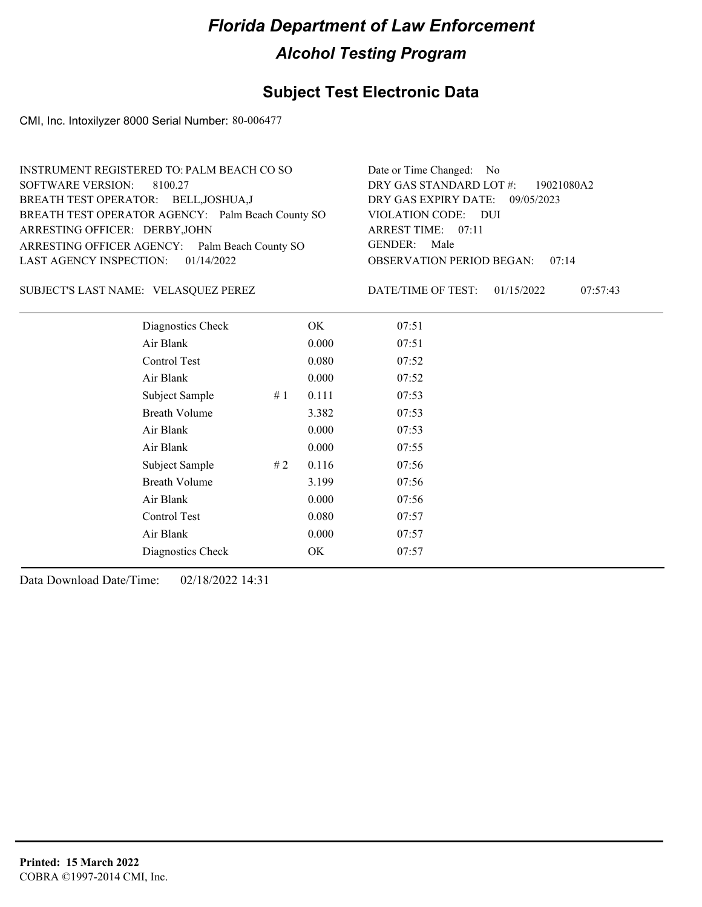## **Subject Test Electronic Data**

CMI, Inc. Intoxilyzer 8000 Serial Number: 80-006477

| INSTRUMENT REGISTERED TO: PALM BEACH CO SO        | Date or Time Changed: No               |
|---------------------------------------------------|----------------------------------------|
| SOFTWARE VERSION: 8100.27                         | DRY GAS STANDARD LOT #: 19021080A2     |
| BREATH TEST OPERATOR: BELL, JOSHUA, J             | DRY GAS EXPIRY DATE: 09/05/2023        |
| BREATH TEST OPERATOR AGENCY: Palm Beach County SO | VIOLATION CODE: DUI                    |
| ARRESTING OFFICER: DERBY, JOHN                    | ARREST TIME: 07:11                     |
| ARRESTING OFFICER AGENCY: Palm Beach County SO    | GENDER: Male                           |
| LAST AGENCY INSPECTION: $01/14/2022$              | <b>OBSERVATION PERIOD BEGAN: 07:14</b> |
|                                                   |                                        |

SUBJECT'S LAST NAME: VELASQUEZ PEREZ DATE/TIME OF TEST:

DATE/TIME OF TEST: 01/15/2022 07:57:43

| Diagnostics Check    |    | OK    | 07:51 |  |  |
|----------------------|----|-------|-------|--|--|
| Air Blank            |    | 0.000 | 07:51 |  |  |
| Control Test         |    | 0.080 | 07:52 |  |  |
| Air Blank            |    | 0.000 | 07:52 |  |  |
| Subject Sample       | #1 | 0.111 | 07:53 |  |  |
| <b>Breath Volume</b> |    | 3.382 | 07:53 |  |  |
| Air Blank            |    | 0.000 | 07:53 |  |  |
| Air Blank            |    | 0.000 | 07:55 |  |  |
| Subject Sample       | #2 | 0.116 | 07:56 |  |  |
| <b>Breath Volume</b> |    | 3.199 | 07:56 |  |  |
| Air Blank            |    | 0.000 | 07:56 |  |  |
| Control Test         |    | 0.080 | 07:57 |  |  |
| Air Blank            |    | 0.000 | 07:57 |  |  |
| Diagnostics Check    |    | OK    | 07:57 |  |  |
|                      |    |       |       |  |  |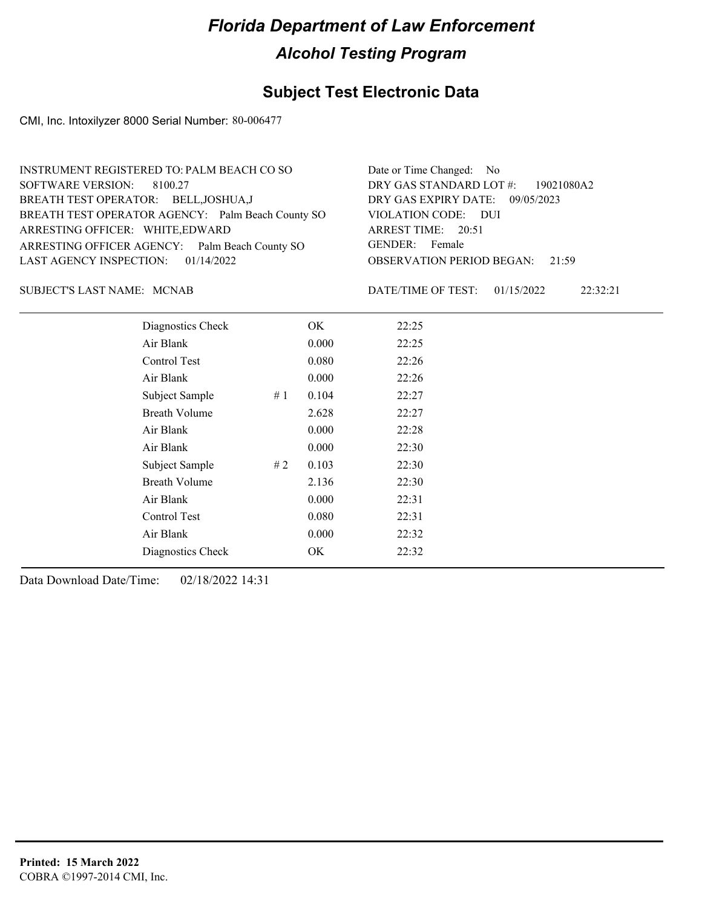## **Subject Test Electronic Data**

CMI, Inc. Intoxilyzer 8000 Serial Number: 80-006477

| INSTRUMENT REGISTERED TO: PALM BEACH CO SO        | Date or Time Changed: No               |
|---------------------------------------------------|----------------------------------------|
| SOFTWARE VERSION: 8100.27                         | DRY GAS STANDARD LOT #: 19021080A2     |
| BREATH TEST OPERATOR: BELL, JOSHUA, J             | DRY GAS EXPIRY DATE: 09/05/2023        |
| BREATH TEST OPERATOR AGENCY: Palm Beach County SO | VIOLATION CODE: DUI                    |
| ARRESTING OFFICER: WHITE, EDWARD                  | ARREST TIME: 20:51                     |
| ARRESTING OFFICER AGENCY: Palm Beach County SO    | GENDER: Female                         |
| LAST AGENCY INSPECTION: $01/14/2022$              | <b>OBSERVATION PERIOD BEGAN: 21:59</b> |
|                                                   |                                        |

SUBJECT'S LAST NAME: MCNAB DATE/TIME OF TEST:

DATE/TIME OF TEST: 01/15/2022 22:32:21

| Diagnostics Check    |    | OK    | 22:25 |
|----------------------|----|-------|-------|
| Air Blank            |    | 0.000 | 22:25 |
| Control Test         |    | 0.080 | 22:26 |
| Air Blank            |    | 0.000 | 22:26 |
| Subject Sample       | #1 | 0.104 | 22:27 |
| <b>Breath Volume</b> |    | 2.628 | 22:27 |
| Air Blank            |    | 0.000 | 22:28 |
| Air Blank            |    | 0.000 | 22:30 |
| Subject Sample       | #2 | 0.103 | 22:30 |
| <b>Breath Volume</b> |    | 2.136 | 22:30 |
| Air Blank            |    | 0.000 | 22:31 |
| Control Test         |    | 0.080 | 22:31 |
| Air Blank            |    | 0.000 | 22:32 |
| Diagnostics Check    |    | OK    | 22:32 |
|                      |    |       |       |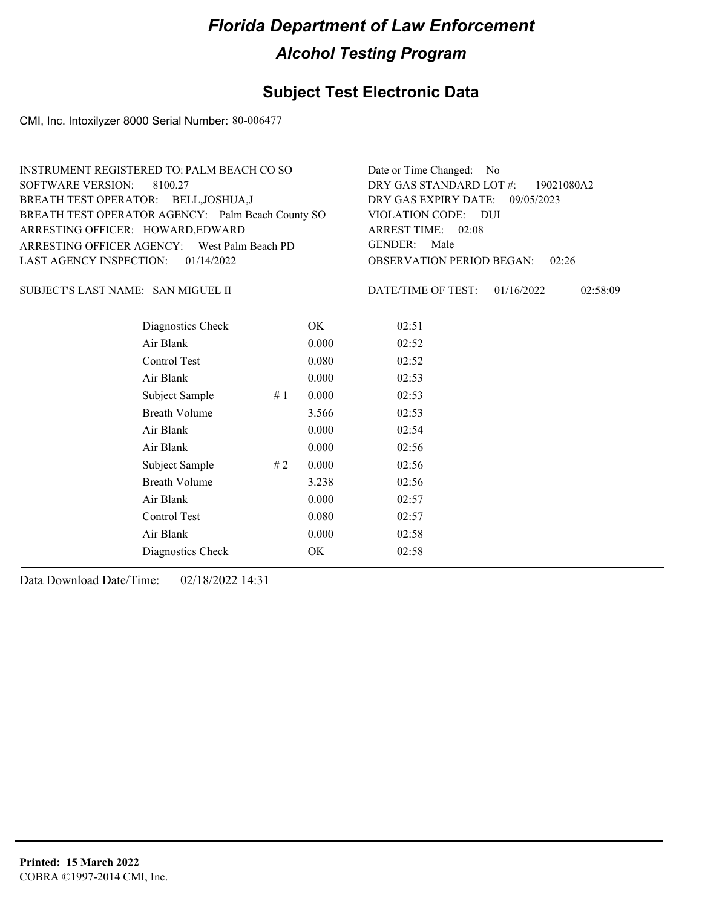## **Subject Test Electronic Data**

CMI, Inc. Intoxilyzer 8000 Serial Number: 80-006477

| INSTRUMENT REGISTERED TO: PALM BEACH CO SO        | Date or Time Changed: No               |
|---------------------------------------------------|----------------------------------------|
| SOFTWARE VERSION: 8100.27                         | DRY GAS STANDARD LOT #: 19021080A2     |
| BREATH TEST OPERATOR: BELL, JOSHUA, J             | DRY GAS EXPIRY DATE: 09/05/2023        |
| BREATH TEST OPERATOR AGENCY: Palm Beach County SO | VIOLATION CODE: DUI                    |
| ARRESTING OFFICER: HOWARD, EDWARD                 | ARREST TIME: 02:08                     |
| ARRESTING OFFICER AGENCY: West Palm Beach PD      | GENDER: Male                           |
| LAST AGENCY INSPECTION: $01/14/2022$              | <b>OBSERVATION PERIOD BEGAN: 02:26</b> |
|                                                   |                                        |

SAN MIGUEL II SUBJECT'S LAST NAME: DATE/TIME OF TEST:

DATE/TIME OF TEST: 01/16/2022 02:58:09

| Diagnostics Check    |    | OK    | 02:51 |  |
|----------------------|----|-------|-------|--|
| Air Blank            |    | 0.000 | 02:52 |  |
| Control Test         |    | 0.080 | 02:52 |  |
| Air Blank            |    | 0.000 | 02:53 |  |
| Subject Sample       | #1 | 0.000 | 02:53 |  |
| <b>Breath Volume</b> |    | 3.566 | 02:53 |  |
| Air Blank            |    | 0.000 | 02:54 |  |
| Air Blank            |    | 0.000 | 02:56 |  |
| Subject Sample       | #2 | 0.000 | 02:56 |  |
| <b>Breath Volume</b> |    | 3.238 | 02:56 |  |
| Air Blank            |    | 0.000 | 02:57 |  |
| Control Test         |    | 0.080 | 02:57 |  |
| Air Blank            |    | 0.000 | 02:58 |  |
| Diagnostics Check    |    | OK    | 02:58 |  |
|                      |    |       |       |  |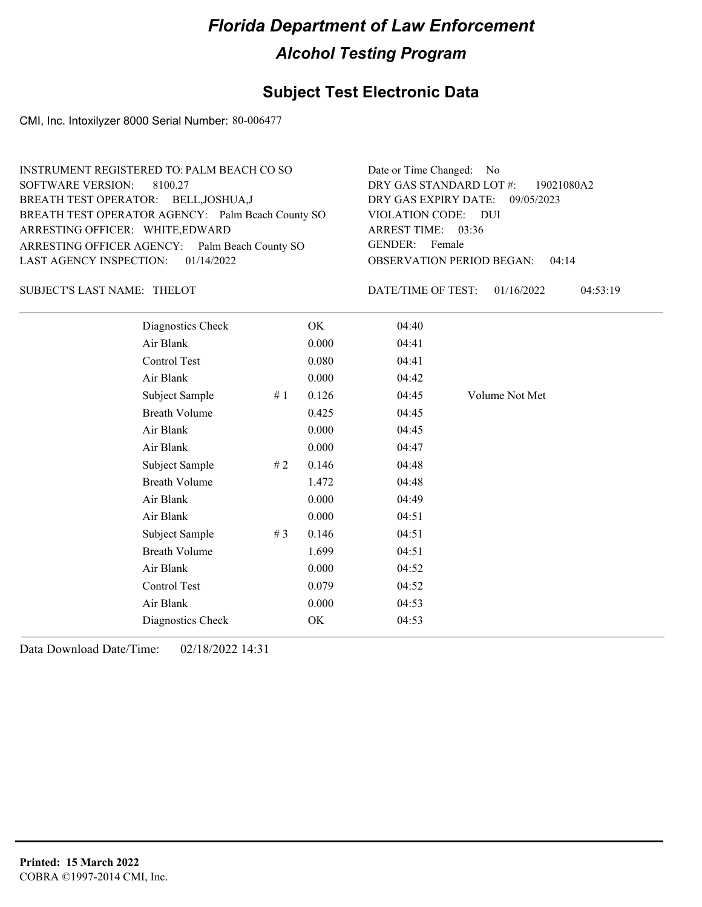## **Subject Test Electronic Data**

CMI, Inc. Intoxilyzer 8000 Serial Number: 80-006477

| INSTRUMENT REGISTERED TO: PALM BEACH CO SO        | Date or Time Changed: No               |
|---------------------------------------------------|----------------------------------------|
| SOFTWARE VERSION: 8100.27                         | DRY GAS STANDARD LOT #: 19021080A2     |
| BREATH TEST OPERATOR: BELL, JOSHUA, J             | DRY GAS EXPIRY DATE: 09/05/2023        |
| BREATH TEST OPERATOR AGENCY: Palm Beach County SO | VIOLATION CODE: DUI                    |
| ARRESTING OFFICER: WHITE, EDWARD                  | ARREST TIME: 03:36                     |
| ARRESTING OFFICER AGENCY: Palm Beach County SO    | GENDER: Female                         |
| LAST AGENCY INSPECTION: $01/14/2022$              | <b>OBSERVATION PERIOD BEGAN: 04:14</b> |

### SUBJECT'S LAST NAME: THELOT DATE/TIME OF TEST:

DATE/TIME OF TEST: 01/16/2022 04:53:19

| Diagnostics Check    |     | OK    | 04:40 |                |
|----------------------|-----|-------|-------|----------------|
| Air Blank            |     | 0.000 | 04:41 |                |
| Control Test         |     | 0.080 | 04:41 |                |
| Air Blank            |     | 0.000 | 04:42 |                |
| Subject Sample       | #1  | 0.126 | 04:45 | Volume Not Met |
| <b>Breath Volume</b> |     | 0.425 | 04:45 |                |
| Air Blank            |     | 0.000 | 04:45 |                |
| Air Blank            |     | 0.000 | 04:47 |                |
| Subject Sample       | # 2 | 0.146 | 04:48 |                |
| <b>Breath Volume</b> |     | 1.472 | 04:48 |                |
| Air Blank            |     | 0.000 | 04:49 |                |
| Air Blank            |     | 0.000 | 04:51 |                |
| Subject Sample       | #3  | 0.146 | 04:51 |                |
| <b>Breath Volume</b> |     | 1.699 | 04:51 |                |
| Air Blank            |     | 0.000 | 04:52 |                |
| Control Test         |     | 0.079 | 04:52 |                |
| Air Blank            |     | 0.000 | 04:53 |                |
| Diagnostics Check    |     | OK    | 04:53 |                |
|                      |     |       |       |                |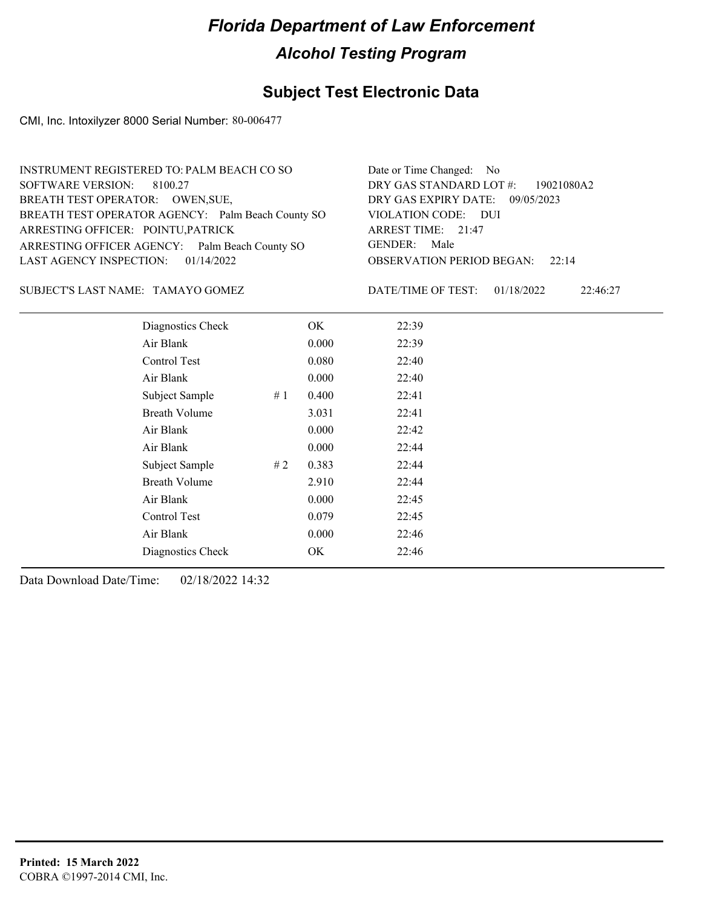## **Subject Test Electronic Data**

CMI, Inc. Intoxilyzer 8000 Serial Number: 80-006477

| INSTRUMENT REGISTERED TO: PALM BEACH CO SO        | Date or Time Changed: No               |
|---------------------------------------------------|----------------------------------------|
| SOFTWARE VERSION: 8100.27                         | DRY GAS STANDARD LOT #: 19021080A2     |
| BREATH TEST OPERATOR: OWEN, SUE,                  | DRY GAS EXPIRY DATE: 09/05/2023        |
| BREATH TEST OPERATOR AGENCY: Palm Beach County SO | VIOLATION CODE: DUI                    |
| ARRESTING OFFICER: POINTU, PATRICK                | ARREST TIME: 21:47                     |
| ARRESTING OFFICER AGENCY: Palm Beach County SO    | GENDER: Male                           |
| LAST AGENCY INSPECTION: $01/14/2022$              | <b>OBSERVATION PERIOD BEGAN:</b> 22:14 |
|                                                   |                                        |

TAMAYO GOMEZ SUBJECT'S LAST NAME: DATE/TIME OF TEST:

DATE/TIME OF TEST: 01/18/2022 22:46:27

| Diagnostics Check    |    | OK    | 22:39 |
|----------------------|----|-------|-------|
| Air Blank            |    | 0.000 | 22:39 |
| Control Test         |    | 0.080 | 22:40 |
| Air Blank            |    | 0.000 | 22:40 |
| Subject Sample       | #1 | 0.400 | 22:41 |
| <b>Breath Volume</b> |    | 3.031 | 22:41 |
| Air Blank            |    | 0.000 | 22:42 |
| Air Blank            |    | 0.000 | 22:44 |
| Subject Sample       | #2 | 0.383 | 22:44 |
| <b>Breath Volume</b> |    | 2.910 | 22:44 |
| Air Blank            |    | 0.000 | 22:45 |
| Control Test         |    | 0.079 | 22:45 |
| Air Blank            |    | 0.000 | 22:46 |
| Diagnostics Check    |    | OK    | 22:46 |
|                      |    |       |       |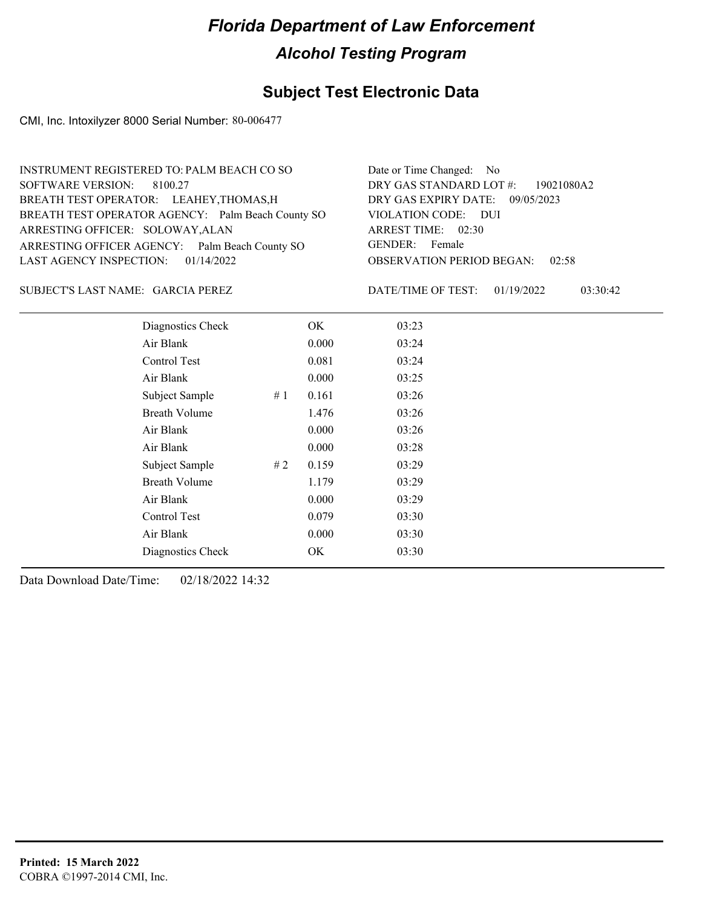## **Subject Test Electronic Data**

CMI, Inc. Intoxilyzer 8000 Serial Number: 80-006477

| INSTRUMENT REGISTERED TO: PALM BEACH CO SO        | Date or Time Changed: No               |
|---------------------------------------------------|----------------------------------------|
| SOFTWARE VERSION: 8100.27                         | DRY GAS STANDARD LOT #: 19021080A2     |
| BREATH TEST OPERATOR: LEAHEY, THOMAS, H           | DRY GAS EXPIRY DATE: 09/05/2023        |
| BREATH TEST OPERATOR AGENCY: Palm Beach County SO | VIOLATION CODE: DUI                    |
| ARRESTING OFFICER: SOLOWAY, ALAN                  | ARREST TIME: 02:30                     |
| ARRESTING OFFICER AGENCY: Palm Beach County SO    | GENDER: Female                         |
| LAST AGENCY INSPECTION: 01/14/2022                | <b>OBSERVATION PERIOD BEGAN: 02:58</b> |
|                                                   |                                        |

### SUBJECT'S LAST NAME: GARCIA PEREZ DATE/TIME OF TEST:

DATE/TIME OF TEST: 01/19/2022 03:30:42

| Diagnostics Check    |       | OK    | 03:23 |
|----------------------|-------|-------|-------|
| Air Blank            |       | 0.000 | 03:24 |
| Control Test         |       | 0.081 | 03:24 |
| Air Blank            |       | 0.000 | 03:25 |
| Subject Sample       | #1    | 0.161 | 03:26 |
| <b>Breath Volume</b> |       | 1.476 | 03:26 |
| Air Blank            |       | 0.000 | 03:26 |
| Air Blank            |       | 0.000 | 03:28 |
| Subject Sample       | # $2$ | 0.159 | 03:29 |
| <b>Breath Volume</b> |       | 1.179 | 03:29 |
| Air Blank            |       | 0.000 | 03:29 |
| Control Test         |       | 0.079 | 03:30 |
| Air Blank            |       | 0.000 | 03:30 |
| Diagnostics Check    |       | OK    | 03:30 |
|                      |       |       |       |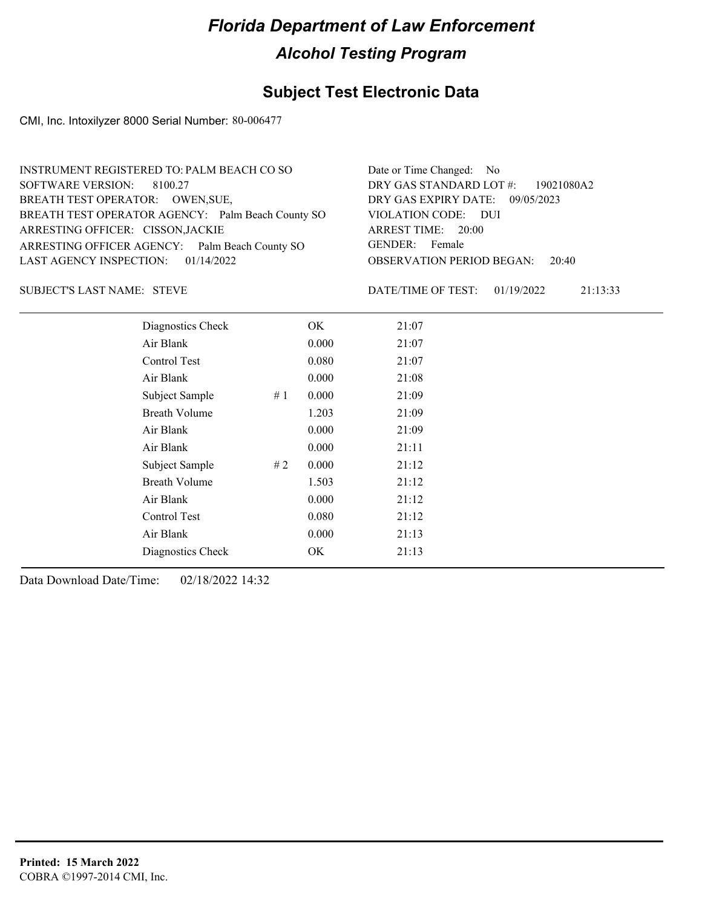## **Subject Test Electronic Data**

CMI, Inc. Intoxilyzer 8000 Serial Number: 80-006477

| INSTRUMENT REGISTERED TO: PALM BEACH CO SO        | Date or Time Changed: No               |
|---------------------------------------------------|----------------------------------------|
| SOFTWARE VERSION: 8100.27                         | DRY GAS STANDARD LOT $\#$ : 19021080A2 |
| BREATH TEST OPERATOR: OWEN, SUE,                  | DRY GAS EXPIRY DATE: 09/05/2023        |
| BREATH TEST OPERATOR AGENCY: Palm Beach County SO | VIOLATION CODE: DUI                    |
| ARRESTING OFFICER: CISSON, JACKIE                 | ARREST TIME: 20:00                     |
| ARRESTING OFFICER AGENCY: Palm Beach County SO    | GENDER: Female                         |
| LAST AGENCY INSPECTION: 01/14/2022                | <b>OBSERVATION PERIOD BEGAN: 20:40</b> |
|                                                   |                                        |

STEVE SUBJECT'S LAST NAME: DATE/TIME OF TEST:

DATE/TIME OF TEST: 01/19/2022 21:13:33

| Diagnostics Check    |    | OK    | 21:07 |
|----------------------|----|-------|-------|
| Air Blank            |    | 0.000 | 21:07 |
| Control Test         |    | 0.080 | 21:07 |
| Air Blank            |    | 0.000 | 21:08 |
| Subject Sample       | #1 | 0.000 | 21:09 |
| <b>Breath Volume</b> |    | 1.203 | 21:09 |
| Air Blank            |    | 0.000 | 21:09 |
| Air Blank            |    | 0.000 | 21:11 |
| Subject Sample       | #2 | 0.000 | 21:12 |
| <b>Breath Volume</b> |    | 1.503 | 21:12 |
| Air Blank            |    | 0.000 | 21:12 |
| Control Test         |    | 0.080 | 21:12 |
| Air Blank            |    | 0.000 | 21:13 |
| Diagnostics Check    |    | OK.   | 21:13 |
|                      |    |       |       |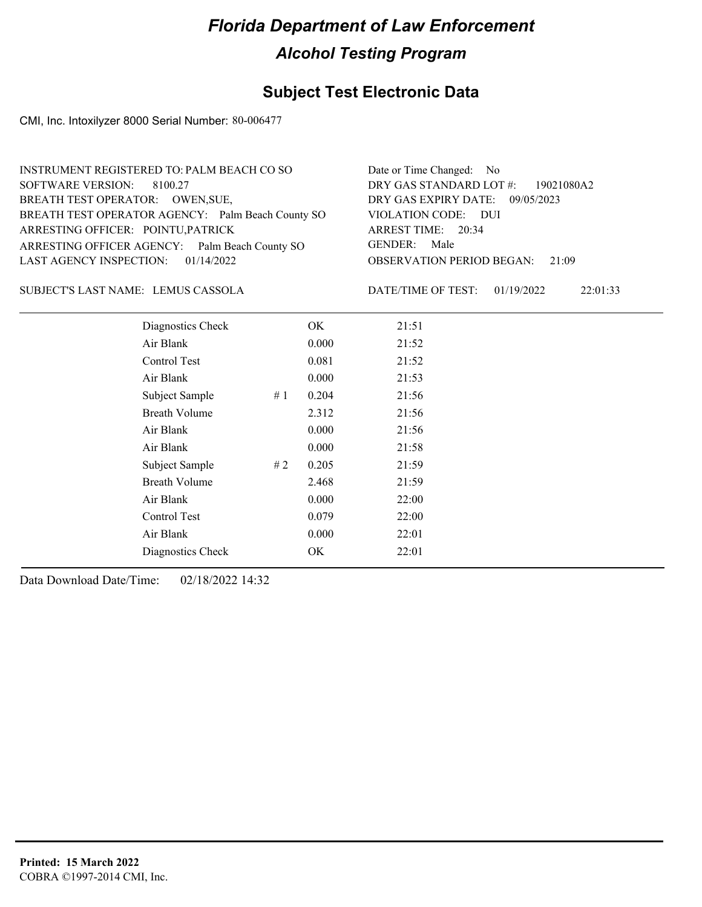## **Subject Test Electronic Data**

CMI, Inc. Intoxilyzer 8000 Serial Number: 80-006477

| INSTRUMENT REGISTERED TO: PALM BEACH CO SO        | Date or Time Changed: No               |
|---------------------------------------------------|----------------------------------------|
| SOFTWARE VERSION: 8100.27                         | DRY GAS STANDARD LOT #: 19021080A2     |
| BREATH TEST OPERATOR: OWEN, SUE,                  | DRY GAS EXPIRY DATE: 09/05/2023        |
| BREATH TEST OPERATOR AGENCY: Palm Beach County SO | VIOLATION CODE: DUI                    |
| ARRESTING OFFICER: POINTU, PATRICK                | ARREST TIME: 20:34                     |
| ARRESTING OFFICER AGENCY: Palm Beach County SO    | GENDER: Male                           |
| LAST AGENCY INSPECTION: $01/14/2022$              | <b>OBSERVATION PERIOD BEGAN: 21:09</b> |
|                                                   |                                        |

LEMUS CASSOLA SUBJECT'S LAST NAME: DATE/TIME OF TEST:

DATE/TIME OF TEST: 01/19/2022 22:01:33

| Diagnostics Check    |    | OK    | 21:51 |
|----------------------|----|-------|-------|
| Air Blank            |    | 0.000 | 21:52 |
| Control Test         |    | 0.081 | 21:52 |
| Air Blank            |    | 0.000 | 21:53 |
| Subject Sample       | #1 | 0.204 | 21:56 |
| <b>Breath Volume</b> |    | 2.312 | 21:56 |
| Air Blank            |    | 0.000 | 21:56 |
| Air Blank            |    | 0.000 | 21:58 |
| Subject Sample       | #2 | 0.205 | 21:59 |
| <b>Breath Volume</b> |    | 2.468 | 21:59 |
| Air Blank            |    | 0.000 | 22:00 |
| Control Test         |    | 0.079 | 22:00 |
| Air Blank            |    | 0.000 | 22:01 |
| Diagnostics Check    |    | OK    | 22:01 |
|                      |    |       |       |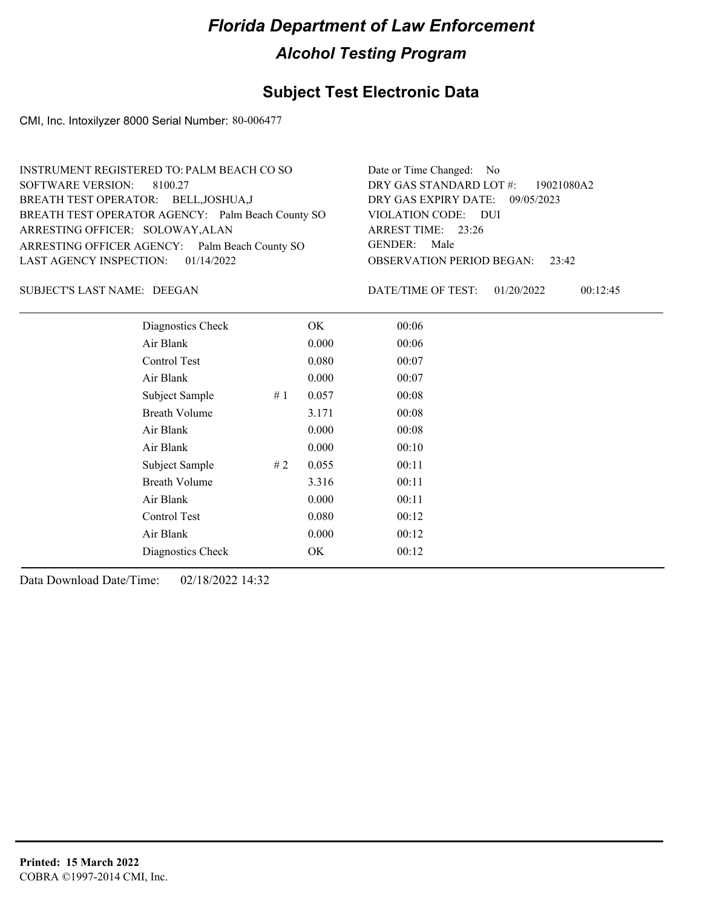## **Subject Test Electronic Data**

CMI, Inc. Intoxilyzer 8000 Serial Number: 80-006477

| Date or Time Changed: No               |
|----------------------------------------|
| DRY GAS STANDARD LOT $\#$ : 19021080A2 |
| DRY GAS EXPIRY DATE: 09/05/2023        |
| VIOLATION CODE: DUI                    |
| ARREST TIME: 23:26                     |
| GENDER: Male                           |
| <b>OBSERVATION PERIOD BEGAN:</b> 23:42 |
|                                        |

SUBJECT'S LAST NAME: DEEGAN DATE/TIME OF TEST:

DATE/TIME OF TEST: 01/20/2022 00:12:45

| Diagnostics Check    |    | OK    | 00:06 |
|----------------------|----|-------|-------|
| Air Blank            |    | 0.000 | 00:06 |
| <b>Control Test</b>  |    | 0.080 | 00:07 |
| Air Blank            |    | 0.000 | 00:07 |
| Subject Sample       | #1 | 0.057 | 00:08 |
| <b>Breath Volume</b> |    | 3.171 | 00:08 |
| Air Blank            |    | 0.000 | 00:08 |
| Air Blank            |    | 0.000 | 00:10 |
| Subject Sample       | #2 | 0.055 | 00:11 |
| <b>Breath Volume</b> |    | 3.316 | 00:11 |
| Air Blank            |    | 0.000 | 00:11 |
| Control Test         |    | 0.080 | 00:12 |
| Air Blank            |    | 0.000 | 00:12 |
| Diagnostics Check    |    | OK    | 00:12 |
|                      |    |       |       |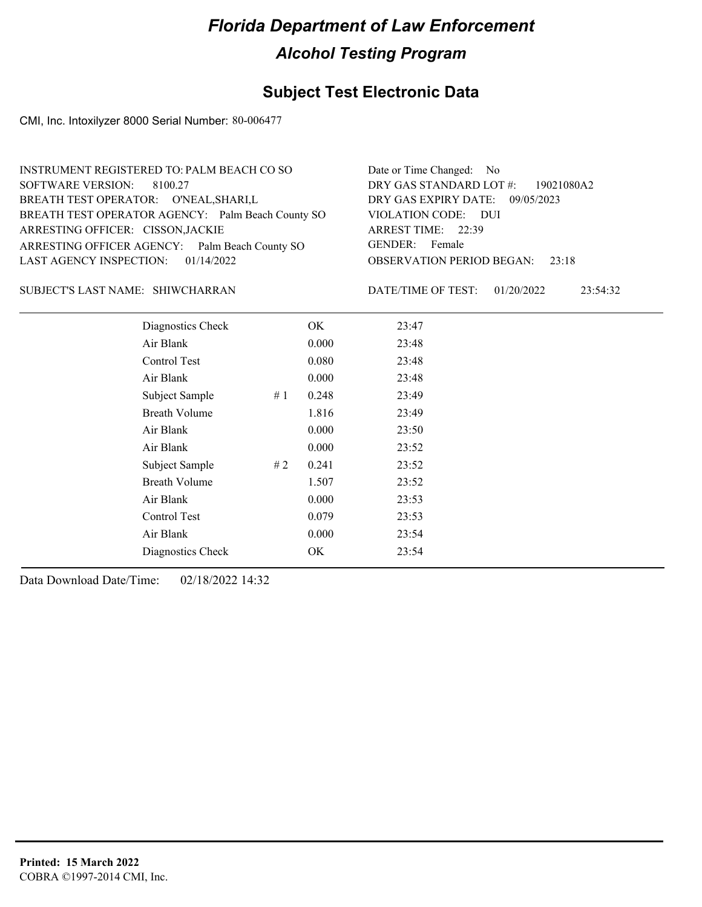## **Subject Test Electronic Data**

CMI, Inc. Intoxilyzer 8000 Serial Number: 80-006477

| INSTRUMENT REGISTERED TO: PALM BEACH CO SO        | Date or Time Changed: No               |
|---------------------------------------------------|----------------------------------------|
| SOFTWARE VERSION: 8100.27                         | DRY GAS STANDARD LOT $\#$ : 19021080A2 |
| BREATH TEST OPERATOR: O'NEAL, SHARI, L            | DRY GAS EXPIRY DATE: 09/05/2023        |
| BREATH TEST OPERATOR AGENCY: Palm Beach County SO | VIOLATION CODE: DUI                    |
| ARRESTING OFFICER: CISSON, JACKIE                 | ARREST TIME: 22:39                     |
| ARRESTING OFFICER AGENCY: Palm Beach County SO    | GENDER: Female                         |
| LAST AGENCY INSPECTION: $01/14/2022$              | <b>OBSERVATION PERIOD BEGAN:</b> 23:18 |
|                                                   |                                        |

### SHIWCHARRAN SUBJECT'S LAST NAME: DATE/TIME OF TEST:

DATE/TIME OF TEST: 01/20/2022 23:54:32

| Diagnostics Check       | OK    | 23:47 |
|-------------------------|-------|-------|
| Air Blank               | 0.000 | 23:48 |
| Control Test            | 0.080 | 23:48 |
| Air Blank               | 0.000 | 23:48 |
| # $1$<br>Subject Sample | 0.248 | 23:49 |
| <b>Breath Volume</b>    | 1.816 | 23:49 |
| Air Blank               | 0.000 | 23:50 |
| Air Blank               | 0.000 | 23:52 |
| Subject Sample<br>#2    | 0.241 | 23:52 |
| <b>Breath Volume</b>    | 1.507 | 23:52 |
| Air Blank               | 0.000 | 23:53 |
| Control Test            | 0.079 | 23:53 |
| Air Blank               | 0.000 | 23:54 |
| Diagnostics Check       | OK    | 23:54 |
|                         |       |       |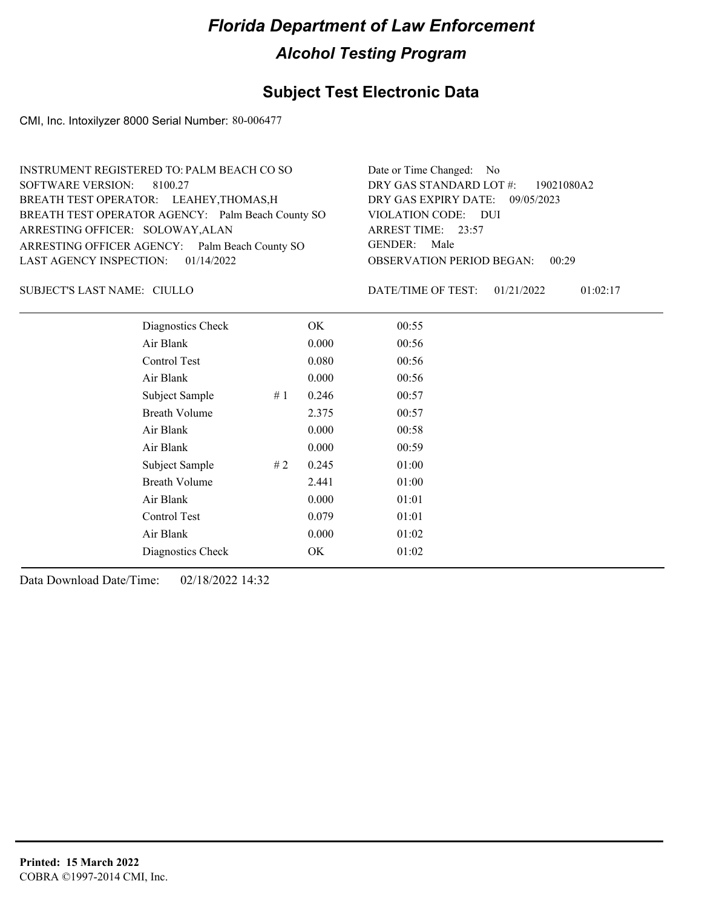## **Subject Test Electronic Data**

CMI, Inc. Intoxilyzer 8000 Serial Number: 80-006477

| INSTRUMENT REGISTERED TO: PALM BEACH CO SO        | Date or Time Changed: No               |
|---------------------------------------------------|----------------------------------------|
| SOFTWARE VERSION: 8100.27                         | DRY GAS STANDARD LOT #: 19021080A2     |
| BREATH TEST OPERATOR: LEAHEY, THOMAS, H           | DRY GAS EXPIRY DATE: 09/05/2023        |
| BREATH TEST OPERATOR AGENCY: Palm Beach County SO | VIOLATION CODE: DUI                    |
| ARRESTING OFFICER: SOLOWAY, ALAN                  | ARREST TIME: 23:57                     |
| ARRESTING OFFICER AGENCY: Palm Beach County SO    | GENDER: Male                           |
| LAST AGENCY INSPECTION: $01/14/2022$              | <b>OBSERVATION PERIOD BEGAN: 00:29</b> |
|                                                   |                                        |

CIULLO SUBJECT'S LAST NAME: DATE/TIME OF TEST:

DATE/TIME OF TEST: 01/21/2022 01:02:17

| Diagnostics Check    |    | OK    | 00:55 |
|----------------------|----|-------|-------|
| Air Blank            |    | 0.000 | 00:56 |
| Control Test         |    | 0.080 | 00:56 |
| Air Blank            |    | 0.000 | 00:56 |
| Subject Sample       | #1 | 0.246 | 00:57 |
| <b>Breath Volume</b> |    | 2.375 | 00:57 |
| Air Blank            |    | 0.000 | 00:58 |
| Air Blank            |    | 0.000 | 00:59 |
| Subject Sample       | #2 | 0.245 | 01:00 |
| <b>Breath Volume</b> |    | 2.441 | 01:00 |
| Air Blank            |    | 0.000 | 01:01 |
| Control Test         |    | 0.079 | 01:01 |
| Air Blank            |    | 0.000 | 01:02 |
| Diagnostics Check    |    | OK    | 01:02 |
|                      |    |       |       |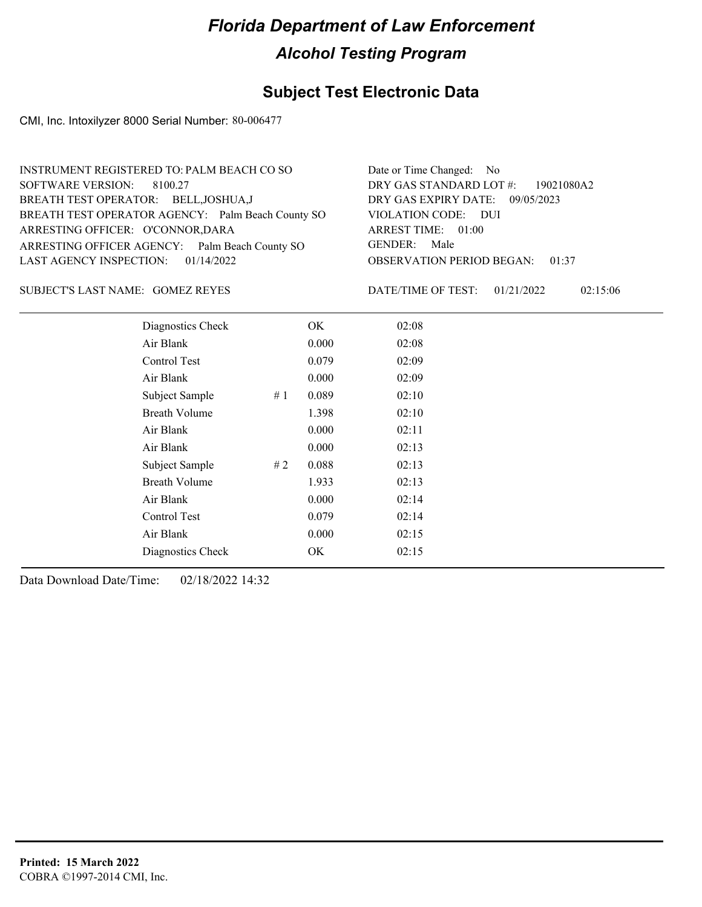## **Subject Test Electronic Data**

CMI, Inc. Intoxilyzer 8000 Serial Number: 80-006477

| INSTRUMENT REGISTERED TO: PALM BEACH CO SO        | Date or Time Changed: No               |
|---------------------------------------------------|----------------------------------------|
| SOFTWARE VERSION: 8100.27                         | DRY GAS STANDARD LOT #: 19021080A2     |
| BREATH TEST OPERATOR: BELL, JOSHUA, J             | DRY GAS EXPIRY DATE: 09/05/2023        |
| BREATH TEST OPERATOR AGENCY: Palm Beach County SO | VIOLATION CODE: DUI                    |
| ARRESTING OFFICER: O'CONNOR, DARA                 | ARREST TIME: 01:00                     |
| ARRESTING OFFICER AGENCY: Palm Beach County SO    | GENDER: Male                           |
| LAST AGENCY INSPECTION: $01/14/2022$              | <b>OBSERVATION PERIOD BEGAN: 01:37</b> |
|                                                   |                                        |

### GOMEZ REYES SUBJECT'S LAST NAME: DATE/TIME OF TEST:

DATE/TIME OF TEST: 01/21/2022 02:15:06

| Diagnostics Check    |    | OK    | 02:08 |
|----------------------|----|-------|-------|
| Air Blank            |    | 0.000 | 02:08 |
| Control Test         |    | 0.079 | 02:09 |
| Air Blank            |    | 0.000 | 02:09 |
| Subject Sample       | #1 | 0.089 | 02:10 |
| <b>Breath Volume</b> |    | 1.398 | 02:10 |
| Air Blank            |    | 0.000 | 02:11 |
| Air Blank            |    | 0.000 | 02:13 |
| Subject Sample       | #2 | 0.088 | 02:13 |
| <b>Breath Volume</b> |    | 1.933 | 02:13 |
| Air Blank            |    | 0.000 | 02:14 |
| Control Test         |    | 0.079 | 02:14 |
| Air Blank            |    | 0.000 | 02:15 |
| Diagnostics Check    |    | OK    | 02:15 |
|                      |    |       |       |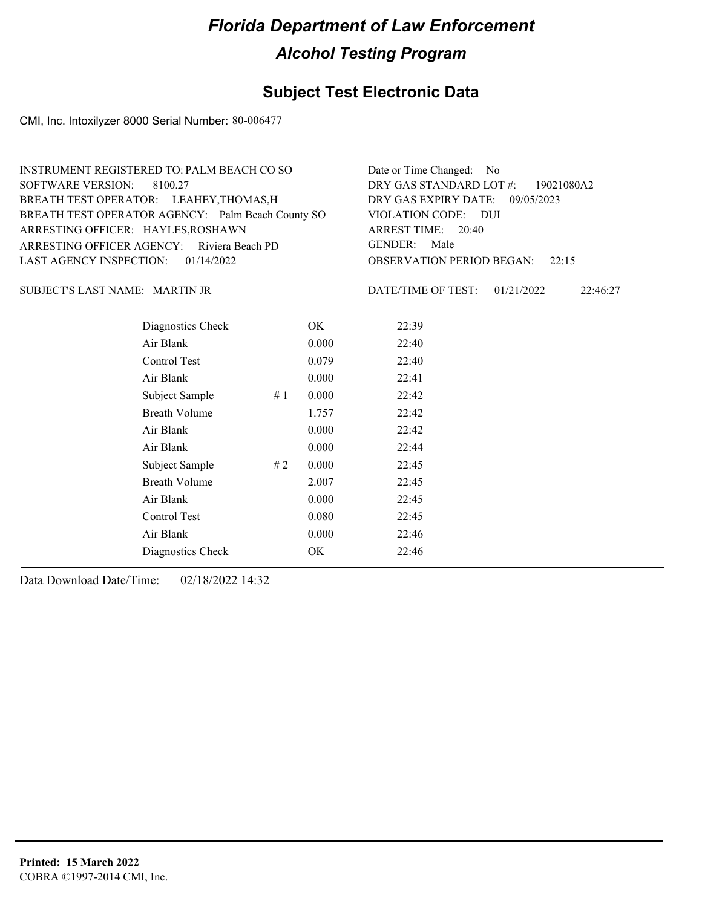## **Subject Test Electronic Data**

CMI, Inc. Intoxilyzer 8000 Serial Number: 80-006477

| Date or Time Changed: No               |
|----------------------------------------|
| DRY GAS STANDARD LOT #: 19021080A2     |
| DRY GAS EXPIRY DATE: 09/05/2023        |
| VIOLATION CODE: DUI                    |
| ARREST TIME: 20:40                     |
| GENDER: Male                           |
| <b>OBSERVATION PERIOD BEGAN:</b> 22:15 |
|                                        |

### MARTIN JR SUBJECT'S LAST NAME: DATE/TIME OF TEST:

DATE/TIME OF TEST: 01/21/2022 22:46:27

| Diagnostics Check    |    | OK    | 22:39 |  |  |
|----------------------|----|-------|-------|--|--|
| Air Blank            |    | 0.000 | 22:40 |  |  |
| Control Test         |    | 0.079 | 22:40 |  |  |
| Air Blank            |    | 0.000 | 22:41 |  |  |
| Subject Sample       | #1 | 0.000 | 22:42 |  |  |
| <b>Breath Volume</b> |    | 1.757 | 22:42 |  |  |
| Air Blank            |    | 0.000 | 22:42 |  |  |
| Air Blank            |    | 0.000 | 22:44 |  |  |
| Subject Sample       | #2 | 0.000 | 22:45 |  |  |
| <b>Breath Volume</b> |    | 2.007 | 22:45 |  |  |
| Air Blank            |    | 0.000 | 22:45 |  |  |
| Control Test         |    | 0.080 | 22:45 |  |  |
| Air Blank            |    | 0.000 | 22:46 |  |  |
| Diagnostics Check    |    | OK    | 22:46 |  |  |
|                      |    |       |       |  |  |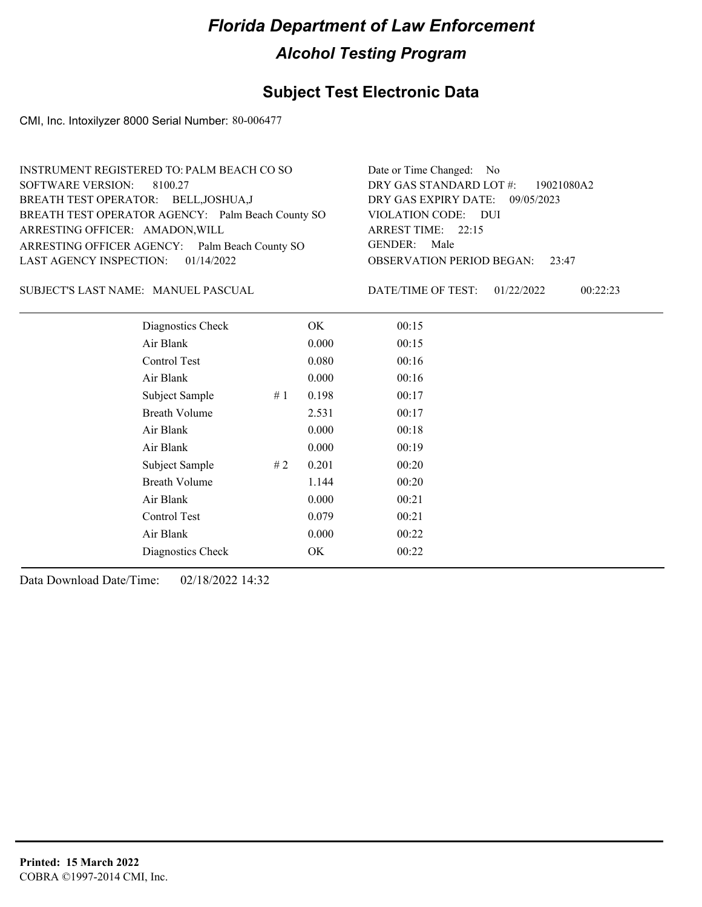## **Subject Test Electronic Data**

CMI, Inc. Intoxilyzer 8000 Serial Number: 80-006477

| INSTRUMENT REGISTERED TO: PALM BEACH CO SO        | Date or Time Changed: No               |
|---------------------------------------------------|----------------------------------------|
| SOFTWARE VERSION: 8100.27                         | DRY GAS STANDARD LOT #: 19021080A2     |
| BREATH TEST OPERATOR: BELL, JOSHUA, J             | DRY GAS EXPIRY DATE: 09/05/2023        |
| BREATH TEST OPERATOR AGENCY: Palm Beach County SO | VIOLATION CODE: DUI                    |
| ARRESTING OFFICER: AMADON, WILL                   | ARREST TIME: 22:15                     |
| ARRESTING OFFICER AGENCY: Palm Beach County SO    | GENDER: Male                           |
| LAST AGENCY INSPECTION: $01/14/2022$              | <b>OBSERVATION PERIOD BEGAN: 23:47</b> |
|                                                   |                                        |

SUBJECT'S LAST NAME: MANUEL PASCUAL DATE/TIME OF TEST:

DATE/TIME OF TEST: 01/22/2022 00:22:23

| Diagnostics Check    |    | OK.   | 00:15 |  |
|----------------------|----|-------|-------|--|
| Air Blank            |    | 0.000 | 00:15 |  |
| Control Test         |    | 0.080 | 00:16 |  |
| Air Blank            |    | 0.000 | 00:16 |  |
| Subject Sample       | #1 | 0.198 | 00:17 |  |
| <b>Breath Volume</b> |    | 2.531 | 00:17 |  |
| Air Blank            |    | 0.000 | 00:18 |  |
| Air Blank            |    | 0.000 | 00:19 |  |
| Subject Sample       | #2 | 0.201 | 00:20 |  |
| <b>Breath Volume</b> |    | 1.144 | 00:20 |  |
| Air Blank            |    | 0.000 | 00:21 |  |
| Control Test         |    | 0.079 | 00:21 |  |
| Air Blank            |    | 0.000 | 00:22 |  |
| Diagnostics Check    |    | OK    | 00:22 |  |
|                      |    |       |       |  |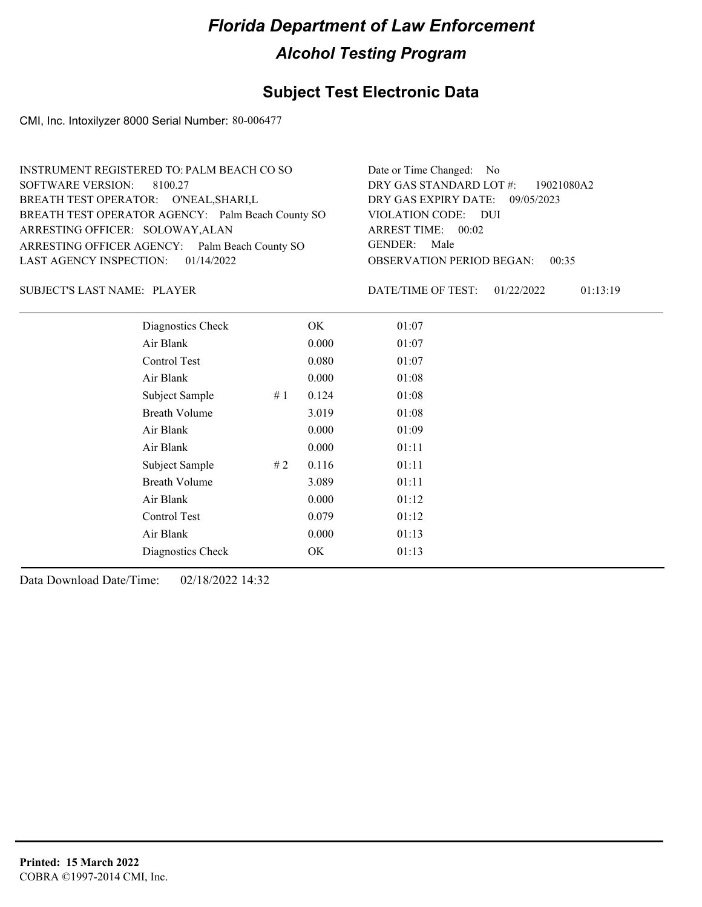## **Subject Test Electronic Data**

CMI, Inc. Intoxilyzer 8000 Serial Number: 80-006477

| INSTRUMENT REGISTERED TO: PALM BEACH CO SO        | Date or Time Changed: No               |
|---------------------------------------------------|----------------------------------------|
| SOFTWARE VERSION: 8100.27                         | DRY GAS STANDARD LOT #: 19021080A2     |
| BREATH TEST OPERATOR: O'NEAL, SHARI, L            | DRY GAS EXPIRY DATE: 09/05/2023        |
| BREATH TEST OPERATOR AGENCY: Palm Beach County SO | VIOLATION CODE: DUI                    |
| ARRESTING OFFICER: SOLOWAY, ALAN                  | ARREST TIME: 00:02                     |
| ARRESTING OFFICER AGENCY: Palm Beach County SO    | GENDER: Male                           |
| LAST AGENCY INSPECTION: $01/14/2022$              | <b>OBSERVATION PERIOD BEGAN: 00:35</b> |
|                                                   |                                        |

SUBJECT'S LAST NAME: PLAYER  $\overline{P}$  PLAYER  $\overline{P}$  PLAYER  $\overline{P}$  PLAYER  $\overline{P}$  PLAYER  $\overline{P}$  PLAYER  $\overline{P}$  PLAYER  $\overline{P}$  PLAYER  $\overline{P}$  PLAYER  $\overline{P}$  PLAYER  $\overline{P}$  PLAYER  $\overline{P}$  PLAYER  $\overline{P}$  PLAYER  $\$ 

DATE/TIME OF TEST: 01/22/2022 01:13:19

| Diagnostics Check    |    | OK    | 01:07 |
|----------------------|----|-------|-------|
| Air Blank            |    | 0.000 | 01:07 |
| Control Test         |    | 0.080 | 01:07 |
| Air Blank            |    | 0.000 | 01:08 |
| Subject Sample       | #1 | 0.124 | 01:08 |
| <b>Breath Volume</b> |    | 3.019 | 01:08 |
| Air Blank            |    | 0.000 | 01:09 |
| Air Blank            |    | 0.000 | 01:11 |
| Subject Sample       | #2 | 0.116 | 01:11 |
| <b>Breath Volume</b> |    | 3.089 | 01:11 |
| Air Blank            |    | 0.000 | 01:12 |
| Control Test         |    | 0.079 | 01:12 |
| Air Blank            |    | 0.000 | 01:13 |
| Diagnostics Check    |    | OK    | 01:13 |
|                      |    |       |       |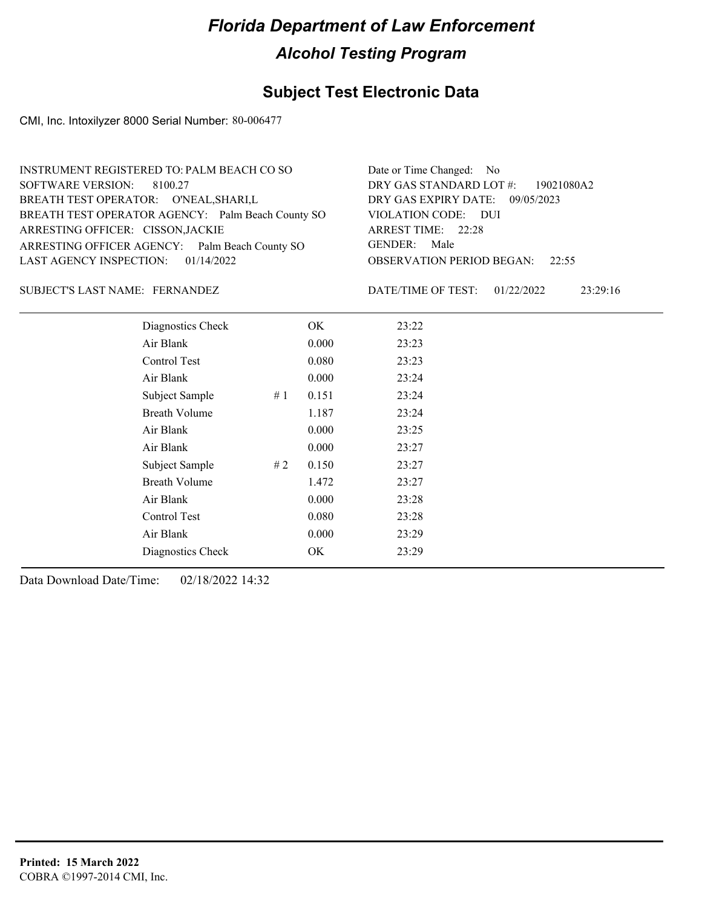## **Subject Test Electronic Data**

CMI, Inc. Intoxilyzer 8000 Serial Number: 80-006477

| INSTRUMENT REGISTERED TO: PALM BEACH CO SO        | Date or Time Changed: No               |
|---------------------------------------------------|----------------------------------------|
| SOFTWARE VERSION: 8100.27                         | DRY GAS STANDARD LOT #: 19021080A2     |
| BREATH TEST OPERATOR: O'NEAL, SHARI, L            | DRY GAS EXPIRY DATE: 09/05/2023        |
| BREATH TEST OPERATOR AGENCY: Palm Beach County SO | VIOLATION CODE: DUI                    |
| ARRESTING OFFICER: CISSON, JACKIE                 | ARREST TIME: 22:28                     |
| ARRESTING OFFICER AGENCY: Palm Beach County SO    | GENDER: Male                           |
| LAST AGENCY INSPECTION: $01/14/2022$              | <b>OBSERVATION PERIOD BEGAN: 22:55</b> |
|                                                   |                                        |

### SUBJECT'S LAST NAME: FERNANDEZ DATE/TIME OF TEST:

DATE/TIME OF TEST: 01/22/2022 23:29:16

| Diagnostics Check    |    | OK    | 23:22 |
|----------------------|----|-------|-------|
| Air Blank            |    | 0.000 | 23:23 |
| Control Test         |    | 0.080 | 23:23 |
| Air Blank            |    | 0.000 | 23:24 |
| Subject Sample       | #1 | 0.151 | 23:24 |
| <b>Breath Volume</b> |    | 1.187 | 23:24 |
| Air Blank            |    | 0.000 | 23:25 |
| Air Blank            |    | 0.000 | 23:27 |
| Subject Sample       | #2 | 0.150 | 23:27 |
| <b>Breath Volume</b> |    | 1.472 | 23:27 |
| Air Blank            |    | 0.000 | 23:28 |
| Control Test         |    | 0.080 | 23:28 |
| Air Blank            |    | 0.000 | 23:29 |
| Diagnostics Check    |    | OK    | 23:29 |
|                      |    |       |       |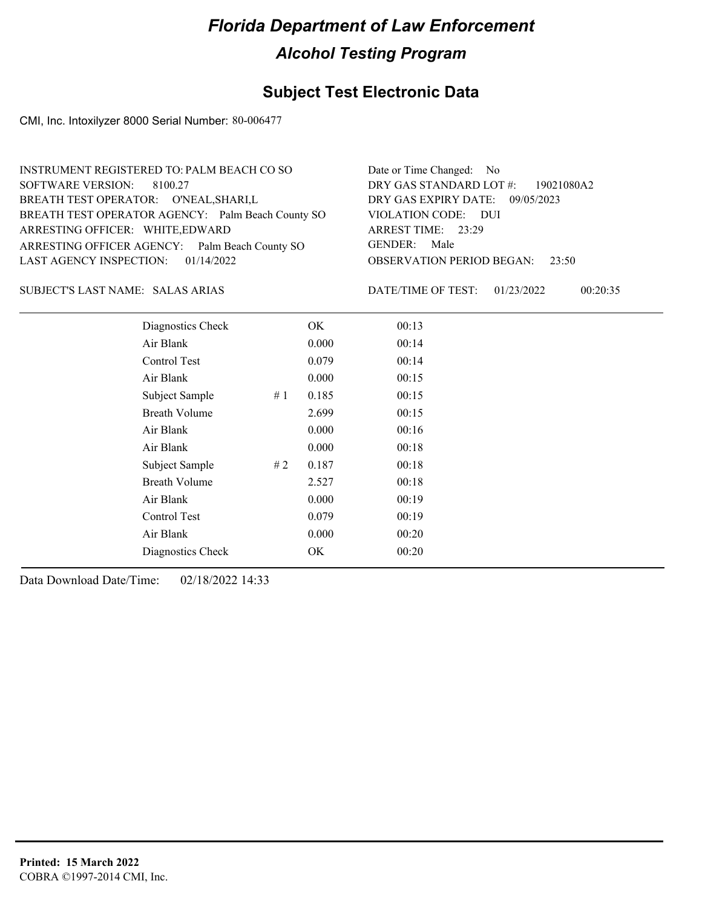## **Subject Test Electronic Data**

CMI, Inc. Intoxilyzer 8000 Serial Number: 80-006477

| INSTRUMENT REGISTERED TO: PALM BEACH CO SO        | Date or Time Changed: No               |
|---------------------------------------------------|----------------------------------------|
| SOFTWARE VERSION: 8100.27                         | DRY GAS STANDARD LOT #: 19021080A2     |
| BREATH TEST OPERATOR: O'NEAL, SHARI, L            | DRY GAS EXPIRY DATE: 09/05/2023        |
| BREATH TEST OPERATOR AGENCY: Palm Beach County SO | VIOLATION CODE: DUI                    |
| ARRESTING OFFICER: WHITE, EDWARD                  | ARREST TIME: 23:29                     |
| ARRESTING OFFICER AGENCY: Palm Beach County SO    | GENDER: Male                           |
| LAST AGENCY INSPECTION: $01/14/2022$              | <b>OBSERVATION PERIOD BEGAN: 23:50</b> |
|                                                   |                                        |

### SALAS ARIAS SUBJECT'S LAST NAME: DATE/TIME OF TEST:

DATE/TIME OF TEST: 01/23/2022 00:20:35

| Diagnostics Check    |    | OK    | 00:13 |
|----------------------|----|-------|-------|
| Air Blank            |    | 0.000 | 00:14 |
| Control Test         |    | 0.079 | 00:14 |
| Air Blank            |    | 0.000 | 00:15 |
| Subject Sample       | #1 | 0.185 | 00:15 |
| <b>Breath Volume</b> |    | 2.699 | 00:15 |
| Air Blank            |    | 0.000 | 00:16 |
| Air Blank            |    | 0.000 | 00:18 |
| Subject Sample       | #2 | 0.187 | 00:18 |
| <b>Breath Volume</b> |    | 2.527 | 00:18 |
| Air Blank            |    | 0.000 | 00:19 |
| Control Test         |    | 0.079 | 00:19 |
| Air Blank            |    | 0.000 | 00:20 |
| Diagnostics Check    |    | OK    | 00:20 |
|                      |    |       |       |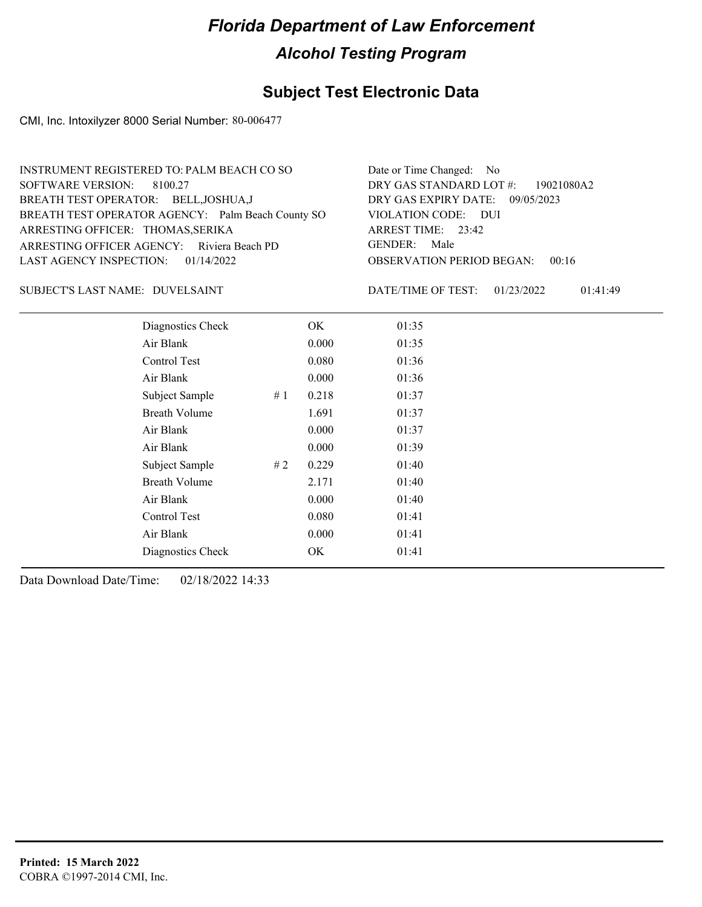## **Subject Test Electronic Data**

CMI, Inc. Intoxilyzer 8000 Serial Number: 80-006477

| INSTRUMENT REGISTERED TO: PALM BEACH CO SO        | Date or Time Changed: No               |
|---------------------------------------------------|----------------------------------------|
| SOFTWARE VERSION: 8100.27                         | DRY GAS STANDARD LOT #: 19021080A2     |
| BREATH TEST OPERATOR: BELL, JOSHUA, J             | DRY GAS EXPIRY DATE: 09/05/2023        |
| BREATH TEST OPERATOR AGENCY: Palm Beach County SO | VIOLATION CODE: DUI                    |
| ARRESTING OFFICER: THOMAS, SERIKA                 | ARREST TIME: 23:42                     |
| ARRESTING OFFICER AGENCY: Riviera Beach PD        | GENDER: Male                           |
| LAST AGENCY INSPECTION: $01/14/2022$              | <b>OBSERVATION PERIOD BEGAN: 00:16</b> |
|                                                   |                                        |

### DUVELSAINT SUBJECT'S LAST NAME: DATE/TIME OF TEST:

DATE/TIME OF TEST: 01/23/2022 01:41:49

| Diagnostics Check    |    | OK    | 01:35 |  |  |
|----------------------|----|-------|-------|--|--|
| Air Blank            |    | 0.000 | 01:35 |  |  |
| Control Test         |    | 0.080 | 01:36 |  |  |
| Air Blank            |    | 0.000 | 01:36 |  |  |
| Subject Sample       | #1 | 0.218 | 01:37 |  |  |
| <b>Breath Volume</b> |    | 1.691 | 01:37 |  |  |
| Air Blank            |    | 0.000 | 01:37 |  |  |
| Air Blank            |    | 0.000 | 01:39 |  |  |
| Subject Sample       | #2 | 0.229 | 01:40 |  |  |
| <b>Breath Volume</b> |    | 2.171 | 01:40 |  |  |
| Air Blank            |    | 0.000 | 01:40 |  |  |
| Control Test         |    | 0.080 | 01:41 |  |  |
| Air Blank            |    | 0.000 | 01:41 |  |  |
| Diagnostics Check    |    | OK    | 01:41 |  |  |
|                      |    |       |       |  |  |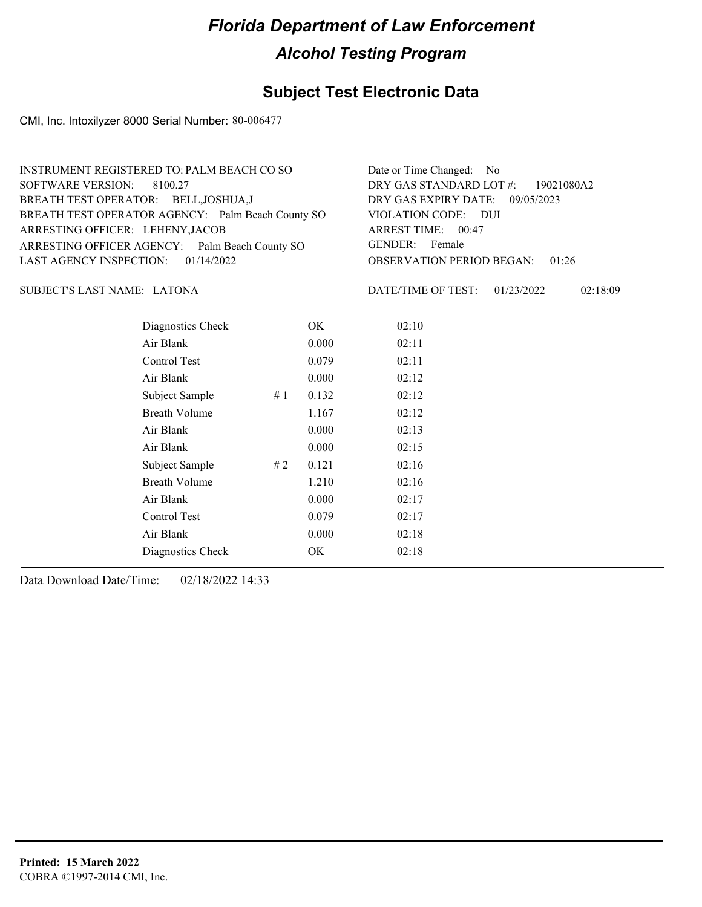## **Subject Test Electronic Data**

CMI, Inc. Intoxilyzer 8000 Serial Number: 80-006477

| INSTRUMENT REGISTERED TO: PALM BEACH CO SO        | Date or Time Changed: No               |
|---------------------------------------------------|----------------------------------------|
| SOFTWARE VERSION: 8100.27                         | DRY GAS STANDARD LOT #: 19021080A2     |
| BREATH TEST OPERATOR: BELL, JOSHUA, J             | DRY GAS EXPIRY DATE: 09/05/2023        |
| BREATH TEST OPERATOR AGENCY: Palm Beach County SO | VIOLATION CODE: DUI                    |
| ARRESTING OFFICER: LEHENY, JACOB                  | ARREST TIME: 00:47                     |
| ARRESTING OFFICER AGENCY: Palm Beach County SO    | GENDER: Female                         |
| LAST AGENCY INSPECTION: 01/14/2022                | <b>OBSERVATION PERIOD BEGAN: 01:26</b> |
|                                                   |                                        |

### LATONA SUBJECT'S LAST NAME: DATE/TIME OF TEST:

DATE/TIME OF TEST: 01/23/2022 02:18:09

| Diagnostics Check    |    | OK    | 02:10 |
|----------------------|----|-------|-------|
| Air Blank            |    | 0.000 | 02:11 |
| Control Test         |    | 0.079 | 02:11 |
| Air Blank            |    | 0.000 | 02:12 |
| Subject Sample       | #1 | 0.132 | 02:12 |
| <b>Breath Volume</b> |    | 1.167 | 02:12 |
| Air Blank            |    | 0.000 | 02:13 |
| Air Blank            |    | 0.000 | 02:15 |
| Subject Sample       | #2 | 0.121 | 02:16 |
| <b>Breath Volume</b> |    | 1.210 | 02:16 |
| Air Blank            |    | 0.000 | 02:17 |
| Control Test         |    | 0.079 | 02:17 |
| Air Blank            |    | 0.000 | 02:18 |
| Diagnostics Check    |    | OK    | 02:18 |
|                      |    |       |       |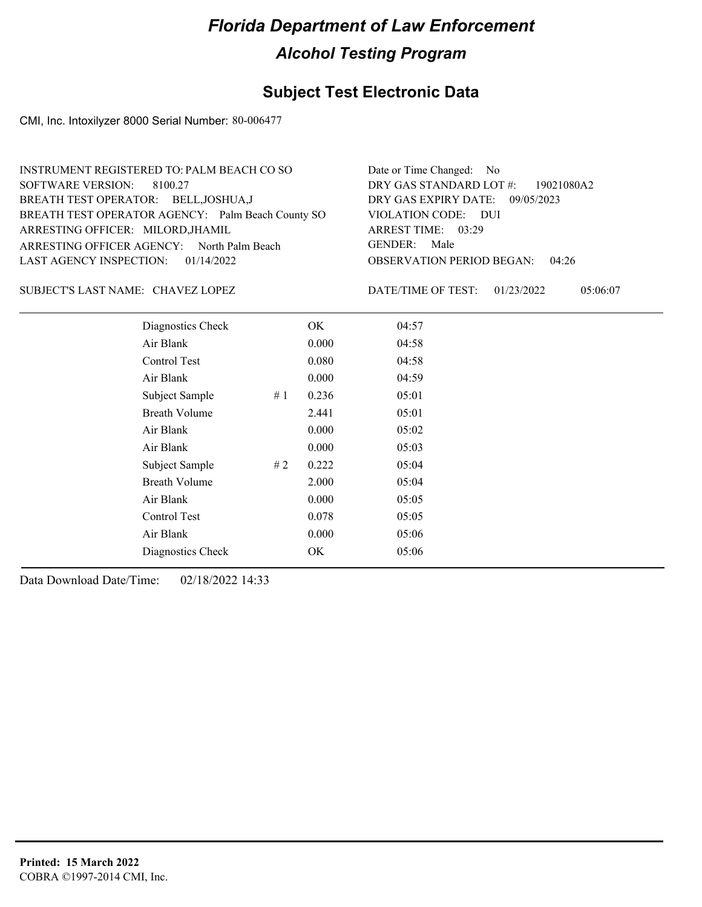## **Subject Test Electronic Data**

CMI, Inc. Intoxilyzer 8000 Serial Number: 80-006477

| INSTRUMENT REGISTERED TO: PALM BEACH CO SO        | Date or Time Changed: No               |
|---------------------------------------------------|----------------------------------------|
| SOFTWARE VERSION: 8100.27                         | DRY GAS STANDARD LOT #: 19021080A2     |
| BREATH TEST OPERATOR: BELL, JOSHUA, J             | DRY GAS EXPIRY DATE: 09/05/2023        |
| BREATH TEST OPERATOR AGENCY: Palm Beach County SO | VIOLATION CODE: DUI                    |
| ARRESTING OFFICER: MILORD, JHAMIL                 | ARREST TIME: 03:29                     |
| ARRESTING OFFICER AGENCY: North Palm Beach        | GENDER: Male                           |
| LAST AGENCY INSPECTION: $01/14/2022$              | <b>OBSERVATION PERIOD BEGAN: 04:26</b> |
|                                                   |                                        |

CHAVEZ LOPEZ SUBJECT'S LAST NAME: DATE/TIME OF TEST:

DATE/TIME OF TEST: 01/23/2022 05:06:07

| Diagnostics Check    |    | OK    | 04:57 |  |  |
|----------------------|----|-------|-------|--|--|
| Air Blank            |    | 0.000 | 04:58 |  |  |
| Control Test         |    | 0.080 | 04:58 |  |  |
| Air Blank            |    | 0.000 | 04:59 |  |  |
| Subject Sample       | #1 | 0.236 | 05:01 |  |  |
| <b>Breath Volume</b> |    | 2.441 | 05:01 |  |  |
| Air Blank            |    | 0.000 | 05:02 |  |  |
| Air Blank            |    | 0.000 | 05:03 |  |  |
| Subject Sample       | #2 | 0.222 | 05:04 |  |  |
| <b>Breath Volume</b> |    | 2.000 | 05:04 |  |  |
| Air Blank            |    | 0.000 | 05:05 |  |  |
| Control Test         |    | 0.078 | 05:05 |  |  |
| Air Blank            |    | 0.000 | 05:06 |  |  |
| Diagnostics Check    |    | OK    | 05:06 |  |  |
|                      |    |       |       |  |  |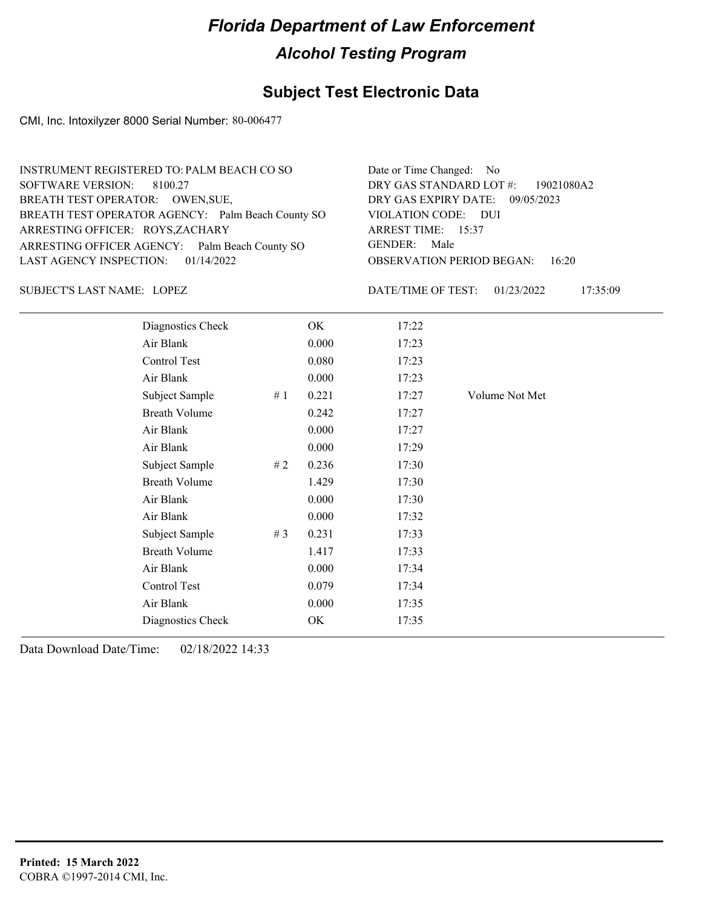## **Subject Test Electronic Data**

CMI, Inc. Intoxilyzer 8000 Serial Number: 80-006477

| INSTRUMENT REGISTERED TO: PALM BEACH CO SO        | Date or Time Changed: No               |
|---------------------------------------------------|----------------------------------------|
| SOFTWARE VERSION: 8100.27                         | DRY GAS STANDARD LOT #: 19021080A2     |
| BREATH TEST OPERATOR: OWEN, SUE,                  | DRY GAS EXPIRY DATE: 09/05/2023        |
| BREATH TEST OPERATOR AGENCY: Palm Beach County SO | VIOLATION CODE: DUI                    |
| ARRESTING OFFICER: ROYS, ZACHARY                  | ARREST TIME: 15:37                     |
| ARRESTING OFFICER AGENCY: Palm Beach County SO    | GENDER: Male                           |
| LAST AGENCY INSPECTION: $01/14/2022$              | <b>OBSERVATION PERIOD BEGAN: 16:20</b> |
|                                                   |                                        |

LOPEZ SUBJECT'S LAST NAME: DATE/TIME OF TEST:

DATE/TIME OF TEST: 01/23/2022 17:35:09

| Diagnostics Check    |       | OK    | 17:22 |                |
|----------------------|-------|-------|-------|----------------|
| Air Blank            |       | 0.000 | 17:23 |                |
| Control Test         |       | 0.080 | 17:23 |                |
| Air Blank            |       | 0.000 | 17:23 |                |
| Subject Sample       | #1    | 0.221 | 17:27 | Volume Not Met |
| <b>Breath Volume</b> |       | 0.242 | 17:27 |                |
| Air Blank            |       | 0.000 | 17:27 |                |
| Air Blank            |       | 0.000 | 17:29 |                |
| Subject Sample       | #2    | 0.236 | 17:30 |                |
| <b>Breath Volume</b> |       | 1.429 | 17:30 |                |
| Air Blank            |       | 0.000 | 17:30 |                |
| Air Blank            |       | 0.000 | 17:32 |                |
| Subject Sample       | # $3$ | 0.231 | 17:33 |                |
| <b>Breath Volume</b> |       | 1.417 | 17:33 |                |
| Air Blank            |       | 0.000 | 17:34 |                |
| Control Test         |       | 0.079 | 17:34 |                |
| Air Blank            |       | 0.000 | 17:35 |                |
| Diagnostics Check    |       | OK    | 17:35 |                |
|                      |       |       |       |                |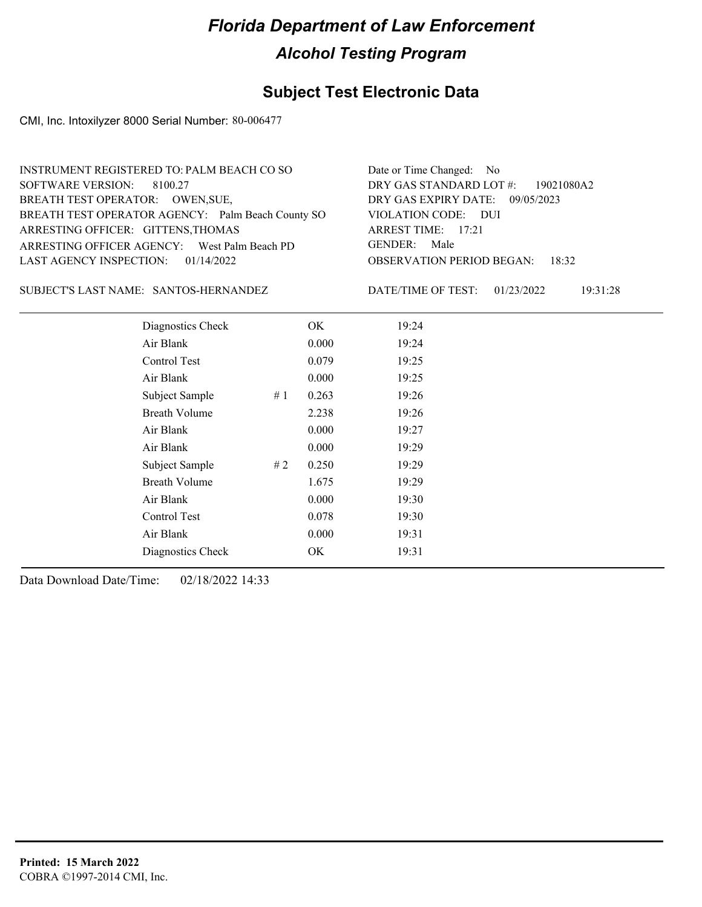## **Subject Test Electronic Data**

CMI, Inc. Intoxilyzer 8000 Serial Number: 80-006477

| INSTRUMENT REGISTERED TO: PALM BEACH CO SO        | Date or Time Changed: No               |
|---------------------------------------------------|----------------------------------------|
| SOFTWARE VERSION: 8100.27                         | DRY GAS STANDARD LOT $\#$ : 19021080A2 |
| BREATH TEST OPERATOR: OWEN, SUE,                  | DRY GAS EXPIRY DATE: 09/05/2023        |
| BREATH TEST OPERATOR AGENCY: Palm Beach County SO | VIOLATION CODE: DUI                    |
| ARRESTING OFFICER: GITTENS, THOMAS                | ARREST TIME: $17:21$                   |
| ARRESTING OFFICER AGENCY: West Palm Beach PD      | GENDER: Male                           |
| LAST AGENCY INSPECTION: $01/14/2022$              | <b>OBSERVATION PERIOD BEGAN: 18:32</b> |
|                                                   |                                        |

SUBJECT'S LAST NAME: SANTOS-HERNANDEZ DATE/TIME OF TEST:

DATE/TIME OF TEST: 01/23/2022 19:31:28

| Diagnostics Check    |    | OK    | 19:24 |  |
|----------------------|----|-------|-------|--|
| Air Blank            |    | 0.000 | 19:24 |  |
| Control Test         |    | 0.079 | 19:25 |  |
| Air Blank            |    | 0.000 | 19:25 |  |
| Subject Sample       | #1 | 0.263 | 19:26 |  |
| <b>Breath Volume</b> |    | 2.238 | 19:26 |  |
| Air Blank            |    | 0.000 | 19:27 |  |
| Air Blank            |    | 0.000 | 19:29 |  |
| Subject Sample       | #2 | 0.250 | 19:29 |  |
| <b>Breath Volume</b> |    | 1.675 | 19:29 |  |
| Air Blank            |    | 0.000 | 19:30 |  |
| Control Test         |    | 0.078 | 19:30 |  |
| Air Blank            |    | 0.000 | 19:31 |  |
| Diagnostics Check    |    | OK    | 19:31 |  |
|                      |    |       |       |  |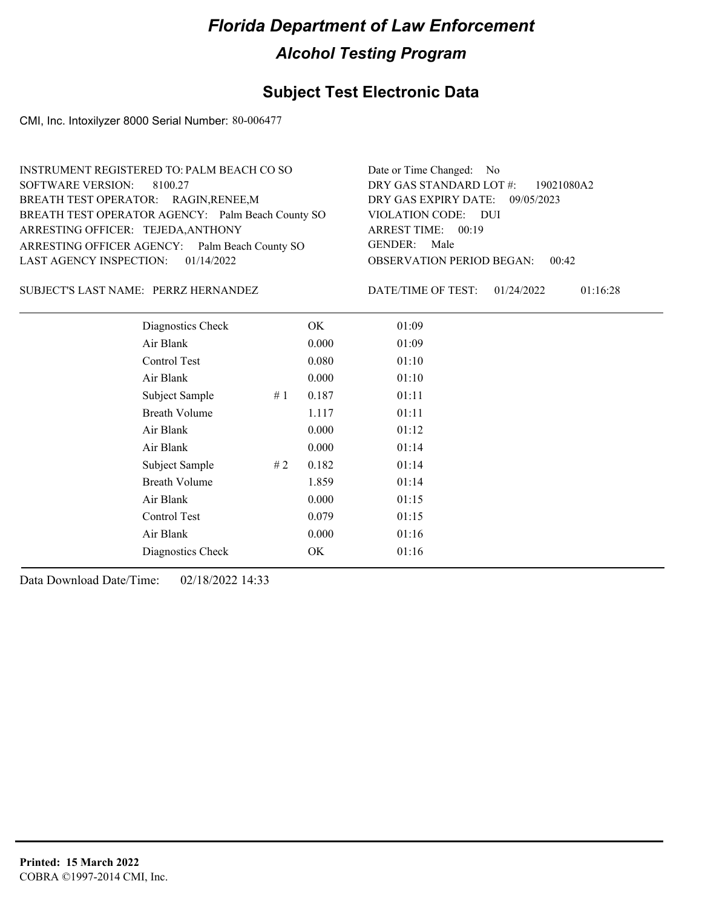## **Subject Test Electronic Data**

CMI, Inc. Intoxilyzer 8000 Serial Number: 80-006477

| INSTRUMENT REGISTERED TO: PALM BEACH CO SO        | Date or Time Changed: No               |
|---------------------------------------------------|----------------------------------------|
| SOFTWARE VERSION: 8100.27                         | DRY GAS STANDARD LOT #: 19021080A2     |
| BREATH TEST OPERATOR: RAGIN, RENEE, M             | DRY GAS EXPIRY DATE: 09/05/2023        |
| BREATH TEST OPERATOR AGENCY: Palm Beach County SO | VIOLATION CODE: DUI                    |
| ARRESTING OFFICER: TEJEDA, ANTHONY                | ARREST TIME: 00:19                     |
| ARRESTING OFFICER AGENCY: Palm Beach County SO    | GENDER: Male                           |
| LAST AGENCY INSPECTION: $01/14/2022$              | <b>OBSERVATION PERIOD BEGAN: 00:42</b> |
|                                                   |                                        |

### PERRZ HERNANDEZ SUBJECT'S LAST NAME: DATE/TIME OF TEST:

DATE/TIME OF TEST: 01/24/2022 01:16:28

| Diagnostics Check    |    | OK    | 01:09 |
|----------------------|----|-------|-------|
| Air Blank            |    | 0.000 | 01:09 |
| Control Test         |    | 0.080 | 01:10 |
| Air Blank            |    | 0.000 | 01:10 |
| Subject Sample       | #1 | 0.187 | 01:11 |
| <b>Breath Volume</b> |    | 1.117 | 01:11 |
| Air Blank            |    | 0.000 | 01:12 |
| Air Blank            |    | 0.000 | 01:14 |
| Subject Sample       | #2 | 0.182 | 01:14 |
| <b>Breath Volume</b> |    | 1.859 | 01:14 |
| Air Blank            |    | 0.000 | 01:15 |
| Control Test         |    | 0.079 | 01:15 |
| Air Blank            |    | 0.000 | 01:16 |
| Diagnostics Check    |    | OK    | 01:16 |
|                      |    |       |       |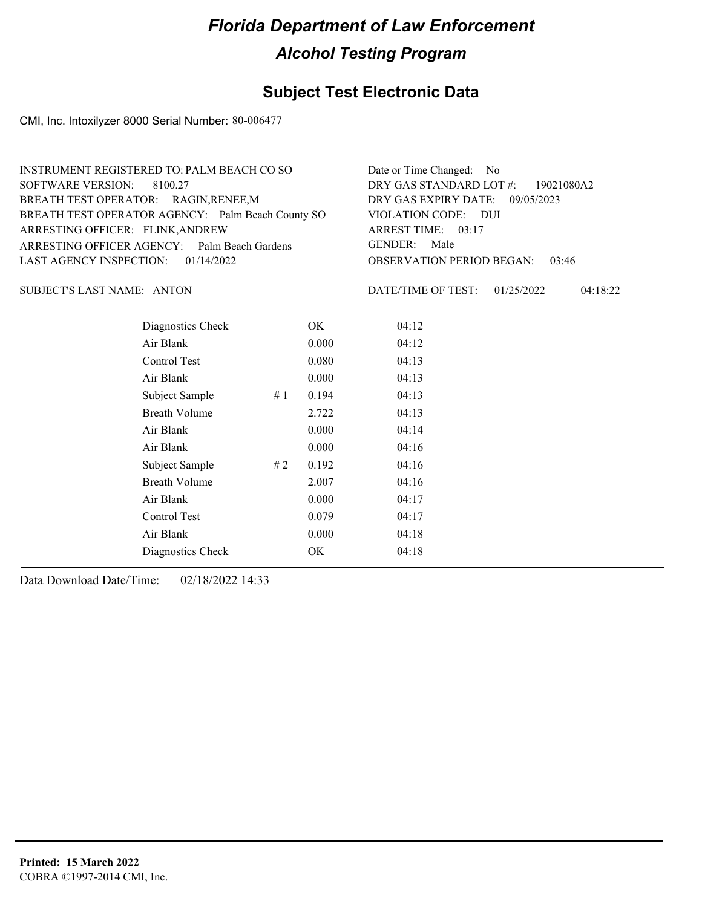## **Subject Test Electronic Data**

CMI, Inc. Intoxilyzer 8000 Serial Number: 80-006477

| INSTRUMENT REGISTERED TO: PALM BEACH CO SO        | Date or Time Changed: No               |
|---------------------------------------------------|----------------------------------------|
| SOFTWARE VERSION: 8100.27                         | DRY GAS STANDARD LOT #: 19021080A2     |
| BREATH TEST OPERATOR: RAGIN, RENEE, M             | DRY GAS EXPIRY DATE: 09/05/2023        |
| BREATH TEST OPERATOR AGENCY: Palm Beach County SO | VIOLATION CODE: DUI                    |
| ARRESTING OFFICER: FLINK, ANDREW                  | ARREST TIME: 03:17                     |
| ARRESTING OFFICER AGENCY: Palm Beach Gardens      | GENDER: Male                           |
| LAST AGENCY INSPECTION: $01/14/2022$              | <b>OBSERVATION PERIOD BEGAN: 03:46</b> |
|                                                   |                                        |

SUBJECT'S LAST NAME: ANTON DATE/TIME OF TEST:

DATE/TIME OF TEST: 01/25/2022 04:18:22

| Diagnostics Check    |    | OK    | 04:12 |
|----------------------|----|-------|-------|
| Air Blank            |    | 0.000 | 04:12 |
| Control Test         |    | 0.080 | 04:13 |
| Air Blank            |    | 0.000 | 04:13 |
| Subject Sample       | #1 | 0.194 | 04:13 |
| <b>Breath Volume</b> |    | 2.722 | 04:13 |
| Air Blank            |    | 0.000 | 04:14 |
| Air Blank            |    | 0.000 | 04:16 |
| Subject Sample       | #2 | 0.192 | 04:16 |
| <b>Breath Volume</b> |    | 2.007 | 04:16 |
| Air Blank            |    | 0.000 | 04:17 |
| Control Test         |    | 0.079 | 04:17 |
| Air Blank            |    | 0.000 | 04:18 |
| Diagnostics Check    |    | OK    | 04:18 |
|                      |    |       |       |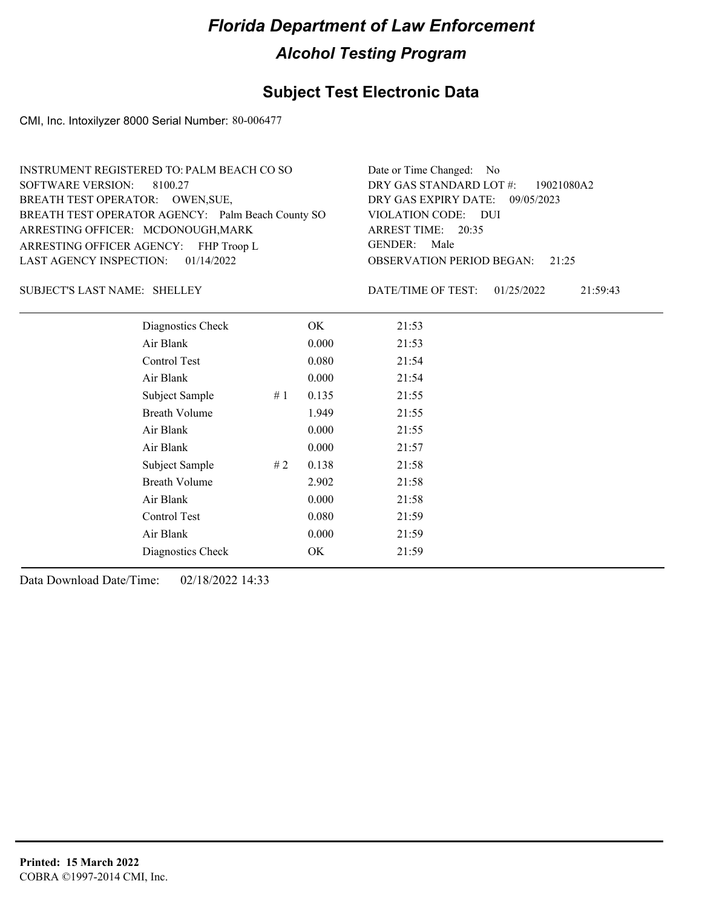## **Subject Test Electronic Data**

CMI, Inc. Intoxilyzer 8000 Serial Number: 80-006477

| INSTRUMENT REGISTERED TO: PALM BEACH CO SO        | Date or Time Changed: No               |
|---------------------------------------------------|----------------------------------------|
| SOFTWARE VERSION: 8100.27                         | DRY GAS STANDARD LOT #: 19021080A2     |
| BREATH TEST OPERATOR: OWEN, SUE,                  | DRY GAS EXPIRY DATE: 09/05/2023        |
| BREATH TEST OPERATOR AGENCY: Palm Beach County SO | VIOLATION CODE: DUI                    |
| ARRESTING OFFICER: MCDONOUGH, MARK                | ARREST TIME: 20:35                     |
| ARRESTING OFFICER AGENCY: FHP Troop L             | GENDER: Male                           |
| LAST AGENCY INSPECTION: $01/14/2022$              | <b>OBSERVATION PERIOD BEGAN:</b> 21:25 |
|                                                   |                                        |

### SUBJECT'S LAST NAME: SHELLEY DATE/TIME OF TEST:

DATE/TIME OF TEST: 01/25/2022 21:59:43

| Diagnostics Check    |    | OK    | 21:53 |
|----------------------|----|-------|-------|
| Air Blank            |    | 0.000 | 21:53 |
| Control Test         |    | 0.080 | 21:54 |
| Air Blank            |    | 0.000 | 21:54 |
| Subject Sample       | #1 | 0.135 | 21:55 |
| <b>Breath Volume</b> |    | 1.949 | 21:55 |
| Air Blank            |    | 0.000 | 21:55 |
| Air Blank            |    | 0.000 | 21:57 |
| Subject Sample       | #2 | 0.138 | 21:58 |
| <b>Breath Volume</b> |    | 2.902 | 21:58 |
| Air Blank            |    | 0.000 | 21:58 |
| Control Test         |    | 0.080 | 21:59 |
| Air Blank            |    | 0.000 | 21:59 |
| Diagnostics Check    |    | OK    | 21:59 |
|                      |    |       |       |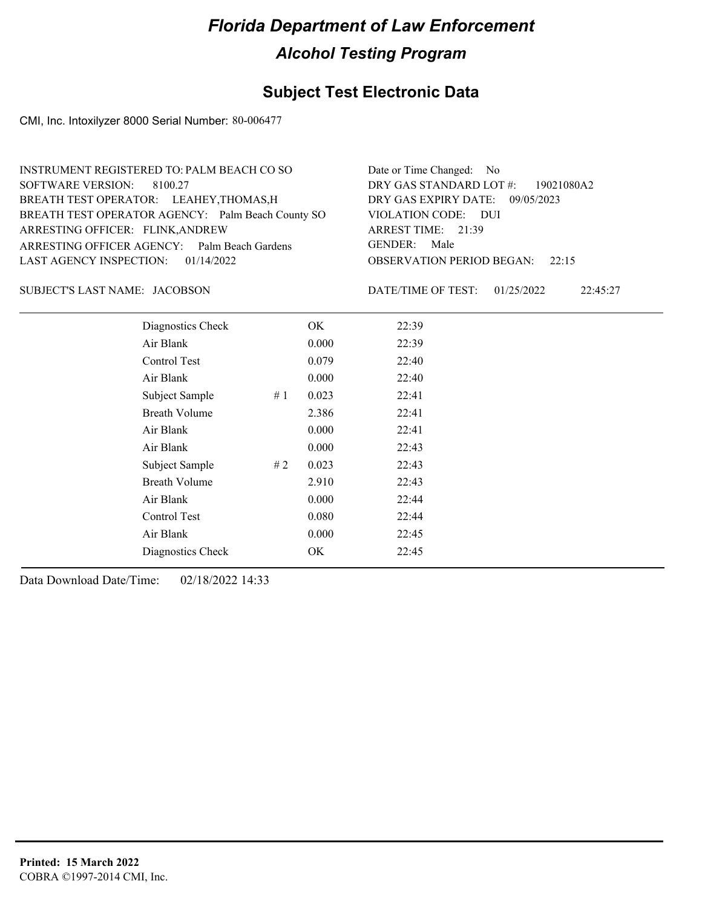## **Subject Test Electronic Data**

CMI, Inc. Intoxilyzer 8000 Serial Number: 80-006477

| INSTRUMENT REGISTERED TO: PALM BEACH CO SO        | Date or Time Changed: No               |
|---------------------------------------------------|----------------------------------------|
| SOFTWARE VERSION: 8100.27                         | DRY GAS STANDARD LOT #: 19021080A2     |
| BREATH TEST OPERATOR: LEAHEY, THOMAS, H           | DRY GAS EXPIRY DATE: 09/05/2023        |
| BREATH TEST OPERATOR AGENCY: Palm Beach County SO | VIOLATION CODE: DUI                    |
| ARRESTING OFFICER: FLINK, ANDREW                  | ARREST TIME: 21:39                     |
| ARRESTING OFFICER AGENCY: Palm Beach Gardens      | GENDER: Male                           |
| LAST AGENCY INSPECTION: $01/14/2022$              | <b>OBSERVATION PERIOD BEGAN:</b> 22:15 |
|                                                   |                                        |

### JACOBSON SUBJECT'S LAST NAME: DATE/TIME OF TEST:

DATE/TIME OF TEST: 01/25/2022 22:45:27

| Diagnostics Check    |    | OK    | 22:39 |
|----------------------|----|-------|-------|
| Air Blank            |    | 0.000 | 22:39 |
| Control Test         |    | 0.079 | 22:40 |
| Air Blank            |    | 0.000 | 22:40 |
| Subject Sample       | #1 | 0.023 | 22:41 |
| <b>Breath Volume</b> |    | 2.386 | 22:41 |
| Air Blank            |    | 0.000 | 22:41 |
| Air Blank            |    | 0.000 | 22:43 |
| Subject Sample       | #2 | 0.023 | 22:43 |
| <b>Breath Volume</b> |    | 2.910 | 22:43 |
| Air Blank            |    | 0.000 | 22:44 |
| Control Test         |    | 0.080 | 22:44 |
| Air Blank            |    | 0.000 | 22:45 |
| Diagnostics Check    |    | OK    | 22:45 |
|                      |    |       |       |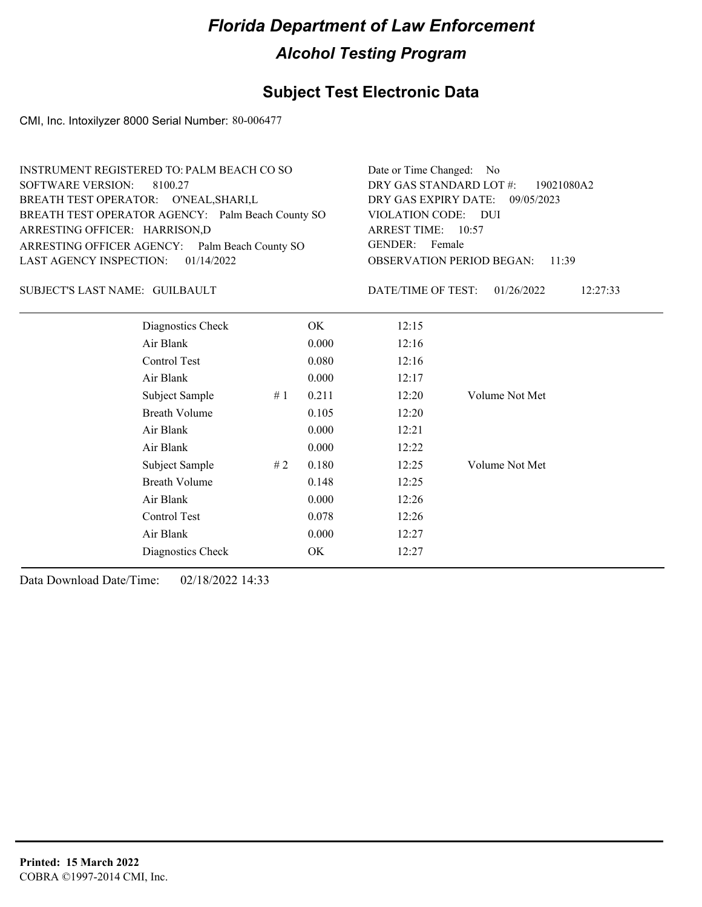## **Subject Test Electronic Data**

CMI, Inc. Intoxilyzer 8000 Serial Number: 80-006477

| INSTRUMENT REGISTERED TO: PALM BEACH CO SO        | Date or Time Changed: No               |
|---------------------------------------------------|----------------------------------------|
| SOFTWARE VERSION: 8100.27                         | DRY GAS STANDARD LOT #: 19021080A2     |
| BREATH TEST OPERATOR: O'NEAL, SHARI, L            | DRY GAS EXPIRY DATE: 09/05/2023        |
| BREATH TEST OPERATOR AGENCY: Palm Beach County SO | VIOLATION CODE: DUI                    |
| ARRESTING OFFICER: HARRISON,D                     | ARREST TIME: 10:57                     |
| ARRESTING OFFICER AGENCY: Palm Beach County SO    | GENDER: Female                         |
| LAST AGENCY INSPECTION: $01/14/2022$              | <b>OBSERVATION PERIOD BEGAN: 11:39</b> |
|                                                   |                                        |

### SUBJECT'S LAST NAME: GUILBAULT DATE/TIME OF TEST:

DATE/TIME OF TEST: 01/26/2022 12:27:33

| Diagnostics Check    |    | OK    | 12:15 |                |
|----------------------|----|-------|-------|----------------|
| Air Blank            |    | 0.000 | 12:16 |                |
| Control Test         |    | 0.080 | 12:16 |                |
| Air Blank            |    | 0.000 | 12:17 |                |
| Subject Sample       | #1 | 0.211 | 12:20 | Volume Not Met |
| <b>Breath Volume</b> |    | 0.105 | 12:20 |                |
| Air Blank            |    | 0.000 | 12:21 |                |
| Air Blank            |    | 0.000 | 12:22 |                |
| Subject Sample       | #2 | 0.180 | 12:25 | Volume Not Met |
| <b>Breath Volume</b> |    | 0.148 | 12:25 |                |
| Air Blank            |    | 0.000 | 12:26 |                |
| Control Test         |    | 0.078 | 12:26 |                |
| Air Blank            |    | 0.000 | 12:27 |                |
| Diagnostics Check    |    | OK    | 12:27 |                |
|                      |    |       |       |                |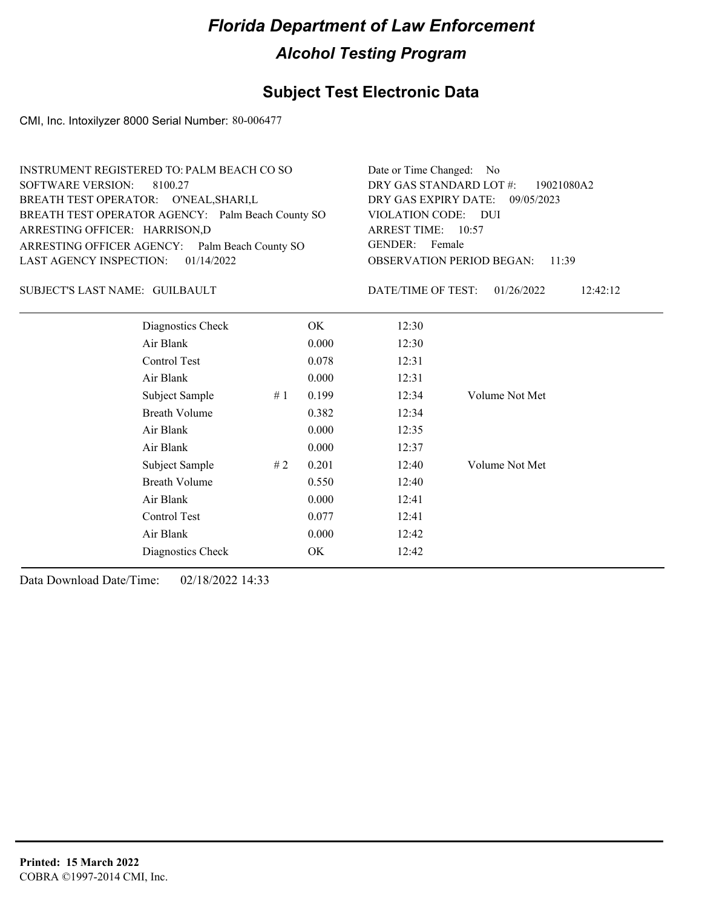## **Subject Test Electronic Data**

CMI, Inc. Intoxilyzer 8000 Serial Number: 80-006477

| INSTRUMENT REGISTERED TO: PALM BEACH CO SO        | Date or Time Changed: No               |
|---------------------------------------------------|----------------------------------------|
| SOFTWARE VERSION: 8100.27                         | DRY GAS STANDARD LOT $\#$ : 19021080A2 |
| BREATH TEST OPERATOR: O'NEAL, SHARI, L            | DRY GAS EXPIRY DATE: 09/05/2023        |
| BREATH TEST OPERATOR AGENCY: Palm Beach County SO | VIOLATION CODE: DUI                    |
| ARRESTING OFFICER: HARRISON,D                     | ARREST TIME: 10:57                     |
| ARRESTING OFFICER AGENCY: Palm Beach County SO    | GENDER: Female                         |
| LAST AGENCY INSPECTION: $01/14/2022$              | <b>OBSERVATION PERIOD BEGAN: 11:39</b> |
|                                                   |                                        |

### SUBJECT'S LAST NAME: GUILBAULT DATE/TIME OF TEST:

DATE/TIME OF TEST: 01/26/2022 12:42:12

| Diagnostics Check    | OK    | 12:30 |                |
|----------------------|-------|-------|----------------|
| Air Blank            | 0.000 | 12:30 |                |
| Control Test         | 0.078 | 12:31 |                |
| Air Blank            | 0.000 | 12:31 |                |
| Subject Sample<br>#1 | 0.199 | 12:34 | Volume Not Met |
| <b>Breath Volume</b> | 0.382 | 12:34 |                |
| Air Blank            | 0.000 | 12:35 |                |
| Air Blank            | 0.000 | 12:37 |                |
| Subject Sample<br>#2 | 0.201 | 12:40 | Volume Not Met |
| <b>Breath Volume</b> | 0.550 | 12:40 |                |
| Air Blank            | 0.000 | 12:41 |                |
| Control Test         | 0.077 | 12:41 |                |
| Air Blank            | 0.000 | 12:42 |                |
| Diagnostics Check    | OK    | 12:42 |                |
|                      |       |       |                |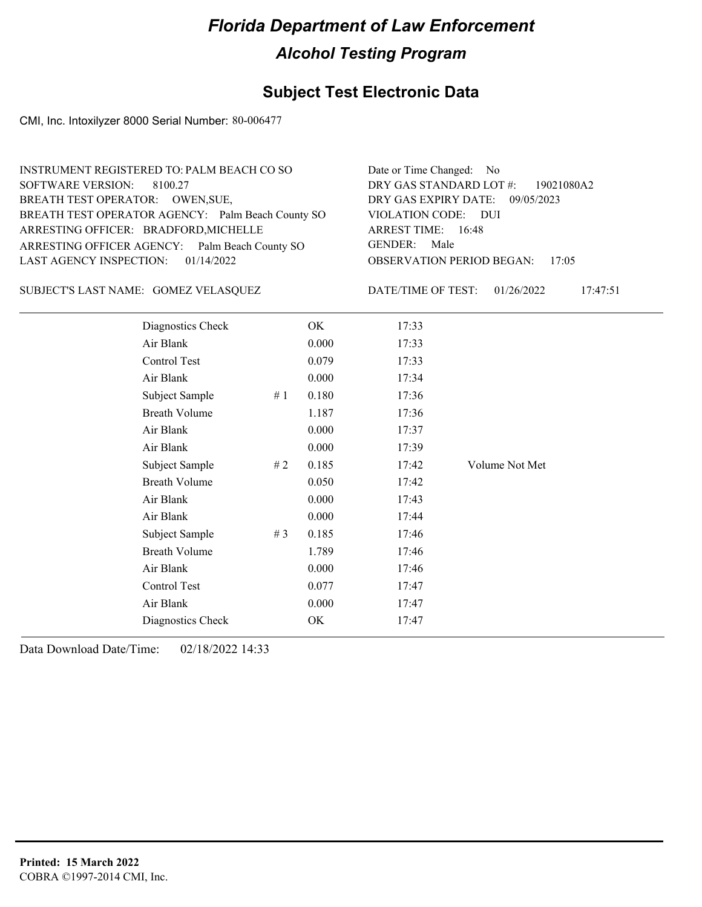## **Subject Test Electronic Data**

CMI, Inc. Intoxilyzer 8000 Serial Number: 80-006477

| INSTRUMENT REGISTERED TO: PALM BEACH CO SO        | Date or Time Changed: No               |
|---------------------------------------------------|----------------------------------------|
| SOFTWARE VERSION: 8100.27                         | DRY GAS STANDARD LOT #: 19021080A2     |
| BREATH TEST OPERATOR: OWEN, SUE,                  | DRY GAS EXPIRY DATE: 09/05/2023        |
| BREATH TEST OPERATOR AGENCY: Palm Beach County SO | VIOLATION CODE: DUI                    |
| ARRESTING OFFICER: BRADFORD, MICHELLE             | ARREST TIME: 16:48                     |
| ARRESTING OFFICER AGENCY: Palm Beach County SO    | GENDER: Male                           |
| LAST AGENCY INSPECTION: $01/14/2022$              | <b>OBSERVATION PERIOD BEGAN: 17:05</b> |
|                                                   |                                        |

GOMEZ VELASQUEZ SUBJECT'S LAST NAME: DATE/TIME OF TEST:

DATE/TIME OF TEST: 01/26/2022 17:47:51

| Diagnostics Check    |       | OK    | 17:33 |                |
|----------------------|-------|-------|-------|----------------|
| Air Blank            |       | 0.000 | 17:33 |                |
| Control Test         |       | 0.079 | 17:33 |                |
| Air Blank            |       | 0.000 | 17:34 |                |
| Subject Sample       | #1    | 0.180 | 17:36 |                |
| <b>Breath Volume</b> |       | 1.187 | 17:36 |                |
| Air Blank            |       | 0.000 | 17:37 |                |
| Air Blank            |       | 0.000 | 17:39 |                |
| Subject Sample       | #2    | 0.185 | 17:42 | Volume Not Met |
| <b>Breath Volume</b> |       | 0.050 | 17:42 |                |
| Air Blank            |       | 0.000 | 17:43 |                |
| Air Blank            |       | 0.000 | 17:44 |                |
| Subject Sample       | # $3$ | 0.185 | 17:46 |                |
| <b>Breath Volume</b> |       | 1.789 | 17:46 |                |
| Air Blank            |       | 0.000 | 17:46 |                |
| Control Test         |       | 0.077 | 17:47 |                |
| Air Blank            |       | 0.000 | 17:47 |                |
| Diagnostics Check    |       | OK    | 17:47 |                |
|                      |       |       |       |                |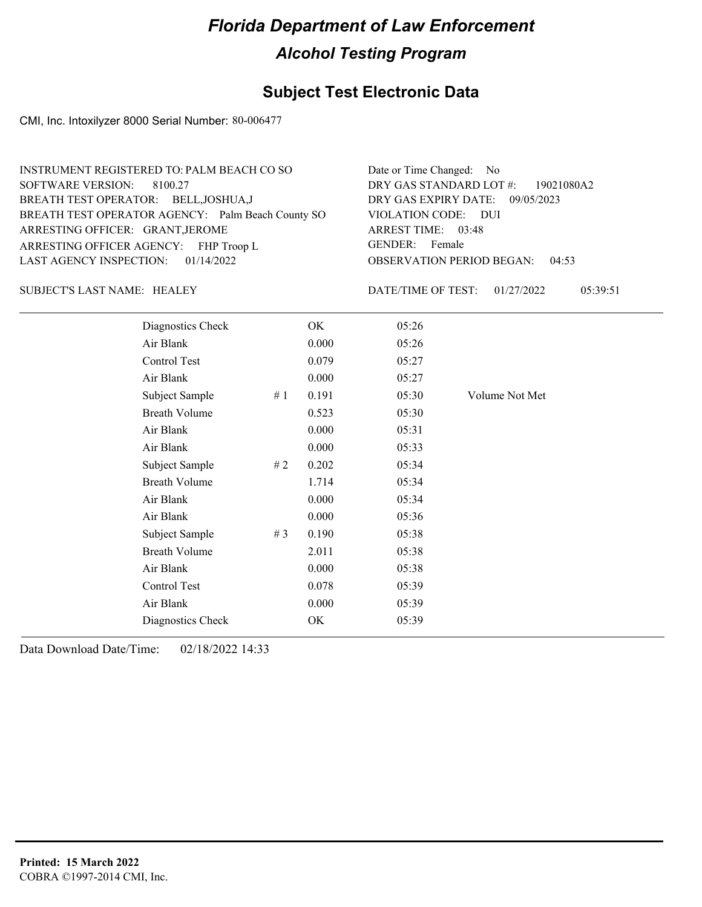## **Subject Test Electronic Data**

CMI, Inc. Intoxilyzer 8000 Serial Number: 80-006477

| INSTRUMENT REGISTERED TO: PALM BEACH CO SO        | Date or Time Changed: No               |
|---------------------------------------------------|----------------------------------------|
| SOFTWARE VERSION: 8100.27                         | DRY GAS STANDARD LOT #: 19021080A2     |
| BREATH TEST OPERATOR: BELL, JOSHUA, J             | DRY GAS EXPIRY DATE: 09/05/2023        |
| BREATH TEST OPERATOR AGENCY: Palm Beach County SO | VIOLATION CODE: DUI                    |
| ARRESTING OFFICER: GRANT, JEROME                  | ARREST TIME: 03:48                     |
| ARRESTING OFFICER AGENCY: FHP Troop L             | GENDER: Female                         |
| LAST AGENCY INSPECTION: $01/14/2022$              | <b>OBSERVATION PERIOD BEGAN: 04:53</b> |

### SUBJECT'S LAST NAME: HEALEY DATE/TIME OF TEST:

DATE/TIME OF TEST: 01/27/2022 05:39:51

| Diagnostics Check    |    | OK    | 05:26 |                |
|----------------------|----|-------|-------|----------------|
| Air Blank            |    | 0.000 | 05:26 |                |
| Control Test         |    | 0.079 | 05:27 |                |
| Air Blank            |    | 0.000 | 05:27 |                |
| Subject Sample       | #1 | 0.191 | 05:30 | Volume Not Met |
| <b>Breath Volume</b> |    | 0.523 | 05:30 |                |
| Air Blank            |    | 0.000 | 05:31 |                |
| Air Blank            |    | 0.000 | 05:33 |                |
| Subject Sample       | #2 | 0.202 | 05:34 |                |
| <b>Breath Volume</b> |    | 1.714 | 05:34 |                |
| Air Blank            |    | 0.000 | 05:34 |                |
| Air Blank            |    | 0.000 | 05:36 |                |
| Subject Sample       | #3 | 0.190 | 05:38 |                |
| <b>Breath Volume</b> |    | 2.011 | 05:38 |                |
| Air Blank            |    | 0.000 | 05:38 |                |
| Control Test         |    | 0.078 | 05:39 |                |
| Air Blank            |    | 0.000 | 05:39 |                |
| Diagnostics Check    |    | OK    | 05:39 |                |
|                      |    |       |       |                |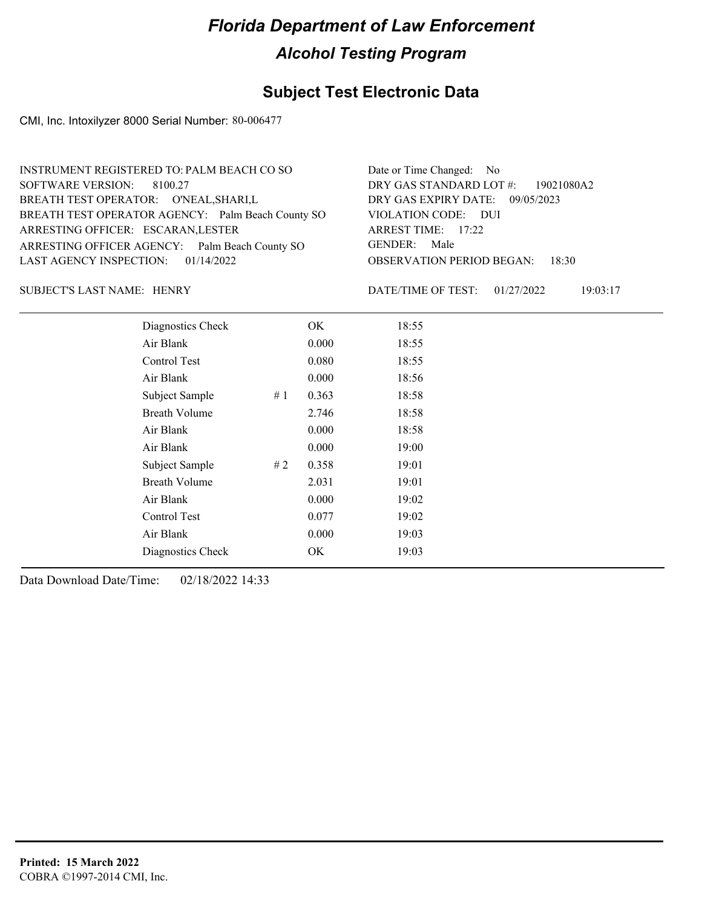## **Subject Test Electronic Data**

CMI, Inc. Intoxilyzer 8000 Serial Number: 80-006477

| INSTRUMENT REGISTERED TO: PALM BEACH CO SO        | Date or Time Changed: No               |
|---------------------------------------------------|----------------------------------------|
| SOFTWARE VERSION: 8100.27                         | DRY GAS STANDARD LOT #: 19021080A2     |
| BREATH TEST OPERATOR: O'NEAL, SHARI, L            | DRY GAS EXPIRY DATE: 09/05/2023        |
| BREATH TEST OPERATOR AGENCY: Palm Beach County SO | VIOLATION CODE: DUI                    |
| ARRESTING OFFICER: ESCARAN, LESTER                | ARREST TIME: 17:22                     |
| ARRESTING OFFICER AGENCY: Palm Beach County SO    | GENDER: Male                           |
| LAST AGENCY INSPECTION: $01/14/2022$              | <b>OBSERVATION PERIOD BEGAN: 18:30</b> |
|                                                   |                                        |

### SUBJECT'S LAST NAME: HENRY DATE/TIME OF TEST:

DATE/TIME OF TEST: 01/27/2022 19:03:17

| Diagnostics Check    |    | OK    | 18:55 |
|----------------------|----|-------|-------|
| Air Blank            |    | 0.000 | 18:55 |
| Control Test         |    | 0.080 | 18:55 |
| Air Blank            |    | 0.000 | 18:56 |
| Subject Sample       | #1 | 0.363 | 18:58 |
| <b>Breath Volume</b> |    | 2.746 | 18:58 |
| Air Blank            |    | 0.000 | 18:58 |
| Air Blank            |    | 0.000 | 19:00 |
| Subject Sample       | #2 | 0.358 | 19:01 |
| <b>Breath Volume</b> |    | 2.031 | 19:01 |
| Air Blank            |    | 0.000 | 19:02 |
| <b>Control Test</b>  |    | 0.077 | 19:02 |
| Air Blank            |    | 0.000 | 19:03 |
| Diagnostics Check    |    | OK    | 19:03 |
|                      |    |       |       |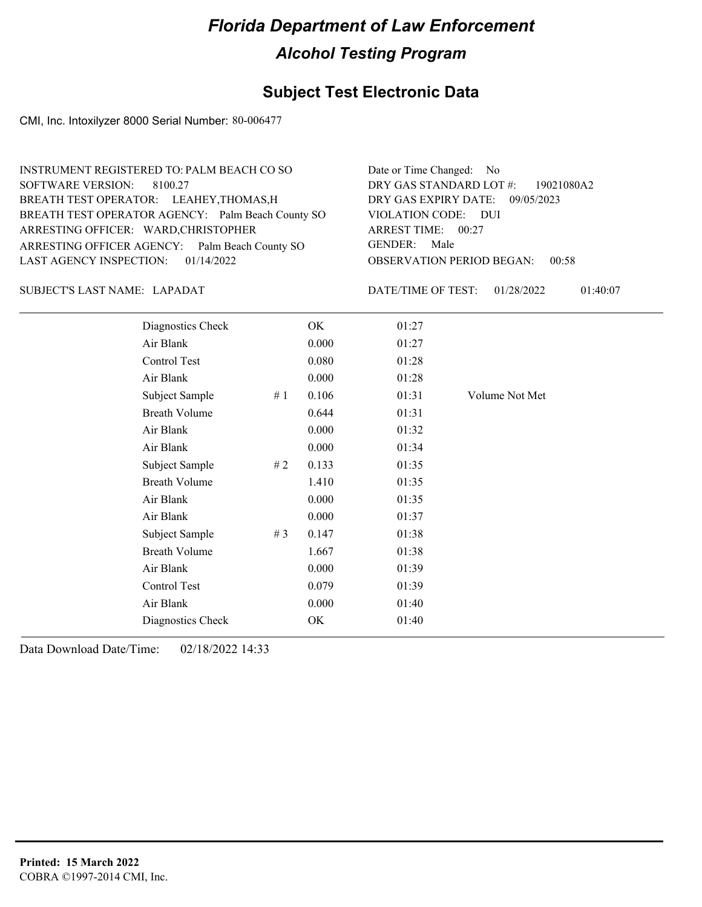## **Subject Test Electronic Data**

CMI, Inc. Intoxilyzer 8000 Serial Number: 80-006477

| INSTRUMENT REGISTERED TO: PALM BEACH CO SO        | Date or Time Changed: No               |
|---------------------------------------------------|----------------------------------------|
| SOFTWARE VERSION: 8100.27                         | DRY GAS STANDARD LOT $\#$ : 19021080A2 |
| BREATH TEST OPERATOR: LEAHEY, THOMAS, H           | DRY GAS EXPIRY DATE: 09/05/2023        |
| BREATH TEST OPERATOR AGENCY: Palm Beach County SO | VIOLATION CODE: DUI                    |
| ARRESTING OFFICER: WARD, CHRISTOPHER              | ARREST TIME: 00:27                     |
| ARRESTING OFFICER AGENCY: Palm Beach County SO    | GENDER: Male                           |
| LAST AGENCY INSPECTION: 01/14/2022                | <b>OBSERVATION PERIOD BEGAN: 00:58</b> |
|                                                   |                                        |

### SUBJECT'S LAST NAME: LAPADAT DATE/TIME OF TEST:

DATE/TIME OF TEST: 01/28/2022 01:40:07

| Diagnostics Check    |    | OK    | 01:27 |                |
|----------------------|----|-------|-------|----------------|
| Air Blank            |    | 0.000 | 01:27 |                |
| Control Test         |    | 0.080 | 01:28 |                |
| Air Blank            |    | 0.000 | 01:28 |                |
| Subject Sample       | #1 | 0.106 | 01:31 | Volume Not Met |
| <b>Breath Volume</b> |    | 0.644 | 01:31 |                |
| Air Blank            |    | 0.000 | 01:32 |                |
| Air Blank            |    | 0.000 | 01:34 |                |
| Subject Sample       | #2 | 0.133 | 01:35 |                |
| <b>Breath Volume</b> |    | 1.410 | 01:35 |                |
| Air Blank            |    | 0.000 | 01:35 |                |
| Air Blank            |    | 0.000 | 01:37 |                |
| Subject Sample       | #3 | 0.147 | 01:38 |                |
| <b>Breath Volume</b> |    | 1.667 | 01:38 |                |
| Air Blank            |    | 0.000 | 01:39 |                |
| <b>Control Test</b>  |    | 0.079 | 01:39 |                |
| Air Blank            |    | 0.000 | 01:40 |                |
| Diagnostics Check    |    | OK    | 01:40 |                |
|                      |    |       |       |                |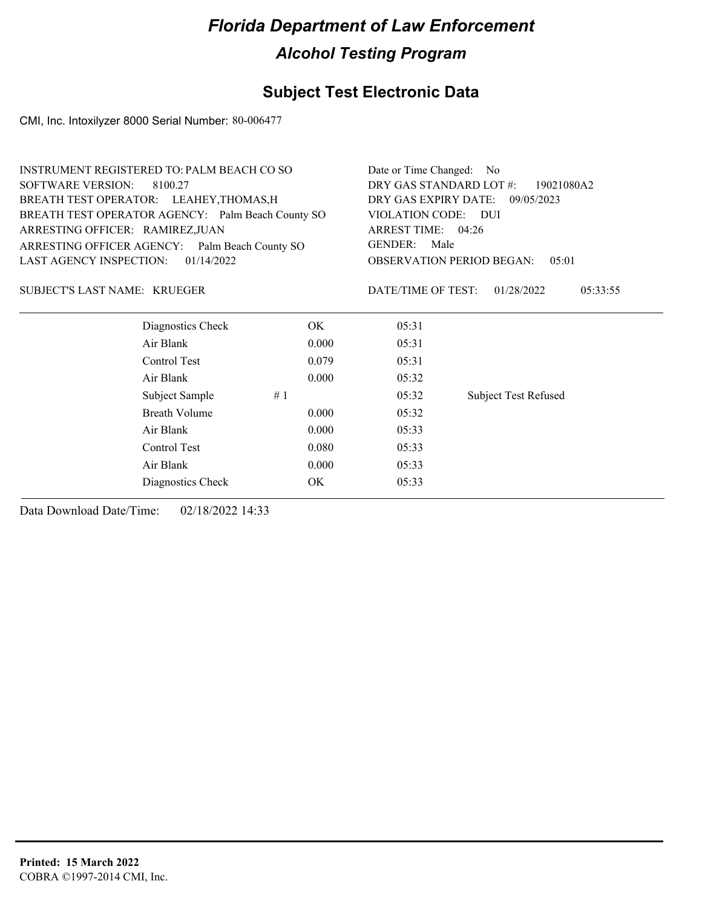## **Subject Test Electronic Data**

CMI, Inc. Intoxilyzer 8000 Serial Number: 80-006477

|                                     | <b>INSTRUMENT REGISTERED TO: PALM BEACH CO SO</b> |       | Date or Time Changed: No |                                            |  |  |
|-------------------------------------|---------------------------------------------------|-------|--------------------------|--------------------------------------------|--|--|
| <b>SOFTWARE VERSION:</b>            | 8100.27                                           |       | DRY GAS STANDARD LOT #:  | 19021080A2                                 |  |  |
|                                     | BREATH TEST OPERATOR: LEAHEY, THOMAS, H           |       |                          | DRY GAS EXPIRY DATE:<br>09/05/2023         |  |  |
|                                     | BREATH TEST OPERATOR AGENCY: Palm Beach County SO |       | VIOLATION CODE: DUI      |                                            |  |  |
| ARRESTING OFFICER: RAMIREZ, JUAN    |                                                   |       | ARREST TIME: 04:26       |                                            |  |  |
|                                     | ARRESTING OFFICER AGENCY: Palm Beach County SO    |       | <b>GENDER:</b><br>Male   |                                            |  |  |
| <b>LAST AGENCY INSPECTION:</b>      | 01/14/2022                                        |       |                          | <b>OBSERVATION PERIOD BEGAN:</b><br>0.5:01 |  |  |
| <b>SUBJECT'S LAST NAME: KRUEGER</b> |                                                   |       | DATE/TIME OF TEST:       | 01/28/2022<br>05:33:55                     |  |  |
|                                     | Diagnostics Check                                 | OK.   | 05:31                    |                                            |  |  |
|                                     | Air Blank                                         | 0.000 | 05:31                    |                                            |  |  |
|                                     | Control Test                                      | 0.079 | 05:31                    |                                            |  |  |
|                                     | Air Blank                                         | 0.000 | 05:32                    |                                            |  |  |
|                                     | Subject Sample                                    | #1    | 05:32                    | <b>Subject Test Refused</b>                |  |  |
|                                     | Breath Volume                                     | 0.000 | 05:32                    |                                            |  |  |
|                                     | Air Blank                                         | 0.000 | 05:33                    |                                            |  |  |
|                                     | Control Test                                      | 0.080 | 05:33                    |                                            |  |  |
|                                     | Air Blank                                         | 0.000 | 05:33                    |                                            |  |  |
|                                     | Diagnostics Check                                 | OK    | 05:33                    |                                            |  |  |
|                                     |                                                   |       |                          |                                            |  |  |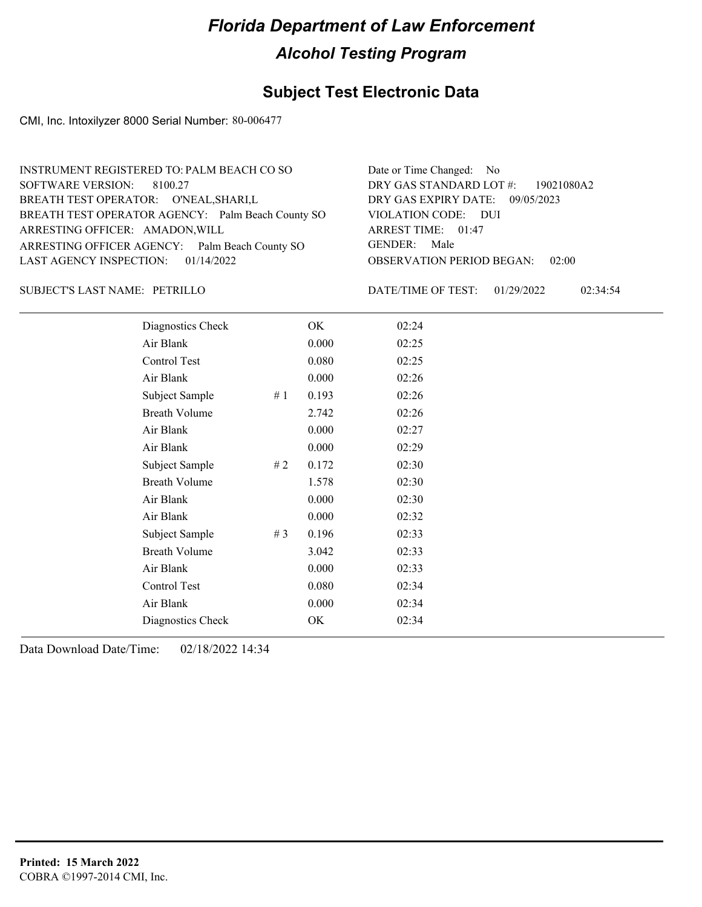## **Subject Test Electronic Data**

CMI, Inc. Intoxilyzer 8000 Serial Number: 80-006477

| INSTRUMENT REGISTERED TO: PALM BEACH CO SO        | Date or Time Changed: No                  |
|---------------------------------------------------|-------------------------------------------|
| SOFTWARE VERSION: 8100.27                         | DRY GAS STANDARD LOT #: 19021080A2        |
| BREATH TEST OPERATOR: O'NEAL, SHARI, L            | DRY GAS EXPIRY DATE: 09/05/2023           |
| BREATH TEST OPERATOR AGENCY: Palm Beach County SO | VIOLATION CODE: DUI                       |
| ARRESTING OFFICER: AMADON, WILL                   | ARREST TIME: 01:47                        |
| ARRESTING OFFICER AGENCY: Palm Beach County SO    | GENDER: Male                              |
| LAST AGENCY INSPECTION: 01/14/2022                | <b>OBSERVATION PERIOD BEGAN:</b><br>02:00 |
|                                                   |                                           |

### PETRILLO SUBJECT'S LAST NAME: DATE/TIME OF TEST:

DATE/TIME OF TEST: 01/29/2022 02:34:54

| Diagnostics Check    |       | OK    | 02:24 |
|----------------------|-------|-------|-------|
| Air Blank            |       | 0.000 | 02:25 |
| Control Test         |       | 0.080 | 02:25 |
| Air Blank            |       | 0.000 | 02:26 |
| Subject Sample       | #1    | 0.193 | 02:26 |
| <b>Breath Volume</b> |       | 2.742 | 02:26 |
| Air Blank            |       | 0.000 | 02:27 |
| Air Blank            |       | 0.000 | 02:29 |
| Subject Sample       | #2    | 0.172 | 02:30 |
| <b>Breath Volume</b> |       | 1.578 | 02:30 |
| Air Blank            |       | 0.000 | 02:30 |
| Air Blank            |       | 0.000 | 02:32 |
| Subject Sample       | # $3$ | 0.196 | 02:33 |
| <b>Breath Volume</b> |       | 3.042 | 02:33 |
| Air Blank            |       | 0.000 | 02:33 |
| Control Test         |       | 0.080 | 02:34 |
| Air Blank            |       | 0.000 | 02:34 |
| Diagnostics Check    |       | OK    | 02:34 |
|                      |       |       |       |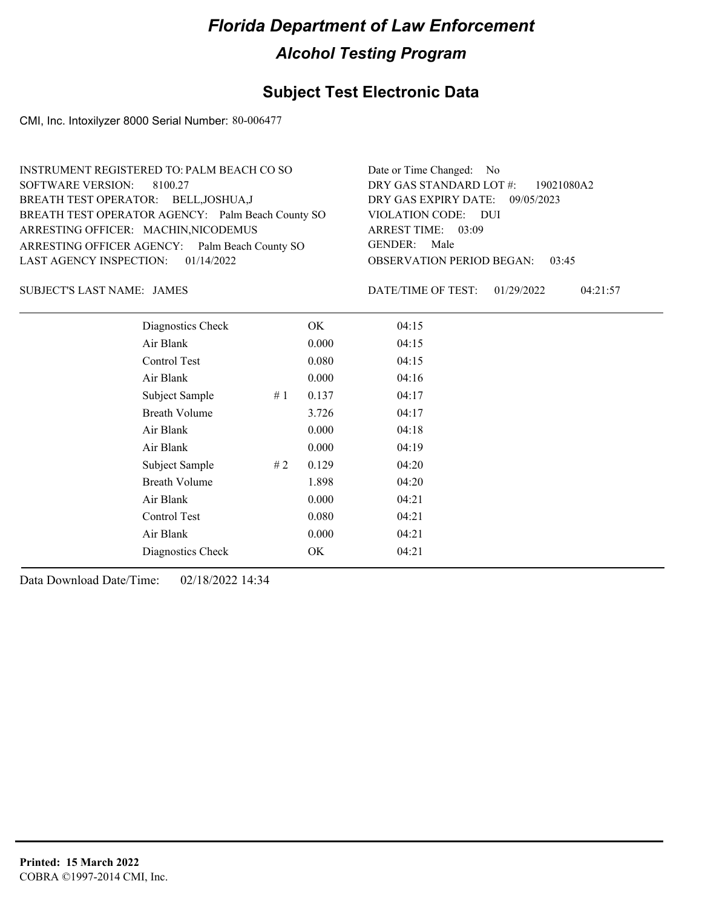## **Subject Test Electronic Data**

CMI, Inc. Intoxilyzer 8000 Serial Number: 80-006477

| INSTRUMENT REGISTERED TO: PALM BEACH CO SO        | Date or Time Changed: No               |
|---------------------------------------------------|----------------------------------------|
| SOFTWARE VERSION: 8100.27                         | DRY GAS STANDARD LOT #: 19021080A2     |
| BREATH TEST OPERATOR: BELL, JOSHUA, J             | DRY GAS EXPIRY DATE: 09/05/2023        |
| BREATH TEST OPERATOR AGENCY: Palm Beach County SO | VIOLATION CODE: DUI                    |
| ARRESTING OFFICER: MACHIN, NICODEMUS              | ARREST TIME: 03:09                     |
| ARRESTING OFFICER AGENCY: Palm Beach County SO    | GENDER: Male                           |
| LAST AGENCY INSPECTION: 01/14/2022                | <b>OBSERVATION PERIOD BEGAN: 03:45</b> |
|                                                   |                                        |

JAMES SUBJECT'S LAST NAME: DATE/TIME OF TEST:

DATE/TIME OF TEST: 01/29/2022 04:21:57

| Diagnostics Check    |    | OK    | 04:15 |  |
|----------------------|----|-------|-------|--|
| Air Blank            |    | 0.000 | 04:15 |  |
| Control Test         |    | 0.080 | 04:15 |  |
| Air Blank            |    | 0.000 | 04:16 |  |
| Subject Sample       | #1 | 0.137 | 04:17 |  |
| <b>Breath Volume</b> |    | 3.726 | 04:17 |  |
| Air Blank            |    | 0.000 | 04:18 |  |
| Air Blank            |    | 0.000 | 04:19 |  |
| Subject Sample       | #2 | 0.129 | 04:20 |  |
| <b>Breath Volume</b> |    | 1.898 | 04:20 |  |
| Air Blank            |    | 0.000 | 04:21 |  |
| Control Test         |    | 0.080 | 04:21 |  |
| Air Blank            |    | 0.000 | 04:21 |  |
| Diagnostics Check    |    | OK    | 04:21 |  |
|                      |    |       |       |  |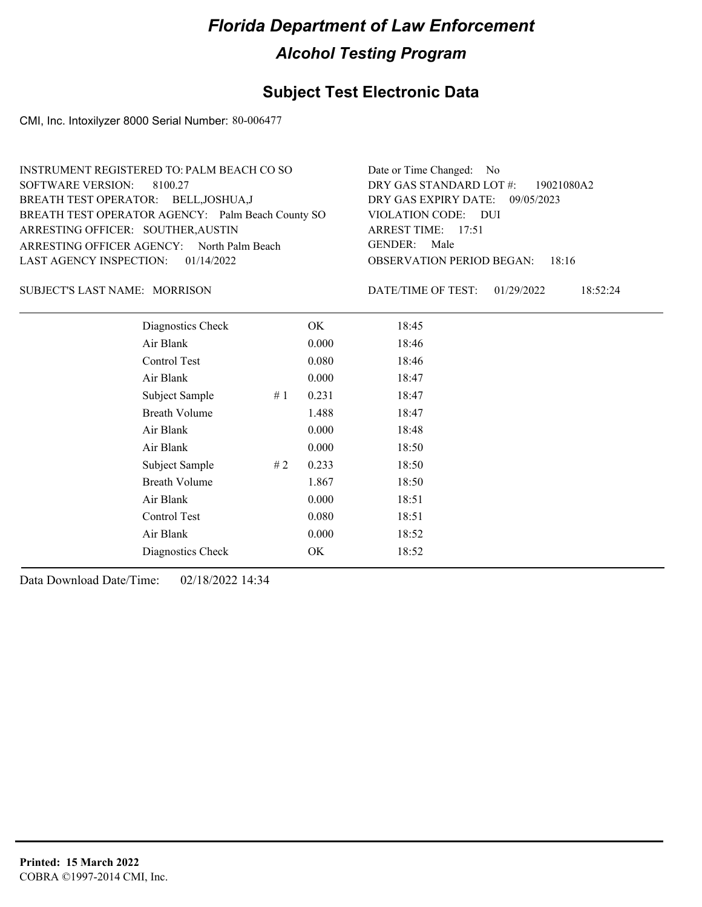## **Subject Test Electronic Data**

CMI, Inc. Intoxilyzer 8000 Serial Number: 80-006477

| INSTRUMENT REGISTERED TO: PALM BEACH CO SO        | Date or Time Changed: No               |
|---------------------------------------------------|----------------------------------------|
| SOFTWARE VERSION: 8100.27                         | DRY GAS STANDARD LOT #: 19021080A2     |
| BREATH TEST OPERATOR: BELL, JOSHUA, J             | DRY GAS EXPIRY DATE: 09/05/2023        |
| BREATH TEST OPERATOR AGENCY: Palm Beach County SO | VIOLATION CODE: DUI                    |
| ARRESTING OFFICER: SOUTHER, AUSTIN                | ARREST TIME: 17:51                     |
| ARRESTING OFFICER AGENCY: North Palm Beach        | GENDER: Male                           |
| LAST AGENCY INSPECTION: $01/14/2022$              | <b>OBSERVATION PERIOD BEGAN: 18:16</b> |
|                                                   |                                        |

### SUBJECT'S LAST NAME: MORRISON DATE/TIME OF TEST:

DATE/TIME OF TEST: 01/29/2022 18:52:24

| Diagnostics Check    |    | OK    | 18:45 |  |
|----------------------|----|-------|-------|--|
| Air Blank            |    | 0.000 | 18:46 |  |
| Control Test         |    | 0.080 | 18:46 |  |
| Air Blank            |    | 0.000 | 18:47 |  |
| Subject Sample       | #1 | 0.231 | 18:47 |  |
| <b>Breath Volume</b> |    | 1.488 | 18:47 |  |
| Air Blank            |    | 0.000 | 18:48 |  |
| Air Blank            |    | 0.000 | 18:50 |  |
| Subject Sample       | #2 | 0.233 | 18:50 |  |
| <b>Breath Volume</b> |    | 1.867 | 18:50 |  |
| Air Blank            |    | 0.000 | 18:51 |  |
| Control Test         |    | 0.080 | 18:51 |  |
| Air Blank            |    | 0.000 | 18:52 |  |
| Diagnostics Check    |    | OK    | 18:52 |  |
|                      |    |       |       |  |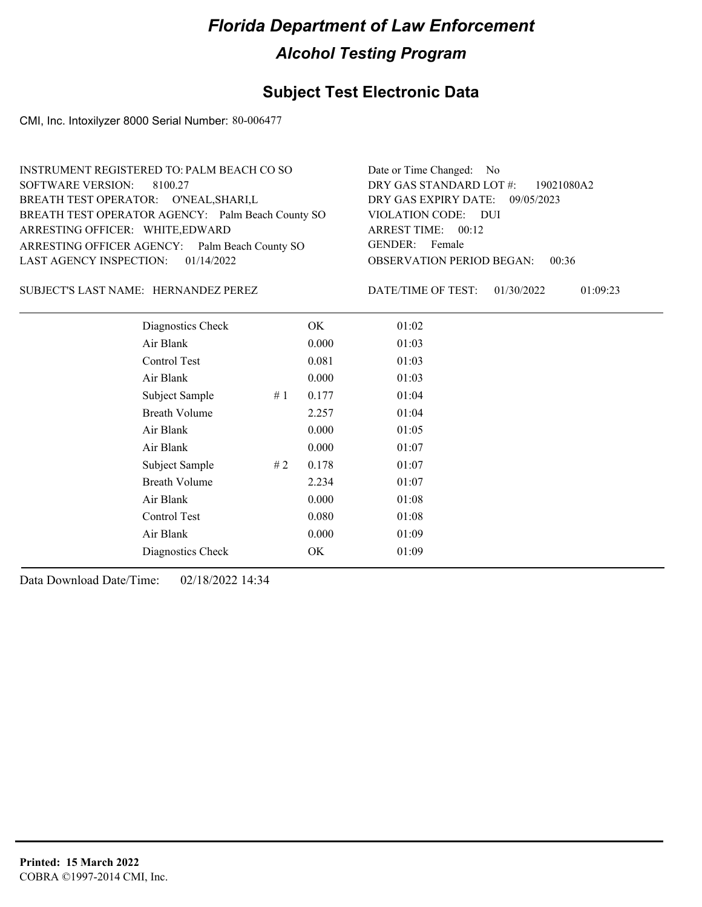## **Subject Test Electronic Data**

CMI, Inc. Intoxilyzer 8000 Serial Number: 80-006477

| INSTRUMENT REGISTERED TO: PALM BEACH CO SO        | Date or Time Changed: No               |
|---------------------------------------------------|----------------------------------------|
| SOFTWARE VERSION: 8100.27                         | DRY GAS STANDARD LOT $\#$ : 19021080A2 |
| BREATH TEST OPERATOR: O'NEAL, SHARI, L            | DRY GAS EXPIRY DATE: 09/05/2023        |
| BREATH TEST OPERATOR AGENCY: Palm Beach County SO | VIOLATION CODE: DUI                    |
| ARRESTING OFFICER: WHITE, EDWARD                  | ARREST TIME: 00:12                     |
| ARRESTING OFFICER AGENCY: Palm Beach County SO    | GENDER: Female                         |
| LAST AGENCY INSPECTION: $01/14/2022$              | <b>OBSERVATION PERIOD BEGAN: 00:36</b> |
|                                                   |                                        |

SUBJECT'S LAST NAME: HERNANDEZ PEREZ DATE/TIME OF TEST:

DATE/TIME OF TEST: 01/30/2022 01:09:23

| Diagnostics Check    |     | OK    | 01:02 |  |
|----------------------|-----|-------|-------|--|
| Air Blank            |     | 0.000 | 01:03 |  |
| Control Test         |     | 0.081 | 01:03 |  |
| Air Blank            |     | 0.000 | 01:03 |  |
| Subject Sample       | #1  | 0.177 | 01:04 |  |
| <b>Breath Volume</b> |     | 2.257 | 01:04 |  |
| Air Blank            |     | 0.000 | 01:05 |  |
| Air Blank            |     | 0.000 | 01:07 |  |
| Subject Sample       | # 2 | 0.178 | 01:07 |  |
| <b>Breath Volume</b> |     | 2.234 | 01:07 |  |
| Air Blank            |     | 0.000 | 01:08 |  |
| Control Test         |     | 0.080 | 01:08 |  |
| Air Blank            |     | 0.000 | 01:09 |  |
| Diagnostics Check    |     | OK    | 01:09 |  |
|                      |     |       |       |  |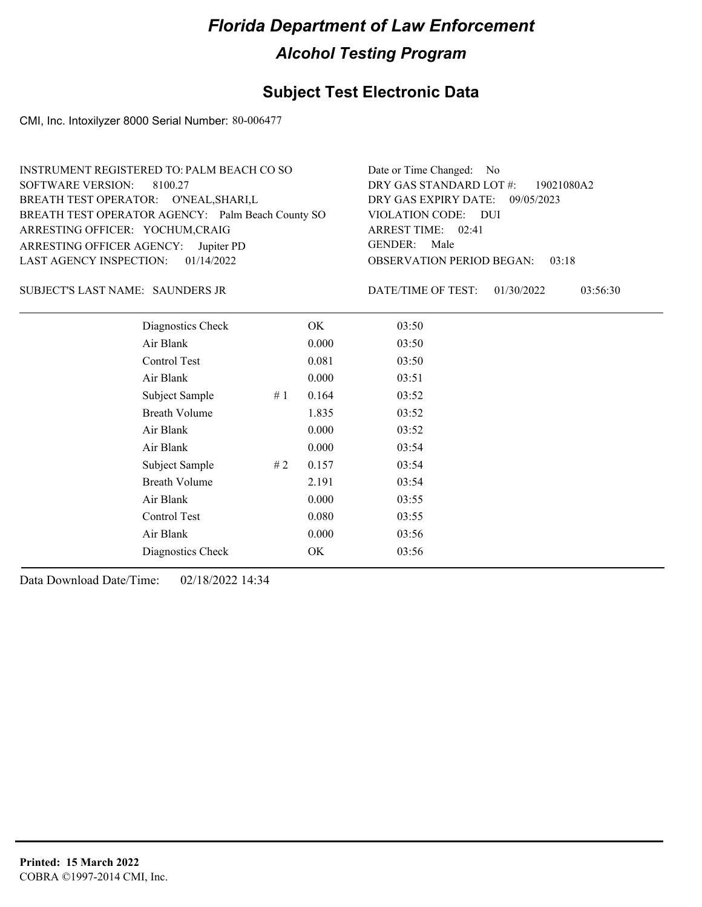## **Subject Test Electronic Data**

CMI, Inc. Intoxilyzer 8000 Serial Number: 80-006477

| INSTRUMENT REGISTERED TO: PALM BEACH CO SO        | Date or Time Changed: No               |
|---------------------------------------------------|----------------------------------------|
| SOFTWARE VERSION: 8100.27                         | DRY GAS STANDARD LOT #: 19021080A2     |
| BREATH TEST OPERATOR: O'NEAL, SHARI, L            | DRY GAS EXPIRY DATE: 09/05/2023        |
| BREATH TEST OPERATOR AGENCY: Palm Beach County SO | VIOLATION CODE: DUI                    |
| ARRESTING OFFICER: YOCHUM, CRAIG                  | ARREST TIME: 02:41                     |
| ARRESTING OFFICER AGENCY: Jupiter PD              | GENDER: Male                           |
| LAST AGENCY INSPECTION: $01/14/2022$              | <b>OBSERVATION PERIOD BEGAN: 03:18</b> |
|                                                   |                                        |

### SAUNDERS JR SUBJECT'S LAST NAME: DATE/TIME OF TEST:

DATE/TIME OF TEST: 01/30/2022 03:56:30

| Diagnostics Check    | OK    | 03:50 |
|----------------------|-------|-------|
| Air Blank            | 0.000 | 03:50 |
| Control Test         | 0.081 | 03:50 |
| Air Blank            | 0.000 | 03:51 |
| Subject Sample<br>#1 | 0.164 | 03:52 |
| <b>Breath Volume</b> | 1.835 | 03:52 |
| Air Blank            | 0.000 | 03:52 |
| Air Blank            | 0.000 | 03:54 |
| Subject Sample<br>#2 | 0.157 | 03:54 |
| <b>Breath Volume</b> | 2.191 | 03:54 |
| Air Blank            | 0.000 | 03:55 |
| Control Test         | 0.080 | 03:55 |
| Air Blank            | 0.000 | 03:56 |
| Diagnostics Check    | OK    | 03:56 |
|                      |       |       |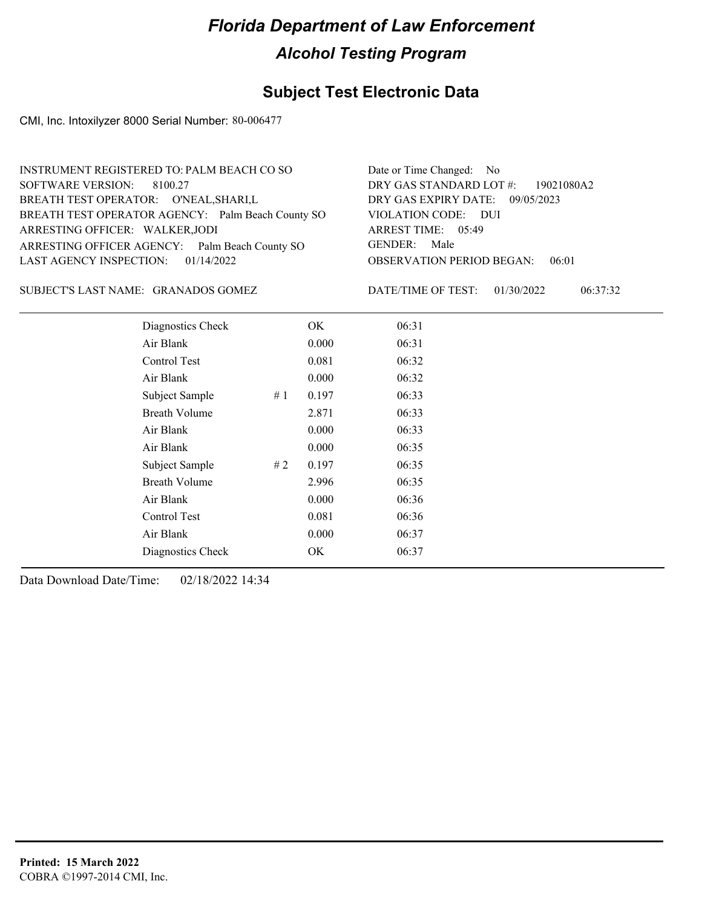## **Subject Test Electronic Data**

CMI, Inc. Intoxilyzer 8000 Serial Number: 80-006477

| INSTRUMENT REGISTERED TO: PALM BEACH CO SO        | Date or Time Changed: No               |
|---------------------------------------------------|----------------------------------------|
| SOFTWARE VERSION: 8100.27                         | DRY GAS STANDARD LOT #: 19021080A2     |
| BREATH TEST OPERATOR: O'NEAL, SHARI, L            | DRY GAS EXPIRY DATE: 09/05/2023        |
| BREATH TEST OPERATOR AGENCY: Palm Beach County SO | VIOLATION CODE: DUI                    |
| ARRESTING OFFICER: WALKER, JODI                   | ARREST TIME: 05:49                     |
| ARRESTING OFFICER AGENCY: Palm Beach County SO    | GENDER: Male                           |
| LAST AGENCY INSPECTION: $01/14/2022$              | <b>OBSERVATION PERIOD BEGAN: 06:01</b> |
|                                                   |                                        |

GRANADOS GOMEZ SUBJECT'S LAST NAME: DATE/TIME OF TEST:

DATE/TIME OF TEST: 01/30/2022 06:37:32

| Diagnostics Check    |    | OK    | 06:31 |  |
|----------------------|----|-------|-------|--|
| Air Blank            |    | 0.000 | 06:31 |  |
| Control Test         |    | 0.081 | 06:32 |  |
| Air Blank            |    | 0.000 | 06:32 |  |
| Subject Sample       | #1 | 0.197 | 06:33 |  |
| <b>Breath Volume</b> |    | 2.871 | 06:33 |  |
| Air Blank            |    | 0.000 | 06:33 |  |
| Air Blank            |    | 0.000 | 06:35 |  |
| Subject Sample       | #2 | 0.197 | 06:35 |  |
| <b>Breath Volume</b> |    | 2.996 | 06:35 |  |
| Air Blank            |    | 0.000 | 06:36 |  |
| Control Test         |    | 0.081 | 06:36 |  |
| Air Blank            |    | 0.000 | 06:37 |  |
| Diagnostics Check    |    | OK    | 06:37 |  |
|                      |    |       |       |  |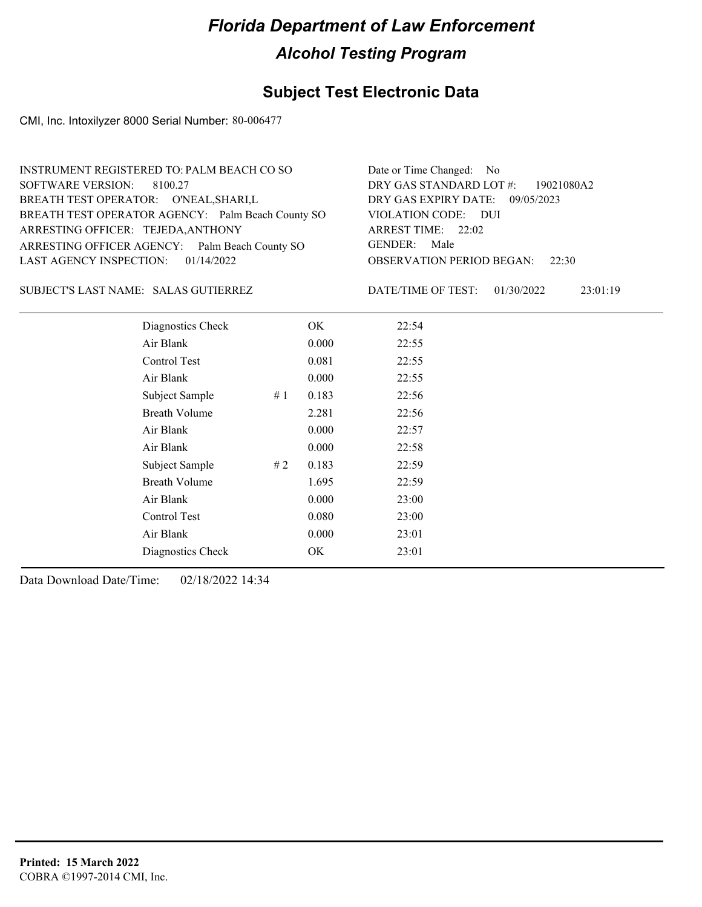## **Subject Test Electronic Data**

CMI, Inc. Intoxilyzer 8000 Serial Number: 80-006477

| INSTRUMENT REGISTERED TO: PALM BEACH CO SO        | Date or Time Changed: No               |
|---------------------------------------------------|----------------------------------------|
| SOFTWARE VERSION: 8100.27                         | DRY GAS STANDARD LOT $\#$ : 19021080A2 |
| BREATH TEST OPERATOR: O'NEAL, SHARI, L            | DRY GAS EXPIRY DATE: 09/05/2023        |
| BREATH TEST OPERATOR AGENCY: Palm Beach County SO | VIOLATION CODE: DUI                    |
| ARRESTING OFFICER: TEJEDA, ANTHONY                | ARREST TIME: 22:02                     |
| ARRESTING OFFICER AGENCY: Palm Beach County SO    | GENDER: Male                           |
| LAST AGENCY INSPECTION: 01/14/2022                | <b>OBSERVATION PERIOD BEGAN: 22:30</b> |
|                                                   |                                        |

### SUBJECT'S LAST NAME: SALAS GUTIERREZ DATE/TIME OF TEST:

DATE/TIME OF TEST: 01/30/2022 23:01:19

| Diagnostics Check    |    | OK    | 22:54 |
|----------------------|----|-------|-------|
| Air Blank            |    | 0.000 | 22:55 |
| Control Test         |    | 0.081 | 22:55 |
| Air Blank            |    | 0.000 | 22:55 |
| Subject Sample       | #1 | 0.183 | 22:56 |
| <b>Breath Volume</b> |    | 2.281 | 22:56 |
| Air Blank            |    | 0.000 | 22:57 |
| Air Blank            |    | 0.000 | 22:58 |
| Subject Sample       | #2 | 0.183 | 22:59 |
| <b>Breath Volume</b> |    | 1.695 | 22:59 |
| Air Blank            |    | 0.000 | 23:00 |
| Control Test         |    | 0.080 | 23:00 |
| Air Blank            |    | 0.000 | 23:01 |
| Diagnostics Check    |    | OK    | 23:01 |
|                      |    |       |       |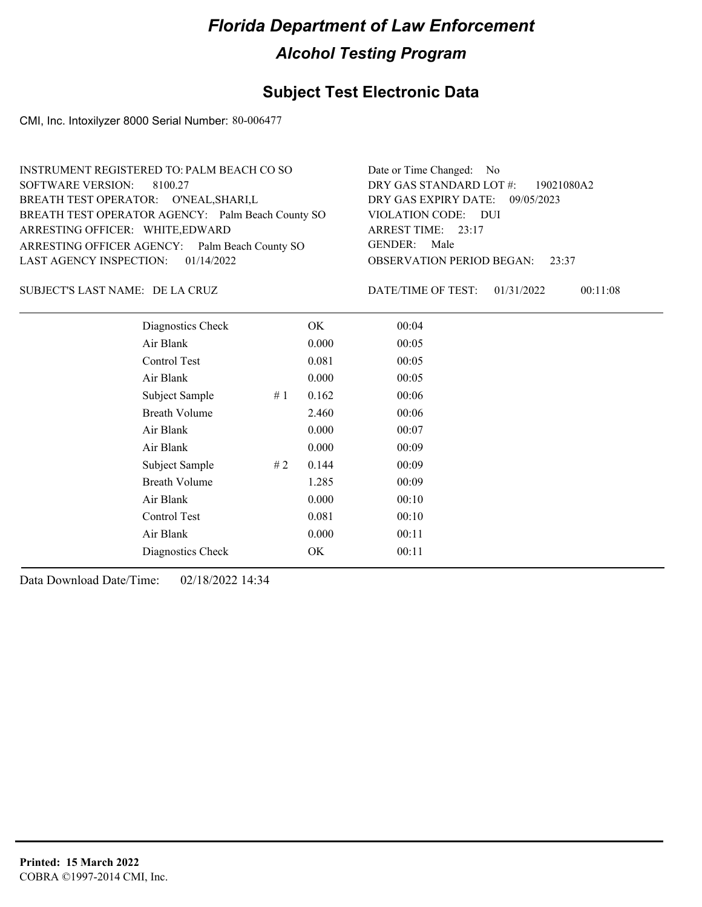## **Subject Test Electronic Data**

CMI, Inc. Intoxilyzer 8000 Serial Number: 80-006477

| INSTRUMENT REGISTERED TO: PALM BEACH CO SO        | Date or Time Changed: No               |
|---------------------------------------------------|----------------------------------------|
| SOFTWARE VERSION: 8100.27                         | DRY GAS STANDARD LOT #: 19021080A2     |
| BREATH TEST OPERATOR: O'NEAL, SHARI, L            | DRY GAS EXPIRY DATE: 09/05/2023        |
| BREATH TEST OPERATOR AGENCY: Palm Beach County SO | VIOLATION CODE: DUI                    |
| ARRESTING OFFICER: WHITE, EDWARD                  | ARREST TIME: 23:17                     |
| ARRESTING OFFICER AGENCY: Palm Beach County SO    | GENDER: Male                           |
| LAST AGENCY INSPECTION: 01/14/2022                | <b>OBSERVATION PERIOD BEGAN: 23:37</b> |
|                                                   |                                        |

DE LA CRUZ SUBJECT'S LAST NAME: DATE/TIME OF TEST:

DATE/TIME OF TEST: 01/31/2022 00:11:08

| Diagnostics Check    |    | OK    | 00:04 |
|----------------------|----|-------|-------|
| Air Blank            |    | 0.000 | 00:05 |
| Control Test         |    | 0.081 | 00:05 |
| Air Blank            |    | 0.000 | 00:05 |
| Subject Sample       | #1 | 0.162 | 00:06 |
| <b>Breath Volume</b> |    | 2.460 | 00:06 |
| Air Blank            |    | 0.000 | 00:07 |
| Air Blank            |    | 0.000 | 00:09 |
| Subject Sample       | #2 | 0.144 | 00:09 |
| <b>Breath Volume</b> |    | 1.285 | 00:09 |
| Air Blank            |    | 0.000 | 00:10 |
| Control Test         |    | 0.081 | 00:10 |
| Air Blank            |    | 0.000 | 00:11 |
| Diagnostics Check    |    | OK    | 00:11 |
|                      |    |       |       |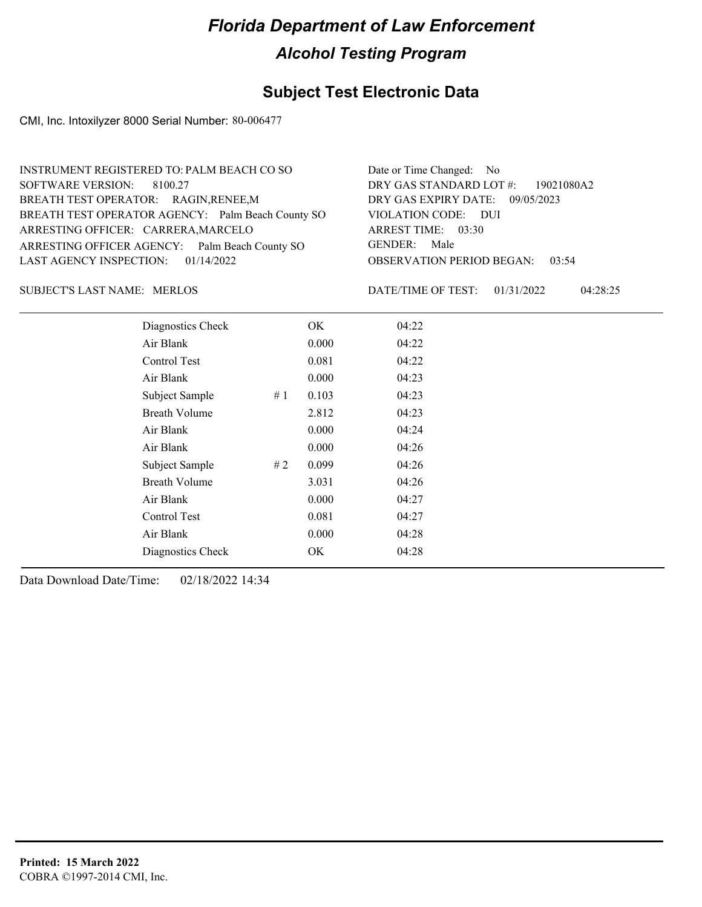## **Subject Test Electronic Data**

CMI, Inc. Intoxilyzer 8000 Serial Number: 80-006477

| INSTRUMENT REGISTERED TO: PALM BEACH CO SO        | Date or Time Changed: No               |
|---------------------------------------------------|----------------------------------------|
| SOFTWARE VERSION: 8100.27                         | DRY GAS STANDARD LOT #: 19021080A2     |
| BREATH TEST OPERATOR: RAGIN, RENEE, M             | DRY GAS EXPIRY DATE: 09/05/2023        |
| BREATH TEST OPERATOR AGENCY: Palm Beach County SO | VIOLATION CODE: DUI                    |
| ARRESTING OFFICER: CARRERA, MARCELO               | ARREST TIME: 03:30                     |
| ARRESTING OFFICER AGENCY: Palm Beach County SO    | GENDER: Male                           |
| LAST AGENCY INSPECTION: 01/14/2022                | <b>OBSERVATION PERIOD BEGAN: 03:54</b> |
|                                                   |                                        |

### SUBJECT'S LAST NAME: MERLOS DATE/TIME OF TEST:

DATE/TIME OF TEST: 01/31/2022 04:28:25

| Diagnostics Check    |    | OK    | 04:22 |
|----------------------|----|-------|-------|
| Air Blank            |    | 0.000 | 04:22 |
| Control Test         |    | 0.081 | 04:22 |
| Air Blank            |    | 0.000 | 04:23 |
| Subject Sample       | #1 | 0.103 | 04:23 |
| <b>Breath Volume</b> |    | 2.812 | 04:23 |
| Air Blank            |    | 0.000 | 04:24 |
| Air Blank            |    | 0.000 | 04:26 |
| Subject Sample       | #2 | 0.099 | 04:26 |
| <b>Breath Volume</b> |    | 3.031 | 04:26 |
| Air Blank            |    | 0.000 | 04:27 |
| Control Test         |    | 0.081 | 04:27 |
| Air Blank            |    | 0.000 | 04:28 |
| Diagnostics Check    |    | OK    | 04:28 |
|                      |    |       |       |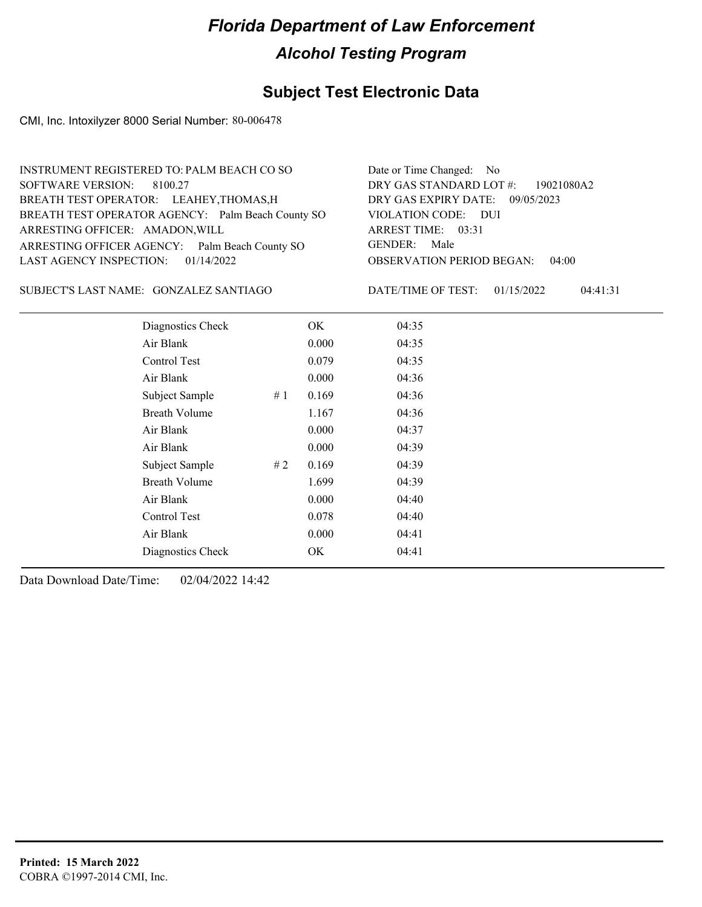## **Subject Test Electronic Data**

CMI, Inc. Intoxilyzer 8000 Serial Number: 80-006478

| INSTRUMENT REGISTERED TO: PALM BEACH CO SO        | Date or Time Changed: No               |
|---------------------------------------------------|----------------------------------------|
| SOFTWARE VERSION: 8100.27                         | DRY GAS STANDARD LOT #: 19021080A2     |
| BREATH TEST OPERATOR: LEAHEY, THOMAS, H           | DRY GAS EXPIRY DATE: 09/05/2023        |
| BREATH TEST OPERATOR AGENCY: Palm Beach County SO | VIOLATION CODE: DUI                    |
| ARRESTING OFFICER: AMADON, WILL                   | ARREST TIME: 03:31                     |
| ARRESTING OFFICER AGENCY: Palm Beach County SO    | GENDER: Male                           |
| LAST AGENCY INSPECTION: $01/14/2022$              | <b>OBSERVATION PERIOD BEGAN: 04:00</b> |
|                                                   |                                        |

SUBJECT'S LAST NAME: GONZALEZ SANTIAGO DATE/TIME OF TEST:

DATE/TIME OF TEST: 01/15/2022 04:41:31

| Diagnostics Check    |    | OK    | 04:35 |
|----------------------|----|-------|-------|
| Air Blank            |    | 0.000 | 04:35 |
| Control Test         |    | 0.079 | 04:35 |
| Air Blank            |    | 0.000 | 04:36 |
| Subject Sample       | #1 | 0.169 | 04:36 |
| <b>Breath Volume</b> |    | 1.167 | 04:36 |
| Air Blank            |    | 0.000 | 04:37 |
| Air Blank            |    | 0.000 | 04:39 |
| Subject Sample       | #2 | 0.169 | 04:39 |
| <b>Breath Volume</b> |    | 1.699 | 04:39 |
| Air Blank            |    | 0.000 | 04:40 |
| Control Test         |    | 0.078 | 04:40 |
| Air Blank            |    | 0.000 | 04:41 |
| Diagnostics Check    |    | OK    | 04:41 |
|                      |    |       |       |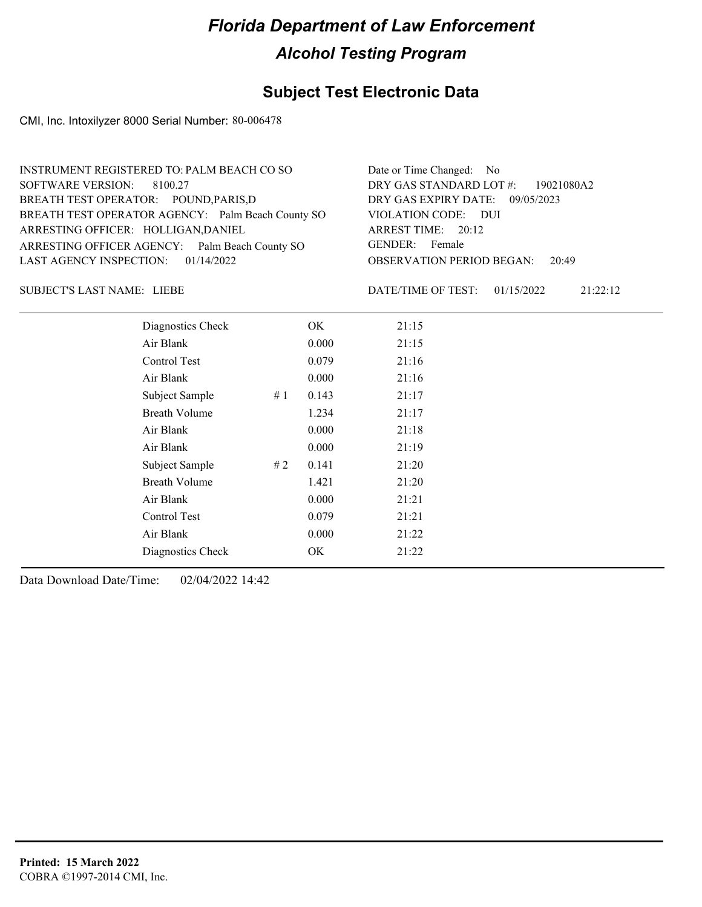## **Subject Test Electronic Data**

CMI, Inc. Intoxilyzer 8000 Serial Number: 80-006478

| INSTRUMENT REGISTERED TO: PALM BEACH CO SO        | Date or Time Changed: No               |
|---------------------------------------------------|----------------------------------------|
| SOFTWARE VERSION: 8100.27                         | DRY GAS STANDARD LOT #: 19021080A2     |
| BREATH TEST OPERATOR: POUND, PARIS, D             | DRY GAS EXPIRY DATE: 09/05/2023        |
| BREATH TEST OPERATOR AGENCY: Palm Beach County SO | VIOLATION CODE: DUI                    |
| ARRESTING OFFICER: HOLLIGAN, DANIEL               | ARREST TIME: 20:12                     |
| ARRESTING OFFICER AGENCY: Palm Beach County SO    | GENDER: Female                         |
| LAST AGENCY INSPECTION: $01/14/2022$              | <b>OBSERVATION PERIOD BEGAN: 20:49</b> |
|                                                   |                                        |

LIEBE SUBJECT'S LAST NAME: DATE/TIME OF TEST:

DATE/TIME OF TEST: 01/15/2022 21:22:12

| Diagnostics Check    |    | OK    | 21:15 |
|----------------------|----|-------|-------|
| Air Blank            |    | 0.000 | 21:15 |
| Control Test         |    | 0.079 | 21:16 |
| Air Blank            |    | 0.000 | 21:16 |
| Subject Sample       | #1 | 0.143 | 21:17 |
| <b>Breath Volume</b> |    | 1.234 | 21:17 |
| Air Blank            |    | 0.000 | 21:18 |
| Air Blank            |    | 0.000 | 21:19 |
| Subject Sample       | #2 | 0.141 | 21:20 |
| <b>Breath Volume</b> |    | 1.421 | 21:20 |
| Air Blank            |    | 0.000 | 21:21 |
| Control Test         |    | 0.079 | 21:21 |
| Air Blank            |    | 0.000 | 21:22 |
| Diagnostics Check    |    | OK    | 21:22 |
|                      |    |       |       |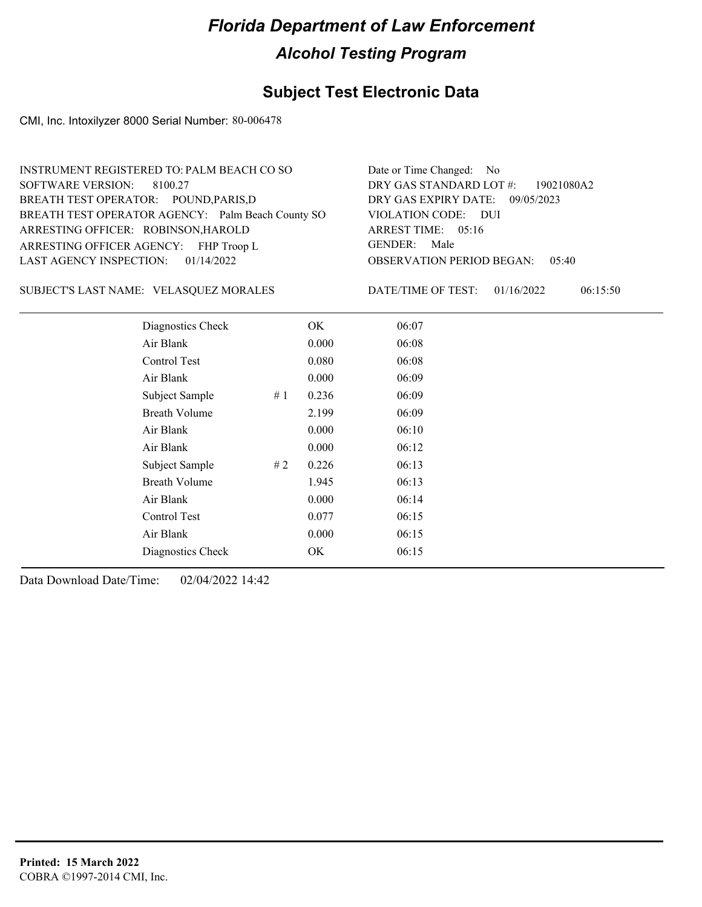## **Subject Test Electronic Data**

CMI, Inc. Intoxilyzer 8000 Serial Number: 80-006478

| INSTRUMENT REGISTERED TO: PALM BEACH CO SO        | Date or Time Changed: No               |
|---------------------------------------------------|----------------------------------------|
| SOFTWARE VERSION: 8100.27                         | DRY GAS STANDARD LOT $\#$ : 19021080A2 |
| BREATH TEST OPERATOR: POUND, PARIS, D             | DRY GAS EXPIRY DATE: 09/05/2023        |
| BREATH TEST OPERATOR AGENCY: Palm Beach County SO | VIOLATION CODE: DUI                    |
| ARRESTING OFFICER: ROBINSON, HAROLD               | ARREST TIME: 05:16                     |
| ARRESTING OFFICER AGENCY: FHP Troop L             | GENDER: Male                           |
| LAST AGENCY INSPECTION: $01/14/2022$              | <b>OBSERVATION PERIOD BEGAN: 05:40</b> |
|                                                   |                                        |

SUBJECT'S LAST NAME: VELASQUEZ MORALES DATE/TIME OF TEST:

DATE/TIME OF TEST: 01/16/2022 06:15:50

| Diagnostics Check    |    | OK    | 06:07 |  |
|----------------------|----|-------|-------|--|
| Air Blank            |    | 0.000 | 06:08 |  |
| Control Test         |    | 0.080 | 06:08 |  |
| Air Blank            |    | 0.000 | 06:09 |  |
| Subject Sample       | #1 | 0.236 | 06:09 |  |
| <b>Breath Volume</b> |    | 2.199 | 06:09 |  |
| Air Blank            |    | 0.000 | 06:10 |  |
| Air Blank            |    | 0.000 | 06:12 |  |
| Subject Sample       | #2 | 0.226 | 06:13 |  |
| <b>Breath Volume</b> |    | 1.945 | 06:13 |  |
| Air Blank            |    | 0.000 | 06:14 |  |
| Control Test         |    | 0.077 | 06:15 |  |
| Air Blank            |    | 0.000 | 06:15 |  |
| Diagnostics Check    |    | OK    | 06:15 |  |
|                      |    |       |       |  |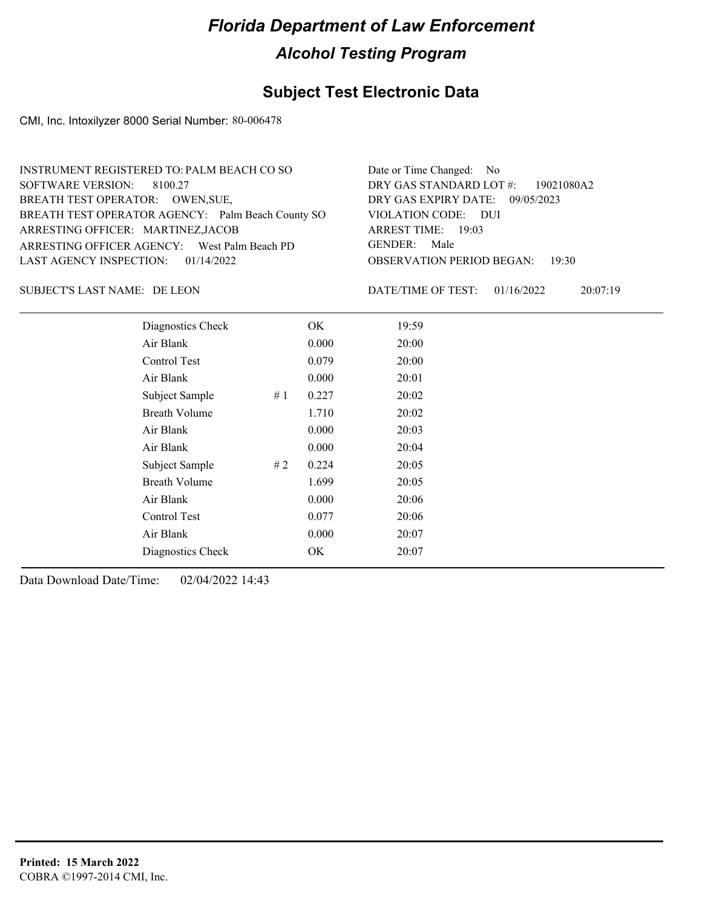## **Subject Test Electronic Data**

CMI, Inc. Intoxilyzer 8000 Serial Number: 80-006478

| INSTRUMENT REGISTERED TO: PALM BEACH CO SO        | Date or Time Changed: No               |
|---------------------------------------------------|----------------------------------------|
| SOFTWARE VERSION: 8100.27                         | DRY GAS STANDARD LOT #: 19021080A2     |
| BREATH TEST OPERATOR: OWEN, SUE,                  | DRY GAS EXPIRY DATE: 09/05/2023        |
| BREATH TEST OPERATOR AGENCY: Palm Beach County SO | VIOLATION CODE: DUI                    |
| ARRESTING OFFICER: MARTINEZ, JACOB                | ARREST TIME: 19:03                     |
| ARRESTING OFFICER AGENCY: West Palm Beach PD      | GENDER: Male                           |
| LAST AGENCY INSPECTION: $01/14/2022$              | <b>OBSERVATION PERIOD BEGAN: 19:30</b> |
|                                                   |                                        |

### SUBJECT'S LAST NAME: DE LEON DATE/TIME OF TEST:

DATE/TIME OF TEST: 01/16/2022 20:07:19

| Diagnostics Check    |    | OK    | 19:59 |
|----------------------|----|-------|-------|
| Air Blank            |    | 0.000 | 20:00 |
| <b>Control Test</b>  |    | 0.079 | 20:00 |
| Air Blank            |    | 0.000 | 20:01 |
| Subject Sample       | #1 | 0.227 | 20:02 |
| <b>Breath Volume</b> |    | 1.710 | 20:02 |
| Air Blank            |    | 0.000 | 20:03 |
| Air Blank            |    | 0.000 | 20:04 |
| Subject Sample       | #2 | 0.224 | 20:05 |
| <b>Breath Volume</b> |    | 1.699 | 20:05 |
| Air Blank            |    | 0.000 | 20:06 |
| Control Test         |    | 0.077 | 20:06 |
| Air Blank            |    | 0.000 | 20:07 |
| Diagnostics Check    |    | OK    | 20:07 |
|                      |    |       |       |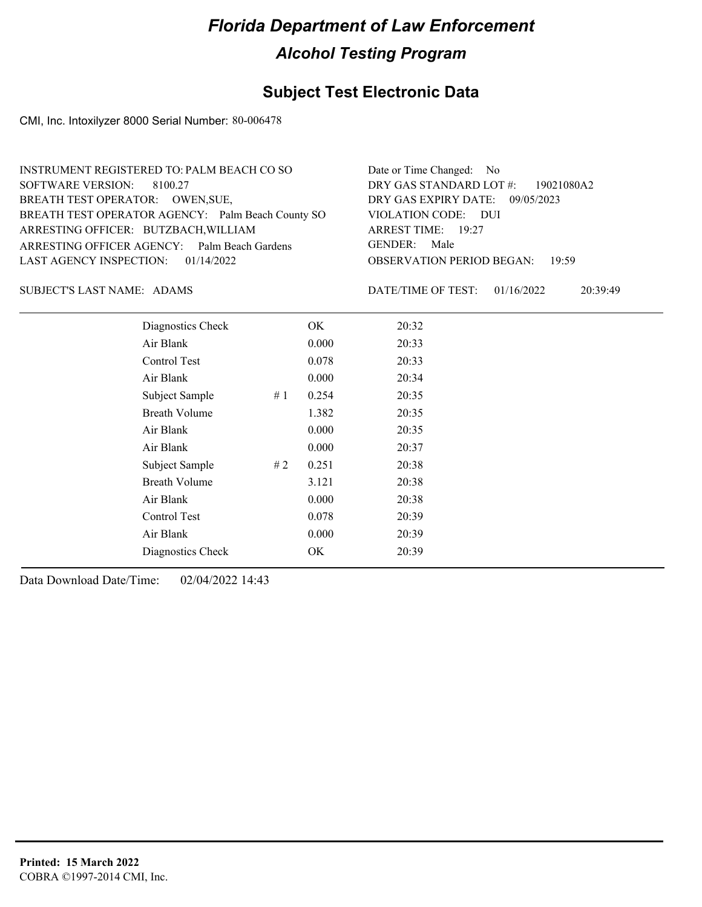## **Subject Test Electronic Data**

CMI, Inc. Intoxilyzer 8000 Serial Number: 80-006478

| INSTRUMENT REGISTERED TO: PALM BEACH CO SO        | Date or Time Changed: No               |
|---------------------------------------------------|----------------------------------------|
| SOFTWARE VERSION: 8100.27                         | DRY GAS STANDARD LOT #: 19021080A2     |
| BREATH TEST OPERATOR: OWEN, SUE,                  | DRY GAS EXPIRY DATE: 09/05/2023        |
| BREATH TEST OPERATOR AGENCY: Palm Beach County SO | VIOLATION CODE: DUI                    |
| ARRESTING OFFICER: BUTZBACH, WILLIAM              | ARREST TIME: 19:27                     |
| ARRESTING OFFICER AGENCY: Palm Beach Gardens      | GENDER: Male                           |
| LAST AGENCY INSPECTION: $01/14/2022$              | <b>OBSERVATION PERIOD BEGAN: 19:59</b> |
|                                                   |                                        |

SUBJECT'S LAST NAME: ADAMS DATE/TIME OF TEST:

DATE/TIME OF TEST: 01/16/2022 20:39:49

| Diagnostics Check    |    | OK    | 20:32 |  |
|----------------------|----|-------|-------|--|
| Air Blank            |    | 0.000 | 20:33 |  |
| Control Test         |    | 0.078 | 20:33 |  |
| Air Blank            |    | 0.000 | 20:34 |  |
| Subject Sample       | #1 | 0.254 | 20:35 |  |
| <b>Breath Volume</b> |    | 1.382 | 20:35 |  |
| Air Blank            |    | 0.000 | 20:35 |  |
| Air Blank            |    | 0.000 | 20:37 |  |
| Subject Sample       | #2 | 0.251 | 20:38 |  |
| <b>Breath Volume</b> |    | 3.121 | 20:38 |  |
| Air Blank            |    | 0.000 | 20:38 |  |
| Control Test         |    | 0.078 | 20:39 |  |
| Air Blank            |    | 0.000 | 20:39 |  |
| Diagnostics Check    |    | OK    | 20:39 |  |
|                      |    |       |       |  |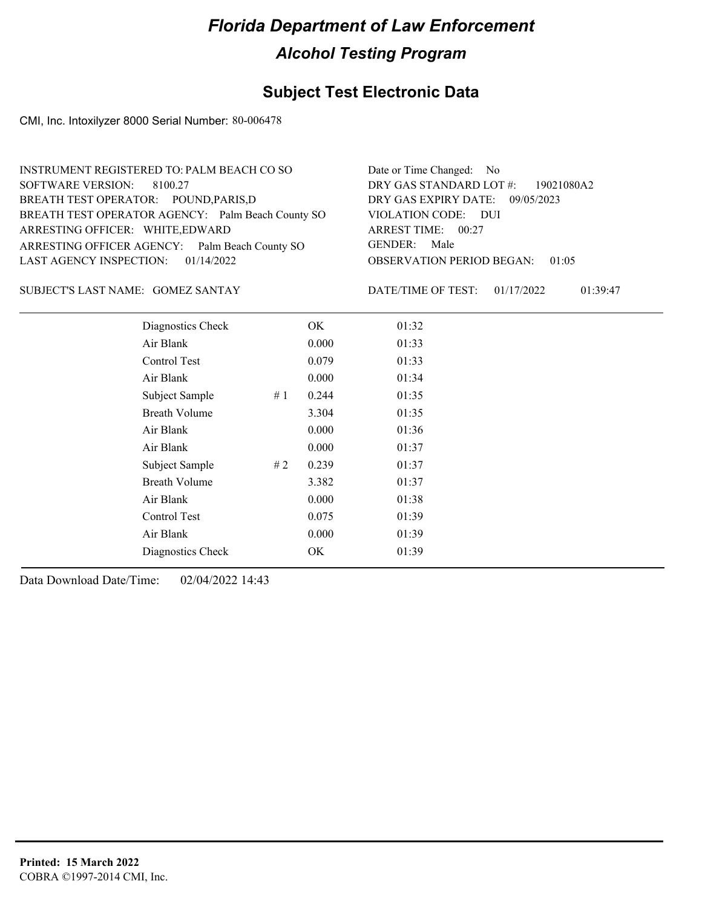## **Subject Test Electronic Data**

CMI, Inc. Intoxilyzer 8000 Serial Number: 80-006478

| INSTRUMENT REGISTERED TO: PALM BEACH CO SO        | Date or Time Changed: No               |
|---------------------------------------------------|----------------------------------------|
| SOFTWARE VERSION: 8100.27                         | DRY GAS STANDARD LOT #: 19021080A2     |
| BREATH TEST OPERATOR: POUND, PARIS, D             | DRY GAS EXPIRY DATE: 09/05/2023        |
| BREATH TEST OPERATOR AGENCY: Palm Beach County SO | VIOLATION CODE: DUI                    |
| ARRESTING OFFICER: WHITE, EDWARD                  | ARREST TIME: 00:27                     |
| ARRESTING OFFICER AGENCY: Palm Beach County SO    | GENDER: Male                           |
| LAST AGENCY INSPECTION: $01/14/2022$              | <b>OBSERVATION PERIOD BEGAN: 01:05</b> |
|                                                   |                                        |

SUBJECT'S LAST NAME: GOMEZ SANTAY DATE/TIME OF TEST:

DATE/TIME OF TEST: 01/17/2022 01:39:47

| Diagnostics Check    |    | OK    | 01:32 |
|----------------------|----|-------|-------|
| Air Blank            |    | 0.000 | 01:33 |
| Control Test         |    | 0.079 | 01:33 |
| Air Blank            |    | 0.000 | 01:34 |
| Subject Sample       | #1 | 0.244 | 01:35 |
| <b>Breath Volume</b> |    | 3.304 | 01:35 |
| Air Blank            |    | 0.000 | 01:36 |
| Air Blank            |    | 0.000 | 01:37 |
| Subject Sample       | #2 | 0.239 | 01:37 |
| <b>Breath Volume</b> |    | 3.382 | 01:37 |
| Air Blank            |    | 0.000 | 01:38 |
| Control Test         |    | 0.075 | 01:39 |
| Air Blank            |    | 0.000 | 01:39 |
| Diagnostics Check    |    | OK    | 01:39 |
|                      |    |       |       |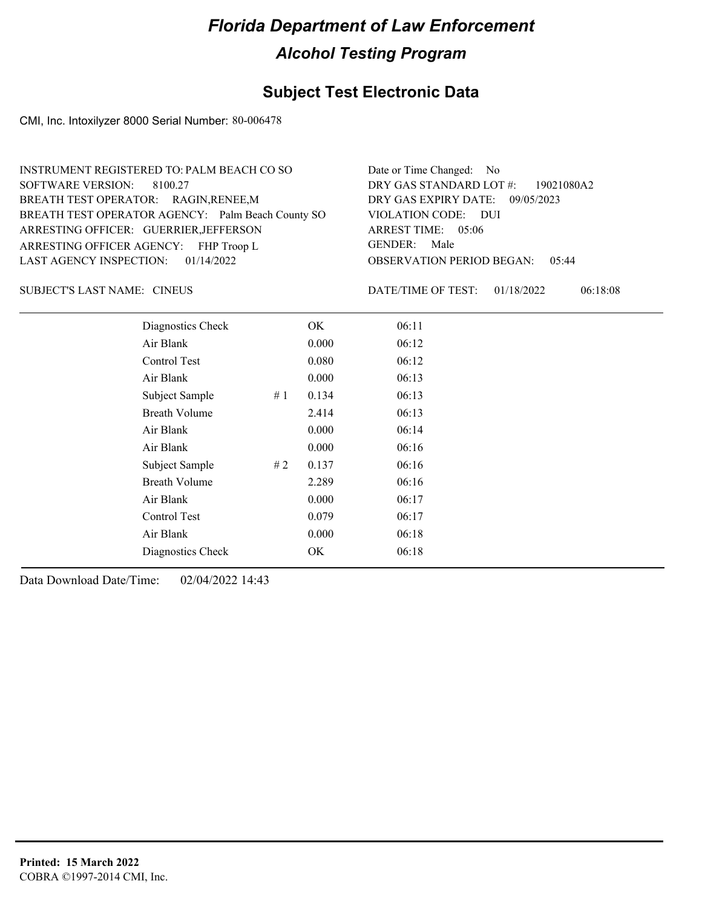## **Subject Test Electronic Data**

CMI, Inc. Intoxilyzer 8000 Serial Number: 80-006478

| INSTRUMENT REGISTERED TO: PALM BEACH CO SO        | Date or Time Changed: No               |
|---------------------------------------------------|----------------------------------------|
| SOFTWARE VERSION: 8100.27                         | DRY GAS STANDARD LOT #: 19021080A2     |
| BREATH TEST OPERATOR: RAGIN, RENEE, M             | DRY GAS EXPIRY DATE: 09/05/2023        |
| BREATH TEST OPERATOR AGENCY: Palm Beach County SO | VIOLATION CODE: DUI                    |
| ARRESTING OFFICER: GUERRIER, JEFFERSON            | ARREST TIME: 05:06                     |
| ARRESTING OFFICER AGENCY: FHP Troop L             | GENDER: Male                           |
| LAST AGENCY INSPECTION: $01/14/2022$              | <b>OBSERVATION PERIOD BEGAN: 05:44</b> |
|                                                   |                                        |

SUBJECT'S LAST NAME: CINEUS **Example 20** OATE/TIME OF TEST:

DATE/TIME OF TEST: 01/18/2022 06:18:08

| Diagnostics Check    |    | OK    | 06:11 |
|----------------------|----|-------|-------|
| Air Blank            |    | 0.000 | 06:12 |
| Control Test         |    | 0.080 | 06:12 |
| Air Blank            |    | 0.000 | 06:13 |
| Subject Sample       | #1 | 0.134 | 06:13 |
| <b>Breath Volume</b> |    | 2.414 | 06:13 |
| Air Blank            |    | 0.000 | 06:14 |
| Air Blank            |    | 0.000 | 06:16 |
| Subject Sample       | #2 | 0.137 | 06:16 |
| <b>Breath Volume</b> |    | 2.289 | 06:16 |
| Air Blank            |    | 0.000 | 06:17 |
| Control Test         |    | 0.079 | 06:17 |
| Air Blank            |    | 0.000 | 06:18 |
| Diagnostics Check    |    | OK    | 06:18 |
|                      |    |       |       |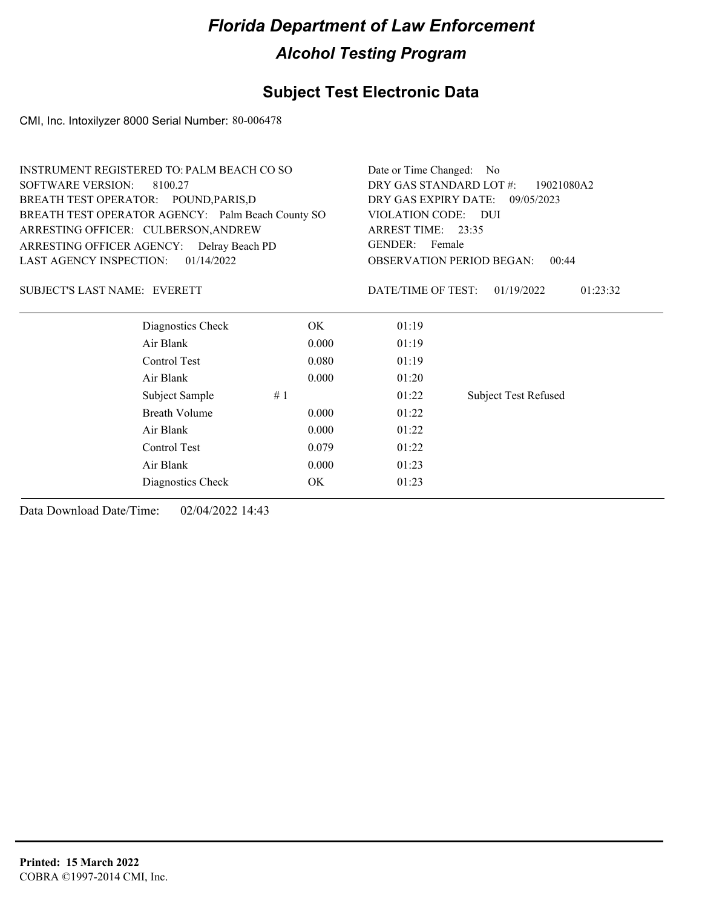## **Subject Test Electronic Data**

CMI, Inc. Intoxilyzer 8000 Serial Number: 80-006478

|                                     | <b>INSTRUMENT REGISTERED TO: PALM BEACH CO SO</b> |       |                                                             | Date or Time Changed: No           |  |
|-------------------------------------|---------------------------------------------------|-------|-------------------------------------------------------------|------------------------------------|--|
| <b>SOFTWARE VERSION:</b><br>8100.27 |                                                   |       | DRY GAS STANDARD LOT #:<br>19021080A2                       |                                    |  |
|                                     | BREATH TEST OPERATOR: POUND, PARIS, D             |       |                                                             | DRY GAS EXPIRY DATE:<br>09/05/2023 |  |
|                                     | BREATH TEST OPERATOR AGENCY: Palm Beach County SO |       | VIOLATION CODE: DUI                                         |                                    |  |
|                                     | ARRESTING OFFICER: CULBERSON, ANDREW              |       | ARREST TIME: 23:35                                          |                                    |  |
|                                     | ARRESTING OFFICER AGENCY: Delray Beach PD         |       | GENDER: Female<br><b>OBSERVATION PERIOD BEGAN:</b><br>00:44 |                                    |  |
| LAST AGENCY INSPECTION:             | 01/14/2022                                        |       |                                                             |                                    |  |
| <b>SUBJECT'S LAST NAME: EVERETT</b> |                                                   |       | DATE/TIME OF TEST:                                          | 01/19/2022<br>01:23:32             |  |
|                                     | Diagnostics Check                                 | OK.   | 01:19                                                       |                                    |  |
|                                     | Air Blank                                         | 0.000 | 01:19                                                       |                                    |  |
|                                     | Control Test                                      | 0.080 | 01:19                                                       |                                    |  |
|                                     | Air Blank                                         | 0.000 | 01:20                                                       |                                    |  |
|                                     | Subject Sample                                    | #1    | 01:22                                                       | <b>Subject Test Refused</b>        |  |
|                                     | <b>Breath Volume</b>                              | 0.000 | 01:22                                                       |                                    |  |
|                                     | Air Blank                                         | 0.000 | 01:22                                                       |                                    |  |
|                                     | Control Test                                      | 0.079 | 01:22                                                       |                                    |  |
|                                     | Air Blank                                         | 0.000 | 01:23                                                       |                                    |  |

Diagnostics Check OK 01:23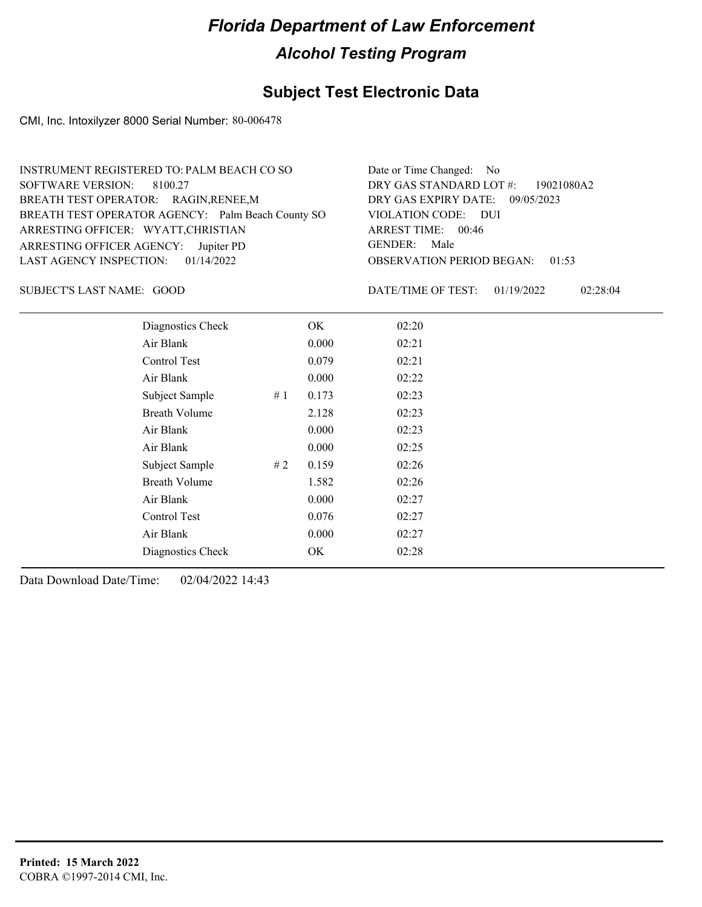## **Subject Test Electronic Data**

CMI, Inc. Intoxilyzer 8000 Serial Number: 80-006478

| Date or Time Changed: No               |
|----------------------------------------|
| DRY GAS STANDARD LOT #: 19021080A2     |
| DRY GAS EXPIRY DATE: 09/05/2023        |
| VIOLATION CODE: DUI                    |
| ARREST TIME: 00:46                     |
| GENDER: Male                           |
| <b>OBSERVATION PERIOD BEGAN: 01:53</b> |
|                                        |

SUBJECT'S LAST NAME: GOOD DATE/TIME OF TEST:

DATE/TIME OF TEST: 01/19/2022 02:28:04

| Diagnostics Check    |    | OK    | 02:20 |
|----------------------|----|-------|-------|
| Air Blank            |    | 0.000 | 02:21 |
| Control Test         |    | 0.079 | 02:21 |
| Air Blank            |    | 0.000 | 02:22 |
| Subject Sample       | #1 | 0.173 | 02:23 |
| <b>Breath Volume</b> |    | 2.128 | 02:23 |
| Air Blank            |    | 0.000 | 02:23 |
| Air Blank            |    | 0.000 | 02:25 |
| Subject Sample       | #2 | 0.159 | 02:26 |
| <b>Breath Volume</b> |    | 1.582 | 02:26 |
| Air Blank            |    | 0.000 | 02:27 |
| Control Test         |    | 0.076 | 02:27 |
| Air Blank            |    | 0.000 | 02:27 |
| Diagnostics Check    |    | OK    | 02:28 |
|                      |    |       |       |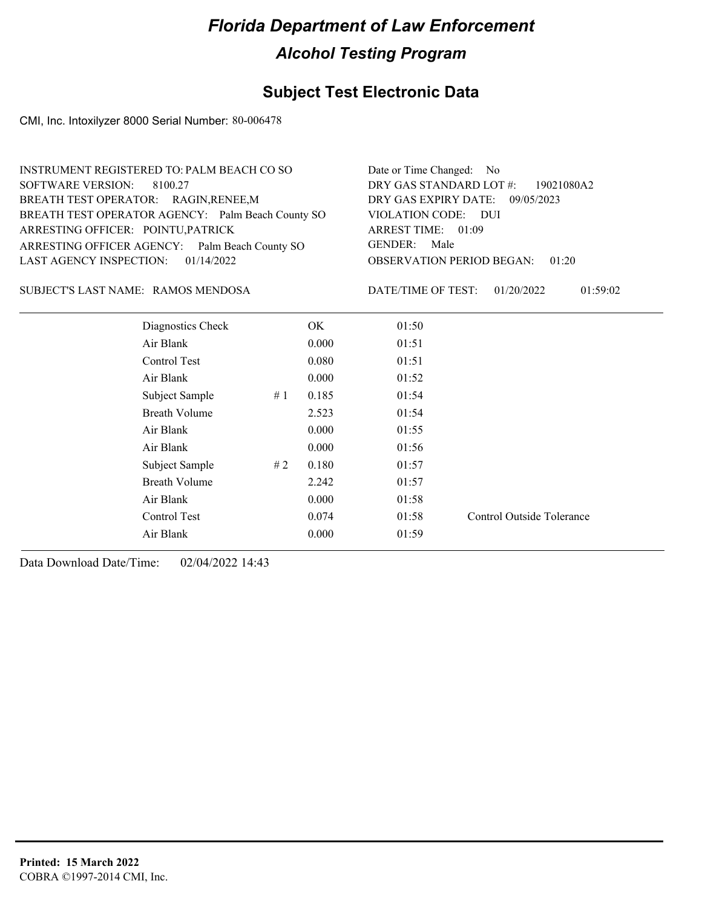### **Subject Test Electronic Data**

CMI, Inc. Intoxilyzer 8000 Serial Number: 80-006478

| INSTRUMENT REGISTERED TO: PALM BEACH CO SO        | Date or Time Changed: No               |
|---------------------------------------------------|----------------------------------------|
| SOFTWARE VERSION: 8100.27                         | DRY GAS STANDARD LOT $\#$ : 19021080A2 |
| BREATH TEST OPERATOR: RAGIN, RENEE, M             | DRY GAS EXPIRY DATE: 09/05/2023        |
| BREATH TEST OPERATOR AGENCY: Palm Beach County SO | VIOLATION CODE: DUI                    |
| ARRESTING OFFICER: POINTU, PATRICK                | ARREST TIME: 01:09                     |
| ARRESTING OFFICER AGENCY: Palm Beach County SO    | GENDER: Male                           |
| LAST AGENCY INSPECTION: $01/14/2022$              | <b>OBSERVATION PERIOD BEGAN: 01:20</b> |
|                                                   |                                        |

RAMOS MENDOSA SUBJECT'S LAST NAME: DATE/TIME OF TEST:

DATE/TIME OF TEST: 01/20/2022 01:59:02

| Diagnostics Check    |    | OK    | 01:50 |                           |
|----------------------|----|-------|-------|---------------------------|
| Air Blank            |    | 0.000 | 01:51 |                           |
| Control Test         |    | 0.080 | 01:51 |                           |
| Air Blank            |    | 0.000 | 01:52 |                           |
| Subject Sample       | #1 | 0.185 | 01:54 |                           |
| <b>Breath Volume</b> |    | 2.523 | 01:54 |                           |
| Air Blank            |    | 0.000 | 01:55 |                           |
| Air Blank            |    | 0.000 | 01:56 |                           |
| Subject Sample       | #2 | 0.180 | 01:57 |                           |
| <b>Breath Volume</b> |    | 2.242 | 01:57 |                           |
| Air Blank            |    | 0.000 | 01:58 |                           |
| Control Test         |    | 0.074 | 01:58 | Control Outside Tolerance |
| Air Blank            |    | 0.000 | 01:59 |                           |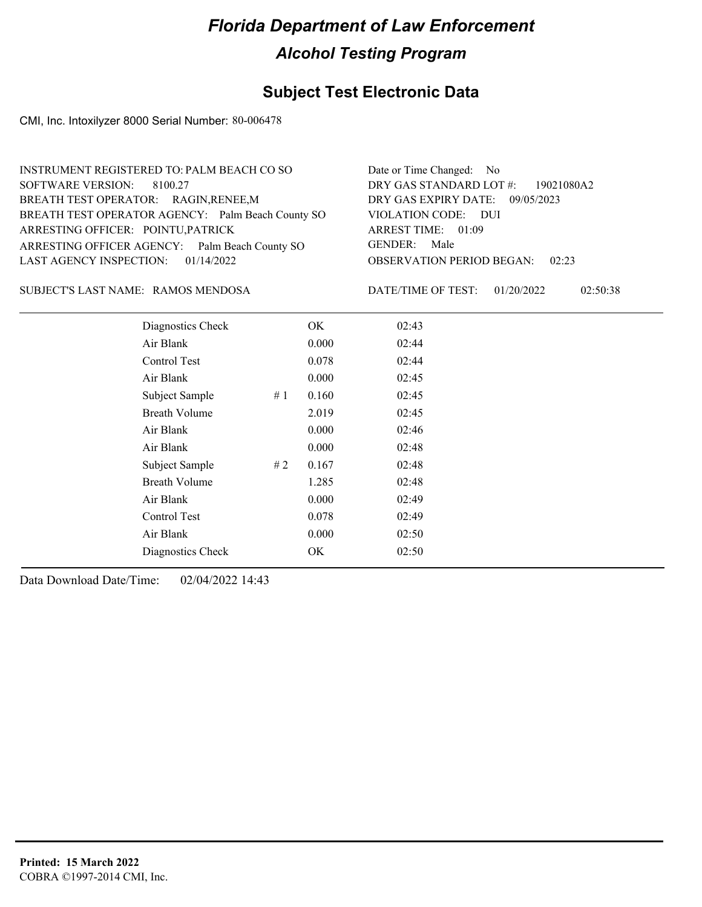## **Subject Test Electronic Data**

CMI, Inc. Intoxilyzer 8000 Serial Number: 80-006478

| INSTRUMENT REGISTERED TO: PALM BEACH CO SO        | Date or Time Changed: No               |
|---------------------------------------------------|----------------------------------------|
| SOFTWARE VERSION: 8100.27                         | DRY GAS STANDARD LOT #: 19021080A2     |
| BREATH TEST OPERATOR: RAGIN, RENEE, M             | DRY GAS EXPIRY DATE: 09/05/2023        |
| BREATH TEST OPERATOR AGENCY: Palm Beach County SO | VIOLATION CODE: DUI                    |
| ARRESTING OFFICER: POINTU, PATRICK                | ARREST TIME: 01:09                     |
| ARRESTING OFFICER AGENCY: Palm Beach County SO    | GENDER: Male                           |
| LAST AGENCY INSPECTION: $01/14/2022$              | <b>OBSERVATION PERIOD BEGAN: 02:23</b> |
|                                                   |                                        |

RAMOS MENDOSA SUBJECT'S LAST NAME: DATE/TIME OF TEST:

DATE/TIME OF TEST: 01/20/2022 02:50:38

| Diagnostics Check    |    | OK    | 02:43 |  |
|----------------------|----|-------|-------|--|
| Air Blank            |    | 0.000 | 02:44 |  |
| Control Test         |    | 0.078 | 02:44 |  |
| Air Blank            |    | 0.000 | 02:45 |  |
| Subject Sample       | #1 | 0.160 | 02:45 |  |
| <b>Breath Volume</b> |    | 2.019 | 02:45 |  |
| Air Blank            |    | 0.000 | 02:46 |  |
| Air Blank            |    | 0.000 | 02:48 |  |
| Subject Sample       | #2 | 0.167 | 02:48 |  |
| <b>Breath Volume</b> |    | 1.285 | 02:48 |  |
| Air Blank            |    | 0.000 | 02:49 |  |
| Control Test         |    | 0.078 | 02:49 |  |
| Air Blank            |    | 0.000 | 02:50 |  |
| Diagnostics Check    |    | OK    | 02:50 |  |
|                      |    |       |       |  |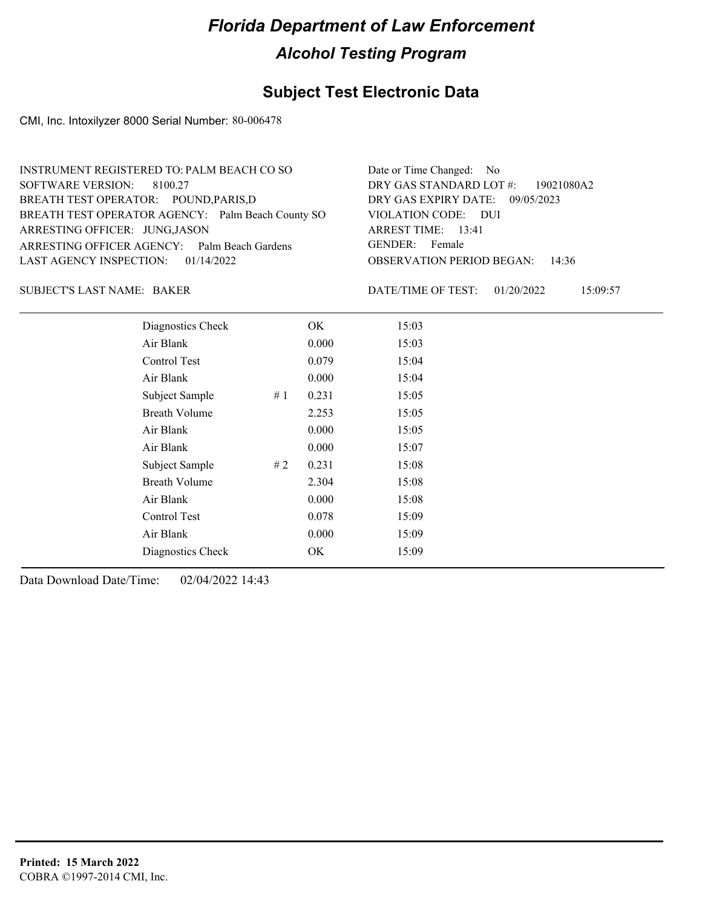## **Subject Test Electronic Data**

CMI, Inc. Intoxilyzer 8000 Serial Number: 80-006478

| INSTRUMENT REGISTERED TO: PALM BEACH CO SO        | Date or Time Changed: No               |
|---------------------------------------------------|----------------------------------------|
| SOFTWARE VERSION: 8100.27                         | DRY GAS STANDARD LOT #: 19021080A2     |
| BREATH TEST OPERATOR: POUND, PARIS, D             | DRY GAS EXPIRY DATE: 09/05/2023        |
| BREATH TEST OPERATOR AGENCY: Palm Beach County SO | VIOLATION CODE: DUI                    |
| ARRESTING OFFICER: JUNG, JASON                    | ARREST TIME: 13:41                     |
| ARRESTING OFFICER AGENCY: Palm Beach Gardens      | GENDER: Female                         |
| LAST AGENCY INSPECTION: $01/14/2022$              | <b>OBSERVATION PERIOD BEGAN: 14:36</b> |
|                                                   |                                        |

### BAKER SUBJECT'S LAST NAME: DATE/TIME OF TEST:

DATE/TIME OF TEST: 01/20/2022 15:09:57

| Diagnostics Check    |    | OK    | 15:03 |
|----------------------|----|-------|-------|
| Air Blank            |    | 0.000 | 15:03 |
| Control Test         |    | 0.079 | 15:04 |
| Air Blank            |    | 0.000 | 15:04 |
| Subject Sample       | #1 | 0.231 | 15:05 |
| <b>Breath Volume</b> |    | 2.253 | 15:05 |
| Air Blank            |    | 0.000 | 15:05 |
| Air Blank            |    | 0.000 | 15:07 |
| Subject Sample       | #2 | 0.231 | 15:08 |
| <b>Breath Volume</b> |    | 2.304 | 15:08 |
| Air Blank            |    | 0.000 | 15:08 |
| Control Test         |    | 0.078 | 15:09 |
| Air Blank            |    | 0.000 | 15:09 |
| Diagnostics Check    |    | OK    | 15:09 |
|                      |    |       |       |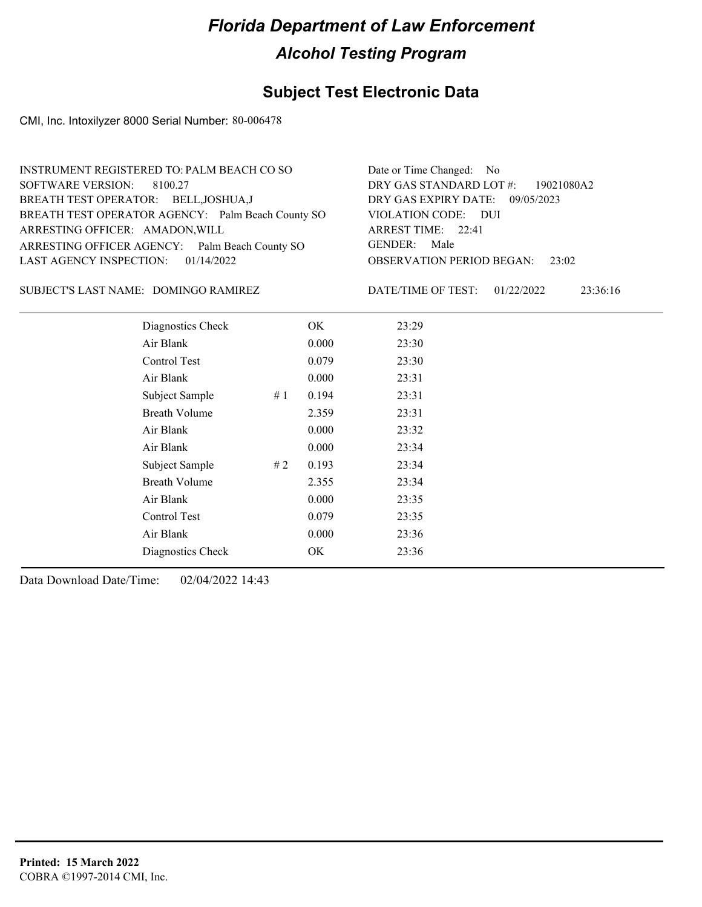## **Subject Test Electronic Data**

CMI, Inc. Intoxilyzer 8000 Serial Number: 80-006478

| INSTRUMENT REGISTERED TO: PALM BEACH CO SO        | Date or Time Changed: No               |
|---------------------------------------------------|----------------------------------------|
| SOFTWARE VERSION: 8100.27                         | DRY GAS STANDARD LOT #: 19021080A2     |
| BREATH TEST OPERATOR: BELL, JOSHUA, J             | DRY GAS EXPIRY DATE: 09/05/2023        |
| BREATH TEST OPERATOR AGENCY: Palm Beach County SO | VIOLATION CODE: DUI                    |
| ARRESTING OFFICER: AMADON, WILL                   | ARREST TIME: 22:41                     |
| ARRESTING OFFICER AGENCY: Palm Beach County SO    | GENDER: Male                           |
| LAST AGENCY INSPECTION: $01/14/2022$              | <b>OBSERVATION PERIOD BEGAN:</b> 23:02 |
|                                                   |                                        |

### SUBJECT'S LAST NAME: DOMINGO RAMIREZ DATE/TIME OF TEST:

DATE/TIME OF TEST: 01/22/2022 23:36:16

| Diagnostics Check       | OK    | 23:29 |
|-------------------------|-------|-------|
| Air Blank               | 0.000 | 23:30 |
| Control Test            | 0.079 | 23:30 |
| Air Blank               | 0.000 | 23:31 |
| Subject Sample<br>#1    | 0.194 | 23:31 |
| <b>Breath Volume</b>    | 2.359 | 23:31 |
| Air Blank               | 0.000 | 23:32 |
| Air Blank               | 0.000 | 23:34 |
| Subject Sample<br># $2$ | 0.193 | 23:34 |
| <b>Breath Volume</b>    | 2.355 | 23:34 |
| Air Blank               | 0.000 | 23:35 |
| Control Test            | 0.079 | 23:35 |
| Air Blank               | 0.000 | 23:36 |
| Diagnostics Check       | OK    | 23:36 |
|                         |       |       |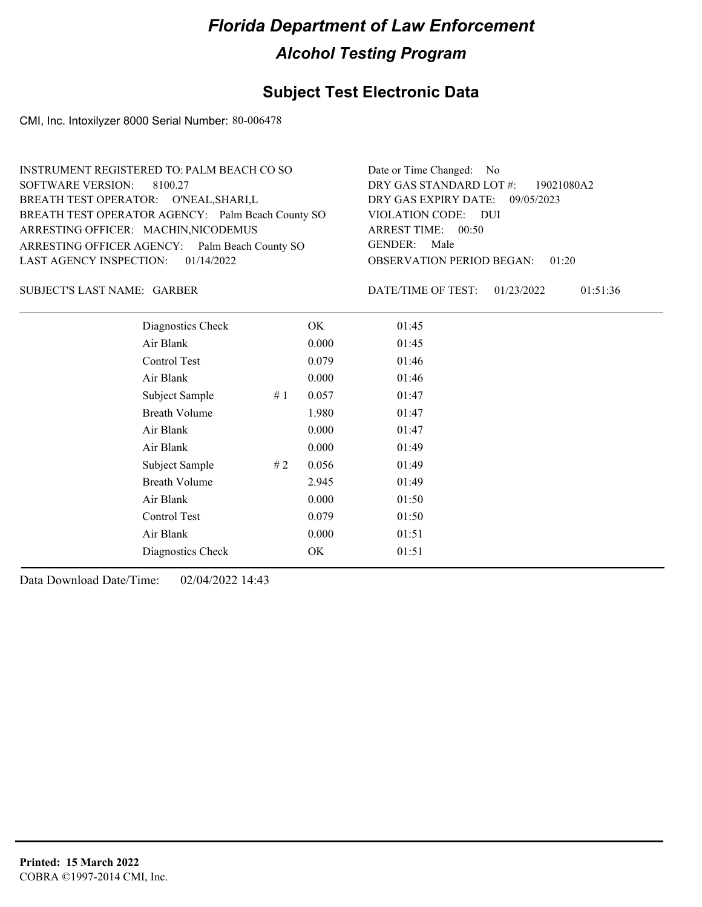## **Subject Test Electronic Data**

CMI, Inc. Intoxilyzer 8000 Serial Number: 80-006478

| INSTRUMENT REGISTERED TO: PALM BEACH CO SO        | Date or Time Changed: No               |
|---------------------------------------------------|----------------------------------------|
| SOFTWARE VERSION: 8100.27                         | DRY GAS STANDARD LOT #: 19021080A2     |
| BREATH TEST OPERATOR: O'NEAL, SHARI, L            | DRY GAS EXPIRY DATE: 09/05/2023        |
| BREATH TEST OPERATOR AGENCY: Palm Beach County SO | VIOLATION CODE: DUI                    |
| ARRESTING OFFICER: MACHIN, NICODEMUS              | ARREST TIME: 00:50                     |
| ARRESTING OFFICER AGENCY: Palm Beach County SO    | GENDER: Male                           |
| LAST AGENCY INSPECTION: 01/14/2022                | <b>OBSERVATION PERIOD BEGAN: 01:20</b> |
|                                                   |                                        |

SUBJECT'S LAST NAME: GARBER DATE/TIME OF TEST:

DATE/TIME OF TEST: 01/23/2022 01:51:36

| Diagnostics Check       | OK    | 01:45 |
|-------------------------|-------|-------|
| Air Blank               | 0.000 | 01:45 |
| Control Test            | 0.079 | 01:46 |
| Air Blank               | 0.000 | 01:46 |
| Subject Sample<br>#1    | 0.057 | 01:47 |
| <b>Breath Volume</b>    | 1.980 | 01:47 |
| Air Blank               | 0.000 | 01:47 |
| Air Blank               | 0.000 | 01:49 |
| Subject Sample<br># $2$ | 0.056 | 01:49 |
| <b>Breath Volume</b>    | 2.945 | 01:49 |
| Air Blank               | 0.000 | 01:50 |
| Control Test            | 0.079 | 01:50 |
| Air Blank               | 0.000 | 01:51 |
| Diagnostics Check       | OK    | 01:51 |
|                         |       |       |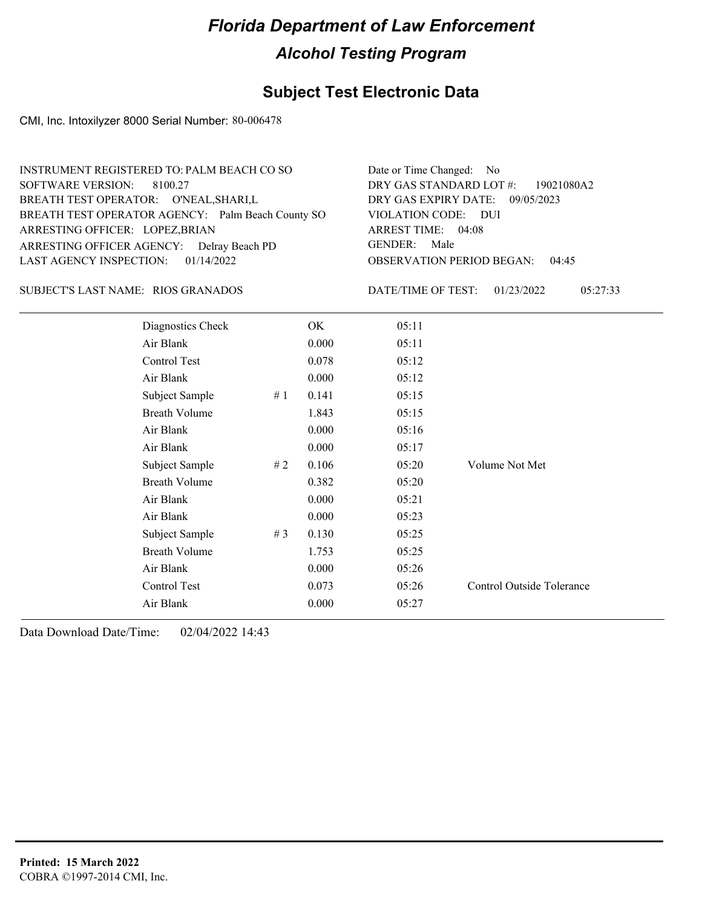### **Subject Test Electronic Data**

CMI, Inc. Intoxilyzer 8000 Serial Number: 80-006478

| INSTRUMENT REGISTERED TO: PALM BEACH CO SO        | Date or Time Changed: No               |
|---------------------------------------------------|----------------------------------------|
| SOFTWARE VERSION: 8100.27                         | DRY GAS STANDARD LOT #: 19021080A2     |
| BREATH TEST OPERATOR: O'NEAL, SHARI, L            | DRY GAS EXPIRY DATE: 09/05/2023        |
| BREATH TEST OPERATOR AGENCY: Palm Beach County SO | VIOLATION CODE: DUI                    |
| ARRESTING OFFICER: LOPEZ, BRIAN                   | ARREST TIME: 04:08                     |
| ARRESTING OFFICER AGENCY: Delray Beach PD         | GENDER: Male                           |
| LAST AGENCY INSPECTION: $01/14/2022$              | <b>OBSERVATION PERIOD BEGAN: 04:45</b> |
|                                                   |                                        |

### SUBJECT'S LAST NAME: RIOS GRANADOS DATE/TIME OF TEST:

DATE/TIME OF TEST: 01/23/2022 05:27:33

| Diagnostics Check    |     | OK    | 05:11 |                           |
|----------------------|-----|-------|-------|---------------------------|
| Air Blank            |     | 0.000 | 05:11 |                           |
| Control Test         |     | 0.078 | 05:12 |                           |
| Air Blank            |     | 0.000 | 05:12 |                           |
| Subject Sample       | #1  | 0.141 | 05:15 |                           |
| <b>Breath Volume</b> |     | 1.843 | 05:15 |                           |
| Air Blank            |     | 0.000 | 05:16 |                           |
| Air Blank            |     | 0.000 | 05:17 |                           |
| Subject Sample       | # 2 | 0.106 | 05:20 | Volume Not Met            |
| <b>Breath Volume</b> |     | 0.382 | 05:20 |                           |
| Air Blank            |     | 0.000 | 05:21 |                           |
| Air Blank            |     | 0.000 | 05:23 |                           |
| Subject Sample       | #3  | 0.130 | 05:25 |                           |
| <b>Breath Volume</b> |     | 1.753 | 05:25 |                           |
| Air Blank            |     | 0.000 | 05:26 |                           |
| Control Test         |     | 0.073 | 05:26 | Control Outside Tolerance |
| Air Blank            |     | 0.000 | 05:27 |                           |
|                      |     |       |       |                           |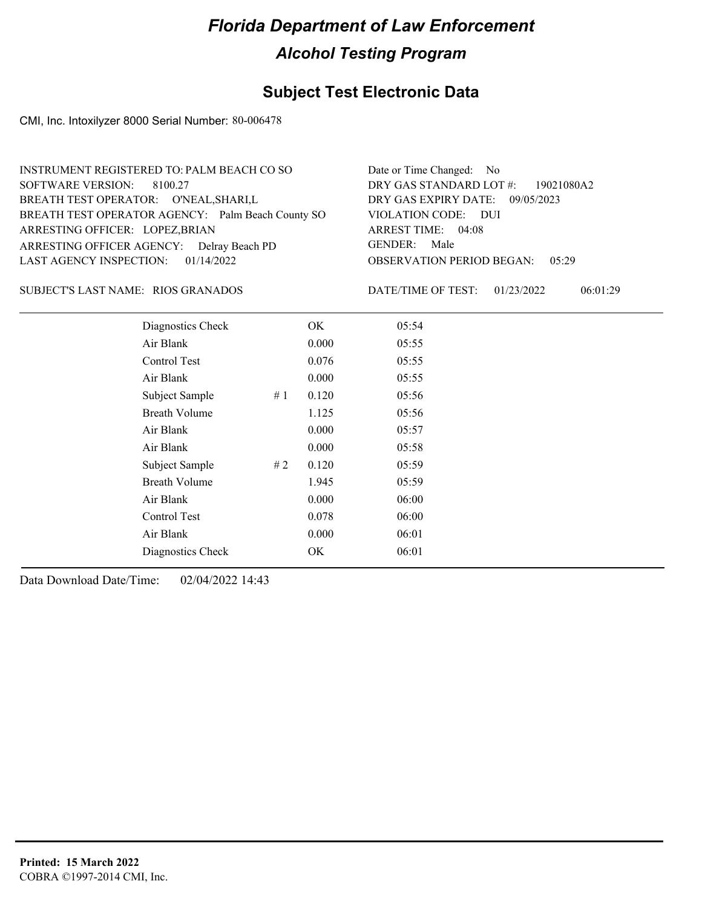## **Subject Test Electronic Data**

CMI, Inc. Intoxilyzer 8000 Serial Number: 80-006478

| INSTRUMENT REGISTERED TO: PALM BEACH CO SO        | Date or Time Changed: No               |
|---------------------------------------------------|----------------------------------------|
| SOFTWARE VERSION: 8100.27                         | DRY GAS STANDARD LOT #: 19021080A2     |
| BREATH TEST OPERATOR: O'NEAL, SHARI, L            | DRY GAS EXPIRY DATE: 09/05/2023        |
| BREATH TEST OPERATOR AGENCY: Palm Beach County SO | VIOLATION CODE: DUI                    |
| ARRESTING OFFICER: LOPEZ, BRIAN                   | ARREST TIME: 04:08                     |
| ARRESTING OFFICER AGENCY: Delray Beach PD         | GENDER: Male                           |
| LAST AGENCY INSPECTION: $01/14/2022$              | <b>OBSERVATION PERIOD BEGAN: 05:29</b> |
|                                                   |                                        |

### SUBJECT'S LAST NAME: RIOS GRANADOS DATE/TIME OF TEST:

DATE/TIME OF TEST: 01/23/2022 06:01:29

| Diagnostics Check    |    | OK    | 05:54 |
|----------------------|----|-------|-------|
| Air Blank            |    | 0.000 | 05:55 |
| Control Test         |    | 0.076 | 05:55 |
| Air Blank            |    | 0.000 | 05:55 |
| Subject Sample       | #1 | 0.120 | 05:56 |
| <b>Breath Volume</b> |    | 1.125 | 05:56 |
| Air Blank            |    | 0.000 | 05:57 |
| Air Blank            |    | 0.000 | 05:58 |
| Subject Sample       | #2 | 0.120 | 05:59 |
| <b>Breath Volume</b> |    | 1.945 | 05:59 |
| Air Blank            |    | 0.000 | 06:00 |
| Control Test         |    | 0.078 | 06:00 |
| Air Blank            |    | 0.000 | 06:01 |
| Diagnostics Check    |    | OK    | 06:01 |
|                      |    |       |       |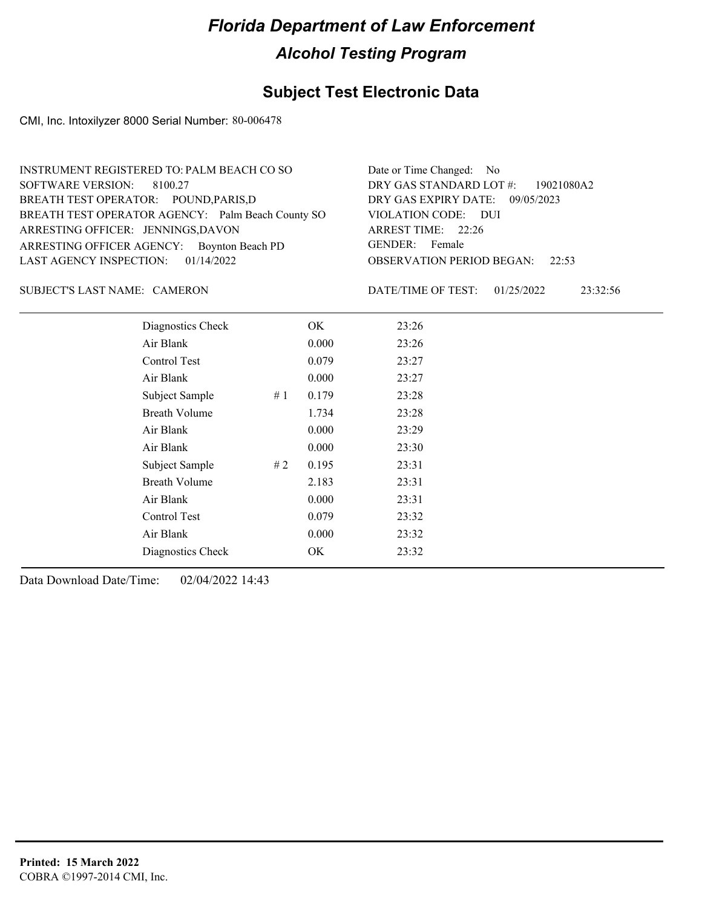## **Subject Test Electronic Data**

CMI, Inc. Intoxilyzer 8000 Serial Number: 80-006478

| INSTRUMENT REGISTERED TO: PALM BEACH CO SO        | Date or Time Changed: No               |
|---------------------------------------------------|----------------------------------------|
| SOFTWARE VERSION: 8100.27                         | DRY GAS STANDARD LOT #: 19021080A2     |
| BREATH TEST OPERATOR: POUND, PARIS, D             | DRY GAS EXPIRY DATE: 09/05/2023        |
| BREATH TEST OPERATOR AGENCY: Palm Beach County SO | VIOLATION CODE: DUI                    |
| ARRESTING OFFICER: JENNINGS, DAVON                | ARREST TIME: 22:26                     |
| ARRESTING OFFICER AGENCY: Boynton Beach PD        | GENDER: Female                         |
| LAST AGENCY INSPECTION: $01/14/2022$              | <b>OBSERVATION PERIOD BEGAN:</b> 22:53 |
|                                                   |                                        |

### SUBJECT'S LAST NAME: CAMERON DATE/TIME OF TEST:

DATE/TIME OF TEST: 01/25/2022 23:32:56

| Diagnostics Check    |    | OK    | 23:26 |
|----------------------|----|-------|-------|
| Air Blank            |    | 0.000 | 23:26 |
| Control Test         |    | 0.079 | 23:27 |
| Air Blank            |    | 0.000 | 23:27 |
| Subject Sample       | #1 | 0.179 | 23:28 |
| <b>Breath Volume</b> |    | 1.734 | 23:28 |
| Air Blank            |    | 0.000 | 23:29 |
| Air Blank            |    | 0.000 | 23:30 |
| Subject Sample       | #2 | 0.195 | 23:31 |
| <b>Breath Volume</b> |    | 2.183 | 23:31 |
| Air Blank            |    | 0.000 | 23:31 |
| Control Test         |    | 0.079 | 23:32 |
| Air Blank            |    | 0.000 | 23:32 |
| Diagnostics Check    |    | OK    | 23:32 |
|                      |    |       |       |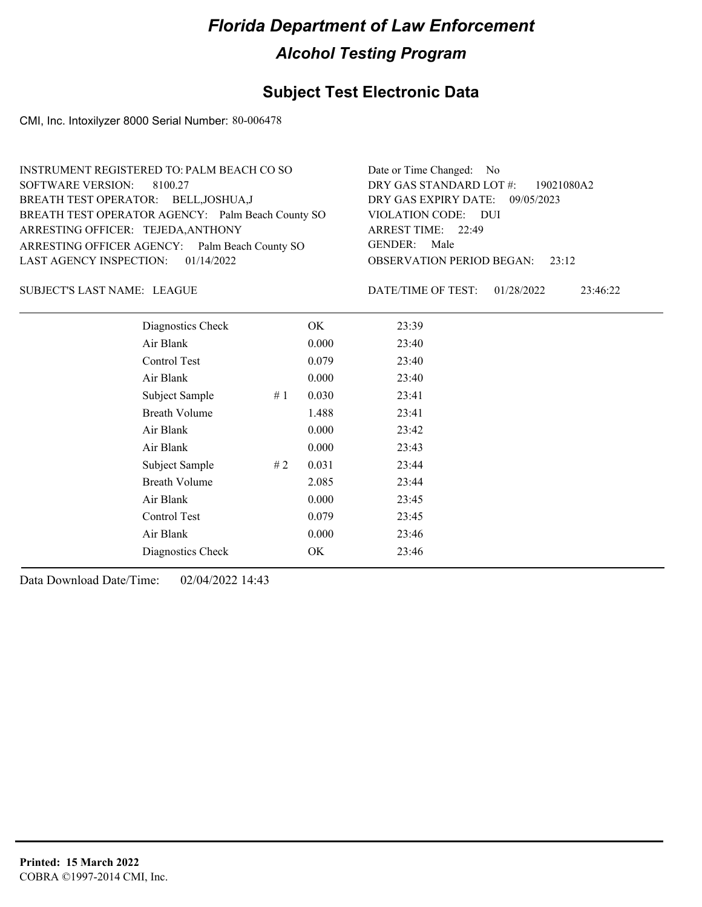## **Subject Test Electronic Data**

CMI, Inc. Intoxilyzer 8000 Serial Number: 80-006478

| INSTRUMENT REGISTERED TO: PALM BEACH CO SO        | Date or Time Changed: No               |
|---------------------------------------------------|----------------------------------------|
| SOFTWARE VERSION: 8100.27                         | DRY GAS STANDARD LOT $\#$ : 19021080A2 |
| BREATH TEST OPERATOR: BELL, JOSHUA, J             | DRY GAS EXPIRY DATE: 09/05/2023        |
| BREATH TEST OPERATOR AGENCY: Palm Beach County SO | VIOLATION CODE: DUI                    |
| ARRESTING OFFICER: TEJEDA, ANTHONY                | ARREST TIME: 22:49                     |
| ARRESTING OFFICER AGENCY: Palm Beach County SO    | GENDER: Male                           |
| LAST AGENCY INSPECTION: $01/14/2022$              | <b>OBSERVATION PERIOD BEGAN:</b> 23:12 |
|                                                   |                                        |

LEAGUE SUBJECT'S LAST NAME: DATE/TIME OF TEST:

DATE/TIME OF TEST: 01/28/2022 23:46:22

| Diagnostics Check    |    | OK    | 23:39 |
|----------------------|----|-------|-------|
| Air Blank            |    | 0.000 | 23:40 |
| Control Test         |    | 0.079 | 23:40 |
| Air Blank            |    | 0.000 | 23:40 |
| Subject Sample       | #1 | 0.030 | 23:41 |
| <b>Breath Volume</b> |    | 1.488 | 23:41 |
| Air Blank            |    | 0.000 | 23:42 |
| Air Blank            |    | 0.000 | 23:43 |
| Subject Sample       | #2 | 0.031 | 23:44 |
| <b>Breath Volume</b> |    | 2.085 | 23:44 |
| Air Blank            |    | 0.000 | 23:45 |
| Control Test         |    | 0.079 | 23:45 |
| Air Blank            |    | 0.000 | 23:46 |
| Diagnostics Check    |    | OK    | 23:46 |
|                      |    |       |       |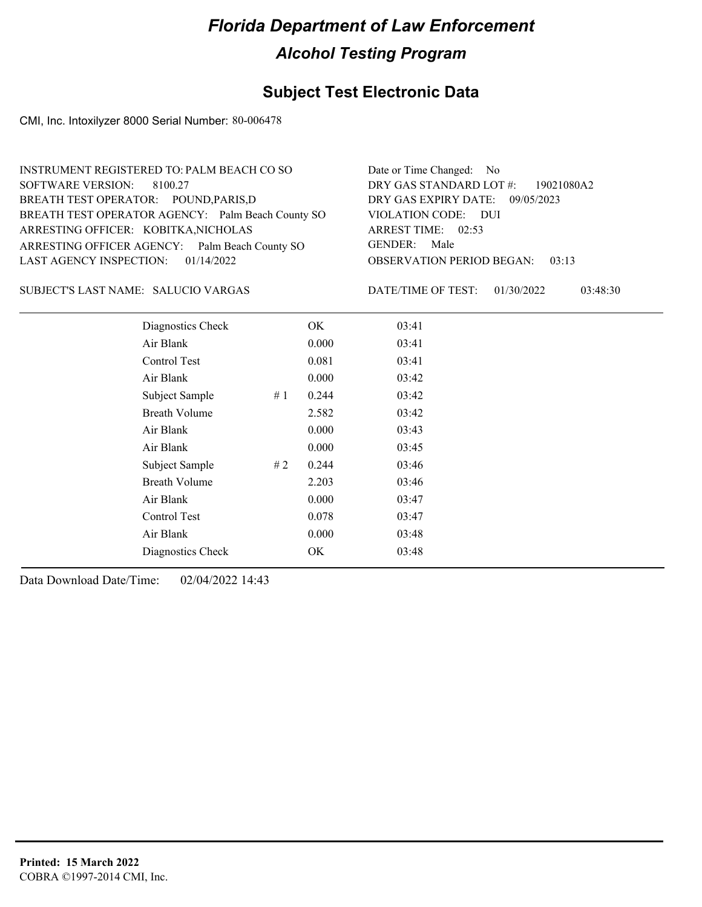## **Subject Test Electronic Data**

CMI, Inc. Intoxilyzer 8000 Serial Number: 80-006478

| INSTRUMENT REGISTERED TO: PALM BEACH CO SO        | Date or Time Changed: No               |
|---------------------------------------------------|----------------------------------------|
| SOFTWARE VERSION: 8100.27                         | DRY GAS STANDARD LOT #: 19021080A2     |
| BREATH TEST OPERATOR: POUND, PARIS, D             | DRY GAS EXPIRY DATE: 09/05/2023        |
| BREATH TEST OPERATOR AGENCY: Palm Beach County SO | VIOLATION CODE: DUI                    |
| ARRESTING OFFICER: KOBITKA, NICHOLAS              | ARREST TIME: 02:53                     |
| ARRESTING OFFICER AGENCY: Palm Beach County SO    | GENDER: Male                           |
| LAST AGENCY INSPECTION: $01/14/2022$              | <b>OBSERVATION PERIOD BEGAN: 03:13</b> |
|                                                   |                                        |

### SALUCIO VARGAS SUBJECT'S LAST NAME: DATE/TIME OF TEST:

DATE/TIME OF TEST: 01/30/2022 03:48:30

| Diagnostics Check    |    | OK    | 03:41 |
|----------------------|----|-------|-------|
| Air Blank            |    | 0.000 | 03:41 |
| Control Test         |    | 0.081 | 03:41 |
| Air Blank            |    | 0.000 | 03:42 |
| Subject Sample       | #1 | 0.244 | 03:42 |
| <b>Breath Volume</b> |    | 2.582 | 03:42 |
| Air Blank            |    | 0.000 | 03:43 |
| Air Blank            |    | 0.000 | 03:45 |
| Subject Sample       | #2 | 0.244 | 03:46 |
| <b>Breath Volume</b> |    | 2.203 | 03:46 |
| Air Blank            |    | 0.000 | 03:47 |
| Control Test         |    | 0.078 | 03:47 |
| Air Blank            |    | 0.000 | 03:48 |
| Diagnostics Check    |    | OK    | 03:48 |
|                      |    |       |       |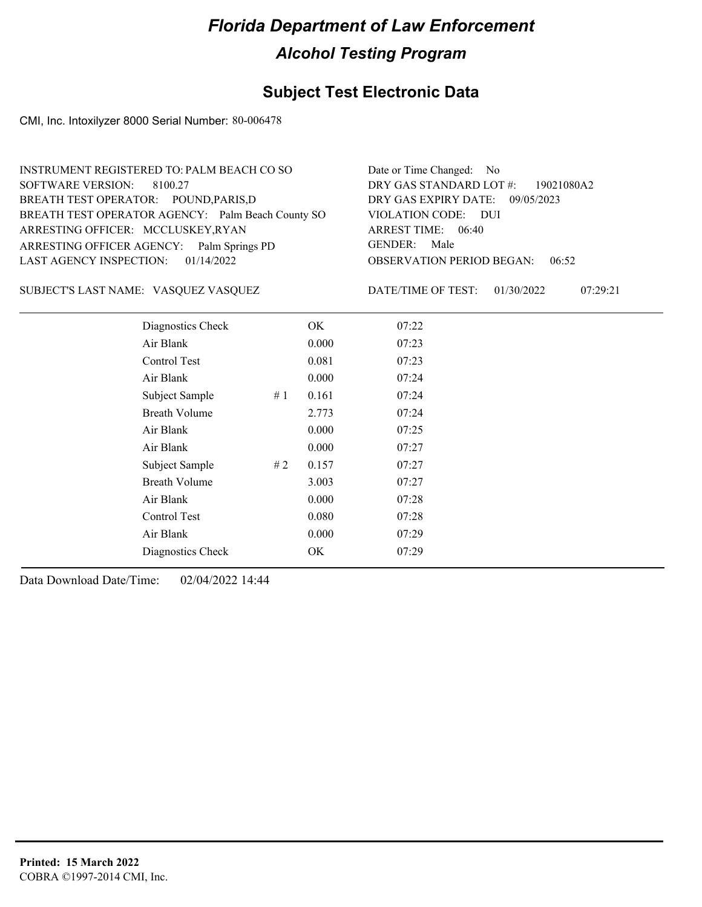## **Subject Test Electronic Data**

CMI, Inc. Intoxilyzer 8000 Serial Number: 80-006478

| INSTRUMENT REGISTERED TO: PALM BEACH CO SO        | Date or Time Changed: No               |
|---------------------------------------------------|----------------------------------------|
| SOFTWARE VERSION: 8100.27                         | DRY GAS STANDARD LOT #: 19021080A2     |
| BREATH TEST OPERATOR: POUND, PARIS, D             | DRY GAS EXPIRY DATE: 09/05/2023        |
| BREATH TEST OPERATOR AGENCY: Palm Beach County SO | VIOLATION CODE: DUI                    |
| ARRESTING OFFICER: MCCLUSKEY, RYAN                | ARREST TIME: 06:40                     |
| ARRESTING OFFICER AGENCY: Palm Springs PD         | GENDER: Male                           |
| LAST AGENCY INSPECTION: $01/14/2022$              | <b>OBSERVATION PERIOD BEGAN: 06:52</b> |
|                                                   |                                        |

### SUBJECT'S LAST NAME: VASQUEZ VASQUEZ DATE/TIME OF TEST:

DATE/TIME OF TEST: 01/30/2022 07:29:21

| Diagnostics Check    |       | OK    | 07:22 |  |
|----------------------|-------|-------|-------|--|
| Air Blank            |       | 0.000 | 07:23 |  |
| Control Test         |       | 0.081 | 07:23 |  |
| Air Blank            |       | 0.000 | 07:24 |  |
| Subject Sample       | #1    | 0.161 | 07:24 |  |
| <b>Breath Volume</b> |       | 2.773 | 07:24 |  |
| Air Blank            |       | 0.000 | 07:25 |  |
| Air Blank            |       | 0.000 | 07:27 |  |
| Subject Sample       | # $2$ | 0.157 | 07:27 |  |
| <b>Breath Volume</b> |       | 3.003 | 07:27 |  |
| Air Blank            |       | 0.000 | 07:28 |  |
| Control Test         |       | 0.080 | 07:28 |  |
| Air Blank            |       | 0.000 | 07:29 |  |
| Diagnostics Check    |       | OK    | 07:29 |  |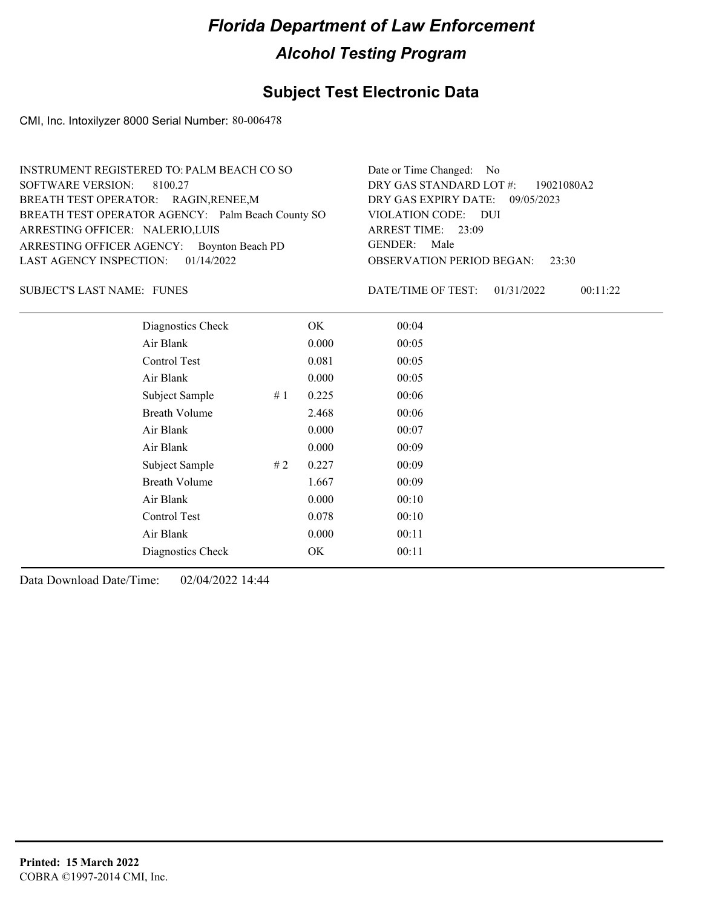## **Subject Test Electronic Data**

CMI, Inc. Intoxilyzer 8000 Serial Number: 80-006478

| INSTRUMENT REGISTERED TO: PALM BEACH CO SO        | Date or Time Changed: No               |
|---------------------------------------------------|----------------------------------------|
| SOFTWARE VERSION: 8100.27                         | DRY GAS STANDARD LOT #: 19021080A2     |
| BREATH TEST OPERATOR: RAGIN, RENEE, M             | DRY GAS EXPIRY DATE: 09/05/2023        |
| BREATH TEST OPERATOR AGENCY: Palm Beach County SO | VIOLATION CODE: DUI                    |
| ARRESTING OFFICER: NALERIO, LUIS                  | ARREST TIME: 23:09                     |
| ARRESTING OFFICER AGENCY: Boynton Beach PD        | GENDER: Male                           |
| LAST AGENCY INSPECTION: $01/14/2022$              | <b>OBSERVATION PERIOD BEGAN: 23:30</b> |
|                                                   |                                        |

SUBJECT'S LAST NAME: FUNES FOR THE SERVICE OF TEST:

DATE/TIME OF TEST: 01/31/2022 00:11:22

| Diagnostics Check    | OK    | 00:04 |
|----------------------|-------|-------|
| Air Blank            | 0.000 | 00:05 |
| Control Test         | 0.081 | 00:05 |
| Air Blank            | 0.000 | 00:05 |
| Subject Sample<br>#1 | 0.225 | 00:06 |
| <b>Breath Volume</b> | 2.468 | 00:06 |
| Air Blank            | 0.000 | 00:07 |
| Air Blank            | 0.000 | 00:09 |
| Subject Sample<br>#2 | 0.227 | 00:09 |
| <b>Breath Volume</b> | 1.667 | 00:09 |
| Air Blank            | 0.000 | 00:10 |
| Control Test         | 0.078 | 00:10 |
| Air Blank            | 0.000 | 00:11 |
| Diagnostics Check    | OK    | 00:11 |
|                      |       |       |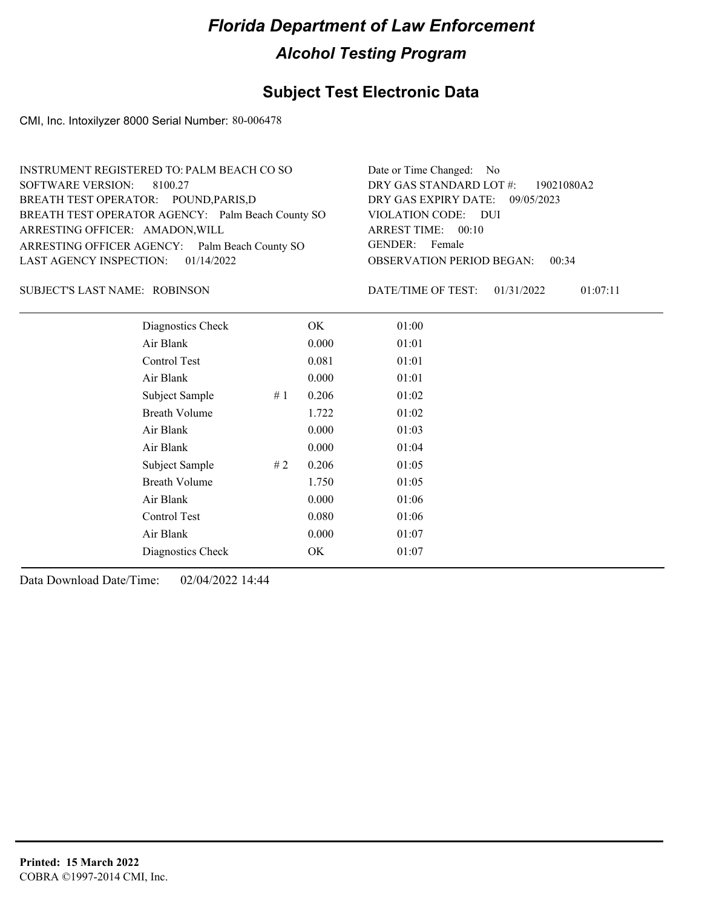## **Subject Test Electronic Data**

CMI, Inc. Intoxilyzer 8000 Serial Number: 80-006478

| INSTRUMENT REGISTERED TO: PALM BEACH CO SO        | Date or Time Changed: No               |
|---------------------------------------------------|----------------------------------------|
| SOFTWARE VERSION: 8100.27                         | DRY GAS STANDARD LOT #: 19021080A2     |
| BREATH TEST OPERATOR: POUND, PARIS, D             | DRY GAS EXPIRY DATE: 09/05/2023        |
| BREATH TEST OPERATOR AGENCY: Palm Beach County SO | VIOLATION CODE: DUI                    |
| ARRESTING OFFICER: AMADON, WILL                   | ARREST TIME: 00:10                     |
| ARRESTING OFFICER AGENCY: Palm Beach County SO    | GENDER: Female                         |
| LAST AGENCY INSPECTION: $01/14/2022$              | <b>OBSERVATION PERIOD BEGAN: 00:34</b> |
|                                                   |                                        |

### ROBINSON SUBJECT'S LAST NAME: DATE/TIME OF TEST:

DATE/TIME OF TEST: 01/31/2022 01:07:11

| Diagnostics Check    | OK    | 01:00 |
|----------------------|-------|-------|
| Air Blank            | 0.000 | 01:01 |
| Control Test         | 0.081 | 01:01 |
| Air Blank            | 0.000 | 01:01 |
| Subject Sample<br>#1 | 0.206 | 01:02 |
| <b>Breath Volume</b> | 1.722 | 01:02 |
| Air Blank            | 0.000 | 01:03 |
| Air Blank            | 0.000 | 01:04 |
| Subject Sample<br>#2 | 0.206 | 01:05 |
| <b>Breath Volume</b> | 1.750 | 01:05 |
| Air Blank            | 0.000 | 01:06 |
| Control Test         | 0.080 | 01:06 |
| Air Blank            | 0.000 | 01:07 |
| Diagnostics Check    | OK    | 01:07 |
|                      |       |       |